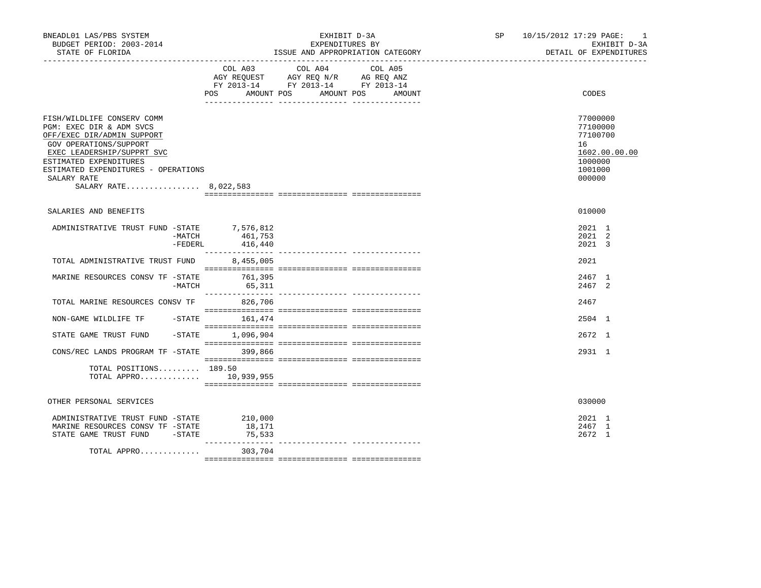| BNEADL01 LAS/PBS SYSTEM<br>BUDGET PERIOD: 2003-2014<br>STATE OF FLORIDA                                                                                                                                                                               |                                   | EXHIBIT D-3A<br>EXPENDITURES BY<br>ISSUE AND APPROPRIATION CATEGORY                                                                      | SP | 10/15/2012 17:29 PAGE: 1<br>EXHIBIT D-3A<br>DETAIL OF EXPENDITURES                      |  |  |
|-------------------------------------------------------------------------------------------------------------------------------------------------------------------------------------------------------------------------------------------------------|-----------------------------------|------------------------------------------------------------------------------------------------------------------------------------------|----|-----------------------------------------------------------------------------------------|--|--|
|                                                                                                                                                                                                                                                       |                                   | COL A03 COL A04 COL A05<br>AGY REQUEST AGY REQ N/R AG REQ ANZ<br>FY 2013-14 FY 2013-14 FY 2013-14<br>POS AMOUNT POS AMOUNT POS<br>AMOUNT |    | CODES                                                                                   |  |  |
| FISH/WILDLIFE CONSERV COMM<br>PGM: EXEC DIR & ADM SVCS<br>OFF/EXEC DIR/ADMIN SUPPORT<br>GOV OPERATIONS/SUPPORT<br>EXEC LEADERSHIP/SUPPRT SVC<br>ESTIMATED EXPENDITURES<br>ESTIMATED EXPENDITURES - OPERATIONS<br>SALARY RATE<br>SALARY RATE 8,022,583 |                                   |                                                                                                                                          |    | 77000000<br>77100000<br>77100700<br>16<br>1602.00.00.00<br>1000000<br>1001000<br>000000 |  |  |
| SALARIES AND BENEFITS                                                                                                                                                                                                                                 |                                   |                                                                                                                                          |    | 010000                                                                                  |  |  |
| ADMINISTRATIVE TRUST FUND -STATE 7,576,812                                                                                                                                                                                                            | -MATCH 461,753<br>-FEDERL 416,440 |                                                                                                                                          |    | 2021 1<br>2021 2<br>2021 3                                                              |  |  |
| TOTAL ADMINISTRATIVE TRUST FUND                                                                                                                                                                                                                       | 8,455,005                         |                                                                                                                                          |    | 2021                                                                                    |  |  |
| MARINE RESOURCES CONSV TF -STATE<br>-MATCH                                                                                                                                                                                                            | 761,395<br>65,311                 |                                                                                                                                          |    | 2467 1<br>2467 2                                                                        |  |  |
| TOTAL MARINE RESOURCES CONSV TF 826,706                                                                                                                                                                                                               |                                   |                                                                                                                                          |    | 2467                                                                                    |  |  |
| NON-GAME WILDLIFE TF -STATE 161,474                                                                                                                                                                                                                   |                                   |                                                                                                                                          |    | 2504 1                                                                                  |  |  |
| STATE GAME TRUST FUND                                                                                                                                                                                                                                 | $-$ STATE $1,096,904$             |                                                                                                                                          |    | 2672 1                                                                                  |  |  |
| CONS/REC LANDS PROGRAM TF -STATE 399,866                                                                                                                                                                                                              |                                   |                                                                                                                                          |    | 2931 1                                                                                  |  |  |
| TOTAL POSITIONS 189.50<br>TOTAL APPRO 10,939,955                                                                                                                                                                                                      |                                   |                                                                                                                                          |    |                                                                                         |  |  |
| OTHER PERSONAL SERVICES                                                                                                                                                                                                                               |                                   |                                                                                                                                          |    | 030000                                                                                  |  |  |
| ADMINISTRATIVE TRUST FUND -STATE<br>MARINE RESOURCES CONSV TF -STATE<br>STATE GAME TRUST FUND - STATE                                                                                                                                                 | 210,000<br>18,171<br>75,533       |                                                                                                                                          |    | 2021 1<br>2467 1<br>2672 1                                                              |  |  |
| TOTAL APPRO                                                                                                                                                                                                                                           | 303,704                           |                                                                                                                                          |    |                                                                                         |  |  |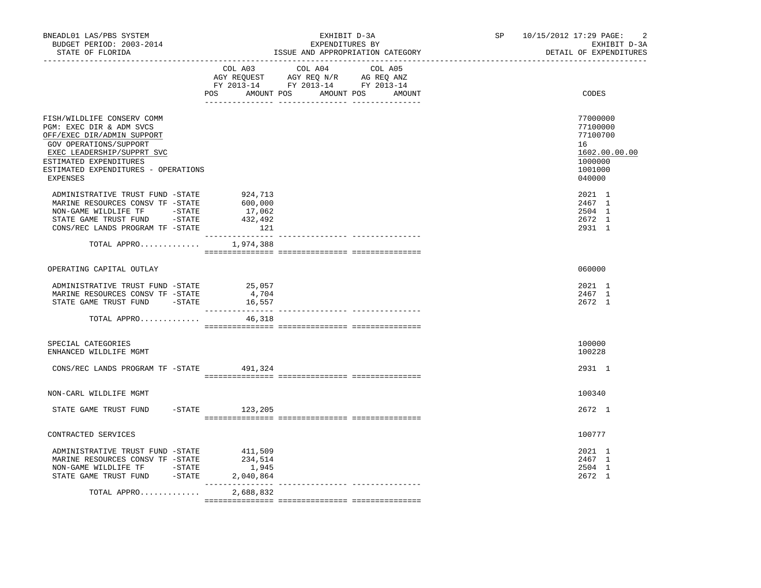| BNEADL01 LAS/PBS SYSTEM<br>BUDGET PERIOD: 2003-2014<br>STATE OF FLORIDA                                                                                                                                                   |                                                | EXHIBIT D-3A<br>EXPENDITURES BY<br>ISSUE AND APPROPRIATION CATEGORY                                                                   | SP 10/15/2012 17:29 PAGE:<br>2<br>EXHIBIT D-3A<br>DETAIL OF EXPENDITURES                |
|---------------------------------------------------------------------------------------------------------------------------------------------------------------------------------------------------------------------------|------------------------------------------------|---------------------------------------------------------------------------------------------------------------------------------------|-----------------------------------------------------------------------------------------|
|                                                                                                                                                                                                                           |                                                | COL A03 COL A04 COL A05<br>AGY REQUEST AGY REQ N/R AG REQ ANZ<br>FY 2013-14 FY 2013-14 FY 2013-14<br>POS AMOUNT POS AMOUNT POS AMOUNT | CODES                                                                                   |
| FISH/WILDLIFE CONSERV COMM<br>PGM: EXEC DIR & ADM SVCS<br>OFF/EXEC DIR/ADMIN SUPPORT<br>GOV OPERATIONS/SUPPORT<br>EXEC LEADERSHIP/SUPPRT SVC<br>ESTIMATED EXPENDITURES<br>ESTIMATED EXPENDITURES - OPERATIONS<br>EXPENSES |                                                |                                                                                                                                       | 77000000<br>77100000<br>77100700<br>16<br>1602.00.00.00<br>1000000<br>1001000<br>040000 |
| ADMINISTRATIVE TRUST FUND -STATE<br>MARINE RESOURCES CONSV TF -STATE<br>NON-GAME WILDLIFE TF - STATE<br>STATE GAME TRUST FUND - STATE<br>CONS/REC LANDS PROGRAM TF -STATE                                                 | 924,713<br>600,000<br>17,062<br>432,492<br>121 |                                                                                                                                       | 2021 1<br>2467 1<br>2504 1<br>2672 1<br>2931 1                                          |
| TOTAL APPRO $1,974,388$                                                                                                                                                                                                   |                                                |                                                                                                                                       |                                                                                         |
| OPERATING CAPITAL OUTLAY                                                                                                                                                                                                  |                                                |                                                                                                                                       | 060000                                                                                  |
| ADMINISTRATIVE TRUST FUND -STATE 25,057<br>MARINE RESOURCES CONSV TF -STATE<br>STATE GAME TRUST FUND -STATE<br>TOTAL APPRO                                                                                                | 4,704<br>16,557<br>46,318                      |                                                                                                                                       | 2021 1<br>2467 1<br>2672 1                                                              |
|                                                                                                                                                                                                                           |                                                |                                                                                                                                       |                                                                                         |
| SPECIAL CATEGORIES<br>ENHANCED WILDLIFE MGMT                                                                                                                                                                              |                                                |                                                                                                                                       | 100000<br>100228                                                                        |
| CONS/REC LANDS PROGRAM TF -STATE 491,324                                                                                                                                                                                  |                                                |                                                                                                                                       | 2931 1                                                                                  |
| NON-CARL WILDLIFE MGMT                                                                                                                                                                                                    |                                                |                                                                                                                                       | 100340                                                                                  |
| STATE GAME TRUST FUND                                                                                                                                                                                                     | $-STATE$ 123, 205                              |                                                                                                                                       | 2672 1                                                                                  |
| CONTRACTED SERVICES                                                                                                                                                                                                       |                                                |                                                                                                                                       | 100777                                                                                  |
| ADMINISTRATIVE TRUST FUND -STATE<br>MARINE RESOURCES CONSV TF -STATE<br>NON-GAME WILDLIFE TF - STATE<br>STATE GAME TRUST FUND -STATE 2,040,864                                                                            | 411,509<br>234,514<br>1,945                    |                                                                                                                                       | 2021 1<br>2467 1<br>2504 1<br>2672 1                                                    |
| TOTAL APPRO                                                                                                                                                                                                               | _________<br>2,688,832                         |                                                                                                                                       |                                                                                         |
|                                                                                                                                                                                                                           |                                                |                                                                                                                                       |                                                                                         |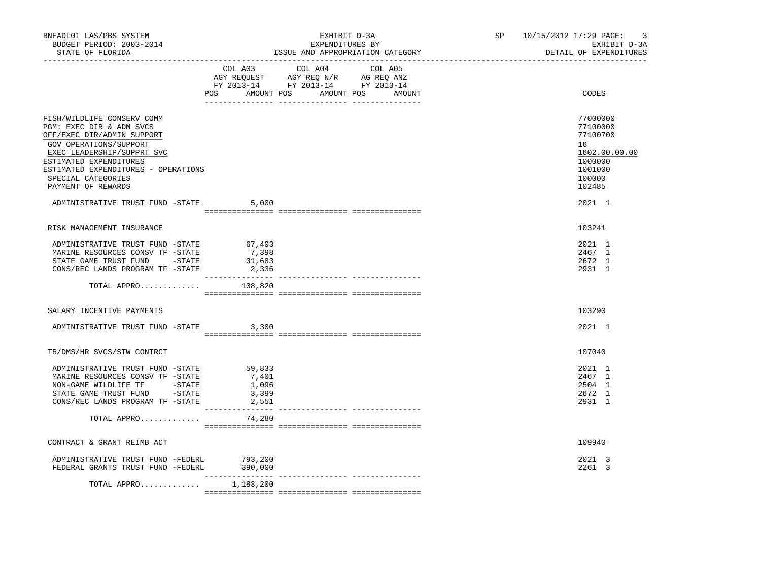| BNEADL01 LAS/PBS SYSTEM<br>BUDGET PERIOD: 2003-2014<br>STATE OF FLORIDA                                                                                                                                                                                                                       |                                            | EXHIBIT D-3A<br>EXPENDITURES BY<br>ISSUE AND APPROPRIATION CATEGORY                                                                   | SP 10/15/2012 17:29 PAGE:<br>$\overline{3}$<br>EXHIBIT D-3A<br>DETAIL OF EXPENDITURES                       |
|-----------------------------------------------------------------------------------------------------------------------------------------------------------------------------------------------------------------------------------------------------------------------------------------------|--------------------------------------------|---------------------------------------------------------------------------------------------------------------------------------------|-------------------------------------------------------------------------------------------------------------|
|                                                                                                                                                                                                                                                                                               |                                            | COL A03 COL A04 COL A05<br>AGY REQUEST AGY REQ N/R AG REQ ANZ<br>FY 2013-14 FY 2013-14 FY 2013-14<br>POS AMOUNT POS AMOUNT POS AMOUNT | CODES                                                                                                       |
| FISH/WILDLIFE CONSERV COMM<br>PGM: EXEC DIR & ADM SVCS<br>OFF/EXEC DIR/ADMIN SUPPORT<br>GOV OPERATIONS/SUPPORT<br>EXEC LEADERSHIP/SUPPRT SVC<br>ESTIMATED EXPENDITURES<br>ESTIMATED EXPENDITURES - OPERATIONS<br>SPECIAL CATEGORIES<br>PAYMENT OF REWARDS<br>ADMINISTRATIVE TRUST FUND -STATE |                                            |                                                                                                                                       | 77000000<br>77100000<br>77100700<br>16<br>1602.00.00.00<br>1000000<br>1001000<br>100000<br>102485<br>2021 1 |
|                                                                                                                                                                                                                                                                                               | 5,000                                      |                                                                                                                                       |                                                                                                             |
| RISK MANAGEMENT INSURANCE                                                                                                                                                                                                                                                                     |                                            |                                                                                                                                       | 103241                                                                                                      |
| ADMINISTRATIVE TRUST FUND -STATE 67,403<br>MARINE RESOURCES CONSV TF -STATE<br>STATE GAME TRUST FUND - STATE<br>CONS/REC LANDS PROGRAM TF -STATE                                                                                                                                              | 7,398<br>31,683<br>2,336                   |                                                                                                                                       | 2021 1<br>2467 1<br>2672 1<br>2931 1                                                                        |
| TOTAL APPRO                                                                                                                                                                                                                                                                                   | 108,820                                    |                                                                                                                                       |                                                                                                             |
| SALARY INCENTIVE PAYMENTS                                                                                                                                                                                                                                                                     |                                            |                                                                                                                                       | 103290                                                                                                      |
| ADMINISTRATIVE TRUST FUND -STATE 3,300                                                                                                                                                                                                                                                        |                                            |                                                                                                                                       | 2021 1                                                                                                      |
| TR/DMS/HR SVCS/STW CONTRCT                                                                                                                                                                                                                                                                    |                                            |                                                                                                                                       | 107040                                                                                                      |
| ADMINISTRATIVE TRUST FUND -STATE<br>MARINE RESOURCES CONSV TF -STATE<br>NON-GAME WILDLIFE TF - STATE<br>STATE GAME TRUST FUND - STATE<br>CONS/REC LANDS PROGRAM TF -STATE                                                                                                                     | 59,833<br>7,401<br>1,096<br>3,399<br>2,551 |                                                                                                                                       | 2021 1<br>2467 1<br>2504 1<br>2672 1<br>2931 1                                                              |
| TOTAL APPRO $74,280$                                                                                                                                                                                                                                                                          |                                            |                                                                                                                                       |                                                                                                             |
| CONTRACT & GRANT REIMB ACT                                                                                                                                                                                                                                                                    |                                            |                                                                                                                                       | 109940                                                                                                      |
| ADMINISTRATIVE TRUST FUND -FEDERL 793,200<br>FEDERAL GRANTS TRUST FUND -FEDERL 390,000                                                                                                                                                                                                        | _____________                              |                                                                                                                                       | 2021 3<br>2261 3                                                                                            |
| TOTAL APPRO $1,183,200$                                                                                                                                                                                                                                                                       |                                            |                                                                                                                                       |                                                                                                             |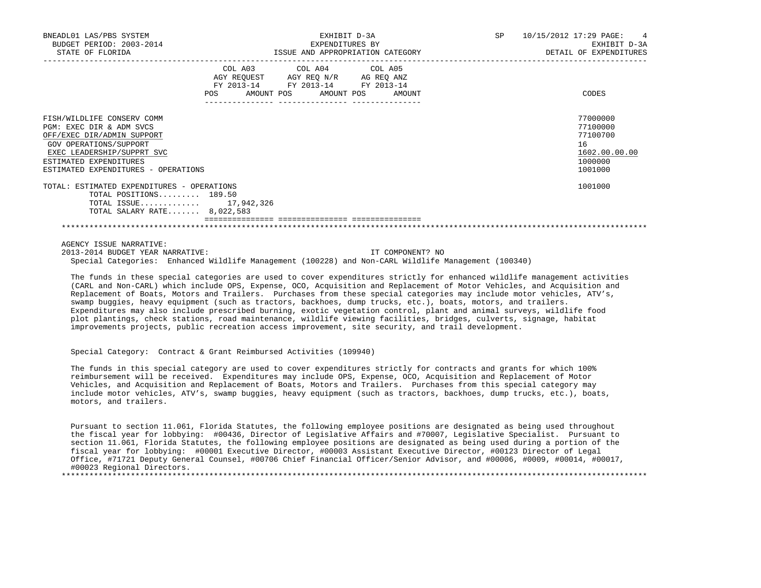| BNEADL01 LAS/PBS SYSTEM<br>BUDGET PERIOD: 2003-2014<br>STATE OF FLORIDA                                                                                                                                       |                                                                                                   | EXHIBIT D-3A<br>EXPENDITURES BY<br>ISSUE AND APPROPRIATION CATEGORY | SP 10/15/2012 17:29 PAGE: 4<br>EXHIBIT D-3A<br>DETAIL OF EXPENDITURES         |
|---------------------------------------------------------------------------------------------------------------------------------------------------------------------------------------------------------------|---------------------------------------------------------------------------------------------------|---------------------------------------------------------------------|-------------------------------------------------------------------------------|
|                                                                                                                                                                                                               | COL A03 COL A04 COL A05<br>AGY REQUEST AGY REO N/R AG REO ANZ<br>FY 2013-14 FY 2013-14 FY 2013-14 | POS AMOUNT POS AMOUNT POS AMOUNT                                    | CODES                                                                         |
| FISH/WILDLIFE CONSERV COMM<br>PGM: EXEC DIR & ADM SVCS<br>OFF/EXEC DIR/ADMIN SUPPORT<br>GOV OPERATIONS/SUPPORT<br>EXEC LEADERSHIP/SUPPRT SVC<br>ESTIMATED EXPENDITURES<br>ESTIMATED EXPENDITURES - OPERATIONS |                                                                                                   |                                                                     | 77000000<br>77100000<br>77100700<br>16<br>1602.00.00.00<br>1000000<br>1001000 |
| TOTAL: ESTIMATED EXPENDITURES - OPERATIONS<br>TOTAL POSITIONS 189.50<br>TOTAL ISSUE 17,942,326<br>TOTAL SALARY RATE 8,022,583                                                                                 |                                                                                                   |                                                                     | 1001000                                                                       |
|                                                                                                                                                                                                               |                                                                                                   |                                                                     |                                                                               |

AGENCY ISSUE NARRATIVE:

 2013-2014 BUDGET YEAR NARRATIVE: IT COMPONENT? NO Special Categories: Enhanced Wildlife Management (100228) and Non-CARL Wildlife Management (100340)

 The funds in these special categories are used to cover expenditures strictly for enhanced wildlife management activities (CARL and Non-CARL) which include OPS, Expense, OCO, Acquisition and Replacement of Motor Vehicles, and Acquisition and Replacement of Boats, Motors and Trailers. Purchases from these special categories may include motor vehicles, ATV's, swamp buggies, heavy equipment (such as tractors, backhoes, dump trucks, etc.), boats, motors, and trailers. Expenditures may also include prescribed burning, exotic vegetation control, plant and animal surveys, wildlife food plot plantings, check stations, road maintenance, wildlife viewing facilities, bridges, culverts, signage, habitat improvements projects, public recreation access improvement, site security, and trail development.

Special Category: Contract & Grant Reimbursed Activities (109940)

 The funds in this special category are used to cover expenditures strictly for contracts and grants for which 100% reimbursement will be received. Expenditures may include OPS, Expense, OCO, Acquisition and Replacement of Motor Vehicles, and Acquisition and Replacement of Boats, Motors and Trailers. Purchases from this special category may include motor vehicles, ATV's, swamp buggies, heavy equipment (such as tractors, backhoes, dump trucks, etc.), boats, motors, and trailers.

 Pursuant to section 11.061, Florida Statutes, the following employee positions are designated as being used throughout the fiscal year for lobbying: #00436, Director of Legislative Affairs and #70007, Legislative Specialist. Pursuant to section 11.061, Florida Statutes, the following employee positions are designated as being used during a portion of the fiscal year for lobbying: #00001 Executive Director, #00003 Assistant Executive Director, #00123 Director of Legal Office, #71721 Deputy General Counsel, #00706 Chief Financial Officer/Senior Advisor, and #00006, #0009, #00014, #00017, #00023 Regional Directors. \*\*\*\*\*\*\*\*\*\*\*\*\*\*\*\*\*\*\*\*\*\*\*\*\*\*\*\*\*\*\*\*\*\*\*\*\*\*\*\*\*\*\*\*\*\*\*\*\*\*\*\*\*\*\*\*\*\*\*\*\*\*\*\*\*\*\*\*\*\*\*\*\*\*\*\*\*\*\*\*\*\*\*\*\*\*\*\*\*\*\*\*\*\*\*\*\*\*\*\*\*\*\*\*\*\*\*\*\*\*\*\*\*\*\*\*\*\*\*\*\*\*\*\*\*\*\*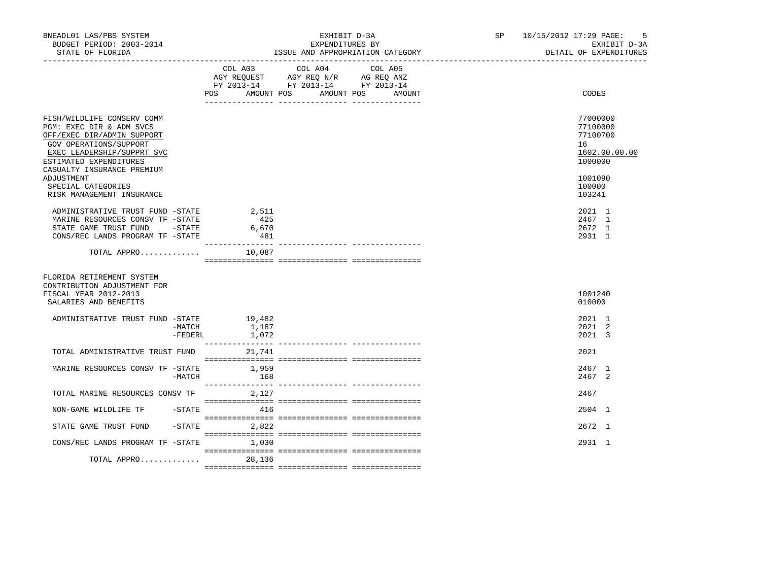| BNEADL01 LAS/PBS SYSTEM<br>BUDGET PERIOD: 2003-2014<br>STATE OF FLORIDA                                                                                                                                                                                               |                      |                     | EXHIBIT D-3A<br>EXPENDITURES BY<br>ISSUE AND APPROPRIATION CATEGORY                                                           | 10/15/2012 17:29 PAGE:<br>SP and the set of the set of the set of the set of the set of the set of the set of the set of the set of the set of the set of the set of the set of the set of the set of the set of the set of the set of the set of the se<br>EXHIBIT D-3A<br>DETAIL OF EXPENDITURES |  |                                                                                                   |  |
|-----------------------------------------------------------------------------------------------------------------------------------------------------------------------------------------------------------------------------------------------------------------------|----------------------|---------------------|-------------------------------------------------------------------------------------------------------------------------------|----------------------------------------------------------------------------------------------------------------------------------------------------------------------------------------------------------------------------------------------------------------------------------------------------|--|---------------------------------------------------------------------------------------------------|--|
|                                                                                                                                                                                                                                                                       |                      |                     | COL A03 COL A04<br>AGY REQUEST AGY REQ N/R AG REQ ANZ<br>FY 2013-14 FY 2013-14 FY 2013-14<br>POS AMOUNT POS AMOUNT POS AMOUNT | COL A05                                                                                                                                                                                                                                                                                            |  | CODES                                                                                             |  |
| FISH/WILDLIFE CONSERV COMM<br>PGM: EXEC DIR & ADM SVCS<br>OFF/EXEC DIR/ADMIN SUPPORT<br>GOV OPERATIONS/SUPPORT<br>EXEC LEADERSHIP/SUPPRT SVC<br>ESTIMATED EXPENDITURES<br>CASUALTY INSURANCE PREMIUM<br>ADJUSTMENT<br>SPECIAL CATEGORIES<br>RISK MANAGEMENT INSURANCE |                      |                     |                                                                                                                               |                                                                                                                                                                                                                                                                                                    |  | 77000000<br>77100000<br>77100700<br>16<br>1602.00.00.00<br>1000000<br>1001090<br>100000<br>103241 |  |
| ADMINISTRATIVE TRUST FUND -STATE 2,511<br>MARINE RESOURCES CONSV TF -STATE<br>STATE GAME TRUST FUND -STATE<br>CONS/REC LANDS PROGRAM TF -STATE                                                                                                                        |                      | 425<br>6,670<br>481 |                                                                                                                               |                                                                                                                                                                                                                                                                                                    |  | 2021 1<br>2467 1<br>2672 1<br>2931 1                                                              |  |
| TOTAL APPRO                                                                                                                                                                                                                                                           |                      | 10,087              |                                                                                                                               |                                                                                                                                                                                                                                                                                                    |  |                                                                                                   |  |
| FLORIDA RETIREMENT SYSTEM<br>CONTRIBUTION ADJUSTMENT FOR<br>FISCAL YEAR 2012-2013<br>SALARIES AND BENEFITS                                                                                                                                                            |                      |                     |                                                                                                                               |                                                                                                                                                                                                                                                                                                    |  | 1001240<br>010000                                                                                 |  |
| ADMINISTRATIVE TRUST FUND -STATE 19,482                                                                                                                                                                                                                               | -MATCH<br>$-$ FEDERL | 1,187<br>1,072      |                                                                                                                               |                                                                                                                                                                                                                                                                                                    |  | 2021 1<br>2021 2<br>2021 3                                                                        |  |
| TOTAL ADMINISTRATIVE TRUST FUND                                                                                                                                                                                                                                       |                      | 21,741              |                                                                                                                               |                                                                                                                                                                                                                                                                                                    |  | 2021                                                                                              |  |
| MARINE RESOURCES CONSV TF -STATE                                                                                                                                                                                                                                      | -MATCH               | 1,959<br>168        |                                                                                                                               |                                                                                                                                                                                                                                                                                                    |  | 2467 1<br>2467 2                                                                                  |  |
| TOTAL MARINE RESOURCES CONSV TF                                                                                                                                                                                                                                       |                      | 2,127               |                                                                                                                               |                                                                                                                                                                                                                                                                                                    |  | 2467                                                                                              |  |
| NON-GAME WILDLIFE TF  -STATE  416                                                                                                                                                                                                                                     |                      |                     |                                                                                                                               |                                                                                                                                                                                                                                                                                                    |  | 2504 1                                                                                            |  |
| STATE GAME TRUST FUND                                                                                                                                                                                                                                                 |                      | $-STATE$ 2,822      |                                                                                                                               |                                                                                                                                                                                                                                                                                                    |  | $2672 \quad 1$                                                                                    |  |
| CONS/REC LANDS PROGRAM TF -STATE                                                                                                                                                                                                                                      |                      | 1,030               |                                                                                                                               |                                                                                                                                                                                                                                                                                                    |  | 2931 1                                                                                            |  |
| TOTAL APPRO                                                                                                                                                                                                                                                           |                      | 28,136              |                                                                                                                               |                                                                                                                                                                                                                                                                                                    |  |                                                                                                   |  |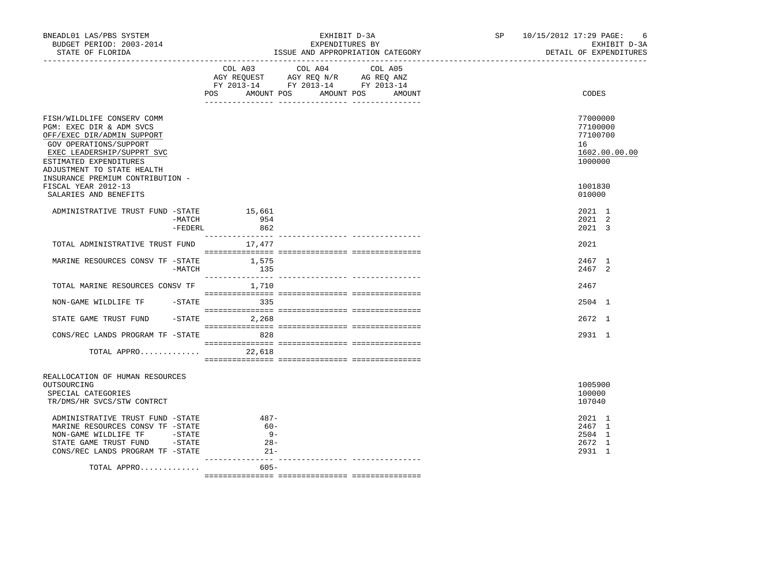| BNEADL01 LAS/PBS SYSTEM<br>BUDGET PERIOD: 2003-2014<br>STATE OF FLORIDA                                                                                                                                                                  |                   |                                                | EXHIBIT D-3A<br>EXPENDITURES BY                                                                                            | ISSUE AND APPROPRIATION CATEGORY | SP <sub>2</sub> | 10/15/2012 17:29 PAGE: 6                                           | EXHIBIT D-3A<br>DETAIL OF EXPENDITURES |  |
|------------------------------------------------------------------------------------------------------------------------------------------------------------------------------------------------------------------------------------------|-------------------|------------------------------------------------|----------------------------------------------------------------------------------------------------------------------------|----------------------------------|-----------------|--------------------------------------------------------------------|----------------------------------------|--|
|                                                                                                                                                                                                                                          |                   | POS                                            | COL A03 COL A04 COL A05<br>AGY REQUEST AGY REQ N/R AG REQ ANZ<br>FY 2013-14 FY 2013-14 FY 2013-14<br>AMOUNT POS AMOUNT POS | AMOUNT                           |                 | CODES                                                              |                                        |  |
| FISH/WILDLIFE CONSERV COMM<br>PGM: EXEC DIR & ADM SVCS<br>OFF/EXEC DIR/ADMIN SUPPORT<br>GOV OPERATIONS/SUPPORT<br>EXEC LEADERSHIP/SUPPRT SVC<br>ESTIMATED EXPENDITURES<br>ADJUSTMENT TO STATE HEALTH<br>INSURANCE PREMIUM CONTRIBUTION - |                   |                                                |                                                                                                                            |                                  |                 | 77000000<br>77100000<br>77100700<br>16<br>1602.00.00.00<br>1000000 |                                        |  |
| FISCAL YEAR 2012-13<br>SALARIES AND BENEFITS                                                                                                                                                                                             |                   |                                                |                                                                                                                            |                                  |                 | 1001830<br>010000                                                  |                                        |  |
| ADMINISTRATIVE TRUST FUND -STATE 15,661                                                                                                                                                                                                  | -MATCH<br>-FEDERL | 954<br>862                                     |                                                                                                                            |                                  |                 | 2021 1<br>$2021$ 2<br>2021 3                                       |                                        |  |
| TOTAL ADMINISTRATIVE TRUST FUND                                                                                                                                                                                                          |                   | 17,477                                         |                                                                                                                            |                                  |                 | 2021                                                               |                                        |  |
| MARINE RESOURCES CONSV TF -STATE                                                                                                                                                                                                         | $-MATCH$          | 1,575<br>135                                   |                                                                                                                            |                                  |                 | 2467 1<br>2467 2                                                   |                                        |  |
| TOTAL MARINE RESOURCES CONSV TF 1,710                                                                                                                                                                                                    |                   |                                                |                                                                                                                            |                                  |                 | 2467                                                               |                                        |  |
|                                                                                                                                                                                                                                          |                   |                                                |                                                                                                                            |                                  |                 | 2504 1                                                             |                                        |  |
| STATE GAME TRUST FUND                                                                                                                                                                                                                    |                   | $-STATE$ 2,268                                 |                                                                                                                            |                                  |                 | 2672 1                                                             |                                        |  |
| CONS/REC LANDS PROGRAM TF -STATE 828<br>TOTAL APPRO 22,618                                                                                                                                                                               |                   |                                                |                                                                                                                            |                                  |                 | 2931 1                                                             |                                        |  |
|                                                                                                                                                                                                                                          |                   |                                                |                                                                                                                            |                                  |                 |                                                                    |                                        |  |
| REALLOCATION OF HUMAN RESOURCES<br>OUTSOURCING<br>SPECIAL CATEGORIES<br>TR/DMS/HR SVCS/STW CONTRCT                                                                                                                                       |                   |                                                |                                                                                                                            |                                  |                 | 1005900<br>100000<br>107040                                        |                                        |  |
| ADMINISTRATIVE TRUST FUND -STATE<br>MARINE RESOURCES CONSV TF -STATE<br>NON-GAME WILDLIFE TF -STATE<br>STATE GAME TRUST FUND - STATE<br>CONS/REC LANDS PROGRAM TF -STATE                                                                 |                   | $487 -$<br>$60 -$<br>$9 -$<br>$28 -$<br>$21 -$ |                                                                                                                            |                                  |                 | 2021 1<br>2467 1<br>2504 1<br>2672 1<br>2931 1                     |                                        |  |
| TOTAL APPRO                                                                                                                                                                                                                              |                   | 605-                                           |                                                                                                                            |                                  |                 |                                                                    |                                        |  |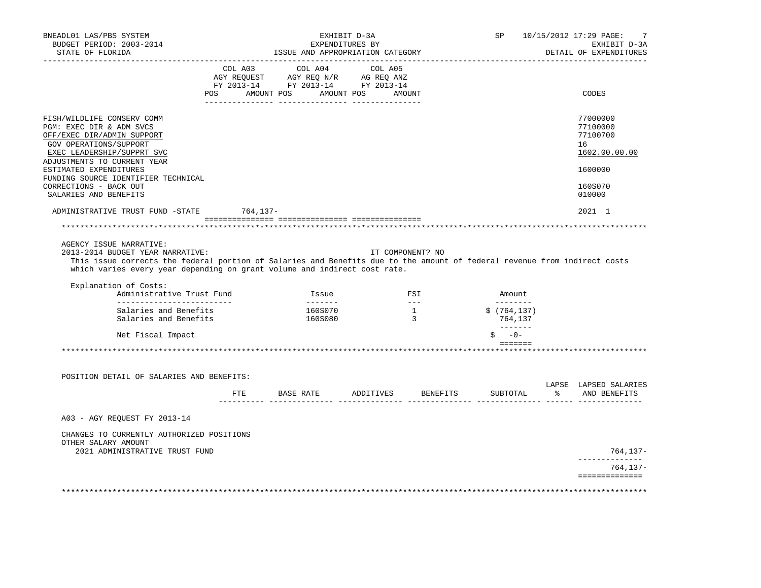| BNEADL01 LAS/PBS SYSTEM<br>BUDGET PERIOD: 2003-2014<br>STATE OF FLORIDA                                                                                                                                                                                                                        | EXHIBIT D-3A<br>EXPENDITURES BY<br>ISSUE AND APPROPRIATION CATEGORY |                                                                                                                                                                                                                                                                                                                                                                                     |                                                                                                                                                                                                                                                                                                                                                                                                                                                                                                 |  |                                                   |          | SP                                                                                                                                                                                                                                                                                                                                                                                                                                                                                                | 10/15/2012 17:29 PAGE:<br>7<br>EXHIBIT D-3A<br>DETAIL OF EXPENDITURES |
|------------------------------------------------------------------------------------------------------------------------------------------------------------------------------------------------------------------------------------------------------------------------------------------------|---------------------------------------------------------------------|-------------------------------------------------------------------------------------------------------------------------------------------------------------------------------------------------------------------------------------------------------------------------------------------------------------------------------------------------------------------------------------|-------------------------------------------------------------------------------------------------------------------------------------------------------------------------------------------------------------------------------------------------------------------------------------------------------------------------------------------------------------------------------------------------------------------------------------------------------------------------------------------------|--|---------------------------------------------------|----------|---------------------------------------------------------------------------------------------------------------------------------------------------------------------------------------------------------------------------------------------------------------------------------------------------------------------------------------------------------------------------------------------------------------------------------------------------------------------------------------------------|-----------------------------------------------------------------------|
|                                                                                                                                                                                                                                                                                                | POS                                                                 | $\begin{tabular}{lllllllllll} &\multicolumn{4}{c}{\text{COL A03}} &\multicolumn{4}{c}{\text{COL A04}} &\multicolumn{4}{c}{\text{COL A05}}\\ &\multicolumn{4}{c}{\text{AGY REQUEST}} &\multicolumn{4}{c}{\text{AGY REQ}} &\multicolumn{4}{c}{\text{N/R}} &\multicolumn{4}{c}{\text{AG REQ ANZ}}\\ \end{tabular}$<br>FY 2013-14 FY 2013-14 FY 2013-14<br>AMOUNT POS AMOUNT POS AMOUNT |                                                                                                                                                                                                                                                                                                                                                                                                                                                                                                 |  |                                                   |          |                                                                                                                                                                                                                                                                                                                                                                                                                                                                                                   | CODES                                                                 |
|                                                                                                                                                                                                                                                                                                |                                                                     |                                                                                                                                                                                                                                                                                                                                                                                     |                                                                                                                                                                                                                                                                                                                                                                                                                                                                                                 |  |                                                   |          |                                                                                                                                                                                                                                                                                                                                                                                                                                                                                                   |                                                                       |
| FISH/WILDLIFE CONSERV COMM<br>PGM: EXEC DIR & ADM SVCS<br>OFF/EXEC DIR/ADMIN SUPPORT<br>GOV OPERATIONS/SUPPORT<br>EXEC LEADERSHIP/SUPPRT SVC<br>ADJUSTMENTS TO CURRENT YEAR                                                                                                                    |                                                                     |                                                                                                                                                                                                                                                                                                                                                                                     |                                                                                                                                                                                                                                                                                                                                                                                                                                                                                                 |  |                                                   |          |                                                                                                                                                                                                                                                                                                                                                                                                                                                                                                   | 77000000<br>77100000<br>77100700<br>16<br>1602.00.00.00               |
| ESTIMATED EXPENDITURES<br>FUNDING SOURCE IDENTIFIER TECHNICAL                                                                                                                                                                                                                                  |                                                                     |                                                                                                                                                                                                                                                                                                                                                                                     |                                                                                                                                                                                                                                                                                                                                                                                                                                                                                                 |  |                                                   |          |                                                                                                                                                                                                                                                                                                                                                                                                                                                                                                   | 1600000                                                               |
| CORRECTIONS - BACK OUT<br>SALARIES AND BENEFITS                                                                                                                                                                                                                                                |                                                                     |                                                                                                                                                                                                                                                                                                                                                                                     |                                                                                                                                                                                                                                                                                                                                                                                                                                                                                                 |  |                                                   |          |                                                                                                                                                                                                                                                                                                                                                                                                                                                                                                   | 160S070<br>010000                                                     |
| ADMINISTRATIVE TRUST FUND -STATE 764,137-                                                                                                                                                                                                                                                      |                                                                     |                                                                                                                                                                                                                                                                                                                                                                                     |                                                                                                                                                                                                                                                                                                                                                                                                                                                                                                 |  |                                                   |          |                                                                                                                                                                                                                                                                                                                                                                                                                                                                                                   | 2021 1                                                                |
|                                                                                                                                                                                                                                                                                                |                                                                     |                                                                                                                                                                                                                                                                                                                                                                                     |                                                                                                                                                                                                                                                                                                                                                                                                                                                                                                 |  |                                                   |          |                                                                                                                                                                                                                                                                                                                                                                                                                                                                                                   |                                                                       |
| AGENCY ISSUE NARRATIVE:<br>2013-2014 BUDGET YEAR NARRATIVE:<br>This issue corrects the federal portion of Salaries and Benefits due to the amount of federal revenue from indirect costs<br>which varies every year depending on grant volume and indirect cost rate.<br>Explanation of Costs: |                                                                     |                                                                                                                                                                                                                                                                                                                                                                                     |                                                                                                                                                                                                                                                                                                                                                                                                                                                                                                 |  | IT COMPONENT? NO                                  |          |                                                                                                                                                                                                                                                                                                                                                                                                                                                                                                   |                                                                       |
| Administrative Trust Fund<br>____________________________                                                                                                                                                                                                                                      |                                                                     |                                                                                                                                                                                                                                                                                                                                                                                     | Issue<br>$\begin{array}{cccccccccc} \multicolumn{2}{c}{} & \multicolumn{2}{c}{} & \multicolumn{2}{c}{} & \multicolumn{2}{c}{} & \multicolumn{2}{c}{} & \multicolumn{2}{c}{} & \multicolumn{2}{c}{} & \multicolumn{2}{c}{} & \multicolumn{2}{c}{} & \multicolumn{2}{c}{} & \multicolumn{2}{c}{} & \multicolumn{2}{c}{} & \multicolumn{2}{c}{} & \multicolumn{2}{c}{} & \multicolumn{2}{c}{} & \multicolumn{2}{c}{} & \multicolumn{2}{c}{} & \multicolumn{2}{c}{} & \multicolumn{2}{c}{} & \mult$ |  | $\begin{array}{c}\n\text{FSI} \\ --\n\end{array}$ |          | Amount.<br>$\begin{array}{cccccccccc} \multicolumn{2}{c}{} & \multicolumn{2}{c}{} & \multicolumn{2}{c}{} & \multicolumn{2}{c}{} & \multicolumn{2}{c}{} & \multicolumn{2}{c}{} & \multicolumn{2}{c}{} & \multicolumn{2}{c}{} & \multicolumn{2}{c}{} & \multicolumn{2}{c}{} & \multicolumn{2}{c}{} & \multicolumn{2}{c}{} & \multicolumn{2}{c}{} & \multicolumn{2}{c}{} & \multicolumn{2}{c}{} & \multicolumn{2}{c}{} & \multicolumn{2}{c}{} & \multicolumn{2}{c}{} & \multicolumn{2}{c}{} & \mult$ |                                                                       |
| Salaries and Benefits<br>Salaries and Benefits                                                                                                                                                                                                                                                 |                                                                     |                                                                                                                                                                                                                                                                                                                                                                                     | 160S070<br>160S080                                                                                                                                                                                                                                                                                                                                                                                                                                                                              |  | $\overline{1}$<br>$\frac{1}{3}$                   |          | \$ (764, 137)<br>764,137                                                                                                                                                                                                                                                                                                                                                                                                                                                                          |                                                                       |
| Net Fiscal Impact                                                                                                                                                                                                                                                                              |                                                                     |                                                                                                                                                                                                                                                                                                                                                                                     |                                                                                                                                                                                                                                                                                                                                                                                                                                                                                                 |  |                                                   |          | $-0-$                                                                                                                                                                                                                                                                                                                                                                                                                                                                                             |                                                                       |
|                                                                                                                                                                                                                                                                                                |                                                                     |                                                                                                                                                                                                                                                                                                                                                                                     |                                                                                                                                                                                                                                                                                                                                                                                                                                                                                                 |  |                                                   |          | $= = = = = = = =$                                                                                                                                                                                                                                                                                                                                                                                                                                                                                 |                                                                       |
|                                                                                                                                                                                                                                                                                                |                                                                     |                                                                                                                                                                                                                                                                                                                                                                                     |                                                                                                                                                                                                                                                                                                                                                                                                                                                                                                 |  |                                                   |          |                                                                                                                                                                                                                                                                                                                                                                                                                                                                                                   |                                                                       |
| POSITION DETAIL OF SALARIES AND BENEFITS:                                                                                                                                                                                                                                                      |                                                                     |                                                                                                                                                                                                                                                                                                                                                                                     |                                                                                                                                                                                                                                                                                                                                                                                                                                                                                                 |  |                                                   |          |                                                                                                                                                                                                                                                                                                                                                                                                                                                                                                   | LAPSE LAPSED SALARIES                                                 |
|                                                                                                                                                                                                                                                                                                |                                                                     | FTE BASE RATE ADDITIVES                                                                                                                                                                                                                                                                                                                                                             |                                                                                                                                                                                                                                                                                                                                                                                                                                                                                                 |  |                                                   | BENEFITS | SUBTOTAL %                                                                                                                                                                                                                                                                                                                                                                                                                                                                                        | AND BENEFITS                                                          |
| A03 - AGY REQUEST FY 2013-14                                                                                                                                                                                                                                                                   |                                                                     |                                                                                                                                                                                                                                                                                                                                                                                     |                                                                                                                                                                                                                                                                                                                                                                                                                                                                                                 |  |                                                   |          |                                                                                                                                                                                                                                                                                                                                                                                                                                                                                                   |                                                                       |
| CHANGES TO CURRENTLY AUTHORIZED POSITIONS<br>OTHER SALARY AMOUNT                                                                                                                                                                                                                               |                                                                     |                                                                                                                                                                                                                                                                                                                                                                                     |                                                                                                                                                                                                                                                                                                                                                                                                                                                                                                 |  |                                                   |          |                                                                                                                                                                                                                                                                                                                                                                                                                                                                                                   |                                                                       |
| 2021 ADMINISTRATIVE TRUST FUND                                                                                                                                                                                                                                                                 |                                                                     |                                                                                                                                                                                                                                                                                                                                                                                     |                                                                                                                                                                                                                                                                                                                                                                                                                                                                                                 |  |                                                   |          |                                                                                                                                                                                                                                                                                                                                                                                                                                                                                                   | $764, 137 -$                                                          |
|                                                                                                                                                                                                                                                                                                |                                                                     |                                                                                                                                                                                                                                                                                                                                                                                     |                                                                                                                                                                                                                                                                                                                                                                                                                                                                                                 |  |                                                   |          |                                                                                                                                                                                                                                                                                                                                                                                                                                                                                                   | 764,137-<br>==============                                            |
|                                                                                                                                                                                                                                                                                                |                                                                     |                                                                                                                                                                                                                                                                                                                                                                                     |                                                                                                                                                                                                                                                                                                                                                                                                                                                                                                 |  |                                                   |          |                                                                                                                                                                                                                                                                                                                                                                                                                                                                                                   |                                                                       |
|                                                                                                                                                                                                                                                                                                |                                                                     |                                                                                                                                                                                                                                                                                                                                                                                     |                                                                                                                                                                                                                                                                                                                                                                                                                                                                                                 |  |                                                   |          |                                                                                                                                                                                                                                                                                                                                                                                                                                                                                                   |                                                                       |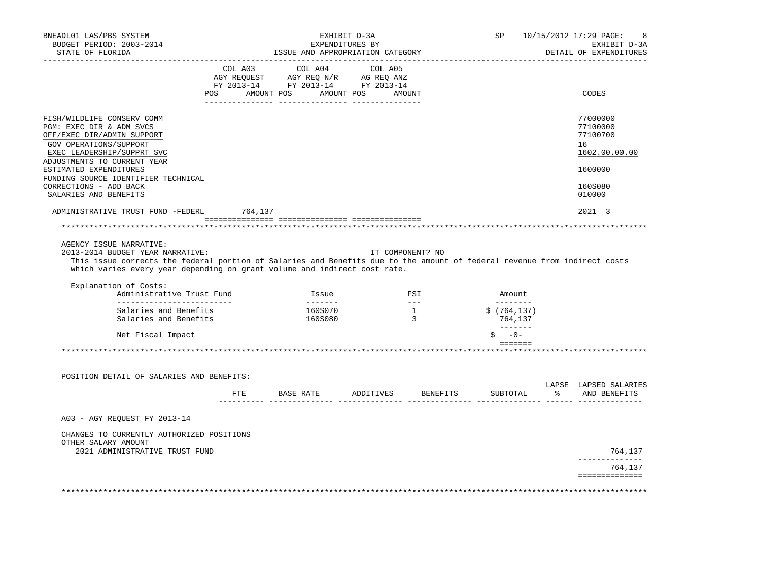| BNEADL01 LAS/PBS SYSTEM<br>BUDGET PERIOD: 2003-2014<br>STATE OF FLORIDA                                                                                                                                                                                                                        |     | ISSUE AND APPROPRIATION CATEGORY                                                                                                                                                           | EXHIBIT D-3A<br>EXPENDITURES BY |                                                   |                 | SP <sub>2</sub>                                                  | 10/15/2012 17:29 PAGE:<br>-8<br>EXHIBIT D-3A<br>DETAIL OF EXPENDITURES |
|------------------------------------------------------------------------------------------------------------------------------------------------------------------------------------------------------------------------------------------------------------------------------------------------|-----|--------------------------------------------------------------------------------------------------------------------------------------------------------------------------------------------|---------------------------------|---------------------------------------------------|-----------------|------------------------------------------------------------------|------------------------------------------------------------------------|
|                                                                                                                                                                                                                                                                                                | POS | $\begin{tabular}{lcccc} COL A03 & COL A04 & COL A05 \\ AGY REQUEST & AGY REQ N/R & AG REQ ANZ \\ FY & 2013-14 & FY & 2013-14 & FY & 2013-14 \end{tabular}$<br>AMOUNT POS AMOUNT POS AMOUNT |                                 |                                                   |                 |                                                                  | CODES                                                                  |
|                                                                                                                                                                                                                                                                                                |     |                                                                                                                                                                                            |                                 |                                                   |                 |                                                                  |                                                                        |
| FISH/WILDLIFE CONSERV COMM<br>PGM: EXEC DIR & ADM SVCS<br>OFF/EXEC DIR/ADMIN SUPPORT<br>GOV OPERATIONS/SUPPORT<br>EXEC LEADERSHIP/SUPPRT SVC                                                                                                                                                   |     |                                                                                                                                                                                            |                                 |                                                   |                 |                                                                  | 77000000<br>77100000<br>77100700<br>16<br>1602.00.00.00                |
| ADJUSTMENTS TO CURRENT YEAR<br>ESTIMATED EXPENDITURES                                                                                                                                                                                                                                          |     |                                                                                                                                                                                            |                                 |                                                   |                 |                                                                  | 1600000                                                                |
| FUNDING SOURCE IDENTIFIER TECHNICAL<br>CORRECTIONS - ADD BACK<br>SALARIES AND BENEFITS                                                                                                                                                                                                         |     |                                                                                                                                                                                            |                                 |                                                   |                 |                                                                  | 160S080<br>010000                                                      |
| ADMINISTRATIVE TRUST FUND -FEDERL 764,137                                                                                                                                                                                                                                                      |     |                                                                                                                                                                                            |                                 |                                                   |                 |                                                                  | $2021 \quad 3$                                                         |
|                                                                                                                                                                                                                                                                                                |     |                                                                                                                                                                                            |                                 |                                                   |                 |                                                                  |                                                                        |
| AGENCY ISSUE NARRATIVE:<br>2013-2014 BUDGET YEAR NARRATIVE:<br>This issue corrects the federal portion of Salaries and Benefits due to the amount of federal revenue from indirect costs<br>which varies every year depending on grant volume and indirect cost rate.<br>Explanation of Costs: |     |                                                                                                                                                                                            |                                 | IT COMPONENT? NO                                  |                 |                                                                  |                                                                        |
| Administrative Trust Fund<br>____________________________                                                                                                                                                                                                                                      |     |                                                                                                                                                                                            | Issue<br><b>Construction</b>    | $\begin{array}{c}\n\text{FSI} \\ --\n\end{array}$ |                 | Amount.<br>_________                                             |                                                                        |
| Salaries and Benefits<br>Salaries and Benefits                                                                                                                                                                                                                                                 |     |                                                                                                                                                                                            | 160S070<br>160S080              | $\frac{1}{3}$                                     |                 | \$ (764, 137)<br>764,137                                         |                                                                        |
| Net Fiscal Impact                                                                                                                                                                                                                                                                              |     |                                                                                                                                                                                            |                                 |                                                   |                 | $-0-$                                                            |                                                                        |
|                                                                                                                                                                                                                                                                                                |     |                                                                                                                                                                                            |                                 |                                                   |                 | $\qquad \qquad \equiv \equiv \equiv \equiv \equiv \equiv \equiv$ |                                                                        |
|                                                                                                                                                                                                                                                                                                |     |                                                                                                                                                                                            |                                 |                                                   |                 |                                                                  |                                                                        |
| POSITION DETAIL OF SALARIES AND BENEFITS:                                                                                                                                                                                                                                                      |     |                                                                                                                                                                                            |                                 |                                                   |                 |                                                                  |                                                                        |
|                                                                                                                                                                                                                                                                                                |     | FTE BASE RATE ADDITIVES                                                                                                                                                                    |                                 |                                                   | <b>BENEFITS</b> |                                                                  | LAPSE LAPSED SALARIES<br>SUBTOTAL % AND BENEFITS                       |
| A03 - AGY REQUEST FY 2013-14                                                                                                                                                                                                                                                                   |     |                                                                                                                                                                                            |                                 |                                                   |                 |                                                                  |                                                                        |
| CHANGES TO CURRENTLY AUTHORIZED POSITIONS<br>OTHER SALARY AMOUNT                                                                                                                                                                                                                               |     |                                                                                                                                                                                            |                                 |                                                   |                 |                                                                  |                                                                        |
| 2021 ADMINISTRATIVE TRUST FUND                                                                                                                                                                                                                                                                 |     |                                                                                                                                                                                            |                                 |                                                   |                 |                                                                  | 764,137                                                                |
|                                                                                                                                                                                                                                                                                                |     |                                                                                                                                                                                            |                                 |                                                   |                 |                                                                  | 764,137                                                                |
|                                                                                                                                                                                                                                                                                                |     |                                                                                                                                                                                            |                                 |                                                   |                 |                                                                  | ==============                                                         |
|                                                                                                                                                                                                                                                                                                |     |                                                                                                                                                                                            |                                 |                                                   |                 |                                                                  |                                                                        |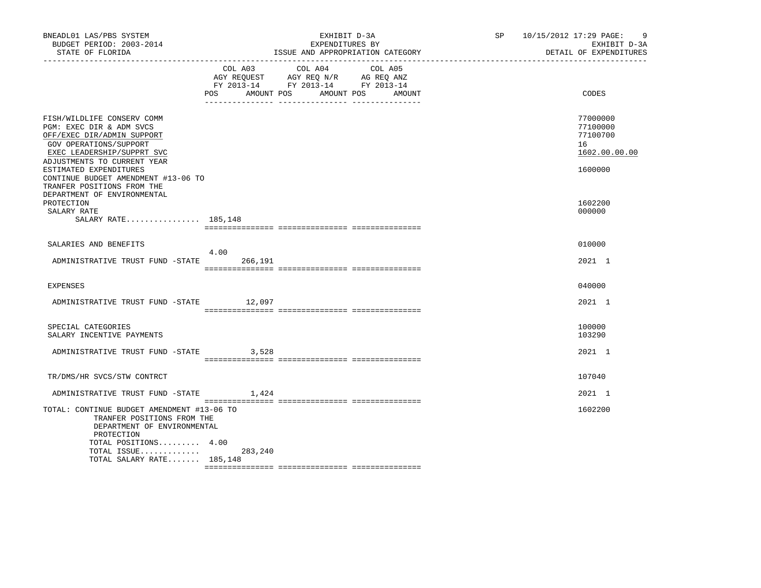| BNEADL01 LAS/PBS SYSTEM<br>BUDGET PERIOD: 2003-2014<br>STATE OF FLORIDA                                                                                                                                                                                                    |                 | EXHIBIT D-3A<br>EXPENDITURES BY<br>ISSUE AND APPROPRIATION CATEGORY                                                                      | - 9<br>SP 10/15/2012 17:29 PAGE:<br>EXHIBIT D-3A<br>DETAIL OF EXPENDITURES |
|----------------------------------------------------------------------------------------------------------------------------------------------------------------------------------------------------------------------------------------------------------------------------|-----------------|------------------------------------------------------------------------------------------------------------------------------------------|----------------------------------------------------------------------------|
|                                                                                                                                                                                                                                                                            |                 | COL A03 COL A04 COL A05<br>AGY REQUEST AGY REQ N/R AG REQ ANZ<br>FY 2013-14 FY 2013-14 FY 2013-14<br>POS AMOUNT POS AMOUNT POS<br>AMOUNT | CODES                                                                      |
| FISH/WILDLIFE CONSERV COMM<br>PGM: EXEC DIR & ADM SVCS<br>OFF/EXEC DIR/ADMIN SUPPORT<br>GOV OPERATIONS/SUPPORT<br>EXEC LEADERSHIP/SUPPRT SVC<br>ADJUSTMENTS TO CURRENT YEAR<br>ESTIMATED EXPENDITURES<br>CONTINUE BUDGET AMENDMENT #13-06 TO<br>TRANFER POSITIONS FROM THE |                 |                                                                                                                                          | 77000000<br>77100000<br>77100700<br>16<br>1602.00.00.00<br>1600000         |
| DEPARTMENT OF ENVIRONMENTAL<br>PROTECTION<br>SALARY RATE<br>SALARY RATE 185,148                                                                                                                                                                                            |                 |                                                                                                                                          | 1602200<br>000000                                                          |
| SALARIES AND BENEFITS                                                                                                                                                                                                                                                      |                 |                                                                                                                                          | 010000                                                                     |
| ADMINISTRATIVE TRUST FUND -STATE                                                                                                                                                                                                                                           | 4.00<br>266,191 |                                                                                                                                          | 2021 1                                                                     |
| <b>EXPENSES</b>                                                                                                                                                                                                                                                            |                 |                                                                                                                                          | 040000                                                                     |
| ADMINISTRATIVE TRUST FUND -STATE 12,097                                                                                                                                                                                                                                    |                 |                                                                                                                                          | 2021 1                                                                     |
| SPECIAL CATEGORIES<br>SALARY INCENTIVE PAYMENTS                                                                                                                                                                                                                            |                 |                                                                                                                                          | 100000<br>103290                                                           |
| ADMINISTRATIVE TRUST FUND -STATE 3,528                                                                                                                                                                                                                                     |                 |                                                                                                                                          | 2021 1                                                                     |
| TR/DMS/HR SVCS/STW CONTRCT                                                                                                                                                                                                                                                 |                 |                                                                                                                                          | 107040                                                                     |
| ADMINISTRATIVE TRUST FUND -STATE                                                                                                                                                                                                                                           | 1,424           |                                                                                                                                          | 2021 1                                                                     |
| TOTAL: CONTINUE BUDGET AMENDMENT #13-06 TO<br>TRANFER POSITIONS FROM THE<br>DEPARTMENT OF ENVIRONMENTAL<br>PROTECTION<br>TOTAL POSITIONS 4.00<br>TOTAL ISSUE                                                                                                               | 283,240         |                                                                                                                                          | 1602200                                                                    |
| TOTAL SALARY RATE 185,148                                                                                                                                                                                                                                                  |                 |                                                                                                                                          |                                                                            |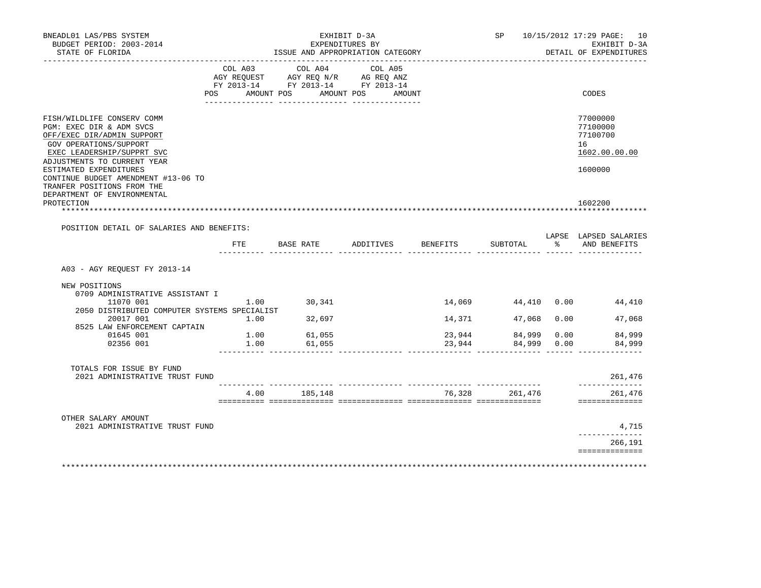| BNEADL01 LAS/PBS SYSTEM<br>EXHIBIT D-3A<br>BUDGET PERIOD: 2003-2014<br>EXPENDITURES BY<br>ISSUE AND APPROPRIATION CATEGORY |                |                                                                        |                    |        |                    |      | SP 10/15/2012 17:29 PAGE: 10<br>EXHIBIT D-3A |
|----------------------------------------------------------------------------------------------------------------------------|----------------|------------------------------------------------------------------------|--------------------|--------|--------------------|------|----------------------------------------------|
| STATE OF FLORIDA                                                                                                           |                |                                                                        |                    |        |                    |      | DETAIL OF EXPENDITURES                       |
|                                                                                                                            | COL A03        | COL A04                                                                | COL A05            |        |                    |      |                                              |
|                                                                                                                            |                | AGY REQUEST AGY REQ N/R AG REQ ANZ<br>FY 2013-14 FY 2013-14 FY 2013-14 |                    |        |                    |      |                                              |
|                                                                                                                            | POS AMOUNT POS |                                                                        | AMOUNT POS AMOUNT  |        |                    |      | CODES                                        |
|                                                                                                                            |                |                                                                        |                    |        |                    |      |                                              |
| FISH/WILDLIFE CONSERV COMM                                                                                                 |                |                                                                        |                    |        |                    |      | 77000000                                     |
| PGM: EXEC DIR & ADM SVCS                                                                                                   |                |                                                                        |                    |        |                    |      | 77100000                                     |
| OFF/EXEC DIR/ADMIN SUPPORT                                                                                                 |                |                                                                        |                    |        |                    |      | 77100700                                     |
| GOV OPERATIONS/SUPPORT                                                                                                     |                |                                                                        |                    |        |                    |      | 16                                           |
| EXEC LEADERSHIP/SUPPRT SVC<br>ADJUSTMENTS TO CURRENT YEAR                                                                  |                |                                                                        |                    |        |                    |      | 1602.00.00.00                                |
| ESTIMATED EXPENDITURES                                                                                                     |                |                                                                        |                    |        |                    |      | 1600000                                      |
| CONTINUE BUDGET AMENDMENT #13-06 TO                                                                                        |                |                                                                        |                    |        |                    |      |                                              |
| TRANFER POSITIONS FROM THE                                                                                                 |                |                                                                        |                    |        |                    |      |                                              |
| DEPARTMENT OF ENVIRONMENTAL                                                                                                |                |                                                                        |                    |        |                    |      |                                              |
| PROTECTION                                                                                                                 |                | *****************************                                          |                    |        |                    |      | 1602200                                      |
| POSITION DETAIL OF SALARIES AND BENEFITS:                                                                                  |                |                                                                        |                    |        |                    |      |                                              |
|                                                                                                                            |                |                                                                        |                    |        |                    |      | LAPSE LAPSED SALARIES                        |
|                                                                                                                            | FTE            | BASE RATE                                                              | ADDITIVES BENEFITS |        | SUBTOTAL           |      | % AND BENEFITS                               |
|                                                                                                                            |                |                                                                        |                    |        |                    |      |                                              |
| A03 - AGY REQUEST FY 2013-14                                                                                               |                |                                                                        |                    |        |                    |      |                                              |
| NEW POSITIONS                                                                                                              |                |                                                                        |                    |        |                    |      |                                              |
| 0709 ADMINISTRATIVE ASSISTANT I                                                                                            |                |                                                                        |                    |        |                    |      |                                              |
| 11070 001                                                                                                                  |                | $1.00$ 30,341                                                          |                    |        | 14,069 44,410 0.00 |      | 44,410                                       |
| 2050 DISTRIBUTED COMPUTER SYSTEMS SPECIALIST                                                                               |                |                                                                        |                    |        |                    |      |                                              |
| 20017 001                                                                                                                  | 1.00           | 32,697                                                                 |                    | 14,371 | 47,068             | 0.00 | 47,068                                       |
| 8525 LAW ENFORCEMENT CAPTAIN<br>01645 001                                                                                  | 1.00           | 61,055                                                                 |                    | 23,944 | 84,999             | 0.00 | 84,999                                       |
| 02356 001                                                                                                                  | 1.00           | 61,055                                                                 |                    | 23,944 | 84,999             | 0.00 | 84,999                                       |
|                                                                                                                            |                |                                                                        |                    |        |                    |      |                                              |
| TOTALS FOR ISSUE BY FUND                                                                                                   |                |                                                                        |                    |        |                    |      |                                              |
| 2021 ADMINISTRATIVE TRUST FUND                                                                                             |                |                                                                        |                    |        |                    |      | 261,476                                      |
|                                                                                                                            |                | 4.00 185,148                                                           |                    |        | 76,328 261,476     |      | --------------<br>261,476                    |
|                                                                                                                            |                |                                                                        |                    |        |                    |      | ==============                               |
| OTHER SALARY AMOUNT                                                                                                        |                |                                                                        |                    |        |                    |      |                                              |
| 2021 ADMINISTRATIVE TRUST FUND                                                                                             |                |                                                                        |                    |        |                    |      | 4,715<br>-------------                       |
|                                                                                                                            |                |                                                                        |                    |        |                    |      | 266,191                                      |
|                                                                                                                            |                |                                                                        |                    |        |                    |      | ==============                               |
| **************************                                                                                                 |                |                                                                        |                    |        |                    |      |                                              |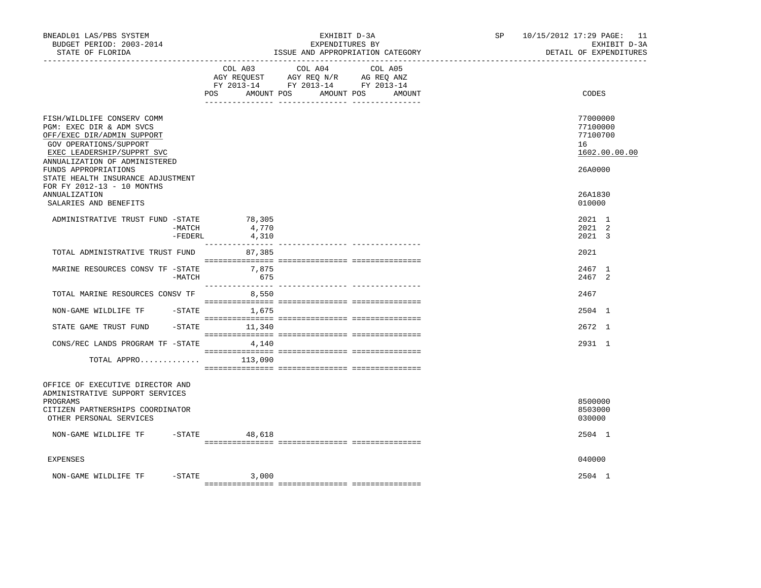| BNEADL01 LAS/PBS SYSTEM<br>BUDGET PERIOD: 2003-2014<br>STATE OF FLORIDA                                                                                            |                          | EXHIBIT D-3A<br>EXPENDITURES BY<br>ISSUE AND APPROPRIATION CATEGORY                                                               | SP <sub>2</sub> | 10/15/2012 17:29 PAGE: 11<br>EXHIBIT D-3A<br>DETAIL OF EXPENDITURES |  |  |
|--------------------------------------------------------------------------------------------------------------------------------------------------------------------|--------------------------|-----------------------------------------------------------------------------------------------------------------------------------|-----------------|---------------------------------------------------------------------|--|--|
|                                                                                                                                                                    | POS                      | COL A03 COL A04 COL A05<br>AGY REQUEST AGY REQ N/R AG REQ ANZ<br>FY 2013-14 FY 2013-14 FY 2013-14<br>AMOUNT POS AMOUNT POS AMOUNT |                 | CODES                                                               |  |  |
| FISH/WILDLIFE CONSERV COMM<br>PGM: EXEC DIR & ADM SVCS<br>OFF/EXEC DIR/ADMIN SUPPORT<br>GOV OPERATIONS/SUPPORT<br>EXEC LEADERSHIP/SUPPRT SVC                       |                          |                                                                                                                                   |                 | 77000000<br>77100000<br>77100700<br>16<br>1602.00.00.00             |  |  |
| ANNUALIZATION OF ADMINISTERED<br>FUNDS APPROPRIATIONS<br>STATE HEALTH INSURANCE ADJUSTMENT<br>FOR FY 2012-13 - 10 MONTHS<br>ANNUALIZATION<br>SALARIES AND BENEFITS |                          |                                                                                                                                   |                 | 26A0000<br>26A1830<br>010000                                        |  |  |
| ADMINISTRATIVE TRUST FUND -STATE 78,305<br>$-FEDERL$                                                                                                               | -MATCH<br>4,770<br>4,310 |                                                                                                                                   |                 | 2021 1<br>2021 2<br>2021 3                                          |  |  |
| TOTAL ADMINISTRATIVE TRUST FUND                                                                                                                                    | 87,385                   |                                                                                                                                   |                 | 2021                                                                |  |  |
| MARINE RESOURCES CONSV TF -STATE<br>-MATCH                                                                                                                         | 7,875<br>675             |                                                                                                                                   |                 | 2467 1<br>2467 2                                                    |  |  |
| TOTAL MARINE RESOURCES CONSV TF                                                                                                                                    | 8,550                    |                                                                                                                                   |                 | 2467                                                                |  |  |
| NON-GAME WILDLIFE TF -STATE 1,675                                                                                                                                  |                          |                                                                                                                                   |                 | 2504 1                                                              |  |  |
| STATE GAME TRUST FUND                                                                                                                                              | $-STATE$ 11,340          |                                                                                                                                   |                 | 2672 1                                                              |  |  |
| CONS/REC LANDS PROGRAM TF -STATE 4,140                                                                                                                             |                          |                                                                                                                                   |                 | 2931 1                                                              |  |  |
| TOTAL APPRO $113,090$                                                                                                                                              |                          |                                                                                                                                   |                 |                                                                     |  |  |
| OFFICE OF EXECUTIVE DIRECTOR AND<br>ADMINISTRATIVE SUPPORT SERVICES<br>PROGRAMS                                                                                    |                          |                                                                                                                                   |                 | 8500000                                                             |  |  |
| CITIZEN PARTNERSHIPS COORDINATOR<br>OTHER PERSONAL SERVICES                                                                                                        |                          |                                                                                                                                   |                 | 8503000<br>030000                                                   |  |  |
| NON-GAME WILDLIFE TF -STATE 48,618                                                                                                                                 |                          |                                                                                                                                   |                 | 2504 1                                                              |  |  |
| <b>EXPENSES</b>                                                                                                                                                    |                          |                                                                                                                                   |                 | 040000                                                              |  |  |
| NON-GAME WILDLIFE TF                                                                                                                                               | $-STATE$ 3,000           |                                                                                                                                   |                 | 2504 1                                                              |  |  |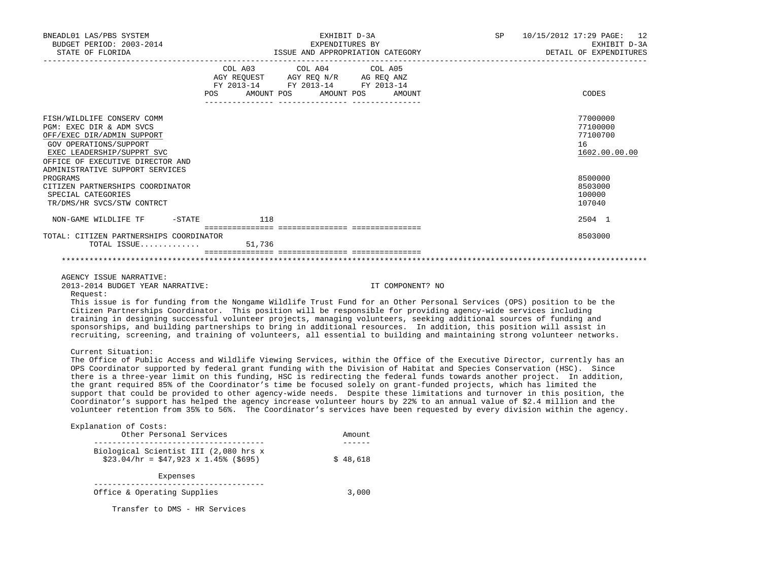| BNEADL01 LAS/PBS SYSTEM<br>BUDGET PERIOD: 2003-2014<br>STATE OF FLORIDA                                                                                                          |                 | EXHIBIT D-3A<br>EXPENDITURES BY<br>ISSUE AND APPROPRIATION CATEGORY                                                                   | SP<br>10/15/2012 17:29 PAGE: 12<br>EXHIBIT D-3A<br>DETAIL OF EXPENDITURES |                                                         |  |
|----------------------------------------------------------------------------------------------------------------------------------------------------------------------------------|-----------------|---------------------------------------------------------------------------------------------------------------------------------------|---------------------------------------------------------------------------|---------------------------------------------------------|--|
|                                                                                                                                                                                  |                 | COL A03 COL A04 COL A05<br>AGY REQUEST AGY REQ N/R AG REQ ANZ<br>FY 2013-14 FY 2013-14 FY 2013-14<br>POS AMOUNT POS AMOUNT POS AMOUNT |                                                                           | CODES                                                   |  |
| FISH/WILDLIFE CONSERV COMM<br>PGM: EXEC DIR & ADM SVCS<br>OFF/EXEC DIR/ADMIN SUPPORT<br>GOV OPERATIONS/SUPPORT<br>EXEC LEADERSHIP/SUPPRT SVC<br>OFFICE OF EXECUTIVE DIRECTOR AND |                 |                                                                                                                                       |                                                                           | 77000000<br>77100000<br>77100700<br>16<br>1602.00.00.00 |  |
| ADMINISTRATIVE SUPPORT SERVICES<br>PROGRAMS<br>CITIZEN PARTNERSHIPS COORDINATOR<br>SPECIAL CATEGORIES<br>TR/DMS/HR SVCS/STW CONTRCT                                              |                 |                                                                                                                                       |                                                                           | 8500000<br>8503000<br>100000<br>107040                  |  |
| NON-GAME WILDLIFE TF                                                                                                                                                             | $-$ STATE $118$ |                                                                                                                                       |                                                                           | 2504 1                                                  |  |
|                                                                                                                                                                                  |                 |                                                                                                                                       |                                                                           |                                                         |  |
| TOTAL: CITIZEN PARTNERSHIPS COORDINATOR<br>TOTAL ISSUE                                                                                                                           | 51,736          |                                                                                                                                       |                                                                           | 8503000                                                 |  |
|                                                                                                                                                                                  |                 |                                                                                                                                       |                                                                           |                                                         |  |

AGENCY ISSUE NARRATIVE:

2013-2014 BUDGET YEAR NARRATIVE: IT COMPONENT? NO

Request:

 This issue is for funding from the Nongame Wildlife Trust Fund for an Other Personal Services (OPS) position to be the Citizen Partnerships Coordinator. This position will be responsible for providing agency-wide services including training in designing successful volunteer projects, managing volunteers, seeking additional sources of funding and sponsorships, and building partnerships to bring in additional resources. In addition, this position will assist in recruiting, screening, and training of volunteers, all essential to building and maintaining strong volunteer networks.

## Current Situation:

 The Office of Public Access and Wildlife Viewing Services, within the Office of the Executive Director, currently has an OPS Coordinator supported by federal grant funding with the Division of Habitat and Species Conservation (HSC). Since there is a three-year limit on this funding, HSC is redirecting the federal funds towards another project. In addition, the grant required 85% of the Coordinator's time be focused solely on grant-funded projects, which has limited the support that could be provided to other agency-wide needs. Despite these limitations and turnover in this position, the Coordinator's support has helped the agency increase volunteer hours by 22% to an annual value of \$2.4 million and the volunteer retention from 35% to 56%. The Coordinator's services have been requested by every division within the agency.

## Explanation of Costs:

| Other Personal Services                                                             | Amount   |
|-------------------------------------------------------------------------------------|----------|
| Biological Scientist III (2,080 hrs x<br>$$23.04/hr = $47.923 \times 1.45%$ (\$695) | \$48.618 |
| Expenses                                                                            |          |
| Office & Operating Supplies                                                         | 3,000    |

Transfer to DMS - HR Services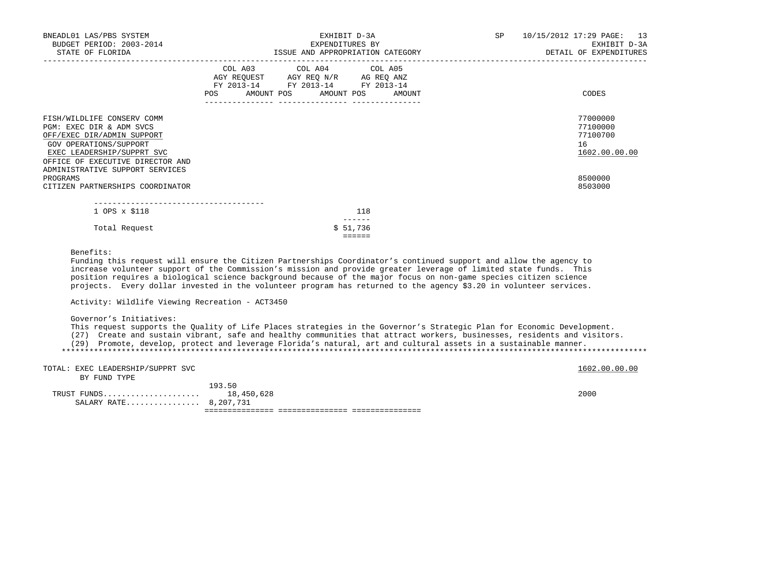| BNEADL01 LAS/PBS SYSTEM<br>BUDGET PERIOD: 2003-2014<br>STATE OF FLORIDA                                                                                                                                             | EXHIBIT D-3A<br>EXPENDITURES BY<br>ISSUE AND APPROPRIATION CATEGORY                                                                             | SP | 10/15/2012 17:29 PAGE: 13<br>EXHIBIT D-3A<br>DETAIL OF EXPENDITURES |
|---------------------------------------------------------------------------------------------------------------------------------------------------------------------------------------------------------------------|-------------------------------------------------------------------------------------------------------------------------------------------------|----|---------------------------------------------------------------------|
|                                                                                                                                                                                                                     | COL A03 COL A04 COL A05<br>AGY REQUEST AGY REQ N/R AG REQ ANZ<br>FY 2013-14 FY 2013-14 FY 2013-14<br><b>POS</b><br>AMOUNT POS AMOUNT POS AMOUNT |    | CODES                                                               |
| FISH/WILDLIFE CONSERV COMM<br>PGM: EXEC DIR & ADM SVCS<br>OFF/EXEC DIR/ADMIN SUPPORT<br>GOV OPERATIONS/SUPPORT<br>EXEC LEADERSHIP/SUPPRT SVC<br>OFFICE OF EXECUTIVE DIRECTOR AND<br>ADMINISTRATIVE SUPPORT SERVICES |                                                                                                                                                 |    | 77000000<br>77100000<br>77100700<br>16<br>1602.00.00.00             |
| PROGRAMS<br>CITIZEN PARTNERSHIPS COORDINATOR                                                                                                                                                                        |                                                                                                                                                 |    | 8500000<br>8503000                                                  |
| 1 OPS x \$118                                                                                                                                                                                                       | 118                                                                                                                                             |    |                                                                     |
| Total Request                                                                                                                                                                                                       | \$51,736<br>$=$ $=$ $=$ $=$ $=$                                                                                                                 |    |                                                                     |
| Benefits:                                                                                                                                                                                                           |                                                                                                                                                 |    |                                                                     |

 Funding this request will ensure the Citizen Partnerships Coordinator's continued support and allow the agency to increase volunteer support of the Commission's mission and provide greater leverage of limited state funds. This position requires a biological science background because of the major focus on non-game species citizen science projects. Every dollar invested in the volunteer program has returned to the agency \$3.20 in volunteer services.

Activity: Wildlife Viewing Recreation - ACT3450

Governor's Initiatives:

This request supports the Quality of Life Places strategies in the Governor's Strategic Plan for Economic Development.

(27) Create and sustain vibrant, safe and healthy communities that attract workers, businesses, residents and visitors.

 (29) Promote, develop, protect and leverage Florida's natural, art and cultural assets in a sustainable manner. \*\*\*\*\*\*\*\*\*\*\*\*\*\*\*\*\*\*\*\*\*\*\*\*\*\*\*\*\*\*\*\*\*\*\*\*\*\*\*\*\*\*\*\*\*\*\*\*\*\*\*\*\*\*\*\*\*\*\*\*\*\*\*\*\*\*\*\*\*\*\*\*\*\*\*\*\*\*\*\*\*\*\*\*\*\*\*\*\*\*\*\*\*\*\*\*\*\*\*\*\*\*\*\*\*\*\*\*\*\*\*\*\*\*\*\*\*\*\*\*\*\*\*\*\*\*\*

| TOTAL: EXEC LEADERSHIP/SUPPRT SVC |        | 1602.00.00.00 |
|-----------------------------------|--------|---------------|
| BY FUND TYPE                      |        |               |
|                                   | 193.50 |               |
| TRUST FUNDS 18,450,628            |        | 2000          |
| SALARY RATE 8,207,731             |        |               |
|                                   |        |               |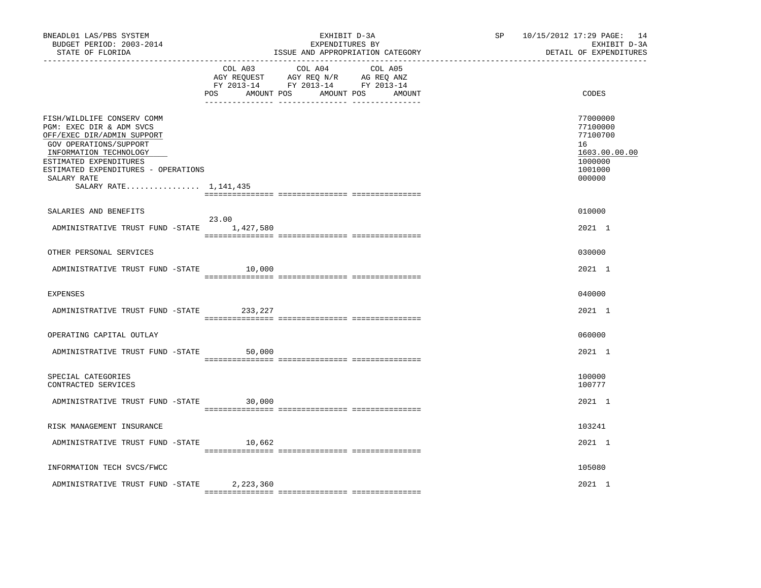| BNEADL01 LAS/PBS SYSTEM<br>BUDGET PERIOD: 2003-2014<br>STATE OF FLORIDA                                                                                                                                                                           |                | EXHIBIT D-3A<br>EXPENDITURES BY<br>ISSUE AND APPROPRIATION CATEGORY                                                       | SP | 10/15/2012 17:29 PAGE: 14<br>EXHIBIT D-3A<br>DETAIL OF EXPENDITURES                     |
|---------------------------------------------------------------------------------------------------------------------------------------------------------------------------------------------------------------------------------------------------|----------------|---------------------------------------------------------------------------------------------------------------------------|----|-----------------------------------------------------------------------------------------|
|                                                                                                                                                                                                                                                   | COL A03<br>POS | COL A04 COL A05<br>AGY REQUEST AGY REQ N/R AG REQ ANZ<br>FY 2013-14 FY 2013-14 FY 2013-14<br>AMOUNT POS AMOUNT POS AMOUNT |    | CODES                                                                                   |
| FISH/WILDLIFE CONSERV COMM<br>PGM: EXEC DIR & ADM SVCS<br>OFF/EXEC DIR/ADMIN SUPPORT<br>GOV OPERATIONS/SUPPORT<br>INFORMATION TECHNOLOGY<br>ESTIMATED EXPENDITURES<br>ESTIMATED EXPENDITURES - OPERATIONS<br>SALARY RATE<br>SALARY RATE 1,141,435 |                |                                                                                                                           |    | 77000000<br>77100000<br>77100700<br>16<br>1603.00.00.00<br>1000000<br>1001000<br>000000 |
| SALARIES AND BENEFITS                                                                                                                                                                                                                             |                |                                                                                                                           |    | 010000                                                                                  |
| ADMINISTRATIVE TRUST FUND -STATE 1,427,580                                                                                                                                                                                                        | 23.00          |                                                                                                                           |    | 2021 1                                                                                  |
| OTHER PERSONAL SERVICES                                                                                                                                                                                                                           |                |                                                                                                                           |    | 030000                                                                                  |
| ADMINISTRATIVE TRUST FUND -STATE 10,000                                                                                                                                                                                                           |                |                                                                                                                           |    | 2021 1                                                                                  |
| <b>EXPENSES</b>                                                                                                                                                                                                                                   |                |                                                                                                                           |    | 040000                                                                                  |
| ADMINISTRATIVE TRUST FUND -STATE                                                                                                                                                                                                                  | 233,227        |                                                                                                                           |    | 2021 1                                                                                  |
| OPERATING CAPITAL OUTLAY                                                                                                                                                                                                                          |                |                                                                                                                           |    | 060000                                                                                  |
| ADMINISTRATIVE TRUST FUND -STATE                                                                                                                                                                                                                  | 50,000         |                                                                                                                           |    | 2021 1                                                                                  |
| SPECIAL CATEGORIES<br>CONTRACTED SERVICES                                                                                                                                                                                                         |                |                                                                                                                           |    | 100000<br>100777                                                                        |
| ADMINISTRATIVE TRUST FUND -STATE 30,000                                                                                                                                                                                                           |                |                                                                                                                           |    | 2021 1                                                                                  |
| RISK MANAGEMENT INSURANCE                                                                                                                                                                                                                         |                |                                                                                                                           |    | 103241                                                                                  |
| ADMINISTRATIVE TRUST FUND -STATE 10,662                                                                                                                                                                                                           |                |                                                                                                                           |    | 2021 1                                                                                  |
| INFORMATION TECH SVCS/FWCC                                                                                                                                                                                                                        |                |                                                                                                                           |    | 105080                                                                                  |
| ADMINISTRATIVE TRUST FUND -STATE                                                                                                                                                                                                                  | 2,223,360      |                                                                                                                           |    | 2021 1                                                                                  |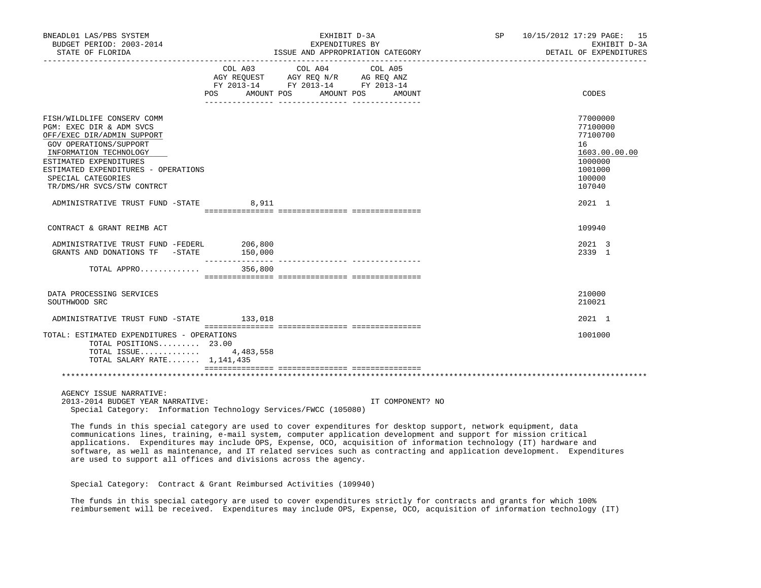| BNEADL01 LAS/PBS SYSTEM<br>BUDGET PERIOD: 2003-2014                                                                                                                                                                                                           | EXHIBIT D-3A<br>EXPENDITURES BY                                                                                                |                                  | SP 10/15/2012 17:29 PAGE: 15<br>EXHIBIT D-3A                                                      |
|---------------------------------------------------------------------------------------------------------------------------------------------------------------------------------------------------------------------------------------------------------------|--------------------------------------------------------------------------------------------------------------------------------|----------------------------------|---------------------------------------------------------------------------------------------------|
| STATE OF FLORIDA                                                                                                                                                                                                                                              |                                                                                                                                | ISSUE AND APPROPRIATION CATEGORY | DETAIL OF EXPENDITURES                                                                            |
|                                                                                                                                                                                                                                                               | COL A03 COL A04 COL A05<br>AGY REQUEST AGY REQ N/R AG REQ ANZ<br>FY 2013-14 FY 2013-14 FY 2013-14<br>POS AMOUNT POS AMOUNT POS | AMOUNT                           | CODES                                                                                             |
| FISH/WILDLIFE CONSERV COMM<br>PGM: EXEC DIR & ADM SVCS<br>OFF/EXEC DIR/ADMIN SUPPORT<br>GOV OPERATIONS/SUPPORT<br>INFORMATION TECHNOLOGY<br>ESTIMATED EXPENDITURES<br>ESTIMATED EXPENDITURES - OPERATIONS<br>SPECIAL CATEGORIES<br>TR/DMS/HR SVCS/STW CONTRCT |                                                                                                                                |                                  | 77000000<br>77100000<br>77100700<br>16<br>1603.00.00.00<br>1000000<br>1001000<br>100000<br>107040 |
| ADMINISTRATIVE TRUST FUND -STATE 8,911                                                                                                                                                                                                                        |                                                                                                                                |                                  | 2021 1                                                                                            |
| CONTRACT & GRANT REIMB ACT                                                                                                                                                                                                                                    |                                                                                                                                |                                  | 109940                                                                                            |
| ADMINISTRATIVE TRUST FUND -FEDERL 206,800<br>GRANTS AND DONATIONS TF - STATE 150,000                                                                                                                                                                          |                                                                                                                                |                                  | 2021 3<br>2339 1                                                                                  |
| TOTAL APPRO 356,800                                                                                                                                                                                                                                           |                                                                                                                                |                                  |                                                                                                   |
| DATA PROCESSING SERVICES<br>SOUTHWOOD SRC                                                                                                                                                                                                                     |                                                                                                                                |                                  | 210000<br>210021                                                                                  |
| ADMINISTRATIVE TRUST FUND -STATE 133,018                                                                                                                                                                                                                      |                                                                                                                                |                                  | 2021 1                                                                                            |
| TOTAL: ESTIMATED EXPENDITURES - OPERATIONS<br>TOTAL POSITIONS 23.00<br>TOTAL ISSUE $4,483,558$<br>TOTAL SALARY RATE 1,141,435                                                                                                                                 |                                                                                                                                |                                  | 1001000                                                                                           |
|                                                                                                                                                                                                                                                               |                                                                                                                                |                                  |                                                                                                   |
| AGENCY ISSUE NARRATIVE:<br>2013-2014 BUDGET YEAR NARRATIVE:                                                                                                                                                                                                   |                                                                                                                                | IT COMPONENT? NO                 |                                                                                                   |

Special Category: Information Technology Services/FWCC (105080)

 The funds in this special category are used to cover expenditures for desktop support, network equipment, data communications lines, training, e-mail system, computer application development and support for mission critical applications. Expenditures may include OPS, Expense, OCO, acquisition of information technology (IT) hardware and software, as well as maintenance, and IT related services such as contracting and application development. Expenditures are used to support all offices and divisions across the agency.

Special Category: Contract & Grant Reimbursed Activities (109940)

 The funds in this special category are used to cover expenditures strictly for contracts and grants for which 100% reimbursement will be received. Expenditures may include OPS, Expense, OCO, acquisition of information technology (IT)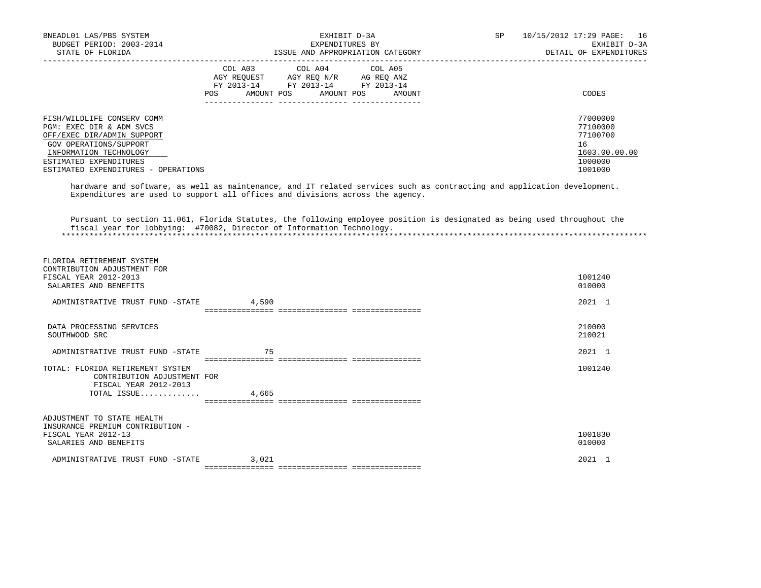| BNEADL01 LAS/PBS SYSTEM             | EXHIBIT D-3A                                                                                         | SP | 10/15/2012 17:29 PAGE: 16 |
|-------------------------------------|------------------------------------------------------------------------------------------------------|----|---------------------------|
| BUDGET PERIOD: 2003-2014            | EXPENDITURES BY                                                                                      |    | EXHIBIT D-3A              |
| STATE OF FLORIDA                    | ISSUE AND APPROPRIATION CATEGORY                                                                     |    | DETAIL OF EXPENDITURES    |
|                                     | COL A03 COL A04 COL A05<br>AGY REOUEST<br>AGY REO N/R AG REO ANZ<br>FY 2013-14 FY 2013-14 FY 2013-14 |    |                           |
|                                     | AMOUNT POS<br>POS<br>AMOUNT POS<br>AMOUNT                                                            |    | CODES                     |
| FISH/WILDLIFE CONSERV COMM          |                                                                                                      |    | 77000000                  |
| PGM: EXEC DIR & ADM SVCS            |                                                                                                      |    | 77100000                  |
| OFF/EXEC DIR/ADMIN SUPPORT          |                                                                                                      |    | 77100700                  |
| GOV OPERATIONS/SUPPORT              |                                                                                                      |    | 16                        |
| INFORMATION TECHNOLOGY              |                                                                                                      |    | 1603.00.00.00             |
| ESTIMATED EXPENDITURES              |                                                                                                      |    | 1000000                   |
| ESTIMATED EXPENDITURES - OPERATIONS |                                                                                                      |    | 1001000                   |

 hardware and software, as well as maintenance, and IT related services such as contracting and application development. Expenditures are used to support all offices and divisions across the agency.

 Pursuant to section 11.061, Florida Statutes, the following employee position is designated as being used throughout the fiscal year for lobbying: #70082, Director of Information Technology. \*\*\*\*\*\*\*\*\*\*\*\*\*\*\*\*\*\*\*\*\*\*\*\*\*\*\*\*\*\*\*\*\*\*\*\*\*\*\*\*\*\*\*\*\*\*\*\*\*\*\*\*\*\*\*\*\*\*\*\*\*\*\*\*\*\*\*\*\*\*\*\*\*\*\*\*\*\*\*\*\*\*\*\*\*\*\*\*\*\*\*\*\*\*\*\*\*\*\*\*\*\*\*\*\*\*\*\*\*\*\*\*\*\*\*\*\*\*\*\*\*\*\*\*\*\*\*

| ADJUSTMENT TO STATE HEALTH<br>INSURANCE PREMIUM CONTRIBUTION -<br>FISCAL YEAR 2012-13<br>SALARIES AND BENEFITS |       | 010000 | 1001830 |
|----------------------------------------------------------------------------------------------------------------|-------|--------|---------|
|                                                                                                                |       |        |         |
| CONTRIBUTION ADJUSTMENT FOR<br>FISCAL YEAR 2012-2013<br>TOTAL ISSUE                                            | 4,665 |        |         |
| TOTAL: FLORIDA RETIREMENT SYSTEM                                                                               |       |        | 1001240 |
| ADMINISTRATIVE TRUST FUND -STATE                                                                               | 75    |        | 2021 1  |
| SOUTHWOOD SRC                                                                                                  |       | 210021 |         |
| DATA PROCESSING SERVICES                                                                                       |       | 210000 |         |
| ADMINISTRATIVE TRUST FUND -STATE                                                                               | 4,590 |        | 2021 1  |
| CONTRIBUTION ADJUSTMENT FOR<br>FISCAL YEAR 2012-2013<br>SALARIES AND BENEFITS                                  |       | 010000 | 1001240 |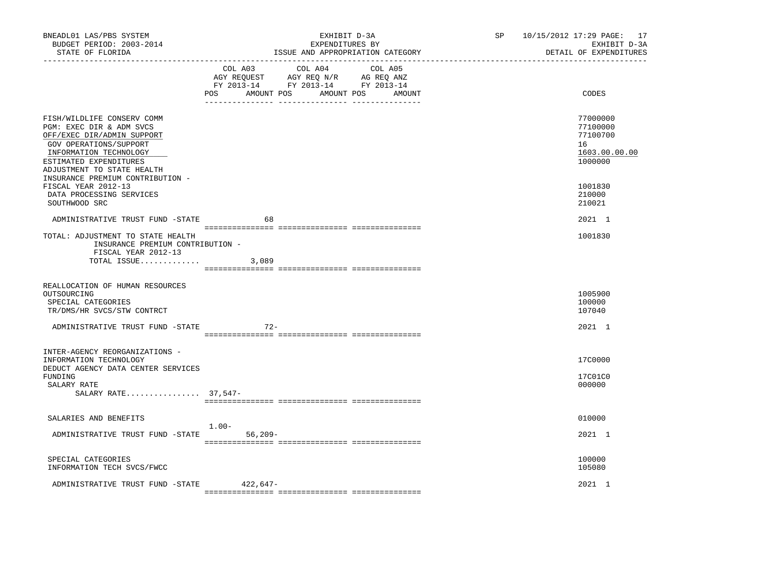| BNEADL01 LAS/PBS SYSTEM<br>BUDGET PERIOD: 2003-2014<br>STATE OF FLORIDA                                                                                                                          | EXHIBIT D-3A<br>EXPENDITURES BY<br>ISSUE AND APPROPRIATION CATEGORY                                                                                                                                                                                                             | SP 10/15/2012 17:29 PAGE: 17<br>EXHIBIT D-3A<br>DETAIL OF EXPENDITURES<br>_____________________________ |
|--------------------------------------------------------------------------------------------------------------------------------------------------------------------------------------------------|---------------------------------------------------------------------------------------------------------------------------------------------------------------------------------------------------------------------------------------------------------------------------------|---------------------------------------------------------------------------------------------------------|
|                                                                                                                                                                                                  | COL A03<br>COL A04<br>COL A05<br>$\begin{tabular}{lllllllll} \bf AGY & \bf REQUEST & \bf AGY & \bf REQ & \bf N/R & \bf AG & \bf REQ & \bf ANZ \\ \bf FY & \tt 2013-14 & \bf FY & \tt 2013-14 & \bf FY & \tt 2013-14 \\ \end{tabular}$<br>POS<br>AMOUNT POS AMOUNT POS<br>AMOUNT | CODES                                                                                                   |
|                                                                                                                                                                                                  |                                                                                                                                                                                                                                                                                 |                                                                                                         |
| FISH/WILDLIFE CONSERV COMM<br>PGM: EXEC DIR & ADM SVCS<br>OFF/EXEC DIR/ADMIN SUPPORT<br>GOV OPERATIONS/SUPPORT<br>INFORMATION TECHNOLOGY<br>ESTIMATED EXPENDITURES<br>ADJUSTMENT TO STATE HEALTH |                                                                                                                                                                                                                                                                                 | 77000000<br>77100000<br>77100700<br>16<br>1603.00.00.00<br>1000000                                      |
| INSURANCE PREMIUM CONTRIBUTION -<br>FISCAL YEAR 2012-13<br>DATA PROCESSING SERVICES<br>SOUTHWOOD SRC                                                                                             |                                                                                                                                                                                                                                                                                 | 1001830<br>210000<br>210021                                                                             |
| ADMINISTRATIVE TRUST FUND -STATE                                                                                                                                                                 | 68                                                                                                                                                                                                                                                                              | 2021 1                                                                                                  |
| TOTAL: ADJUSTMENT TO STATE HEALTH<br>INSURANCE PREMIUM CONTRIBUTION -<br>FISCAL YEAR 2012-13                                                                                                     |                                                                                                                                                                                                                                                                                 | 1001830                                                                                                 |
| TOTAL ISSUE                                                                                                                                                                                      | 3,089                                                                                                                                                                                                                                                                           |                                                                                                         |
| REALLOCATION OF HUMAN RESOURCES<br>OUTSOURCING<br>SPECIAL CATEGORIES<br>TR/DMS/HR SVCS/STW CONTRCT                                                                                               |                                                                                                                                                                                                                                                                                 | 1005900<br>100000<br>107040                                                                             |
| ADMINISTRATIVE TRUST FUND -STATE                                                                                                                                                                 | $72 -$                                                                                                                                                                                                                                                                          | 2021 1                                                                                                  |
| INTER-AGENCY REORGANIZATIONS -<br>INFORMATION TECHNOLOGY<br>DEDUCT AGENCY DATA CENTER SERVICES<br>FUNDING<br>SALARY RATE                                                                         |                                                                                                                                                                                                                                                                                 | 17C0000<br>17C01C0<br>000000                                                                            |
| SALARY RATE 37,547-                                                                                                                                                                              |                                                                                                                                                                                                                                                                                 |                                                                                                         |
| SALARIES AND BENEFITS                                                                                                                                                                            |                                                                                                                                                                                                                                                                                 | 010000                                                                                                  |
| ADMINISTRATIVE TRUST FUND -STATE                                                                                                                                                                 | $1.00 -$<br>$56,209-$                                                                                                                                                                                                                                                           | 2021 1                                                                                                  |
| SPECIAL CATEGORIES<br>INFORMATION TECH SVCS/FWCC                                                                                                                                                 |                                                                                                                                                                                                                                                                                 | 100000<br>105080                                                                                        |
| ADMINISTRATIVE TRUST FUND -STATE                                                                                                                                                                 | 422,647-                                                                                                                                                                                                                                                                        | 2021 1                                                                                                  |
|                                                                                                                                                                                                  |                                                                                                                                                                                                                                                                                 |                                                                                                         |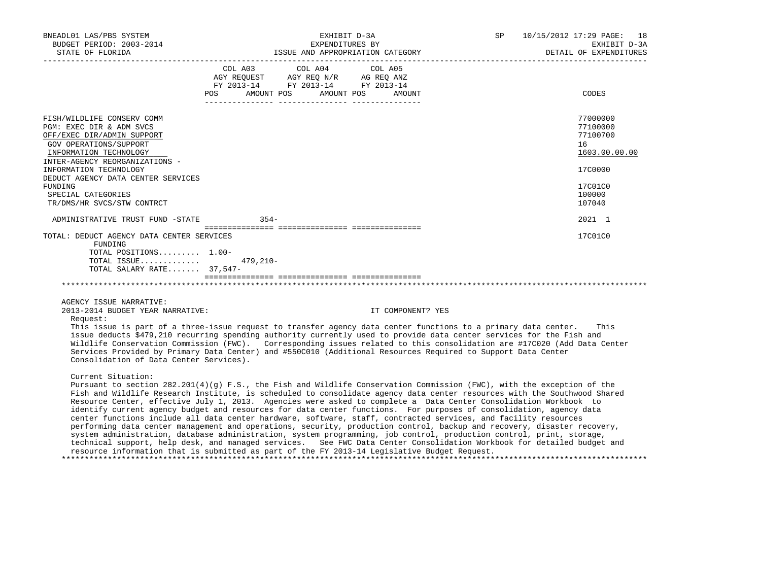| BNEADL01 LAS/PBS SYSTEM<br>BUDGET PERIOD: 2003-2014<br>STATE OF FLORIDA                                                                                                                              | EXHIBIT D-3A<br>EXPENDITURES BY<br>ISSUE AND APPROPRIATION CATEGORY                                                                                                                                                                                                                                                                                                                                                                                                                                                                                                                                                                                                                                                                          | 10/15/2012 17:29 PAGE: 18<br>SP<br>EXHIBIT D-3A<br>DETAIL OF EXPENDITURES |
|------------------------------------------------------------------------------------------------------------------------------------------------------------------------------------------------------|----------------------------------------------------------------------------------------------------------------------------------------------------------------------------------------------------------------------------------------------------------------------------------------------------------------------------------------------------------------------------------------------------------------------------------------------------------------------------------------------------------------------------------------------------------------------------------------------------------------------------------------------------------------------------------------------------------------------------------------------|---------------------------------------------------------------------------|
|                                                                                                                                                                                                      | COL A03<br>COL A04<br>COL A05<br>AGY REQUEST AGY REQ N/R AG REQ ANZ<br>FY 2013-14 FY 2013-14 FY 2013-14<br>AMOUNT POS<br>AMOUNT POS<br>POS<br>AMOUNT                                                                                                                                                                                                                                                                                                                                                                                                                                                                                                                                                                                         | CODES                                                                     |
| FISH/WILDLIFE CONSERV COMM<br>PGM: EXEC DIR & ADM SVCS<br>OFF/EXEC DIR/ADMIN SUPPORT<br>GOV OPERATIONS/SUPPORT<br>INFORMATION TECHNOLOGY<br>INTER-AGENCY REORGANIZATIONS -<br>INFORMATION TECHNOLOGY |                                                                                                                                                                                                                                                                                                                                                                                                                                                                                                                                                                                                                                                                                                                                              | 77000000<br>77100000<br>77100700<br>16<br>1603.00.00.00<br>17C0000        |
| DEDUCT AGENCY DATA CENTER SERVICES<br>FUNDING<br>SPECIAL CATEGORIES<br>TR/DMS/HR SVCS/STW CONTRCT                                                                                                    |                                                                                                                                                                                                                                                                                                                                                                                                                                                                                                                                                                                                                                                                                                                                              | 17C01C0<br>100000<br>107040                                               |
| ADMINISTRATIVE TRUST FUND -STATE                                                                                                                                                                     | $354-$                                                                                                                                                                                                                                                                                                                                                                                                                                                                                                                                                                                                                                                                                                                                       | $2021$ 1                                                                  |
| TOTAL: DEDUCT AGENCY DATA CENTER SERVICES<br>FUNDING<br>TOTAL POSITIONS 1.00-<br>TOTAL ISSUE<br>TOTAL SALARY RATE 37,547-                                                                            | $479.210 -$                                                                                                                                                                                                                                                                                                                                                                                                                                                                                                                                                                                                                                                                                                                                  | 17C01C0                                                                   |
| AGENCY ISSUE NARRATIVE:<br>2013-2014 BUDGET YEAR NARRATIVE:<br>Request:<br>Consolidation of Data Center Services).                                                                                   | IT COMPONENT? YES<br>This issue is part of a three-issue request to transfer agency data center functions to a primary data center.<br>issue deducts \$479,210 recurring spending authority currently used to provide data center services for the Fish and<br>Wildlife Conservation Commission (FWC). Corresponding issues related to this consolidation are #17C020 (Add Data Center<br>Services Provided by Primary Data Center) and #550C010 (Additional Resources Required to Support Data Center                                                                                                                                                                                                                                       | This                                                                      |
| Current Situation:                                                                                                                                                                                   | Pursuant to section $282.201(4)(q)$ F.S., the Fish and Wildlife Conservation Commission (FWC), with the exception of the<br>Fish and Wildlife Research Institute, is scheduled to consolidate agency data center resources with the Southwood Shared<br>Resource Center, effective July 1, 2013. Agencies were asked to complete a Data Center Consolidation Workbook to<br>identify current agency budget and resources for data center functions. For purposes of consolidation, agency data<br>center functions include all data center hardware, software, staff, contracted services, and facility resources<br>performing data center management and operations, security, production control, backup and recovery, disaster recovery, |                                                                           |

 resource information that is submitted as part of the FY 2013-14 Legislative Budget Request. \*\*\*\*\*\*\*\*\*\*\*\*\*\*\*\*\*\*\*\*\*\*\*\*\*\*\*\*\*\*\*\*\*\*\*\*\*\*\*\*\*\*\*\*\*\*\*\*\*\*\*\*\*\*\*\*\*\*\*\*\*\*\*\*\*\*\*\*\*\*\*\*\*\*\*\*\*\*\*\*\*\*\*\*\*\*\*\*\*\*\*\*\*\*\*\*\*\*\*\*\*\*\*\*\*\*\*\*\*\*\*\*\*\*\*\*\*\*\*\*\*\*\*\*\*\*\*

 system administration, database administration, system programming, job control, production control, print, storage, technical support, help desk, and managed services. See FWC Data Center Consolidation Workbook for detailed budget and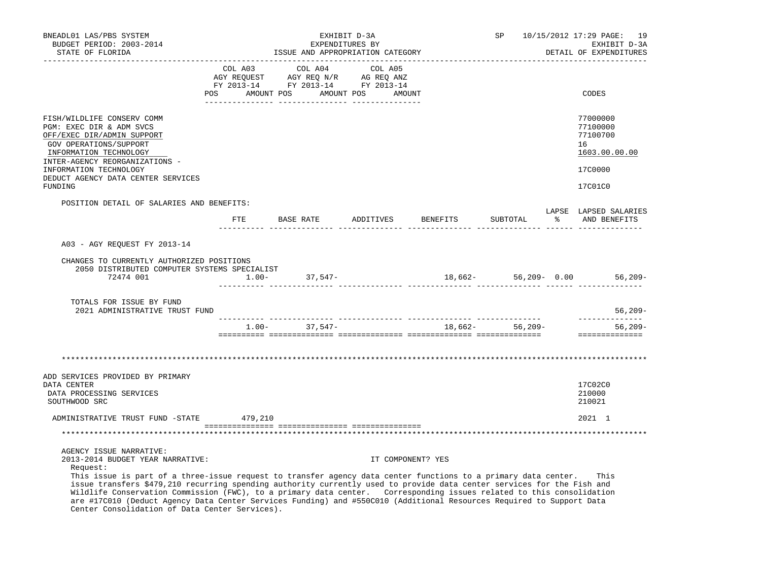| BNEADL01 LAS/PBS SYSTEM                                                                                                                                                                                                                                                                                                                                                                                                                                                                                                                                             |                                                                                                                                               | EXHIBIT D-3A                 | SP | 10/15/2012 17:29 PAGE: 19                                          |
|---------------------------------------------------------------------------------------------------------------------------------------------------------------------------------------------------------------------------------------------------------------------------------------------------------------------------------------------------------------------------------------------------------------------------------------------------------------------------------------------------------------------------------------------------------------------|-----------------------------------------------------------------------------------------------------------------------------------------------|------------------------------|----|--------------------------------------------------------------------|
| BUDGET PERIOD: 2003-2014<br>STATE OF FLORIDA                                                                                                                                                                                                                                                                                                                                                                                                                                                                                                                        | EXPENDITURES BY<br>ISSUE AND APPROPRIATION CATEGORY                                                                                           |                              |    | EXHIBIT D-3A<br>DETAIL OF EXPENDITURES                             |
|                                                                                                                                                                                                                                                                                                                                                                                                                                                                                                                                                                     | COL A03 COL A04<br>AGY REQUEST AGY REQ N/R AG REQ ANZ<br>FY 2013-14 FY 2013-14 FY 2013-14<br>POS AMOUNT POS AMOUNT POS AMOUNT<br>_______ ____ | COL A05<br>. _ _ _ _ _ _ _ _ |    | CODES                                                              |
| FISH/WILDLIFE CONSERV COMM<br>PGM: EXEC DIR & ADM SVCS<br>OFF/EXEC DIR/ADMIN SUPPORT<br>GOV OPERATIONS/SUPPORT<br>INFORMATION TECHNOLOGY<br>INTER-AGENCY REORGANIZATIONS -<br>INFORMATION TECHNOLOGY<br>DEDUCT AGENCY DATA CENTER SERVICES                                                                                                                                                                                                                                                                                                                          |                                                                                                                                               |                              |    | 77000000<br>77100000<br>77100700<br>16<br>1603.00.00.00<br>17C0000 |
| FUNDING                                                                                                                                                                                                                                                                                                                                                                                                                                                                                                                                                             |                                                                                                                                               |                              |    | 17C01C0                                                            |
| POSITION DETAIL OF SALARIES AND BENEFITS:                                                                                                                                                                                                                                                                                                                                                                                                                                                                                                                           |                                                                                                                                               |                              |    | LAPSE LAPSED SALARIES                                              |
|                                                                                                                                                                                                                                                                                                                                                                                                                                                                                                                                                                     |                                                                                                                                               |                              |    |                                                                    |
| A03 - AGY REOUEST FY 2013-14                                                                                                                                                                                                                                                                                                                                                                                                                                                                                                                                        |                                                                                                                                               |                              |    |                                                                    |
| CHANGES TO CURRENTLY AUTHORIZED POSITIONS<br>2050 DISTRIBUTED COMPUTER SYSTEMS SPECIALIST<br>72474 001                                                                                                                                                                                                                                                                                                                                                                                                                                                              | $1.00 - 37,547 -$                                                                                                                             |                              |    | $18,662-56,209-0.00$ 56,209-                                       |
| TOTALS FOR ISSUE BY FUND<br>2021 ADMINISTRATIVE TRUST FUND                                                                                                                                                                                                                                                                                                                                                                                                                                                                                                          |                                                                                                                                               |                              |    | 56,209-                                                            |
|                                                                                                                                                                                                                                                                                                                                                                                                                                                                                                                                                                     | $1.00 - 37,547 - 18,662 - 56,209 -$                                                                                                           |                              |    | --------------<br>$56,209-$<br>==============                      |
|                                                                                                                                                                                                                                                                                                                                                                                                                                                                                                                                                                     |                                                                                                                                               |                              |    |                                                                    |
| ADD SERVICES PROVIDED BY PRIMARY<br>DATA CENTER<br>DATA PROCESSING SERVICES<br>SOUTHWOOD SRC                                                                                                                                                                                                                                                                                                                                                                                                                                                                        |                                                                                                                                               |                              |    | 17C02C0<br>210000<br>210021                                        |
| ADMINISTRATIVE TRUST FUND -STATE 479,210                                                                                                                                                                                                                                                                                                                                                                                                                                                                                                                            |                                                                                                                                               |                              |    | 2021 1                                                             |
|                                                                                                                                                                                                                                                                                                                                                                                                                                                                                                                                                                     |                                                                                                                                               |                              |    |                                                                    |
| AGENCY ISSUE NARRATIVE:<br>2013-2014 BUDGET YEAR NARRATIVE:<br>Request:<br>This issue is part of a three-issue request to transfer agency data center functions to a primary data center.<br>issue transfers \$479,210 recurring spending authority currently used to provide data center services for the Fish and<br>Wildlife Conservation Commission (FWC), to a primary data center. Corresponding issues related to this consolidation<br>are #17C010 (Deduct Agency Data Center Services Funding) and #550C010 (Additional Resources Required to Support Data |                                                                                                                                               | IT COMPONENT? YES            |    | This                                                               |

Center Consolidation of Data Center Services).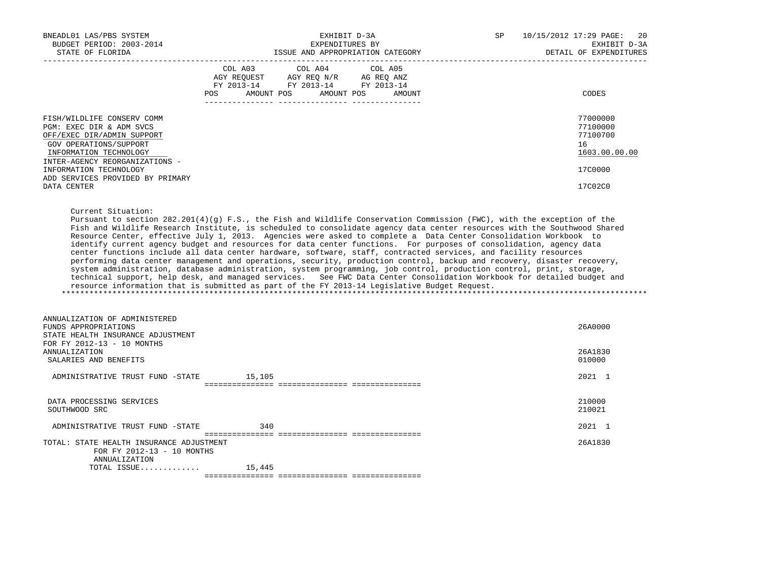| BNEADL01 LAS/PBS SYSTEM<br>BUDGET PERIOD: 2003-2014<br>STATE OF FLORIDA                                                                                                    | EXHIBIT D-3A<br>EXPENDITURES BY<br>ISSUE AND APPROPRIATION CATEGORY                                                                                                                                                                                                                                                                                                                                                                                                                                                                                                                                                                                                                                                                                                                                                                                                                                                                                                                                                                                                                            | <b>SP</b> | 10/15/2012 17:29 PAGE:<br>-20<br>EXHIBIT D-3A<br>DETAIL OF EXPENDITURES |
|----------------------------------------------------------------------------------------------------------------------------------------------------------------------------|------------------------------------------------------------------------------------------------------------------------------------------------------------------------------------------------------------------------------------------------------------------------------------------------------------------------------------------------------------------------------------------------------------------------------------------------------------------------------------------------------------------------------------------------------------------------------------------------------------------------------------------------------------------------------------------------------------------------------------------------------------------------------------------------------------------------------------------------------------------------------------------------------------------------------------------------------------------------------------------------------------------------------------------------------------------------------------------------|-----------|-------------------------------------------------------------------------|
|                                                                                                                                                                            | COL A03 COL A04 COL A05<br>$\begin{tabular}{lllllll} \bf AGY \,\, &\bf REQUEST \,\, &\bf AGY \,\, &\bf REQ \,\, &\bf N/R \,\, &\bf AG \,\, &\bf REQ \,\, &\bf ANZ \,\, \\ \bf FY \,\, &\bf 2013-14 \,\, &\bf FY \,\, &\bf 2013-14 \,\, &\bf FY \,\, &\bf 2013-14 \end{tabular}$<br>AMOUNT POS<br>POS<br>AMOUNT POS<br>AMOUNT                                                                                                                                                                                                                                                                                                                                                                                                                                                                                                                                                                                                                                                                                                                                                                   |           | CODES                                                                   |
| FISH/WILDLIFE CONSERV COMM<br>PGM: EXEC DIR & ADM SVCS<br>OFF/EXEC DIR/ADMIN SUPPORT<br>GOV OPERATIONS/SUPPORT<br>INFORMATION TECHNOLOGY<br>INTER-AGENCY REORGANIZATIONS - |                                                                                                                                                                                                                                                                                                                                                                                                                                                                                                                                                                                                                                                                                                                                                                                                                                                                                                                                                                                                                                                                                                |           | 77000000<br>77100000<br>77100700<br>16<br>1603.00.00.00                 |
| INFORMATION TECHNOLOGY<br>ADD SERVICES PROVIDED BY PRIMARY<br>DATA CENTER                                                                                                  |                                                                                                                                                                                                                                                                                                                                                                                                                                                                                                                                                                                                                                                                                                                                                                                                                                                                                                                                                                                                                                                                                                |           | 17C0000<br>17C02C0                                                      |
| Current Situation:                                                                                                                                                         | Pursuant to section $282.201(4)(q)$ F.S., the Fish and Wildlife Conservation Commission (FWC), with the exception of the<br>Fish and Wildlife Research Institute, is scheduled to consolidate agency data center resources with the Southwood Shared<br>Resource Center, effective July 1, 2013. Agencies were asked to complete a Data Center Consolidation Workbook to<br>identify current agency budget and resources for data center functions. For purposes of consolidation, agency data<br>center functions include all data center hardware, software, staff, contracted services, and facility resources<br>performing data center management and operations, security, production control, backup and recovery, disaster recovery,<br>system administration, database administration, system programming, job control, production control, print, storage,<br>technical support, help desk, and managed services. See FWC Data Center Consolidation Workbook for detailed budget and<br>resource information that is submitted as part of the FY 2013-14 Legislative Budget Request. |           |                                                                         |
| ANNUALIZATION OF ADMINISTERED<br>FUNDS APPROPRIATIONS<br>STATE HEALTH INSURANCE ADJUSTMENT<br>FOR FY 2012-13 - 10 MONTHS<br>ANNUALIZATION                                  |                                                                                                                                                                                                                                                                                                                                                                                                                                                                                                                                                                                                                                                                                                                                                                                                                                                                                                                                                                                                                                                                                                |           | 26A0000<br>26A1830                                                      |
| SALARIES AND BENEFITS<br>ADMINISTRATIVE TRUST FUND -STATE 15,105                                                                                                           |                                                                                                                                                                                                                                                                                                                                                                                                                                                                                                                                                                                                                                                                                                                                                                                                                                                                                                                                                                                                                                                                                                |           | 010000<br>2021 1                                                        |
| DATA PROCESSING SERVICES<br>SOUTHWOOD SRC                                                                                                                                  |                                                                                                                                                                                                                                                                                                                                                                                                                                                                                                                                                                                                                                                                                                                                                                                                                                                                                                                                                                                                                                                                                                |           | 210000<br>210021                                                        |
| ADMINISTRATIVE TRUST FUND -STATE                                                                                                                                           | 340                                                                                                                                                                                                                                                                                                                                                                                                                                                                                                                                                                                                                                                                                                                                                                                                                                                                                                                                                                                                                                                                                            |           | 2021 1                                                                  |
| TOTAL: STATE HEALTH INSURANCE ADJUSTMENT<br>FOR FY 2012-13 - 10 MONTHS<br>ANNUALIZATION                                                                                    |                                                                                                                                                                                                                                                                                                                                                                                                                                                                                                                                                                                                                                                                                                                                                                                                                                                                                                                                                                                                                                                                                                |           | 26A1830                                                                 |
| TOTAL ISSUE                                                                                                                                                                | 15,445                                                                                                                                                                                                                                                                                                                                                                                                                                                                                                                                                                                                                                                                                                                                                                                                                                                                                                                                                                                                                                                                                         |           |                                                                         |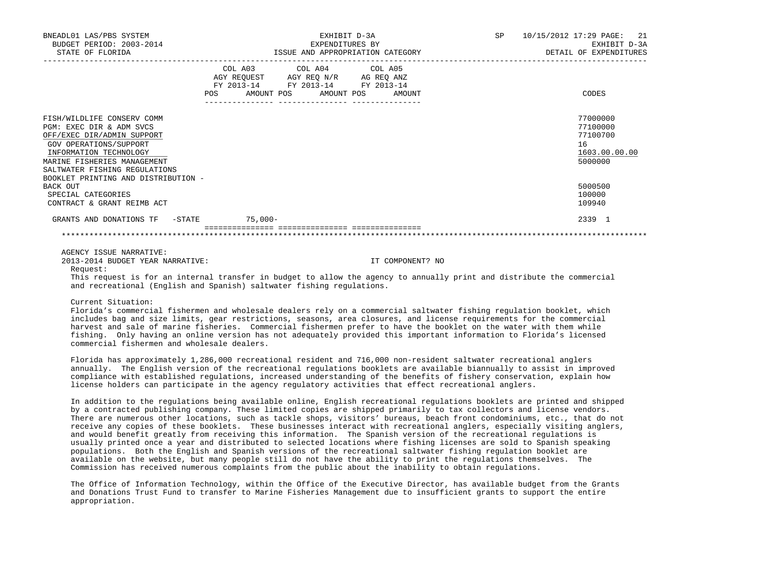| BNEADL01 LAS/PBS SYSTEM<br>BUDGET PERIOD: 2003-2014<br>STATE OF FLORIDA                                                                                                                                                                         | EXHIBIT D-3A<br>EXPENDITURES BY<br>ISSUE AND APPROPRIATION CATEGORY                                                                            | SP<br>10/15/2012 17:29 PAGE: 21<br>EXHIBIT D-3A<br>DETAIL OF EXPENDITURES |
|-------------------------------------------------------------------------------------------------------------------------------------------------------------------------------------------------------------------------------------------------|------------------------------------------------------------------------------------------------------------------------------------------------|---------------------------------------------------------------------------|
|                                                                                                                                                                                                                                                 | COL A03 COL A04 COL A05<br>AGY REQUEST AGY REQ N/R AG REQ ANZ<br>FY 2013-14 FY 2013-14 FY 2013-14<br>POS<br>AMOUNT POS<br>AMOUNT POS<br>AMOUNT | CODES                                                                     |
| FISH/WILDLIFE CONSERV COMM<br>PGM: EXEC DIR & ADM SVCS<br>OFF/EXEC DIR/ADMIN SUPPORT<br>GOV OPERATIONS/SUPPORT<br>INFORMATION TECHNOLOGY<br>MARINE FISHERIES MANAGEMENT<br>SALTWATER FISHING REGULATIONS<br>BOOKLET PRINTING AND DISTRIBUTION - |                                                                                                                                                | 77000000<br>77100000<br>77100700<br>16<br>1603.00.00.00<br>5000000        |
| BACK OUT<br>SPECIAL CATEGORIES<br>CONTRACT & GRANT REIMB ACT                                                                                                                                                                                    |                                                                                                                                                | 5000500<br>100000<br>109940                                               |
| GRANTS AND DONATIONS TF -STATE                                                                                                                                                                                                                  | 75,000-                                                                                                                                        | 2339 1                                                                    |
|                                                                                                                                                                                                                                                 |                                                                                                                                                |                                                                           |

AGENCY ISSUE NARRATIVE:

2013-2014 BUDGET YEAR NARRATIVE: IT COMPONENT? NO

Request:

 This request is for an internal transfer in budget to allow the agency to annually print and distribute the commercial and recreational (English and Spanish) saltwater fishing regulations.

Current Situation:

 Florida's commercial fishermen and wholesale dealers rely on a commercial saltwater fishing regulation booklet, which includes bag and size limits, gear restrictions, seasons, area closures, and license requirements for the commercial harvest and sale of marine fisheries. Commercial fishermen prefer to have the booklet on the water with them while fishing. Only having an online version has not adequately provided this important information to Florida's licensed commercial fishermen and wholesale dealers.

 Florida has approximately 1,286,000 recreational resident and 716,000 non-resident saltwater recreational anglers annually. The English version of the recreational regulations booklets are available biannually to assist in improved compliance with established regulations, increased understanding of the benefits of fishery conservation, explain how license holders can participate in the agency regulatory activities that effect recreational anglers.

 In addition to the regulations being available online, English recreational regulations booklets are printed and shipped by a contracted publishing company. These limited copies are shipped primarily to tax collectors and license vendors. There are numerous other locations, such as tackle shops, visitors' bureaus, beach front condominiums, etc., that do not receive any copies of these booklets. These businesses interact with recreational anglers, especially visiting anglers, and would benefit greatly from receiving this information. The Spanish version of the recreational regulations is usually printed once a year and distributed to selected locations where fishing licenses are sold to Spanish speaking populations. Both the English and Spanish versions of the recreational saltwater fishing regulation booklet are available on the website, but many people still do not have the ability to print the regulations themselves. The Commission has received numerous complaints from the public about the inability to obtain regulations.

 The Office of Information Technology, within the Office of the Executive Director, has available budget from the Grants and Donations Trust Fund to transfer to Marine Fisheries Management due to insufficient grants to support the entire appropriation.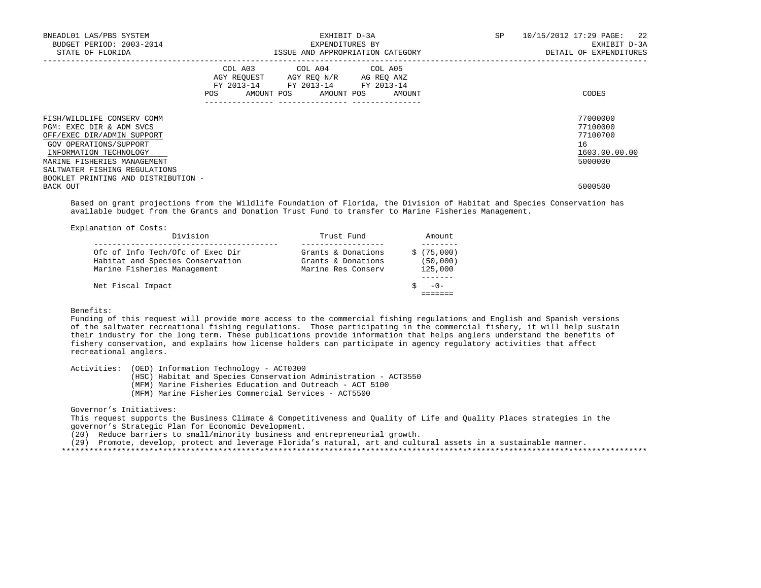| BNEADL01 LAS/PBS SYSTEM<br>BUDGET PERIOD: 2003-2014<br>STATE OF FLORIDA                                                                                                                                                                         |     | EXHIBIT D-3A<br>EXPENDITURES BY<br>ISSUE AND APPROPRIATION CATEGORY                                                               | SP | 10/15/2012 17:29 PAGE: 22<br>EXHIBIT D-3A<br>DETAIL OF EXPENDITURES |
|-------------------------------------------------------------------------------------------------------------------------------------------------------------------------------------------------------------------------------------------------|-----|-----------------------------------------------------------------------------------------------------------------------------------|----|---------------------------------------------------------------------|
|                                                                                                                                                                                                                                                 | POS | COL A03 COL A04 COL A05<br>AGY REQUEST AGY REQ N/R AG REQ ANZ<br>FY 2013-14 FY 2013-14 FY 2013-14<br>AMOUNT POS AMOUNT POS AMOUNT |    | CODES                                                               |
| FISH/WILDLIFE CONSERV COMM<br>PGM: EXEC DIR & ADM SVCS<br>OFF/EXEC DIR/ADMIN SUPPORT<br>GOV OPERATIONS/SUPPORT<br>INFORMATION TECHNOLOGY<br>MARINE FISHERIES MANAGEMENT<br>SALTWATER FISHING REGULATIONS<br>BOOKLET PRINTING AND DISTRIBUTION - |     |                                                                                                                                   |    | 77000000<br>77100000<br>77100700<br>16<br>1603.00.00.00<br>5000000  |
| BACK OUT                                                                                                                                                                                                                                        |     |                                                                                                                                   |    | 5000500                                                             |

 Based on grant projections from the Wildlife Foundation of Florida, the Division of Habitat and Species Conservation has available budget from the Grants and Donation Trust Fund to transfer to Marine Fisheries Management.

| Explanation of Costs:                                                                               |                                                                |                                   |
|-----------------------------------------------------------------------------------------------------|----------------------------------------------------------------|-----------------------------------|
| Division                                                                                            | Trust Fund                                                     | Amount                            |
| Ofc of Info Tech/Ofc of Exec Dir<br>Habitat and Species Conservation<br>Marine Fisheries Management | Grants & Donations<br>Grants & Donations<br>Marine Res Conserv | \$(75,000)<br>(50,000)<br>125,000 |
| Net Fiscal Impact                                                                                   |                                                                | $-() -$                           |

## Benefits:

 Funding of this request will provide more access to the commercial fishing regulations and English and Spanish versions of the saltwater recreational fishing regulations. Those participating in the commercial fishery, it will help sustain their industry for the long term. These publications provide information that helps anglers understand the benefits of fishery conservation, and explains how license holders can participate in agency regulatory activities that affect recreational anglers.

Activities: (OED) Information Technology - ACT0300

(HSC) Habitat and Species Conservation Administration - ACT3550

(MFM) Marine Fisheries Education and Outreach - ACT 5100

(MFM) Marine Fisheries Commercial Services - ACT5500

## Governor's Initiatives:

 This request supports the Business Climate & Competitiveness and Quality of Life and Quality Places strategies in the governor's Strategic Plan for Economic Development.

(20) Reduce barriers to small/minority business and entrepreneurial growth.

(29) Promote, develop, protect and leverage Florida's natural, art and cultural assets in a sustainable manner.

\*\*\*\*\*\*\*\*\*\*\*\*\*\*\*\*\*\*\*\*\*\*\*\*\*\*\*\*\*\*\*\*\*\*\*\*\*\*\*\*\*\*\*\*\*\*\*\*\*\*\*\*\*\*\*\*\*\*\*\*\*\*\*\*\*\*\*\*\*\*\*\*\*\*\*\*\*\*\*\*\*\*\*\*\*\*\*\*\*\*\*\*\*\*\*\*\*\*\*\*\*\*\*\*\*\*\*\*\*\*\*\*\*\*\*\*\*\*\*\*\*\*\*\*\*\*\*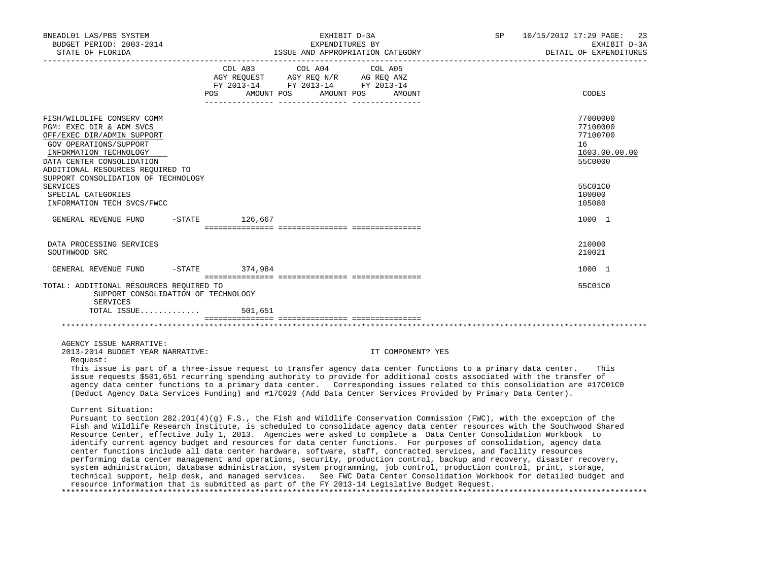| BNEADL01 LAS/PBS SYSTEM<br>BUDGET PERIOD: 2003-2014                                                                                                                                                                                                                                                                                                                                                                                                                                                                                                                                                                                                                                                                                                                                                                                                                                                                                                                                                                                                                                                                  |            |                                  | EXHIBIT D-3A<br>EXPENDITURES BY |         |                                  | SP | 10/15/2012 17:29 PAGE:<br>23<br>EXHIBIT D-3A                       |
|----------------------------------------------------------------------------------------------------------------------------------------------------------------------------------------------------------------------------------------------------------------------------------------------------------------------------------------------------------------------------------------------------------------------------------------------------------------------------------------------------------------------------------------------------------------------------------------------------------------------------------------------------------------------------------------------------------------------------------------------------------------------------------------------------------------------------------------------------------------------------------------------------------------------------------------------------------------------------------------------------------------------------------------------------------------------------------------------------------------------|------------|----------------------------------|---------------------------------|---------|----------------------------------|----|--------------------------------------------------------------------|
| STATE OF FLORIDA                                                                                                                                                                                                                                                                                                                                                                                                                                                                                                                                                                                                                                                                                                                                                                                                                                                                                                                                                                                                                                                                                                     |            |                                  |                                 |         | ISSUE AND APPROPRIATION CATEGORY |    | DETAIL OF EXPENDITURES                                             |
|                                                                                                                                                                                                                                                                                                                                                                                                                                                                                                                                                                                                                                                                                                                                                                                                                                                                                                                                                                                                                                                                                                                      | <b>POS</b> | COL A03<br>AMOUNT POS AMOUNT POS | COL A04                         | COL A05 | AMOUNT                           |    | CODES                                                              |
| FISH/WILDLIFE CONSERV COMM<br>PGM: EXEC DIR & ADM SVCS<br>OFF/EXEC DIR/ADMIN SUPPORT<br>GOV OPERATIONS/SUPPORT<br>INFORMATION TECHNOLOGY<br>DATA CENTER CONSOLIDATION<br>ADDITIONAL RESOURCES REOUIRED TO                                                                                                                                                                                                                                                                                                                                                                                                                                                                                                                                                                                                                                                                                                                                                                                                                                                                                                            |            |                                  |                                 |         |                                  |    | 77000000<br>77100000<br>77100700<br>16<br>1603.00.00.00<br>55C0000 |
| SUPPORT CONSOLIDATION OF TECHNOLOGY<br><b>SERVICES</b><br>SPECIAL CATEGORIES<br>INFORMATION TECH SVCS/FWCC                                                                                                                                                                                                                                                                                                                                                                                                                                                                                                                                                                                                                                                                                                                                                                                                                                                                                                                                                                                                           |            |                                  |                                 |         |                                  |    | 55C01C0<br>100000<br>105080                                        |
| GENERAL REVENUE FUND                                                                                                                                                                                                                                                                                                                                                                                                                                                                                                                                                                                                                                                                                                                                                                                                                                                                                                                                                                                                                                                                                                 | $-$ STATE  | 126,667                          |                                 |         |                                  |    | 1000 1                                                             |
| DATA PROCESSING SERVICES<br>SOUTHWOOD SRC                                                                                                                                                                                                                                                                                                                                                                                                                                                                                                                                                                                                                                                                                                                                                                                                                                                                                                                                                                                                                                                                            |            |                                  |                                 |         |                                  |    | 210000<br>210021                                                   |
| GENERAL REVENUE FUND                                                                                                                                                                                                                                                                                                                                                                                                                                                                                                                                                                                                                                                                                                                                                                                                                                                                                                                                                                                                                                                                                                 | $-$ STATE  | 374,984                          |                                 |         |                                  |    | 1000 1                                                             |
| TOTAL: ADDITIONAL RESOURCES REQUIRED TO<br>SUPPORT CONSOLIDATION OF TECHNOLOGY<br>SERVICES                                                                                                                                                                                                                                                                                                                                                                                                                                                                                                                                                                                                                                                                                                                                                                                                                                                                                                                                                                                                                           |            |                                  |                                 |         |                                  |    | 55C01C0                                                            |
| TOTAL ISSUE                                                                                                                                                                                                                                                                                                                                                                                                                                                                                                                                                                                                                                                                                                                                                                                                                                                                                                                                                                                                                                                                                                          |            | 501,651                          |                                 |         |                                  |    |                                                                    |
|                                                                                                                                                                                                                                                                                                                                                                                                                                                                                                                                                                                                                                                                                                                                                                                                                                                                                                                                                                                                                                                                                                                      |            |                                  |                                 |         |                                  |    |                                                                    |
| AGENCY ISSUE NARRATIVE:<br>2013-2014 BUDGET YEAR NARRATIVE:<br>Request:                                                                                                                                                                                                                                                                                                                                                                                                                                                                                                                                                                                                                                                                                                                                                                                                                                                                                                                                                                                                                                              |            |                                  |                                 |         | IT COMPONENT? YES                |    |                                                                    |
| This issue is part of a three-issue request to transfer agency data center functions to a primary data center.<br>issue requests \$501,651 recurring spending authority to provide for additional costs associated with the transfer of<br>agency data center functions to a primary data center. Corresponding issues related to this consolidation are #17C01C0<br>(Deduct Agency Data Services Funding) and #17C020 (Add Data Center Services Provided by Primary Data Center).                                                                                                                                                                                                                                                                                                                                                                                                                                                                                                                                                                                                                                   |            |                                  |                                 |         |                                  |    | This                                                               |
| Current Situation:<br>Pursuant to section $282.201(4)(q)$ F.S., the Fish and Wildlife Conservation Commission (FWC), with the exception of the<br>Fish and Wildlife Research Institute, is scheduled to consolidate agency data center resources with the Southwood Shared<br>Resource Center, effective July 1, 2013. Agencies were asked to complete a Data Center Consolidation Workbook to<br>identify current agency budget and resources for data center functions. For purposes of consolidation, agency data<br>center functions include all data center hardware, software, staff, contracted services, and facility resources<br>performing data center management and operations, security, production control, backup and recovery, disaster recovery,<br>system administration, database administration, system programming, job control, production control, print, storage,<br>technical support, help desk, and managed services. See FWC Data Center Consolidation Workbook for detailed budget and<br>resource information that is submitted as part of the FY 2013-14 Legislative Budget Request. |            |                                  |                                 |         |                                  |    |                                                                    |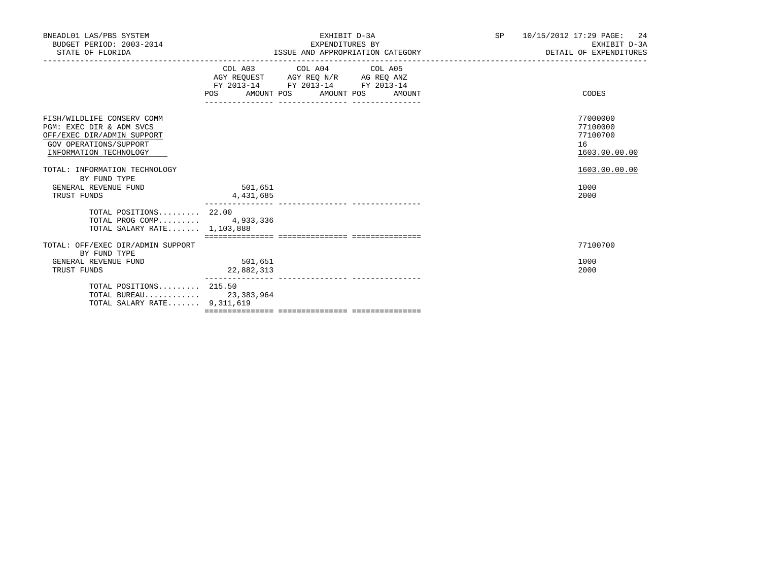| BNEADL01 LAS/PBS SYSTEM<br>BUDGET PERIOD: 2003-2014<br>STATE OF FLORIDA                                                                  |                       | EXHIBIT D-3A<br>EXPENDITURES BY<br>ISSUE AND APPROPRIATION CATEGORY                                                                      | SP 10/15/2012 17:29 PAGE: 24<br>EXHIBIT D-3A<br>DETAIL OF EXPENDITURES |
|------------------------------------------------------------------------------------------------------------------------------------------|-----------------------|------------------------------------------------------------------------------------------------------------------------------------------|------------------------------------------------------------------------|
|                                                                                                                                          |                       | COL A03 COL A04 COL A05<br>AGY REQUEST AGY REQ N/R AG REQ ANZ<br>FY 2013-14 FY 2013-14 FY 2013-14<br>POS AMOUNT POS AMOUNT POS<br>AMOUNT | CODES                                                                  |
| FISH/WILDLIFE CONSERV COMM<br>PGM: EXEC DIR & ADM SVCS<br>OFF/EXEC DIR/ADMIN SUPPORT<br>GOV OPERATIONS/SUPPORT<br>INFORMATION TECHNOLOGY |                       |                                                                                                                                          | 77000000<br>77100000<br>77100700<br>16<br>1603.00.00.00                |
| TOTAL: INFORMATION TECHNOLOGY<br>BY FUND TYPE<br>GENERAL REVENUE FUND<br>TRUST FUNDS                                                     | 501,651<br>4,431,685  |                                                                                                                                          | 1603.00.00.00<br>1000<br>2000                                          |
| TOTAL POSITIONS $22.00$<br>TOTAL PROG COMP 4,933,336<br>TOTAL SALARY RATE 1,103,888                                                      |                       |                                                                                                                                          |                                                                        |
| TOTAL: OFF/EXEC DIR/ADMIN SUPPORT<br>BY FUND TYPE<br>GENERAL REVENUE FUND<br>TRUST FUNDS                                                 | 501,651<br>22,882,313 |                                                                                                                                          | 77100700<br>1000<br>2000                                               |
| TOTAL POSITIONS 215.50<br>TOTAL BUREAU 23,383,964<br>TOTAL SALARY RATE 9,311,619                                                         |                       |                                                                                                                                          |                                                                        |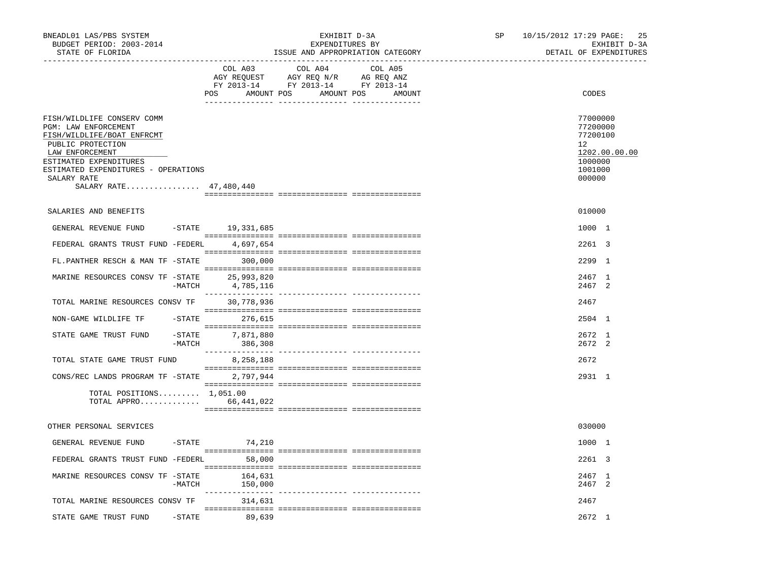| BNEADL01 LAS/PBS SYSTEM<br>BUDGET PERIOD: 2003-2014<br>STATE OF FLORIDA                                                                                                                                                            |                                      | EXHIBIT D-3A<br>EXPENDITURES BY                                                                                                                                                                                                                                                                                                                                                                                                     | ISSUE AND APPROPRIATION CATEGORY | SP | 25<br>10/15/2012 17:29 PAGE:<br>EXHIBIT D-3A<br>DETAIL OF EXPENDITURES                  |
|------------------------------------------------------------------------------------------------------------------------------------------------------------------------------------------------------------------------------------|--------------------------------------|-------------------------------------------------------------------------------------------------------------------------------------------------------------------------------------------------------------------------------------------------------------------------------------------------------------------------------------------------------------------------------------------------------------------------------------|----------------------------------|----|-----------------------------------------------------------------------------------------|
|                                                                                                                                                                                                                                    | COL A03                              | COL A04<br>$\begin{tabular}{lllllllll} \bf{AGY} & \bf{REOUEST} & \bf{AGY} & \bf{REOU} & \bf{N/R} & \bf{AG} & \bf{REQ} & \bf{ANZ} \\ \bf{FY} & \bf{2013-14} & \bf{FY} & \bf{2013-14} & \bf{FY} & \bf{2013-14} \\ \end{tabular}$<br>POS AMOUNT POS AMOUNT POS AMOUNT                                                                                                                                                                  | COL A05                          |    | CODES                                                                                   |
| FISH/WILDLIFE CONSERV COMM<br>PGM: LAW ENFORCEMENT<br>FISH/WILDLIFE/BOAT ENFRCMT<br>PUBLIC PROTECTION<br>LAW ENFORCEMENT<br>ESTIMATED EXPENDITURES<br>ESTIMATED EXPENDITURES - OPERATIONS<br>SALARY RATE<br>SALARY RATE 47,480,440 |                                      |                                                                                                                                                                                                                                                                                                                                                                                                                                     |                                  |    | 77000000<br>77200000<br>77200100<br>12<br>1202.00.00.00<br>1000000<br>1001000<br>000000 |
| SALARIES AND BENEFITS                                                                                                                                                                                                              |                                      |                                                                                                                                                                                                                                                                                                                                                                                                                                     |                                  |    | 010000                                                                                  |
| GENERAL REVENUE FUND                                                                                                                                                                                                               | -STATE 19,331,685                    |                                                                                                                                                                                                                                                                                                                                                                                                                                     |                                  |    | 1000 1                                                                                  |
| FEDERAL GRANTS TRUST FUND -FEDERL 4,697,654                                                                                                                                                                                        |                                      |                                                                                                                                                                                                                                                                                                                                                                                                                                     |                                  |    | $2261 \quad 3$                                                                          |
| FL.PANTHER RESCH & MAN TF -STATE 300,000                                                                                                                                                                                           |                                      |                                                                                                                                                                                                                                                                                                                                                                                                                                     |                                  |    | 2299 1                                                                                  |
| MARINE RESOURCES CONSV TF -STATE 25,993,820                                                                                                                                                                                        | $-MATCH$ $4,785,116$                 |                                                                                                                                                                                                                                                                                                                                                                                                                                     |                                  |    | 2467 1<br>2467 2                                                                        |
| TOTAL MARINE RESOURCES CONSV TF 30,778,936                                                                                                                                                                                         |                                      |                                                                                                                                                                                                                                                                                                                                                                                                                                     |                                  |    | 2467                                                                                    |
| NON-GAME WILDLIFE TF                                                                                                                                                                                                               | $-STATE$ 276,615                     |                                                                                                                                                                                                                                                                                                                                                                                                                                     |                                  |    | 2504 1                                                                                  |
| STATE GAME TRUST FUND                                                                                                                                                                                                              | $-STATE$ 7,871,880<br>-MATCH 386,308 |                                                                                                                                                                                                                                                                                                                                                                                                                                     |                                  |    | 2672 1<br>2672 2                                                                        |
| TOTAL STATE GAME TRUST FUND                                                                                                                                                                                                        | 8,258,188                            | $\begin{minipage}{0.03\textwidth} \begin{tabular}{l} \textbf{1} & \textbf{2} & \textbf{3} & \textbf{5} & \textbf{5} & \textbf{6} & \textbf{6} & \textbf{7} & \textbf{8} & \textbf{9} & \textbf{9} & \textbf{9} & \textbf{1} & \textbf{9} & \textbf{1} & \textbf{1} & \textbf{1} & \textbf{1} & \textbf{1} & \textbf{1} & \textbf{1} & \textbf{1} & \textbf{1} & \textbf{1} & \textbf{1} & \textbf{1} & \textbf{1} & \textbf{1} & \$ |                                  |    | 2672                                                                                    |
| CONS/REC LANDS PROGRAM TF -STATE 2,797,944                                                                                                                                                                                         |                                      |                                                                                                                                                                                                                                                                                                                                                                                                                                     |                                  |    | 2931 1                                                                                  |
| TOTAL POSITIONS $1,051.00$<br>TOTAL APPRO 66, 441, 022                                                                                                                                                                             |                                      |                                                                                                                                                                                                                                                                                                                                                                                                                                     |                                  |    |                                                                                         |
| OTHER PERSONAL SERVICES                                                                                                                                                                                                            |                                      |                                                                                                                                                                                                                                                                                                                                                                                                                                     |                                  |    | 030000                                                                                  |
| GENERAL REVENUE FUND                                                                                                                                                                                                               | $-STATE$<br>74,210                   |                                                                                                                                                                                                                                                                                                                                                                                                                                     |                                  |    | 1000 1                                                                                  |
| FEDERAL GRANTS TRUST FUND -FEDERL 58,000                                                                                                                                                                                           |                                      |                                                                                                                                                                                                                                                                                                                                                                                                                                     |                                  |    | 2261 3                                                                                  |
| MARINE RESOURCES CONSV TF -STATE                                                                                                                                                                                                   | 164,631<br>$-MATCH$ 150,000          |                                                                                                                                                                                                                                                                                                                                                                                                                                     |                                  |    | 2467 1<br>2467 2                                                                        |
| TOTAL MARINE RESOURCES CONSV TF                                                                                                                                                                                                    | 314,631                              |                                                                                                                                                                                                                                                                                                                                                                                                                                     |                                  |    | 2467                                                                                    |
| STATE GAME TRUST FUND -STATE 89,639                                                                                                                                                                                                |                                      |                                                                                                                                                                                                                                                                                                                                                                                                                                     |                                  |    | 2672 1                                                                                  |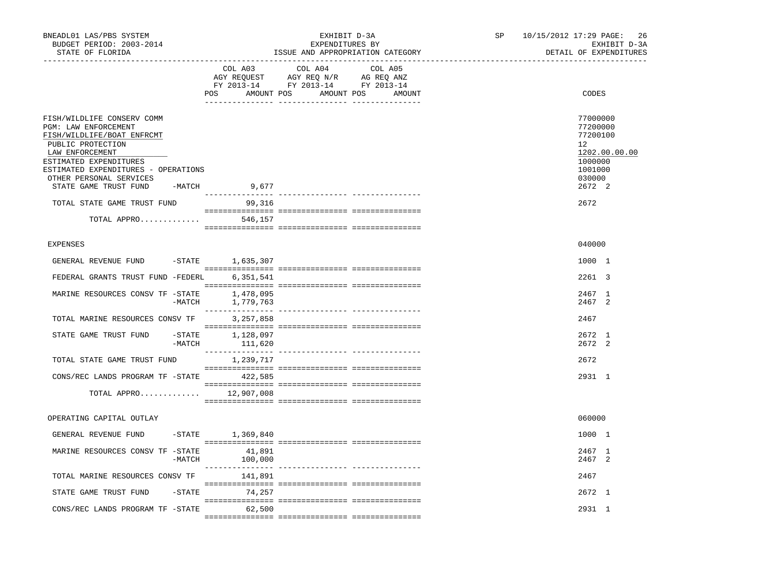| BNEADL01 LAS/PBS SYSTEM<br>BUDGET PERIOD: 2003-2014<br>STATE OF FLORIDA                                                                                                                                                                       |          |                                    | EXHIBIT D-3A<br>EXPENDITURES BY<br>ISSUE AND APPROPRIATION CATEGORY                                                   |         | SP | 10/15/2012 17:29 PAGE:<br>26<br>EXHIBIT D-3A<br>DETAIL OF EXPENDITURES                                         |
|-----------------------------------------------------------------------------------------------------------------------------------------------------------------------------------------------------------------------------------------------|----------|------------------------------------|-----------------------------------------------------------------------------------------------------------------------|---------|----|----------------------------------------------------------------------------------------------------------------|
|                                                                                                                                                                                                                                               |          | COL A03                            | COL A04<br>AGY REQUEST AGY REQ N/R AG REQ ANZ<br>FY 2013-14 FY 2013-14 FY 2013-14<br>POS AMOUNT POS AMOUNT POS AMOUNT | COL A05 |    | CODES                                                                                                          |
| FISH/WILDLIFE CONSERV COMM<br>PGM: LAW ENFORCEMENT<br>FISH/WILDLIFE/BOAT ENFRCMT<br>PUBLIC PROTECTION<br>LAW ENFORCEMENT<br>ESTIMATED EXPENDITURES<br>ESTIMATED EXPENDITURES - OPERATIONS<br>OTHER PERSONAL SERVICES<br>STATE GAME TRUST FUND | -MATCH   | 9,677                              |                                                                                                                       |         |    | 77000000<br>77200000<br>77200100<br>12 <sup>°</sup><br>1202.00.00.00<br>1000000<br>1001000<br>030000<br>2672 2 |
| TOTAL STATE GAME TRUST FUND                                                                                                                                                                                                                   |          | 99,316                             |                                                                                                                       |         |    | 2672                                                                                                           |
| TOTAL APPRO                                                                                                                                                                                                                                   |          | 546,157                            |                                                                                                                       |         |    |                                                                                                                |
| <b>EXPENSES</b>                                                                                                                                                                                                                               |          |                                    |                                                                                                                       |         |    | 040000                                                                                                         |
| GENERAL REVENUE FUND -STATE 1,635,307                                                                                                                                                                                                         |          |                                    |                                                                                                                       |         |    | 1000 1                                                                                                         |
| FEDERAL GRANTS TRUST FUND -FEDERL                                                                                                                                                                                                             |          | 6,351,541                          |                                                                                                                       |         |    | 2261 3                                                                                                         |
| MARINE RESOURCES CONSV TF -STATE 1,478,095                                                                                                                                                                                                    | $-MATCH$ | 1,779,763                          |                                                                                                                       |         |    | 2467 1<br>2467 2                                                                                               |
| TOTAL MARINE RESOURCES CONSV TF                                                                                                                                                                                                               |          | 3,257,858                          |                                                                                                                       |         |    | 2467                                                                                                           |
| STATE GAME TRUST FUND                                                                                                                                                                                                                         |          | -STATE 1,128,097<br>-MATCH 111,620 |                                                                                                                       |         |    | $2672 \quad 1$<br>$2672 \quad 2$                                                                               |
| TOTAL STATE GAME TRUST FUND                                                                                                                                                                                                                   |          | 1,239,717                          |                                                                                                                       |         |    | 2672                                                                                                           |
| CONS/REC LANDS PROGRAM TF - STATE 422,585                                                                                                                                                                                                     |          |                                    |                                                                                                                       |         |    | 2931 1                                                                                                         |
| TOTAL APPRO 12,907,008                                                                                                                                                                                                                        |          |                                    |                                                                                                                       |         |    |                                                                                                                |
| OPERATING CAPITAL OUTLAY                                                                                                                                                                                                                      |          |                                    |                                                                                                                       |         |    | 060000                                                                                                         |
| GENERAL REVENUE FUND                                                                                                                                                                                                                          |          | $-STATE$ 1,369,840                 |                                                                                                                       |         |    | 1000 1                                                                                                         |
| MARINE RESOURCES CONSV TF -STATE                                                                                                                                                                                                              | -MATCH   | 41,891<br>100,000                  |                                                                                                                       |         |    | 2467 1<br>2467 2                                                                                               |
| TOTAL MARINE RESOURCES CONSV TF 141,891                                                                                                                                                                                                       |          |                                    |                                                                                                                       |         |    | 2467                                                                                                           |
| STATE GAME TRUST FUND                                                                                                                                                                                                                         |          | $-$ STATE $74, 257$                |                                                                                                                       |         |    | 2672 1                                                                                                         |
| CONS/REC LANDS PROGRAM TF -STATE                                                                                                                                                                                                              |          | 62,500                             |                                                                                                                       |         |    | 2931 1                                                                                                         |
|                                                                                                                                                                                                                                               |          |                                    |                                                                                                                       |         |    |                                                                                                                |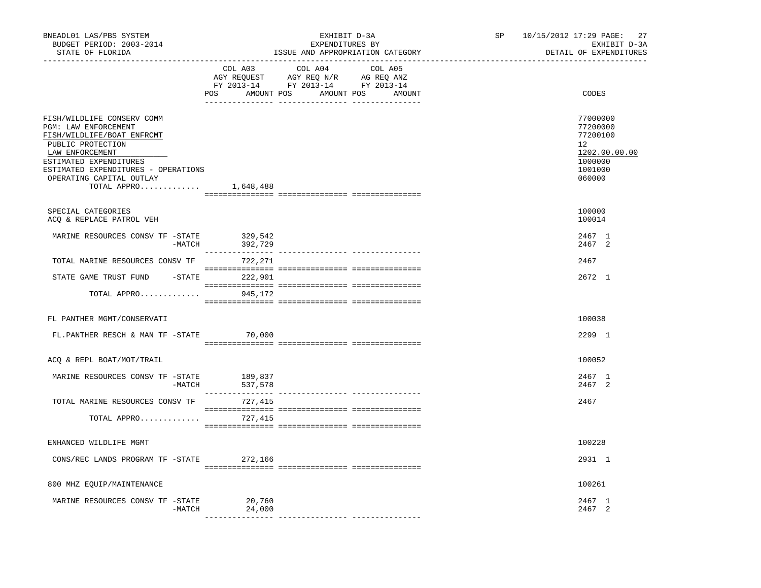| BNEADL01 LAS/PBS SYSTEM<br>BUDGET PERIOD: 2003-2014<br>STATE OF FLORIDA<br>________________________________                                                                                                                          |                                                                                                                                                                                                                                                                                                                                                                                                                                     | EXHIBIT D-3A<br>EXPENDITURES BY | SP<br>ISSUE AND APPROPRIATION CATEGORY<br>-------------------- |  | 27<br>10/15/2012 17:29 PAGE:<br>EXHIBIT D-3A<br>DETAIL OF EXPENDITURES                               |
|--------------------------------------------------------------------------------------------------------------------------------------------------------------------------------------------------------------------------------------|-------------------------------------------------------------------------------------------------------------------------------------------------------------------------------------------------------------------------------------------------------------------------------------------------------------------------------------------------------------------------------------------------------------------------------------|---------------------------------|----------------------------------------------------------------|--|------------------------------------------------------------------------------------------------------|
|                                                                                                                                                                                                                                      | COL A03<br>AGY REQUEST AGY REQ N/R AG REQ ANZ<br>FY 2013-14 FY 2013-14 FY 2013-14<br>POS AMOUNT POS AMOUNT POS AMOUNT                                                                                                                                                                                                                                                                                                               | COL A04<br>COL A05              |                                                                |  | CODES                                                                                                |
| FISH/WILDLIFE CONSERV COMM<br>PGM: LAW ENFORCEMENT<br>FISH/WILDLIFE/BOAT ENFRCMT<br>PUBLIC PROTECTION<br>LAW ENFORCEMENT<br>ESTIMATED EXPENDITURES<br>ESTIMATED EXPENDITURES - OPERATIONS<br>OPERATING CAPITAL OUTLAY<br>TOTAL APPRO | 1,648,488                                                                                                                                                                                                                                                                                                                                                                                                                           |                                 |                                                                |  | 77000000<br>77200000<br>77200100<br>12 <sup>°</sup><br>1202.00.00.00<br>1000000<br>1001000<br>060000 |
| SPECIAL CATEGORIES<br>ACQ & REPLACE PATROL VEH                                                                                                                                                                                       |                                                                                                                                                                                                                                                                                                                                                                                                                                     |                                 |                                                                |  | 100000<br>100014                                                                                     |
| MARINE RESOURCES CONSV TF -STATE<br>$-MATCH$                                                                                                                                                                                         | 329,542<br>392,729                                                                                                                                                                                                                                                                                                                                                                                                                  |                                 |                                                                |  | 2467 1<br>2467 2                                                                                     |
| TOTAL MARINE RESOURCES CONSV TF 722, 271                                                                                                                                                                                             |                                                                                                                                                                                                                                                                                                                                                                                                                                     |                                 |                                                                |  | 2467                                                                                                 |
| STATE GAME TRUST FUND -STATE 222,901                                                                                                                                                                                                 |                                                                                                                                                                                                                                                                                                                                                                                                                                     |                                 |                                                                |  | 2672 1                                                                                               |
| TOTAL APPRO                                                                                                                                                                                                                          | 945,172                                                                                                                                                                                                                                                                                                                                                                                                                             |                                 |                                                                |  |                                                                                                      |
| FL PANTHER MGMT/CONSERVATI                                                                                                                                                                                                           |                                                                                                                                                                                                                                                                                                                                                                                                                                     |                                 |                                                                |  | 100038                                                                                               |
| FL.PANTHER RESCH & MAN TF -STATE 70,000                                                                                                                                                                                              | $\begin{minipage}{0.03\textwidth} \begin{tabular}{l} \textbf{1} & \textbf{2} & \textbf{3} & \textbf{5} & \textbf{6} & \textbf{7} & \textbf{8} & \textbf{9} & \textbf{9} & \textbf{9} & \textbf{9} & \textbf{9} & \textbf{9} & \textbf{9} & \textbf{9} & \textbf{9} & \textbf{9} & \textbf{9} & \textbf{9} & \textbf{9} & \textbf{9} & \textbf{9} & \textbf{9} & \textbf{9} & \textbf{9} & \textbf{9} & \textbf{9} & \textbf{9} & \$ |                                 |                                                                |  | 2299 1                                                                                               |
| ACQ & REPL BOAT/MOT/TRAIL                                                                                                                                                                                                            |                                                                                                                                                                                                                                                                                                                                                                                                                                     |                                 |                                                                |  | 100052                                                                                               |
| MARINE RESOURCES CONSV TF -STATE                                                                                                                                                                                                     | 189,837<br>-MATCH 537,578                                                                                                                                                                                                                                                                                                                                                                                                           |                                 |                                                                |  | 2467 1<br>2467 2                                                                                     |
| TOTAL MARINE RESOURCES CONSV TF                                                                                                                                                                                                      | 727,415                                                                                                                                                                                                                                                                                                                                                                                                                             |                                 |                                                                |  | 2467                                                                                                 |
| TOTAL APPRO                                                                                                                                                                                                                          | 727,415                                                                                                                                                                                                                                                                                                                                                                                                                             |                                 |                                                                |  |                                                                                                      |
| ENHANCED WILDLIFE MGMT                                                                                                                                                                                                               |                                                                                                                                                                                                                                                                                                                                                                                                                                     |                                 |                                                                |  | 100228                                                                                               |
| CONS/REC LANDS PROGRAM TF -STATE                                                                                                                                                                                                     | 272,166                                                                                                                                                                                                                                                                                                                                                                                                                             |                                 |                                                                |  | 2931 1                                                                                               |
| 800 MHZ EQUIP/MAINTENANCE                                                                                                                                                                                                            |                                                                                                                                                                                                                                                                                                                                                                                                                                     |                                 |                                                                |  | 100261                                                                                               |
| MARINE RESOURCES CONSV TF -STATE<br>-MATCH                                                                                                                                                                                           | 20,760<br>24,000                                                                                                                                                                                                                                                                                                                                                                                                                    |                                 |                                                                |  | 2467 1<br>2467 2                                                                                     |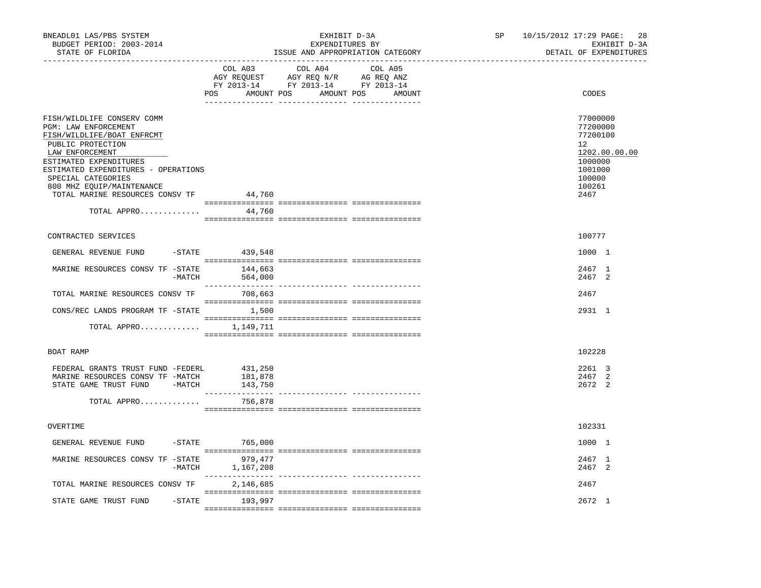| BNEADL01 LAS/PBS SYSTEM<br>BUDGET PERIOD: 2003-2014<br>STATE OF FLORIDA                                                                                                                                                                                                                |                                        | EXHIBIT D-3A<br>EXPENDITURES BY                                                                                                                                                                                                                                      | ISSUE AND APPROPRIATION CATEGORY | SP | 10/15/2012 17:29 PAGE:<br>28<br>EXHIBIT D-3A<br>DETAIL OF EXPENDITURES                                    |
|----------------------------------------------------------------------------------------------------------------------------------------------------------------------------------------------------------------------------------------------------------------------------------------|----------------------------------------|----------------------------------------------------------------------------------------------------------------------------------------------------------------------------------------------------------------------------------------------------------------------|----------------------------------|----|-----------------------------------------------------------------------------------------------------------|
|                                                                                                                                                                                                                                                                                        | COL A03                                | COL A04<br>$\begin{tabular}{lllllllllll} \bf{AGY} & \bf{REQUEST} & \bf{AGY} & \bf{REQ} & \bf{IN/R} & \bf{AG} & \bf{REQ} & \bf{ANZ} \\ \bf{FY} & \bf{2013-14} & \bf{FY} & \bf{2013-14} & \bf{FY} & \bf{2013-14} \\ \end{tabular}$<br>POS AMOUNT POS AMOUNT POS AMOUNT | COL A05                          |    | CODES                                                                                                     |
| FISH/WILDLIFE CONSERV COMM<br>PGM: LAW ENFORCEMENT<br>FISH/WILDLIFE/BOAT ENFRCMT<br>PUBLIC PROTECTION<br>LAW ENFORCEMENT<br>ESTIMATED EXPENDITURES<br>ESTIMATED EXPENDITURES - OPERATIONS<br>SPECIAL CATEGORIES<br>800 MHZ EOUIP/MAINTENANCE<br>TOTAL MARINE RESOURCES CONSV TF 44,760 |                                        |                                                                                                                                                                                                                                                                      |                                  |    | 77000000<br>77200000<br>77200100<br>12<br>1202.00.00.00<br>1000000<br>1001000<br>100000<br>100261<br>2467 |
| TOTAL APPRO                                                                                                                                                                                                                                                                            | 44,760                                 |                                                                                                                                                                                                                                                                      |                                  |    |                                                                                                           |
| CONTRACTED SERVICES                                                                                                                                                                                                                                                                    |                                        |                                                                                                                                                                                                                                                                      |                                  |    | 100777                                                                                                    |
| GENERAL REVENUE FUND<br>$-$ STATE                                                                                                                                                                                                                                                      | 439,548                                |                                                                                                                                                                                                                                                                      |                                  |    | 1000 1                                                                                                    |
| MARINE RESOURCES CONSV TF -STATE<br>-MATCH                                                                                                                                                                                                                                             | 144,663<br>564,000                     |                                                                                                                                                                                                                                                                      |                                  |    | 2467 1<br>2467 2                                                                                          |
| TOTAL MARINE RESOURCES CONSV TF                                                                                                                                                                                                                                                        | 708,663                                |                                                                                                                                                                                                                                                                      |                                  |    | 2467                                                                                                      |
| CONS/REC LANDS PROGRAM TF -STATE 1,500                                                                                                                                                                                                                                                 |                                        |                                                                                                                                                                                                                                                                      |                                  |    | 2931 1                                                                                                    |
| TOTAL APPRO $1,149,711$                                                                                                                                                                                                                                                                |                                        |                                                                                                                                                                                                                                                                      |                                  |    |                                                                                                           |
| BOAT RAMP                                                                                                                                                                                                                                                                              |                                        |                                                                                                                                                                                                                                                                      |                                  |    | 102228                                                                                                    |
| FEDERAL GRANTS TRUST FUND -FEDERL<br>MARINE RESOURCES CONSV TF -MATCH<br>STATE GAME TRUST FUND -MATCH 143,750                                                                                                                                                                          | 431,250<br>181,878<br>________________ | ---------------- ----------------                                                                                                                                                                                                                                    |                                  |    | 2261 3<br>2467 2<br>2672 2                                                                                |
| TOTAL APPRO                                                                                                                                                                                                                                                                            | 756,878                                |                                                                                                                                                                                                                                                                      |                                  |    |                                                                                                           |
| OVERTIME                                                                                                                                                                                                                                                                               |                                        |                                                                                                                                                                                                                                                                      |                                  |    | 102331                                                                                                    |
| GENERAL REVENUE FUND                                                                                                                                                                                                                                                                   | -STATE 765,000                         |                                                                                                                                                                                                                                                                      |                                  |    | 1000 1                                                                                                    |
| MARINE RESOURCES CONSV TF -STATE<br>-MATCH                                                                                                                                                                                                                                             | 979,477<br>1,167,208                   |                                                                                                                                                                                                                                                                      |                                  |    | 2467 1<br>2467 2                                                                                          |
| TOTAL MARINE RESOURCES CONSV TF                                                                                                                                                                                                                                                        | 2,146,685                              |                                                                                                                                                                                                                                                                      |                                  |    | 2467                                                                                                      |
| STATE GAME TRUST FUND                                                                                                                                                                                                                                                                  | -STATE 193,997                         |                                                                                                                                                                                                                                                                      |                                  |    | 2672 1                                                                                                    |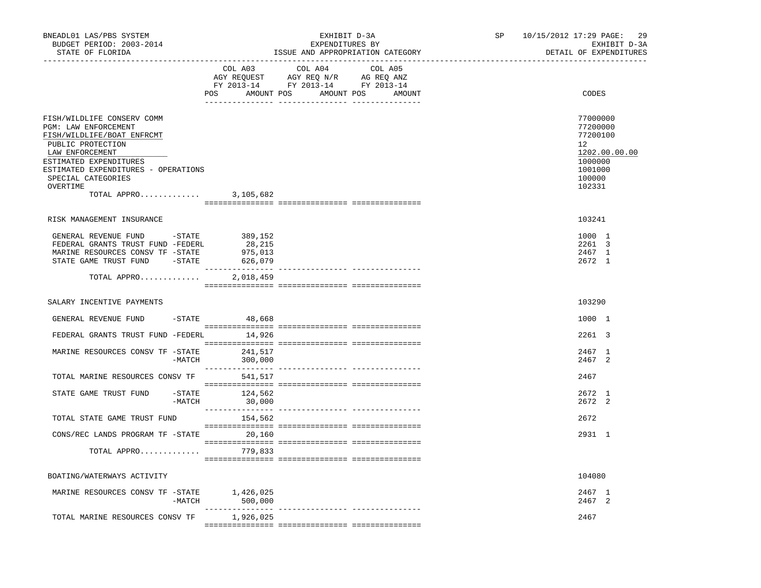| BNEADL01 LAS/PBS SYSTEM<br>BUDGET PERIOD: 2003-2014<br>STATE OF FLORIDA                                                                                                                                                                                |                                           | EXHIBIT D-3A<br>EXPENDITURES BY<br>ISSUE AND APPROPRIATION CATEGORY                                                                  | SP 10/15/2012 17:29 PAGE: 29<br>EXHIBIT D-3A<br>DETAIL OF EXPENDITURES                                          |
|--------------------------------------------------------------------------------------------------------------------------------------------------------------------------------------------------------------------------------------------------------|-------------------------------------------|--------------------------------------------------------------------------------------------------------------------------------------|-----------------------------------------------------------------------------------------------------------------|
|                                                                                                                                                                                                                                                        | POS                                       | COL A03 COL A04 COL A05<br>AGY REQUEST AGY REQ N/R AG REQ ANZ<br>FY 2013-14 FY 2013-14 FY 2013-14<br>AMOUNT POS AMOUNT POS<br>AMOUNT | CODES                                                                                                           |
| FISH/WILDLIFE CONSERV COMM<br>PGM: LAW ENFORCEMENT<br>FISH/WILDLIFE/BOAT ENFRCMT<br>PUBLIC PROTECTION<br>LAW ENFORCEMENT<br>ESTIMATED EXPENDITURES<br>ESTIMATED EXPENDITURES - OPERATIONS<br>SPECIAL CATEGORIES<br>OVERTIME<br>TOTAL APPRO 3, 105, 682 |                                           |                                                                                                                                      | 77000000<br>77200000<br>77200100<br>12 <sup>12</sup><br>1202.00.00.00<br>1000000<br>1001000<br>100000<br>102331 |
| RISK MANAGEMENT INSURANCE                                                                                                                                                                                                                              |                                           |                                                                                                                                      | 103241                                                                                                          |
| GENERAL REVENUE FUND -STATE 389,152<br>FEDERAL GRANTS TRUST FUND -FEDERL<br>MARINE RESOURCES CONSV TF -STATE<br>STATE GAME TRUST FUND - STATE<br>TOTAL APPRO                                                                                           | 28,215<br>975,013<br>626,079<br>2,018,459 |                                                                                                                                      | 1000 1<br>2261 3<br>2467 1<br>2672 1                                                                            |
| SALARY INCENTIVE PAYMENTS                                                                                                                                                                                                                              |                                           |                                                                                                                                      | 103290                                                                                                          |
| GENERAL REVENUE FUND                                                                                                                                                                                                                                   | $-$ STATE 48,668                          |                                                                                                                                      | 1000 1                                                                                                          |
| FEDERAL GRANTS TRUST FUND -FEDERL 14,926                                                                                                                                                                                                               |                                           |                                                                                                                                      | 2261 3                                                                                                          |
| MARINE RESOURCES CONSV TF -STATE<br>-MATCH                                                                                                                                                                                                             | 241,517<br>300,000                        |                                                                                                                                      | 2467 1<br>2467 2                                                                                                |
| TOTAL MARINE RESOURCES CONSV TF                                                                                                                                                                                                                        | 541,517                                   |                                                                                                                                      | 2467                                                                                                            |
| STATE GAME TRUST FUND<br>$-MATCH$                                                                                                                                                                                                                      | -STATE 124,562<br>30,000                  |                                                                                                                                      | 2672 1<br>2672 2                                                                                                |
| TOTAL STATE GAME TRUST FUND                                                                                                                                                                                                                            | 154,562                                   |                                                                                                                                      | 2672                                                                                                            |
| CONS/REC LANDS PROGRAM TF -STATE 20,160                                                                                                                                                                                                                |                                           |                                                                                                                                      | 2931 1                                                                                                          |
| TOTAL APPRO 779,833                                                                                                                                                                                                                                    |                                           |                                                                                                                                      |                                                                                                                 |
| BOATING/WATERWAYS ACTIVITY                                                                                                                                                                                                                             |                                           |                                                                                                                                      | 104080                                                                                                          |
| MARINE RESOURCES CONSV TF -STATE<br>-MATCH                                                                                                                                                                                                             | 1,426,025<br>500,000                      |                                                                                                                                      | 2467 1<br>2467 2                                                                                                |
| TOTAL MARINE RESOURCES CONSV TF                                                                                                                                                                                                                        | 1,926,025                                 |                                                                                                                                      | 2467                                                                                                            |
|                                                                                                                                                                                                                                                        |                                           |                                                                                                                                      |                                                                                                                 |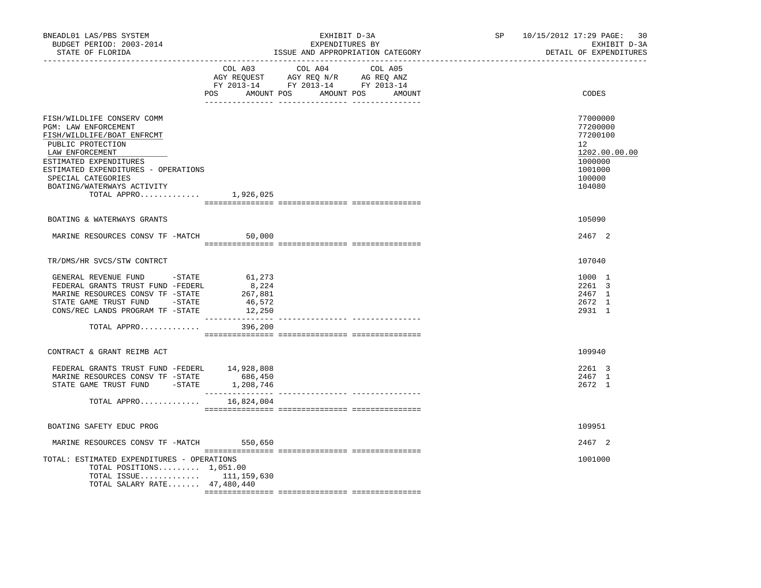| BNEADL01 LAS/PBS SYSTEM<br>BUDGET PERIOD: 2003-2014<br>STATE OF FLORIDA<br>-----------------                                                                                                                                                                           |                                                      | EXHIBIT D-3A<br>EXPENDITURES BY<br>ISSUE AND APPROPRIATION CATEGORY                                                                   | SP and the set of the set of the set of the set of the set of the set of the set of the set of the set of the set of the set of the set of the set of the set of the set of the set of the set of the set of the set of the se | 10/15/2012 17:29 PAGE:<br>30<br>EXHIBIT D-3A<br>DETAIL OF EXPENDITURES                            |
|------------------------------------------------------------------------------------------------------------------------------------------------------------------------------------------------------------------------------------------------------------------------|------------------------------------------------------|---------------------------------------------------------------------------------------------------------------------------------------|--------------------------------------------------------------------------------------------------------------------------------------------------------------------------------------------------------------------------------|---------------------------------------------------------------------------------------------------|
|                                                                                                                                                                                                                                                                        |                                                      | COL A03 COL A04 COL A05<br>AGY REQUEST AGY REQ N/R AG REQ ANZ<br>FY 2013-14 FY 2013-14 FY 2013-14<br>POS AMOUNT POS AMOUNT POS AMOUNT |                                                                                                                                                                                                                                | CODES                                                                                             |
| FISH/WILDLIFE CONSERV COMM<br>PGM: LAW ENFORCEMENT<br>FISH/WILDLIFE/BOAT ENFRCMT<br>PUBLIC PROTECTION<br>LAW ENFORCEMENT<br>ESTIMATED EXPENDITURES<br>ESTIMATED EXPENDITURES - OPERATIONS<br>SPECIAL CATEGORIES<br>BOATING/WATERWAYS ACTIVITY<br>TOTAL APPRO 1,926,025 |                                                      |                                                                                                                                       |                                                                                                                                                                                                                                | 77000000<br>77200000<br>77200100<br>12<br>1202.00.00.00<br>1000000<br>1001000<br>100000<br>104080 |
| BOATING & WATERWAYS GRANTS                                                                                                                                                                                                                                             |                                                      |                                                                                                                                       |                                                                                                                                                                                                                                | 105090                                                                                            |
| MARINE RESOURCES CONSV TF -MATCH                                                                                                                                                                                                                                       | 50,000                                               |                                                                                                                                       |                                                                                                                                                                                                                                | 2467 2                                                                                            |
| TR/DMS/HR SVCS/STW CONTRCT                                                                                                                                                                                                                                             |                                                      |                                                                                                                                       |                                                                                                                                                                                                                                | 107040                                                                                            |
| GENERAL REVENUE FUND -STATE<br>FEDERAL GRANTS TRUST FUND -FEDERL<br>MARINE RESOURCES CONSV TF -STATE<br>STATE GAME TRUST FUND -STATE<br>CONS/REC LANDS PROGRAM TF -STATE                                                                                               | 61,273<br>8,224<br>267,881<br>46,572<br>12,250       |                                                                                                                                       |                                                                                                                                                                                                                                | 1000 1<br>2261 3<br>2467 1<br>2672 1<br>2931 1                                                    |
| TOTAL APPRO                                                                                                                                                                                                                                                            | 396,200                                              |                                                                                                                                       |                                                                                                                                                                                                                                |                                                                                                   |
| CONTRACT & GRANT REIMB ACT                                                                                                                                                                                                                                             |                                                      |                                                                                                                                       |                                                                                                                                                                                                                                | 109940                                                                                            |
| FEDERAL GRANTS TRUST FUND -FEDERL 14,928,808<br>MARINE RESOURCES CONSV TF -STATE<br>STATE GAME TRUST FUND - STATE<br>TOTAL APPRO                                                                                                                                       | 686,450<br>1,208,746<br>______________<br>16,824,004 |                                                                                                                                       |                                                                                                                                                                                                                                | 2261 3<br>2467 1<br>2672 1                                                                        |
|                                                                                                                                                                                                                                                                        |                                                      |                                                                                                                                       |                                                                                                                                                                                                                                |                                                                                                   |
| BOATING SAFETY EDUC PROG                                                                                                                                                                                                                                               |                                                      |                                                                                                                                       |                                                                                                                                                                                                                                | 109951                                                                                            |
| MARINE RESOURCES CONSV TF -MATCH 550,650                                                                                                                                                                                                                               |                                                      |                                                                                                                                       |                                                                                                                                                                                                                                | 2467 2                                                                                            |
| TOTAL: ESTIMATED EXPENDITURES - OPERATIONS<br>TOTAL POSITIONS $1,051.00$<br>TOTAL ISSUE $111, 159, 630$<br>TOTAL SALARY RATE 47,480,440                                                                                                                                |                                                      |                                                                                                                                       |                                                                                                                                                                                                                                | 1001000                                                                                           |
|                                                                                                                                                                                                                                                                        |                                                      |                                                                                                                                       |                                                                                                                                                                                                                                |                                                                                                   |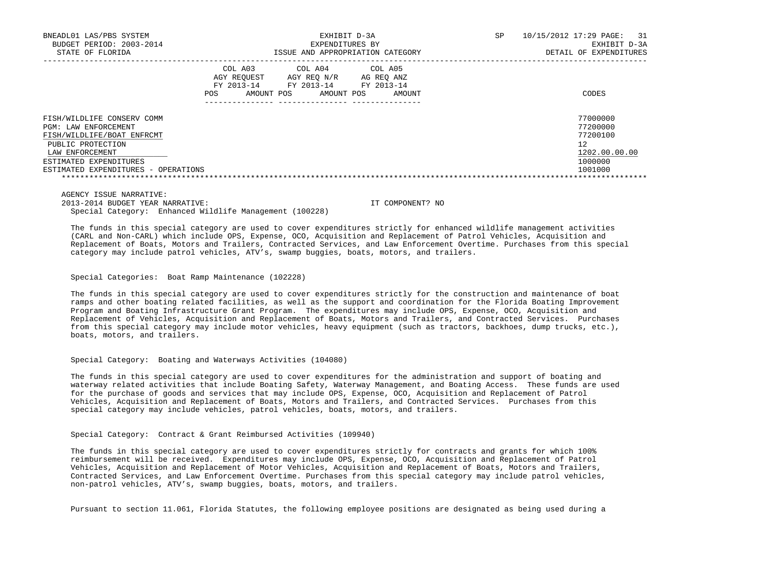| BNEADL01 LAS/PBS SYSTEM             |                                                                                        | EXHIBIT D-3A                                                        | SP | 31<br>10/15/2012 17:29 PAGE: |
|-------------------------------------|----------------------------------------------------------------------------------------|---------------------------------------------------------------------|----|------------------------------|
| BUDGET PERIOD: 2003-2014            |                                                                                        | EXPENDITURES BY                                                     |    | EXHIBIT D-3A                 |
| STATE OF FLORIDA                    |                                                                                        | ISSUE AND APPROPRIATION CATEGORY                                    |    | DETAIL OF EXPENDITURES       |
|                                     | COL A03<br>AGY REOUEST<br>AGY REO N/R<br>FY 2013-14<br>FY 2013-14<br>AMOUNT POS<br>POS | COL A04 COL A05<br>AG REO ANZ<br>FY 2013-14<br>AMOUNT POS<br>AMOUNT |    | CODES                        |
| FISH/WILDLIFE CONSERV COMM          |                                                                                        |                                                                     |    | 77000000                     |
| PGM: LAW ENFORCEMENT                |                                                                                        |                                                                     |    | 77200000                     |
| FISH/WILDLIFE/BOAT ENFRCMT          |                                                                                        |                                                                     |    | 77200100                     |
| PUBLIC PROTECTION                   |                                                                                        |                                                                     |    | 12                           |
| LAW ENFORCEMENT                     |                                                                                        |                                                                     |    | 1202.00.00.00                |
| ESTIMATED EXPENDITURES              |                                                                                        |                                                                     |    | 1000000                      |
| ESTIMATED EXPENDITURES - OPERATIONS |                                                                                        |                                                                     |    | 1001000                      |
|                                     |                                                                                        |                                                                     |    |                              |

 AGENCY ISSUE NARRATIVE: 2013-2014 BUDGET YEAR NARRATIVE: IT COMPONENT? NO Special Category: Enhanced Wildlife Management (100228)

 The funds in this special category are used to cover expenditures strictly for enhanced wildlife management activities (CARL and Non-CARL) which include OPS, Expense, OCO, Acquisition and Replacement of Patrol Vehicles, Acquisition and Replacement of Boats, Motors and Trailers, Contracted Services, and Law Enforcement Overtime. Purchases from this special category may include patrol vehicles, ATV's, swamp buggies, boats, motors, and trailers.

Special Categories: Boat Ramp Maintenance (102228)

 The funds in this special category are used to cover expenditures strictly for the construction and maintenance of boat ramps and other boating related facilities, as well as the support and coordination for the Florida Boating Improvement Program and Boating Infrastructure Grant Program. The expenditures may include OPS, Expense, OCO, Acquisition and Replacement of Vehicles, Acquisition and Replacement of Boats, Motors and Trailers, and Contracted Services. Purchases from this special category may include motor vehicles, heavy equipment (such as tractors, backhoes, dump trucks, etc.), boats, motors, and trailers.

Special Category: Boating and Waterways Activities (104080)

 The funds in this special category are used to cover expenditures for the administration and support of boating and waterway related activities that include Boating Safety, Waterway Management, and Boating Access. These funds are used for the purchase of goods and services that may include OPS, Expense, OCO, Acquisition and Replacement of Patrol Vehicles, Acquisition and Replacement of Boats, Motors and Trailers, and Contracted Services. Purchases from this special category may include vehicles, patrol vehicles, boats, motors, and trailers.

Special Category: Contract & Grant Reimbursed Activities (109940)

 The funds in this special category are used to cover expenditures strictly for contracts and grants for which 100% reimbursement will be received. Expenditures may include OPS, Expense, OCO, Acquisition and Replacement of Patrol Vehicles, Acquisition and Replacement of Motor Vehicles, Acquisition and Replacement of Boats, Motors and Trailers, Contracted Services, and Law Enforcement Overtime. Purchases from this special category may include patrol vehicles, non-patrol vehicles, ATV's, swamp buggies, boats, motors, and trailers.

Pursuant to section 11.061, Florida Statutes, the following employee positions are designated as being used during a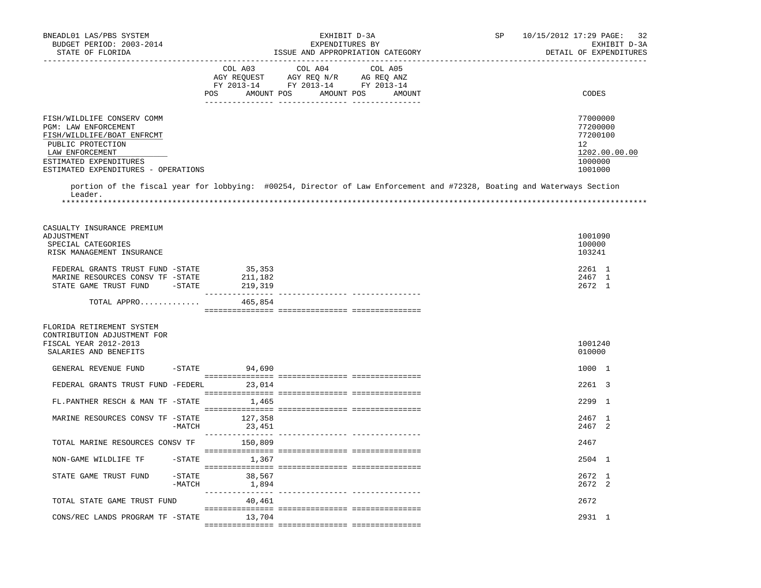| BNEADL01 LAS/PBS SYSTEM<br>BUDGET PERIOD: 2003-2014<br>STATE OF FLORIDA                                                                                                                   |                    |                                                                              | EXHIBIT D-3A<br>EXPENDITURES BY<br>ISSUE AND APPROPRIATION CATEGORY                                                                                                                                                           |         | SP                                                                                                                     | 10/15/2012 17:29 PAGE:<br>-32<br>EXHIBIT D-3A<br>DETAIL OF EXPENDITURES       |
|-------------------------------------------------------------------------------------------------------------------------------------------------------------------------------------------|--------------------|------------------------------------------------------------------------------|-------------------------------------------------------------------------------------------------------------------------------------------------------------------------------------------------------------------------------|---------|------------------------------------------------------------------------------------------------------------------------|-------------------------------------------------------------------------------|
|                                                                                                                                                                                           |                    | -----------------------------<br>COL A03<br>POS AMOUNT POS AMOUNT POS AMOUNT | COL A04<br>$\begin{tabular}{lllllllll} \bf{AGY} & \bf{REQUEST} & \bf{AGY} & \bf{REQ} & \bf{N/R} & \bf{AG} & \bf{REQ} & \bf{ANZ} \\ \bf{FY} & \bf{2013-14} & \bf{FY} & \bf{2013-14} & \bf{FY} & \bf{2013-14} \\ \end{tabular}$ | COL A05 |                                                                                                                        | CODES                                                                         |
| FISH/WILDLIFE CONSERV COMM<br>PGM: LAW ENFORCEMENT<br>FISH/WILDLIFE/BOAT ENFRCMT<br>PUBLIC PROTECTION<br>LAW ENFORCEMENT<br>ESTIMATED EXPENDITURES<br>ESTIMATED EXPENDITURES - OPERATIONS |                    |                                                                              |                                                                                                                                                                                                                               |         |                                                                                                                        | 77000000<br>77200000<br>77200100<br>12<br>1202.00.00.00<br>1000000<br>1001000 |
| Leader.                                                                                                                                                                                   |                    |                                                                              |                                                                                                                                                                                                                               |         | portion of the fiscal year for lobbying: #00254, Director of Law Enforcement and #72328, Boating and Waterways Section |                                                                               |
| CASUALTY INSURANCE PREMIUM<br>ADJUSTMENT<br>SPECIAL CATEGORIES<br>RISK MANAGEMENT INSURANCE                                                                                               |                    |                                                                              |                                                                                                                                                                                                                               |         |                                                                                                                        | 1001090<br>100000<br>103241                                                   |
| FEDERAL GRANTS TRUST FUND -STATE<br>MARINE RESOURCES CONSV TF -STATE<br>STATE GAME TRUST FUND                                                                                             | $-$ STATE          | 35,353<br>211,182<br>219,319                                                 |                                                                                                                                                                                                                               |         |                                                                                                                        | 2261 1<br>2467 1<br>2672 1                                                    |
| TOTAL APPRO                                                                                                                                                                               |                    | 465,854                                                                      |                                                                                                                                                                                                                               |         |                                                                                                                        |                                                                               |
| FLORIDA RETIREMENT SYSTEM<br>CONTRIBUTION ADJUSTMENT FOR<br>FISCAL YEAR 2012-2013<br>SALARIES AND BENEFITS                                                                                |                    |                                                                              |                                                                                                                                                                                                                               |         |                                                                                                                        | 1001240<br>010000                                                             |
| GENERAL REVENUE FUND                                                                                                                                                                      |                    | $-$ STATE 94,690                                                             |                                                                                                                                                                                                                               |         |                                                                                                                        | 1000 1                                                                        |
| FEDERAL GRANTS TRUST FUND -FEDERL 23,014                                                                                                                                                  |                    |                                                                              |                                                                                                                                                                                                                               |         |                                                                                                                        | 2261 3                                                                        |
| FL.PANTHER RESCH & MAN TF -STATE                                                                                                                                                          |                    | 1,465                                                                        |                                                                                                                                                                                                                               |         |                                                                                                                        | 2299 1                                                                        |
| MARINE RESOURCES CONSV TF -STATE                                                                                                                                                          | -MATCH             | 127,358<br>23,451                                                            |                                                                                                                                                                                                                               |         |                                                                                                                        | 2467 1<br>2467 2                                                              |
| TOTAL MARINE RESOURCES CONSV TF 150,809                                                                                                                                                   |                    |                                                                              |                                                                                                                                                                                                                               |         |                                                                                                                        | 2467                                                                          |
| NON-GAME WILDLIFE TF                                                                                                                                                                      |                    | $-$ STATE $1, 367$                                                           |                                                                                                                                                                                                                               |         |                                                                                                                        | 2504 1                                                                        |
| STATE GAME TRUST FUND                                                                                                                                                                     | -STATE<br>$-MATCH$ | 38,567<br>1,894                                                              |                                                                                                                                                                                                                               |         |                                                                                                                        | 2672 1<br>2672 2                                                              |
| TOTAL STATE GAME TRUST FUND                                                                                                                                                               |                    | 40,461                                                                       |                                                                                                                                                                                                                               |         |                                                                                                                        | 2672                                                                          |
| CONS/REC LANDS PROGRAM TF -STATE                                                                                                                                                          |                    | 13,704                                                                       |                                                                                                                                                                                                                               |         |                                                                                                                        | 2931 1                                                                        |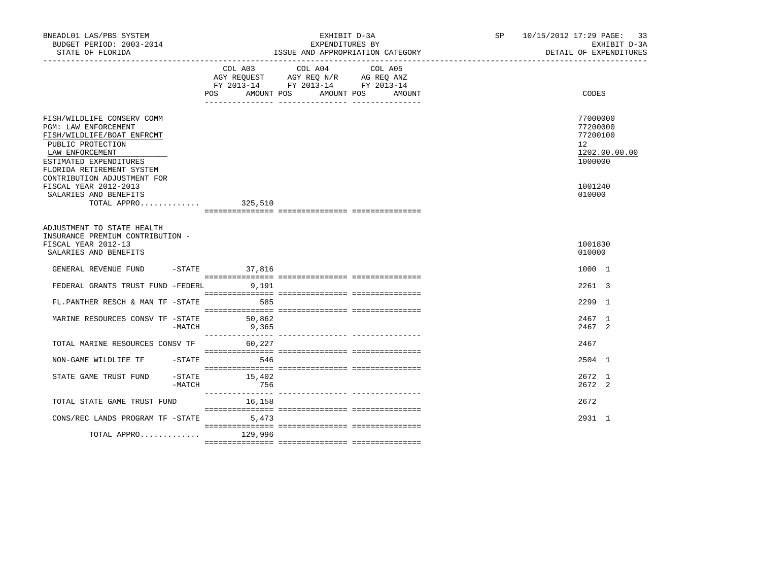| BNEADL01 LAS/PBS SYSTEM<br>BUDGET PERIOD: 2003-2014<br>STATE OF FLORIDA                                                                                                                                                                                          |                 | EXHIBIT D-3A<br>EXPENDITURES BY<br>ISSUE AND APPROPRIATION CATEGORY | SP 10/15/2012 17:29 PAGE: 33<br>DETAIL OF EXPENDITURES                                               | EXHIBIT D-3A |  |
|------------------------------------------------------------------------------------------------------------------------------------------------------------------------------------------------------------------------------------------------------------------|-----------------|---------------------------------------------------------------------|------------------------------------------------------------------------------------------------------|--------------|--|
|                                                                                                                                                                                                                                                                  |                 | COL A03 COL A04<br>COL A05<br>POS AMOUNT POS AMOUNT POS AMOUNT      | CODES                                                                                                |              |  |
|                                                                                                                                                                                                                                                                  |                 |                                                                     |                                                                                                      |              |  |
| FISH/WILDLIFE CONSERV COMM<br>PGM: LAW ENFORCEMENT<br>FISH/WILDLIFE/BOAT ENFRCMT<br>PUBLIC PROTECTION<br>LAW ENFORCEMENT<br>ESTIMATED EXPENDITURES<br>FLORIDA RETIREMENT SYSTEM<br>CONTRIBUTION ADJUSTMENT FOR<br>FISCAL YEAR 2012-2013<br>SALARIES AND BENEFITS |                 |                                                                     | 77000000<br>77200000<br>77200100<br>12 <sup>°</sup><br>1202.00.00.00<br>1000000<br>1001240<br>010000 |              |  |
| TOTAL APPRO                                                                                                                                                                                                                                                      | 325,510         |                                                                     |                                                                                                      |              |  |
| ADJUSTMENT TO STATE HEALTH<br>INSURANCE PREMIUM CONTRIBUTION -<br>FISCAL YEAR 2012-13<br>SALARIES AND BENEFITS<br>GENERAL REVENUE FUND                                                                                                                           | $-STATE$ 37,816 |                                                                     | 1001830<br>010000<br>1000 1                                                                          |              |  |
|                                                                                                                                                                                                                                                                  |                 |                                                                     |                                                                                                      |              |  |
| FEDERAL GRANTS TRUST FUND -FEDERL 9.191                                                                                                                                                                                                                          |                 |                                                                     | 2261 3                                                                                               |              |  |
| FL.PANTHER RESCH & MAN TF -STATE                                                                                                                                                                                                                                 | 585             |                                                                     | 2299 1                                                                                               |              |  |
| MARINE RESOURCES CONSV TF -STATE<br>$-MATCH$                                                                                                                                                                                                                     | 50,862<br>9,365 |                                                                     | 2467 1<br>2467 2                                                                                     |              |  |
| TOTAL MARINE RESOURCES CONSV TF 60,227                                                                                                                                                                                                                           |                 |                                                                     | 2467                                                                                                 |              |  |
| $-$ STATE<br>NON-GAME WILDLIFE TF                                                                                                                                                                                                                                | 546             |                                                                     | 2504 1                                                                                               |              |  |
| $-$ STATE<br>STATE GAME TRUST FUND<br>$-MATCH$                                                                                                                                                                                                                   | 15,402<br>756   |                                                                     | 2672 1<br>2672 2                                                                                     |              |  |
| TOTAL STATE GAME TRUST FUND                                                                                                                                                                                                                                      | 16,158          |                                                                     | 2672                                                                                                 |              |  |
| CONS/REC LANDS PROGRAM TF - STATE 5,473                                                                                                                                                                                                                          |                 |                                                                     | 2931 1                                                                                               |              |  |
| TOTAL APPRO 129,996                                                                                                                                                                                                                                              |                 |                                                                     |                                                                                                      |              |  |
|                                                                                                                                                                                                                                                                  |                 |                                                                     |                                                                                                      |              |  |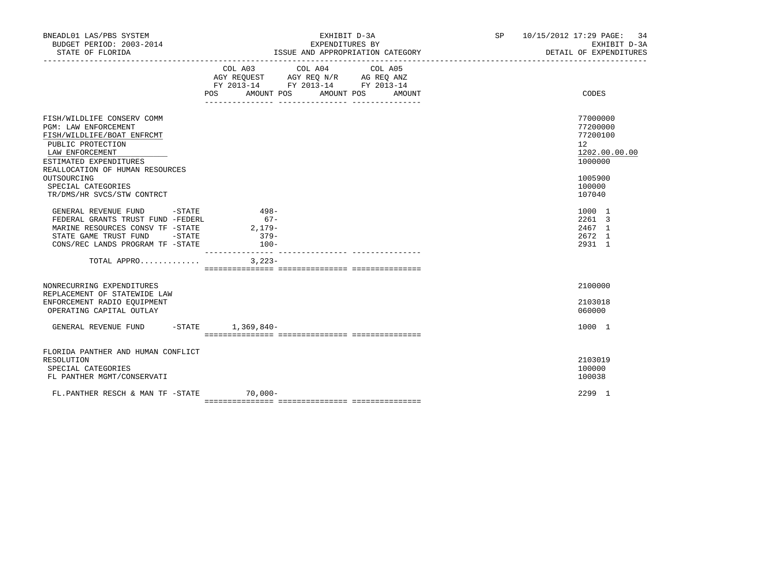| BNEADL01 LAS/PBS SYSTEM<br>BUDGET PERIOD: 2003-2014<br>STATE OF FLORIDA                                                                                                                                                                                  | EXHIBIT D-3A<br>EXPENDITURES BY<br>ISSUE AND APPROPRIATION CATEGORY                                                                               | SP 10/15/2012 17:29 PAGE: 34<br>EXHIBIT D-3A<br>DETAIL OF EXPENDITURES                                         |
|----------------------------------------------------------------------------------------------------------------------------------------------------------------------------------------------------------------------------------------------------------|---------------------------------------------------------------------------------------------------------------------------------------------------|----------------------------------------------------------------------------------------------------------------|
|                                                                                                                                                                                                                                                          | COL A03 COL A04<br>COL A05<br>AGY REQUEST AGY REQ N/R AG REQ ANZ<br>FY 2013-14 FY 2013-14 FY 2013-14<br>AMOUNT POS<br>AMOUNT POS<br>POS<br>AMOUNT | CODES                                                                                                          |
| FISH/WILDLIFE CONSERV COMM<br>PGM: LAW ENFORCEMENT<br>FISH/WILDLIFE/BOAT ENFRCMT<br>PUBLIC PROTECTION<br>LAW ENFORCEMENT<br>ESTIMATED EXPENDITURES<br>REALLOCATION OF HUMAN RESOURCES<br>OUTSOURCING<br>SPECIAL CATEGORIES<br>TR/DMS/HR SVCS/STW CONTRCT |                                                                                                                                                   | 77000000<br>77200000<br>77200100<br>12 <sup>°</sup><br>1202.00.00.00<br>1000000<br>1005900<br>100000<br>107040 |
| GENERAL REVENUE FUND<br>$-STATE$<br>FEDERAL GRANTS TRUST FUND -FEDERL<br>MARINE RESOURCES CONSV TF -STATE<br>STATE GAME TRUST FUND<br>$-\mathtt{STATE}$<br>CONS/REC LANDS PROGRAM TF -STATE                                                              | $498-$<br>$67-$<br>2,179-<br>$379-$<br>$100-$                                                                                                     | 1000 1<br>2261 3<br>2467 1<br>2672 1<br>2931 1                                                                 |
| TOTAL APPRO                                                                                                                                                                                                                                              | $3,223-$                                                                                                                                          |                                                                                                                |
| NONRECURRING EXPENDITURES<br>REPLACEMENT OF STATEWIDE LAW<br>ENFORCEMENT RADIO EQUIPMENT<br>OPERATING CAPITAL OUTLAY                                                                                                                                     |                                                                                                                                                   | 2100000<br>2103018<br>060000                                                                                   |
| GENERAL REVENUE FUND                                                                                                                                                                                                                                     | $-$ STATE $1,369,840-$                                                                                                                            | 1000 1                                                                                                         |
| FLORIDA PANTHER AND HUMAN CONFLICT<br>RESOLUTION<br>SPECIAL CATEGORIES<br>FL PANTHER MGMT/CONSERVATI                                                                                                                                                     |                                                                                                                                                   | 2103019<br>100000<br>100038                                                                                    |
| FL.PANTHER RESCH & MAN TF -STATE                                                                                                                                                                                                                         | $70,000 -$                                                                                                                                        | 2299 1                                                                                                         |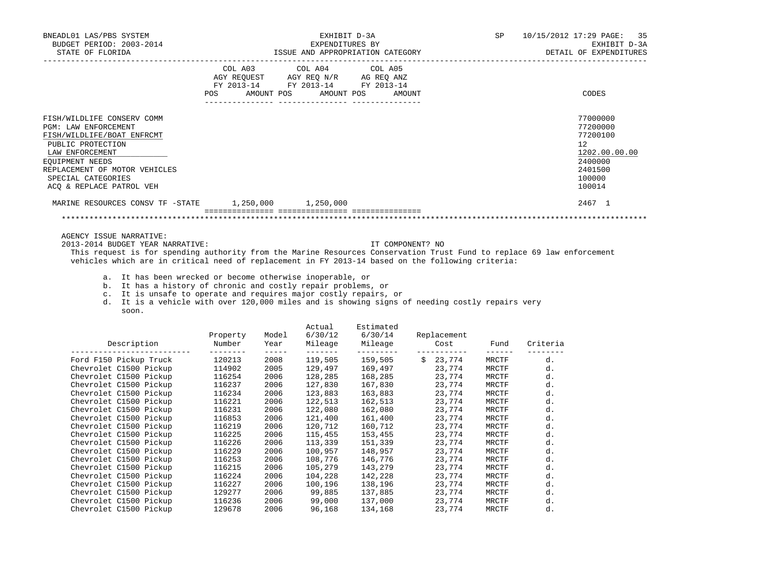| BNEADL01 LAS/PBS SYSTEM                                                                                                                                                                                                                                                                                                                                                                                                                                                                                                                                                                                 |                            |               |                       | EXHIBIT D-3A                                                                                                                                                                                                                                          |                                                                                                       | SP                    |                      | 10/15/2012 17:29 PAGE:<br>35                                                                                |
|---------------------------------------------------------------------------------------------------------------------------------------------------------------------------------------------------------------------------------------------------------------------------------------------------------------------------------------------------------------------------------------------------------------------------------------------------------------------------------------------------------------------------------------------------------------------------------------------------------|----------------------------|---------------|-----------------------|-------------------------------------------------------------------------------------------------------------------------------------------------------------------------------------------------------------------------------------------------------|-------------------------------------------------------------------------------------------------------|-----------------------|----------------------|-------------------------------------------------------------------------------------------------------------|
| BUDGET PERIOD: 2003-2014                                                                                                                                                                                                                                                                                                                                                                                                                                                                                                                                                                                |                            |               | EXPENDITURES BY       |                                                                                                                                                                                                                                                       |                                                                                                       |                       |                      | EXHIBIT D-3A                                                                                                |
|                                                                                                                                                                                                                                                                                                                                                                                                                                                                                                                                                                                                         |                            |               |                       |                                                                                                                                                                                                                                                       |                                                                                                       |                       |                      | DETAIL OF EXPENDITURES                                                                                      |
|                                                                                                                                                                                                                                                                                                                                                                                                                                                                                                                                                                                                         | POS                        |               | AMOUNT POS AMOUNT POS | COL A03 COL A04 COL A05<br>$\begin{tabular}{lllllll} \bf AGY \;\; REQUEST \hspace{1cm} AGY \;\; REQ \;\; N/R \hspace{1cm} AG \;\; REQ \;\; ANZ \\ \hline \tt FY \;\; 2013-14 \hspace{1cm} FY \;\; 2013-14 \hspace{1cm} FY \;\; 2013-14 \end{tabular}$ | AMOUNT                                                                                                |                       |                      | CODES                                                                                                       |
| FISH/WILDLIFE CONSERV COMM<br>PGM: LAW ENFORCEMENT<br>FISH/WILDLIFE/BOAT ENFRCMT<br>PUBLIC PROTECTION<br>LAW ENFORCEMENT<br>EQUIPMENT NEEDS<br>REPLACEMENT OF MOTOR VEHICLES<br>SPECIAL CATEGORIES<br>ACQ & REPLACE PATROL VEH                                                                                                                                                                                                                                                                                                                                                                          |                            |               |                       |                                                                                                                                                                                                                                                       |                                                                                                       |                       |                      | 77000000<br>77200000<br>77200100<br>$12^{\circ}$<br>1202.00.00.00<br>2400000<br>2401500<br>100000<br>100014 |
| MARINE RESOURCES CONSV TF -STATE 1,250,000 1,250,000                                                                                                                                                                                                                                                                                                                                                                                                                                                                                                                                                    |                            |               |                       |                                                                                                                                                                                                                                                       |                                                                                                       |                       |                      | 2467 1                                                                                                      |
| AGENCY ISSUE NARRATIVE:<br>2013-2014 BUDGET YEAR NARRATIVE:<br>This request is for spending authority from the Marine Resources Conservation Trust Fund to replace 69 law enforcement<br>vehicles which are in critical need of replacement in FY 2013-14 based on the following criteria:<br>a. It has been wrecked or become otherwise inoperable, or<br>b. It has a history of chronic and costly repair problems, or<br>c. It is unsafe to operate and requires major costly repairs, or<br>d. It is a vehicle with over 120,000 miles and is showing signs of needing costly repairs very<br>soon. |                            |               |                       |                                                                                                                                                                                                                                                       | IT COMPONENT? NO                                                                                      |                       |                      |                                                                                                             |
| Description<br>____________________________                                                                                                                                                                                                                                                                                                                                                                                                                                                                                                                                                             | Property<br>Number         | Model<br>Year | Actual<br>6/30/12     | Estimated<br>6/30/14                                                                                                                                                                                                                                  | Replacement<br>Mileage Mileage Cost                                                                   | Fund<br>$\frac{1}{2}$ | Criteria<br>-------- |                                                                                                             |
| Ford F150 Pickup Truck                                                                                                                                                                                                                                                                                                                                                                                                                                                                                                                                                                                  | 120213                     | 2008          |                       |                                                                                                                                                                                                                                                       |                                                                                                       | MRCTF                 | d.                   |                                                                                                             |
| Chevrolet C1500 Pickup 114902                                                                                                                                                                                                                                                                                                                                                                                                                                                                                                                                                                           |                            | 2005          |                       |                                                                                                                                                                                                                                                       |                                                                                                       | <b>MRCTF</b>          | d.                   |                                                                                                             |
| Chevrolet C1500 Pickup                                                                                                                                                                                                                                                                                                                                                                                                                                                                                                                                                                                  | 116254<br>116237<br>116234 | 2006          |                       |                                                                                                                                                                                                                                                       | $128, 285$ $168, 285$ $23, 774$<br>$127, 830$ $167, 830$ $23, 774$<br>$123, 883$ $163, 883$ $23, 774$ | <b>MRCTF</b>          | d.                   |                                                                                                             |
| Chevrolet C1500 Pickup                                                                                                                                                                                                                                                                                                                                                                                                                                                                                                                                                                                  |                            | 2006          |                       |                                                                                                                                                                                                                                                       |                                                                                                       | MRCTF                 | d.                   |                                                                                                             |
| Chevrolet C1500 Pickup                                                                                                                                                                                                                                                                                                                                                                                                                                                                                                                                                                                  |                            | 2006          | 123,883               |                                                                                                                                                                                                                                                       |                                                                                                       | MRCTF                 | d.                   |                                                                                                             |
| Chevrolet C1500 Pickup                                                                                                                                                                                                                                                                                                                                                                                                                                                                                                                                                                                  | 116221                     | 2006          | 122,513               | 162,513                                                                                                                                                                                                                                               | 23,774                                                                                                | MRCTF                 | d.                   |                                                                                                             |

Chevrolet C1500 Pickup 116221 2006 122,513 162,513 23,774 MRCTF d.<br>Chevrolet C1500 Pickup 116231 2006 122,080 162,080 23,774 MRCTF d. Chevrolet C1500 Pickup 116231 2006 122,080 162,080 23,774 MRCTF d.<br>Chevrolet C1500 Pickup 116853 2006 121,400 161,400 23,774 MRCTF d. Chevrolet C1500 Pickup 116853 2006 121,400 161,400 23,774 MRCTF d.<br>Chevrolet C1500 Pickup 116219 2006 120,712 160,712 23,774 MRCTF d.

Chevrolet C1500 Pickup 116215 2006 105,279 143,279 23,774 MRCTF d.<br>Chevrolet C1500 Pickup 116224 2006 104,228 142,228 23,774 MRCTF d.

Chevrolet C1500 Pickup 116227 2006 100,196 138,196 23,774 MRCTF d.<br>Chevrolet C1500 Pickup 129277 2006 99,885 137,885 23,774 MRCTF d.

Chevrolet C1500 Pickup 116236 2006 99,000 137,000 23,774 MRCTF d.<br>Chevrolet C1500 Pickup 129678 2006 96,168 134,168 23,774 MRCTF d. Chevrolet C1500 Pickup 129678 2006 96,168 134,168 23,774 MRCTF d.

 Chevrolet C1500 Pickup 116225 2006 115,455 153,455 23,774 MRCTF d. Chevrolet C1500 Pickup 116226 2006 113,339 151,339 23,774 MRCTF d. Chevrolet C1500 Pickup 116229 2006 100,957 148,957 23,774 MRCTF d.<br>Chevrolet C1500 Pickup 116253 2006 108,776 146,776 23,774 MRCTF d.

Chevrolet C1500 Pickup 129277 2006 99,885 137,885 23,774 MRCTF Chevrolet C1500 Pickup 116236 2006 99,000 137,000 23,774 MRCTF

Chevrolet C1500 Pickup 116219 2006 120,712 160,712 23,774<br>
Chevrolet C1500 Pickup 116225 2006 115,455 153,455 23,774<br>
Chevrolet C1500 Pickup 116226 2006 113,339 151,339 23,774

Chevrolet C1500 Pickup 116253 2006 108,776 146,776 23,774<br>Chevrolet C1500 Pickup 116215 2006 105,279 143,279 23,774

Chevrolet C1500 Pickup 116224 2006 104,228 142,228 23,774<br>
Chevrolet C1500 Pickup 116227 2006 100,196 138,196 23,774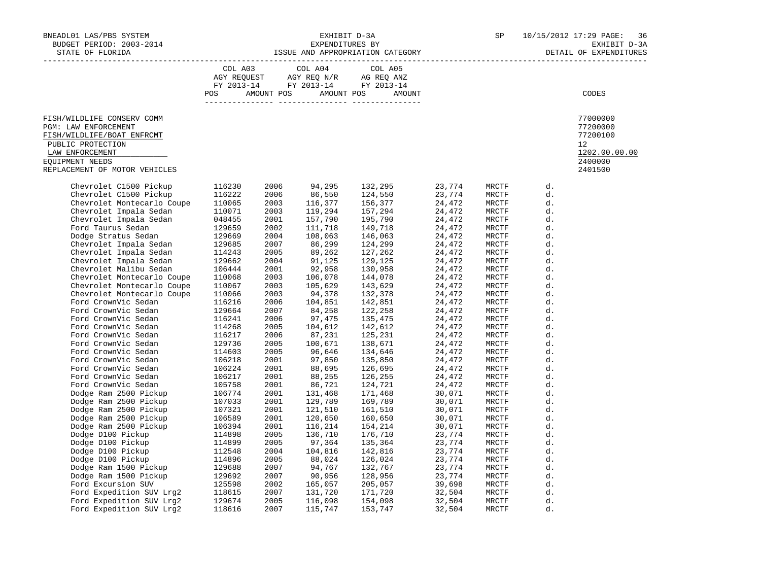| BNEADL01 LAS/PBS SYSTEM<br>BUDGET PERIOD: 2003-2014<br>STATE OF FLORIDA                                                                                                                                                                                                                                                                                                                                                                                                                                                                                                                                                                                                                                                   | EXHIBIT D-3A SP 10/1<br>EXPENDITURES BY EXPENDITURES BY SP 10/1<br>ISSUE AND APPROPRIATION CATEGORY |                                                                                                                                                                                                                                                                                                      |                                                                                                                                                                                                                                                                                                                                                                                                  |                                                                                                                                                                                                                                                                             |  |                                                                                                                                                                                                                                                                                                                                           | 10/15/2012 17:29 PAGE:<br>36<br>EXHIBIT D-3A<br>DETAIL OF EXPENDITURES                                                                                                                                                     |                                                                                         |
|---------------------------------------------------------------------------------------------------------------------------------------------------------------------------------------------------------------------------------------------------------------------------------------------------------------------------------------------------------------------------------------------------------------------------------------------------------------------------------------------------------------------------------------------------------------------------------------------------------------------------------------------------------------------------------------------------------------------------|-----------------------------------------------------------------------------------------------------|------------------------------------------------------------------------------------------------------------------------------------------------------------------------------------------------------------------------------------------------------------------------------------------------------|--------------------------------------------------------------------------------------------------------------------------------------------------------------------------------------------------------------------------------------------------------------------------------------------------------------------------------------------------------------------------------------------------|-----------------------------------------------------------------------------------------------------------------------------------------------------------------------------------------------------------------------------------------------------------------------------|--|-------------------------------------------------------------------------------------------------------------------------------------------------------------------------------------------------------------------------------------------------------------------------------------------------------------------------------------------|----------------------------------------------------------------------------------------------------------------------------------------------------------------------------------------------------------------------------|-----------------------------------------------------------------------------------------|
|                                                                                                                                                                                                                                                                                                                                                                                                                                                                                                                                                                                                                                                                                                                           | COL A03                                                                                             |                                                                                                                                                                                                                                                                                                      | COL A04<br>POS AMOUNT POS AMOUNT POS                                                                                                                                                                                                                                                                                                                                                             | COL A05<br>AGY REQUEST AGY REQ N/R AG REQ ANZ<br>FY 2013-14 FY 2013-14 FY 2013-14<br>AMOUNT                                                                                                                                                                                 |  |                                                                                                                                                                                                                                                                                                                                           |                                                                                                                                                                                                                            | CODES                                                                                   |
| FISH/WILDLIFE CONSERV COMM<br>PGM: LAW ENFORCEMENT<br>FISH/WILDLIFE/BOAT ENFRCMT<br>PUBLIC PROTECTION<br>LAW ENFORCEMENT<br>EQUIPMENT NEEDS<br>REPLACEMENT OF MOTOR VEHICLES                                                                                                                                                                                                                                                                                                                                                                                                                                                                                                                                              |                                                                                                     |                                                                                                                                                                                                                                                                                                      |                                                                                                                                                                                                                                                                                                                                                                                                  |                                                                                                                                                                                                                                                                             |  |                                                                                                                                                                                                                                                                                                                                           |                                                                                                                                                                                                                            | 77000000<br>77200000<br>77200100<br>$12^{\circ}$<br>1202.00.00.00<br>2400000<br>2401500 |
| Chevrolet C1500 Pickup<br>Chevrolet C1500 Pickup<br>Chevrolet C1500 Pickup<br>Chevrolet Montecarlo Coupe<br>Chevrolet Impala Sedan<br>Chevrolet Impala Sedan<br>110071<br>Chevrolet Impala Sedan<br>129659<br>Dodge Stratus Sedan<br>129669<br>Chevrolet Impala Sedan<br>129685<br>Chevrolet Impala Seda<br>Chevrolet Montecarlo Coupe<br>Chevrolet Montecarlo Coupe<br>Chevrolet Montecarlo Coupe<br>Ford CrownVic Sedan<br>Ford CrownVic Sedan<br>Ford CrownVic Sedan<br>Ford CrownVic Sedan 116241<br>Ford CrownVic Sedan 116241<br>Ford CrownVic Sedan 114268<br>Ford CrownVic Sedan 114268<br>Ford CrownVic Sedan 116217<br>Ford CrownVic Sedan 10618<br>Ford CrownVic Sedan 10618<br>Ford CrownVic Sedan 106218<br> | 116230<br>116222<br>110068<br>110067<br>110066<br>116216<br>129664<br>116241                        | 2006<br>2006<br>2003<br>2003<br>2001<br>2002<br>2004<br>2007<br>2005<br>2004<br>2001<br>2003<br>2003<br>2003<br>2006<br>2007<br>2006<br>2005<br>2006<br>2005<br>2005<br>2001<br>2001<br>2001<br>2001<br>2001<br>2001<br>2001<br>2001<br>2001<br>2005<br>2005<br>2004<br>2005<br>2007<br>2007<br>2002 | 94,295<br>86,550<br>116,377<br>119,294<br>157,790<br>111,718<br>108,063<br>86,299<br>89,262<br>91,125<br>92,958<br>106,078<br>105,629<br>94,378<br>104,851<br>84,258<br>97,475<br>104,612<br>87,231<br>100,671<br>96,646<br>97,850<br>88,695<br>88,255<br>86,721<br>131,468<br>129,789<br>121,510<br>120,650<br>116,214<br>136,710<br>97,364<br>104,816<br>88,024<br>94,767<br>90,956<br>165,057 | $\begin{array}{cccc} 132, 295 & 23, 774 \\ 124, 550 & 23, 774 \\ 156, 377 & 24, 472 \\ 157, 294 & 24, 472 \\ 195, 790 & 24, 472 \\ 149, 718 & 24, 472 \\ 149, 718 & 24, 472 \\ 146, 063 & 24, 472 \\ 124, 299 & 24, 472 \\ 127, 262 & 24, 472 \\ 130, 958 & 24, 472 \\ 130$ |  | MRCTF<br>MRCTF<br>MRCTF<br>MRCTF<br>MRCTF<br>MRCTF<br>MRCTF<br>MRCTF<br>MRCTF<br>MRCTF<br>MRCTF<br>MRCTF<br>MRCTF<br>MRCTF<br>MRCTF<br>MRCTF<br>MRCTF<br>MRCTF<br>MRCTF<br>MRCTF<br>MRCTF<br>MRCTF<br>MRCTF<br>MRCTF<br>MRCTF<br>MRCTF<br>MRCTF<br>MRCTF<br>MRCTF<br>MRCTF<br>MRCTF<br>MRCTF<br>MRCTF<br>MRCTF<br>MRCTF<br>MRCTF<br>MRCTF | d.<br>d.<br>d.<br>d.<br>d.<br>d.<br>d.<br>d.<br>d.<br>d.<br>d.<br>d.<br>d.<br>d.<br>d.<br>d.<br>d.<br>d.<br>d.<br>d.<br>d.<br>d.<br>d.<br>d.<br>d.<br>d.<br>d.<br>d.<br>d.<br>d.<br>d.<br>d.<br>d.<br>d.<br>d.<br>d.<br>d. |                                                                                         |
|                                                                                                                                                                                                                                                                                                                                                                                                                                                                                                                                                                                                                                                                                                                           |                                                                                                     | 2007<br>2005<br>2007                                                                                                                                                                                                                                                                                 | 131,720<br>116,098<br>115,747                                                                                                                                                                                                                                                                                                                                                                    |                                                                                                                                                                                                                                                                             |  | MRCTF<br>MRCTF<br>MRCTF                                                                                                                                                                                                                                                                                                                   | d.<br>d.<br>d.                                                                                                                                                                                                             |                                                                                         |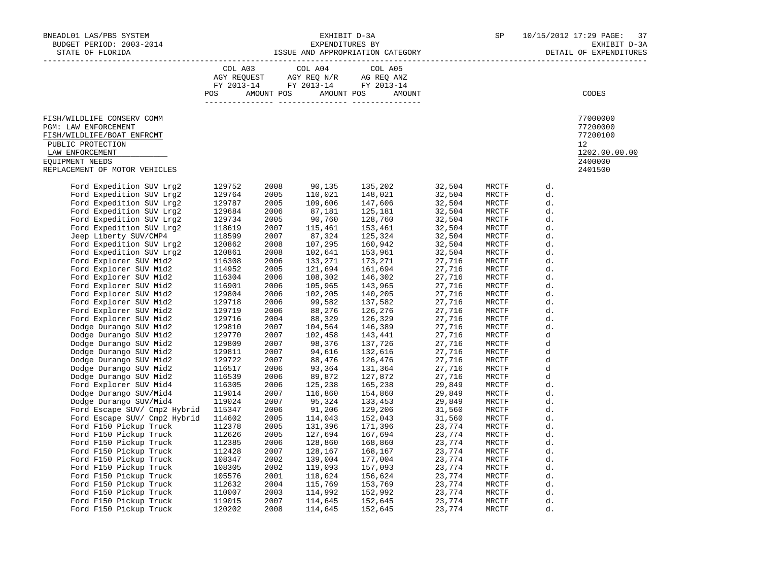| BNEADL01 LAS/PBS SYSTEM<br>BUDGET PERIOD: 2003-2014<br>STATE OF FLORIDA                                                                                                                                                                                                                                                                                                                                                                                                                                                                                                                                                                                                                                                                                                                                                                                                                                                                                   |                                                                                                                                                                                                                                                                                                                    |                                                                                                                                                                                                                                                                              |                                                                                                                                                                                                                                                                                                                                                                      | EXHIBIT D-3A SP 10/<br>EXPENDITURES BY SEXPENDITURES BY SSUE AND APPROPRIATION CATEGORY                                                                                                                                                                                                                                                                                                                                                                                                                                                                                                                                                                                                                                                                                                                                          |                                                                                                                                                                                                                                                                                                                |                                                                                                                                                                                                    | 10/15/2012 17:29 PAGE:<br>37<br>EXHIBIT D-3A<br>DETAIL OF EXPENDITURES        |
|-----------------------------------------------------------------------------------------------------------------------------------------------------------------------------------------------------------------------------------------------------------------------------------------------------------------------------------------------------------------------------------------------------------------------------------------------------------------------------------------------------------------------------------------------------------------------------------------------------------------------------------------------------------------------------------------------------------------------------------------------------------------------------------------------------------------------------------------------------------------------------------------------------------------------------------------------------------|--------------------------------------------------------------------------------------------------------------------------------------------------------------------------------------------------------------------------------------------------------------------------------------------------------------------|------------------------------------------------------------------------------------------------------------------------------------------------------------------------------------------------------------------------------------------------------------------------------|----------------------------------------------------------------------------------------------------------------------------------------------------------------------------------------------------------------------------------------------------------------------------------------------------------------------------------------------------------------------|----------------------------------------------------------------------------------------------------------------------------------------------------------------------------------------------------------------------------------------------------------------------------------------------------------------------------------------------------------------------------------------------------------------------------------------------------------------------------------------------------------------------------------------------------------------------------------------------------------------------------------------------------------------------------------------------------------------------------------------------------------------------------------------------------------------------------------|----------------------------------------------------------------------------------------------------------------------------------------------------------------------------------------------------------------------------------------------------------------------------------------------------------------|----------------------------------------------------------------------------------------------------------------------------------------------------------------------------------------------------|-------------------------------------------------------------------------------|
|                                                                                                                                                                                                                                                                                                                                                                                                                                                                                                                                                                                                                                                                                                                                                                                                                                                                                                                                                           | COL A03                                                                                                                                                                                                                                                                                                            |                                                                                                                                                                                                                                                                              |                                                                                                                                                                                                                                                                                                                                                                      | COL A04 COL A05<br>AGY REQUEST AGY REQ N/R AG REQ ANZ<br>FY 2013-14 FY 2013-14 FY 2013-14<br>POS AMOUNT POS AMOUNT POS AMOUNT                                                                                                                                                                                                                                                                                                                                                                                                                                                                                                                                                                                                                                                                                                    |                                                                                                                                                                                                                                                                                                                |                                                                                                                                                                                                    | CODES                                                                         |
| FISH/WILDLIFE CONSERV COMM<br>PGM: LAW ENFORCEMENT<br>FISH/WILDLIFE/BOAT ENFRCMT<br>PUBLIC PROTECTION<br>LAW ENFORCEMENT<br>EOUIPMENT NEEDS<br>REPLACEMENT OF MOTOR VEHICLES                                                                                                                                                                                                                                                                                                                                                                                                                                                                                                                                                                                                                                                                                                                                                                              |                                                                                                                                                                                                                                                                                                                    |                                                                                                                                                                                                                                                                              |                                                                                                                                                                                                                                                                                                                                                                      |                                                                                                                                                                                                                                                                                                                                                                                                                                                                                                                                                                                                                                                                                                                                                                                                                                  |                                                                                                                                                                                                                                                                                                                |                                                                                                                                                                                                    | 77000000<br>77200000<br>77200100<br>12<br>1202.00.00.00<br>2400000<br>2401500 |
| Ford Expedition SUV Lrg2<br>Ford Expedition SUV Lrg2<br>Ford Expedition SUV Lrg2<br>Ford Expedition SUV Lrg2<br>Ford Expedition SUV Lrg2<br>Ford Expedition SUV Lrg2<br>Jeep Liberty SUV/CMP4<br>Ford Expedition SUV Lrg2<br>Ford Expedition SUV Lrg2<br>Ford Explorer SUV Mid2<br>Ford Explorer SUV Mid2<br>Ford Explorer SUV Mid2<br>Ford Explorer SUV Mid2<br>Ford Explorer SUV Mid2<br>Ford Explorer SUV Mid2<br>Ford Explorer SUV Mid2<br>Ford Explorer SUV Mid2<br>Dodge Durango SUV Mid2<br>Dodge Durango SUV Mid2<br>Dodge Durango SUV Mid2<br>Dodge Durango SUV Mid2<br>Dodge Durango SUV Mid2<br>Dodge Durango SUV Mid2<br>Dodge Durango SUV Mid2<br>Ford Explorer SUV Mid4<br>Dodge Durango SUV/Mid4<br>Dodge Durango SUV/Mid4<br>Ford Escape SUV/ Cmp2 Hybrid 115347<br>Ford Escape SUV/ Cmp2 Hybrid 114602<br>Ford F150 Pickup Truck<br>Ford F150 Pickup Truck<br>Ford F150 Pickup Truck<br>Ford F150 Pickup Truck<br>Ford F150 Pickup Truck | 129752<br>129764<br>129787<br>129684<br>129734<br>118619<br>118500<br>118599<br>120862<br>120861<br>116308<br>114952<br>114952<br>116304<br>116901<br>129804<br>129719<br>129716<br>129716<br>129716<br>129770<br>129809<br>129770<br>129809<br>129722<br>116517<br>116539<br>116305<br>119024<br>119024<br>112378 | 2008<br>2005<br>2005<br>2006<br>2005<br>2007<br>2007<br>2008<br>2008<br>2006<br>2005<br>2006<br>2006<br>2006<br>2006<br>2006<br>2004<br>2007<br>2007<br>2007<br>2007<br>2007<br>2006<br>2006<br>2006<br>2007<br>2007<br>2006<br>2005<br>2005<br>2005<br>2006<br>2007<br>2002 | 90,135<br>110,021<br>109,606<br>87,181<br>90,760<br>115,461<br>87,324<br>107,295<br>102,641<br>133,271<br>121,694<br>108,302<br>105,965<br>102,205<br>99,582<br>88,276<br>88,329<br>104,564<br>102,458<br>98,376<br>94,616<br>88,476<br>93,364<br>89,872<br>125,238<br>116,860<br>95,324<br>91,206<br>114,043<br>131,396<br>127,694<br>128,860<br>128,167<br>139,004 | $\begin{array}{cccc} 135, 202 & 32, 504 \\ 148, 021 & 32, 504 \\ 147, 606 & 32, 504 \\ 125, 181 & 32, 504 \\ 128, 760 & 32, 504 \\ 153, 461 & 32, 504 \\ 153, 961 & 32, 504 \\ 153, 961 & 32, 504 \\ 153, 961 & 32, 504 \\ 153, 961 & 32, 504 \\ 146, 902 & 27, 716 \\ 146$<br>129, 206<br>152, 043<br>171, 396<br>175, 604<br>175, 604<br>187, 604<br>187, 604<br>187, 604<br>187, 704<br>187, 704<br>187, 704<br>188, 705<br>188, 705<br>188, 705<br>188, 705<br>188, 705<br>188, 705<br>188, 705<br>188, 705<br>188, 705<br>18<br>$\begin{array}{llll} 129\,, 206 & 31\,, 560 \\ 152\,, 043 & 31\,, 560 \\ 171\,, 396 & 23\,, 774 \\ 167\,, 694 & 23\,, 774 \\ 168\,, 860 & 23\,, 774 \\ 168\,, 167 & 23\,, 774 \\ 177\,, 004 & 23\,, 774 \\ 157\,, 093 & 23\,, 774 \\ 156\,, 624 & 23\,, 774 \\ 153\,, 769 & 23\,, 774 \\ 1$ | MRCTF<br>MRCTF<br>MRCTF<br>MRCTF<br>MRCTF<br>MRCTF<br>MRCTF<br>MRCTF<br>MRCTF<br>MRCTF<br>MRCTF<br>MRCTF<br>MRCTF<br>MRCTF<br>MRCTF<br>MRCTF<br>MRCTF<br>MRCTF<br>MRCTF<br>MRCTF<br>MRCTF<br>MRCTF<br>MRCTF<br>MRCTF<br>MRCTF<br>MRCTF<br>MRCTF<br>MRCTF<br>MRCTF<br>MRCTF<br>MRCTF<br>MRCTF<br>MRCTF<br>MRCTF | d.<br>d.<br>d.<br>d.<br>d.<br>d.<br>d.<br>d.<br>d.<br>d.<br>d.<br>d.<br>d.<br>d.<br>d.<br>d.<br>d.<br>d.<br>d<br>d<br>d<br>d<br>d<br>d<br>d.<br>d.<br>d.<br>d.<br>d.<br>d.<br>d.<br>d.<br>d.<br>d. |                                                                               |
| Ford F150 Pickup Truck<br>Ford F150 Pickup Truck<br>Ford F150 Pickup Truck<br>Ford F150 Pickup Truck<br>Ford F150 Pickup Truck<br>Ford F150 Pickup Truck                                                                                                                                                                                                                                                                                                                                                                                                                                                                                                                                                                                                                                                                                                                                                                                                  | $112626$<br>$112385$<br>$112428$<br>$108347$<br>$108305$<br>$105576$<br>$112632$<br>$110007$<br>$119015$<br>$120202$<br>120202                                                                                                                                                                                     | 2002<br>2001<br>2004<br>2003<br>2007<br>2008                                                                                                                                                                                                                                 | 119,093<br>118,624<br>115,769<br>114,992<br>114,645<br>114,645                                                                                                                                                                                                                                                                                                       |                                                                                                                                                                                                                                                                                                                                                                                                                                                                                                                                                                                                                                                                                                                                                                                                                                  | MRCTF<br>MRCTF<br>MRCTF<br>MRCTF<br>MRCTF<br>MRCTF                                                                                                                                                                                                                                                             | d.<br>d.<br>d.<br>d.<br>d.<br>d.                                                                                                                                                                   |                                                                               |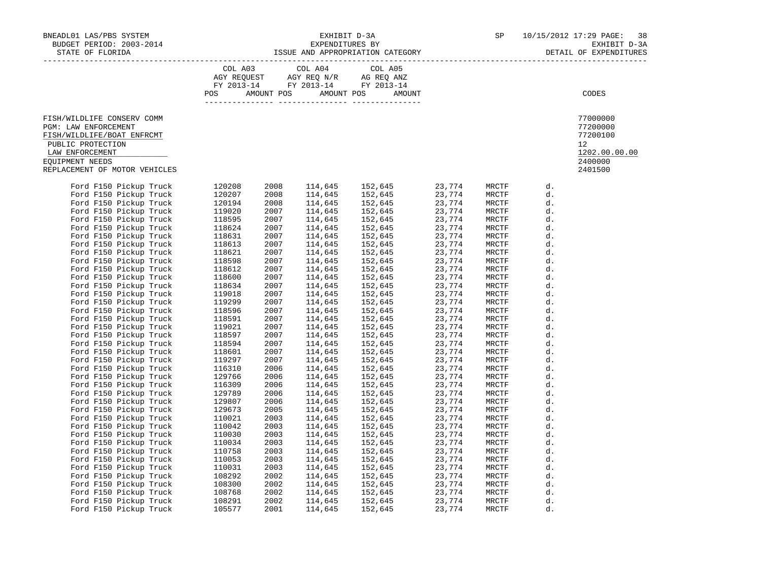| BNEADL01 LAS/PBS SYSTEM $\texttt{EXHIBIT D-3A} \hspace{2.0cm} \texttt{EXHIBIT D-3A} \hspace{2.0cm} \texttt{SPP} \hspace{2.0cm} \texttt{SPP} \hspace{2.0cm} \texttt{D-3A} \hspace{2.0cm} \texttt{SPP} \hspace{2.0cm} \texttt{SPP} \hspace{2.0cm} \texttt{D-3A} \hspace{2.0cm} \texttt{EXHIBIT D-3A} \hspace{2.0cm} \texttt{EXHIBIT D-3A} \hspace{2.0cm} \texttt{EXHIBIT D$ |  |                                                                                                                                                                                                                               |  |                                                                               |
|---------------------------------------------------------------------------------------------------------------------------------------------------------------------------------------------------------------------------------------------------------------------------------------------------------------------------------------------------------------------------|--|-------------------------------------------------------------------------------------------------------------------------------------------------------------------------------------------------------------------------------|--|-------------------------------------------------------------------------------|
|                                                                                                                                                                                                                                                                                                                                                                           |  | $\begin{tabular}{lcccc} COL A03 & COL A04 & COL A05 \\ AGY REQUEST & AGY REQ N/R & AG REQ ANZ \\ FY & 2013-14 & FY & 2013-14 & FY & 2013-14 \end{tabular}$<br>POS AMOUNT POS AMOUNT POS AMOUNT                                |  | CODES                                                                         |
| FISH/WILDLIFE CONSERV COMM<br>PGM: LAW ENFORCEMENT<br>FISH/WILDLIFE/BOAT ENFRCMT<br>PUBLIC PROTECTION<br>LAW ENFORCEMENT<br>EQUIPMENT NEEDS<br>REPLACEMENT OF MOTOR VEHICLES                                                                                                                                                                                              |  |                                                                                                                                                                                                                               |  | 77000000<br>77200000<br>77200100<br>12<br>1202.00.00.00<br>2400000<br>2401500 |
| CEMENT OF MOTOR VEHICLES<br>FORM FISO Pickup Truck<br>FOR FISO Pickup Truck<br>Ford FISO Pickup Truck<br>Ford FISO Pickup Truck<br>1202097<br>Ford FISO Pickup Truck<br>119020<br>Ford FISO Pickup Truck<br>118624<br>Ford FISO Pickup Truck<br>118                                                                                                                       |  | 114,645 152,645 23,774 MRCTF 114,645 152,645 23,774 MRCTF 114,645 152,645 23,774 MRCTF 1151,646 152,645 23,774 MRCTF 114,646 152,645 23,774 MRCTF 1116,645 152,645 23,774 MRCTF 1116,645 152,645 23,774 MRCTF 1116,645 152,64 |  |                                                                               |
|                                                                                                                                                                                                                                                                                                                                                                           |  |                                                                                                                                                                                                                               |  |                                                                               |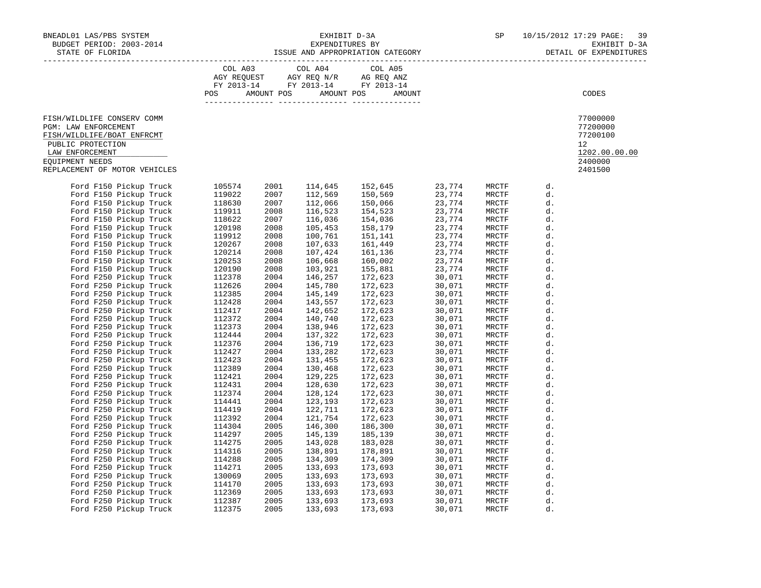| BNEADL01 LAS/PBS SYSTEM $\texttt{EXHIBIT D-3A} \hspace{2.0cm} \texttt{EXHIBIT D-3A} \hspace{2.0cm} \texttt{SPP} \hspace{2.0cm} \texttt{SPP} \hspace{2.0cm} \texttt{D-3A} \hspace{2.0cm} \texttt{SPP} \hspace{2.0cm} \texttt{SPP} \hspace{2.0cm} \texttt{D-3A} \hspace{2.0cm} \texttt{EXHIBIT D-3A} \hspace{2.0cm} \texttt{EXHIBIT D-3A} \hspace{2.0cm} \texttt{EXHIBIT D$ |  |                                                                                                                                                                                                |                                                                                                                                                                                                                                                                            |                                                                                                                                                                                                                                                          |                                                                                            |
|---------------------------------------------------------------------------------------------------------------------------------------------------------------------------------------------------------------------------------------------------------------------------------------------------------------------------------------------------------------------------|--|------------------------------------------------------------------------------------------------------------------------------------------------------------------------------------------------|----------------------------------------------------------------------------------------------------------------------------------------------------------------------------------------------------------------------------------------------------------------------------|----------------------------------------------------------------------------------------------------------------------------------------------------------------------------------------------------------------------------------------------------------|--------------------------------------------------------------------------------------------|
|                                                                                                                                                                                                                                                                                                                                                                           |  | $\begin{tabular}{lcccc} COL A03 & COL A04 & COL A05 \\ AGY REQUEST & AGY REQ N/R & AG REQ ANZ \\ FY & 2013-14 & FY & 2013-14 & FY & 2013-14 \end{tabular}$<br>POS AMOUNT POS AMOUNT POS AMOUNT |                                                                                                                                                                                                                                                                            |                                                                                                                                                                                                                                                          | CODES                                                                                      |
| FISH/WILDLIFE CONSERV COMM<br>PGM: LAW ENFORCEMENT<br>FISH/WILDLIFE/BOAT ENFRCMT<br>PUBLIC PROTECTION<br>LAW ENFORCEMENT<br>EOUIPMENT NEEDS<br>REPLACEMENT OF MOTOR VEHICLES                                                                                                                                                                                              |  |                                                                                                                                                                                                |                                                                                                                                                                                                                                                                            |                                                                                                                                                                                                                                                          | 77000000<br>77200000<br>77200100<br>12 <sup>°</sup><br>1202.00.00.00<br>2400000<br>2401500 |
| CEMERY OF MOTOR VEHICLES<br>CEMERY OF MOTOR VEHICLES<br>Ford F150 Pickup Truck 105574<br>Ford F150 Pickup Truck 119022<br>Ford F150 Pickup Truck 118630<br>Ford F150 Pickup Truck 118632<br>Ford F150 Pickup Truck 119911<br>Ford F150 Pick                                                                                                                               |  |                                                                                                                                                                                                | MKUIF<br>MRCTF<br>MRCTF<br>MRCTF<br>MRCTF<br>MECTF<br>MBCTF<br>MBCTF<br>MRCTF<br>MRCTF<br>MRCTF<br>MRCTF<br>MRCTF<br>MRCTF<br>MRCTF<br>MRCTF<br>MRCTF<br>MRCTF<br>MRCTF<br>MRCTF<br>MRCTF<br>MRCTF<br>MRCTF<br>NECTF<br>MRCTF<br>MRCTF<br>MRCTF<br>MRCTF<br>MRCTF<br>MRCTF | MRCTF d.<br>MRCTF d.<br>MRCTF d.<br>MRCTF d.<br>MRCTF d.<br>MRCTF d.<br>d.<br>d.<br>d.<br>d.<br>d.<br>d.<br>d.<br>d.<br>d.<br>d.<br>d.<br>d.<br>d.<br>d.<br>d.<br>d.<br>d.<br>d.<br>d.<br>d.<br>d.<br>d.<br>d.<br>d.<br>d.<br>d.<br>d.<br>d.<br>d.<br>d. |                                                                                            |
|                                                                                                                                                                                                                                                                                                                                                                           |  |                                                                                                                                                                                                |                                                                                                                                                                                                                                                                            | d.<br>d.<br>d.<br>d.                                                                                                                                                                                                                                     |                                                                                            |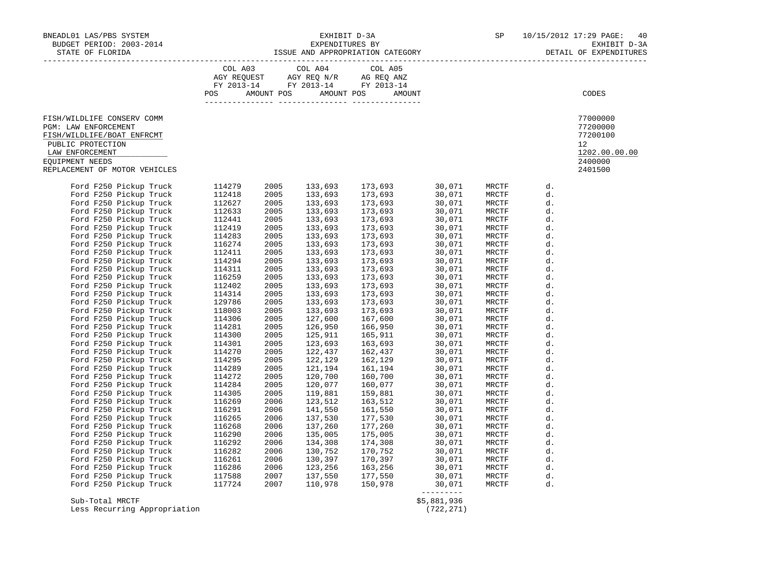| BNEADL01 LAS/PBS SYSTEM                                                                                                                                                                                                        | NEADL01 LAS/PBS SYSTEM $\,$ EXHIBIT D-3A SP $\,$ 10/15/2012 17:29 PAGE:<br>BUDGET PERIOD: 2003-2014 EXPENDITURES BY EXHEMIC DEXHIBIT D-3A SP SP $\,$ EXHIBIT D-3A EXHIBIT D-3A SP SP EXHIBIT D- |  |  |                                                                                                                                                            |                           |  | 40<br>EXHIBIT D-3A<br>DETAIL OF EXPENDITURES                                               |
|--------------------------------------------------------------------------------------------------------------------------------------------------------------------------------------------------------------------------------|-------------------------------------------------------------------------------------------------------------------------------------------------------------------------------------------------|--|--|------------------------------------------------------------------------------------------------------------------------------------------------------------|---------------------------|--|--------------------------------------------------------------------------------------------|
|                                                                                                                                                                                                                                |                                                                                                                                                                                                 |  |  | $\begin{tabular}{lcccc} CDL A03 & CDL A04 & CDL A05 \\ AGY REQUEST & AGY REQ N/R & AG REQ ANZ \\ FY & 2013-14 & FY & 2013-14 & FY & 2013-14 \end{tabular}$ |                           |  |                                                                                            |
|                                                                                                                                                                                                                                |                                                                                                                                                                                                 |  |  |                                                                                                                                                            |                           |  |                                                                                            |
|                                                                                                                                                                                                                                |                                                                                                                                                                                                 |  |  | POS AMOUNT POS AMOUNT POS AMOUNT                                                                                                                           |                           |  | CODES                                                                                      |
|                                                                                                                                                                                                                                |                                                                                                                                                                                                 |  |  |                                                                                                                                                            |                           |  |                                                                                            |
| FISH/WILDLIFE CONSERV COMM<br>PGM: LAW ENFORCEMENT<br>FISH/WILDLIFE/BOAT ENFRCMT<br>PUBLIC PROTECTION<br>LAW ENFORCEMENT<br>EOUIPMENT NEEDS<br>REPLACEMENT OF MOTOR VEHICLES                                                   |                                                                                                                                                                                                 |  |  |                                                                                                                                                            |                           |  | 77000000<br>77200000<br>77200100<br>12 <sup>°</sup><br>1202.00.00.00<br>2400000<br>2401500 |
| ection of ACTOM ventities (114279 2005 133,693 177,693 0007 1980)<br>Food F290 Fictoip Truck (114279 2005 133,693 177,693 0007 10007 10007 10007 10007 10007 10007 10007 10007 10007 10007 10007 10007 10007 10007 10007 10007 |                                                                                                                                                                                                 |  |  |                                                                                                                                                            |                           |  |                                                                                            |
|                                                                                                                                                                                                                                |                                                                                                                                                                                                 |  |  |                                                                                                                                                            |                           |  |                                                                                            |
| Sub-Total MRCTF<br>Less Recurring Appropriation                                                                                                                                                                                |                                                                                                                                                                                                 |  |  |                                                                                                                                                            | \$5,881,936<br>(722, 271) |  |                                                                                            |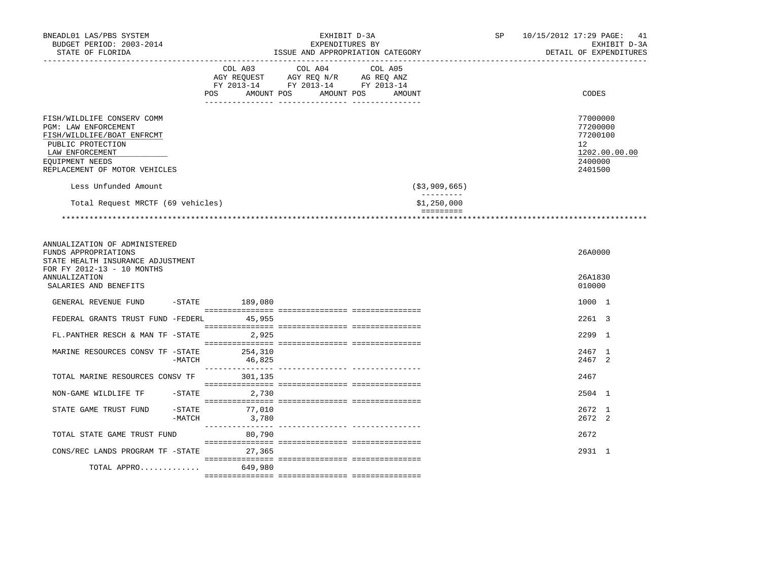| BNEADL01 LAS/PBS SYSTEM<br>BUDGET PERIOD: 2003-2014<br>STATE OF FLORIDA                                                                                                                              | EXHIBIT D-3A<br>EXPENDITURES BY<br>ISSUE AND APPROPRIATION CATEGORY |                                                                                                                      |  | 10/15/2012 17:29 PAGE: 41<br>EXHIBIT D-3A<br>DETAIL OF EXPENDITURES           |
|------------------------------------------------------------------------------------------------------------------------------------------------------------------------------------------------------|---------------------------------------------------------------------|----------------------------------------------------------------------------------------------------------------------|--|-------------------------------------------------------------------------------|
|                                                                                                                                                                                                      | COL A03<br>AMOUNT POS<br>POS                                        | COL A04<br>COL A05<br>AGY REQUEST AGY REQ N/R AG REQ ANZ<br>FY 2013-14 FY 2013-14 FY 2013-14<br>AMOUNT POS<br>AMOUNT |  | CODES                                                                         |
| FISH/WILDLIFE CONSERV COMM<br>PGM: LAW ENFORCEMENT<br>FISH/WILDLIFE/BOAT ENFRCMT<br>PUBLIC PROTECTION<br>LAW ENFORCEMENT<br>EQUIPMENT NEEDS<br>REPLACEMENT OF MOTOR VEHICLES<br>Less Unfunded Amount |                                                                     | ( \$3, 909, 665)                                                                                                     |  | 77000000<br>77200000<br>77200100<br>12<br>1202.00.00.00<br>2400000<br>2401500 |
| Total Request MRCTF (69 vehicles)                                                                                                                                                                    |                                                                     | $- - - - - - - - -$<br>\$1,250,000                                                                                   |  |                                                                               |
|                                                                                                                                                                                                      |                                                                     | $\qquad \qquad \equiv \equiv \equiv \equiv \equiv \equiv \equiv \equiv \equiv$                                       |  |                                                                               |
| ANNUALIZATION OF ADMINISTERED<br>FUNDS APPROPRIATIONS<br>STATE HEALTH INSURANCE ADJUSTMENT<br>FOR FY 2012-13 - 10 MONTHS<br><b>ANNUALIZATION</b><br>SALARIES AND BENEFITS                            |                                                                     |                                                                                                                      |  | 26A0000<br>26A1830<br>010000                                                  |
| GENERAL REVENUE FUND                                                                                                                                                                                 | $-$ STATE 189,080                                                   |                                                                                                                      |  | 1000 1                                                                        |
| FEDERAL GRANTS TRUST FUND -FEDERL                                                                                                                                                                    | 45,955                                                              |                                                                                                                      |  | 2261 3                                                                        |
| FL.PANTHER RESCH & MAN TF -STATE                                                                                                                                                                     | 2,925                                                               |                                                                                                                      |  | 2299 1                                                                        |
| MARINE RESOURCES CONSV TF -STATE<br>-MATCH                                                                                                                                                           | 254,310<br>46,825                                                   |                                                                                                                      |  | 2467 1<br>2467 2                                                              |
| TOTAL MARINE RESOURCES CONSV TF                                                                                                                                                                      | 301,135                                                             |                                                                                                                      |  | 2467                                                                          |
| NON-GAME WILDLIFE TF<br>$-$ STATE                                                                                                                                                                    | 2,730                                                               |                                                                                                                      |  | 2504 1                                                                        |
| $-STATE$<br>STATE GAME TRUST FUND<br>$-MATCH$                                                                                                                                                        | 77,010<br>3,780                                                     |                                                                                                                      |  | 2672 1<br>2672 2                                                              |
| TOTAL STATE GAME TRUST FUND                                                                                                                                                                          | 80,790                                                              |                                                                                                                      |  | 2672                                                                          |
| CONS/REC LANDS PROGRAM TF -STATE                                                                                                                                                                     | 27,365                                                              |                                                                                                                      |  | 2931 1                                                                        |
| TOTAL APPRO                                                                                                                                                                                          | 649,980                                                             |                                                                                                                      |  |                                                                               |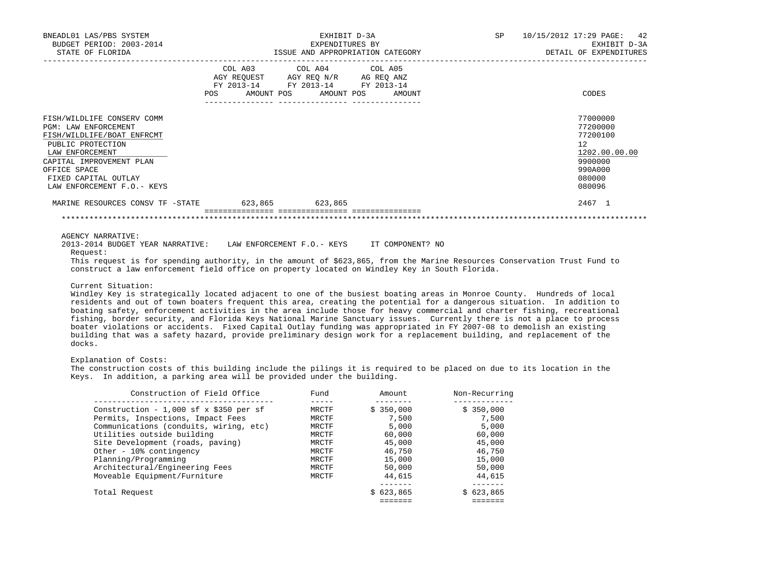| BNEADL01 LAS/PBS SYSTEM<br>BUDGET PERIOD: 2003-2014                                                                                                                                                                                |                 | EXHIBIT D-3A<br>EXPENDITURES BY                                                                                                       | SP | 10/15/2012 17:29 PAGE: 42<br>EXHIBIT D-3A                                                         |
|------------------------------------------------------------------------------------------------------------------------------------------------------------------------------------------------------------------------------------|-----------------|---------------------------------------------------------------------------------------------------------------------------------------|----|---------------------------------------------------------------------------------------------------|
| STATE OF FLORIDA                                                                                                                                                                                                                   |                 | ISSUE AND APPROPRIATION CATEGORY                                                                                                      |    | DETAIL OF EXPENDITURES                                                                            |
|                                                                                                                                                                                                                                    |                 | COL A03 COL A04 COL A05<br>AGY REQUEST AGY REQ N/R AG REQ ANZ<br>FY 2013-14 FY 2013-14 FY 2013-14<br>POS AMOUNT POS AMOUNT POS AMOUNT |    | CODES                                                                                             |
| FISH/WILDLIFE CONSERV COMM<br><b>PGM: LAW ENFORCEMENT</b><br>FISH/WILDLIFE/BOAT ENFRCMT<br>PUBLIC PROTECTION<br>LAW ENFORCEMENT<br>CAPITAL IMPROVEMENT PLAN<br>OFFICE SPACE<br>FIXED CAPITAL OUTLAY<br>LAW ENFORCEMENT F.O. - KEYS |                 |                                                                                                                                       |    | 77000000<br>77200000<br>77200100<br>12<br>1202.00.00.00<br>9900000<br>990A000<br>080000<br>080096 |
| MARINE RESOURCES CONSV TF -STATE                                                                                                                                                                                                   | 623,865 623,865 |                                                                                                                                       |    | 2467 1                                                                                            |
|                                                                                                                                                                                                                                    |                 |                                                                                                                                       |    |                                                                                                   |

AGENCY NARRATIVE:

 2013-2014 BUDGET YEAR NARRATIVE: LAW ENFORCEMENT F.O.- KEYS IT COMPONENT? NO Request:

 This request is for spending authority, in the amount of \$623,865, from the Marine Resources Conservation Trust Fund to construct a law enforcement field office on property located on Windley Key in South Florida.

\*\*\*\*\*\*\*\*\*\*\*\*\*\*\*\*\*\*\*\*\*\*\*\*\*\*\*\*\*\*\*\*\*\*\*\*\*\*\*\*\*\*\*\*\*\*\*\*\*\*\*\*\*\*\*\*\*\*\*\*\*\*\*\*\*\*\*\*\*\*\*\*\*\*\*\*\*\*\*\*\*\*\*\*\*\*\*\*\*\*\*\*\*\*\*\*\*\*\*\*\*\*\*\*\*\*\*\*\*\*\*\*\*\*\*\*\*\*\*\*\*\*\*\*\*\*\*

### Current Situation:

 Windley Key is strategically located adjacent to one of the busiest boating areas in Monroe County. Hundreds of local residents and out of town boaters frequent this area, creating the potential for a dangerous situation. In addition to boating safety, enforcement activities in the area include those for heavy commercial and charter fishing, recreational fishing, border security, and Florida Keys National Marine Sanctuary issues. Currently there is not a place to process boater violations or accidents. Fixed Capital Outlay funding was appropriated in FY 2007-08 to demolish an existing building that was a safety hazard, provide preliminary design work for a replacement building, and replacement of the docks.

### Explanation of Costs:

 The construction costs of this building include the pilings it is required to be placed on due to its location in the Keys. In addition, a parking area will be provided under the building.

| Construction of Field Office           | Fund  | Amount    | Non-Recurring |
|----------------------------------------|-------|-----------|---------------|
| Construction - 1,000 sf x \$350 per sf | MRCTF | \$350.000 | \$350,000     |
| Permits, Inspections, Impact Fees      | MRCTF | 7,500     | 7,500         |
| Communications (conduits, wiring, etc) | MRCTF | 5,000     | 5,000         |
| Utilities outside building             | MRCTF | 60,000    | 60,000        |
| Site Development (roads, paving)       | MRCTF | 45,000    | 45,000        |
| Other - 10% contingency                | MRCTF | 46,750    | 46,750        |
| Planning/Programming                   | MRCTF | 15,000    | 15,000        |
| Architectural/Engineering Fees         | MRCTF | 50,000    | 50,000        |
| Moveable Equipment/Furniture           | MRCTF | 44,615    | 44,615        |
|                                        |       |           |               |
| Total Request                          |       | \$623.865 | \$623,865     |
|                                        |       |           |               |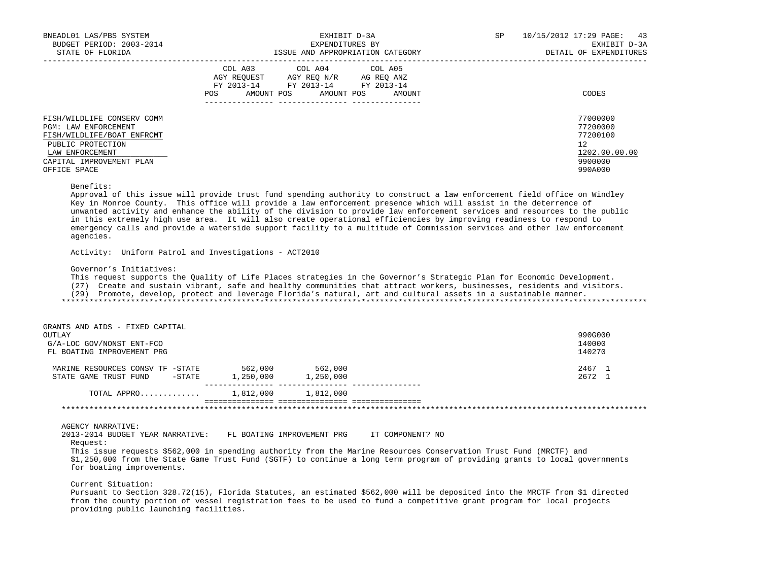| BNEADL01 LAS/PBS SYSTEM    | EXHIBIT D-3A<br>EXPENDITURES BY        | 10/15/2012 17:29 PAGE:<br>SP | 43                     |
|----------------------------|----------------------------------------|------------------------------|------------------------|
| BUDGET PERIOD: 2003-2014   |                                        | EXHIBIT D-3A                 |                        |
| STATE OF FLORIDA           | ISSUE AND APPROPRIATION CATEGORY       |                              | DETAIL OF EXPENDITURES |
|                            | COL A03 COL A04 COL A05                |                              |                        |
|                            | AGY REOUEST AGY REO N/R AG REO ANZ     |                              |                        |
|                            | FY 2013-14 FY 2013-14 FY 2013-14       |                              |                        |
|                            | AMOUNT POS AMOUNT POS<br>POS<br>AMOUNT |                              | CODES                  |
|                            |                                        |                              |                        |
| FISH/WILDLIFE CONSERV COMM |                                        |                              | 77000000               |
| PGM: LAW ENFORCEMENT       |                                        |                              | 77200000               |
| FISH/WILDLIFE/BOAT ENFRCMT |                                        |                              | 77200100               |
| PUBLIC PROTECTION          |                                        |                              | 12                     |
| LAW ENFORCEMENT            |                                        |                              | 1202.00.00.00          |
| CAPITAL IMPROVEMENT PLAN   |                                        |                              | 9900000                |
| OFFICE SPACE               |                                        |                              | 990A000                |

#### Benefits:

 Approval of this issue will provide trust fund spending authority to construct a law enforcement field office on Windley Key in Monroe County. This office will provide a law enforcement presence which will assist in the deterrence of unwanted activity and enhance the ability of the division to provide law enforcement services and resources to the public in this extremely high use area. It will also create operational efficiencies by improving readiness to respond to emergency calls and provide a waterside support facility to a multitude of Commission services and other law enforcement agencies.

Activity: Uniform Patrol and Investigations - ACT2010

Governor's Initiatives:

This request supports the Quality of Life Places strategies in the Governor's Strategic Plan for Economic Development.

(27) Create and sustain vibrant, safe and healthy communities that attract workers, businesses, residents and visitors.

(29) Promote, develop, protect and leverage Florida's natural, art and cultural assets in a sustainable manner.

\*\*\*\*\*\*\*\*\*\*\*\*\*\*\*\*\*\*\*\*\*\*\*\*\*\*\*\*\*\*\*\*\*\*\*\*\*\*\*\*\*\*\*\*\*\*\*\*\*\*\*\*\*\*\*\*\*\*\*\*\*\*\*\*\*\*\*\*\*\*\*\*\*\*\*\*\*\*\*\*\*\*\*\*\*\*\*\*\*\*\*\*\*\*\*\*\*\*\*\*\*\*\*\*\*\*\*\*\*\*\*\*\*\*\*\*\*\*\*\*\*\*\*\*\*\*\*

| GRANTS AND AIDS - FIXED CAPITAL  |           |           |         |
|----------------------------------|-----------|-----------|---------|
| OUTLAY                           |           |           | 990G000 |
| G/A-LOC GOV/NONST ENT-FCO        |           |           | 140000  |
| FL BOATING IMPROVEMENT PRG       |           |           | 140270  |
| MARINE RESOURCES CONSV TF -STATE | 562,000   | 562,000   | 2467 1  |
| STATE GAME TRUST FUND<br>-STATE  | 1,250,000 | 1,250,000 | 2672 1  |
| TOTAL APPRO                      | 1,812,000 | 1,812,000 |         |
|                                  |           |           |         |

AGENCY NARRATIVE:

 2013-2014 BUDGET YEAR NARRATIVE: FL BOATING IMPROVEMENT PRG IT COMPONENT? NO Request:

 This issue requests \$562,000 in spending authority from the Marine Resources Conservation Trust Fund (MRCTF) and \$1,250,000 from the State Game Trust Fund (SGTF) to continue a long term program of providing grants to local governments for boating improvements.

Current Situation:

 Pursuant to Section 328.72(15), Florida Statutes, an estimated \$562,000 will be deposited into the MRCTF from \$1 directed from the county portion of vessel registration fees to be used to fund a competitive grant program for local projects providing public launching facilities.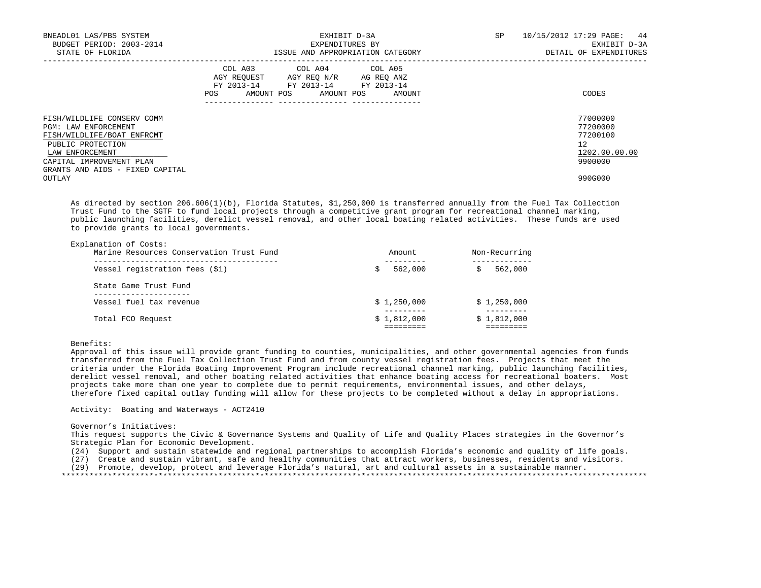| BNEADL01 LAS/PBS SYSTEM<br>BUDGET PERIOD: 2003-2014<br>STATE OF FLORIDA                                                                                                                 | EXHIBIT D-3A<br>EXPENDITURES BY<br>ISSUE AND APPROPRIATION CATEGORY                                                                         | SP<br>10/15/2012 17:29 PAGE: 44<br>DETAIL OF EXPENDITURES          | EXHIBIT D-3A |
|-----------------------------------------------------------------------------------------------------------------------------------------------------------------------------------------|---------------------------------------------------------------------------------------------------------------------------------------------|--------------------------------------------------------------------|--------------|
|                                                                                                                                                                                         | COL A03 COL A04 COL A05<br>AGY REQUEST AGY REQ N/R AG REQ ANZ<br>FY 2013-14 FY 2013-14 FY 2013-14<br>AMOUNT POS AMOUNT POS<br>AMOUNT<br>POS | CODES                                                              |              |
| FISH/WILDLIFE CONSERV COMM<br>PGM: LAW ENFORCEMENT<br>FISH/WILDLIFE/BOAT ENFRCMT<br>PUBLIC PROTECTION<br>LAW ENFORCEMENT<br>CAPITAL IMPROVEMENT PLAN<br>GRANTS AND AIDS - FIXED CAPITAL |                                                                                                                                             | 77000000<br>77200000<br>77200100<br>12<br>1202.00.00.00<br>9900000 |              |
| OUTLAY                                                                                                                                                                                  |                                                                                                                                             | 990G000                                                            |              |

 As directed by section 206.606(1)(b), Florida Statutes, \$1,250,000 is transferred annually from the Fuel Tax Collection Trust Fund to the SGTF to fund local projects through a competitive grant program for recreational channel marking, public launching facilities, derelict vessel removal, and other local boating related activities. These funds are used to provide grants to local governments.

| Explanation of Costs:<br>Marine Resources Conservation Trust Fund | Amount.     | Non-Recurring |
|-------------------------------------------------------------------|-------------|---------------|
| Vessel registration fees (\$1)                                    | 562,000     | 562,000       |
| State Game Trust Fund                                             |             |               |
| Vessel fuel tax revenue                                           | \$1,250,000 | \$1,250,000   |
| Total FCO Request                                                 | \$1,812,000 | \$1,812,000   |

Benefits:

 Approval of this issue will provide grant funding to counties, municipalities, and other governmental agencies from funds transferred from the Fuel Tax Collection Trust Fund and from county vessel registration fees. Projects that meet the criteria under the Florida Boating Improvement Program include recreational channel marking, public launching facilities, derelict vessel removal, and other boating related activities that enhance boating access for recreational boaters. Most projects take more than one year to complete due to permit requirements, environmental issues, and other delays, therefore fixed capital outlay funding will allow for these projects to be completed without a delay in appropriations.

Activity: Boating and Waterways - ACT2410

### Governor's Initiatives:

 This request supports the Civic & Governance Systems and Quality of Life and Quality Places strategies in the Governor's Strategic Plan for Economic Development.

(24) Support and sustain statewide and regional partnerships to accomplish Florida's economic and quality of life goals.

(27) Create and sustain vibrant, safe and healthy communities that attract workers, businesses, residents and visitors.

(29) Promote, develop, protect and leverage Florida's natural, art and cultural assets in a sustainable manner.

\*\*\*\*\*\*\*\*\*\*\*\*\*\*\*\*\*\*\*\*\*\*\*\*\*\*\*\*\*\*\*\*\*\*\*\*\*\*\*\*\*\*\*\*\*\*\*\*\*\*\*\*\*\*\*\*\*\*\*\*\*\*\*\*\*\*\*\*\*\*\*\*\*\*\*\*\*\*\*\*\*\*\*\*\*\*\*\*\*\*\*\*\*\*\*\*\*\*\*\*\*\*\*\*\*\*\*\*\*\*\*\*\*\*\*\*\*\*\*\*\*\*\*\*\*\*\*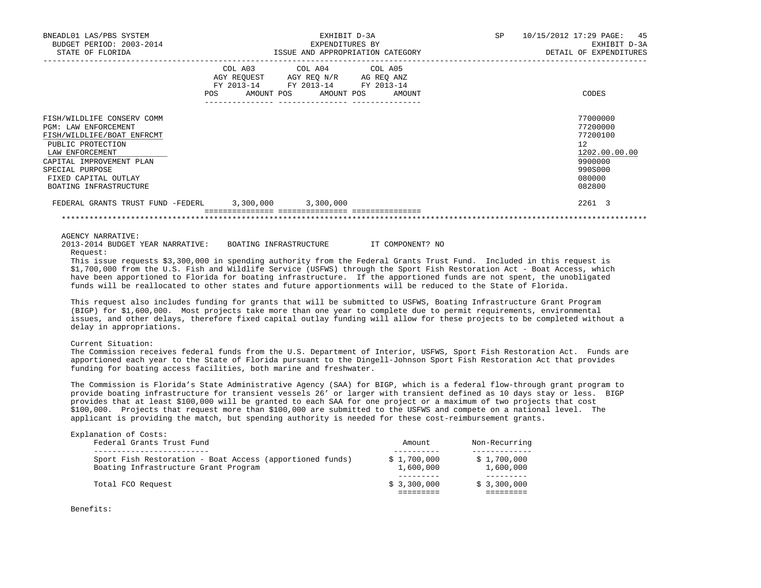| BNEADL01 LAS/PBS SYSTEM<br>BUDGET PERIOD: 2003-2014<br>STATE OF FLORIDA                                                                                                                                                   |                              | EXHIBIT D-3A<br>EXPENDITURES BY<br>ISSUE AND APPROPRIATION CATEGORY                                                                 | SP | 10/15/2012 17:29 PAGE: 45<br>EXHIBIT D-3A<br>DETAIL OF EXPENDITURES                               |
|---------------------------------------------------------------------------------------------------------------------------------------------------------------------------------------------------------------------------|------------------------------|-------------------------------------------------------------------------------------------------------------------------------------|----|---------------------------------------------------------------------------------------------------|
|                                                                                                                                                                                                                           | COL A03<br>AMOUNT POS<br>POS | COL A04 COL A05<br>AGY REQUEST AGY REQ N/R AG REQ ANZ<br>FY 2013-14 FY 2013-14 FY 2013-14<br>AMOUNT POS<br>AMOUNT<br>-------------- |    | CODES                                                                                             |
| FISH/WILDLIFE CONSERV COMM<br>PGM: LAW ENFORCEMENT<br>FISH/WILDLIFE/BOAT ENFRCMT<br>PUBLIC PROTECTION<br>LAW ENFORCEMENT<br>CAPITAL IMPROVEMENT PLAN<br>SPECIAL PURPOSE<br>FIXED CAPITAL OUTLAY<br>BOATING INFRASTRUCTURE |                              |                                                                                                                                     |    | 77000000<br>77200000<br>77200100<br>12<br>1202.00.00.00<br>9900000<br>990S000<br>080000<br>082800 |
| FEDERAL GRANTS TRUST FUND -FEDERL                                                                                                                                                                                         | $3,300,000$ $3,300,000$      |                                                                                                                                     |    | 2261 3                                                                                            |
|                                                                                                                                                                                                                           |                              |                                                                                                                                     |    |                                                                                                   |

AGENCY NARRATIVE:

 2013-2014 BUDGET YEAR NARRATIVE: BOATING INFRASTRUCTURE IT COMPONENT? NO Request:

 This issue requests \$3,300,000 in spending authority from the Federal Grants Trust Fund. Included in this request is \$1,700,000 from the U.S. Fish and Wildlife Service (USFWS) through the Sport Fish Restoration Act - Boat Access, which have been apportioned to Florida for boating infrastructure. If the apportioned funds are not spent, the unobligated funds will be reallocated to other states and future apportionments will be reduced to the State of Florida.

 This request also includes funding for grants that will be submitted to USFWS, Boating Infrastructure Grant Program (BIGP) for \$1,600,000. Most projects take more than one year to complete due to permit requirements, environmental issues, and other delays, therefore fixed capital outlay funding will allow for these projects to be completed without a delay in appropriations.

Current Situation:

 The Commission receives federal funds from the U.S. Department of Interior, USFWS, Sport Fish Restoration Act. Funds are apportioned each year to the State of Florida pursuant to the Dingell-Johnson Sport Fish Restoration Act that provides funding for boating access facilities, both marine and freshwater.

 The Commission is Florida's State Administrative Agency (SAA) for BIGP, which is a federal flow-through grant program to provide boating infrastructure for transient vessels 26' or larger with transient defined as 10 days stay or less. BIGP provides that at least \$100,000 will be granted to each SAA for one project or a maximum of two projects that cost \$100,000. Projects that request more than \$100,000 are submitted to the USFWS and compete on a national level. The applicant is providing the match, but spending authority is needed for these cost-reimbursement grants.

| Explanation of Costs:<br>Federal Grants Trust Fund                                               | Amount                   | Non-Recurring            |
|--------------------------------------------------------------------------------------------------|--------------------------|--------------------------|
| Sport Fish Restoration - Boat Access (apportioned funds)<br>Boating Infrastructure Grant Program | \$1,700,000<br>1,600,000 | \$1,700,000<br>1,600,000 |
| Total FCO Request                                                                                | \$3,300,000              | \$3,300,000              |

Benefits: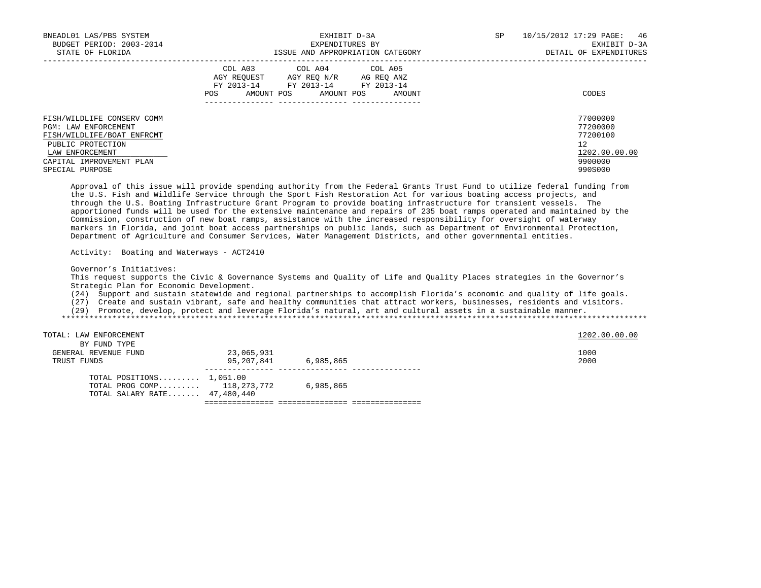| BNEADL01 LAS/PBS SYSTEM<br>BUDGET PERIOD: 2003-2014<br>STATE OF FLORIDA                                                                              | EXHIBIT D-3A<br>EXPENDITURES BY<br>ISSUE AND APPROPRIATION CATEGORY                                                                                  | 10/15/2012 17:29 PAGE:<br>SP<br>46<br>EXHIBIT D-3A<br>DETAIL OF EXPENDITURES |
|------------------------------------------------------------------------------------------------------------------------------------------------------|------------------------------------------------------------------------------------------------------------------------------------------------------|------------------------------------------------------------------------------|
|                                                                                                                                                      | COL A03 COL A04 COL A05<br>AGY REOUEST<br>AG REO ANZ<br>AGY REO N/R<br>FY 2013-14 FY 2013-14 FY 2013-14<br>AMOUNT POS<br>AMOUNT POS<br>POS<br>AMOUNT | CODES                                                                        |
| FISH/WILDLIFE CONSERV COMM<br>PGM: LAW ENFORCEMENT<br>FISH/WILDLIFE/BOAT ENFRCMT<br>PUBLIC PROTECTION<br>LAW ENFORCEMENT<br>CAPITAL IMPROVEMENT PLAN |                                                                                                                                                      | 77000000<br>77200000<br>77200100<br>12<br>1202.00.00.00<br>9900000           |
| SPECIAL PURPOSE                                                                                                                                      |                                                                                                                                                      | 990S000                                                                      |

 Approval of this issue will provide spending authority from the Federal Grants Trust Fund to utilize federal funding from the U.S. Fish and Wildlife Service through the Sport Fish Restoration Act for various boating access projects, and through the U.S. Boating Infrastructure Grant Program to provide boating infrastructure for transient vessels. The apportioned funds will be used for the extensive maintenance and repairs of 235 boat ramps operated and maintained by the Commission, construction of new boat ramps, assistance with the increased responsibility for oversight of waterway markers in Florida, and joint boat access partnerships on public lands, such as Department of Environmental Protection, Department of Agriculture and Consumer Services, Water Management Districts, and other governmental entities.

Activity: Boating and Waterways - ACT2410

Governor's Initiatives:

 This request supports the Civic & Governance Systems and Quality of Life and Quality Places strategies in the Governor's Strategic Plan for Economic Development.

(24) Support and sustain statewide and regional partnerships to accomplish Florida's economic and quality of life goals.

(27) Create and sustain vibrant, safe and healthy communities that attract workers, businesses, residents and visitors.

(29) Promote, develop, protect and leverage Florida's natural, art and cultural assets in a sustainable manner.

\*\*\*\*\*\*\*\*\*\*\*\*\*\*\*\*\*\*\*\*\*\*\*\*\*\*\*\*\*\*\*\*\*\*\*\*\*\*\*\*\*\*\*\*\*\*\*\*\*\*\*\*\*\*\*\*\*\*\*\*\*\*\*\*\*\*\*\*\*\*\*\*\*\*\*\*\*\*\*\*\*\*\*\*\*\*\*\*\*\*\*\*\*\*\*\*\*\*\*\*\*\*\*\*\*\*\*\*\*\*\*\*\*\*\*\*\*\*\*\*\*\*\*\*\*\*\*

TOTAL: LAW ENFORCEMENT 1202.00.00 CONTROLLEDGE 200.00 CONTROLLEDGE 200.00 CONTROLLEDGE 200.00 CONTROLLEDGE 200

BY FUND TYPE

| ------------<br>GENERAL REVENUE FUND<br>TRUST FUNDS                                         | 23,065,931<br>95,207,841 | 6.985.865 | 1000<br>2000 |
|---------------------------------------------------------------------------------------------|--------------------------|-----------|--------------|
| TOTAL POSITIONS $1,051.00$<br>TOTAL PROG COMP $118.273.772$<br>TOTAL SALARY RATE 47.480.440 |                          | 6,985,865 |              |

=============== =============== ===============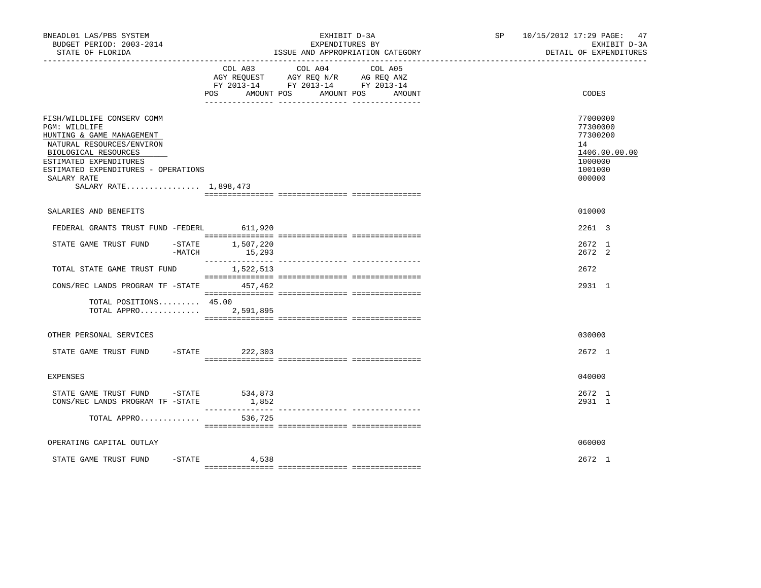| BNEADL01 LAS/PBS SYSTEM<br>BUDGET PERIOD: 2003-2014<br>STATE OF FLORIDA                                                                                                                                                                |                         | EXHIBIT D-3A<br>EXPENDITURES BY<br>ISSUE AND APPROPRIATION CATEGORY                                                          | SP 10/15/2012 17:29 PAGE: 47 | EXHIBIT D-3A<br>DETAIL OF EXPENDITURES                                                  |
|----------------------------------------------------------------------------------------------------------------------------------------------------------------------------------------------------------------------------------------|-------------------------|------------------------------------------------------------------------------------------------------------------------------|------------------------------|-----------------------------------------------------------------------------------------|
|                                                                                                                                                                                                                                        | POS AMOUNT POS          | COL A03 COL A04<br>COL A05<br>AGY REQUEST AGY REQ N/R AG REQ ANZ<br>FY 2013-14 FY 2013-14 FY 2013-14<br>AMOUNT POS<br>AMOUNT |                              | CODES                                                                                   |
| FISH/WILDLIFE CONSERV COMM<br>PGM: WILDLIFE<br>HUNTING & GAME MANAGEMENT<br>NATURAL RESOURCES/ENVIRON<br>BIOLOGICAL RESOURCES<br>ESTIMATED EXPENDITURES<br>ESTIMATED EXPENDITURES - OPERATIONS<br>SALARY RATE<br>SALARY RATE 1,898,473 |                         |                                                                                                                              |                              | 77000000<br>77300000<br>77300200<br>14<br>1406.00.00.00<br>1000000<br>1001000<br>000000 |
| SALARIES AND BENEFITS                                                                                                                                                                                                                  |                         |                                                                                                                              |                              | 010000                                                                                  |
| FEDERAL GRANTS TRUST FUND -FEDERL                                                                                                                                                                                                      | 611,920                 |                                                                                                                              |                              | 2261 3                                                                                  |
| $-$ STATE<br>STATE GAME TRUST FUND<br>-MATCH                                                                                                                                                                                           | 1,507,220<br>15,293     |                                                                                                                              |                              | 2672 1<br>2672 2                                                                        |
| TOTAL STATE GAME TRUST FUND                                                                                                                                                                                                            | 1,522,513               |                                                                                                                              |                              | 2672                                                                                    |
| CONS/REC LANDS PROGRAM TF - STATE 457,462                                                                                                                                                                                              |                         |                                                                                                                              |                              | 2931 1                                                                                  |
| TOTAL POSITIONS 45.00<br>TOTAL APPRO                                                                                                                                                                                                   | 2,591,895               |                                                                                                                              |                              |                                                                                         |
| OTHER PERSONAL SERVICES                                                                                                                                                                                                                |                         |                                                                                                                              |                              | 030000                                                                                  |
| STATE GAME TRUST FUND                                                                                                                                                                                                                  | -STATE 222,303          |                                                                                                                              |                              | 2672 1                                                                                  |
| <b>EXPENSES</b>                                                                                                                                                                                                                        |                         |                                                                                                                              |                              | 040000                                                                                  |
| STATE GAME TRUST FUND<br>CONS/REC LANDS PROGRAM TF -STATE                                                                                                                                                                              | -STATE 534,873<br>1,852 |                                                                                                                              |                              | 2672 1<br>2931 1                                                                        |
| TOTAL APPRO                                                                                                                                                                                                                            | 536,725                 |                                                                                                                              |                              |                                                                                         |
| OPERATING CAPITAL OUTLAY                                                                                                                                                                                                               |                         |                                                                                                                              |                              | 060000                                                                                  |
| STATE GAME TRUST FUND                                                                                                                                                                                                                  | $-$ STATE 4,538         |                                                                                                                              |                              | $2672 \quad 1$                                                                          |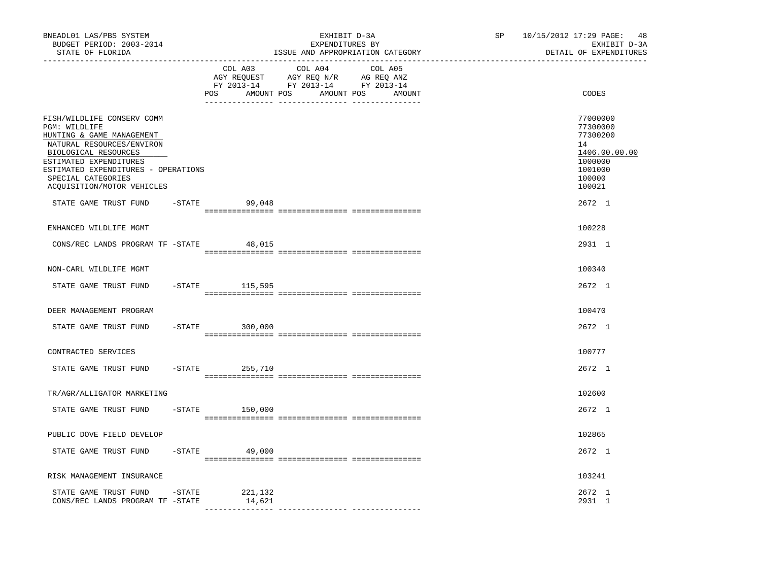| BNEADL01 LAS/PBS SYSTEM<br>BUDGET PERIOD: 2003-2014<br>STATE OF FLORIDA<br>----------------                                                                                                                                                        |           |                              | EXHIBIT D-3A<br>EXPENDITURES BY<br>ISSUE AND APPROPRIATION CATEGORY                                                                                                                                                                           |                   | SP and the set of the set of the set of the set of the set of the set of the set of the set of the set of the set of the set of the set of the set of the set of the set of the set of the set of the set of the set of the se<br>------------------------------ | 10/15/2012 17:29 PAGE: 48<br>EXHIBIT D-3A<br>DETAIL OF EXPENDITURES                               |
|----------------------------------------------------------------------------------------------------------------------------------------------------------------------------------------------------------------------------------------------------|-----------|------------------------------|-----------------------------------------------------------------------------------------------------------------------------------------------------------------------------------------------------------------------------------------------|-------------------|------------------------------------------------------------------------------------------------------------------------------------------------------------------------------------------------------------------------------------------------------------------|---------------------------------------------------------------------------------------------------|
|                                                                                                                                                                                                                                                    |           | COL A03<br>POS<br>AMOUNT POS | COL A04<br>$\begin{tabular}{lllllllllll} \bf{AGY} & \bf{REQUEST} & \bf{AGY} & \bf{REQ} & \bf{N/R} & \bf{AG} & \bf{REQ} & \bf{ANZ} \\ \bf{FY} & \bf{2013-14} & \bf{FY} & \bf{2013-14} & \bf{FY} & \bf{2013-14} \\ \end{tabular}$<br>AMOUNT POS | COL A05<br>AMOUNT |                                                                                                                                                                                                                                                                  | CODES                                                                                             |
| FISH/WILDLIFE CONSERV COMM<br>PGM: WILDLIFE<br>HUNTING & GAME MANAGEMENT<br>NATURAL RESOURCES/ENVIRON<br>BIOLOGICAL RESOURCES<br>ESTIMATED EXPENDITURES<br>ESTIMATED EXPENDITURES - OPERATIONS<br>SPECIAL CATEGORIES<br>ACQUISITION/MOTOR VEHICLES |           |                              |                                                                                                                                                                                                                                               |                   |                                                                                                                                                                                                                                                                  | 77000000<br>77300000<br>77300200<br>14<br>1406.00.00.00<br>1000000<br>1001000<br>100000<br>100021 |
| STATE GAME TRUST FUND                                                                                                                                                                                                                              |           | $-$ STATE 99,048             |                                                                                                                                                                                                                                               |                   |                                                                                                                                                                                                                                                                  | 2672 1                                                                                            |
| ENHANCED WILDLIFE MGMT                                                                                                                                                                                                                             |           |                              |                                                                                                                                                                                                                                               |                   |                                                                                                                                                                                                                                                                  | 100228                                                                                            |
| CONS/REC LANDS PROGRAM TF -STATE                                                                                                                                                                                                                   |           | 48,015                       |                                                                                                                                                                                                                                               |                   |                                                                                                                                                                                                                                                                  | 2931 1                                                                                            |
| NON-CARL WILDLIFE MGMT                                                                                                                                                                                                                             |           |                              |                                                                                                                                                                                                                                               |                   |                                                                                                                                                                                                                                                                  | 100340                                                                                            |
| STATE GAME TRUST FUND                                                                                                                                                                                                                              |           | -STATE 115,595               |                                                                                                                                                                                                                                               |                   |                                                                                                                                                                                                                                                                  | 2672 1                                                                                            |
| DEER MANAGEMENT PROGRAM                                                                                                                                                                                                                            |           |                              |                                                                                                                                                                                                                                               |                   |                                                                                                                                                                                                                                                                  | 100470                                                                                            |
| STATE GAME TRUST FUND                                                                                                                                                                                                                              |           | $-STATE$ 300,000             |                                                                                                                                                                                                                                               |                   |                                                                                                                                                                                                                                                                  | 2672 1                                                                                            |
| CONTRACTED SERVICES                                                                                                                                                                                                                                |           |                              |                                                                                                                                                                                                                                               |                   |                                                                                                                                                                                                                                                                  | 100777                                                                                            |
| STATE GAME TRUST FUND                                                                                                                                                                                                                              |           | $-STATE$<br>255,710          |                                                                                                                                                                                                                                               |                   |                                                                                                                                                                                                                                                                  | 2672 1                                                                                            |
| TR/AGR/ALLIGATOR MARKETING                                                                                                                                                                                                                         |           |                              |                                                                                                                                                                                                                                               |                   |                                                                                                                                                                                                                                                                  | 102600                                                                                            |
| STATE GAME TRUST FUND                                                                                                                                                                                                                              | $-$ STATE | 150,000                      |                                                                                                                                                                                                                                               |                   |                                                                                                                                                                                                                                                                  | 2672 1                                                                                            |
| PUBLIC DOVE FIELD DEVELOP                                                                                                                                                                                                                          |           |                              |                                                                                                                                                                                                                                               |                   |                                                                                                                                                                                                                                                                  | 102865                                                                                            |
| STATE GAME TRUST FUND                                                                                                                                                                                                                              |           | $-STATE$<br>49,000           |                                                                                                                                                                                                                                               |                   |                                                                                                                                                                                                                                                                  | 2672 1                                                                                            |
| RISK MANAGEMENT INSURANCE                                                                                                                                                                                                                          |           |                              |                                                                                                                                                                                                                                               |                   |                                                                                                                                                                                                                                                                  | 103241                                                                                            |
| STATE GAME TRUST FUND<br>CONS/REC LANDS PROGRAM TF -STATE                                                                                                                                                                                          | -STATE    | 221,132<br>14,621            |                                                                                                                                                                                                                                               |                   |                                                                                                                                                                                                                                                                  | 2672 1<br>2931 1                                                                                  |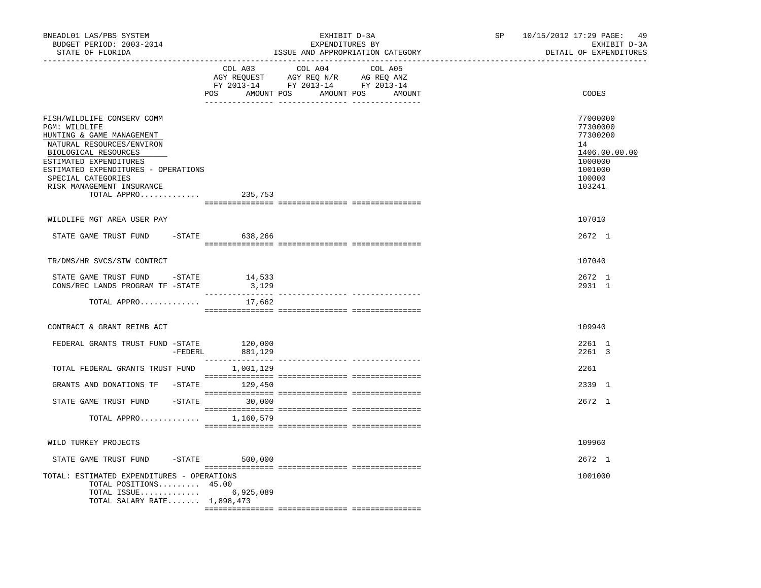| BNEADL01 LAS/PBS SYSTEM<br>BUDGET PERIOD: 2003-2014<br>STATE OF FLORIDA<br>------------------                                                                                                                                                                            |                  | EXHIBIT D-3A<br>EXPENDITURES BY<br>ISSUE AND APPROPRIATION CATEGORY                                                                                                                                                                                           | SP and the set of the set of the set of the set of the set of the set of the set of the set of the set of the set of the set of the set of the set of the set of the set of the set of the set of the set of the set of the se | 10/15/2012 17:29 PAGE: 49<br>EXHIBIT D-3A<br>DETAIL OF EXPENDITURES                               |
|--------------------------------------------------------------------------------------------------------------------------------------------------------------------------------------------------------------------------------------------------------------------------|------------------|---------------------------------------------------------------------------------------------------------------------------------------------------------------------------------------------------------------------------------------------------------------|--------------------------------------------------------------------------------------------------------------------------------------------------------------------------------------------------------------------------------|---------------------------------------------------------------------------------------------------|
|                                                                                                                                                                                                                                                                          | COL A03          | COL A04<br>COL A05<br>$\begin{tabular}{lllllllll} \bf AGY \;\; RegUEST & \tt AGY \;\; REG \;\; N/R & \tt AG \;\; REG \;\; ANZ \\ \hline \tt FY \;\; 2013-14 & \tt FY \;\; 2013-14 & \tt FY \;\; 2013-14 \\ \end{tabular}$<br>POS AMOUNT POS AMOUNT POS AMOUNT |                                                                                                                                                                                                                                | CODES                                                                                             |
| FISH/WILDLIFE CONSERV COMM<br>PGM: WILDLIFE<br>HUNTING & GAME MANAGEMENT<br>NATURAL RESOURCES/ENVIRON<br>BIOLOGICAL RESOURCES<br>ESTIMATED EXPENDITURES<br>ESTIMATED EXPENDITURES - OPERATIONS<br>SPECIAL CATEGORIES<br>RISK MANAGEMENT INSURANCE<br>TOTAL APPRO 235,753 |                  |                                                                                                                                                                                                                                                               |                                                                                                                                                                                                                                | 77000000<br>77300000<br>77300200<br>14<br>1406.00.00.00<br>1000000<br>1001000<br>100000<br>103241 |
| WILDLIFE MGT AREA USER PAY                                                                                                                                                                                                                                               |                  |                                                                                                                                                                                                                                                               |                                                                                                                                                                                                                                | 107010                                                                                            |
| STATE GAME TRUST FUND -STATE 638,266                                                                                                                                                                                                                                     |                  |                                                                                                                                                                                                                                                               |                                                                                                                                                                                                                                | 2672 1                                                                                            |
| TR/DMS/HR SVCS/STW CONTRCT                                                                                                                                                                                                                                               |                  |                                                                                                                                                                                                                                                               |                                                                                                                                                                                                                                | 107040                                                                                            |
| STATE GAME TRUST FUND - STATE<br>CONS/REC LANDS PROGRAM TF -STATE                                                                                                                                                                                                        | 14,533<br>3,129  |                                                                                                                                                                                                                                                               |                                                                                                                                                                                                                                | 2672 1<br>2931 1                                                                                  |
| TOTAL APPRO                                                                                                                                                                                                                                                              | 17,662           |                                                                                                                                                                                                                                                               |                                                                                                                                                                                                                                |                                                                                                   |
| CONTRACT & GRANT REIMB ACT                                                                                                                                                                                                                                               |                  |                                                                                                                                                                                                                                                               |                                                                                                                                                                                                                                | 109940                                                                                            |
| FEDERAL GRANTS TRUST FUND -STATE 120,000<br>-FEDERL 881,129                                                                                                                                                                                                              |                  |                                                                                                                                                                                                                                                               |                                                                                                                                                                                                                                | 2261 1<br>2261 3                                                                                  |
| TOTAL FEDERAL GRANTS TRUST FUND 1,001,129                                                                                                                                                                                                                                |                  |                                                                                                                                                                                                                                                               |                                                                                                                                                                                                                                | 2261                                                                                              |
| GRANTS AND DONATIONS TF -STATE 129,450                                                                                                                                                                                                                                   |                  |                                                                                                                                                                                                                                                               |                                                                                                                                                                                                                                | 2339 1                                                                                            |
| STATE GAME TRUST FUND -STATE 30,000                                                                                                                                                                                                                                      |                  |                                                                                                                                                                                                                                                               |                                                                                                                                                                                                                                | 2672 1                                                                                            |
| TOTAL APPRO $1,160,579$                                                                                                                                                                                                                                                  |                  |                                                                                                                                                                                                                                                               |                                                                                                                                                                                                                                |                                                                                                   |
| WILD TURKEY PROJECTS                                                                                                                                                                                                                                                     |                  |                                                                                                                                                                                                                                                               |                                                                                                                                                                                                                                | 109960                                                                                            |
| STATE GAME TRUST FUND                                                                                                                                                                                                                                                    | $-STATE$ 500,000 |                                                                                                                                                                                                                                                               |                                                                                                                                                                                                                                | 2672 1                                                                                            |
| TOTAL: ESTIMATED EXPENDITURES - OPERATIONS<br>TOTAL POSITIONS 45.00<br>TOTAL ISSUE 6,925,089<br>TOTAL SALARY RATE 1,898,473                                                                                                                                              |                  |                                                                                                                                                                                                                                                               |                                                                                                                                                                                                                                | 1001000                                                                                           |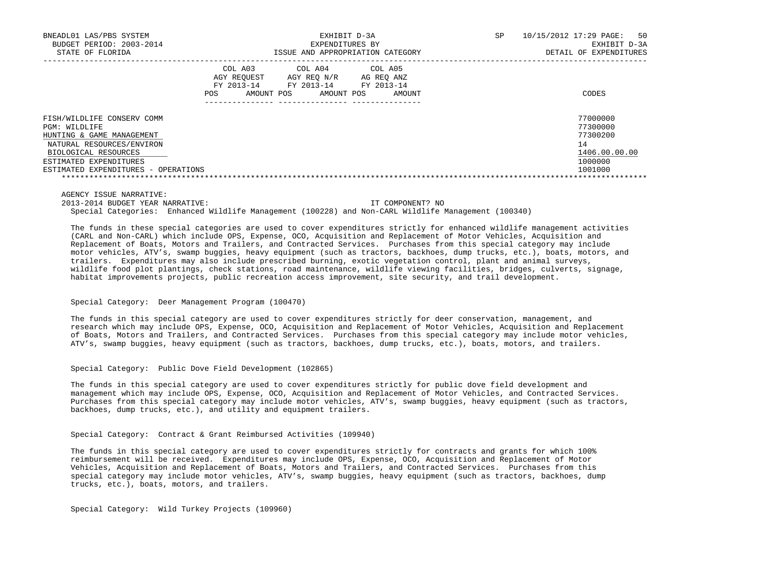| BNEADL01 LAS/PBS SYSTEM<br>BUDGET PERIOD: 2003-2014<br>STATE OF FLORIDA |                                                                  | EXHIBIT D-3A<br>EXPENDITURES BY<br>ISSUE AND APPROPRIATION CATEGORY | SP.                                           | 10/15/2012 17:29 PAGE:<br>50<br>EXHIBIT D-3A<br>DETAIL OF EXPENDITURES |               |
|-------------------------------------------------------------------------|------------------------------------------------------------------|---------------------------------------------------------------------|-----------------------------------------------|------------------------------------------------------------------------|---------------|
|                                                                         | COL A03<br>AGY REOUEST<br>FY 2013-14<br><b>POS</b><br>AMOUNT POS | COL A04<br>AGY REO N/R<br>FY 2013-14<br>AMOUNT POS                  | COL A05<br>AG REO ANZ<br>FY 2013-14<br>AMOUNT |                                                                        | CODES         |
| FISH/WILDLIFE CONSERV COMM                                              |                                                                  |                                                                     |                                               |                                                                        | 77000000      |
| PGM: WILDLIFE                                                           |                                                                  |                                                                     |                                               |                                                                        | 77300000      |
| HUNTING & GAME MANAGEMENT                                               |                                                                  |                                                                     |                                               |                                                                        | 77300200      |
| NATURAL RESOURCES/ENVIRON                                               |                                                                  |                                                                     |                                               |                                                                        | 14            |
| BIOLOGICAL RESOURCES                                                    |                                                                  |                                                                     |                                               |                                                                        | 1406.00.00.00 |
| ESTIMATED EXPENDITURES                                                  |                                                                  |                                                                     |                                               |                                                                        | 1000000       |
| ESTIMATED EXPENDITURES - OPERATIONS                                     |                                                                  |                                                                     |                                               |                                                                        | 1001000       |
|                                                                         |                                                                  |                                                                     |                                               |                                                                        |               |

AGENCY ISSUE NARRATIVE:

 2013-2014 BUDGET YEAR NARRATIVE: IT COMPONENT? NO Special Categories: Enhanced Wildlife Management (100228) and Non-CARL Wildlife Management (100340)

 The funds in these special categories are used to cover expenditures strictly for enhanced wildlife management activities (CARL and Non-CARL) which include OPS, Expense, OCO, Acquisition and Replacement of Motor Vehicles, Acquisition and Replacement of Boats, Motors and Trailers, and Contracted Services. Purchases from this special category may include motor vehicles, ATV's, swamp buggies, heavy equipment (such as tractors, backhoes, dump trucks, etc.), boats, motors, and trailers. Expenditures may also include prescribed burning, exotic vegetation control, plant and animal surveys, wildlife food plot plantings, check stations, road maintenance, wildlife viewing facilities, bridges, culverts, signage, habitat improvements projects, public recreation access improvement, site security, and trail development.

### Special Category: Deer Management Program (100470)

 The funds in this special category are used to cover expenditures strictly for deer conservation, management, and research which may include OPS, Expense, OCO, Acquisition and Replacement of Motor Vehicles, Acquisition and Replacement of Boats, Motors and Trailers, and Contracted Services. Purchases from this special category may include motor vehicles, ATV's, swamp buggies, heavy equipment (such as tractors, backhoes, dump trucks, etc.), boats, motors, and trailers.

### Special Category: Public Dove Field Development (102865)

 The funds in this special category are used to cover expenditures strictly for public dove field development and management which may include OPS, Expense, OCO, Acquisition and Replacement of Motor Vehicles, and Contracted Services. Purchases from this special category may include motor vehicles, ATV's, swamp buggies, heavy equipment (such as tractors, backhoes, dump trucks, etc.), and utility and equipment trailers.

Special Category: Contract & Grant Reimbursed Activities (109940)

 The funds in this special category are used to cover expenditures strictly for contracts and grants for which 100% reimbursement will be received. Expenditures may include OPS, Expense, OCO, Acquisition and Replacement of Motor Vehicles, Acquisition and Replacement of Boats, Motors and Trailers, and Contracted Services. Purchases from this special category may include motor vehicles, ATV's, swamp buggies, heavy equipment (such as tractors, backhoes, dump trucks, etc.), boats, motors, and trailers.

Special Category: Wild Turkey Projects (109960)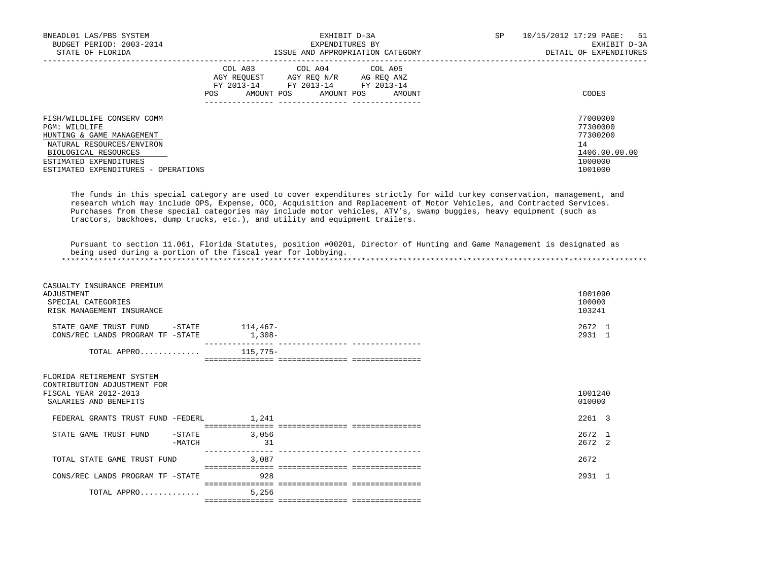| BNEADL01 LAS/PBS SYSTEM             |                         | EXHIBIT D-3A                     | SP         | 10/15/2012 17:29 PAGE:<br>51 |                        |
|-------------------------------------|-------------------------|----------------------------------|------------|------------------------------|------------------------|
| BUDGET PERIOD: 2003-2014            |                         | EXPENDITURES BY                  |            | EXHIBIT D-3A                 |                        |
| STATE OF FLORIDA                    |                         | ISSUE AND APPROPRIATION CATEGORY |            |                              | DETAIL OF EXPENDITURES |
|                                     | COL A03 COL A04 COL A05 |                                  |            |                              |                        |
|                                     | AGY REOUEST             | AGY REO N/R                      | AG REO ANZ |                              |                        |
|                                     | FY 2013-14              | FY 2013-14 FY 2013-14            |            |                              |                        |
|                                     | AMOUNT POS<br>POS       | AMOUNT POS                       | AMOUNT     |                              | CODES                  |
|                                     |                         |                                  |            |                              |                        |
| FISH/WILDLIFE CONSERV COMM          |                         |                                  |            |                              | 77000000               |
| PGM: WILDLIFE                       |                         |                                  |            |                              | 77300000               |
| HUNTING & GAME MANAGEMENT           |                         |                                  |            |                              | 77300200               |
| NATURAL RESOURCES/ENVIRON           |                         |                                  |            |                              | 14                     |
| BIOLOGICAL RESOURCES                |                         |                                  |            |                              | 1406.00.00.00          |
| ESTIMATED EXPENDITURES              |                         |                                  |            |                              | 1000000                |
| ESTIMATED EXPENDITURES - OPERATIONS |                         |                                  |            |                              | 1001000                |

 The funds in this special category are used to cover expenditures strictly for wild turkey conservation, management, and research which may include OPS, Expense, OCO, Acquisition and Replacement of Motor Vehicles, and Contracted Services. Purchases from these special categories may include motor vehicles, ATV's, swamp buggies, heavy equipment (such as tractors, backhoes, dump trucks, etc.), and utility and equipment trailers.

 Pursuant to section 11.061, Florida Statutes, position #00201, Director of Hunting and Game Management is designated as being used during a portion of the fiscal year for lobbying. \*\*\*\*\*\*\*\*\*\*\*\*\*\*\*\*\*\*\*\*\*\*\*\*\*\*\*\*\*\*\*\*\*\*\*\*\*\*\*\*\*\*\*\*\*\*\*\*\*\*\*\*\*\*\*\*\*\*\*\*\*\*\*\*\*\*\*\*\*\*\*\*\*\*\*\*\*\*\*\*\*\*\*\*\*\*\*\*\*\*\*\*\*\*\*\*\*\*\*\*\*\*\*\*\*\*\*\*\*\*\*\*\*\*\*\*\*\*\*\*\*\*\*\*\*\*\*

| CASUALTY INSURANCE PREMIUM        |          |         |
|-----------------------------------|----------|---------|
| ADJUSTMENT                        |          | 1001090 |
| SPECIAL CATEGORIES                |          | 100000  |
| RISK MANAGEMENT INSURANCE         |          | 103241  |
| STATE GAME TRUST FUND<br>-STATE   | 114,467- | 2672 1  |
| CONS/REC LANDS PROGRAM TF -STATE  | $1,308-$ | 2931 1  |
| TOTAL APPRO                       | 115,775– |         |
|                                   |          |         |
| FLORIDA RETIREMENT SYSTEM         |          |         |
| CONTRIBUTION ADJUSTMENT FOR       |          |         |
| FISCAL YEAR 2012-2013             |          | 1001240 |
| SALARIES AND BENEFITS             |          | 010000  |
| FEDERAL GRANTS TRUST FUND -FEDERL | 1,241    | 2261 3  |
|                                   |          |         |

| STATE GAME TRUST FUND            | 3,056<br>-STATE<br>-MATCH | 2672 1<br>2672 2 |  |
|----------------------------------|---------------------------|------------------|--|
| TOTAL STATE GAME TRUST FUND      | 3,087                     | 2672             |  |
| CONS/REC LANDS PROGRAM TF -STATE | 928                       | 2931             |  |
| TOTAL APPRO                      | 5,256                     |                  |  |

=============== =============== ===============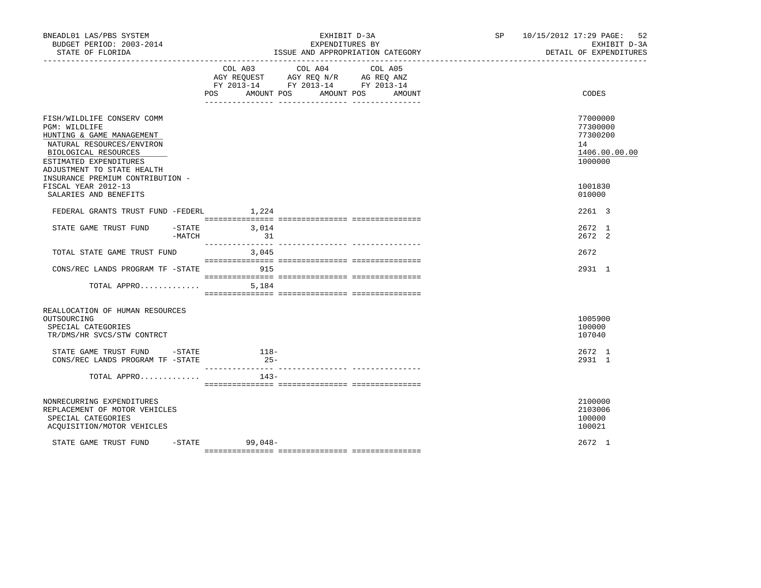| BNEADL01 LAS/PBS SYSTEM<br>BUDGET PERIOD: 2003-2014<br>STATE OF FLORIDA                                                                                                                                                   | EXHIBIT D-3A<br>EXPENDITURES BY<br>ISSUE AND APPROPRIATION CATEGORY                                                                      | SP 10/15/2012 17:29 PAGE: 52<br>EXHIBIT D-3A<br>DETAIL OF EXPENDITURES |
|---------------------------------------------------------------------------------------------------------------------------------------------------------------------------------------------------------------------------|------------------------------------------------------------------------------------------------------------------------------------------|------------------------------------------------------------------------|
|                                                                                                                                                                                                                           | COL A03 COL A04 COL A05<br>AGY REQUEST AGY REQ N/R AG REQ ANZ<br>FY 2013-14 FY 2013-14 FY 2013-14<br>AMOUNT POS AMOUNT POS<br><b>POS</b> | CODES<br>AMOUNT                                                        |
| FISH/WILDLIFE CONSERV COMM<br>PGM: WILDLIFE<br>HUNTING & GAME MANAGEMENT<br>NATURAL RESOURCES/ENVIRON<br>BIOLOGICAL RESOURCES<br>ESTIMATED EXPENDITURES<br>ADJUSTMENT TO STATE HEALTH<br>INSURANCE PREMIUM CONTRIBUTION - |                                                                                                                                          | 77000000<br>77300000<br>77300200<br>14<br>1406.00.00.00<br>1000000     |
| FISCAL YEAR 2012-13<br>SALARIES AND BENEFITS                                                                                                                                                                              |                                                                                                                                          | 1001830<br>010000                                                      |
| FEDERAL GRANTS TRUST FUND -FEDERL                                                                                                                                                                                         | 1,224                                                                                                                                    | 2261 3                                                                 |
| STATE GAME TRUST FUND<br>$-MATCH$                                                                                                                                                                                         | $-STATE$ 3,014<br>31                                                                                                                     | 2672 1<br>2672 2                                                       |
| TOTAL STATE GAME TRUST FUND                                                                                                                                                                                               | 3,045                                                                                                                                    | 2672                                                                   |
| CONS/REC LANDS PROGRAM TF -STATE                                                                                                                                                                                          | 915                                                                                                                                      | 2931 1                                                                 |
| TOTAL APPRO                                                                                                                                                                                                               | 5,184                                                                                                                                    |                                                                        |
| REALLOCATION OF HUMAN RESOURCES<br>OUTSOURCING<br>SPECIAL CATEGORIES<br>TR/DMS/HR SVCS/STW CONTRCT                                                                                                                        |                                                                                                                                          | 1005900<br>100000<br>107040                                            |
| STATE GAME TRUST FUND - STATE<br>CONS/REC LANDS PROGRAM TF -STATE                                                                                                                                                         | $118-$<br>$25-$                                                                                                                          | 2672 1<br>2931 1                                                       |
| TOTAL APPRO                                                                                                                                                                                                               | $143-$                                                                                                                                   |                                                                        |
| NONRECURRING EXPENDITURES<br>REPLACEMENT OF MOTOR VEHICLES<br>SPECIAL CATEGORIES<br>ACQUISITION/MOTOR VEHICLES                                                                                                            |                                                                                                                                          | 2100000<br>2103006<br>100000<br>100021                                 |
| STATE GAME TRUST FUND                                                                                                                                                                                                     | $-$ STATE<br>$99,048-$                                                                                                                   | 2672 1                                                                 |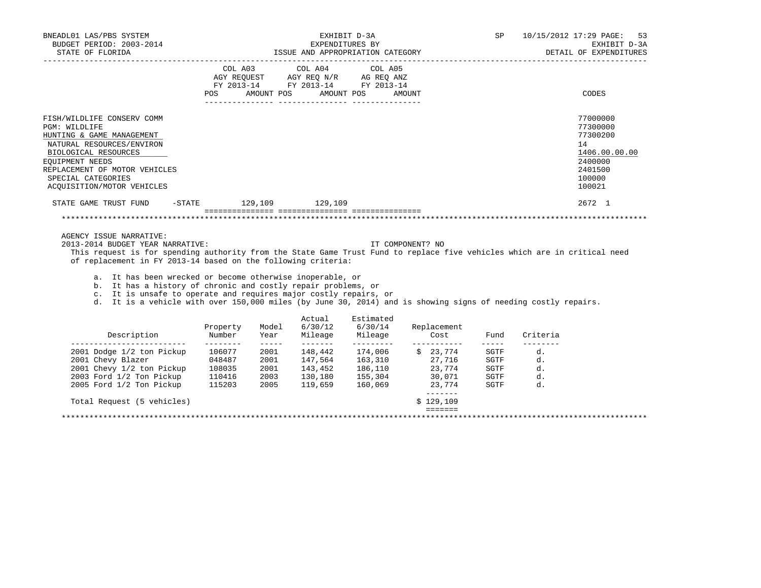| BNEADL01 LAS/PBS SYSTEM<br>BUDGET PERIOD: 2003-2014<br>STATE OF FLORIDA                                                                                                                                                                                                                                                                                                                                                                                                                                                                                                      |                                                        |                                                                                                                                                                                                                                                                                                                                                                                                                      |                              | EXHIBIT D-3A<br>EXPENDITURES BY<br>ISSUE AND APPROPRIATION CATEGORY                                                                                                                                                                                                                                                   |                  |                                  | SP                                                                                                                                                                                                                                                                                                                                                                                                                           |                            | 10/15/2012 17:29 PAGE:<br>53<br>EXHIBIT D-3A<br>DETAIL OF EXPENDITURES                            |
|------------------------------------------------------------------------------------------------------------------------------------------------------------------------------------------------------------------------------------------------------------------------------------------------------------------------------------------------------------------------------------------------------------------------------------------------------------------------------------------------------------------------------------------------------------------------------|--------------------------------------------------------|----------------------------------------------------------------------------------------------------------------------------------------------------------------------------------------------------------------------------------------------------------------------------------------------------------------------------------------------------------------------------------------------------------------------|------------------------------|-----------------------------------------------------------------------------------------------------------------------------------------------------------------------------------------------------------------------------------------------------------------------------------------------------------------------|------------------|----------------------------------|------------------------------------------------------------------------------------------------------------------------------------------------------------------------------------------------------------------------------------------------------------------------------------------------------------------------------------------------------------------------------------------------------------------------------|----------------------------|---------------------------------------------------------------------------------------------------|
|                                                                                                                                                                                                                                                                                                                                                                                                                                                                                                                                                                              | POS                                                    |                                                                                                                                                                                                                                                                                                                                                                                                                      | AMOUNT POS AMOUNT POS        | $\begin{tabular}{lllllllllll} &\multicolumn{4}{c}{\text{COL A03}} &\multicolumn{4}{c}{\text{COL A04}} &\multicolumn{4}{c}{\text{COL A05}} \\ \multicolumn{4}{c}{\text{AGY REQUEST}} &\multicolumn{4}{c}{\text{AGY REQ N/R}} &\multicolumn{4}{c}{\text{AG REQ ANZ}} \end{tabular}$<br>FY 2013-14 FY 2013-14 FY 2013-14 | AMOUNT           |                                  |                                                                                                                                                                                                                                                                                                                                                                                                                              |                            | CODES                                                                                             |
| FISH/WILDLIFE CONSERV COMM<br>PGM: WILDLIFE<br>HUNTING & GAME MANAGEMENT<br>NATURAL RESOURCES/ENVIRON<br>BIOLOGICAL RESOURCES<br>EQUIPMENT NEEDS<br>REPLACEMENT OF MOTOR VEHICLES<br>SPECIAL CATEGORIES<br>ACQUISITION/MOTOR VEHICLES                                                                                                                                                                                                                                                                                                                                        |                                                        |                                                                                                                                                                                                                                                                                                                                                                                                                      |                              |                                                                                                                                                                                                                                                                                                                       |                  |                                  |                                                                                                                                                                                                                                                                                                                                                                                                                              |                            | 77000000<br>77300000<br>77300200<br>14<br>1406.00.00.00<br>2400000<br>2401500<br>100000<br>100021 |
| STATE GAME TRUST FUND                                                                                                                                                                                                                                                                                                                                                                                                                                                                                                                                                        | -STATE 129,109 129,109                                 |                                                                                                                                                                                                                                                                                                                                                                                                                      |                              |                                                                                                                                                                                                                                                                                                                       |                  |                                  |                                                                                                                                                                                                                                                                                                                                                                                                                              |                            | 2672 1                                                                                            |
| AGENCY ISSUE NARRATIVE:<br>2013-2014 BUDGET YEAR NARRATIVE:<br>This request is for spending authority from the State Game Trust Fund to replace five vehicles which are in critical need<br>of replacement in FY 2013-14 based on the following criteria:<br>a. It has been wrecked or become otherwise inoperable, or<br>b. It has a history of chronic and costly repair problems, or<br>c. It is unsafe to operate and requires major costly repairs, or<br>d. It is a vehicle with over 150,000 miles (by June 30, 2014) and is showing signs of needing costly repairs. |                                                        |                                                                                                                                                                                                                                                                                                                                                                                                                      |                              |                                                                                                                                                                                                                                                                                                                       | IT COMPONENT? NO |                                  |                                                                                                                                                                                                                                                                                                                                                                                                                              |                            |                                                                                                   |
| Description                                                                                                                                                                                                                                                                                                                                                                                                                                                                                                                                                                  | Property<br>Number                                     | Model<br>Year                                                                                                                                                                                                                                                                                                                                                                                                        | Actual<br>6/30/12<br>Mileage | Estimated<br>6/30/14<br>Mileage                                                                                                                                                                                                                                                                                       |                  | Replacement<br>Cost              | Fund                                                                                                                                                                                                                                                                                                                                                                                                                         | Criteria                   |                                                                                                   |
| _____________________________<br>2001 Dodge 1/2 ton Pickup<br>2001 Chevy Blazer<br>2001 Chevy 1/2 ton Pickup 108035 2001 143,452 186,110<br>2003 Ford 1/2 Ton Pickup<br>2005 Ford 1/2 Ton Pickup                                                                                                                                                                                                                                                                                                                                                                             | ---------<br>106077 2001<br>048487<br>110416<br>115203 | $\frac{1}{2} \frac{1}{2} \frac{1}{2} \frac{1}{2} \frac{1}{2} \frac{1}{2} \frac{1}{2} \frac{1}{2} \frac{1}{2} \frac{1}{2} \frac{1}{2} \frac{1}{2} \frac{1}{2} \frac{1}{2} \frac{1}{2} \frac{1}{2} \frac{1}{2} \frac{1}{2} \frac{1}{2} \frac{1}{2} \frac{1}{2} \frac{1}{2} \frac{1}{2} \frac{1}{2} \frac{1}{2} \frac{1}{2} \frac{1}{2} \frac{1}{2} \frac{1}{2} \frac{1}{2} \frac{1}{2} \frac{$<br>2001<br>2003<br>2005 | 148,442                      | 174,006 \$ 23,774 SGTF<br>130,180 155,304<br>119,659 160,069                                                                                                                                                                                                                                                          |                  | 30,071<br>23,774<br>. <u>.</u> . | $\frac{1}{2} \frac{1}{2} \frac{1}{2} \frac{1}{2} \frac{1}{2} \frac{1}{2} \frac{1}{2} \frac{1}{2} \frac{1}{2} \frac{1}{2} \frac{1}{2} \frac{1}{2} \frac{1}{2} \frac{1}{2} \frac{1}{2} \frac{1}{2} \frac{1}{2} \frac{1}{2} \frac{1}{2} \frac{1}{2} \frac{1}{2} \frac{1}{2} \frac{1}{2} \frac{1}{2} \frac{1}{2} \frac{1}{2} \frac{1}{2} \frac{1}{2} \frac{1}{2} \frac{1}{2} \frac{1}{2} \frac{$<br>SGTF<br>SGTF<br>SGTF<br>SGTF | d.<br>d.<br>d.<br>d.<br>d. |                                                                                                   |
| Total Request (5 vehicles)                                                                                                                                                                                                                                                                                                                                                                                                                                                                                                                                                   |                                                        |                                                                                                                                                                                                                                                                                                                                                                                                                      |                              |                                                                                                                                                                                                                                                                                                                       |                  | \$129,109                        |                                                                                                                                                                                                                                                                                                                                                                                                                              |                            |                                                                                                   |
|                                                                                                                                                                                                                                                                                                                                                                                                                                                                                                                                                                              |                                                        |                                                                                                                                                                                                                                                                                                                                                                                                                      |                              |                                                                                                                                                                                                                                                                                                                       |                  | $\frac{1}{2}$                    |                                                                                                                                                                                                                                                                                                                                                                                                                              |                            |                                                                                                   |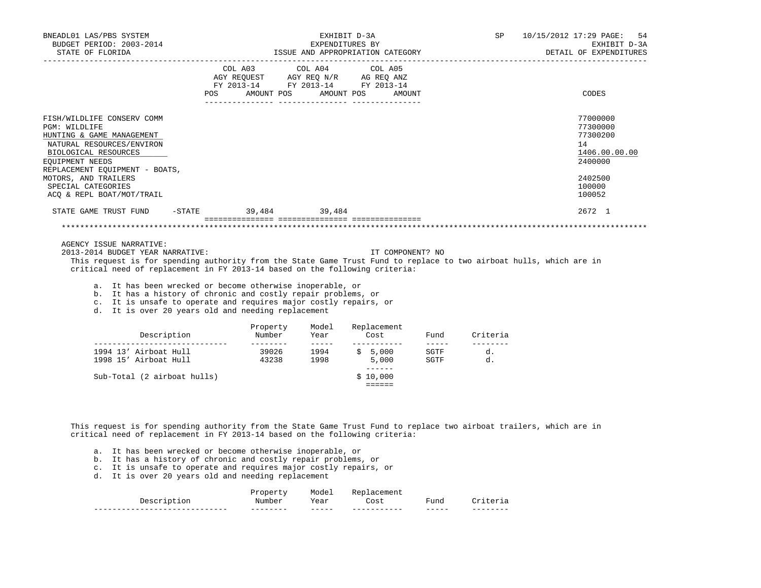| BNEADL01 LAS/PBS SYSTEM<br>BUDGET PERIOD: 2003-2014                                                                                                                                                                                                               |     |            |               | EXHIBIT D-3A<br>EXPENDITURES BY                                                                                                                                                                                                                 |      | SP                                 | 10/15/2012 17:29 PAGE:<br>-54<br>EXHIBIT D-3A<br>DETAIL OF EXPENDITURES                           |
|-------------------------------------------------------------------------------------------------------------------------------------------------------------------------------------------------------------------------------------------------------------------|-----|------------|---------------|-------------------------------------------------------------------------------------------------------------------------------------------------------------------------------------------------------------------------------------------------|------|------------------------------------|---------------------------------------------------------------------------------------------------|
|                                                                                                                                                                                                                                                                   | POS | AMOUNT POS |               | COL A03 COL A04 COL A05<br>$\begin{tabular}{lllllll} AGY & \texttt{REQUEST} & \texttt{AGY} & \texttt{REG} & \texttt{N/R} & \texttt{AG} & \texttt{REQ} & \texttt{ANZ} \end{tabular}$<br>FY 2013-14 FY 2013-14 FY 2013-14<br>AMOUNT POS<br>AMOUNT |      |                                    | CODES                                                                                             |
| FISH/WILDLIFE CONSERV COMM<br>PGM: WILDLIFE<br>HUNTING & GAME MANAGEMENT<br>NATURAL RESOURCES/ENVIRON<br>BIOLOGICAL RESOURCES<br>EQUIPMENT NEEDS<br>REPLACEMENT EQUIPMENT - BOATS,<br>MOTORS, AND TRAILERS<br>SPECIAL CATEGORIES<br>ACQ & REPL BOAT/MOT/TRAIL     |     |            |               |                                                                                                                                                                                                                                                 |      |                                    | 77000000<br>77300000<br>77300200<br>14<br>1406.00.00.00<br>2400000<br>2402500<br>100000<br>100052 |
| STATE GAME TRUST FUND -STATE 39,484 39,484                                                                                                                                                                                                                        |     |            |               |                                                                                                                                                                                                                                                 |      |                                    | 2672 1                                                                                            |
|                                                                                                                                                                                                                                                                   |     |            |               |                                                                                                                                                                                                                                                 |      |                                    |                                                                                                   |
| AGENCY ISSUE NARRATIVE:<br>2013-2014 BUDGET YEAR NARRATIVE:<br>This request is for spending authority from the State Game Trust Fund to replace to two airboat hulls, which are in<br>critical need of replacement in FY 2013-14 based on the following criteria: |     |            |               | IT COMPONENT? NO                                                                                                                                                                                                                                |      |                                    |                                                                                                   |
| a. It has been wrecked or become otherwise inoperable, or<br>b. It has a history of chronic and costly repair problems, or<br>c. It is unsafe to operate and requires major costly repairs, or<br>d. It is over 20 years old and needing replacement              |     |            |               |                                                                                                                                                                                                                                                 |      |                                    |                                                                                                   |
|                                                                                                                                                                                                                                                                   |     | Property   | Model<br>Year | Replacement<br>Cost                                                                                                                                                                                                                             | Fund | Criteria                           |                                                                                                   |
| 1994 13' Airboat Hull 59026 1994<br>1998 15' Airboat Hull 43238                                                                                                                                                                                                   |     |            | 1998          | -----------<br>\$5,000<br>5,000                                                                                                                                                                                                                 | SGTF | $- - - - - - - -$<br>d.<br>SGTF d. |                                                                                                   |
| Sub-Total (2 airboat hulls)                                                                                                                                                                                                                                       |     |            |               | _______<br>\$10,000<br>$= = = = = =$                                                                                                                                                                                                            |      |                                    |                                                                                                   |

 This request is for spending authority from the State Game Trust Fund to replace two airboat trailers, which are in critical need of replacement in FY 2013-14 based on the following criteria:

- a. It has been wrecked or become otherwise inoperable, or
- b. It has a history of chronic and costly repair problems, or
- c. It is unsafe to operate and requires major costly repairs, or
- d. It is over 20 years old and needing replacement

|                                             | Mum                 | .<br>$\triangleq \triangleq \Upsilon$<br>rear<br>. | .<br>- -<br>¬∽≁<br>こしいし<br>. | 'una            |                          |
|---------------------------------------------|---------------------|----------------------------------------------------|------------------------------|-----------------|--------------------------|
| ---<br>----<br>---------------------<br>___ | --------<br>_______ | -----<br>_____                                     | -----------<br>___________   | _____<br>______ | --------<br>_____<br>___ |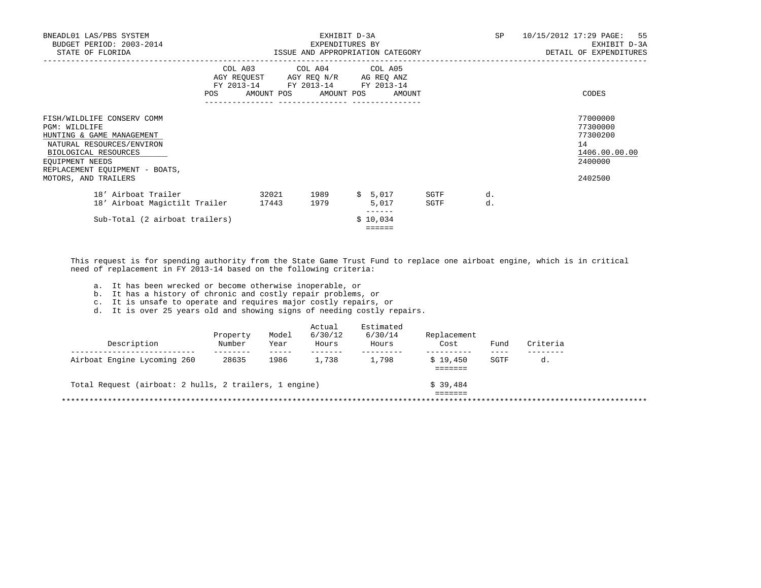| BNEADL01 LAS/PBS SYSTEM<br>BUDGET PERIOD: 2003-2014<br>STATE OF FLORIDA                                                                                                                                    |                   |                                                                                                                 | EXHIBIT D-3A<br>EXPENDITURES BY<br>ISSUE AND APPROPRIATION CATEGORY |              | <b>SP</b> | 10/15/2012 17:29 PAGE: 55<br>EXHIBIT D-3A<br>DETAIL OF EXPENDITURES           |  |
|------------------------------------------------------------------------------------------------------------------------------------------------------------------------------------------------------------|-------------------|-----------------------------------------------------------------------------------------------------------------|---------------------------------------------------------------------|--------------|-----------|-------------------------------------------------------------------------------|--|
|                                                                                                                                                                                                            | FY 2013-14<br>POS | COL A03 COL A04 COL A05<br>AGY REQUEST AGY REQ N/R AG REQ ANZ<br>FY 2013-14 FY 2013-14<br>AMOUNT POS AMOUNT POS | AMOUNT                                                              |              |           | CODES                                                                         |  |
| FISH/WILDLIFE CONSERV COMM<br>PGM: WILDLIFE<br>HUNTING & GAME MANAGEMENT<br>NATURAL RESOURCES/ENVIRON<br>BIOLOGICAL RESOURCES<br>EQUIPMENT NEEDS<br>REPLACEMENT EQUIPMENT - BOATS,<br>MOTORS, AND TRAILERS |                   |                                                                                                                 |                                                                     |              |           | 77000000<br>77300000<br>77300200<br>14<br>1406.00.00.00<br>2400000<br>2402500 |  |
| 18' Airboat Trailer<br>18' Airboat Magictilt Trailer                                                                                                                                                       | 32021<br>17443    | 1989<br>1979                                                                                                    | \$5,017<br>5,017                                                    | SGTF<br>SGTF | d.<br>d.  |                                                                               |  |
| Sub-Total (2 airboat trailers)                                                                                                                                                                             |                   |                                                                                                                 | \$10,034<br>======                                                  |              |           |                                                                               |  |

 This request is for spending authority from the State Game Trust Fund to replace one airboat engine, which is in critical need of replacement in FY 2013-14 based on the following criteria:

a. It has been wrecked or become otherwise inoperable, or

b. It has a history of chronic and costly repair problems, or

c. It is unsafe to operate and requires major costly repairs, or

d. It is over 25 years old and showing signs of needing costly repairs.

| Number | Year | 6/30/12<br>Hours | 6/30/14<br>Hours                                       | Replacement<br>Cost | Fund | Criteria |
|--------|------|------------------|--------------------------------------------------------|---------------------|------|----------|
| 28635  | 1986 | 1,738            | 1,798                                                  | \$19.450            | SGTF | d.       |
|        |      |                  |                                                        |                     |      |          |
|        |      |                  |                                                        | \$39.484            |      |          |
|        |      |                  |                                                        |                     |      |          |
|        |      |                  | Total Request (airboat: 2 hulls, 2 trailers, 1 engine) |                     |      |          |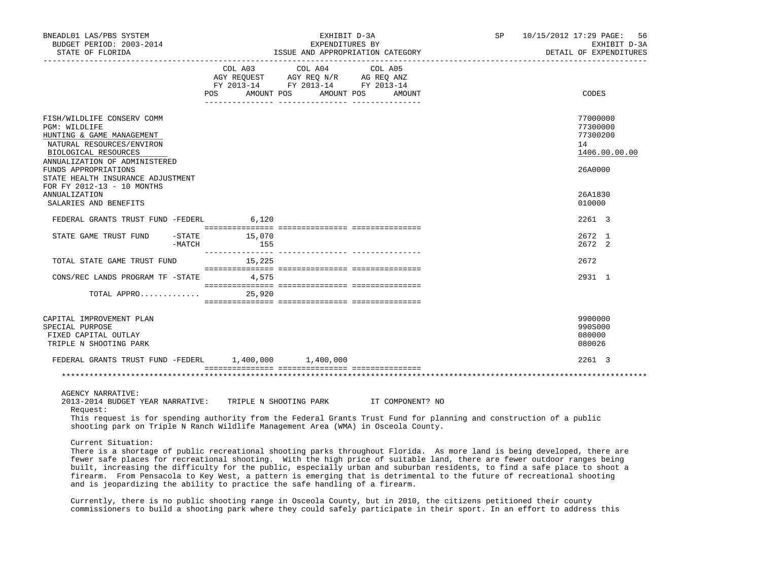| BNEADL01 LAS/PBS SYSTEM<br>BUDGET PERIOD: 2003-2014<br>STATE OF FLORIDA                                                                                                                                                                                                                                                      |                                  | EXHIBIT D-3A<br>EXPENDITURES BY                                                                   | ISSUE AND APPROPRIATION CATEGORY | SP | 10/15/2012 17:29 PAGE:<br>56<br>EXHIBIT D-3A<br>DETAIL OF EXPENDITURES |
|------------------------------------------------------------------------------------------------------------------------------------------------------------------------------------------------------------------------------------------------------------------------------------------------------------------------------|----------------------------------|---------------------------------------------------------------------------------------------------|----------------------------------|----|------------------------------------------------------------------------|
|                                                                                                                                                                                                                                                                                                                              | POS AMOUNT POS AMOUNT POS AMOUNT | COL A03 COL A04 COL A05<br>AGY REQUEST AGY REQ N/R AG REQ ANZ<br>FY 2013-14 FY 2013-14 FY 2013-14 |                                  |    | CODES                                                                  |
| FISH/WILDLIFE CONSERV COMM<br>PGM: WILDLIFE<br>HUNTING & GAME MANAGEMENT<br>NATURAL RESOURCES/ENVIRON<br>BIOLOGICAL RESOURCES<br>ANNUALIZATION OF ADMINISTERED                                                                                                                                                               |                                  |                                                                                                   |                                  |    | 77000000<br>77300000<br>77300200<br>14<br>1406.00.00.00                |
| FUNDS APPROPRIATIONS<br>STATE HEALTH INSURANCE ADJUSTMENT<br>FOR FY 2012-13 - 10 MONTHS<br><b>ANNUALIZATION</b><br>SALARIES AND BENEFITS                                                                                                                                                                                     |                                  |                                                                                                   |                                  |    | 26A0000<br>26A1830<br>010000                                           |
| FEDERAL GRANTS TRUST FUND -FEDERL 6,120                                                                                                                                                                                                                                                                                      |                                  |                                                                                                   |                                  |    | 2261 3                                                                 |
| STATE GAME TRUST FUND -STATE 15,070<br>$-MATCH$                                                                                                                                                                                                                                                                              |                                  |                                                                                                   |                                  |    | 2672 1<br>2672 2                                                       |
| TOTAL STATE GAME TRUST FUND                                                                                                                                                                                                                                                                                                  | 15,225                           |                                                                                                   |                                  |    | 2672                                                                   |
| CONS/REC LANDS PROGRAM TF -STATE 4,575                                                                                                                                                                                                                                                                                       |                                  |                                                                                                   |                                  |    | 2931 1                                                                 |
| TOTAL APPRO $25,920$                                                                                                                                                                                                                                                                                                         |                                  |                                                                                                   |                                  |    |                                                                        |
| CAPITAL IMPROVEMENT PLAN<br>SPECIAL PURPOSE<br>FIXED CAPITAL OUTLAY<br>TRIPLE N SHOOTING PARK                                                                                                                                                                                                                                |                                  |                                                                                                   |                                  |    | 9900000<br>990S000<br>080000<br>080026                                 |
| FEDERAL GRANTS TRUST FUND -FEDERL 1,400,000 1,400,000                                                                                                                                                                                                                                                                        |                                  |                                                                                                   |                                  |    | 2261 3                                                                 |
|                                                                                                                                                                                                                                                                                                                              |                                  |                                                                                                   |                                  |    |                                                                        |
| <b>AGENCY NARRATIVE:</b><br>2013-2014 BUDGET YEAR NARRATIVE: TRIPLE N SHOOTING PARK IT COMPONENT? NO<br>Request:<br>This request is for spending authority from the Federal Grants Trust Fund for planning and construction of a public<br>shooting park on Triple N Ranch Wildlife Management Area (WMA) in Osceola County. |                                  |                                                                                                   |                                  |    |                                                                        |
| Current Situation:<br>There is a shorter of mubic requestional ghosting parks throughout Florida. Be more land is being developed, there are                                                                                                                                                                                 |                                  |                                                                                                   |                                  |    |                                                                        |

 There is a shortage of public recreational shooting parks throughout Florida. As more land is being developed, there are fewer safe places for recreational shooting. With the high price of suitable land, there are fewer outdoor ranges being built, increasing the difficulty for the public, especially urban and suburban residents, to find a safe place to shoot a firearm. From Pensacola to Key West, a pattern is emerging that is detrimental to the future of recreational shooting and is jeopardizing the ability to practice the safe handling of a firearm.

 Currently, there is no public shooting range in Osceola County, but in 2010, the citizens petitioned their county commissioners to build a shooting park where they could safely participate in their sport. In an effort to address this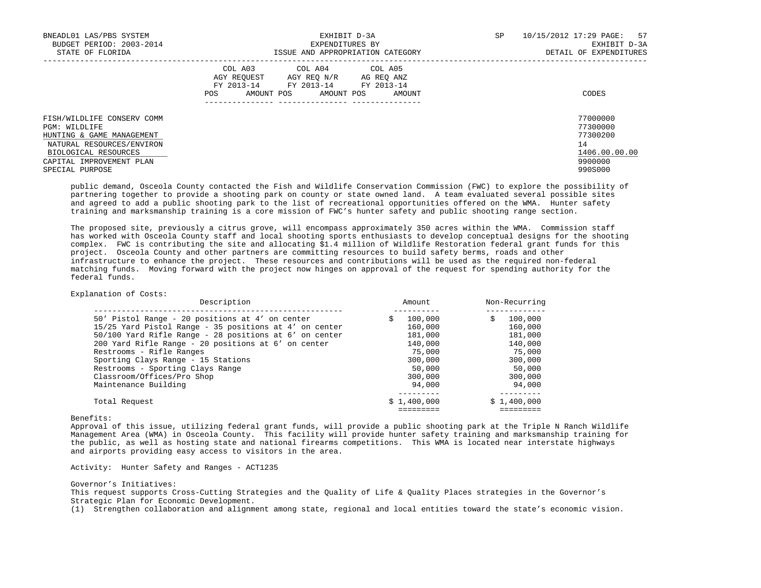| BNEADL01 LAS/PBS SYSTEM<br>BUDGET PERIOD: 2003-2014<br>STATE OF FLORIDA                                                                                   | EXHIBIT D-3A<br>EXPENDITURES BY<br>ISSUE AND APPROPRIATION CATEGORY                                                                               | SP<br>10/15/2012 17:29 PAGE: 57<br>EXHIBIT D-3A<br>DETAIL OF EXPENDITURES |
|-----------------------------------------------------------------------------------------------------------------------------------------------------------|---------------------------------------------------------------------------------------------------------------------------------------------------|---------------------------------------------------------------------------|
|                                                                                                                                                           | COL A03 COL A04 COL A05<br>AGY REOUEST<br>AGY REO N/R<br>AG REO ANZ<br>FY 2013-14 FY 2013-14 FY 2013-14<br>AMOUNT POS AMOUNT POS<br>POS<br>AMOUNT | CODES                                                                     |
| FISH/WILDLIFE CONSERV COMM<br>PGM: WILDLIFE<br>HUNTING & GAME MANAGEMENT<br>NATURAL RESOURCES/ENVIRON<br>BIOLOGICAL RESOURCES<br>CAPITAL IMPROVEMENT PLAN |                                                                                                                                                   | 77000000<br>77300000<br>77300200<br>14<br>1406.00.00.00<br>9900000        |
| SPECIAL PURPOSE                                                                                                                                           |                                                                                                                                                   | 990S000                                                                   |

 public demand, Osceola County contacted the Fish and Wildlife Conservation Commission (FWC) to explore the possibility of partnering together to provide a shooting park on county or state owned land. A team evaluated several possible sites and agreed to add a public shooting park to the list of recreational opportunities offered on the WMA. Hunter safety training and marksmanship training is a core mission of FWC's hunter safety and public shooting range section.

 The proposed site, previously a citrus grove, will encompass approximately 350 acres within the WMA. Commission staff has worked with Osceola County staff and local shooting sports enthusiasts to develop conceptual designs for the shooting complex. FWC is contributing the site and allocating \$1.4 million of Wildlife Restoration federal grant funds for this project. Osceola County and other partners are committing resources to build safety berms, roads and other infrastructure to enhance the project. These resources and contributions will be used as the required non-federal matching funds. Moving forward with the project now hinges on approval of the request for spending authority for the federal funds.

### Explanation of Costs:

| Description                                              | Amount       | Non-Recurring |
|----------------------------------------------------------|--------------|---------------|
| 50' Pistol Range - 20 positions at 4' on center          | 100,000<br>S | 100,000<br>S  |
| $15/25$ Yard Pistol Range - 35 positions at 4' on center | 160,000      | 160,000       |
| 50/100 Yard Rifle Range - 28 positions at 6' on center   | 181,000      | 181,000       |
| 200 Yard Rifle Range - 20 positions at 6' on center      | 140,000      | 140,000       |
| Restrooms - Rifle Ranges                                 | 75,000       | 75,000        |
| Sporting Clays Range - 15 Stations                       | 300,000      | 300,000       |
| Restrooms - Sporting Clays Range                         | 50,000       | 50,000        |
| Classroom/Offices/Pro Shop                               | 300,000      | 300,000       |
| Maintenance Building                                     | 94,000       | 94,000        |
|                                                          |              |               |
| Total Request                                            | \$1,400,000  | \$1,400,000   |
|                                                          |              |               |

Benefits:

 Approval of this issue, utilizing federal grant funds, will provide a public shooting park at the Triple N Ranch Wildlife Management Area (WMA) in Osceola County. This facility will provide hunter safety training and marksmanship training for the public, as well as hosting state and national firearms competitions. This WMA is located near interstate highways and airports providing easy access to visitors in the area.

Activity: Hunter Safety and Ranges - ACT1235

Governor's Initiatives:

 This request supports Cross-Cutting Strategies and the Quality of Life & Quality Places strategies in the Governor's Strategic Plan for Economic Development.

(1) Strengthen collaboration and alignment among state, regional and local entities toward the state's economic vision.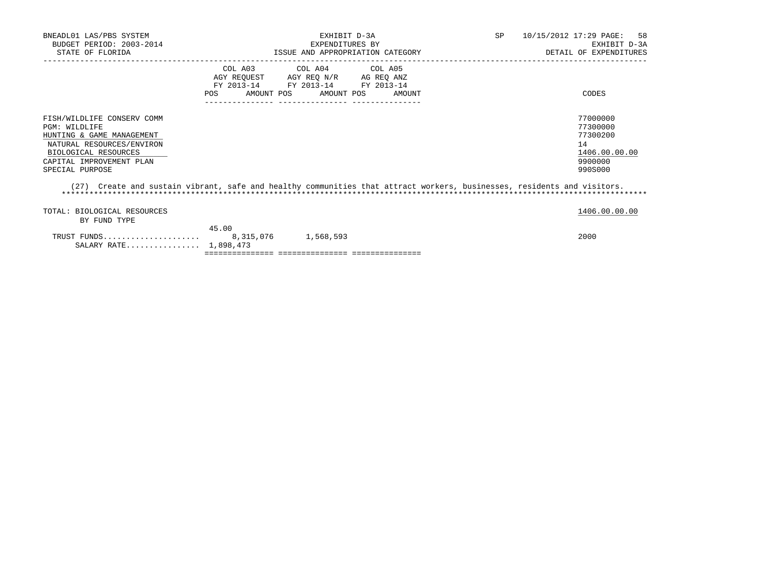| BNEADL01 LAS/PBS SYSTEM<br>BUDGET PERIOD: 2003-2014<br>STATE OF FLORIDA                                                                                                      | EXHIBIT D-3A<br>EXPENDITURES BY<br>ISSUE AND APPROPRIATION CATEGORY                                                                                  | SP<br>10/15/2012 17:29 PAGE: 58<br>EXHIBIT D-3A<br>DETAIL OF EXPENDITURES     |
|------------------------------------------------------------------------------------------------------------------------------------------------------------------------------|------------------------------------------------------------------------------------------------------------------------------------------------------|-------------------------------------------------------------------------------|
|                                                                                                                                                                              | COL A03 COL A04 COL A05<br>AGY REOUEST<br>AGY REO N/R<br>AG REO ANZ<br>FY 2013-14 FY 2013-14 FY 2013-14<br>AMOUNT POS<br>AMOUNT POS<br>POS<br>AMOUNT | CODES                                                                         |
| FISH/WILDLIFE CONSERV COMM<br>PGM: WILDLIFE<br>HUNTING & GAME MANAGEMENT<br>NATURAL RESOURCES/ENVIRON<br>BIOLOGICAL RESOURCES<br>CAPITAL IMPROVEMENT PLAN<br>SPECIAL PURPOSE |                                                                                                                                                      | 77000000<br>77300000<br>77300200<br>14<br>1406.00.00.00<br>9900000<br>990S000 |

 (27) Create and sustain vibrant, safe and healthy communities that attract workers, businesses, residents and visitors. \*\*\*\*\*\*\*\*\*\*\*\*\*\*\*\*\*\*\*\*\*\*\*\*\*\*\*\*\*\*\*\*\*\*\*\*\*\*\*\*\*\*\*\*\*\*\*\*\*\*\*\*\*\*\*\*\*\*\*\*\*\*\*\*\*\*\*\*\*\*\*\*\*\*\*\*\*\*\*\*\*\*\*\*\*\*\*\*\*\*\*\*\*\*\*\*\*\*\*\*\*\*\*\*\*\*\*\*\*\*\*\*\*\*\*\*\*\*\*\*\*\*\*\*\*\*\*

TOTAL: BIOLOGICAL RESOURCES 1406.00.00 PORT 2001.00 PORT 2001.00 PORT 2001.00 PORT 2001.00 PORT 2001.00 PORT 2001.00 PORT 2001.00 PORT 2001.00 PORT 2001.00 PORT 2001.00 PORT 2001.00 PORT 2001.00 PORT 2001.00 PORT 2001.00 P

BY FUND TYPE

45.00<br>8,315,076

 TRUST FUNDS..................... 8,315,076 1,568,593 2000 SALARY RATE................ 1,898,473 =============== =============== ===============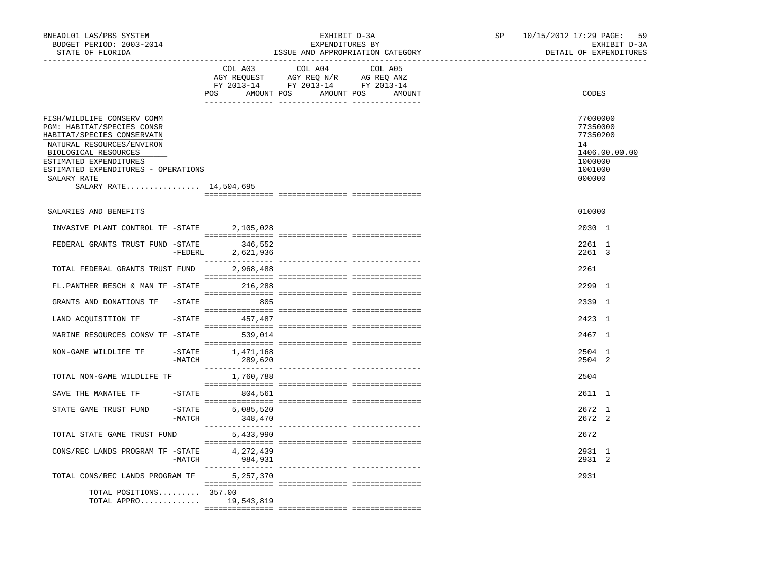| BNEADL01 LAS/PBS SYSTEM<br>BUDGET PERIOD: 2003-2014<br>STATE OF FLORIDA                                                                                                                                                                               |        |                                                                                                                                                                                                                                                                                               | EXHIBIT D-3A<br>EXPENDITURES BY<br>ISSUE AND APPROPRIATION CATEGORY |  | SP and the set of the set of the set of the set of the set of the set of the set of the set of the set of the set of the set of the set of the set of the set of the set of the set of the set of the set of the set of the se | 10/15/2012 17:29 PAGE: 59 |                                                                        | EXHIBIT D-3A<br>DETAIL OF EXPENDITURES |
|-------------------------------------------------------------------------------------------------------------------------------------------------------------------------------------------------------------------------------------------------------|--------|-----------------------------------------------------------------------------------------------------------------------------------------------------------------------------------------------------------------------------------------------------------------------------------------------|---------------------------------------------------------------------|--|--------------------------------------------------------------------------------------------------------------------------------------------------------------------------------------------------------------------------------|---------------------------|------------------------------------------------------------------------|----------------------------------------|
|                                                                                                                                                                                                                                                       |        | COL A03 COL A04 COL A05<br>COLOR COLOR COLOR COLOR COLOR COLOR COLOR COLOR AGE ON AN AGE ON AN AGE ON AN AGE ON AN AGE ON A COLOR COLOR COLOR COLOR COLOR COLOR COLOR COLOR COLOR COLOR COLOR COLOR COLOR COLOR COLOR COLOR COLOR COLOR COLOR COLOR COLOR<br>POS AMOUNT POS AMOUNT POS AMOUNT |                                                                     |  |                                                                                                                                                                                                                                | CODES                     |                                                                        |                                        |
| FISH/WILDLIFE CONSERV COMM<br>PGM: HABITAT/SPECIES CONSR<br>HABITAT/SPECIES CONSERVATN<br>NATURAL RESOURCES/ENVIRON<br>BIOLOGICAL RESOURCES<br>ESTIMATED EXPENDITURES<br>ESTIMATED EXPENDITURES - OPERATIONS<br>SALARY RATE<br>SALARY RATE 14,504,695 |        |                                                                                                                                                                                                                                                                                               |                                                                     |  |                                                                                                                                                                                                                                |                           | 77000000<br>77350000<br>77350200<br>14<br>1000000<br>1001000<br>000000 | 1406.00.00.00                          |
| SALARIES AND BENEFITS                                                                                                                                                                                                                                 |        |                                                                                                                                                                                                                                                                                               |                                                                     |  |                                                                                                                                                                                                                                |                           | 010000                                                                 |                                        |
| INVASIVE PLANT CONTROL TF -STATE 2,105,028                                                                                                                                                                                                            |        |                                                                                                                                                                                                                                                                                               |                                                                     |  |                                                                                                                                                                                                                                |                           | 2030 1                                                                 |                                        |
| FEDERAL GRANTS TRUST FUND -STATE 346,552                                                                                                                                                                                                              |        | $-$ FEDERL 2,621,936                                                                                                                                                                                                                                                                          |                                                                     |  |                                                                                                                                                                                                                                |                           | 2261 1<br>2261 3                                                       |                                        |
| TOTAL FEDERAL GRANTS TRUST FUND 2,968,488                                                                                                                                                                                                             |        |                                                                                                                                                                                                                                                                                               |                                                                     |  |                                                                                                                                                                                                                                |                           | 2261                                                                   |                                        |
| FL.PANTHER RESCH & MAN TF -STATE 216,288                                                                                                                                                                                                              |        |                                                                                                                                                                                                                                                                                               |                                                                     |  |                                                                                                                                                                                                                                |                           | 2299 1                                                                 |                                        |
| GRANTS AND DONATIONS TF -STATE 605                                                                                                                                                                                                                    |        |                                                                                                                                                                                                                                                                                               |                                                                     |  |                                                                                                                                                                                                                                |                           | 2339 1                                                                 |                                        |
| LAND ACQUISITION TF -STATE 457,487                                                                                                                                                                                                                    |        |                                                                                                                                                                                                                                                                                               |                                                                     |  |                                                                                                                                                                                                                                |                           | 2423 1                                                                 |                                        |
| MARINE RESOURCES CONSV TF - STATE 539,014                                                                                                                                                                                                             |        |                                                                                                                                                                                                                                                                                               |                                                                     |  |                                                                                                                                                                                                                                |                           | 2467 1                                                                 |                                        |
| NON-GAME WILDLIFE TF                                                                                                                                                                                                                                  | -MATCH | $-STATE$ 1,471,168<br>289,620                                                                                                                                                                                                                                                                 |                                                                     |  |                                                                                                                                                                                                                                |                           | 2504 1<br>2504 2                                                       |                                        |
| TOTAL NON-GAME WILDLIFE TF                                                                                                                                                                                                                            |        | 1,760,788                                                                                                                                                                                                                                                                                     |                                                                     |  |                                                                                                                                                                                                                                |                           | 2504                                                                   |                                        |
| SAVE THE MANATEE TF    -STATE    804,561                                                                                                                                                                                                              |        |                                                                                                                                                                                                                                                                                               |                                                                     |  |                                                                                                                                                                                                                                |                           | 2611 1                                                                 |                                        |
| STATE GAME TRUST FUND                                                                                                                                                                                                                                 |        | $-$ STATE 5,085,520<br>$-MATCH$ 348,470                                                                                                                                                                                                                                                       |                                                                     |  |                                                                                                                                                                                                                                |                           | 2672 1<br>2672 2                                                       |                                        |
| TOTAL STATE GAME TRUST FUND                                                                                                                                                                                                                           |        | 5,433,990                                                                                                                                                                                                                                                                                     |                                                                     |  |                                                                                                                                                                                                                                |                           | 2672                                                                   |                                        |
| CONS/REC LANDS PROGRAM TF -STATE                                                                                                                                                                                                                      |        | 4,272,439<br>$-MATCH$ 984,931                                                                                                                                                                                                                                                                 |                                                                     |  |                                                                                                                                                                                                                                |                           | 2931 1<br>2931 2                                                       |                                        |
| TOTAL CONS/REC LANDS PROGRAM TF                                                                                                                                                                                                                       |        | 5,257,370                                                                                                                                                                                                                                                                                     |                                                                     |  |                                                                                                                                                                                                                                |                           | 2931                                                                   |                                        |
| TOTAL POSITIONS 357.00<br>TOTAL APPRO                                                                                                                                                                                                                 |        | 19,543,819                                                                                                                                                                                                                                                                                    |                                                                     |  |                                                                                                                                                                                                                                |                           |                                                                        |                                        |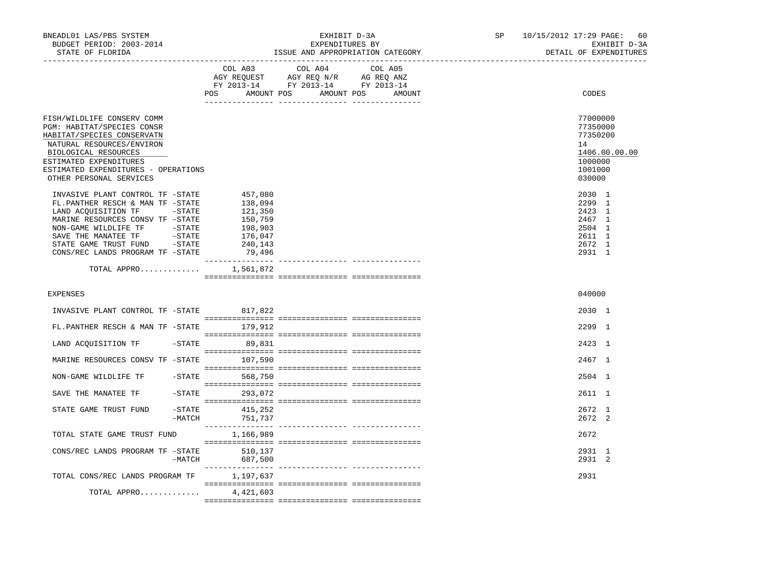| BNEADL01 LAS/PBS SYSTEM<br>BUDGET PERIOD: 2003-2014<br>STATE OF FLORIDA                                                                                                                                                                                                                        |                                                                                     | EXHIBIT D-3A<br>EXPENDITURES BY<br>ISSUE AND APPROPRIATION CATEGORY                                                                   | SP and the set of the set of the set of the set of the set of the set of the set of the set of the set of the set of the set of the set of the set of the set of the set of the set of the set of the set of the set of the se | 10/15/2012 17:29 PAGE: 60<br>EXHIBIT D-3A<br>DETAIL OF EXPENDITURES                     |
|------------------------------------------------------------------------------------------------------------------------------------------------------------------------------------------------------------------------------------------------------------------------------------------------|-------------------------------------------------------------------------------------|---------------------------------------------------------------------------------------------------------------------------------------|--------------------------------------------------------------------------------------------------------------------------------------------------------------------------------------------------------------------------------|-----------------------------------------------------------------------------------------|
|                                                                                                                                                                                                                                                                                                |                                                                                     | COL A03 COL A04 COL A05<br>AGY REQUEST AGY REQ N/R AG REQ ANZ<br>FY 2013-14 FY 2013-14 FY 2013-14<br>POS AMOUNT POS AMOUNT POS AMOUNT |                                                                                                                                                                                                                                | CODES                                                                                   |
| FISH/WILDLIFE CONSERV COMM<br><b>PGM: HABITAT/SPECIES CONSR</b><br>HABITAT/SPECIES CONSERVATN<br>NATURAL RESOURCES/ENVIRON<br>BIOLOGICAL RESOURCES<br>ESTIMATED EXPENDITURES<br>ESTIMATED EXPENDITURES - OPERATIONS<br>OTHER PERSONAL SERVICES                                                 |                                                                                     |                                                                                                                                       |                                                                                                                                                                                                                                | 77000000<br>77350000<br>77350200<br>14<br>1406.00.00.00<br>1000000<br>1001000<br>030000 |
| INVASIVE PLANT CONTROL TF -STATE<br>FL.PANTHER RESCH & MAN TF -STATE<br>LAND ACQUISITION TF -STATE<br>MARINE RESOURCES CONSV TF -STATE<br>NON-GAME WILDLIFE TF         -STATE<br>SAVE THE MANATEE TF          -STATE<br>STATE GAME TRUST FUND       -STATE<br>CONS/REC LANDS PROGRAM TF -STATE | 457,080<br>138,094<br>121,350<br>150,759<br>198,903<br>176,047<br>240,143<br>79,496 |                                                                                                                                       |                                                                                                                                                                                                                                | 2030 1<br>2299 1<br>2423 1<br>2467 1<br>2504 1<br>2611 1<br>2672 1<br>2931 1            |
| TOTAL APPRO                                                                                                                                                                                                                                                                                    | 1,561,872                                                                           |                                                                                                                                       |                                                                                                                                                                                                                                |                                                                                         |
| <b>EXPENSES</b>                                                                                                                                                                                                                                                                                |                                                                                     |                                                                                                                                       |                                                                                                                                                                                                                                | 040000                                                                                  |
| INVASIVE PLANT CONTROL TF -STATE 817,822                                                                                                                                                                                                                                                       |                                                                                     |                                                                                                                                       |                                                                                                                                                                                                                                | 2030 1                                                                                  |
| FL.PANTHER RESCH & MAN TF -STATE 179,912                                                                                                                                                                                                                                                       |                                                                                     |                                                                                                                                       |                                                                                                                                                                                                                                | 2299 1                                                                                  |
| LAND ACQUISITION TF -STATE 89,831                                                                                                                                                                                                                                                              |                                                                                     |                                                                                                                                       |                                                                                                                                                                                                                                | 2423 1                                                                                  |
| MARINE RESOURCES CONSV TF -STATE 107,590                                                                                                                                                                                                                                                       |                                                                                     |                                                                                                                                       |                                                                                                                                                                                                                                | 2467 1                                                                                  |
| NON-GAME WILDLIFE TF -STATE 568,750                                                                                                                                                                                                                                                            |                                                                                     |                                                                                                                                       |                                                                                                                                                                                                                                | 2504 1                                                                                  |
| SAVE THE MANATEE TF                                                                                                                                                                                                                                                                            | $-STATE$ 293,072                                                                    |                                                                                                                                       |                                                                                                                                                                                                                                | 2611 1                                                                                  |
| STATE GAME TRUST FUND                                                                                                                                                                                                                                                                          | $-$ STATE 415, 252<br>-MATCH 751,737                                                |                                                                                                                                       |                                                                                                                                                                                                                                | 2672 1<br>2672 2                                                                        |
| TOTAL STATE GAME TRUST FUND                                                                                                                                                                                                                                                                    | 1,166,989                                                                           |                                                                                                                                       |                                                                                                                                                                                                                                | 2672                                                                                    |
| CONS/REC LANDS PROGRAM TF -STATE 510,137                                                                                                                                                                                                                                                       | 687,500<br>$-MATCH$                                                                 |                                                                                                                                       |                                                                                                                                                                                                                                | 2931 1<br>2931 2                                                                        |
| TOTAL CONS/REC LANDS PROGRAM TF                                                                                                                                                                                                                                                                | 1,197,637                                                                           |                                                                                                                                       |                                                                                                                                                                                                                                | 2931                                                                                    |
| TOTAL APPRO                                                                                                                                                                                                                                                                                    | 4,421,603                                                                           |                                                                                                                                       |                                                                                                                                                                                                                                |                                                                                         |
|                                                                                                                                                                                                                                                                                                |                                                                                     |                                                                                                                                       |                                                                                                                                                                                                                                |                                                                                         |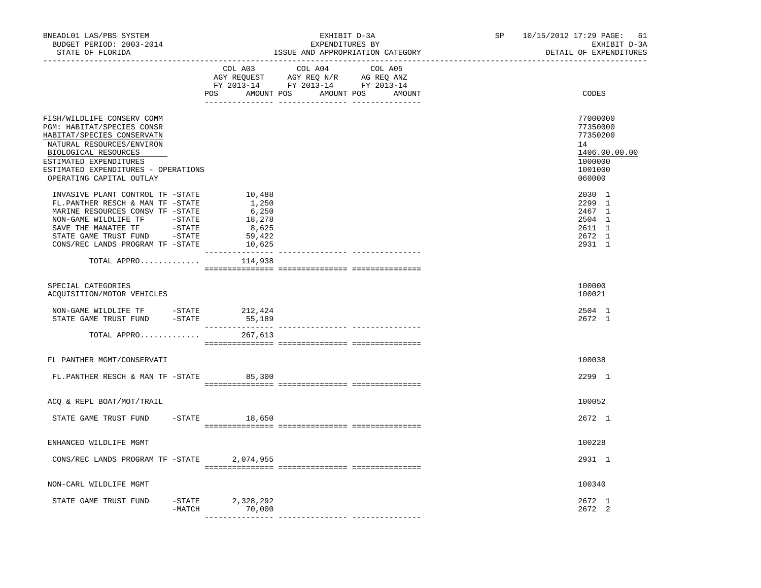| BNEADL01 LAS/PBS SYSTEM<br>BUDGET PERIOD: 2003-2014<br>STATE OF FLORIDA<br>-----------------                                                                                                                                                                                                      |                       |                                                                 | EXHIBIT D-3A<br>EXPENDITURES BY<br>ISSUE AND APPROPRIATION CATEGORY | SP and the set of the set of the set of the set of the set of the set of the set of the set of the set of the set of the set of the set of the set of the set of the set of the set of the set of the set of the set of the se | 10/15/2012 17:29 PAGE:<br>-61<br>EXHIBIT D-3A<br>DETAIL OF EXPENDITURES                 |
|---------------------------------------------------------------------------------------------------------------------------------------------------------------------------------------------------------------------------------------------------------------------------------------------------|-----------------------|-----------------------------------------------------------------|---------------------------------------------------------------------|--------------------------------------------------------------------------------------------------------------------------------------------------------------------------------------------------------------------------------|-----------------------------------------------------------------------------------------|
|                                                                                                                                                                                                                                                                                                   | COL A03               | COL A04 COL A05<br>POS AMOUNT POS AMOUNT POS AMOUNT             |                                                                     | CODES                                                                                                                                                                                                                          |                                                                                         |
| FISH/WILDLIFE CONSERV COMM<br>PGM: HABITAT/SPECIES CONSR<br>HABITAT/SPECIES CONSERVATN<br>NATURAL RESOURCES/ENVIRON<br>BIOLOGICAL RESOURCES<br>ESTIMATED EXPENDITURES<br>ESTIMATED EXPENDITURES - OPERATIONS<br>OPERATING CAPITAL OUTLAY                                                          |                       |                                                                 |                                                                     |                                                                                                                                                                                                                                | 77000000<br>77350000<br>77350200<br>14<br>1406.00.00.00<br>1000000<br>1001000<br>060000 |
| INVASIVE PLANT CONTROL TF -STATE<br>FL.PANTHER RESCH & MAN TF -STATE<br>MARINE RESOURCES CONSV TF -STATE<br>$\texttt{NON-GAME} \quad \texttt{WILDLIFE} \quad \texttt{TF} \qquad \quad \texttt{-STATE}$<br>SAVE THE MANATEE TF<br>STATE GAME TRUST FUND -STATE<br>CONS/REC LANDS PROGRAM TF -STATE | $-$ STATE             | 10,488<br>1,250<br>6,250<br>18,278<br>8,625<br>59,422<br>10,625 |                                                                     |                                                                                                                                                                                                                                | 2030 1<br>2299 1<br>2467 1<br>2504 1<br>2611 1<br>2672 1<br>2931 1                      |
| TOTAL APPRO                                                                                                                                                                                                                                                                                       |                       | 114,938                                                         |                                                                     |                                                                                                                                                                                                                                |                                                                                         |
| SPECIAL CATEGORIES<br>ACQUISITION/MOTOR VEHICLES                                                                                                                                                                                                                                                  |                       |                                                                 |                                                                     |                                                                                                                                                                                                                                | 100000<br>100021                                                                        |
| NON-GAME WILDLIFE TF -STATE 212,424<br>STATE GAME TRUST FUND - STATE                                                                                                                                                                                                                              |                       | 55,189                                                          |                                                                     |                                                                                                                                                                                                                                | 2504 1<br>2672 1                                                                        |
| TOTAL APPRO                                                                                                                                                                                                                                                                                       |                       | 267,613                                                         |                                                                     |                                                                                                                                                                                                                                |                                                                                         |
| FL PANTHER MGMT/CONSERVATI                                                                                                                                                                                                                                                                        |                       |                                                                 |                                                                     |                                                                                                                                                                                                                                | 100038                                                                                  |
| FL. PANTHER RESCH & MAN TF - STATE 85,300                                                                                                                                                                                                                                                         |                       |                                                                 |                                                                     |                                                                                                                                                                                                                                | 2299 1                                                                                  |
| ACQ & REPL BOAT/MOT/TRAIL                                                                                                                                                                                                                                                                         |                       |                                                                 |                                                                     |                                                                                                                                                                                                                                | 100052                                                                                  |
| STATE GAME TRUST FUND                                                                                                                                                                                                                                                                             |                       | $-$ STATE 18,650                                                |                                                                     |                                                                                                                                                                                                                                | 2672 1                                                                                  |
| ENHANCED WILDLIFE MGMT                                                                                                                                                                                                                                                                            |                       |                                                                 |                                                                     |                                                                                                                                                                                                                                | 100228                                                                                  |
| CONS/REC LANDS PROGRAM TF -STATE                                                                                                                                                                                                                                                                  |                       | 2,074,955                                                       |                                                                     |                                                                                                                                                                                                                                | 2931 1                                                                                  |
| NON-CARL WILDLIFE MGMT                                                                                                                                                                                                                                                                            |                       |                                                                 |                                                                     |                                                                                                                                                                                                                                | 100340                                                                                  |
| STATE GAME TRUST FUND                                                                                                                                                                                                                                                                             | $-$ STATE<br>$-MATCH$ | 2,328,292<br>70,000                                             |                                                                     |                                                                                                                                                                                                                                | 2672 1<br>2672 2                                                                        |
|                                                                                                                                                                                                                                                                                                   |                       |                                                                 |                                                                     |                                                                                                                                                                                                                                |                                                                                         |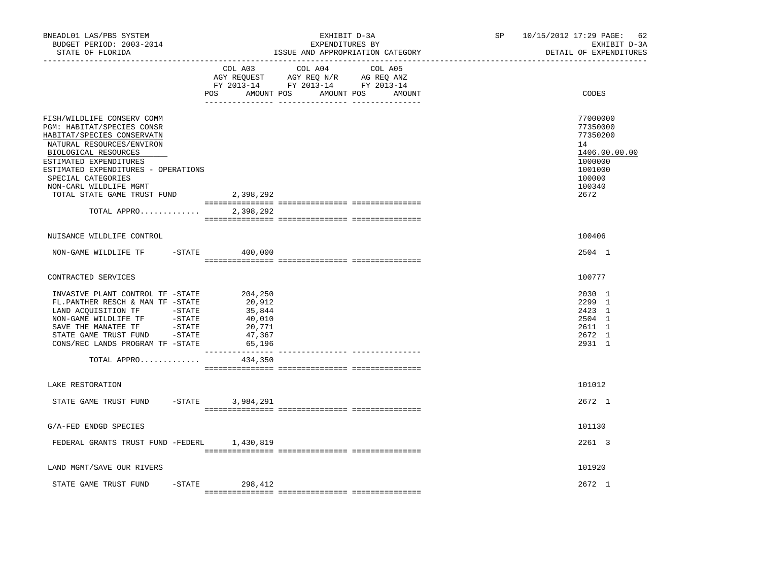| BNEADL01 LAS/PBS SYSTEM<br>BUDGET PERIOD: 2003-2014<br>STATE OF FLORIDA                                                                                                                                                                                                                                    |                                                                     | EXHIBIT D-3A<br>EXPENDITURES BY<br>ISSUE AND APPROPRIATION CATEGORY                                                                   | SP 10/15/2012 17:29 PAGE: 62<br>EXHIBIT D-3A<br>DETAIL OF EXPENDITURES                                    |
|------------------------------------------------------------------------------------------------------------------------------------------------------------------------------------------------------------------------------------------------------------------------------------------------------------|---------------------------------------------------------------------|---------------------------------------------------------------------------------------------------------------------------------------|-----------------------------------------------------------------------------------------------------------|
|                                                                                                                                                                                                                                                                                                            |                                                                     | COL A03 COL A04 COL A05<br>AGY REQUEST AGY REQ N/R AG REQ ANZ<br>FY 2013-14 FY 2013-14 FY 2013-14<br>POS AMOUNT POS AMOUNT POS AMOUNT | CODES                                                                                                     |
| FISH/WILDLIFE CONSERV COMM<br>PGM: HABITAT/SPECIES CONSR<br>HABITAT/SPECIES CONSERVATN<br>NATURAL RESOURCES/ENVIRON<br>BIOLOGICAL RESOURCES<br>ESTIMATED EXPENDITURES<br>ESTIMATED EXPENDITURES - OPERATIONS<br>SPECIAL CATEGORIES<br>NON-CARL WILDLIFE MGMT<br>TOTAL STATE GAME TRUST FUND<br>TOTAL APPRO | 2,398,292<br>2,398,292                                              |                                                                                                                                       | 77000000<br>77350000<br>77350200<br>14<br>1406.00.00.00<br>1000000<br>1001000<br>100000<br>100340<br>2672 |
| NUISANCE WILDLIFE CONTROL                                                                                                                                                                                                                                                                                  |                                                                     |                                                                                                                                       | 100406                                                                                                    |
| NON-GAME WILDLIFE TF -STATE 400,000                                                                                                                                                                                                                                                                        |                                                                     |                                                                                                                                       | 2504 1                                                                                                    |
| CONTRACTED SERVICES                                                                                                                                                                                                                                                                                        |                                                                     |                                                                                                                                       | 100777                                                                                                    |
| INVASIVE PLANT CONTROL TF -STATE<br>FL.PANTHER RESCH & MAN TF -STATE<br>LAND ACQUISITION TF -STATE<br>NON-GAME WILDLIFE TF         -STATE<br>SAVE THE MANATEE TF          -STATE<br>STATE GAME TRUST FUND      -STATE<br>CONS/REC LANDS PROGRAM TF -STATE                                                  | 204,250<br>20,912<br>35,844<br>40,010<br>20,771<br>47,367<br>65,196 |                                                                                                                                       | 2030 1<br>2299 1<br>2423 1<br>2504 1<br>2611 1<br>2672 1<br>2931 1                                        |
| TOTAL APPRO                                                                                                                                                                                                                                                                                                | ________________<br>434,350                                         | ---------------- ----------------                                                                                                     |                                                                                                           |
| LAKE RESTORATION                                                                                                                                                                                                                                                                                           |                                                                     |                                                                                                                                       | 101012                                                                                                    |
| STATE GAME TRUST FUND<br>$-STATE$                                                                                                                                                                                                                                                                          | 3,984,291                                                           |                                                                                                                                       | 2672 1                                                                                                    |
| G/A-FED ENDGD SPECIES                                                                                                                                                                                                                                                                                      |                                                                     |                                                                                                                                       | 101130                                                                                                    |
| FEDERAL GRANTS TRUST FUND -FEDERL 1,430,819                                                                                                                                                                                                                                                                |                                                                     |                                                                                                                                       | 2261 3                                                                                                    |
| LAND MGMT/SAVE OUR RIVERS                                                                                                                                                                                                                                                                                  |                                                                     |                                                                                                                                       | 101920                                                                                                    |
| STATE GAME TRUST FUND                                                                                                                                                                                                                                                                                      | $-STATE$ 298,412                                                    |                                                                                                                                       | $2672 \quad 1$                                                                                            |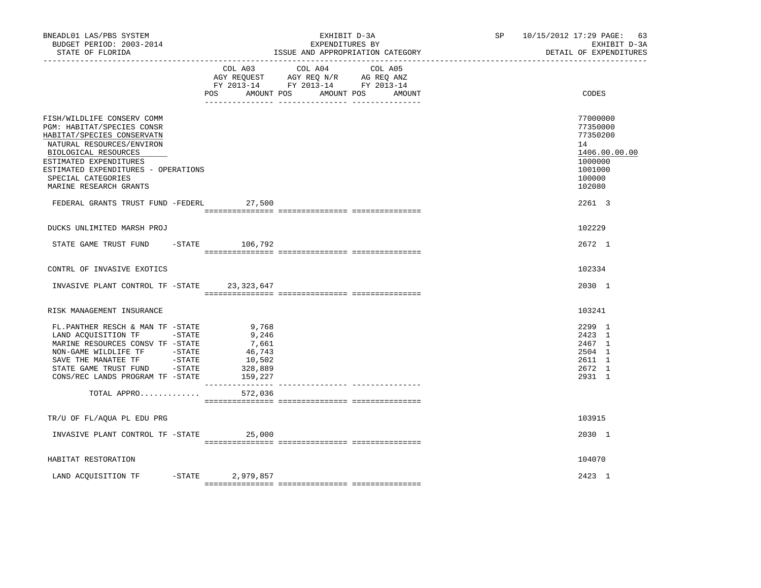| BNEADL01 LAS/PBS SYSTEM<br>BUDGET PERIOD: 2003-2014<br>STATE OF FLORIDA                                                                                                                                                                                      |                                                                   | EXHIBIT D-3A<br>EXPENDITURES BY<br>ISSUE AND APPROPRIATION CATEGORY                                                                   | SP and the set of the set of the set of the set of the set of the set of the set of the set of the set of the set of the set of the set of the set of the set of the set of the set of the set of the set of the set of the se | 10/15/2012 17:29 PAGE: 63<br>EXHIBIT D-3A<br>DETAIL OF EXPENDITURES                               |
|--------------------------------------------------------------------------------------------------------------------------------------------------------------------------------------------------------------------------------------------------------------|-------------------------------------------------------------------|---------------------------------------------------------------------------------------------------------------------------------------|--------------------------------------------------------------------------------------------------------------------------------------------------------------------------------------------------------------------------------|---------------------------------------------------------------------------------------------------|
|                                                                                                                                                                                                                                                              |                                                                   | COL A03 COL A04 COL A05<br>AGY REQUEST AGY REQ N/R AG REQ ANZ<br>FY 2013-14 FY 2013-14 FY 2013-14<br>POS AMOUNT POS AMOUNT POS AMOUNT |                                                                                                                                                                                                                                | CODES                                                                                             |
| FISH/WILDLIFE CONSERV COMM<br>PGM: HABITAT/SPECIES CONSR<br>HABITAT/SPECIES CONSERVATN<br>NATURAL RESOURCES/ENVIRON<br>BIOLOGICAL RESOURCES<br>ESTIMATED EXPENDITURES<br>ESTIMATED EXPENDITURES - OPERATIONS<br>SPECIAL CATEGORIES<br>MARINE RESEARCH GRANTS |                                                                   |                                                                                                                                       |                                                                                                                                                                                                                                | 77000000<br>77350000<br>77350200<br>14<br>1406.00.00.00<br>1000000<br>1001000<br>100000<br>102080 |
| FEDERAL GRANTS TRUST FUND -FEDERL 27,500                                                                                                                                                                                                                     |                                                                   |                                                                                                                                       |                                                                                                                                                                                                                                | 2261 3                                                                                            |
| DUCKS UNLIMITED MARSH PROJ                                                                                                                                                                                                                                   |                                                                   |                                                                                                                                       |                                                                                                                                                                                                                                | 102229                                                                                            |
| STATE GAME TRUST FUND -STATE 106,792                                                                                                                                                                                                                         |                                                                   |                                                                                                                                       |                                                                                                                                                                                                                                | 2672 1                                                                                            |
| CONTRL OF INVASIVE EXOTICS                                                                                                                                                                                                                                   |                                                                   |                                                                                                                                       |                                                                                                                                                                                                                                | 102334                                                                                            |
| INVASIVE PLANT CONTROL TF -STATE 23,323,647                                                                                                                                                                                                                  |                                                                   |                                                                                                                                       |                                                                                                                                                                                                                                | 2030 1                                                                                            |
| RISK MANAGEMENT INSURANCE                                                                                                                                                                                                                                    |                                                                   |                                                                                                                                       |                                                                                                                                                                                                                                | 103241                                                                                            |
| FL.PANTHER RESCH & MAN TF -STATE<br>LAND ACOUISITION TF -STATE<br>MARINE RESOURCES CONSV TF -STATE<br>STATE GAME TRUST FUND - STATE<br>CONS/REC LANDS PROGRAM TF -STATE                                                                                      | 9,768<br>9,246<br>7,661<br>46,743<br>10,502<br>328,889<br>159,227 |                                                                                                                                       |                                                                                                                                                                                                                                | 2299 1<br>2423 1<br>2467 1<br>2504 1<br>2611 1<br>2672 1<br>2931 1                                |
| TOTAL APPRO                                                                                                                                                                                                                                                  | 572,036                                                           |                                                                                                                                       |                                                                                                                                                                                                                                |                                                                                                   |
| TR/U OF FL/AQUA PL EDU PRG                                                                                                                                                                                                                                   |                                                                   |                                                                                                                                       |                                                                                                                                                                                                                                | 103915                                                                                            |
| INVASIVE PLANT CONTROL TF -STATE                                                                                                                                                                                                                             | 25,000                                                            |                                                                                                                                       |                                                                                                                                                                                                                                | 2030 1                                                                                            |
| HABITAT RESTORATION                                                                                                                                                                                                                                          |                                                                   |                                                                                                                                       |                                                                                                                                                                                                                                | 104070                                                                                            |
| LAND ACOUISITION TF                                                                                                                                                                                                                                          | -STATE 2,979,857                                                  |                                                                                                                                       |                                                                                                                                                                                                                                | 2423 1                                                                                            |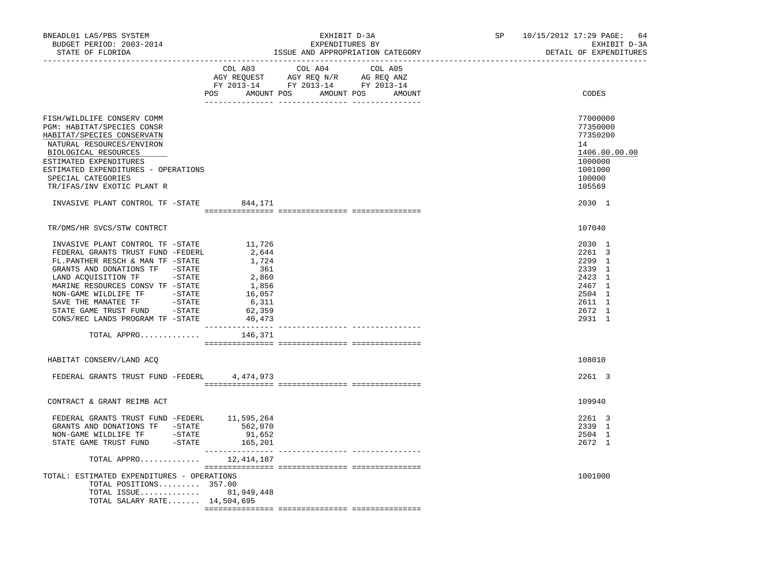| BNEADL01 LAS/PBS SYSTEM<br>BUDGET PERIOD: 2003-2014<br>STATE OF FLORIDA                                                                                                                                                                                                           |                                                                                          | EXHIBIT D-3A<br>EXPENDITURES BY<br>ISSUE AND APPROPRIATION CATEGORY                                                                   | SP and the set of the set of the set of the set of the set of the set of the set of the set of the set of the set of the set of the set of the set of the set of the set of the set of the set of the set of the set of the se | 10/15/2012 17:29 PAGE:<br>64<br>EXHIBIT D-3A<br>DETAIL OF EXPENDITURES                            |
|-----------------------------------------------------------------------------------------------------------------------------------------------------------------------------------------------------------------------------------------------------------------------------------|------------------------------------------------------------------------------------------|---------------------------------------------------------------------------------------------------------------------------------------|--------------------------------------------------------------------------------------------------------------------------------------------------------------------------------------------------------------------------------|---------------------------------------------------------------------------------------------------|
|                                                                                                                                                                                                                                                                                   |                                                                                          | COL A03 COL A04 COL A05<br>AGY REQUEST AGY REQ N/R AG REQ ANZ<br>FY 2013-14 FY 2013-14 FY 2013-14<br>POS AMOUNT POS AMOUNT POS AMOUNT |                                                                                                                                                                                                                                | CODES                                                                                             |
| FISH/WILDLIFE CONSERV COMM<br>PGM: HABITAT/SPECIES CONSR<br>HABITAT/SPECIES CONSERVATN<br>NATURAL RESOURCES/ENVIRON<br>BIOLOGICAL RESOURCES<br>ESTIMATED EXPENDITURES<br>ESTIMATED EXPENDITURES - OPERATIONS<br>SPECIAL CATEGORIES<br>TR/IFAS/INV EXOTIC PLANT R                  |                                                                                          |                                                                                                                                       |                                                                                                                                                                                                                                | 77000000<br>77350000<br>77350200<br>14<br>1406.00.00.00<br>1000000<br>1001000<br>100000<br>105569 |
| INVASIVE PLANT CONTROL TF -STATE 844,171                                                                                                                                                                                                                                          |                                                                                          |                                                                                                                                       |                                                                                                                                                                                                                                | 2030 1                                                                                            |
| TR/DMS/HR SVCS/STW CONTRCT                                                                                                                                                                                                                                                        |                                                                                          |                                                                                                                                       |                                                                                                                                                                                                                                | 107040                                                                                            |
| INVASIVE PLANT CONTROL TF -STATE<br>FEDERAL GRANTS TRUST FUND -FEDERL<br>FL.PANTHER RESCH & MAN TF -STATE<br>GRANTS AND DONATIONS TF -STATE<br>LAND ACQUISITION TF -STATE<br>MARINE RESOURCES CONSV TF -STATE<br>STATE GAME TRUST FUND -STATE<br>CONS/REC LANDS PROGRAM TF -STATE | 11,726<br>2,644<br>1,724<br>361<br>2,860<br>1,856<br>16,057<br>6,311<br>62,359<br>40,473 |                                                                                                                                       |                                                                                                                                                                                                                                | 2030 1<br>2261 3<br>2299 1<br>2339 1<br>2423 1<br>2467 1<br>2504 1<br>2611 1<br>2672 1<br>2931 1  |
| TOTAL APPRO                                                                                                                                                                                                                                                                       | 146,371                                                                                  |                                                                                                                                       |                                                                                                                                                                                                                                |                                                                                                   |
| HABITAT CONSERV/LAND ACQ                                                                                                                                                                                                                                                          |                                                                                          |                                                                                                                                       |                                                                                                                                                                                                                                | 108010                                                                                            |
| FEDERAL GRANTS TRUST FUND -FEDERL 4,474,973                                                                                                                                                                                                                                       |                                                                                          |                                                                                                                                       |                                                                                                                                                                                                                                | 2261 3                                                                                            |
| CONTRACT & GRANT REIMB ACT                                                                                                                                                                                                                                                        |                                                                                          |                                                                                                                                       |                                                                                                                                                                                                                                | 109940                                                                                            |
| FEDERAL GRANTS TRUST FUND -FEDERL<br>GRANTS AND DONATIONS TF -STATE<br>NON-GAME WILDLIFE TF -STATE<br>STATE GAME TRUST FUND -STATE 165,201                                                                                                                                        | 11,595,264<br>562,070<br>91,652                                                          |                                                                                                                                       |                                                                                                                                                                                                                                | 2261 3<br>2339 1<br>2504 1<br>2672 1                                                              |
| TOTAL APPRO $12,414,187$                                                                                                                                                                                                                                                          |                                                                                          |                                                                                                                                       |                                                                                                                                                                                                                                |                                                                                                   |
| TOTAL: ESTIMATED EXPENDITURES - OPERATIONS<br>TOTAL POSITIONS 357.00<br>TOTAL ISSUE 81,949,448<br>TOTAL SALARY RATE 14,504,695                                                                                                                                                    |                                                                                          |                                                                                                                                       |                                                                                                                                                                                                                                | 1001000                                                                                           |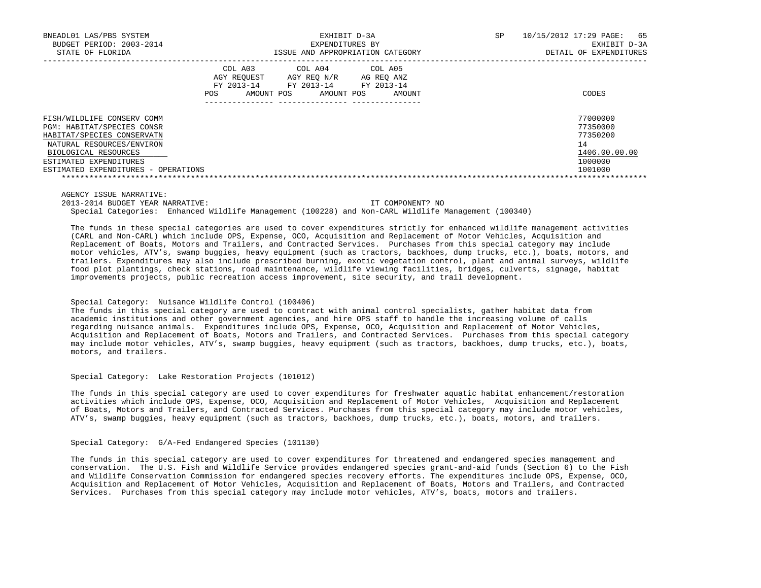| EXHIBIT D-3A<br>BNEADL01 LAS/PBS SYSTEM              | 65<br>10/15/2012 17:29 PAGE:<br>SP. |
|------------------------------------------------------|-------------------------------------|
| BUDGET PERIOD: 2003-2014<br>EXPENDITURES BY          | EXHIBIT D-3A                        |
| STATE OF FLORIDA<br>ISSUE AND APPROPRIATION CATEGORY | DETAIL OF EXPENDITURES              |
| COL A04 COL A05<br>COL A03                           |                                     |
| AGY REOUEST<br>AGY REO N/R<br>AG REO ANZ             |                                     |
| FY 2013-14<br>FY 2013-14 FY 2013-14                  |                                     |
| POS.<br>AMOUNT POS<br>AMOUNT POS<br>AMOUNT           | CODES                               |
|                                                      |                                     |
| FISH/WILDLIFE CONSERV COMM                           | 77000000                            |
| PGM: HABITAT/SPECIES CONSR                           | 77350000                            |
| HABITAT/SPECIES CONSERVATN                           | 77350200                            |
| NATURAL RESOURCES/ENVIRON                            | 14                                  |
| BIOLOGICAL RESOURCES                                 | 1406.00.00.00                       |
| ESTIMATED EXPENDITURES                               | 1000000                             |
| ESTIMATED EXPENDITURES - OPERATIONS                  | 1001000                             |
|                                                      |                                     |

AGENCY ISSUE NARRATIVE:

2013-2014 BUDGET YEAR NARRATIVE: IT COMPONENT? NO

Special Categories: Enhanced Wildlife Management (100228) and Non-CARL Wildlife Management (100340)

 The funds in these special categories are used to cover expenditures strictly for enhanced wildlife management activities (CARL and Non-CARL) which include OPS, Expense, OCO, Acquisition and Replacement of Motor Vehicles, Acquisition and Replacement of Boats, Motors and Trailers, and Contracted Services. Purchases from this special category may include motor vehicles, ATV's, swamp buggies, heavy equipment (such as tractors, backhoes, dump trucks, etc.), boats, motors, and trailers. Expenditures may also include prescribed burning, exotic vegetation control, plant and animal surveys, wildlife food plot plantings, check stations, road maintenance, wildlife viewing facilities, bridges, culverts, signage, habitat improvements projects, public recreation access improvement, site security, and trail development.

## Special Category: Nuisance Wildlife Control (100406)

 The funds in this special category are used to contract with animal control specialists, gather habitat data from academic institutions and other government agencies, and hire OPS staff to handle the increasing volume of calls regarding nuisance animals. Expenditures include OPS, Expense, OCO, Acquisition and Replacement of Motor Vehicles, Acquisition and Replacement of Boats, Motors and Trailers, and Contracted Services. Purchases from this special category may include motor vehicles, ATV's, swamp buggies, heavy equipment (such as tractors, backhoes, dump trucks, etc.), boats, motors, and trailers.

### Special Category: Lake Restoration Projects (101012)

 The funds in this special category are used to cover expenditures for freshwater aquatic habitat enhancement/restoration activities which include OPS, Expense, OCO, Acquisition and Replacement of Motor Vehicles, Acquisition and Replacement of Boats, Motors and Trailers, and Contracted Services. Purchases from this special category may include motor vehicles, ATV's, swamp buggies, heavy equipment (such as tractors, backhoes, dump trucks, etc.), boats, motors, and trailers.

### Special Category: G/A-Fed Endangered Species (101130)

 The funds in this special category are used to cover expenditures for threatened and endangered species management and conservation. The U.S. Fish and Wildlife Service provides endangered species grant-and-aid funds (Section 6) to the Fish and Wildlife Conservation Commission for endangered species recovery efforts. The expenditures include OPS, Expense, OCO, Acquisition and Replacement of Motor Vehicles, Acquisition and Replacement of Boats, Motors and Trailers, and Contracted Services. Purchases from this special category may include motor vehicles, ATV's, boats, motors and trailers.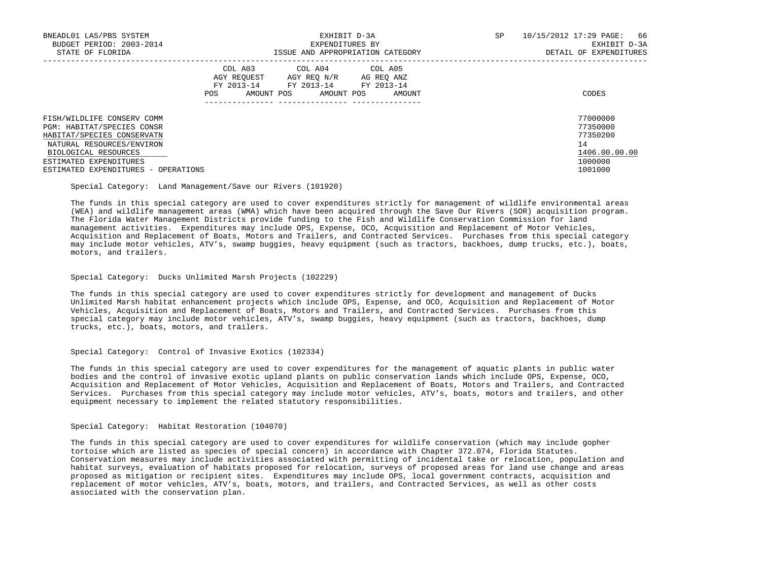| BNEADL01 LAS/PBS SYSTEM<br>BUDGET PERIOD: 2003-2014<br>STATE OF FLORIDA                                             | EXHIBIT D-3A<br>EXPENDITURES BY<br>ISSUE AND APPROPRIATION CATEGORY                                                                              | SP<br>10/15/2012 17:29 PAGE:<br>66<br>EXHIBIT D-3A<br>DETAIL OF EXPENDITURES |
|---------------------------------------------------------------------------------------------------------------------|--------------------------------------------------------------------------------------------------------------------------------------------------|------------------------------------------------------------------------------|
|                                                                                                                     | COL A03<br>COL A04 COL A05<br>AGY REOUEST<br>AGY REO N/R<br>AG REO ANZ<br>FY 2013-14<br>FY 2013-14 FY 2013-14<br>AMOUNT POS<br>AMOUNT POS<br>POS | CODES<br>AMOUNT                                                              |
| FISH/WILDLIFE CONSERV COMM<br>PGM: HABITAT/SPECIES CONSR<br>HABITAT/SPECIES CONSERVATN<br>NATURAL RESOURCES/ENVIRON |                                                                                                                                                  | 77000000<br>77350000<br>77350200<br>14                                       |
| BIOLOGICAL RESOURCES<br>ESTIMATED EXPENDITURES<br>ESTIMATED EXPENDITURES - OPERATIONS                               |                                                                                                                                                  | 1406.00.00.00<br>1000000<br>1001000                                          |

Special Category: Land Management/Save our Rivers (101920)

 The funds in this special category are used to cover expenditures strictly for management of wildlife environmental areas (WEA) and wildlife management areas (WMA) which have been acquired through the Save Our Rivers (SOR) acquisition program. The Florida Water Management Districts provide funding to the Fish and Wildlife Conservation Commission for land management activities. Expenditures may include OPS, Expense, OCO, Acquisition and Replacement of Motor Vehicles, Acquisition and Replacement of Boats, Motors and Trailers, and Contracted Services. Purchases from this special category may include motor vehicles, ATV's, swamp buggies, heavy equipment (such as tractors, backhoes, dump trucks, etc.), boats, motors, and trailers.

# Special Category: Ducks Unlimited Marsh Projects (102229)

 The funds in this special category are used to cover expenditures strictly for development and management of Ducks Unlimited Marsh habitat enhancement projects which include OPS, Expense, and OCO, Acquisition and Replacement of Motor Vehicles, Acquisition and Replacement of Boats, Motors and Trailers, and Contracted Services. Purchases from this special category may include motor vehicles, ATV's, swamp buggies, heavy equipment (such as tractors, backhoes, dump trucks, etc.), boats, motors, and trailers.

### Special Category: Control of Invasive Exotics (102334)

 The funds in this special category are used to cover expenditures for the management of aquatic plants in public water bodies and the control of invasive exotic upland plants on public conservation lands which include OPS, Expense, OCO, Acquisition and Replacement of Motor Vehicles, Acquisition and Replacement of Boats, Motors and Trailers, and Contracted Services. Purchases from this special category may include motor vehicles, ATV's, boats, motors and trailers, and other equipment necessary to implement the related statutory responsibilities.

# Special Category: Habitat Restoration (104070)

 The funds in this special category are used to cover expenditures for wildlife conservation (which may include gopher tortoise which are listed as species of special concern) in accordance with Chapter 372.074, Florida Statutes. Conservation measures may include activities associated with permitting of incidental take or relocation, population and habitat surveys, evaluation of habitats proposed for relocation, surveys of proposed areas for land use change and areas proposed as mitigation or recipient sites. Expenditures may include OPS, local government contracts, acquisition and replacement of motor vehicles, ATV's, boats, motors, and trailers, and Contracted Services, as well as other costs associated with the conservation plan.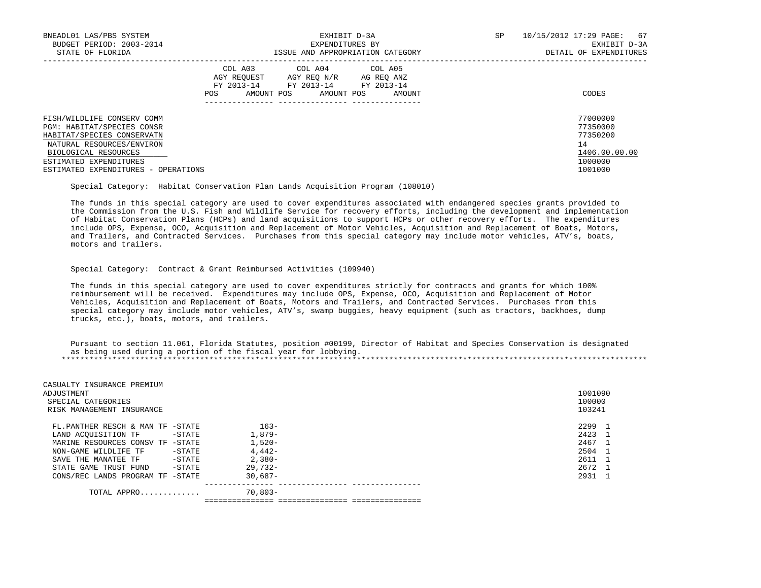| BNEADL01 LAS/PBS SYSTEM<br>BUDGET PERIOD: 2003-2014      |                                  | EXHIBIT D-3A<br>EXPENDITURES BY                                               | SP.                                | 10/15/2012 17:29 PAGE:<br>67<br>EXHIBIT D-3A |                      |  |  |
|----------------------------------------------------------|----------------------------------|-------------------------------------------------------------------------------|------------------------------------|----------------------------------------------|----------------------|--|--|
| STATE OF FLORIDA                                         |                                  | ISSUE AND APPROPRIATION CATEGORY                                              |                                    | DETAIL OF EXPENDITURES                       |                      |  |  |
|                                                          | AGY REOUEST<br>AMOUNT POS<br>POS | COL A03 COL A04 COL A05<br>AGY REO N/R<br>FY 2013-14 FY 2013-14<br>AMOUNT POS | AG REO ANZ<br>FY 2013-14<br>AMOUNT |                                              | CODES                |  |  |
| FISH/WILDLIFE CONSERV COMM<br>PGM: HABITAT/SPECIES CONSR |                                  |                                                                               |                                    |                                              | 77000000<br>77350000 |  |  |
| HABITAT/SPECIES CONSERVATN                               |                                  |                                                                               |                                    |                                              | 77350200             |  |  |
| NATURAL RESOURCES/ENVIRON                                |                                  |                                                                               |                                    |                                              | 14                   |  |  |
| BIOLOGICAL RESOURCES                                     |                                  |                                                                               |                                    |                                              | 1406.00.00.00        |  |  |
| ESTIMATED EXPENDITURES                                   |                                  |                                                                               |                                    |                                              | 1000000              |  |  |
| ESTIMATED EXPENDITURES - OPERATIONS                      |                                  |                                                                               |                                    |                                              | 1001000              |  |  |

Special Category: Habitat Conservation Plan Lands Acquisition Program (108010)

 The funds in this special category are used to cover expenditures associated with endangered species grants provided to the Commission from the U.S. Fish and Wildlife Service for recovery efforts, including the development and implementation of Habitat Conservation Plans (HCPs) and land acquisitions to support HCPs or other recovery efforts. The expenditures include OPS, Expense, OCO, Acquisition and Replacement of Motor Vehicles, Acquisition and Replacement of Boats, Motors, and Trailers, and Contracted Services. Purchases from this special category may include motor vehicles, ATV's, boats, motors and trailers.

# Special Category: Contract & Grant Reimbursed Activities (109940)

 The funds in this special category are used to cover expenditures strictly for contracts and grants for which 100% reimbursement will be received. Expenditures may include OPS, Expense, OCO, Acquisition and Replacement of Motor Vehicles, Acquisition and Replacement of Boats, Motors and Trailers, and Contracted Services. Purchases from this special category may include motor vehicles, ATV's, swamp buggies, heavy equipment (such as tractors, backhoes, dump trucks, etc.), boats, motors, and trailers.

 Pursuant to section 11.061, Florida Statutes, position #00199, Director of Habitat and Species Conservation is designated as being used during a portion of the fiscal year for lobbying. \*\*\*\*\*\*\*\*\*\*\*\*\*\*\*\*\*\*\*\*\*\*\*\*\*\*\*\*\*\*\*\*\*\*\*\*\*\*\*\*\*\*\*\*\*\*\*\*\*\*\*\*\*\*\*\*\*\*\*\*\*\*\*\*\*\*\*\*\*\*\*\*\*\*\*\*\*\*\*\*\*\*\*\*\*\*\*\*\*\*\*\*\*\*\*\*\*\*\*\*\*\*\*\*\*\*\*\*\*\*\*\*\*\*\*\*\*\*\*\*\*\*\*\*\*\*\*

|            | 1001090<br>100000<br>103241                                                                                                                                     |
|------------|-----------------------------------------------------------------------------------------------------------------------------------------------------------------|
| $163 -$    | 2299 1                                                                                                                                                          |
| $1.879-$   | 2423 1                                                                                                                                                          |
| $1,520-$   | 2467 1                                                                                                                                                          |
| $4.442-$   | 2504 1                                                                                                                                                          |
| $2.380-$   | 2611 1                                                                                                                                                          |
| $29.732 -$ | 2672 1                                                                                                                                                          |
| $30.687-$  | 2931 1                                                                                                                                                          |
| 70,803-    |                                                                                                                                                                 |
|            | FL.PANTHER RESCH & MAN TF -STATE<br>-STATE<br>MARINE RESOURCES CONSV TF -STATE<br>-STATE<br>-STATE<br>-STATE<br>CONS/REC LANDS PROGRAM TF -STATE<br>TOTAL APPRO |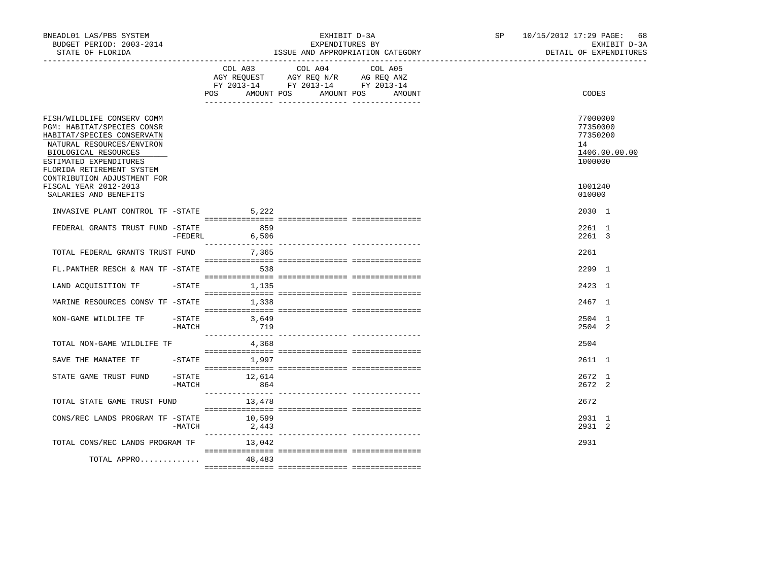| BNEADL01 LAS/PBS SYSTEM<br>BUDGET PERIOD: 2003-2014<br>STATE OF FLORIDA                                                                                                                            |                       |                                  | EXHIBIT D-3A<br>EXPENDITURES BY<br>ISSUE AND APPROPRIATION CATEGORY                       | SP and the set of the set of the set of the set of the set of the set of the set of the set of the set of the set of the set of the set of the set of the set of the set of the set of the set of the set of the set of the se | 10/15/2012 17:29 PAGE: 68<br>EXHIBIT D-3A<br>DETAIL OF EXPENDITURES |                                                   |               |
|----------------------------------------------------------------------------------------------------------------------------------------------------------------------------------------------------|-----------------------|----------------------------------|-------------------------------------------------------------------------------------------|--------------------------------------------------------------------------------------------------------------------------------------------------------------------------------------------------------------------------------|---------------------------------------------------------------------|---------------------------------------------------|---------------|
|                                                                                                                                                                                                    |                       | POS AMOUNT POS AMOUNT POS AMOUNT | COL A03 COL A04<br>AGY REQUEST AGY REQ N/R AG REQ ANZ<br>FY 2013-14 FY 2013-14 FY 2013-14 | COL A05                                                                                                                                                                                                                        |                                                                     | <b>CODES</b>                                      |               |
| FISH/WILDLIFE CONSERV COMM<br>PGM: HABITAT/SPECIES CONSR<br>HABITAT/SPECIES CONSERVATN<br>NATURAL RESOURCES/ENVIRON<br>BIOLOGICAL RESOURCES<br>ESTIMATED EXPENDITURES<br>FLORIDA RETIREMENT SYSTEM |                       |                                  |                                                                                           |                                                                                                                                                                                                                                |                                                                     | 77000000<br>77350000<br>77350200<br>14<br>1000000 | 1406.00.00.00 |
| CONTRIBUTION ADJUSTMENT FOR<br>FISCAL YEAR 2012-2013<br>SALARIES AND BENEFITS                                                                                                                      |                       |                                  |                                                                                           |                                                                                                                                                                                                                                |                                                                     | 1001240<br>010000                                 |               |
| INVASIVE PLANT CONTROL TF -STATE 5,222                                                                                                                                                             |                       |                                  |                                                                                           |                                                                                                                                                                                                                                |                                                                     | $2030 \quad 1$                                    |               |
| FEDERAL GRANTS TRUST FUND -STATE 659                                                                                                                                                               | $-FEDERL$             | 6,506                            |                                                                                           |                                                                                                                                                                                                                                |                                                                     | 2261 1<br>2261 3                                  |               |
| TOTAL FEDERAL GRANTS TRUST FUND                                                                                                                                                                    |                       | 7,365                            |                                                                                           |                                                                                                                                                                                                                                |                                                                     | 2261                                              |               |
| FL.PANTHER RESCH & MAN TF -STATE                                                                                                                                                                   |                       | 538                              |                                                                                           |                                                                                                                                                                                                                                |                                                                     | 2299 1                                            |               |
| LAND ACQUISITION TF                                                                                                                                                                                |                       | $-STATE$<br>1,135                |                                                                                           |                                                                                                                                                                                                                                |                                                                     | 2423 1                                            |               |
| MARINE RESOURCES CONSV TF -STATE                                                                                                                                                                   |                       | 1,338                            |                                                                                           |                                                                                                                                                                                                                                |                                                                     | 2467 1                                            |               |
| NON-GAME WILDLIFE TF                                                                                                                                                                               | $-$ STATE<br>-MATCH   | 3,649<br>719                     |                                                                                           |                                                                                                                                                                                                                                |                                                                     | 2504 1<br>2504 2                                  |               |
| TOTAL NON-GAME WILDLIFE TF                                                                                                                                                                         |                       | 4,368                            |                                                                                           |                                                                                                                                                                                                                                |                                                                     | 2504                                              |               |
| SAVE THE MANATEE TF                                                                                                                                                                                |                       | $-$ STATE $1,997$                |                                                                                           |                                                                                                                                                                                                                                |                                                                     | 2611 1                                            |               |
| STATE GAME TRUST FUND                                                                                                                                                                              | $-$ STATE<br>$-MATCH$ | 12,614<br>864                    |                                                                                           |                                                                                                                                                                                                                                |                                                                     | 2672 1<br>2672 2                                  |               |
| TOTAL STATE GAME TRUST FUND                                                                                                                                                                        |                       | 13,478                           |                                                                                           |                                                                                                                                                                                                                                |                                                                     | 2672                                              |               |
| CONS/REC LANDS PROGRAM TF -STATE 10,599                                                                                                                                                            | -MATCH                | 2,443                            |                                                                                           |                                                                                                                                                                                                                                |                                                                     | 2931 1<br>2931 2                                  |               |
| TOTAL CONS/REC LANDS PROGRAM TF                                                                                                                                                                    |                       | 13,042                           |                                                                                           |                                                                                                                                                                                                                                |                                                                     | 2931                                              |               |
| TOTAL APPRO                                                                                                                                                                                        |                       | 48,483                           |                                                                                           |                                                                                                                                                                                                                                |                                                                     |                                                   |               |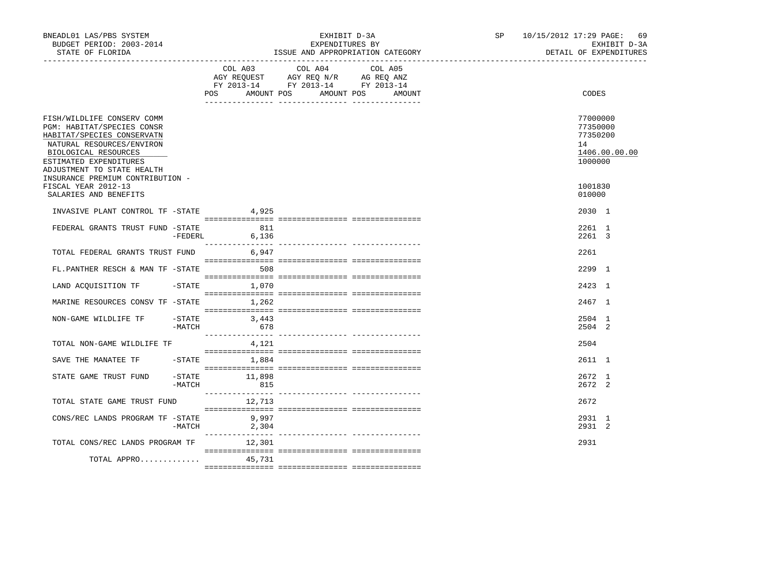| BNEADL01 LAS/PBS SYSTEM<br>BUDGET PERIOD: 2003-2014<br>STATE OF FLORIDA                                                                                                                             |                               |                       | EXHIBIT D-3A<br>EXPENDITURES BY<br>ISSUE AND APPROPRIATION CATEGORY                               | SP and the set of the set of the set of the set of the set of the set of the set of the set of the set of the set of the set of the set of the set of the set of the set of the set of the set of the set of the set of the se | 10/15/2012 17:29 PAGE: 69 |  | EXHIBIT D-3A<br>DETAIL OF EXPENDITURES            |               |
|-----------------------------------------------------------------------------------------------------------------------------------------------------------------------------------------------------|-------------------------------|-----------------------|---------------------------------------------------------------------------------------------------|--------------------------------------------------------------------------------------------------------------------------------------------------------------------------------------------------------------------------------|---------------------------|--|---------------------------------------------------|---------------|
|                                                                                                                                                                                                     |                               | AMOUNT POS<br>POS FOR | COL A03 COL A04 COL A05<br>AGY REQUEST AGY REQ N/R AG REQ ANZ<br>FY 2013-14 FY 2013-14 FY 2013-14 | AMOUNT POS<br>AMOUNT                                                                                                                                                                                                           |                           |  | <b>CODES</b>                                      |               |
| FISH/WILDLIFE CONSERV COMM<br>PGM: HABITAT/SPECIES CONSR<br>HABITAT/SPECIES CONSERVATN<br>NATURAL RESOURCES/ENVIRON<br>BIOLOGICAL RESOURCES<br>ESTIMATED EXPENDITURES<br>ADJUSTMENT TO STATE HEALTH |                               |                       |                                                                                                   |                                                                                                                                                                                                                                |                           |  | 77000000<br>77350000<br>77350200<br>14<br>1000000 | 1406.00.00.00 |
| INSURANCE PREMIUM CONTRIBUTION -<br>FISCAL YEAR 2012-13<br>SALARIES AND BENEFITS                                                                                                                    |                               |                       |                                                                                                   |                                                                                                                                                                                                                                |                           |  | 1001830<br>010000                                 |               |
| INVASIVE PLANT CONTROL TF -STATE 4,925                                                                                                                                                              |                               |                       |                                                                                                   |                                                                                                                                                                                                                                |                           |  | 2030 1                                            |               |
| FEDERAL GRANTS TRUST FUND -STATE 611                                                                                                                                                                | $-FEDERL$                     | 6,136                 |                                                                                                   |                                                                                                                                                                                                                                |                           |  | 2261 1<br>2261 3                                  |               |
| TOTAL FEDERAL GRANTS TRUST FUND                                                                                                                                                                     |                               | 6.947                 |                                                                                                   |                                                                                                                                                                                                                                |                           |  | 2261                                              |               |
| FL.PANTHER RESCH & MAN TF -STATE                                                                                                                                                                    |                               | 508                   |                                                                                                   |                                                                                                                                                                                                                                |                           |  | 2299 1                                            |               |
| LAND ACQUISITION TF                                                                                                                                                                                 | -STATE                        | 1,070                 |                                                                                                   |                                                                                                                                                                                                                                |                           |  | 2423 1                                            |               |
| MARINE RESOURCES CONSV TF -STATE 1.262                                                                                                                                                              |                               |                       |                                                                                                   |                                                                                                                                                                                                                                |                           |  | 2467 1                                            |               |
| NON-GAME WILDLIFE TF                                                                                                                                                                                | $-$ STATE<br>-MATCH           | 3,443<br>678          |                                                                                                   |                                                                                                                                                                                                                                |                           |  | 2504 1<br>2504 2                                  |               |
| TOTAL NON-GAME WILDLIFE TF                                                                                                                                                                          |                               | 4,121                 |                                                                                                   |                                                                                                                                                                                                                                |                           |  | 2504                                              |               |
| SAVE THE MANATEE TF                                                                                                                                                                                 |                               | $-$ STATE $1.884$     |                                                                                                   |                                                                                                                                                                                                                                |                           |  | 2611 1                                            |               |
| STATE GAME TRUST FUND                                                                                                                                                                               | $-\mathtt{STATE}$<br>$-MATCH$ | 11,898<br>815         |                                                                                                   |                                                                                                                                                                                                                                |                           |  | 2672 1<br>2672 2                                  |               |
| TOTAL STATE GAME TRUST FUND                                                                                                                                                                         |                               | 12,713                |                                                                                                   |                                                                                                                                                                                                                                |                           |  | 2672                                              |               |
| CONS/REC LANDS PROGRAM TF -STATE                                                                                                                                                                    | -MATCH                        | 9,997<br>2,304        |                                                                                                   |                                                                                                                                                                                                                                |                           |  | 2931 1<br>2931 2                                  |               |
| TOTAL CONS/REC LANDS PROGRAM TF                                                                                                                                                                     |                               | 12,301                |                                                                                                   |                                                                                                                                                                                                                                |                           |  | 2931                                              |               |
| TOTAL APPRO                                                                                                                                                                                         |                               | 45,731                |                                                                                                   |                                                                                                                                                                                                                                |                           |  |                                                   |               |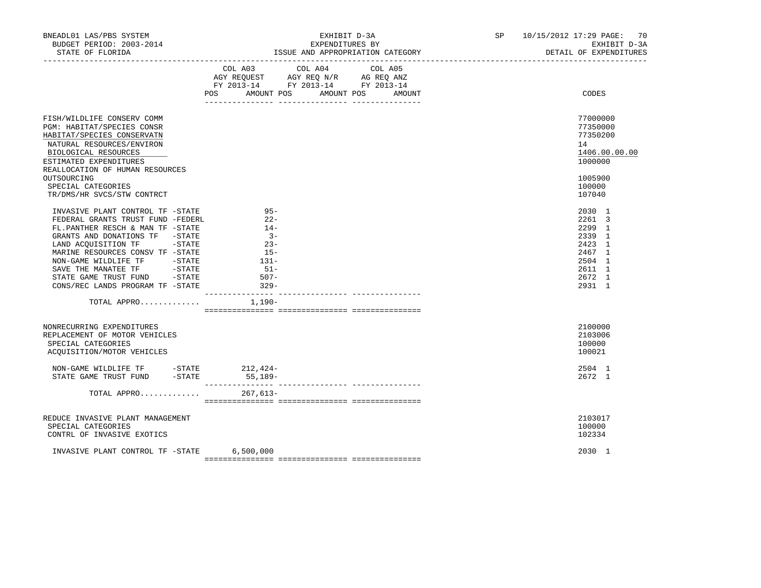| BNEADL01 LAS/PBS SYSTEM<br>BUDGET PERIOD: 2003-2014<br>STATE OF FLORIDA                                                                                                                                                                                                                                                                                                                                                                                       | EXHIBIT D-3A<br>EXPENDITURES BY<br>ISSUE AND APPROPRIATION CATEGORY                                                                               | SP 10/15/2012 17:29 PAGE: 70<br>EXHIBIT D-3A<br>DETAIL OF EXPENDITURES                            |
|---------------------------------------------------------------------------------------------------------------------------------------------------------------------------------------------------------------------------------------------------------------------------------------------------------------------------------------------------------------------------------------------------------------------------------------------------------------|---------------------------------------------------------------------------------------------------------------------------------------------------|---------------------------------------------------------------------------------------------------|
|                                                                                                                                                                                                                                                                                                                                                                                                                                                               | COL A04<br>COL A03<br>COL A05<br>AGY REQUEST AGY REQ N/R AG REQ ANZ<br>FY 2013-14 FY 2013-14 FY 2013-14<br>POS<br>AMOUNT POS AMOUNT POS<br>AMOUNT | CODES                                                                                             |
| FISH/WILDLIFE CONSERV COMM<br>PGM: HABITAT/SPECIES CONSR<br>HABITAT/SPECIES CONSERVATN<br>NATURAL RESOURCES/ENVIRON<br>BIOLOGICAL RESOURCES<br>ESTIMATED EXPENDITURES<br>REALLOCATION OF HUMAN RESOURCES<br>OUTSOURCING<br>SPECIAL CATEGORIES<br>TR/DMS/HR SVCS/STW CONTRCT                                                                                                                                                                                   |                                                                                                                                                   | 77000000<br>77350000<br>77350200<br>14<br>1406.00.00.00<br>1000000<br>1005900<br>100000<br>107040 |
| INVASIVE PLANT CONTROL TF -STATE<br>FEDERAL GRANTS TRUST FUND -FEDERL<br>FL.PANTHER RESCH & MAN TF -STATE<br>GRANTS AND DONATIONS TF -STATE<br>LAND ACQUISITION TF -STATE<br>MARINE RESOURCES CONSV TF -STATE<br>NON-GAME WILDLIFE TF -STATE<br>$\begin{tabular}{lllllll} \bf{SAVE} & \bf{THE} & \bf{MANATEE} & \bf{TF} & \bf \color{red}{\bf \color{green}{\bf - STATE}} \end{tabular}$<br>STATE GAME TRUST FUND - STATE<br>CONS/REC LANDS PROGRAM TF -STATE | $95 -$<br>$22 -$<br>$14-$<br>$3 -$<br>$23 -$<br>$15-$<br>$131-$<br>$51-$<br>507-<br>$329 -$                                                       | 2030 1<br>2261 3<br>2299 1<br>2339 1<br>2423 1<br>2467 1<br>2504 1<br>2611 1<br>2672 1<br>2931 1  |
| TOTAL APPRO                                                                                                                                                                                                                                                                                                                                                                                                                                                   | 1,190-                                                                                                                                            |                                                                                                   |
| NONRECURRING EXPENDITURES<br>REPLACEMENT OF MOTOR VEHICLES<br>SPECIAL CATEGORIES<br>ACOUISITION/MOTOR VEHICLES                                                                                                                                                                                                                                                                                                                                                |                                                                                                                                                   | 2100000<br>2103006<br>100000<br>100021                                                            |
| NON-GAME WILDLIFE TF -STATE 212, 424-<br>STATE GAME TRUST FUND<br>$-STATE$                                                                                                                                                                                                                                                                                                                                                                                    | 55,189-                                                                                                                                           | 2504 1<br>2672 1                                                                                  |
| TOTAL APPRO                                                                                                                                                                                                                                                                                                                                                                                                                                                   | 267,613-                                                                                                                                          |                                                                                                   |
| REDUCE INVASIVE PLANT MANAGEMENT<br>SPECIAL CATEGORIES<br>CONTRL OF INVASIVE EXOTICS                                                                                                                                                                                                                                                                                                                                                                          |                                                                                                                                                   | 2103017<br>100000<br>102334                                                                       |
| INVASIVE PLANT CONTROL TF -STATE                                                                                                                                                                                                                                                                                                                                                                                                                              | 6,500,000                                                                                                                                         | 2030 1                                                                                            |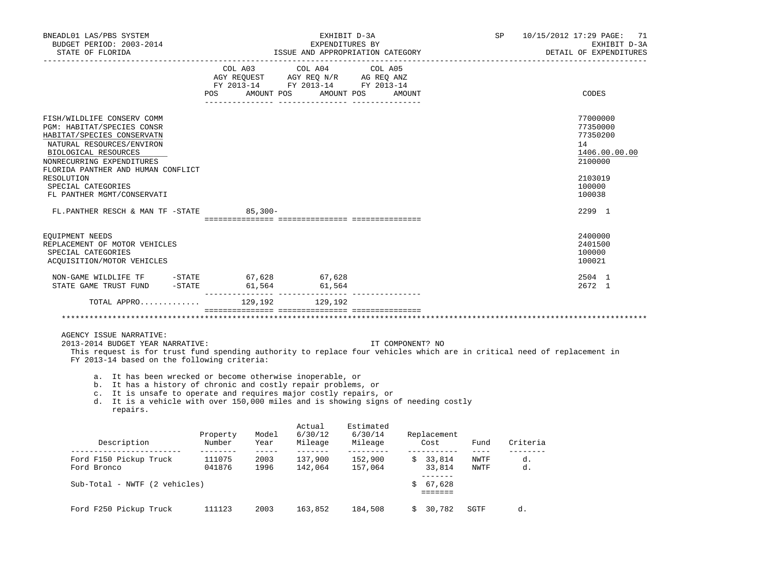| BNEADL01 LAS/PBS SYSTEM<br>BUDGET PERIOD: 2003-2014<br>STATE OF FLORIDA                                                                                                                                                                                                                                                                                                                                                                                                                                                                  |                | EXHIBIT D-3A<br>EXPENDITURES BY<br>ISSUE AND APPROPRIATION CATEGORY |                   |                                                                                                                       |  |                         |      |               | 10/15/2012 17:29 PAGE:<br>71<br>EXHIBIT D-3A<br>DETAIL OF EXPENDITURES                            |
|------------------------------------------------------------------------------------------------------------------------------------------------------------------------------------------------------------------------------------------------------------------------------------------------------------------------------------------------------------------------------------------------------------------------------------------------------------------------------------------------------------------------------------------|----------------|---------------------------------------------------------------------|-------------------|-----------------------------------------------------------------------------------------------------------------------|--|-------------------------|------|---------------|---------------------------------------------------------------------------------------------------|
|                                                                                                                                                                                                                                                                                                                                                                                                                                                                                                                                          |                | COL A03                                                             | COL A04           | COL A05<br>AGY REQUEST AGY REQ N/R AG REQ ANZ<br>FY 2013-14 FY 2013-14 FY 2013-14<br>POS AMOUNT POS AMOUNT POS AMOUNT |  |                         |      |               | CODES                                                                                             |
| FISH/WILDLIFE CONSERV COMM<br>PGM: HABITAT/SPECIES CONSR<br>HABITAT/SPECIES CONSERVATN<br>NATURAL RESOURCES/ENVIRON<br>BIOLOGICAL RESOURCES<br>NONRECURRING EXPENDITURES<br>FLORIDA PANTHER AND HUMAN CONFLICT<br>RESOLUTION<br>SPECIAL CATEGORIES<br>FL PANTHER MGMT/CONSERVATI                                                                                                                                                                                                                                                         |                |                                                                     |                   |                                                                                                                       |  |                         |      |               | 77000000<br>77350000<br>77350200<br>14<br>1406.00.00.00<br>2100000<br>2103019<br>100000<br>100038 |
| FL.PANTHER RESCH & MAN TF -STATE                                                                                                                                                                                                                                                                                                                                                                                                                                                                                                         |                | $85,300 -$                                                          |                   |                                                                                                                       |  |                         |      |               | 2299 1                                                                                            |
| EQUIPMENT NEEDS<br>REPLACEMENT OF MOTOR VEHICLES<br>SPECIAL CATEGORIES<br>ACQUISITION/MOTOR VEHICLES                                                                                                                                                                                                                                                                                                                                                                                                                                     |                |                                                                     |                   |                                                                                                                       |  |                         |      |               | 2400000<br>2401500<br>100000<br>100021                                                            |
| NON-GAME WILDLIFE TF<br>STATE GAME TRUST FUND $-$ STATE 61,564 61,564                                                                                                                                                                                                                                                                                                                                                                                                                                                                    | $-$ STATE      | 67,628                                                              | 67,628            |                                                                                                                       |  |                         |      |               | 2504 1<br>2672 1                                                                                  |
| TOTAL APPRO                                                                                                                                                                                                                                                                                                                                                                                                                                                                                                                              |                | 129,192                                                             | 129,192           |                                                                                                                       |  |                         |      |               |                                                                                                   |
|                                                                                                                                                                                                                                                                                                                                                                                                                                                                                                                                          |                |                                                                     |                   |                                                                                                                       |  |                         |      |               |                                                                                                   |
| AGENCY ISSUE NARRATIVE:<br>2013-2014 BUDGET YEAR NARRATIVE:<br>This request is for trust fund spending authority to replace four vehicles which are in critical need of replacement in<br>FY 2013-14 based on the following criteria:<br>a. It has been wrecked or become otherwise inoperable, or<br>b. It has a history of chronic and costly repair problems, or<br>c. It is unsafe to operate and requires major costly repairs, or<br>d. It is a vehicle with over 150,000 miles and is showing signs of needing costly<br>repairs. |                |                                                                     |                   | IT COMPONENT? NO                                                                                                      |  |                         |      |               |                                                                                                   |
| Description                                                                                                                                                                                                                                                                                                                                                                                                                                                                                                                              | Property Model |                                                                     | Actual<br>6/30/12 | Estimated<br>6/30/14 Replacement                                                                                      |  |                         |      | Fund Criteria |                                                                                                   |
| ---------------------<br>Ford F150 Pickup Truck 111075 2003 137,900 152,900<br>Ford Bronco 041876 1996 142,064 157,064                                                                                                                                                                                                                                                                                                                                                                                                                   |                |                                                                     |                   |                                                                                                                       |  | \$33,814 NWTF<br>33,814 | NWTF | d.<br>d.      |                                                                                                   |
| Sub-Total - NWTF (2 vehicles)                                                                                                                                                                                                                                                                                                                                                                                                                                                                                                            |                |                                                                     |                   |                                                                                                                       |  | \$67,628                |      |               |                                                                                                   |
| Ford F250 Pickup Truck                                                                                                                                                                                                                                                                                                                                                                                                                                                                                                                   | 111123 2003    |                                                                     |                   | 163,852 184,508                                                                                                       |  | \$30,782                | SGTF | d.            |                                                                                                   |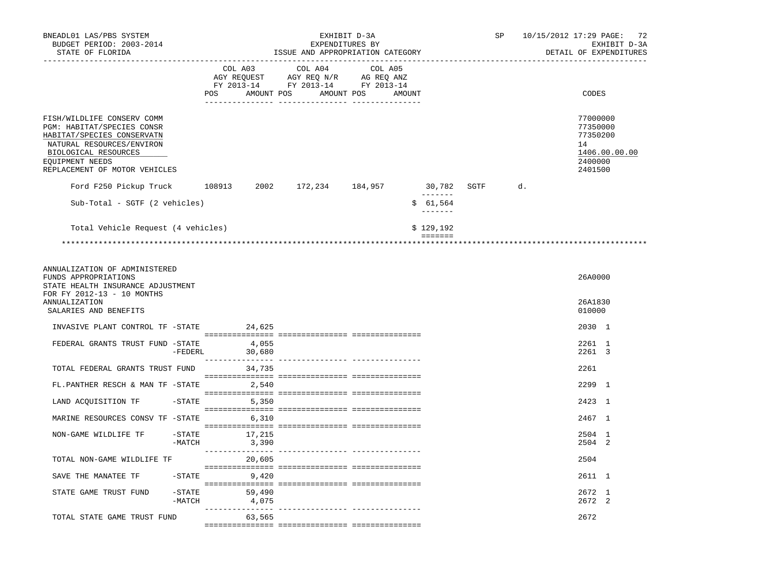| BNEADL01 LAS/PBS SYSTEM<br>BUDGET PERIOD: 2003-2014<br>STATE OF FLORIDA                                                                                                                         |                       | EXHIBIT D-3A<br>EXPENDITURES BY<br>ISSUE AND APPROPRIATION CATEGORY                                 |                 |         |  |                       |        |                                                                  |  | SP      | 10/15/2012 17:29 PAGE: 72<br>EXHIBIT D-3A<br>DETAIL OF EXPENDITURES |                                                              |               |
|-------------------------------------------------------------------------------------------------------------------------------------------------------------------------------------------------|-----------------------|-----------------------------------------------------------------------------------------------------|-----------------|---------|--|-----------------------|--------|------------------------------------------------------------------|--|---------|---------------------------------------------------------------------|--------------------------------------------------------------|---------------|
|                                                                                                                                                                                                 |                       | COL A03<br>AGY REQUEST AGY REQ N/R AG REQ ANZ<br>FY 2013-14 FY 2013-14 FY 2013-14<br>POS AMOUNT POS |                 | COL A04 |  | COL A05<br>AMOUNT POS | AMOUNT |                                                                  |  |         |                                                                     | CODES                                                        |               |
| FISH/WILDLIFE CONSERV COMM<br>PGM: HABITAT/SPECIES CONSR<br>HABITAT/SPECIES CONSERVATN<br>NATURAL RESOURCES/ENVIRON<br>BIOLOGICAL RESOURCES<br>EQUIPMENT NEEDS<br>REPLACEMENT OF MOTOR VEHICLES |                       |                                                                                                     |                 |         |  |                       |        |                                                                  |  |         |                                                                     | 77000000<br>77350000<br>77350200<br>14<br>2400000<br>2401500 | 1406.00.00.00 |
| Ford F250 Pickup Truck                                                                                                                                                                          |                       | 108913 2002 172,234 184,957                                                                         |                 |         |  |                       |        | 30,782                                                           |  | SGTF d. |                                                                     |                                                              |               |
| Sub-Total - SGTF (2 vehicles)                                                                                                                                                                   |                       |                                                                                                     |                 |         |  |                       |        | \$61,564                                                         |  |         |                                                                     |                                                              |               |
| Total Vehicle Request (4 vehicles)                                                                                                                                                              |                       |                                                                                                     |                 |         |  |                       |        | \$129,192                                                        |  |         |                                                                     |                                                              |               |
|                                                                                                                                                                                                 |                       |                                                                                                     |                 |         |  |                       |        | $\qquad \qquad \equiv \equiv \equiv \equiv \equiv \equiv \equiv$ |  |         |                                                                     |                                                              |               |
| ANNUALIZATION OF ADMINISTERED<br>FUNDS APPROPRIATIONS<br>STATE HEALTH INSURANCE ADJUSTMENT<br>FOR FY 2012-13 - 10 MONTHS<br>ANNUALIZATION<br>SALARIES AND BENEFITS                              |                       |                                                                                                     |                 |         |  |                       |        |                                                                  |  |         |                                                                     | 26A0000<br>26A1830<br>010000                                 |               |
| INVASIVE PLANT CONTROL TF -STATE                                                                                                                                                                |                       | 24,625                                                                                              |                 |         |  |                       |        |                                                                  |  |         |                                                                     | 2030 1                                                       |               |
| FEDERAL GRANTS TRUST FUND -STATE                                                                                                                                                                | -FEDERL               | 4,055<br>30,680                                                                                     |                 |         |  |                       |        |                                                                  |  |         |                                                                     | 2261 1<br>2261 3                                             |               |
| TOTAL FEDERAL GRANTS TRUST FUND                                                                                                                                                                 |                       |                                                                                                     | 34,735          |         |  |                       |        |                                                                  |  |         |                                                                     | 2261                                                         |               |
| FL.PANTHER RESCH & MAN TF -STATE 2,540                                                                                                                                                          |                       |                                                                                                     |                 |         |  |                       |        |                                                                  |  |         |                                                                     | 2299 1                                                       |               |
| LAND ACQUISITION TF                                                                                                                                                                             |                       | $-STATE$                                                                                            | 5,350           |         |  |                       |        |                                                                  |  |         |                                                                     | 2423 1                                                       |               |
| MARINE RESOURCES CONSV TF -STATE                                                                                                                                                                |                       |                                                                                                     | 6,310           |         |  |                       |        |                                                                  |  |         |                                                                     | 2467 1                                                       |               |
| NON-GAME WILDLIFE TF                                                                                                                                                                            | $-$ STATE<br>$-MATCH$ | 17,215                                                                                              | 3,390           |         |  |                       |        |                                                                  |  |         |                                                                     | 2504 1<br>2504 2                                             |               |
| TOTAL NON-GAME WILDLIFE TF                                                                                                                                                                      |                       |                                                                                                     | 20,605          |         |  |                       |        |                                                                  |  |         |                                                                     | 2504                                                         |               |
| SAVE THE MANATEE TF                                                                                                                                                                             | $-$ STATE             | 9,420                                                                                               |                 |         |  |                       |        |                                                                  |  |         |                                                                     | 2611 1                                                       |               |
| STATE GAME TRUST FUND                                                                                                                                                                           | $-$ STATE<br>-MATCH   |                                                                                                     | 59,490<br>4,075 |         |  |                       |        |                                                                  |  |         |                                                                     | 2672 1<br>2672 2                                             |               |
| TOTAL STATE GAME TRUST FUND                                                                                                                                                                     |                       |                                                                                                     | 63,565          |         |  |                       |        |                                                                  |  |         |                                                                     | 2672                                                         |               |
|                                                                                                                                                                                                 |                       |                                                                                                     |                 |         |  |                       |        |                                                                  |  |         |                                                                     |                                                              |               |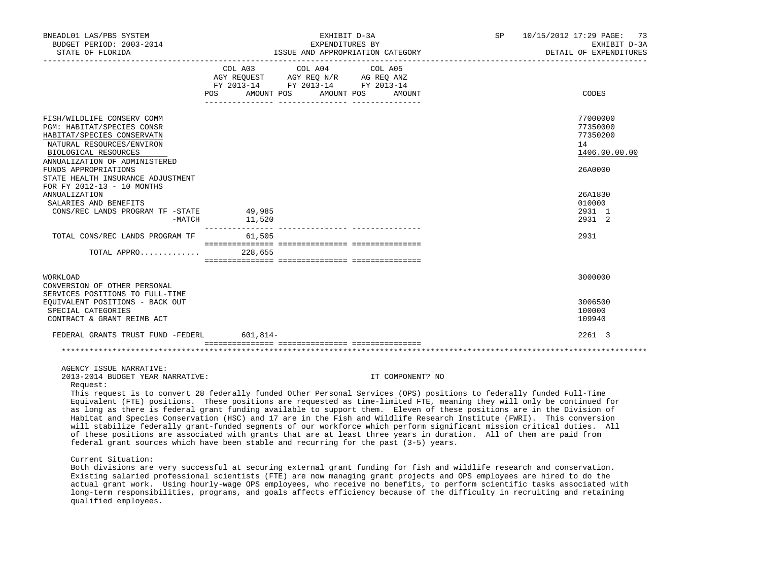| BNEADL01 LAS/PBS SYSTEM<br>BUDGET PERIOD: 2003-2014<br>STATE OF FLORIDA                                                                                                                                                                                                 |                   | EXHIBIT D-3A<br>EXPENDITURES BY<br>ISSUE AND APPROPRIATION CATEGORY                                                                  | SP 10/15/2012 17:29 PAGE: 73<br>EXHIBIT D-3A<br>DETAIL OF EXPENDITURES |
|-------------------------------------------------------------------------------------------------------------------------------------------------------------------------------------------------------------------------------------------------------------------------|-------------------|--------------------------------------------------------------------------------------------------------------------------------------|------------------------------------------------------------------------|
|                                                                                                                                                                                                                                                                         | POS               | COL A03 COL A04 COL A05<br>AGY REQUEST AGY REQ N/R AG REQ ANZ<br>FY 2013-14 FY 2013-14 FY 2013-14<br>AMOUNT POS AMOUNT POS<br>AMOUNT | CODES                                                                  |
| FISH/WILDLIFE CONSERV COMM<br>PGM: HABITAT/SPECIES CONSR<br>HABITAT/SPECIES CONSERVATN<br>NATURAL RESOURCES/ENVIRON<br>BIOLOGICAL RESOURCES<br>ANNUALIZATION OF ADMINISTERED<br>FUNDS APPROPRIATIONS<br>STATE HEALTH INSURANCE ADJUSTMENT<br>FOR FY 2012-13 - 10 MONTHS |                   |                                                                                                                                      | 77000000<br>77350000<br>77350200<br>14<br>1406.00.00.00<br>26A0000     |
| <b>ANNUALIZATION</b><br>SALARIES AND BENEFITS<br>CONS/REC LANDS PROGRAM TF -STATE<br>$-MATCH$                                                                                                                                                                           | 49,985<br>11,520  |                                                                                                                                      | 26A1830<br>010000<br>2931 1<br>2931 2                                  |
| TOTAL CONS/REC LANDS PROGRAM TF<br>TOTAL APPRO                                                                                                                                                                                                                          | 61,505<br>228,655 |                                                                                                                                      | 2931                                                                   |
| WORKLOAD<br>CONVERSION OF OTHER PERSONAL<br>SERVICES POSITIONS TO FULL-TIME<br>EQUIVALENT POSITIONS - BACK OUT<br>SPECIAL CATEGORIES<br>CONTRACT & GRANT REIMB ACT                                                                                                      |                   |                                                                                                                                      | 3000000<br>3006500<br>100000<br>109940                                 |
| FEDERAL GRANTS TRUST FUND -FEDERL                                                                                                                                                                                                                                       | $601, 814 -$      |                                                                                                                                      | 2261 3                                                                 |
|                                                                                                                                                                                                                                                                         |                   |                                                                                                                                      |                                                                        |

#### AGENCY ISSUE NARRATIVE:

2013-2014 BUDGET YEAR NARRATIVE: IT COMPONENT? NO

Request:

 This request is to convert 28 federally funded Other Personal Services (OPS) positions to federally funded Full-Time Equivalent (FTE) positions. These positions are requested as time-limited FTE, meaning they will only be continued for as long as there is federal grant funding available to support them. Eleven of these positions are in the Division of Habitat and Species Conservation (HSC) and 17 are in the Fish and Wildlife Research Institute (FWRI). This conversion will stabilize federally grant-funded segments of our workforce which perform significant mission critical duties. All of these positions are associated with grants that are at least three years in duration. All of them are paid from federal grant sources which have been stable and recurring for the past (3-5) years.

Current Situation:

 Both divisions are very successful at securing external grant funding for fish and wildlife research and conservation. Existing salaried professional scientists (FTE) are now managing grant projects and OPS employees are hired to do the actual grant work. Using hourly-wage OPS employees, who receive no benefits, to perform scientific tasks associated with long-term responsibilities, programs, and goals affects efficiency because of the difficulty in recruiting and retaining qualified employees.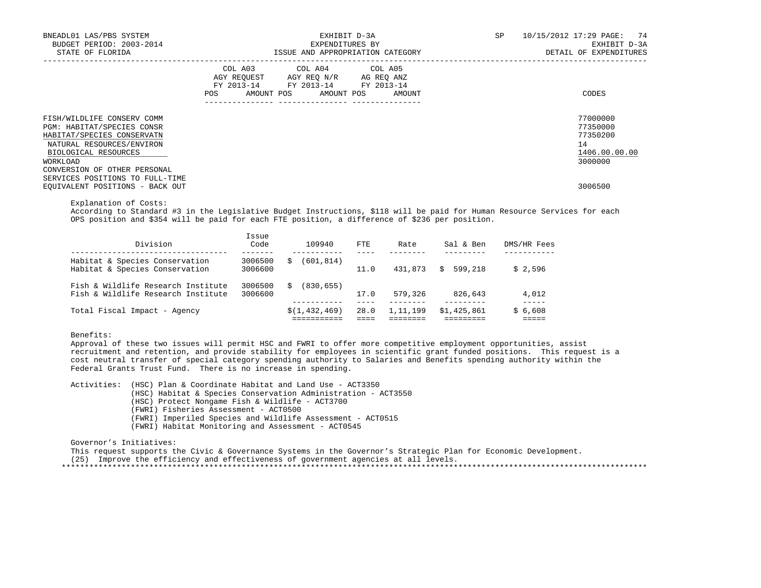| BNEADL01 LAS/PBS SYSTEM<br>BUDGET PERIOD: 2003-2014<br>STATE OF FLORIDA                                                                                                                 | EXHIBIT D-3A<br>EXPENDITURES BY<br>ISSUE AND APPROPRIATION CATEGORY                                                                         | 10/15/2012 17:29 PAGE: 74<br><b>SP</b><br>EXHIBIT D-3A<br>DETAIL OF EXPENDITURES |
|-----------------------------------------------------------------------------------------------------------------------------------------------------------------------------------------|---------------------------------------------------------------------------------------------------------------------------------------------|----------------------------------------------------------------------------------|
|                                                                                                                                                                                         | COL A03 COL A04 COL A05<br>AGY REQUEST AGY REQ N/R AG REQ ANZ<br>FY 2013-14 FY 2013-14 FY 2013-14<br>POS<br>AMOUNT POS AMOUNT POS<br>AMOUNT | CODES                                                                            |
| FISH/WILDLIFE CONSERV COMM<br>PGM: HABITAT/SPECIES CONSR<br>HABITAT/SPECIES CONSERVATN<br>NATURAL RESOURCES/ENVIRON<br>BIOLOGICAL RESOURCES<br>WORKLOAD<br>CONVERSION OF OTHER PERSONAL |                                                                                                                                             | 77000000<br>77350000<br>77350200<br>14<br>1406.00.00.00<br>3000000               |
| SERVICES POSITIONS TO FULL-TIME<br>EQUIVALENT POSITIONS - BACK OUT                                                                                                                      |                                                                                                                                             | 3006500                                                                          |

Explanation of Costs:

 According to Standard #3 in the Legislative Budget Instructions, \$118 will be paid for Human Resource Services for each OPS position and \$354 will be paid for each FTE position, a difference of \$236 per position.

| Division                                                                 | Issue<br>Code      | 109940          | FTE. | Rate       | Sal & Ben    | DMS/HR Fees |
|--------------------------------------------------------------------------|--------------------|-----------------|------|------------|--------------|-------------|
| Habitat & Species Conservation<br>Habitat & Species Conservation         | 3006500<br>3006600 | (601,814)<br>S  | 11.0 | 431,873    | 599,218<br>S | \$2.596     |
| Fish & Wildlife Research Institute<br>Fish & Wildlife Research Institute | 3006500<br>3006600 | (830, 655)<br>S | 17.0 | 579,326    | 826,643      | 4,012       |
| Total Fiscal Impact - Agency                                             |                    | \$(1, 432, 469) | 28.0 | 1, 11, 199 | \$1,425,861  | \$6,608     |

Benefits:

 Approval of these two issues will permit HSC and FWRI to offer more competitive employment opportunities, assist recruitment and retention, and provide stability for employees in scientific grant funded positions. This request is a cost neutral transfer of special category spending authority to Salaries and Benefits spending authority within the Federal Grants Trust Fund. There is no increase in spending.

 Activities: (HSC) Plan & Coordinate Habitat and Land Use - ACT3350 (HSC) Habitat & Species Conservation Administration - ACT3550 (HSC) Protect Nongame Fish & Wildlife - ACT3700 (FWRI) Fisheries Assessment - ACT0500 (FWRI) Imperiled Species and Wildlife Assessment - ACT0515 (FWRI) Habitat Monitoring and Assessment - ACT0545

Governor's Initiatives:

 This request supports the Civic & Governance Systems in the Governor's Strategic Plan for Economic Development. (25) Improve the efficiency and effectiveness of government agencies at all levels. \*\*\*\*\*\*\*\*\*\*\*\*\*\*\*\*\*\*\*\*\*\*\*\*\*\*\*\*\*\*\*\*\*\*\*\*\*\*\*\*\*\*\*\*\*\*\*\*\*\*\*\*\*\*\*\*\*\*\*\*\*\*\*\*\*\*\*\*\*\*\*\*\*\*\*\*\*\*\*\*\*\*\*\*\*\*\*\*\*\*\*\*\*\*\*\*\*\*\*\*\*\*\*\*\*\*\*\*\*\*\*\*\*\*\*\*\*\*\*\*\*\*\*\*\*\*\*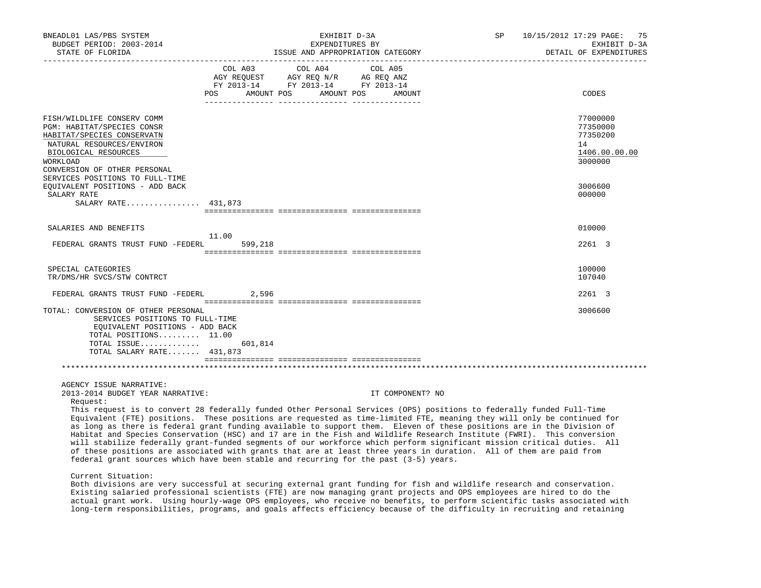| BNEADL01 LAS/PBS SYSTEM<br>BUDGET PERIOD: 2003-2014<br>STATE OF FLORIDA                                                                                                                                                                                                                                                                                                                                                                                                                                                                                                                                                                                                                                                                                                                                                                                                                    |                | EXHIBIT D-3A<br>EXPENDITURES BY<br>ISSUE AND APPROPRIATION CATEGORY                             |                       |                  | SP | 10/15/2012 17:29 PAGE: | 75<br>EXHIBIT D-3A<br>DETAIL OF EXPENDITURES                       |
|--------------------------------------------------------------------------------------------------------------------------------------------------------------------------------------------------------------------------------------------------------------------------------------------------------------------------------------------------------------------------------------------------------------------------------------------------------------------------------------------------------------------------------------------------------------------------------------------------------------------------------------------------------------------------------------------------------------------------------------------------------------------------------------------------------------------------------------------------------------------------------------------|----------------|-------------------------------------------------------------------------------------------------|-----------------------|------------------|----|------------------------|--------------------------------------------------------------------|
|                                                                                                                                                                                                                                                                                                                                                                                                                                                                                                                                                                                                                                                                                                                                                                                                                                                                                            | COL A03<br>POS | COL A04<br>AGY REQUEST AGY REQ N/R AG REQ ANZ<br>FY 2013-14 FY 2013-14 FY 2013-14<br>AMOUNT POS | COL A05<br>AMOUNT POS | AMOUNT           |    |                        | CODES                                                              |
| FISH/WILDLIFE CONSERV COMM<br>PGM: HABITAT/SPECIES CONSR<br>HABITAT/SPECIES CONSERVATN<br>NATURAL RESOURCES/ENVIRON<br>BIOLOGICAL RESOURCES<br>WORKLOAD<br>CONVERSION OF OTHER PERSONAL                                                                                                                                                                                                                                                                                                                                                                                                                                                                                                                                                                                                                                                                                                    |                |                                                                                                 |                       |                  |    |                        | 77000000<br>77350000<br>77350200<br>14<br>1406.00.00.00<br>3000000 |
| SERVICES POSITIONS TO FULL-TIME<br>EQUIVALENT POSITIONS - ADD BACK<br>SALARY RATE<br>SALARY RATE 431,873                                                                                                                                                                                                                                                                                                                                                                                                                                                                                                                                                                                                                                                                                                                                                                                   |                |                                                                                                 |                       |                  |    |                        | 3006600<br>000000                                                  |
| SALARIES AND BENEFITS                                                                                                                                                                                                                                                                                                                                                                                                                                                                                                                                                                                                                                                                                                                                                                                                                                                                      | 11.00          |                                                                                                 |                       |                  |    |                        | 010000                                                             |
| FEDERAL GRANTS TRUST FUND -FEDERL                                                                                                                                                                                                                                                                                                                                                                                                                                                                                                                                                                                                                                                                                                                                                                                                                                                          | 599,218        |                                                                                                 |                       |                  |    |                        | 2261 3                                                             |
| SPECIAL CATEGORIES<br>TR/DMS/HR SVCS/STW CONTRCT                                                                                                                                                                                                                                                                                                                                                                                                                                                                                                                                                                                                                                                                                                                                                                                                                                           |                |                                                                                                 |                       |                  |    |                        | 100000<br>107040                                                   |
| FEDERAL GRANTS TRUST FUND -FEDERL                                                                                                                                                                                                                                                                                                                                                                                                                                                                                                                                                                                                                                                                                                                                                                                                                                                          | 2,596          |                                                                                                 |                       |                  |    |                        | 2261 3                                                             |
| TOTAL: CONVERSION OF OTHER PERSONAL<br>SERVICES POSITIONS TO FULL-TIME<br>EQUIVALENT POSITIONS - ADD BACK<br>TOTAL POSITIONS 11.00<br>TOTAL ISSUE<br>TOTAL SALARY RATE 431,873                                                                                                                                                                                                                                                                                                                                                                                                                                                                                                                                                                                                                                                                                                             | 601,814        |                                                                                                 |                       |                  |    |                        | 3006600                                                            |
| AGENCY ISSUE NARRATIVE:                                                                                                                                                                                                                                                                                                                                                                                                                                                                                                                                                                                                                                                                                                                                                                                                                                                                    |                |                                                                                                 |                       |                  |    |                        |                                                                    |
| 2013-2014 BUDGET YEAR NARRATIVE:<br>Request:<br>This request is to convert 28 federally funded Other Personal Services (OPS) positions to federally funded Full-Time<br>Equivalent (FTE) positions. These positions are requested as time-limited FTE, meaning they will only be continued for<br>as long as there is federal grant funding available to support them. Eleven of these positions are in the Division of<br>Habitat and Species Conservation (HSC) and 17 are in the Fish and Wildlife Research Institute (FWRI). This conversion<br>will stabilize federally grant-funded segments of our workforce which perform significant mission critical duties. All<br>of these positions are associated with grants that are at least three years in duration. All of them are paid from<br>federal grant sources which have been stable and recurring for the past $(3-5)$ years. |                |                                                                                                 |                       | IT COMPONENT? NO |    |                        |                                                                    |
| Current Situation:                                                                                                                                                                                                                                                                                                                                                                                                                                                                                                                                                                                                                                                                                                                                                                                                                                                                         |                |                                                                                                 |                       |                  |    |                        |                                                                    |

 Both divisions are very successful at securing external grant funding for fish and wildlife research and conservation. Existing salaried professional scientists (FTE) are now managing grant projects and OPS employees are hired to do the actual grant work. Using hourly-wage OPS employees, who receive no benefits, to perform scientific tasks associated with long-term responsibilities, programs, and goals affects efficiency because of the difficulty in recruiting and retaining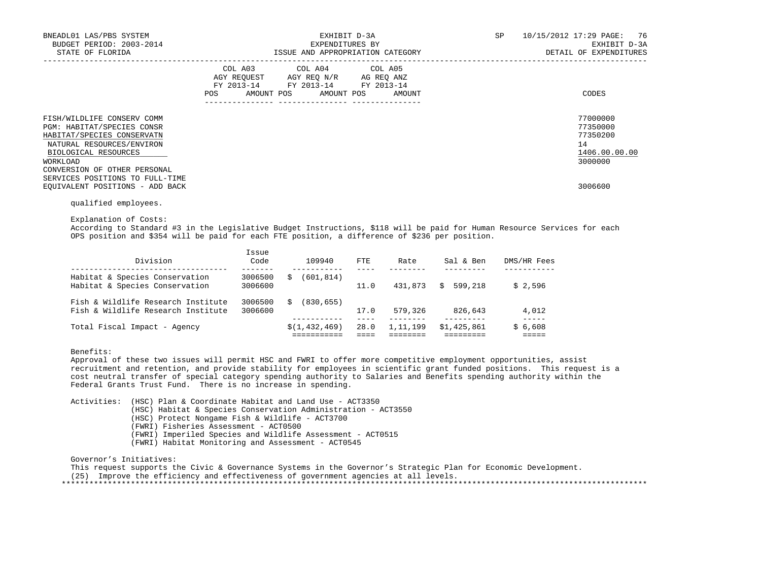| BNEADL01 LAS/PBS SYSTEM<br>BUDGET PERIOD: 2003-2014<br>STATE OF FLORIDA                                                                                 | EXHIBIT D-3A<br>EXPENDITURES BY<br>ISSUE AND APPROPRIATION CATEGORY                                                                         | 10/15/2012 17:29 PAGE: 76<br><b>SP</b><br>EXHIBIT D-3A<br>DETAIL OF EXPENDITURES |
|---------------------------------------------------------------------------------------------------------------------------------------------------------|---------------------------------------------------------------------------------------------------------------------------------------------|----------------------------------------------------------------------------------|
|                                                                                                                                                         | COL A03 COL A04 COL A05<br>AGY REQUEST AGY REQ N/R AG REQ ANZ<br>FY 2013-14 FY 2013-14 FY 2013-14<br>POS<br>AMOUNT POS AMOUNT POS<br>AMOUNT | CODES                                                                            |
| FISH/WILDLIFE CONSERV COMM<br>PGM: HABITAT/SPECIES CONSR<br>HABITAT/SPECIES CONSERVATN<br>NATURAL RESOURCES/ENVIRON<br>BIOLOGICAL RESOURCES<br>WORKLOAD |                                                                                                                                             | 77000000<br>77350000<br>77350200<br>14<br>1406.00.00.00<br>3000000               |
| CONVERSION OF OTHER PERSONAL<br>SERVICES POSITIONS TO FULL-TIME<br>EQUIVALENT POSITIONS - ADD BACK                                                      |                                                                                                                                             | 3006600                                                                          |

qualified employees.

Explanation of Costs:

 According to Standard #3 in the Legislative Budget Instructions, \$118 will be paid for Human Resource Services for each OPS position and \$354 will be paid for each FTE position, a difference of \$236 per position.

| Division                                                                 | Issue<br>Code      | 109940          | FTE  | Rate     | Sal & Ben     | DMS/HR Fees |
|--------------------------------------------------------------------------|--------------------|-----------------|------|----------|---------------|-------------|
| Habitat & Species Conservation<br>Habitat & Species Conservation         | 3006500<br>3006600 | (601,814)<br>S  | 11.0 | 431,873  | 599,218<br>S. | \$2.596     |
| Fish & Wildlife Research Institute<br>Fish & Wildlife Research Institute | 3006500<br>3006600 | (830.655)<br>Ŝ. | 17.0 | 579,326  | 826,643       | 4,012       |
| Total Fiscal Impact - Agency                                             |                    | \$(1, 432, 469) | 28.0 | 1,11,199 | \$1,425,861   | \$6,608     |

### Benefits:

 Approval of these two issues will permit HSC and FWRI to offer more competitive employment opportunities, assist recruitment and retention, and provide stability for employees in scientific grant funded positions. This request is a cost neutral transfer of special category spending authority to Salaries and Benefits spending authority within the Federal Grants Trust Fund. There is no increase in spending.

 Activities: (HSC) Plan & Coordinate Habitat and Land Use - ACT3350 (HSC) Habitat & Species Conservation Administration - ACT3550 (HSC) Protect Nongame Fish & Wildlife - ACT3700 (FWRI) Fisheries Assessment - ACT0500 (FWRI) Imperiled Species and Wildlife Assessment - ACT0515 (FWRI) Habitat Monitoring and Assessment - ACT0545

Governor's Initiatives:

This request supports the Civic & Governance Systems in the Governor's Strategic Plan for Economic Development.

(25) Improve the efficiency and effectiveness of government agencies at all levels.

\*\*\*\*\*\*\*\*\*\*\*\*\*\*\*\*\*\*\*\*\*\*\*\*\*\*\*\*\*\*\*\*\*\*\*\*\*\*\*\*\*\*\*\*\*\*\*\*\*\*\*\*\*\*\*\*\*\*\*\*\*\*\*\*\*\*\*\*\*\*\*\*\*\*\*\*\*\*\*\*\*\*\*\*\*\*\*\*\*\*\*\*\*\*\*\*\*\*\*\*\*\*\*\*\*\*\*\*\*\*\*\*\*\*\*\*\*\*\*\*\*\*\*\*\*\*\*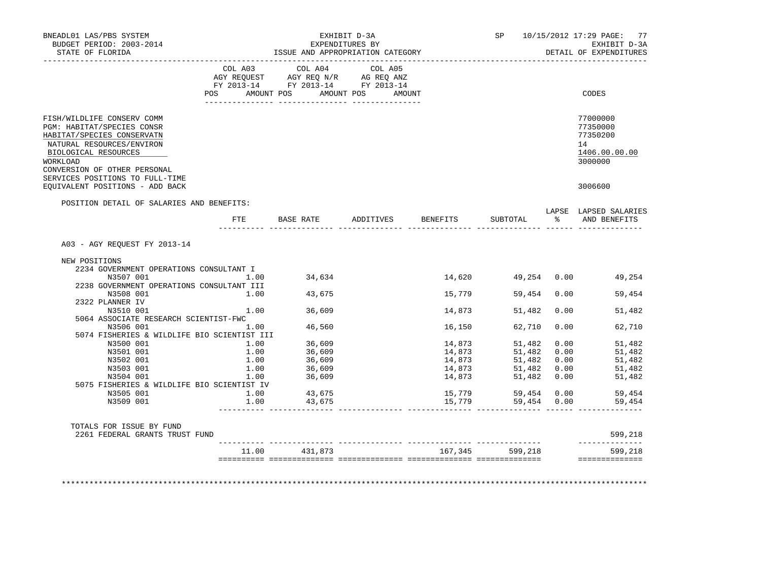| BNEADL01 LAS/PBS SYSTEM<br>BUDGET PERIOD: 2003-2014<br>STATE OF FLORIDA                                                                                                                        |      | ISSUE AND APPROPRIATION CATEGORY                                                                                                                                                                                                                                                                                                                                                                                                        | EXHIBIT D-3A<br>EXPENDITURES BY |                            | SP                |      | 10/15/2012 17:29 PAGE: 77<br>EXHIBIT D-3A<br>DETAIL OF EXPENDITURES |
|------------------------------------------------------------------------------------------------------------------------------------------------------------------------------------------------|------|-----------------------------------------------------------------------------------------------------------------------------------------------------------------------------------------------------------------------------------------------------------------------------------------------------------------------------------------------------------------------------------------------------------------------------------------|---------------------------------|----------------------------|-------------------|------|---------------------------------------------------------------------|
|                                                                                                                                                                                                |      | $\begin{tabular}{lllllllllll} &\multicolumn{4}{c }{\text{COL A03}} &\multicolumn{4}{c }{\text{COL A04}} &\multicolumn{4}{c }{\text{COL A05}}\\ \multicolumn{4}{c }{\text{AGY REQUEST}} &\multicolumn{4}{c }{\text{AGY REQ N/R}} &\multicolumn{4}{c }{\text{AG REQ ANZ}}\\ \multicolumn{4}{c }{\text{FGY A03--14}} &\multicolumn{4}{c }{\text{FGY A013--14}} &\multicolumn{4}{c }{\text{FT A013--14}}\\ \multicolumn{4}{c }{\text{FY 20$ |                                 |                            |                   |      |                                                                     |
|                                                                                                                                                                                                | POS  | AMOUNT POS AMOUNT POS AMOUNT                                                                                                                                                                                                                                                                                                                                                                                                            |                                 |                            |                   |      | CODES                                                               |
| FISH/WILDLIFE CONSERV COMM<br>PGM: HABITAT/SPECIES CONSR<br>HABITAT/SPECIES CONSERVATN<br>NATURAL RESOURCES/ENVIRON<br>BIOLOGICAL RESOURCES<br><b>WORKLOAD</b><br>CONVERSION OF OTHER PERSONAL |      |                                                                                                                                                                                                                                                                                                                                                                                                                                         |                                 |                            |                   |      | 77000000<br>77350000<br>77350200<br>14<br>1406.00.00.00<br>3000000  |
| SERVICES POSITIONS TO FULL-TIME<br>EQUIVALENT POSITIONS - ADD BACK                                                                                                                             |      |                                                                                                                                                                                                                                                                                                                                                                                                                                         |                                 |                            |                   |      | 3006600                                                             |
| POSITION DETAIL OF SALARIES AND BENEFITS:                                                                                                                                                      |      |                                                                                                                                                                                                                                                                                                                                                                                                                                         |                                 |                            |                   |      |                                                                     |
|                                                                                                                                                                                                | ETE  | <b>BASE RATE</b>                                                                                                                                                                                                                                                                                                                                                                                                                        | ADDITIVES BENEFITS              |                            | SUBTOTAL          |      | LAPSE LAPSED SALARIES<br>% AND BENEFITS                             |
| A03 - AGY REQUEST FY 2013-14                                                                                                                                                                   |      |                                                                                                                                                                                                                                                                                                                                                                                                                                         |                                 |                            |                   |      |                                                                     |
| NEW POSITIONS                                                                                                                                                                                  |      |                                                                                                                                                                                                                                                                                                                                                                                                                                         |                                 |                            |                   |      |                                                                     |
| 2234 GOVERNMENT OPERATIONS CONSULTANT I                                                                                                                                                        | 1.00 |                                                                                                                                                                                                                                                                                                                                                                                                                                         |                                 |                            |                   |      |                                                                     |
| N3507 001<br>2238 GOVERNMENT OPERATIONS CONSULTANT III                                                                                                                                         |      | 34,634                                                                                                                                                                                                                                                                                                                                                                                                                                  |                                 |                            |                   |      | 14,620 49,254 0.00 49,254                                           |
| N3508 001                                                                                                                                                                                      | 1.00 | 43,675                                                                                                                                                                                                                                                                                                                                                                                                                                  |                                 | 15,779                     | 59,454            | 0.00 | 59,454                                                              |
| 2322 PLANNER IV                                                                                                                                                                                |      |                                                                                                                                                                                                                                                                                                                                                                                                                                         |                                 |                            |                   |      |                                                                     |
| N3510 001                                                                                                                                                                                      | 1.00 | 36,609                                                                                                                                                                                                                                                                                                                                                                                                                                  |                                 | 14,873                     | 51,482            | 0.00 | 51,482                                                              |
| 5064 ASSOCIATE RESEARCH SCIENTIST-FWC                                                                                                                                                          |      |                                                                                                                                                                                                                                                                                                                                                                                                                                         |                                 |                            |                   |      |                                                                     |
| N3506 001                                                                                                                                                                                      | 1.00 | 46,560                                                                                                                                                                                                                                                                                                                                                                                                                                  |                                 | 16,150                     | 62,710            | 0.00 | 62,710                                                              |
| 5074 FISHERIES & WILDLIFE BIO SCIENTIST III                                                                                                                                                    |      |                                                                                                                                                                                                                                                                                                                                                                                                                                         |                                 |                            |                   |      |                                                                     |
| N3500 001                                                                                                                                                                                      | 1.00 | 36,609                                                                                                                                                                                                                                                                                                                                                                                                                                  |                                 | 14,873                     | 51,482            | 0.00 | 51,482                                                              |
| N3501 001                                                                                                                                                                                      | 1.00 | 36,609                                                                                                                                                                                                                                                                                                                                                                                                                                  |                                 |                            | 51,482            | 0.00 | 51,482                                                              |
| N3502 001                                                                                                                                                                                      | 1.00 | 36,609<br>36,609                                                                                                                                                                                                                                                                                                                                                                                                                        |                                 | 14,873<br>14,873<br>14,873 | 51,482            |      | $0.00$<br>$0.00$<br>51,482                                          |
| N3503 001                                                                                                                                                                                      | 1.00 |                                                                                                                                                                                                                                                                                                                                                                                                                                         |                                 |                            | 51,482            |      | 51,482                                                              |
| N3504 001                                                                                                                                                                                      | 1.00 | 36,609                                                                                                                                                                                                                                                                                                                                                                                                                                  |                                 | 14,873                     | 51,482 0.00       |      | 51,482                                                              |
| 5075 FISHERIES & WILDLIFE BIO SCIENTIST IV                                                                                                                                                     |      |                                                                                                                                                                                                                                                                                                                                                                                                                                         |                                 |                            |                   |      |                                                                     |
| N3505 001                                                                                                                                                                                      | 1.00 | 43,675                                                                                                                                                                                                                                                                                                                                                                                                                                  |                                 | 15,779                     | 59,454            |      | $0.00$ 59,454                                                       |
| N3509 001                                                                                                                                                                                      | 1.00 | 43,675                                                                                                                                                                                                                                                                                                                                                                                                                                  |                                 | 15,779                     | 59,454 0.00       |      | 59,454                                                              |
| TOTALS FOR ISSUE BY FUND<br>2261 FEDERAL GRANTS TRUST FUND                                                                                                                                     |      |                                                                                                                                                                                                                                                                                                                                                                                                                                         |                                 |                            |                   |      | 599,218                                                             |
|                                                                                                                                                                                                |      | 11.00 431,873                                                                                                                                                                                                                                                                                                                                                                                                                           |                                 |                            | 167, 345 599, 218 |      | --------------<br>599,218                                           |
|                                                                                                                                                                                                |      |                                                                                                                                                                                                                                                                                                                                                                                                                                         |                                 |                            |                   |      | ==============                                                      |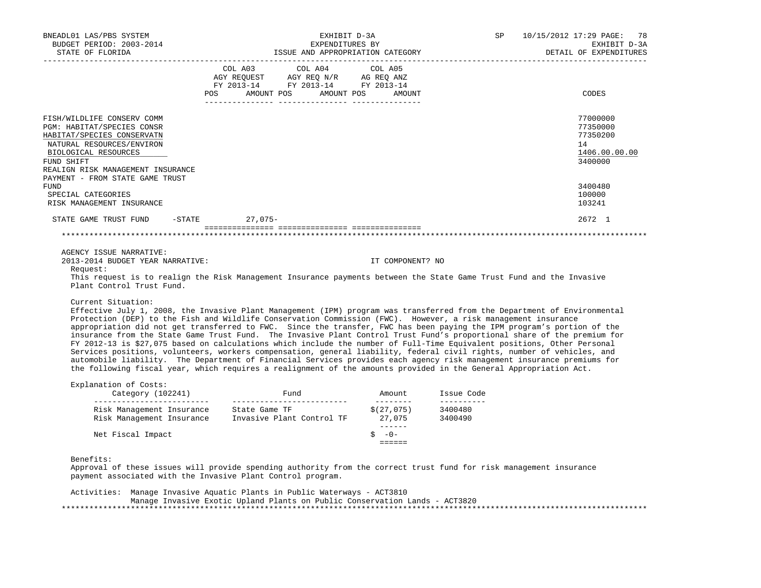| BNEADL01 LAS/PBS SYSTEM                                                                                                          |                                                                        |                 | EXHIBIT D-3A |                     |                                       | 10/15/2012 17:29 PAGE: 78<br>SP and the set of the set of the set of the set of the set of the set of the set of the set of the set of the set of the set of the set of the set of the set of the set of the set of the set of the set of the set of the se |  |                                        |  |
|----------------------------------------------------------------------------------------------------------------------------------|------------------------------------------------------------------------|-----------------|--------------|---------------------|---------------------------------------|-------------------------------------------------------------------------------------------------------------------------------------------------------------------------------------------------------------------------------------------------------------|--|----------------------------------------|--|
| BUDGET PERIOD: 2003-2014<br>STATE OF FLORIDA                                                                                     |                                                                        | EXPENDITURES BY |              |                     | ISSUE AND APPROPRIATION CATEGORY      |                                                                                                                                                                                                                                                             |  | EXHIBIT D-3A<br>DETAIL OF EXPENDITURES |  |
|                                                                                                                                  | COL A03 COL A04 COL A05                                                |                 |              |                     |                                       |                                                                                                                                                                                                                                                             |  |                                        |  |
|                                                                                                                                  |                                                                        |                 |              |                     |                                       |                                                                                                                                                                                                                                                             |  |                                        |  |
|                                                                                                                                  | AGY REQUEST AGY REQ N/R AG REQ ANZ<br>FY 2013-14 FY 2013-14 FY 2013-14 |                 |              |                     |                                       |                                                                                                                                                                                                                                                             |  |                                        |  |
|                                                                                                                                  | POS AMOUNT POS AMOUNT POS AMOUNT                                       |                 |              |                     |                                       |                                                                                                                                                                                                                                                             |  | CODES                                  |  |
|                                                                                                                                  |                                                                        |                 |              |                     |                                       |                                                                                                                                                                                                                                                             |  |                                        |  |
| FISH/WILDLIFE CONSERV COMM                                                                                                       |                                                                        |                 |              |                     |                                       |                                                                                                                                                                                                                                                             |  | 77000000                               |  |
| PGM: HABITAT/SPECIES CONSR<br>HABITAT/SPECIES CONSERVATN                                                                         |                                                                        |                 |              |                     |                                       |                                                                                                                                                                                                                                                             |  | 77350000<br>77350200                   |  |
| NATURAL RESOURCES/ENVIRON                                                                                                        |                                                                        |                 |              |                     |                                       |                                                                                                                                                                                                                                                             |  | 14                                     |  |
| BIOLOGICAL RESOURCES                                                                                                             |                                                                        |                 |              |                     |                                       |                                                                                                                                                                                                                                                             |  | 1406.00.00.00                          |  |
| FUND SHIFT                                                                                                                       |                                                                        |                 |              |                     |                                       |                                                                                                                                                                                                                                                             |  | 3400000                                |  |
| REALIGN RISK MANAGEMENT INSURANCE                                                                                                |                                                                        |                 |              |                     |                                       |                                                                                                                                                                                                                                                             |  |                                        |  |
| PAYMENT - FROM STATE GAME TRUST                                                                                                  |                                                                        |                 |              |                     |                                       |                                                                                                                                                                                                                                                             |  |                                        |  |
| FUND                                                                                                                             |                                                                        |                 |              |                     |                                       |                                                                                                                                                                                                                                                             |  | 3400480                                |  |
| SPECIAL CATEGORIES                                                                                                               |                                                                        |                 |              |                     |                                       |                                                                                                                                                                                                                                                             |  | 100000                                 |  |
| RISK MANAGEMENT INSURANCE                                                                                                        |                                                                        |                 |              |                     |                                       |                                                                                                                                                                                                                                                             |  | 103241                                 |  |
| STATE GAME TRUST FUND -STATE 27,075-                                                                                             |                                                                        |                 |              |                     |                                       |                                                                                                                                                                                                                                                             |  | 2672 1                                 |  |
|                                                                                                                                  |                                                                        |                 |              |                     |                                       |                                                                                                                                                                                                                                                             |  |                                        |  |
|                                                                                                                                  |                                                                        |                 |              |                     |                                       |                                                                                                                                                                                                                                                             |  |                                        |  |
| AGENCY ISSUE NARRATIVE:                                                                                                          |                                                                        |                 |              |                     |                                       |                                                                                                                                                                                                                                                             |  |                                        |  |
| 2013-2014 BUDGET YEAR NARRATIVE:                                                                                                 |                                                                        |                 |              | IT COMPONENT? NO    |                                       |                                                                                                                                                                                                                                                             |  |                                        |  |
| Request:<br>This request is to realign the Risk Management Insurance payments between the State Game Trust Fund and the Invasive |                                                                        |                 |              |                     |                                       |                                                                                                                                                                                                                                                             |  |                                        |  |
| Plant Control Trust Fund.                                                                                                        |                                                                        |                 |              |                     |                                       |                                                                                                                                                                                                                                                             |  |                                        |  |
| Current Situation:                                                                                                               |                                                                        |                 |              |                     |                                       |                                                                                                                                                                                                                                                             |  |                                        |  |
| Effective July 1, 2008, the Invasive Plant Management (IPM) program was transferred from the Department of Environmental         |                                                                        |                 |              |                     |                                       |                                                                                                                                                                                                                                                             |  |                                        |  |
| Protection (DEP) to the Fish and Wildlife Conservation Commission (FWC). However, a risk management insurance                    |                                                                        |                 |              |                     |                                       |                                                                                                                                                                                                                                                             |  |                                        |  |
| appropriation did not get transferred to FWC. Since the transfer, FWC has been paying the IPM program's portion of the           |                                                                        |                 |              |                     |                                       |                                                                                                                                                                                                                                                             |  |                                        |  |
| insurance from the State Game Trust Fund. The Invasive Plant Control Trust Fund's proportional share of the premium for          |                                                                        |                 |              |                     |                                       |                                                                                                                                                                                                                                                             |  |                                        |  |
| FY 2012-13 is \$27,075 based on calculations which include the number of Full-Time Equivalent positions, Other Personal          |                                                                        |                 |              |                     |                                       |                                                                                                                                                                                                                                                             |  |                                        |  |
| Services positions, volunteers, workers compensation, general liability, federal civil rights, number of vehicles, and           |                                                                        |                 |              |                     |                                       |                                                                                                                                                                                                                                                             |  |                                        |  |
| automobile liability. The Department of Financial Services provides each agency risk management insurance premiums for           |                                                                        |                 |              |                     |                                       |                                                                                                                                                                                                                                                             |  |                                        |  |
| the following fiscal year, which requires a realignment of the amounts provided in the General Appropriation Act.                |                                                                        |                 |              |                     |                                       |                                                                                                                                                                                                                                                             |  |                                        |  |
| Explanation of Costs:                                                                                                            |                                                                        |                 |              |                     |                                       |                                                                                                                                                                                                                                                             |  |                                        |  |
| Category (102241)<br>___________________________                                                                                 | ____________________________                                           |                 |              | __________          | Fund Mount Issue Code<br>____________ |                                                                                                                                                                                                                                                             |  |                                        |  |
| Risk Management Insurance State Game TF (27,075) 3400480<br>Risk Management Insurance Invasive Plant Control TF (27,075 3400490  |                                                                        |                 |              |                     |                                       |                                                                                                                                                                                                                                                             |  |                                        |  |
|                                                                                                                                  |                                                                        |                 |              | - <del>------</del> |                                       |                                                                                                                                                                                                                                                             |  |                                        |  |
| Net Fiscal Impact                                                                                                                |                                                                        |                 |              | $5 - 0 -$           |                                       |                                                                                                                                                                                                                                                             |  |                                        |  |
|                                                                                                                                  |                                                                        |                 |              | $=$ = = = = =       |                                       |                                                                                                                                                                                                                                                             |  |                                        |  |
| Benefits:                                                                                                                        |                                                                        |                 |              |                     |                                       |                                                                                                                                                                                                                                                             |  |                                        |  |
| Approval of these issues will provide spending authority from the correct trust fund for risk management insurance               |                                                                        |                 |              |                     |                                       |                                                                                                                                                                                                                                                             |  |                                        |  |
| payment associated with the Invasive Plant Control program.                                                                      |                                                                        |                 |              |                     |                                       |                                                                                                                                                                                                                                                             |  |                                        |  |
|                                                                                                                                  |                                                                        |                 |              |                     |                                       |                                                                                                                                                                                                                                                             |  |                                        |  |
| Activities: Manage Invasive Aquatic Plants in Public Waterways - ACT3810                                                         |                                                                        |                 |              |                     |                                       |                                                                                                                                                                                                                                                             |  |                                        |  |
| Manage Invasive Exotic Upland Plants on Public Conservation Lands - ACT3820                                                      |                                                                        |                 |              |                     |                                       |                                                                                                                                                                                                                                                             |  |                                        |  |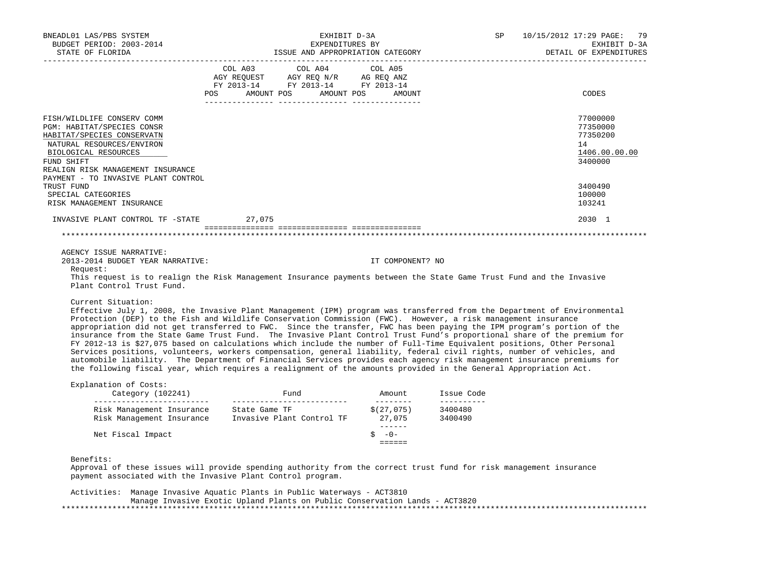|                                                 |                                                                                                                                                                                                                                                                                                                                                                                                                                                                                                                                                                                                                                                                                                                                                                                                                                                                                                                                                                                                    |                                  | EXHIBIT D-3A           |
|-------------------------------------------------|----------------------------------------------------------------------------------------------------------------------------------------------------------------------------------------------------------------------------------------------------------------------------------------------------------------------------------------------------------------------------------------------------------------------------------------------------------------------------------------------------------------------------------------------------------------------------------------------------------------------------------------------------------------------------------------------------------------------------------------------------------------------------------------------------------------------------------------------------------------------------------------------------------------------------------------------------------------------------------------------------|----------------------------------|------------------------|
| STATE OF FLORIDA                                | EXPENDITURES BY<br>ISSUE AND APPROPRIATION CATEGORY                                                                                                                                                                                                                                                                                                                                                                                                                                                                                                                                                                                                                                                                                                                                                                                                                                                                                                                                                |                                  | DETAIL OF EXPENDITURES |
|                                                 | COL A03<br>COL A04                                                                                                                                                                                                                                                                                                                                                                                                                                                                                                                                                                                                                                                                                                                                                                                                                                                                                                                                                                                 | COL A05                          |                        |
|                                                 | AGY REQUEST AGY REQ N/R AG REQ ANZ                                                                                                                                                                                                                                                                                                                                                                                                                                                                                                                                                                                                                                                                                                                                                                                                                                                                                                                                                                 |                                  |                        |
|                                                 | FY 2013-14 FY 2013-14 FY 2013-14<br>POS AMOUNT POS AMOUNT POS AMOUNT                                                                                                                                                                                                                                                                                                                                                                                                                                                                                                                                                                                                                                                                                                                                                                                                                                                                                                                               |                                  | CODES                  |
|                                                 |                                                                                                                                                                                                                                                                                                                                                                                                                                                                                                                                                                                                                                                                                                                                                                                                                                                                                                                                                                                                    |                                  |                        |
| FISH/WILDLIFE CONSERV COMM                      |                                                                                                                                                                                                                                                                                                                                                                                                                                                                                                                                                                                                                                                                                                                                                                                                                                                                                                                                                                                                    |                                  | 77000000               |
| PGM: HABITAT/SPECIES CONSR                      |                                                                                                                                                                                                                                                                                                                                                                                                                                                                                                                                                                                                                                                                                                                                                                                                                                                                                                                                                                                                    |                                  | 77350000               |
| HABITAT/SPECIES CONSERVATN                      |                                                                                                                                                                                                                                                                                                                                                                                                                                                                                                                                                                                                                                                                                                                                                                                                                                                                                                                                                                                                    |                                  | 77350200               |
| NATURAL RESOURCES/ENVIRON                       |                                                                                                                                                                                                                                                                                                                                                                                                                                                                                                                                                                                                                                                                                                                                                                                                                                                                                                                                                                                                    |                                  | 14                     |
| BIOLOGICAL RESOURCES                            |                                                                                                                                                                                                                                                                                                                                                                                                                                                                                                                                                                                                                                                                                                                                                                                                                                                                                                                                                                                                    |                                  | 1406.00.00.00          |
| FUND SHIFT<br>REALIGN RISK MANAGEMENT INSURANCE |                                                                                                                                                                                                                                                                                                                                                                                                                                                                                                                                                                                                                                                                                                                                                                                                                                                                                                                                                                                                    |                                  | 3400000                |
| PAYMENT - TO INVASIVE PLANT CONTROL             |                                                                                                                                                                                                                                                                                                                                                                                                                                                                                                                                                                                                                                                                                                                                                                                                                                                                                                                                                                                                    |                                  |                        |
| TRUST FUND                                      |                                                                                                                                                                                                                                                                                                                                                                                                                                                                                                                                                                                                                                                                                                                                                                                                                                                                                                                                                                                                    |                                  | 3400490                |
| SPECIAL CATEGORIES                              |                                                                                                                                                                                                                                                                                                                                                                                                                                                                                                                                                                                                                                                                                                                                                                                                                                                                                                                                                                                                    |                                  | 100000                 |
| RISK MANAGEMENT INSURANCE                       |                                                                                                                                                                                                                                                                                                                                                                                                                                                                                                                                                                                                                                                                                                                                                                                                                                                                                                                                                                                                    |                                  | 103241                 |
| INVASIVE PLANT CONTROL TF -STATE 27,075         |                                                                                                                                                                                                                                                                                                                                                                                                                                                                                                                                                                                                                                                                                                                                                                                                                                                                                                                                                                                                    |                                  | 2030 1                 |
|                                                 |                                                                                                                                                                                                                                                                                                                                                                                                                                                                                                                                                                                                                                                                                                                                                                                                                                                                                                                                                                                                    |                                  |                        |
|                                                 |                                                                                                                                                                                                                                                                                                                                                                                                                                                                                                                                                                                                                                                                                                                                                                                                                                                                                                                                                                                                    |                                  |                        |
| AGENCY ISSUE NARRATIVE:                         |                                                                                                                                                                                                                                                                                                                                                                                                                                                                                                                                                                                                                                                                                                                                                                                                                                                                                                                                                                                                    |                                  |                        |
| 2013-2014 BUDGET YEAR NARRATIVE:<br>Request:    |                                                                                                                                                                                                                                                                                                                                                                                                                                                                                                                                                                                                                                                                                                                                                                                                                                                                                                                                                                                                    | IT COMPONENT? NO                 |                        |
| Plant Control Trust Fund.                       | This request is to realign the Risk Management Insurance payments between the State Game Trust Fund and the Invasive                                                                                                                                                                                                                                                                                                                                                                                                                                                                                                                                                                                                                                                                                                                                                                                                                                                                               |                                  |                        |
|                                                 |                                                                                                                                                                                                                                                                                                                                                                                                                                                                                                                                                                                                                                                                                                                                                                                                                                                                                                                                                                                                    |                                  |                        |
| Current Situation:                              | Effective July 1, 2008, the Invasive Plant Management (IPM) program was transferred from the Department of Environmental<br>Protection (DEP) to the Fish and Wildlife Conservation Commission (FWC). However, a risk management insurance<br>appropriation did not get transferred to FWC. Since the transfer, FWC has been paying the IPM program's portion of the<br>insurance from the State Game Trust Fund. The Invasive Plant Control Trust Fund's proportional share of the premium for<br>FY 2012-13 is \$27,075 based on calculations which include the number of Full-Time Equivalent positions, Other Personal<br>Services positions, volunteers, workers compensation, general liability, federal civil rights, number of vehicles, and<br>automobile liability. The Department of Financial Services provides each agency risk management insurance premiums for<br>the following fiscal year, which requires a realignment of the amounts provided in the General Appropriation Act. |                                  |                        |
| Explanation of Costs:                           |                                                                                                                                                                                                                                                                                                                                                                                                                                                                                                                                                                                                                                                                                                                                                                                                                                                                                                                                                                                                    |                                  |                        |
| ____________________________                    | Risk Management Insurance State Game TF (27,075) 3400480<br>Risk Management Insurance Invasive Plant Control TF (27,075 3400490                                                                                                                                                                                                                                                                                                                                                                                                                                                                                                                                                                                                                                                                                                                                                                                                                                                                    |                                  |                        |
|                                                 |                                                                                                                                                                                                                                                                                                                                                                                                                                                                                                                                                                                                                                                                                                                                                                                                                                                                                                                                                                                                    | -------                          |                        |
| Net Fiscal Impact                               |                                                                                                                                                                                                                                                                                                                                                                                                                                                                                                                                                                                                                                                                                                                                                                                                                                                                                                                                                                                                    | $5 - 0 -$<br>$=$ $=$ $=$ $=$ $=$ |                        |
| Benefits:                                       | Approval of these issues will provide spending authority from the correct trust fund for risk management insurance<br>payment associated with the Invasive Plant Control program.                                                                                                                                                                                                                                                                                                                                                                                                                                                                                                                                                                                                                                                                                                                                                                                                                  |                                  |                        |
|                                                 | Activities: Manage Invasive Aquatic Plants in Public Waterways - ACT3810                                                                                                                                                                                                                                                                                                                                                                                                                                                                                                                                                                                                                                                                                                                                                                                                                                                                                                                           |                                  |                        |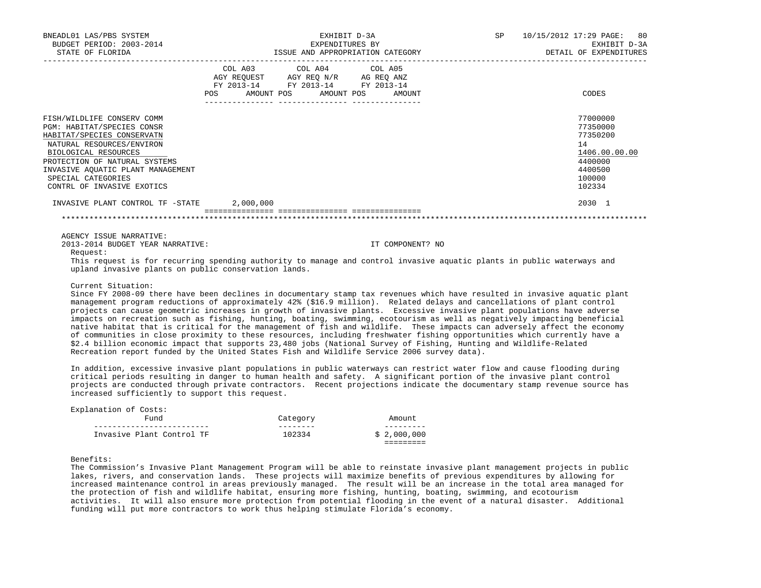| BNEADL01 LAS/PBS SYSTEM<br>BUDGET PERIOD: 2003-2014<br>STATE OF FLORIDA                                                                                                      | EXHIBIT D-3A<br>EXPENDITURES BY<br>ISSUE AND APPROPRIATION CATEGORY                                                                   | 10/15/2012 17:29 PAGE: 80<br>SP<br>EXHIBIT D-3A<br>DETAIL OF EXPENDITURES |
|------------------------------------------------------------------------------------------------------------------------------------------------------------------------------|---------------------------------------------------------------------------------------------------------------------------------------|---------------------------------------------------------------------------|
|                                                                                                                                                                              | COL A03 COL A04 COL A05<br>AGY REQUEST AGY REQ N/R AG REQ ANZ<br>FY 2013-14 FY 2013-14 FY 2013-14<br>POS AMOUNT POS AMOUNT POS AMOUNT | CODES                                                                     |
| FISH/WILDLIFE CONSERV COMM<br>PGM: HABITAT/SPECIES CONSR<br>HABITAT/SPECIES CONSERVATN<br>NATURAL RESOURCES/ENVIRON<br>BIOLOGICAL RESOURCES<br>PROTECTION OF NATURAL SYSTEMS |                                                                                                                                       | 77000000<br>77350000<br>77350200<br>14<br>1406.00.00.00<br>4400000        |
| INVASIVE AOUATIC PLANT MANAGEMENT<br>SPECIAL CATEGORIES<br>CONTRL OF INVASIVE EXOTICS                                                                                        |                                                                                                                                       | 4400500<br>100000<br>102334                                               |
| INVASIVE PLANT CONTROL TF -STATE                                                                                                                                             | 2,000,000                                                                                                                             | 2030 1                                                                    |
|                                                                                                                                                                              |                                                                                                                                       |                                                                           |

AGENCY ISSUE NARRATIVE:

2013-2014 BUDGET YEAR NARRATIVE: IT COMPONENT? NO

Request:

 This request is for recurring spending authority to manage and control invasive aquatic plants in public waterways and upland invasive plants on public conservation lands.

### Current Situation:

 Since FY 2008-09 there have been declines in documentary stamp tax revenues which have resulted in invasive aquatic plant management program reductions of approximately 42% (\$16.9 million). Related delays and cancellations of plant control projects can cause geometric increases in growth of invasive plants. Excessive invasive plant populations have adverse impacts on recreation such as fishing, hunting, boating, swimming, ecotourism as well as negatively impacting beneficial native habitat that is critical for the management of fish and wildlife. These impacts can adversely affect the economy of communities in close proximity to these resources, including freshwater fishing opportunities which currently have a \$2.4 billion economic impact that supports 23,480 jobs (National Survey of Fishing, Hunting and Wildlife-Related Recreation report funded by the United States Fish and Wildlife Service 2006 survey data).

 In addition, excessive invasive plant populations in public waterways can restrict water flow and cause flooding during critical periods resulting in danger to human health and safety. A significant portion of the invasive plant control projects are conducted through private contractors. Recent projections indicate the documentary stamp revenue source has increased sufficiently to support this request.

| Explanation of Costs:<br>Fund | Category | Amount      |
|-------------------------------|----------|-------------|
| Invasive Plant Control TF     | 102334   | \$2,000,000 |

Benefits:

 The Commission's Invasive Plant Management Program will be able to reinstate invasive plant management projects in public lakes, rivers, and conservation lands. These projects will maximize benefits of previous expenditures by allowing for increased maintenance control in areas previously managed. The result will be an increase in the total area managed for the protection of fish and wildlife habitat, ensuring more fishing, hunting, boating, swimming, and ecotourism activities. It will also ensure more protection from potential flooding in the event of a natural disaster. Additional funding will put more contractors to work thus helping stimulate Florida's economy.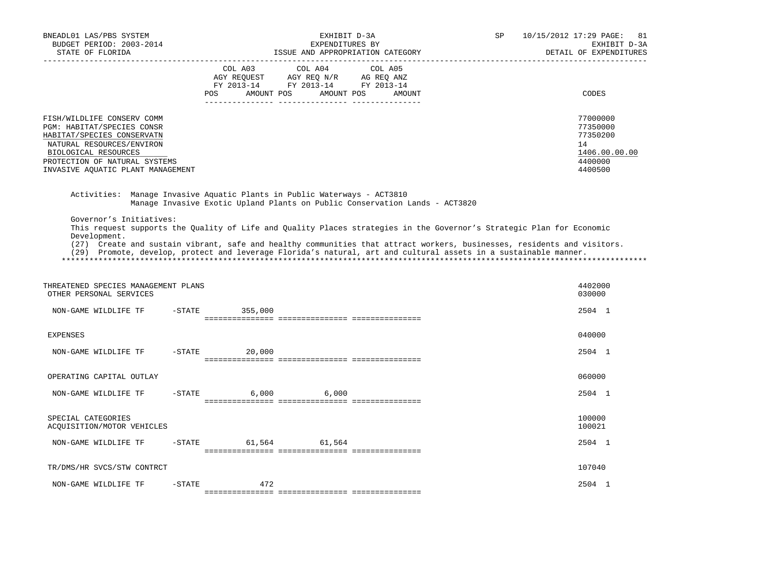| BNEADL01 LAS/PBS SYSTEM<br>BUDGET PERIOD: 2003-2014<br>STATE OF FLORIDA<br>------------------                                                                                                                                                                                                                                                                                                                  |            |                       | EXHIBIT D-3A<br>EXPENDITURES BY<br>ISSUE AND APPROPRIATION CATEGORY                             |         |        | <b>SP</b> | 10/15/2012 17:29 PAGE:<br>81<br>EXHIBIT D-3A<br>DETAIL OF EXPENDITURES        |
|----------------------------------------------------------------------------------------------------------------------------------------------------------------------------------------------------------------------------------------------------------------------------------------------------------------------------------------------------------------------------------------------------------------|------------|-----------------------|-------------------------------------------------------------------------------------------------|---------|--------|-----------|-------------------------------------------------------------------------------|
|                                                                                                                                                                                                                                                                                                                                                                                                                | <b>POS</b> | COL A03<br>AMOUNT POS | COL A04<br>AGY REQUEST AGY REQ N/R AG REQ ANZ<br>FY 2013-14 FY 2013-14 FY 2013-14<br>AMOUNT POS | COL A05 | AMOUNT |           | CODES                                                                         |
| FISH/WILDLIFE CONSERV COMM<br>PGM: HABITAT/SPECIES CONSR<br>HABITAT/SPECIES CONSERVATN<br>NATURAL RESOURCES/ENVIRON<br>BIOLOGICAL RESOURCES<br>PROTECTION OF NATURAL SYSTEMS<br>INVASIVE AQUATIC PLANT MANAGEMENT                                                                                                                                                                                              |            |                       |                                                                                                 |         |        |           | 77000000<br>77350000<br>77350200<br>14<br>1406.00.00.00<br>4400000<br>4400500 |
| Activities: Manage Invasive Aquatic Plants in Public Waterways - ACT3810                                                                                                                                                                                                                                                                                                                                       |            |                       | Manage Invasive Exotic Upland Plants on Public Conservation Lands - ACT3820                     |         |        |           |                                                                               |
| Governor's Initiatives:<br>This request supports the Quality of Life and Quality Places strategies in the Governor's Strategic Plan for Economic<br>Development.<br>(27) Create and sustain vibrant, safe and healthy communities that attract workers, businesses, residents and visitors.<br>(29) Promote, develop, protect and leverage Florida's natural, art and cultural assets in a sustainable manner. |            |                       |                                                                                                 |         |        |           |                                                                               |
| THREATENED SPECIES MANAGEMENT PLANS<br>OTHER PERSONAL SERVICES                                                                                                                                                                                                                                                                                                                                                 |            |                       |                                                                                                 |         |        |           | 4402000<br>030000                                                             |
| NON-GAME WILDLIFE TF                                                                                                                                                                                                                                                                                                                                                                                           | $-$ STATE  | 355,000               |                                                                                                 |         |        |           | 2504 1                                                                        |
| <b>EXPENSES</b>                                                                                                                                                                                                                                                                                                                                                                                                |            |                       |                                                                                                 |         |        |           | 040000                                                                        |
| NON-GAME WILDLIFE TF                                                                                                                                                                                                                                                                                                                                                                                           | $-STATE$   | 20,000                |                                                                                                 |         |        |           | 2504 1                                                                        |
| OPERATING CAPITAL OUTLAY                                                                                                                                                                                                                                                                                                                                                                                       |            |                       |                                                                                                 |         |        |           | 060000                                                                        |
| NON-GAME WILDLIFE TF                                                                                                                                                                                                                                                                                                                                                                                           | $-$ STATE  | 6,000                 | 6,000                                                                                           |         |        |           | 2504 1                                                                        |
| SPECIAL CATEGORIES<br>ACQUISITION/MOTOR VEHICLES                                                                                                                                                                                                                                                                                                                                                               |            |                       |                                                                                                 |         |        |           | 100000<br>100021                                                              |
| NON-GAME WILDLIFE TF                                                                                                                                                                                                                                                                                                                                                                                           | $-$ STATE  | 61,564                | 61,564                                                                                          |         |        |           | 2504 1                                                                        |
| TR/DMS/HR SVCS/STW CONTRCT                                                                                                                                                                                                                                                                                                                                                                                     |            |                       |                                                                                                 |         |        |           | 107040                                                                        |
| NON-GAME WILDLIFE TF                                                                                                                                                                                                                                                                                                                                                                                           | $-$ STATE  | 472                   |                                                                                                 |         |        |           | 2504 1                                                                        |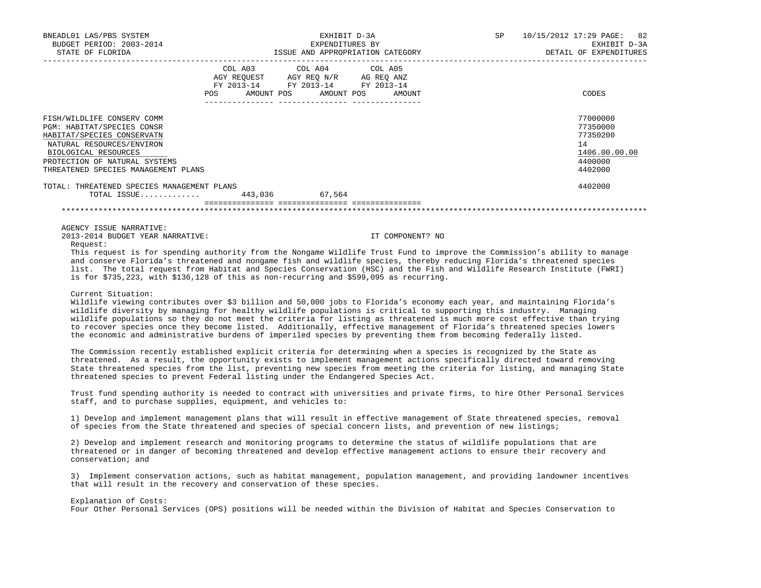| BNEADL01 LAS/PBS SYSTEM<br>BUDGET PERIOD: 2003-2014<br>STATE OF FLORIDA                                                                                                                                                                                                                                                                                                                                                                                                 | EXHIBIT D-3A<br>EXPENDITURES BY<br>ISSUE AND APPROPRIATION CATEGORY <b>Experiment OF SALES</b> DETAIL OF EXPENDITURES |                                                                                                   |                                  | SP and the set of the set of the set of the set of the set of the set of the set of the set of the set of the set of the set of the set of the set of the set of the set of the set of the set of the set of the set of the se | 10/15/2012 17:29 PAGE: 82<br>EXHIBIT D-3A                                     |
|-------------------------------------------------------------------------------------------------------------------------------------------------------------------------------------------------------------------------------------------------------------------------------------------------------------------------------------------------------------------------------------------------------------------------------------------------------------------------|-----------------------------------------------------------------------------------------------------------------------|---------------------------------------------------------------------------------------------------|----------------------------------|--------------------------------------------------------------------------------------------------------------------------------------------------------------------------------------------------------------------------------|-------------------------------------------------------------------------------|
|                                                                                                                                                                                                                                                                                                                                                                                                                                                                         |                                                                                                                       | COL A03 COL A04 COL A05<br>AGY REQUEST AGY REO N/R AG REO ANZ<br>FY 2013-14 FY 2013-14 FY 2013-14 | POS AMOUNT POS AMOUNT POS AMOUNT |                                                                                                                                                                                                                                | CODES                                                                         |
| FISH/WILDLIFE CONSERV COMM<br><b>PGM: HABITAT/SPECIES CONSR</b><br>HABITAT/SPECIES CONSERVATN<br>NATURAL RESOURCES/ENVIRON<br>BIOLOGICAL RESOURCES<br>PROTECTION OF NATURAL SYSTEMS<br>THREATENED SPECIES MANAGEMENT PLANS                                                                                                                                                                                                                                              |                                                                                                                       |                                                                                                   |                                  |                                                                                                                                                                                                                                | 77000000<br>77350000<br>77350200<br>14<br>1406.00.00.00<br>4400000<br>4402000 |
| TOTAL: THREATENED SPECIES MANAGEMENT PLANS<br>TOTAL ISSUE 443,036 67,564                                                                                                                                                                                                                                                                                                                                                                                                |                                                                                                                       |                                                                                                   |                                  |                                                                                                                                                                                                                                | 4402000                                                                       |
|                                                                                                                                                                                                                                                                                                                                                                                                                                                                         |                                                                                                                       |                                                                                                   |                                  |                                                                                                                                                                                                                                |                                                                               |
| AGENCY ISSUE NARRATIVE:<br>2013-2014 BUDGET YEAR NARRATIVE:<br>Request:                                                                                                                                                                                                                                                                                                                                                                                                 |                                                                                                                       |                                                                                                   | IT COMPONENT? NO                 |                                                                                                                                                                                                                                |                                                                               |
| This request is for spending authority from the Nongame Wildlife Trust Fund to improve the Commission's ability to manage<br>and conserve Florida's threatened and nongame fish and wildlife species, thereby reducing Florida's threatened species<br>list. The total request from Habitat and Species Conservation (HSC) and the Fish and Wildlife Research Institute (FWRI)<br>is for \$735,223, with \$136,128 of this as non-recurring and \$599,095 as recurring. |                                                                                                                       |                                                                                                   |                                  |                                                                                                                                                                                                                                |                                                                               |
| Current Situation:                                                                                                                                                                                                                                                                                                                                                                                                                                                      |                                                                                                                       |                                                                                                   |                                  |                                                                                                                                                                                                                                |                                                                               |

 Wildlife viewing contributes over \$3 billion and 50,000 jobs to Florida's economy each year, and maintaining Florida's wildlife diversity by managing for healthy wildlife populations is critical to supporting this industry. Managing wildlife populations so they do not meet the criteria for listing as threatened is much more cost effective than trying to recover species once they become listed. Additionally, effective management of Florida's threatened species lowers the economic and administrative burdens of imperiled species by preventing them from becoming federally listed.

 The Commission recently established explicit criteria for determining when a species is recognized by the State as threatened. As a result, the opportunity exists to implement management actions specifically directed toward removing State threatened species from the list, preventing new species from meeting the criteria for listing, and managing State threatened species to prevent Federal listing under the Endangered Species Act.

 Trust fund spending authority is needed to contract with universities and private firms, to hire Other Personal Services staff, and to purchase supplies, equipment, and vehicles to:

 1) Develop and implement management plans that will result in effective management of State threatened species, removal of species from the State threatened and species of special concern lists, and prevention of new listings;

 2) Develop and implement research and monitoring programs to determine the status of wildlife populations that are threatened or in danger of becoming threatened and develop effective management actions to ensure their recovery and conservation; and

 3) Implement conservation actions, such as habitat management, population management, and providing landowner incentives that will result in the recovery and conservation of these species.

### Explanation of Costs:

Four Other Personal Services (OPS) positions will be needed within the Division of Habitat and Species Conservation to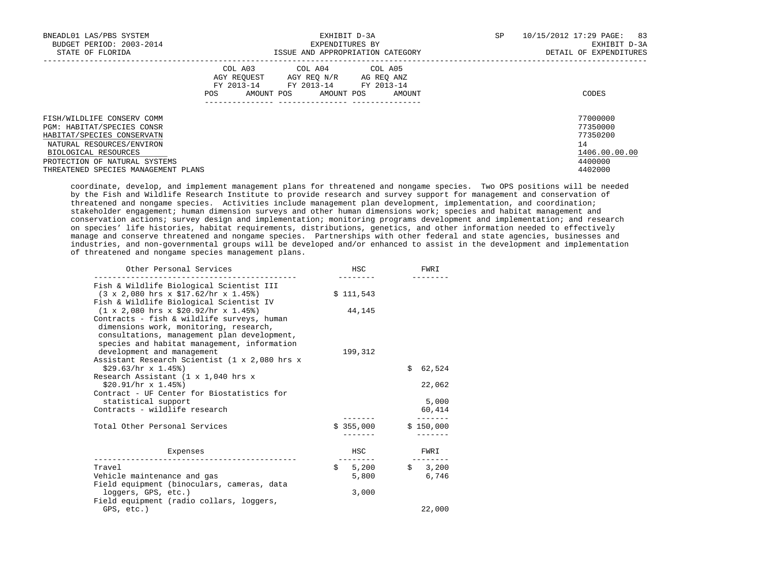| BNEADL01 LAS/PBS SYSTEM<br>BUDGET PERIOD: 2003-2014<br>STATE OF FLORIDA                                                   |                                             | EXHIBIT D-3A<br>EXPENDITURES BY<br>ISSUE AND APPROPRIATION CATEGORY              |                      | SP | 10/15/2012 17:29 PAGE:<br>83<br>EXHIBIT D-3A<br>DETAIL OF EXPENDITURES |
|---------------------------------------------------------------------------------------------------------------------------|---------------------------------------------|----------------------------------------------------------------------------------|----------------------|----|------------------------------------------------------------------------|
|                                                                                                                           | COL A03<br>AGY REOUEST<br>AMOUNT POS<br>POS | COL A04 COL A05<br>AGY REO N/R<br>FY 2013-14 FY 2013-14 FY 2013-14<br>AMOUNT POS | AG REO ANZ<br>AMOUNT |    | CODES                                                                  |
| FISH/WILDLIFE CONSERV COMM<br>PGM: HABITAT/SPECIES CONSR<br>HABITAT/SPECIES CONSERVATN                                    |                                             |                                                                                  |                      |    | 77000000<br>77350000<br>77350200                                       |
| NATURAL RESOURCES/ENVIRON<br>BIOLOGICAL RESOURCES<br>PROTECTION OF NATURAL SYSTEMS<br>THREATENED SPECIES MANAGEMENT PLANS |                                             |                                                                                  |                      |    | 14<br>1406.00.00.00<br>4400000<br>4402000                              |

 coordinate, develop, and implement management plans for threatened and nongame species. Two OPS positions will be needed by the Fish and Wildlife Research Institute to provide research and survey support for management and conservation of threatened and nongame species. Activities include management plan development, implementation, and coordination; stakeholder engagement; human dimension surveys and other human dimensions work; species and habitat management and conservation actions; survey design and implementation; monitoring programs development and implementation; and research on species' life histories, habitat requirements, distributions, genetics, and other information needed to effectively manage and conserve threatened and nongame species. Partnerships with other federal and state agencies, businesses and industries, and non-governmental groups will be developed and/or enhanced to assist in the development and implementation of threatened and nongame species management plans.

| Other Personal Services                                                                                                                                                                                                                                                          | HSC                  | FWRI             |
|----------------------------------------------------------------------------------------------------------------------------------------------------------------------------------------------------------------------------------------------------------------------------------|----------------------|------------------|
| Fish & Wildlife Biological Scientist III<br>$(3 \times 2,080$ hrs $x \sin 52$ /hr $x \sin 45$ )                                                                                                                                                                                  | \$111,543            |                  |
| Fish & Wildlife Biological Scientist IV<br>$(1 \times 2,080$ hrs $x$ \$20.92/hr $x$ 1.45%)<br>Contracts - fish & wildlife surveys, human<br>dimensions work, monitoring, research,<br>consultations, management plan development,<br>species and habitat management, information | 44,145               |                  |
| development and management<br>Assistant Research Scientist (1 x 2,080 hrs x                                                                                                                                                                                                      | 199,312              |                  |
| $$29.63/hr \times 1.45%$<br>Research Assistant (1 x 1,040 hrs x                                                                                                                                                                                                                  |                      | \$62,524         |
| $$20.91/hr \times 1.45$ )<br>Contract - UF Center for Biostatistics for                                                                                                                                                                                                          |                      | 22,062           |
| statistical support<br>Contracts - wildlife research                                                                                                                                                                                                                             |                      | 5,000<br>60,414  |
| Total Other Personal Services                                                                                                                                                                                                                                                    | \$355,000            | \$150,000        |
| Expenses                                                                                                                                                                                                                                                                         | HSC                  | FWRI             |
| Travel<br>Vehicle maintenance and gas<br>Field equipment (binoculars, cameras, data                                                                                                                                                                                              | 5,200<br>\$<br>5,800 | \$3,200<br>6,746 |
| loggers, GPS, etc.)<br>Field equipment (radio collars, loggers,                                                                                                                                                                                                                  | 3,000                |                  |
| GPS, etc.)                                                                                                                                                                                                                                                                       |                      | 22,000           |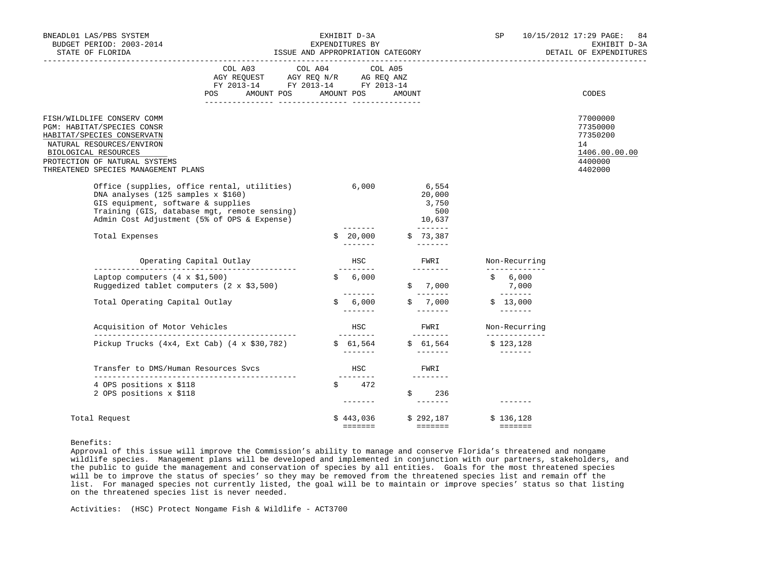|                      | BNEADL01 LAS/PBS SYSTEM<br>BUDGET PERIOD: 2003-2014<br>STATE OF FLORIDA                                                                                                                                                      |                                                                                                                                                                                                                               | ISSUE AND APPROPRIATION CATEGORY | EXHIBIT D-3A<br>EXPENDITURES BY     |        |                                                                                                                                                                                                                                                                                                                                                                                                                                                                                                                                                                                                                                                                                                                                                                                                                                                                                                                                                                                         | SP |                                                                                                                                                                                                                                                                                                                                                                                                                                                                                                                | 10/15/2012 17:29 PAGE:<br>84<br>EXHIBIT D-3A<br>DETAIL OF EXPENDITURES        |
|----------------------|------------------------------------------------------------------------------------------------------------------------------------------------------------------------------------------------------------------------------|-------------------------------------------------------------------------------------------------------------------------------------------------------------------------------------------------------------------------------|----------------------------------|-------------------------------------|--------|-----------------------------------------------------------------------------------------------------------------------------------------------------------------------------------------------------------------------------------------------------------------------------------------------------------------------------------------------------------------------------------------------------------------------------------------------------------------------------------------------------------------------------------------------------------------------------------------------------------------------------------------------------------------------------------------------------------------------------------------------------------------------------------------------------------------------------------------------------------------------------------------------------------------------------------------------------------------------------------------|----|----------------------------------------------------------------------------------------------------------------------------------------------------------------------------------------------------------------------------------------------------------------------------------------------------------------------------------------------------------------------------------------------------------------------------------------------------------------------------------------------------------------|-------------------------------------------------------------------------------|
|                      |                                                                                                                                                                                                                              | COL A03 COL A04 COL A05<br>$\begin{tabular}{lllllll} \bf AGY \,\, REQUEST \,\, &\bf AGY \,\, REQ \,\, N/R &\bf AG \,\, REQ \,\, ANZ \\ \bf FY \,\, 2013-14 &\bf FY \,\, 2013-14 &\bf FY \,\, 2013-14 \\ \end{tabular}$<br>POS | AMOUNT POS AMOUNT POS            |                                     | AMOUNT |                                                                                                                                                                                                                                                                                                                                                                                                                                                                                                                                                                                                                                                                                                                                                                                                                                                                                                                                                                                         |    |                                                                                                                                                                                                                                                                                                                                                                                                                                                                                                                | CODES                                                                         |
| BIOLOGICAL RESOURCES | FISH/WILDLIFE CONSERV COMM<br>PGM: HABITAT/SPECIES CONSR<br>HABITAT/SPECIES CONSERVATN<br>NATURAL RESOURCES/ENVIRON<br>PROTECTION OF NATURAL SYSTEMS<br>THREATENED SPECIES MANAGEMENT PLANS                                  |                                                                                                                                                                                                                               |                                  |                                     |        |                                                                                                                                                                                                                                                                                                                                                                                                                                                                                                                                                                                                                                                                                                                                                                                                                                                                                                                                                                                         |    |                                                                                                                                                                                                                                                                                                                                                                                                                                                                                                                | 77000000<br>77350000<br>77350200<br>14<br>1406.00.00.00<br>4400000<br>4402000 |
|                      | Office (supplies, office rental, utilities) 6,000<br>DNA analyses (125 samples x \$160)<br>GIS equipment, software & supplies<br>Training (GIS, database mgt, remote sensing)<br>Admin Cost Adjustment (5% of OPS & Expense) |                                                                                                                                                                                                                               |                                  |                                     |        | 6,554<br>20,000<br>3,750<br>500<br>10,637                                                                                                                                                                                                                                                                                                                                                                                                                                                                                                                                                                                                                                                                                                                                                                                                                                                                                                                                               |    |                                                                                                                                                                                                                                                                                                                                                                                                                                                                                                                |                                                                               |
|                      | Total Expenses                                                                                                                                                                                                               |                                                                                                                                                                                                                               |                                  | \$20,000                            |        | \$73,387<br>$- - - - - - -$                                                                                                                                                                                                                                                                                                                                                                                                                                                                                                                                                                                                                                                                                                                                                                                                                                                                                                                                                             |    |                                                                                                                                                                                                                                                                                                                                                                                                                                                                                                                |                                                                               |
|                      | Operating Capital Outlay                                                                                                                                                                                                     |                                                                                                                                                                                                                               |                                  | HSC                                 |        | FWRI<br>$\begin{array}{cccccccccc} \multicolumn{2}{c}{} & \multicolumn{2}{c}{} & \multicolumn{2}{c}{} & \multicolumn{2}{c}{} & \multicolumn{2}{c}{} & \multicolumn{2}{c}{} & \multicolumn{2}{c}{} & \multicolumn{2}{c}{} & \multicolumn{2}{c}{} & \multicolumn{2}{c}{} & \multicolumn{2}{c}{} & \multicolumn{2}{c}{} & \multicolumn{2}{c}{} & \multicolumn{2}{c}{} & \multicolumn{2}{c}{} & \multicolumn{2}{c}{} & \multicolumn{2}{c}{} & \multicolumn{2}{c}{} & \multicolumn{2}{c}{} & \mult$                                                                                                                                                                                                                                                                                                                                                                                                                                                                                          |    | Non-Recurring<br>_____________                                                                                                                                                                                                                                                                                                                                                                                                                                                                                 |                                                                               |
|                      | Laptop computers $(4 \times $1,500)$<br>Ruggedized tablet computers $(2 \times $3,500)$                                                                                                                                      |                                                                                                                                                                                                                               |                                  | ---------<br>\$6,000                |        | \$7,000                                                                                                                                                                                                                                                                                                                                                                                                                                                                                                                                                                                                                                                                                                                                                                                                                                                                                                                                                                                 |    | \$ 6,000<br>7,000                                                                                                                                                                                                                                                                                                                                                                                                                                                                                              |                                                                               |
|                      | Total Operating Capital Outlay                                                                                                                                                                                               |                                                                                                                                                                                                                               |                                  | \$6,000                             |        | ________<br>\$7,000                                                                                                                                                                                                                                                                                                                                                                                                                                                                                                                                                                                                                                                                                                                                                                                                                                                                                                                                                                     |    | $\begin{array}{cccccccccc} \multicolumn{2}{c}{} & \multicolumn{2}{c}{} & \multicolumn{2}{c}{} & \multicolumn{2}{c}{} & \multicolumn{2}{c}{} & \multicolumn{2}{c}{} & \multicolumn{2}{c}{} & \multicolumn{2}{c}{} & \multicolumn{2}{c}{} & \multicolumn{2}{c}{} & \multicolumn{2}{c}{} & \multicolumn{2}{c}{} & \multicolumn{2}{c}{} & \multicolumn{2}{c}{} & \multicolumn{2}{c}{} & \multicolumn{2}{c}{} & \multicolumn{2}{c}{} & \multicolumn{2}{c}{} & \multicolumn{2}{c}{} & \mult$<br>\$13,000<br>________ |                                                                               |
|                      | Acquisition of Motor Vehicles                                                                                                                                                                                                |                                                                                                                                                                                                                               |                                  | HSC.<br>---------                   |        | FWRI<br>---------                                                                                                                                                                                                                                                                                                                                                                                                                                                                                                                                                                                                                                                                                                                                                                                                                                                                                                                                                                       |    | Non-Recurring<br>_____________                                                                                                                                                                                                                                                                                                                                                                                                                                                                                 |                                                                               |
|                      | Pickup Trucks $(4x4, Ext Cab)$ $(4 \times $30,782)$                                                                                                                                                                          |                                                                                                                                                                                                                               |                                  | \$61,564                            |        | \$61,564                                                                                                                                                                                                                                                                                                                                                                                                                                                                                                                                                                                                                                                                                                                                                                                                                                                                                                                                                                                |    | \$123,128                                                                                                                                                                                                                                                                                                                                                                                                                                                                                                      |                                                                               |
|                      | Transfer to DMS/Human Resources Svcs                                                                                                                                                                                         |                                                                                                                                                                                                                               |                                  | HSC                                 |        | FWRI                                                                                                                                                                                                                                                                                                                                                                                                                                                                                                                                                                                                                                                                                                                                                                                                                                                                                                                                                                                    |    |                                                                                                                                                                                                                                                                                                                                                                                                                                                                                                                |                                                                               |
|                      | 4 OPS positions x \$118<br>2 OPS positions x \$118                                                                                                                                                                           |                                                                                                                                                                                                                               |                                  | ---------<br>\$472<br>$\frac{1}{2}$ | \$     | $\begin{array}{cccccccccc} \multicolumn{2}{c}{} & \multicolumn{2}{c}{} & \multicolumn{2}{c}{} & \multicolumn{2}{c}{} & \multicolumn{2}{c}{} & \multicolumn{2}{c}{} & \multicolumn{2}{c}{} & \multicolumn{2}{c}{} & \multicolumn{2}{c}{} & \multicolumn{2}{c}{} & \multicolumn{2}{c}{} & \multicolumn{2}{c}{} & \multicolumn{2}{c}{} & \multicolumn{2}{c}{} & \multicolumn{2}{c}{} & \multicolumn{2}{c}{} & \multicolumn{2}{c}{} & \multicolumn{2}{c}{} & \multicolumn{2}{c}{} & \mult$<br>236<br>$\begin{array}{cccccccccc} \multicolumn{2}{c}{} & \multicolumn{2}{c}{} & \multicolumn{2}{c}{} & \multicolumn{2}{c}{} & \multicolumn{2}{c}{} & \multicolumn{2}{c}{} & \multicolumn{2}{c}{} & \multicolumn{2}{c}{} & \multicolumn{2}{c}{} & \multicolumn{2}{c}{} & \multicolumn{2}{c}{} & \multicolumn{2}{c}{} & \multicolumn{2}{c}{} & \multicolumn{2}{c}{} & \multicolumn{2}{c}{} & \multicolumn{2}{c}{} & \multicolumn{2}{c}{} & \multicolumn{2}{c}{} & \multicolumn{2}{c}{} & \mult$ |    |                                                                                                                                                                                                                                                                                                                                                                                                                                                                                                                |                                                                               |
|                      | Total Request                                                                                                                                                                                                                |                                                                                                                                                                                                                               |                                  | \$443,036<br>=======                |        | \$292,187<br>__________                                                                                                                                                                                                                                                                                                                                                                                                                                                                                                                                                                                                                                                                                                                                                                                                                                                                                                                                                                 |    | \$136,128<br>$= = = = = = = =$                                                                                                                                                                                                                                                                                                                                                                                                                                                                                 |                                                                               |

Benefits:

 Approval of this issue will improve the Commission's ability to manage and conserve Florida's threatened and nongame wildlife species. Management plans will be developed and implemented in conjunction with our partners, stakeholders, and the public to guide the management and conservation of species by all entities. Goals for the most threatened species will be to improve the status of species' so they may be removed from the threatened species list and remain off the list. For managed species not currently listed, the goal will be to maintain or improve species' status so that listing on the threatened species list is never needed.

Activities: (HSC) Protect Nongame Fish & Wildlife - ACT3700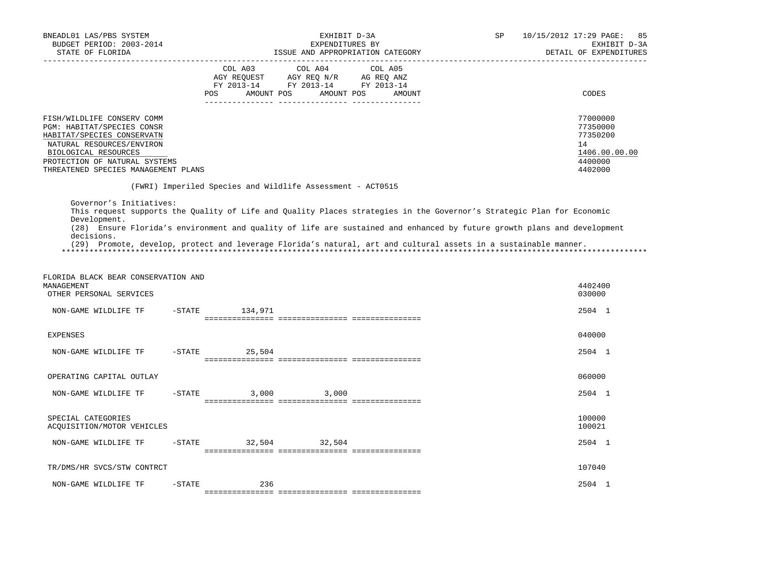| BNEADL01 LAS/PBS SYSTEM<br>BUDGET PERIOD: 2003-2014<br>STATE OF FLORIDA                                                                                                                                                    | EXHIBIT D-3A<br>EXPENDITURES BY<br>ISSUE AND APPROPRIATION CATEGORY                                                                                                                                                                                                                                                                                                 | SP<br>10/15/2012 17:29 PAGE: 85<br>EXHIBIT D-3A<br>DETAIL OF EXPENDITURES     |
|----------------------------------------------------------------------------------------------------------------------------------------------------------------------------------------------------------------------------|---------------------------------------------------------------------------------------------------------------------------------------------------------------------------------------------------------------------------------------------------------------------------------------------------------------------------------------------------------------------|-------------------------------------------------------------------------------|
|                                                                                                                                                                                                                            | COL A03 COL A04 COL A05<br>AGY REQUEST AGY REQ N/R AG REQ ANZ<br>FY 2013-14 FY 2013-14 FY 2013-14<br>AMOUNT POS AMOUNT POS<br>POS FOR<br>AMOUNT                                                                                                                                                                                                                     | CODES                                                                         |
| FISH/WILDLIFE CONSERV COMM<br><b>PGM: HABITAT/SPECIES CONSR</b><br>HABITAT/SPECIES CONSERVATN<br>NATURAL RESOURCES/ENVIRON<br>BIOLOGICAL RESOURCES<br>PROTECTION OF NATURAL SYSTEMS<br>THREATENED SPECIES MANAGEMENT PLANS |                                                                                                                                                                                                                                                                                                                                                                     | 77000000<br>77350000<br>77350200<br>14<br>1406.00.00.00<br>4400000<br>4402000 |
|                                                                                                                                                                                                                            | (FWRI) Imperiled Species and Wildlife Assessment - ACT0515                                                                                                                                                                                                                                                                                                          |                                                                               |
| Governor's Initiatives:<br>Development.<br>decisions.                                                                                                                                                                      | This request supports the Quality of Life and Quality Places strategies in the Governor's Strategic Plan for Economic<br>(28) Ensure Florida's environment and quality of life are sustained and enhanced by future growth plans and development<br>(29) Promote, develop, protect and leverage Florida's natural, art and cultural assets in a sustainable manner. |                                                                               |
| FLORIDA BLACK BEAR CONSERVATION AND                                                                                                                                                                                        |                                                                                                                                                                                                                                                                                                                                                                     |                                                                               |

| MANAGEMENT<br>OTHER PERSONAL SERVICES            |           |                       |                                       |  | 4402400<br>030000 |
|--------------------------------------------------|-----------|-----------------------|---------------------------------------|--|-------------------|
| NON-GAME WILDLIFE TF                             | $-$ STATE | 134,971               | _____________________________________ |  | 2504 1            |
| <b>EXPENSES</b>                                  |           |                       |                                       |  | 040000            |
| NON-GAME WILDLIFE TF                             | $-$ STATE | 25,504                |                                       |  | 2504 1            |
| OPERATING CAPITAL OUTLAY                         |           |                       |                                       |  | 060000            |
| NON-GAME WILDLIFE TF                             | $-$ STATE | 3,000                 | 3,000<br>==========================   |  | 2504 1            |
| SPECIAL CATEGORIES<br>ACQUISITION/MOTOR VEHICLES |           |                       |                                       |  | 100000<br>100021  |
| NON-GAME WILDLIFE TF                             | -STATE    | 32,504                | 32,504                                |  | 2504 1            |
| TR/DMS/HR SVCS/STW CONTRCT                       |           |                       |                                       |  | 107040            |
| NON-GAME WILDLIFE TF                             | $-$ STATE | 236<br>-------------- | ---------------- ---------------      |  | 2504 1            |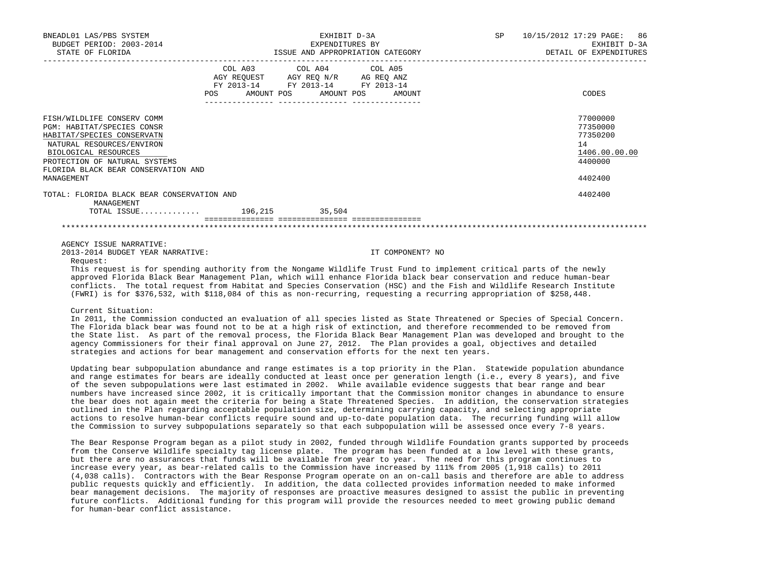| BNEADL01 LAS/PBS SYSTEM<br>BUDGET PERIOD: 2003-2014<br>STATE OF FLORIDA | EXHIBIT D-3A<br>EXPENDITURES BY<br>ISSUE AND APPROPRIATION CATEGORY |                                                               |                  | SP | 10/15/2012 17:29 PAGE: 86<br>EXHIBIT D-3A<br>DETAIL OF EXPENDITURES |
|-------------------------------------------------------------------------|---------------------------------------------------------------------|---------------------------------------------------------------|------------------|----|---------------------------------------------------------------------|
|                                                                         |                                                                     | COL A03 COL A04 COL A05<br>AGY REQUEST AGY REQ N/R AG REQ ANZ |                  |    |                                                                     |
|                                                                         | POS                                                                 | FY 2013-14 FY 2013-14 FY 2013-14<br>AMOUNT POS AMOUNT POS     | AMOUNT           |    | CODES                                                               |
| FISH/WILDLIFE CONSERV COMM                                              |                                                                     |                                                               |                  |    | 77000000                                                            |
| <b>PGM: HABITAT/SPECIES CONSR</b>                                       |                                                                     |                                                               |                  |    | 77350000                                                            |
| HABITAT/SPECIES CONSERVATN                                              |                                                                     |                                                               |                  |    | 77350200                                                            |
| NATURAL RESOURCES/ENVIRON                                               |                                                                     |                                                               |                  |    | 14                                                                  |
| BIOLOGICAL RESOURCES                                                    |                                                                     |                                                               |                  |    | 1406.00.00.00                                                       |
| PROTECTION OF NATURAL SYSTEMS                                           |                                                                     |                                                               |                  |    | 4400000                                                             |
| FLORIDA BLACK BEAR CONSERVATION AND                                     |                                                                     |                                                               |                  |    |                                                                     |
| MANAGEMENT                                                              |                                                                     |                                                               |                  |    | 4402400                                                             |
| TOTAL: FLORIDA BLACK BEAR CONSERVATION AND<br>MANAGEMENT                |                                                                     |                                                               |                  |    | 4402400                                                             |
| TOTAL ISSUE $196,215$                                                   |                                                                     | 35,504                                                        |                  |    |                                                                     |
|                                                                         |                                                                     |                                                               |                  |    |                                                                     |
|                                                                         |                                                                     |                                                               |                  |    |                                                                     |
| AGENCY ISSUE NARRATIVE:                                                 |                                                                     |                                                               |                  |    |                                                                     |
| 2013-2014 BUDGET YEAR NARRATIVE:<br>Request:                            |                                                                     |                                                               | IT COMPONENT? NO |    |                                                                     |

 This request is for spending authority from the Nongame Wildlife Trust Fund to implement critical parts of the newly approved Florida Black Bear Management Plan, which will enhance Florida black bear conservation and reduce human-bear conflicts. The total request from Habitat and Species Conservation (HSC) and the Fish and Wildlife Research Institute (FWRI) is for \$376,532, with \$118,084 of this as non-recurring, requesting a recurring appropriation of \$258,448.

### Current Situation:

 In 2011, the Commission conducted an evaluation of all species listed as State Threatened or Species of Special Concern. The Florida black bear was found not to be at a high risk of extinction, and therefore recommended to be removed from the State list. As part of the removal process, the Florida Black Bear Management Plan was developed and brought to the agency Commissioners for their final approval on June 27, 2012. The Plan provides a goal, objectives and detailed strategies and actions for bear management and conservation efforts for the next ten years.

 Updating bear subpopulation abundance and range estimates is a top priority in the Plan. Statewide population abundance and range estimates for bears are ideally conducted at least once per generation length (i.e., every 8 years), and five of the seven subpopulations were last estimated in 2002. While available evidence suggests that bear range and bear numbers have increased since 2002, it is critically important that the Commission monitor changes in abundance to ensure the bear does not again meet the criteria for being a State Threatened Species. In addition, the conservation strategies outlined in the Plan regarding acceptable population size, determining carrying capacity, and selecting appropriate actions to resolve human-bear conflicts require sound and up-to-date population data. The recurring funding will allow the Commission to survey subpopulations separately so that each subpopulation will be assessed once every 7-8 years.

 The Bear Response Program began as a pilot study in 2002, funded through Wildlife Foundation grants supported by proceeds from the Conserve Wildlife specialty tag license plate. The program has been funded at a low level with these grants, but there are no assurances that funds will be available from year to year. The need for this program continues to increase every year, as bear-related calls to the Commission have increased by 111% from 2005 (1,918 calls) to 2011 (4,038 calls). Contractors with the Bear Response Program operate on an on-call basis and therefore are able to address public requests quickly and efficiently. In addition, the data collected provides information needed to make informed bear management decisions. The majority of responses are proactive measures designed to assist the public in preventing future conflicts. Additional funding for this program will provide the resources needed to meet growing public demand for human-bear conflict assistance.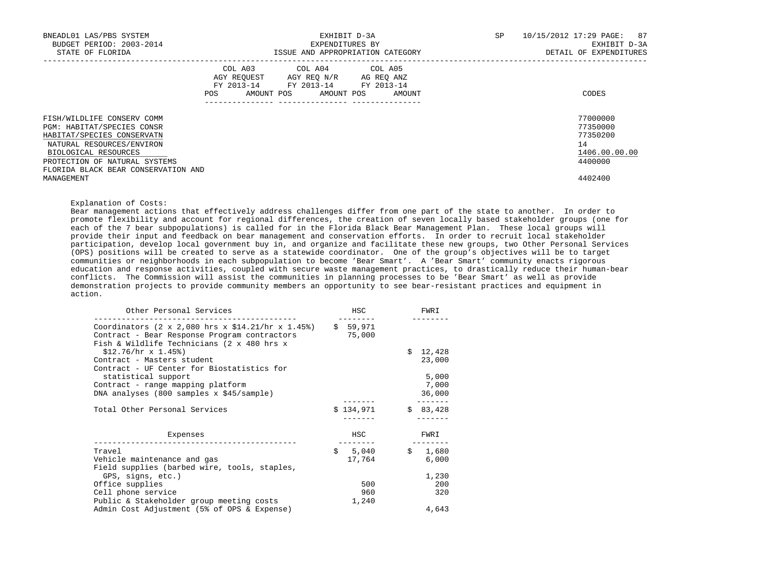| BNEADL01 LAS/PBS SYSTEM<br>BUDGET PERIOD: 2003-2014<br>STATE OF FLORIDA                                                                                                                                             | EXHIBIT D-3A<br>EXPENDITURES BY<br>ISSUE AND APPROPRIATION CATEGORY                                                                         | 10/15/2012 17:29 PAGE: 87<br>SP<br>EXHIBIT D-3A<br>DETAIL OF EXPENDITURES |
|---------------------------------------------------------------------------------------------------------------------------------------------------------------------------------------------------------------------|---------------------------------------------------------------------------------------------------------------------------------------------|---------------------------------------------------------------------------|
|                                                                                                                                                                                                                     | COL A03 COL A04 COL A05<br>AGY REQUEST AGY REQ N/R AG REQ ANZ<br>FY 2013-14 FY 2013-14 FY 2013-14<br>AMOUNT POS AMOUNT POS<br>POS<br>AMOUNT | CODES                                                                     |
| FISH/WILDLIFE CONSERV COMM<br>PGM: HABITAT/SPECIES CONSR<br>HABITAT/SPECIES CONSERVATN<br>NATURAL RESOURCES/ENVIRON<br>BIOLOGICAL RESOURCES<br>PROTECTION OF NATURAL SYSTEMS<br>FLORIDA BLACK BEAR CONSERVATION AND |                                                                                                                                             | 77000000<br>77350000<br>77350200<br>14<br>1406.00.00.00<br>4400000        |
| MANAGEMENT                                                                                                                                                                                                          |                                                                                                                                             | 4402400                                                                   |

Explanation of Costs:

 Bear management actions that effectively address challenges differ from one part of the state to another. In order to promote flexibility and account for regional differences, the creation of seven locally based stakeholder groups (one for each of the 7 bear subpopulations) is called for in the Florida Black Bear Management Plan. These local groups will provide their input and feedback on bear management and conservation efforts. In order to recruit local stakeholder participation, develop local government buy in, and organize and facilitate these new groups, two Other Personal Services (OPS) positions will be created to serve as a statewide coordinator. One of the group's objectives will be to target communities or neighborhoods in each subpopulation to become 'Bear Smart'. A 'Bear Smart' community enacts rigorous education and response activities, coupled with secure waste management practices, to drastically reduce their human-bear conflicts. The Commission will assist the communities in planning processes to be 'Bear Smart' as well as provide demonstration projects to provide community members an opportunity to see bear-resistant practices and equipment in action.

| Other Personal Services                                                                                                                         | HSC                | FWRI        |
|-------------------------------------------------------------------------------------------------------------------------------------------------|--------------------|-------------|
| Coordinators (2 x 2,080 hrs x \$14.21/hr x 1.45%)<br>Contract - Bear Response Program contractors<br>Fish & Wildlife Technicians (2 x 480 hrs x | \$59,971<br>75,000 |             |
| $$12.76/hr \times 1.45%$                                                                                                                        |                    | \$12,428    |
| Contract - Masters student<br>Contract - UF Center for Biostatistics for                                                                        |                    | 23,000      |
| statistical support                                                                                                                             |                    | 5,000       |
| Contract - range mapping platform                                                                                                               |                    | 7,000       |
| DNA analyses (800 samples x \$45/sample)                                                                                                        |                    | 36,000      |
| Total Other Personal Services                                                                                                                   | \$134,971          | \$83,428    |
| Expenses                                                                                                                                        | HSC                | FWRI        |
| Travel                                                                                                                                          | \$5,040            | Ŝ.<br>1,680 |
| Vehicle maintenance and gas                                                                                                                     | 17,764             | 6,000       |
| Field supplies (barbed wire, tools, staples,                                                                                                    |                    |             |
| GPS, signs, etc.)                                                                                                                               |                    | 1,230       |
| Office supplies                                                                                                                                 | 500                | 200         |
| Cell phone service                                                                                                                              | 960                | 320         |
| Public & Stakeholder group meeting costs                                                                                                        | 1,240              |             |
| Admin Cost Adjustment (5% of OPS & Expense)                                                                                                     |                    | 4,643       |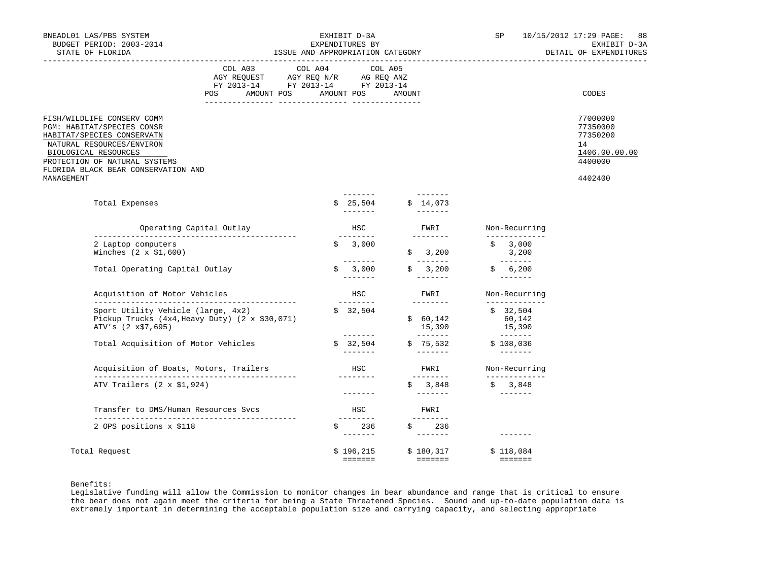| BNEADL01 LAS/PBS SYSTEM<br>BUDGET PERIOD: 2003-2014<br>STATE OF FLORIDA                                                                                                                                                           | EXHIBIT D-3A<br>EXPENDITURES BY<br>ISSUE AND APPROPRIATION CATEGORY                                                                |  |                                         | SP     | 10/15/2012 17:29 PAGE: 88<br>EXHIBIT D-3A<br>DETAIL OF EXPENDITURES       |                                          |                                                                               |
|-----------------------------------------------------------------------------------------------------------------------------------------------------------------------------------------------------------------------------------|------------------------------------------------------------------------------------------------------------------------------------|--|-----------------------------------------|--------|---------------------------------------------------------------------------|------------------------------------------|-------------------------------------------------------------------------------|
|                                                                                                                                                                                                                                   | COL A03 COL A04 COL A05<br>AGY REQUEST AGY REQ N/R AG REQ ANZ<br>FY 2013-14 FY 2013-14 FY 2013-14<br>AMOUNT POS AMOUNT POS<br>POS. |  |                                         | AMOUNT |                                                                           |                                          | CODES                                                                         |
| FISH/WILDLIFE CONSERV COMM<br>PGM: HABITAT/SPECIES CONSR<br>HABITAT/SPECIES CONSERVATN<br>NATURAL RESOURCES/ENVIRON<br>BIOLOGICAL RESOURCES<br>PROTECTION OF NATURAL SYSTEMS<br>FLORIDA BLACK BEAR CONSERVATION AND<br>MANAGEMENT |                                                                                                                                    |  |                                         |        |                                                                           |                                          | 77000000<br>77350000<br>77350200<br>14<br>1406.00.00.00<br>4400000<br>4402400 |
| Total Expenses                                                                                                                                                                                                                    |                                                                                                                                    |  | ________<br>\$25,504<br>--------        |        | ________<br>\$14,073<br>1000 - <del>1000 - 1000 - 1000 - 1000 - 100</del> |                                          |                                                                               |
|                                                                                                                                                                                                                                   | Operating Capital Outlay                                                                                                           |  | HSC                                     |        | FWRI                                                                      | Non-Recurring                            |                                                                               |
| 2 Laptop computers<br>Winches $(2 \times $1,600)$                                                                                                                                                                                 |                                                                                                                                    |  | \$3,000                                 |        | \$3,200                                                                   | _____________<br>3,000<br>\$<br>3,200    |                                                                               |
| Total Operating Capital Outlay                                                                                                                                                                                                    |                                                                                                                                    |  | \$3,000                                 |        | \$3,200                                                                   | \$6,200                                  |                                                                               |
| Acquisition of Motor Vehicles                                                                                                                                                                                                     |                                                                                                                                    |  | HSC                                     |        | FWRI<br>---------                                                         | Non-Recurring<br>_____________           |                                                                               |
| Sport Utility Vehicle (large, 4x2)<br>ATV's $(2 \times 57, 695)$                                                                                                                                                                  | Pickup Trucks $(4x4,$ Heavy Duty) $(2 \times $30,071)$                                                                             |  | \$32,504<br>________                    |        | \$60,142<br>15,390<br>_________                                           | \$32,504<br>60,142<br>15,390<br>________ |                                                                               |
| Total Acquisition of Motor Vehicles                                                                                                                                                                                               |                                                                                                                                    |  | \$32,504                                |        | \$75,532<br>________                                                      | \$108,036<br>--------                    |                                                                               |
| Acquisition of Boats, Motors, Trailers                                                                                                                                                                                            |                                                                                                                                    |  | <b>HSC</b>                              |        | FWRI                                                                      | Non-Recurring                            |                                                                               |
| ATV Trailers $(2 \times $1,924)$                                                                                                                                                                                                  |                                                                                                                                    |  | __________<br>________                  |        | ---------<br>\$3,848                                                      | _____________<br>\$3,848                 |                                                                               |
|                                                                                                                                                                                                                                   | Transfer to DMS/Human Resources Svcs                                                                                               |  | HSC<br>_________                        |        | FWRI<br>$- - - - - - - -$                                                 |                                          |                                                                               |
| 2 OPS positions x \$118                                                                                                                                                                                                           |                                                                                                                                    |  | \$236<br>--------                       | \$     | 236                                                                       | $- - - - - - -$                          |                                                                               |
| Total Request                                                                                                                                                                                                                     |                                                                                                                                    |  | $$196,215$ $$180,317$<br><b>EEEEEEE</b> |        | <b>EEEEEE</b>                                                             | \$118,084<br>$= = = = = = = =$           |                                                                               |

Benefits:

 Legislative funding will allow the Commission to monitor changes in bear abundance and range that is critical to ensure the bear does not again meet the criteria for being a State Threatened Species. Sound and up-to-date population data is extremely important in determining the acceptable population size and carrying capacity, and selecting appropriate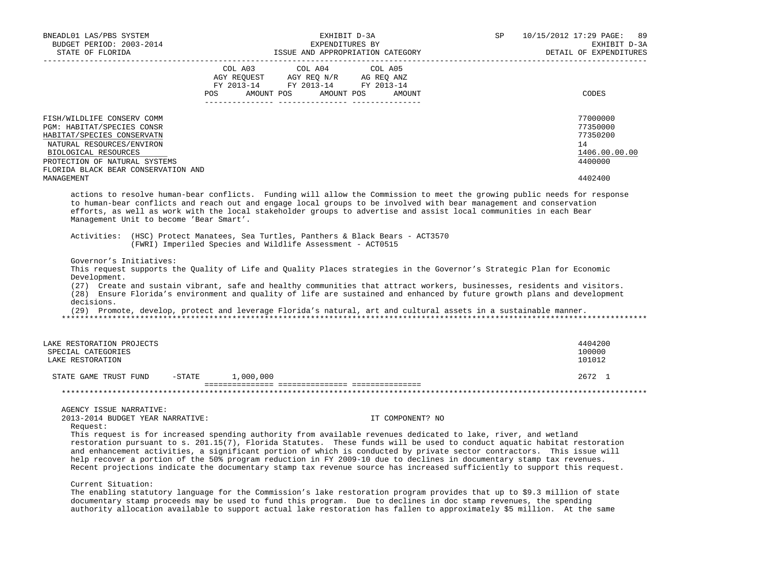| BNEADL01 LAS/PBS SYSTEM<br>BUDGET PERIOD: 2003-2014                                                                                                                                                                               | EXHIBIT D-3A<br>EXPENDITURES BY                                                                                                                                                                                                                                                                                                                                                                                                                                                                       | SP                | 10/15/2012 17:29 PAGE: 89<br>EXHIBIT D-3A                                     |
|-----------------------------------------------------------------------------------------------------------------------------------------------------------------------------------------------------------------------------------|-------------------------------------------------------------------------------------------------------------------------------------------------------------------------------------------------------------------------------------------------------------------------------------------------------------------------------------------------------------------------------------------------------------------------------------------------------------------------------------------------------|-------------------|-------------------------------------------------------------------------------|
| STATE OF FLORIDA                                                                                                                                                                                                                  | ISSUE AND APPROPRIATION CATEGORY                                                                                                                                                                                                                                                                                                                                                                                                                                                                      |                   | DETAIL OF EXPENDITURES                                                        |
|                                                                                                                                                                                                                                   | COL A03<br>COL A04<br>AGY REQUEST AGY REQ N/R AG REQ ANZ<br>FY 2013-14 FY 2013-14 FY 2013-14<br>POS<br>AMOUNT POS<br>AMOUNT POS                                                                                                                                                                                                                                                                                                                                                                       | COL A05<br>AMOUNT | CODES                                                                         |
| FISH/WILDLIFE CONSERV COMM<br>PGM: HABITAT/SPECIES CONSR<br>HABITAT/SPECIES CONSERVATN<br>NATURAL RESOURCES/ENVIRON<br>BIOLOGICAL RESOURCES<br>PROTECTION OF NATURAL SYSTEMS<br>FLORIDA BLACK BEAR CONSERVATION AND<br>MANAGEMENT |                                                                                                                                                                                                                                                                                                                                                                                                                                                                                                       |                   | 77000000<br>77350000<br>77350200<br>14<br>1406.00.00.00<br>4400000<br>4402400 |
| Management Unit to become 'Bear Smart'.                                                                                                                                                                                           | actions to resolve human-bear conflicts. Funding will allow the Commission to meet the growing public needs for response<br>to human-bear conflicts and reach out and engage local groups to be involved with bear management and conservation<br>efforts, as well as work with the local stakeholder groups to advertise and assist local communities in each Bear                                                                                                                                   |                   |                                                                               |
|                                                                                                                                                                                                                                   | Activities: (HSC) Protect Manatees, Sea Turtles, Panthers & Black Bears - ACT3570<br>(FWRI) Imperiled Species and Wildlife Assessment - ACT0515                                                                                                                                                                                                                                                                                                                                                       |                   |                                                                               |
| Governor's Initiatives:<br>Development.<br>decisions.                                                                                                                                                                             | This request supports the Quality of Life and Quality Places strategies in the Governor's Strategic Plan for Economic<br>(27) Create and sustain vibrant, safe and healthy communities that attract workers, businesses, residents and visitors.<br>(28) Ensure Florida's environment and quality of life are sustained and enhanced by future growth plans and development<br>(29) Promote, develop, protect and leverage Florida's natural, art and cultural assets in a sustainable manner.        |                   |                                                                               |
| LAKE RESTORATION PROJECTS<br>SPECIAL CATEGORIES<br>LAKE RESTORATION                                                                                                                                                               |                                                                                                                                                                                                                                                                                                                                                                                                                                                                                                       |                   | 4404200<br>100000<br>101012                                                   |
| STATE GAME TRUST FUND                                                                                                                                                                                                             | $-STATE$ 1,000,000                                                                                                                                                                                                                                                                                                                                                                                                                                                                                    |                   | 2672 1                                                                        |
|                                                                                                                                                                                                                                   |                                                                                                                                                                                                                                                                                                                                                                                                                                                                                                       |                   |                                                                               |
| AGENCY ISSUE NARRATIVE:<br>2013-2014 BUDGET YEAR NARRATIVE:<br>Request:                                                                                                                                                           | This request is for increased spending authority from available revenues dedicated to lake, river, and wetland                                                                                                                                                                                                                                                                                                                                                                                        | IT COMPONENT? NO  |                                                                               |
|                                                                                                                                                                                                                                   | restoration pursuant to s. 201.15(7), Florida Statutes. These funds will be used to conduct aquatic habitat restoration<br>and enhancement activities, a significant portion of which is conducted by private sector contractors. This issue will<br>help recover a portion of the 50% program reduction in FY 2009-10 due to declines in documentary stamp tax revenues.<br>Recent projections indicate the documentary stamp tax revenue source has increased sufficiently to support this request. |                   |                                                                               |

Current Situation:

 The enabling statutory language for the Commission's lake restoration program provides that up to \$9.3 million of state documentary stamp proceeds may be used to fund this program. Due to declines in doc stamp revenues, the spending authority allocation available to support actual lake restoration has fallen to approximately \$5 million. At the same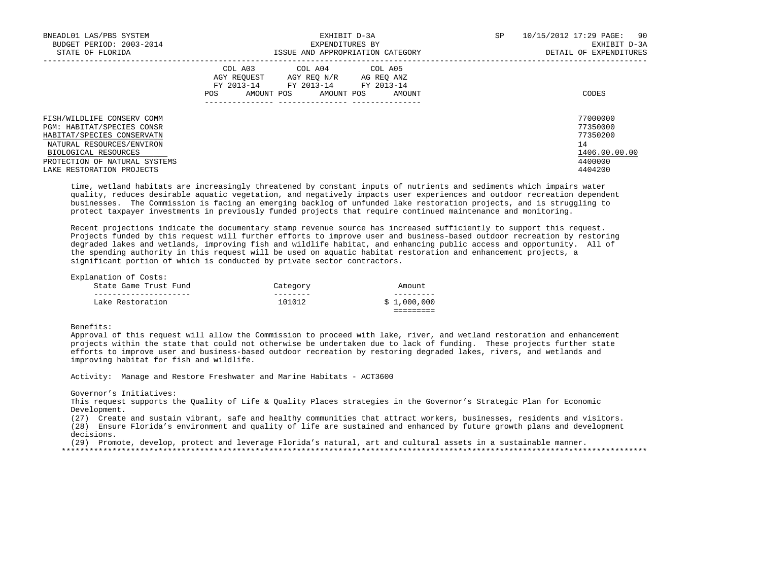| BNEADL01 LAS/PBS SYSTEM<br>BUDGET PERIOD: 2003-2014<br>STATE OF FLORIDA                                                                     | EXHIBIT D-3A<br>EXPENDITURES BY<br>ISSUE AND APPROPRIATION CATEGORY                                                                                         | SP<br>10/15/2012 17:29 PAGE:<br>90<br>EXHIBIT D-3A<br>DETAIL OF EXPENDITURES |
|---------------------------------------------------------------------------------------------------------------------------------------------|-------------------------------------------------------------------------------------------------------------------------------------------------------------|------------------------------------------------------------------------------|
|                                                                                                                                             | COL A03<br>COL A04 COL A05<br>AGY REOUEST<br>AGY REO N/R<br>AG REO ANZ<br>FY 2013-14<br>FY 2013-14 FY 2013-14<br>AMOUNT POS<br>AMOUNT POS<br>POS.<br>AMOUNT | CODES                                                                        |
| FISH/WILDLIFE CONSERV COMM<br>PGM: HABITAT/SPECIES CONSR<br>HABITAT/SPECIES CONSERVATN<br>NATURAL RESOURCES/ENVIRON<br>BIOLOGICAL RESOURCES |                                                                                                                                                             | 77000000<br>77350000<br>77350200<br>14<br>1406.00.00.00                      |
| PROTECTION OF NATURAL SYSTEMS<br>LAKE RESTORATION PROJECTS                                                                                  |                                                                                                                                                             | 4400000<br>4404200                                                           |

 time, wetland habitats are increasingly threatened by constant inputs of nutrients and sediments which impairs water quality, reduces desirable aquatic vegetation, and negatively impacts user experiences and outdoor recreation dependent businesses. The Commission is facing an emerging backlog of unfunded lake restoration projects, and is struggling to protect taxpayer investments in previously funded projects that require continued maintenance and monitoring.

 Recent projections indicate the documentary stamp revenue source has increased sufficiently to support this request. Projects funded by this request will further efforts to improve user and business-based outdoor recreation by restoring degraded lakes and wetlands, improving fish and wildlife habitat, and enhancing public access and opportunity. All of the spending authority in this request will be used on aquatic habitat restoration and enhancement projects, a significant portion of which is conducted by private sector contractors.

Explanation of Costs:

| State Game Trust Fund | Category | Amount      |
|-----------------------|----------|-------------|
|                       |          |             |
| Lake Restoration      | 101012   | \$1,000,000 |
|                       |          |             |

## Benefits:

 Approval of this request will allow the Commission to proceed with lake, river, and wetland restoration and enhancement projects within the state that could not otherwise be undertaken due to lack of funding. These projects further state efforts to improve user and business-based outdoor recreation by restoring degraded lakes, rivers, and wetlands and improving habitat for fish and wildlife.

Activity: Manage and Restore Freshwater and Marine Habitats - ACT3600

#### Governor's Initiatives:

This request supports the Quality of Life & Quality Places strategies in the Governor's Strategic Plan for Economic Development.

 (27) Create and sustain vibrant, safe and healthy communities that attract workers, businesses, residents and visitors. (28) Ensure Florida's environment and quality of life are sustained and enhanced by future growth plans and development decisions.

(29) Promote, develop, protect and leverage Florida's natural, art and cultural assets in a sustainable manner.

\*\*\*\*\*\*\*\*\*\*\*\*\*\*\*\*\*\*\*\*\*\*\*\*\*\*\*\*\*\*\*\*\*\*\*\*\*\*\*\*\*\*\*\*\*\*\*\*\*\*\*\*\*\*\*\*\*\*\*\*\*\*\*\*\*\*\*\*\*\*\*\*\*\*\*\*\*\*\*\*\*\*\*\*\*\*\*\*\*\*\*\*\*\*\*\*\*\*\*\*\*\*\*\*\*\*\*\*\*\*\*\*\*\*\*\*\*\*\*\*\*\*\*\*\*\*\*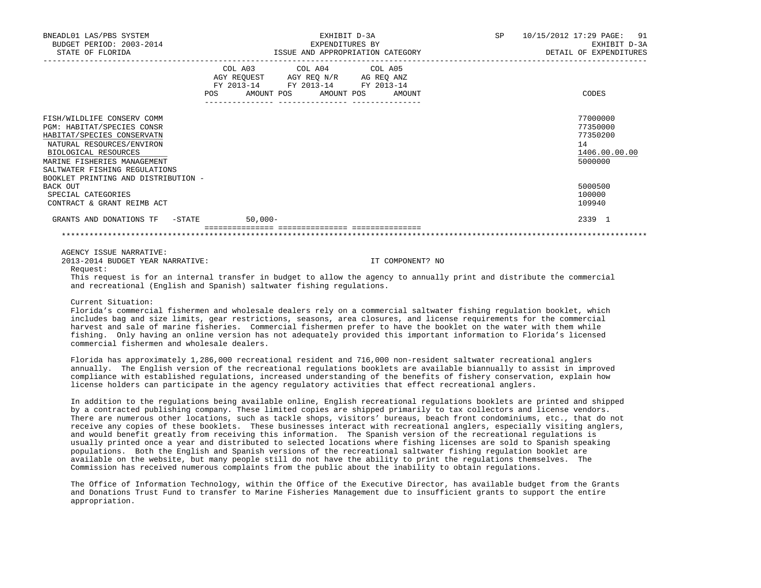| BNEADL01 LAS/PBS SYSTEM<br>BUDGET PERIOD: 2003-2014<br>STATE OF FLORIDA                                                                                                                                                                            | EXHIBIT D-3A<br>EXPENDITURES BY<br>ISSUE AND APPROPRIATION CATEGORY                                                                         | 10/15/2012 17:29 PAGE: 91<br>SP<br>EXHIBIT D-3A<br>DETAIL OF EXPENDITURES |
|----------------------------------------------------------------------------------------------------------------------------------------------------------------------------------------------------------------------------------------------------|---------------------------------------------------------------------------------------------------------------------------------------------|---------------------------------------------------------------------------|
|                                                                                                                                                                                                                                                    | COL A03 COL A04 COL A05<br>AGY REQUEST AGY REQ N/R AG REQ ANZ<br>FY 2013-14 FY 2013-14 FY 2013-14<br>AMOUNT POS AMOUNT POS<br>POS<br>AMOUNT | CODES                                                                     |
| FISH/WILDLIFE CONSERV COMM<br>PGM: HABITAT/SPECIES CONSR<br>HABITAT/SPECIES CONSERVATN<br>NATURAL RESOURCES/ENVIRON<br>BIOLOGICAL RESOURCES<br>MARINE FISHERIES MANAGEMENT<br>SALTWATER FISHING REGULATIONS<br>BOOKLET PRINTING AND DISTRIBUTION - |                                                                                                                                             | 77000000<br>77350000<br>77350200<br>14<br>1406.00.00.00<br>5000000        |
| BACK OUT<br>SPECIAL CATEGORIES<br>CONTRACT & GRANT REIMB ACT                                                                                                                                                                                       |                                                                                                                                             | 5000500<br>100000<br>109940                                               |
| GRANTS AND DONATIONS TF -STATE                                                                                                                                                                                                                     | $50,000-$<br>---------------- ----------------                                                                                              | 2339 1                                                                    |
|                                                                                                                                                                                                                                                    |                                                                                                                                             |                                                                           |

AGENCY ISSUE NARRATIVE:

2013-2014 BUDGET YEAR NARRATIVE: IT COMPONENT? NO

Request:

 This request is for an internal transfer in budget to allow the agency to annually print and distribute the commercial and recreational (English and Spanish) saltwater fishing regulations.

Current Situation:

 Florida's commercial fishermen and wholesale dealers rely on a commercial saltwater fishing regulation booklet, which includes bag and size limits, gear restrictions, seasons, area closures, and license requirements for the commercial harvest and sale of marine fisheries. Commercial fishermen prefer to have the booklet on the water with them while fishing. Only having an online version has not adequately provided this important information to Florida's licensed commercial fishermen and wholesale dealers.

 Florida has approximately 1,286,000 recreational resident and 716,000 non-resident saltwater recreational anglers annually. The English version of the recreational regulations booklets are available biannually to assist in improved compliance with established regulations, increased understanding of the benefits of fishery conservation, explain how license holders can participate in the agency regulatory activities that effect recreational anglers.

 In addition to the regulations being available online, English recreational regulations booklets are printed and shipped by a contracted publishing company. These limited copies are shipped primarily to tax collectors and license vendors. There are numerous other locations, such as tackle shops, visitors' bureaus, beach front condominiums, etc., that do not receive any copies of these booklets. These businesses interact with recreational anglers, especially visiting anglers, and would benefit greatly from receiving this information. The Spanish version of the recreational regulations is usually printed once a year and distributed to selected locations where fishing licenses are sold to Spanish speaking populations. Both the English and Spanish versions of the recreational saltwater fishing regulation booklet are available on the website, but many people still do not have the ability to print the regulations themselves. The Commission has received numerous complaints from the public about the inability to obtain regulations.

 The Office of Information Technology, within the Office of the Executive Director, has available budget from the Grants and Donations Trust Fund to transfer to Marine Fisheries Management due to insufficient grants to support the entire appropriation.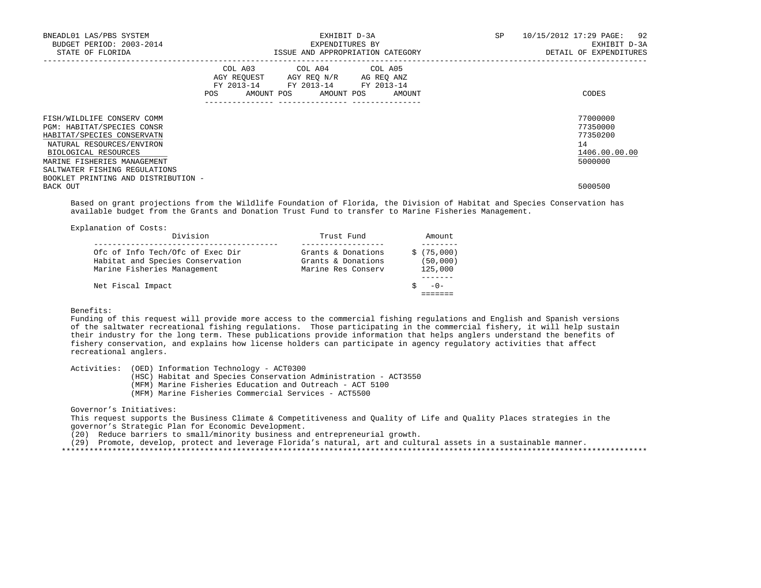| BNEADL01 LAS/PBS SYSTEM<br>BUDGET PERIOD: 2003-2014<br>STATE OF FLORIDA                                                                                                                                                                            |     | EXHIBIT D-3A<br>EXPENDITURES BY<br>ISSUE AND APPROPRIATION CATEGORY                                                               | SP | 10/15/2012 17:29 PAGE: 92<br>EXHIBIT D-3A<br>DETAIL OF EXPENDITURES |
|----------------------------------------------------------------------------------------------------------------------------------------------------------------------------------------------------------------------------------------------------|-----|-----------------------------------------------------------------------------------------------------------------------------------|----|---------------------------------------------------------------------|
|                                                                                                                                                                                                                                                    | POS | COL A03 COL A04 COL A05<br>AGY REQUEST AGY REQ N/R AG REQ ANZ<br>FY 2013-14 FY 2013-14 FY 2013-14<br>AMOUNT POS AMOUNT POS AMOUNT |    | CODES                                                               |
| FISH/WILDLIFE CONSERV COMM<br>PGM: HABITAT/SPECIES CONSR<br>HABITAT/SPECIES CONSERVATN<br>NATURAL RESOURCES/ENVIRON<br>BIOLOGICAL RESOURCES<br>MARINE FISHERIES MANAGEMENT<br>SALTWATER FISHING REGULATIONS<br>BOOKLET PRINTING AND DISTRIBUTION - |     |                                                                                                                                   |    | 77000000<br>77350000<br>77350200<br>14<br>1406.00.00.00<br>5000000  |
| BACK OUT                                                                                                                                                                                                                                           |     |                                                                                                                                   |    | 5000500                                                             |

 Based on grant projections from the Wildlife Foundation of Florida, the Division of Habitat and Species Conservation has available budget from the Grants and Donation Trust Fund to transfer to Marine Fisheries Management.

| Explanation of Costs:                                                                               |                                                                |                                   |
|-----------------------------------------------------------------------------------------------------|----------------------------------------------------------------|-----------------------------------|
| Division                                                                                            | Trust Fund                                                     | Amount                            |
| Ofc of Info Tech/Ofc of Exec Dir<br>Habitat and Species Conservation<br>Marine Fisheries Management | Grants & Donations<br>Grants & Donations<br>Marine Res Conserv | \$(75,000)<br>(50,000)<br>125,000 |
| Net Fiscal Impact                                                                                   |                                                                | $-() -$                           |

## Benefits:

 Funding of this request will provide more access to the commercial fishing regulations and English and Spanish versions of the saltwater recreational fishing regulations. Those participating in the commercial fishery, it will help sustain their industry for the long term. These publications provide information that helps anglers understand the benefits of fishery conservation, and explains how license holders can participate in agency regulatory activities that affect recreational anglers.

Activities: (OED) Information Technology - ACT0300

(HSC) Habitat and Species Conservation Administration - ACT3550

(MFM) Marine Fisheries Education and Outreach - ACT 5100

(MFM) Marine Fisheries Commercial Services - ACT5500

### Governor's Initiatives:

 This request supports the Business Climate & Competitiveness and Quality of Life and Quality Places strategies in the governor's Strategic Plan for Economic Development.

(20) Reduce barriers to small/minority business and entrepreneurial growth.

(29) Promote, develop, protect and leverage Florida's natural, art and cultural assets in a sustainable manner.

\*\*\*\*\*\*\*\*\*\*\*\*\*\*\*\*\*\*\*\*\*\*\*\*\*\*\*\*\*\*\*\*\*\*\*\*\*\*\*\*\*\*\*\*\*\*\*\*\*\*\*\*\*\*\*\*\*\*\*\*\*\*\*\*\*\*\*\*\*\*\*\*\*\*\*\*\*\*\*\*\*\*\*\*\*\*\*\*\*\*\*\*\*\*\*\*\*\*\*\*\*\*\*\*\*\*\*\*\*\*\*\*\*\*\*\*\*\*\*\*\*\*\*\*\*\*\*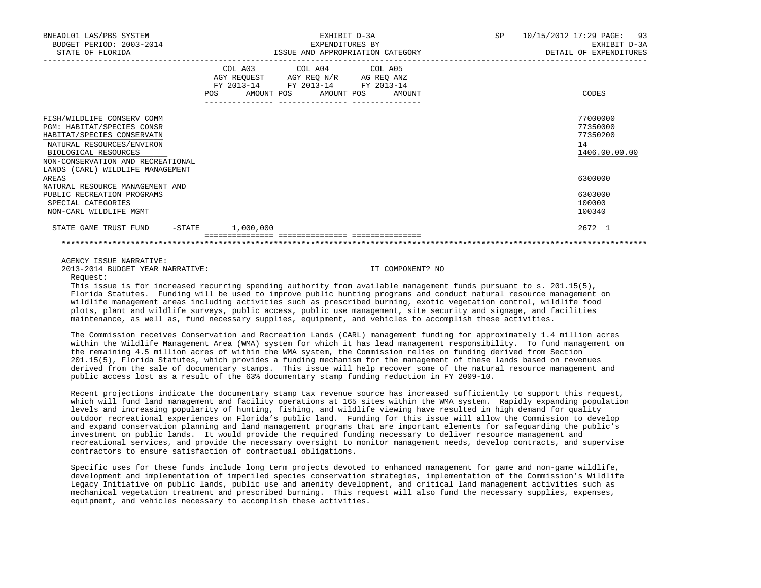| BNEADL01 LAS/PBS SYSTEM<br>BUDGET PERIOD: 2003-2014<br>STATE OF FLORIDA                                                                                                                                              | EXHIBIT D-3A<br>EXPENDITURES BY<br>ISSUE AND APPROPRIATION CATEGORY                                                                   | SP 10/15/2012 17:29 PAGE: 93<br>EXHIBIT D-3A<br>DETAIL OF EXPENDITURES |
|----------------------------------------------------------------------------------------------------------------------------------------------------------------------------------------------------------------------|---------------------------------------------------------------------------------------------------------------------------------------|------------------------------------------------------------------------|
|                                                                                                                                                                                                                      | COL A03 COL A04 COL A05<br>AGY REQUEST AGY REQ N/R AG REQ ANZ<br>FY 2013-14 FY 2013-14 FY 2013-14<br>POS AMOUNT POS AMOUNT POS AMOUNT | CODES                                                                  |
| FISH/WILDLIFE CONSERV COMM<br>PGM: HABITAT/SPECIES CONSR<br>HABITAT/SPECIES CONSERVATN<br>NATURAL RESOURCES/ENVIRON<br>BIOLOGICAL RESOURCES<br>NON-CONSERVATION AND RECREATIONAL<br>LANDS (CARL) WILDLIFE MANAGEMENT |                                                                                                                                       | 77000000<br>77350000<br>77350200<br>14<br>1406.00.00.00                |
| AREAS<br>NATURAL RESOURCE MANAGEMENT AND<br>PUBLIC RECREATION PROGRAMS<br>SPECIAL CATEGORIES                                                                                                                         |                                                                                                                                       | 6300000<br>6303000<br>100000                                           |
| NON-CARL WILDLIFE MGMT<br>STATE GAME TRUST FUND - STATE                                                                                                                                                              | 1,000,000                                                                                                                             | 100340<br>2672 1                                                       |
|                                                                                                                                                                                                                      |                                                                                                                                       |                                                                        |

AGENCY ISSUE NARRATIVE:

2013-2014 BUDGET YEAR NARRATIVE: IT COMPONENT? NO

Request:

 This issue is for increased recurring spending authority from available management funds pursuant to s. 201.15(5), Florida Statutes. Funding will be used to improve public hunting programs and conduct natural resource management on wildlife management areas including activities such as prescribed burning, exotic vegetation control, wildlife food plots, plant and wildlife surveys, public access, public use management, site security and signage, and facilities maintenance, as well as, fund necessary supplies, equipment, and vehicles to accomplish these activities.

 The Commission receives Conservation and Recreation Lands (CARL) management funding for approximately 1.4 million acres within the Wildlife Management Area (WMA) system for which it has lead management responsibility. To fund management on the remaining 4.5 million acres of within the WMA system, the Commission relies on funding derived from Section 201.15(5), Florida Statutes, which provides a funding mechanism for the management of these lands based on revenues derived from the sale of documentary stamps. This issue will help recover some of the natural resource management and public access lost as a result of the 63% documentary stamp funding reduction in FY 2009-10.

 Recent projections indicate the documentary stamp tax revenue source has increased sufficiently to support this request, which will fund land management and facility operations at 165 sites within the WMA system. Rapidly expanding population levels and increasing popularity of hunting, fishing, and wildlife viewing have resulted in high demand for quality outdoor recreational experiences on Florida's public land. Funding for this issue will allow the Commission to develop and expand conservation planning and land management programs that are important elements for safeguarding the public's investment on public lands. It would provide the required funding necessary to deliver resource management and recreational services, and provide the necessary oversight to monitor management needs, develop contracts, and supervise contractors to ensure satisfaction of contractual obligations.

 Specific uses for these funds include long term projects devoted to enhanced management for game and non-game wildlife, development and implementation of imperiled species conservation strategies, implementation of the Commission's Wildlife Legacy Initiative on public lands, public use and amenity development, and critical land management activities such as mechanical vegetation treatment and prescribed burning. This request will also fund the necessary supplies, expenses, equipment, and vehicles necessary to accomplish these activities.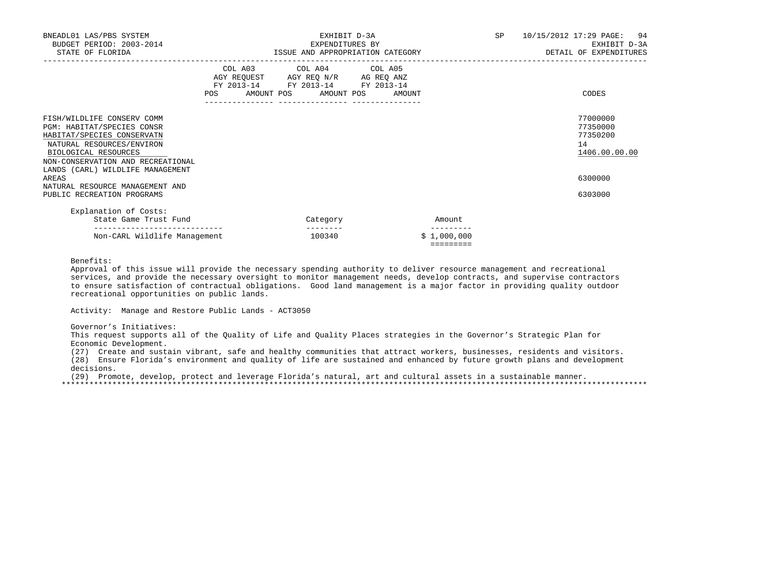| BNEADL01 LAS/PBS SYSTEM<br>BUDGET PERIOD: 2003-2014<br>STATE OF FLORIDA                                                                                                                                              | EXHIBIT D-3A<br>EXPENDITURES BY<br>ISSUE AND APPROPRIATION CATEGORY |                                                                                                                 |                       |            | SP     | 10/15/2012 17:29 PAGE: 94<br>EXHIBIT D-3A<br>DETAIL OF EXPENDITURES |  |                                                         |
|----------------------------------------------------------------------------------------------------------------------------------------------------------------------------------------------------------------------|---------------------------------------------------------------------|-----------------------------------------------------------------------------------------------------------------|-----------------------|------------|--------|---------------------------------------------------------------------|--|---------------------------------------------------------|
|                                                                                                                                                                                                                      | POS                                                                 | COL A03 COL A04 COL A05<br>AGY REQUEST AGY REQ N/R AG REQ ANZ<br>FY 2013-14 FY 2013-14 FY 2013-14<br>AMOUNT POS | ---------------       | AMOUNT POS | AMOUNT |                                                                     |  | CODES                                                   |
| FISH/WILDLIFE CONSERV COMM<br>PGM: HABITAT/SPECIES CONSR<br>HABITAT/SPECIES CONSERVATN<br>NATURAL RESOURCES/ENVIRON<br>BIOLOGICAL RESOURCES<br>NON-CONSERVATION AND RECREATIONAL<br>LANDS (CARL) WILDLIFE MANAGEMENT |                                                                     |                                                                                                                 |                       |            |        |                                                                     |  | 77000000<br>77350000<br>77350200<br>14<br>1406.00.00.00 |
| AREAS<br>NATURAL RESOURCE MANAGEMENT AND                                                                                                                                                                             |                                                                     |                                                                                                                 |                       |            |        |                                                                     |  | 6300000                                                 |
| PUBLIC RECREATION PROGRAMS                                                                                                                                                                                           |                                                                     |                                                                                                                 |                       |            |        |                                                                     |  | 6303000                                                 |
| Explanation of Costs:                                                                                                                                                                                                |                                                                     |                                                                                                                 |                       |            |        |                                                                     |  |                                                         |
| State Game Trust Fund                                                                                                                                                                                                |                                                                     |                                                                                                                 | Category<br>--------- |            |        | Amount<br>---------                                                 |  |                                                         |
| Non-CARL Wildlife Management                                                                                                                                                                                         |                                                                     |                                                                                                                 | 100340                |            |        | \$1,000,000<br>=========                                            |  |                                                         |

Benefits:

 Approval of this issue will provide the necessary spending authority to deliver resource management and recreational services, and provide the necessary oversight to monitor management needs, develop contracts, and supervise contractors to ensure satisfaction of contractual obligations. Good land management is a major factor in providing quality outdoor recreational opportunities on public lands.

Activity: Manage and Restore Public Lands - ACT3050

Governor's Initiatives:

 This request supports all of the Quality of Life and Quality Places strategies in the Governor's Strategic Plan for Economic Development.

(27) Create and sustain vibrant, safe and healthy communities that attract workers, businesses, residents and visitors.

 (28) Ensure Florida's environment and quality of life are sustained and enhanced by future growth plans and development decisions.

 (29) Promote, develop, protect and leverage Florida's natural, art and cultural assets in a sustainable manner. \*\*\*\*\*\*\*\*\*\*\*\*\*\*\*\*\*\*\*\*\*\*\*\*\*\*\*\*\*\*\*\*\*\*\*\*\*\*\*\*\*\*\*\*\*\*\*\*\*\*\*\*\*\*\*\*\*\*\*\*\*\*\*\*\*\*\*\*\*\*\*\*\*\*\*\*\*\*\*\*\*\*\*\*\*\*\*\*\*\*\*\*\*\*\*\*\*\*\*\*\*\*\*\*\*\*\*\*\*\*\*\*\*\*\*\*\*\*\*\*\*\*\*\*\*\*\*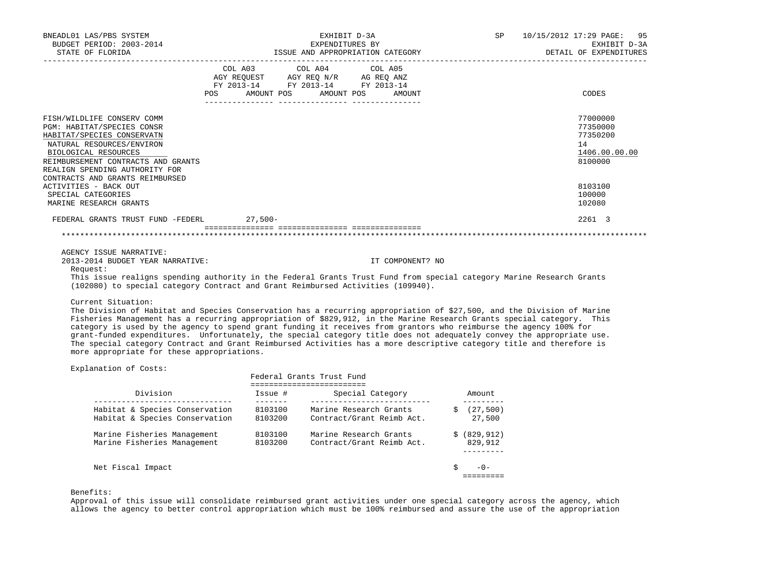| BNEADL01 LAS/PBS SYSTEM<br>BUDGET PERIOD: 2003-2014<br>STATE OF FLORIDA                                                                                                                                                                                                         | EXHIBIT D-3A<br>EXPENDITURES BY<br>ISSUE AND APPROPRIATION CATEGORY                                                                                                            |                  | SP 10/15/2012 17:29 PAGE: 95<br>EXHIBIT D-3A<br>DETAIL OF EXPENDITURES        |
|---------------------------------------------------------------------------------------------------------------------------------------------------------------------------------------------------------------------------------------------------------------------------------|--------------------------------------------------------------------------------------------------------------------------------------------------------------------------------|------------------|-------------------------------------------------------------------------------|
|                                                                                                                                                                                                                                                                                 | COL A03 COL A04 COL A05<br>AGY REQUEST AGY REQ N/R AG REQ ANZ<br>FY 2013-14 FY 2013-14 FY 2013-14<br>POS AMOUNT POS AMOUNT POS AMOUNT<br>_____________________________________ |                  | CODES                                                                         |
| FISH/WILDLIFE CONSERV COMM<br>PGM: HABITAT/SPECIES CONSR<br>HABITAT/SPECIES CONSERVATN<br>NATURAL RESOURCES/ENVIRON<br>BIOLOGICAL RESOURCES<br>REIMBURSEMENT CONTRACTS AND GRANTS<br>REALIGN SPENDING AUTHORITY FOR<br>CONTRACTS AND GRANTS REIMBURSED<br>ACTIVITIES - BACK OUT |                                                                                                                                                                                |                  | 77000000<br>77350000<br>77350200<br>14<br>1406.00.00.00<br>8100000<br>8103100 |
| SPECIAL CATEGORIES<br>MARINE RESEARCH GRANTS                                                                                                                                                                                                                                    |                                                                                                                                                                                |                  | 100000<br>102080                                                              |
| FEDERAL GRANTS TRUST FUND -FEDERL 27,500-                                                                                                                                                                                                                                       |                                                                                                                                                                                |                  | 2261 3                                                                        |
|                                                                                                                                                                                                                                                                                 |                                                                                                                                                                                |                  |                                                                               |
| AGENCY ISSUE NARRATIVE:<br>2013-2014 BUDGET YEAR NARRATIVE:<br>Request:                                                                                                                                                                                                         |                                                                                                                                                                                | IT COMPONENT? NO |                                                                               |

 This issue realigns spending authority in the Federal Grants Trust Fund from special category Marine Research Grants (102080) to special category Contract and Grant Reimbursed Activities (109940).

Current Situation:

 The Division of Habitat and Species Conservation has a recurring appropriation of \$27,500, and the Division of Marine Fisheries Management has a recurring appropriation of \$829,912, in the Marine Research Grants special category. This category is used by the agency to spend grant funding it receives from grantors who reimburse the agency 100% for grant-funded expenditures. Unfortunately, the special category title does not adequately convey the appropriate use. The special category Contract and Grant Reimbursed Activities has a more descriptive category title and therefore is more appropriate for these appropriations.

Explanation of Costs:

|                                                                  | Federal Grants Trust Fund |                                                     |  |                         |  |  |
|------------------------------------------------------------------|---------------------------|-----------------------------------------------------|--|-------------------------|--|--|
| Division                                                         | Issue #                   | Special Category                                    |  | Amount.                 |  |  |
| Habitat & Species Conservation<br>Habitat & Species Conservation | 8103100<br>8103200        | Marine Research Grants<br>Contract/Grant Reimb Act. |  | (27, 500)<br>27,500     |  |  |
| Marine Fisheries Management<br>Marine Fisheries Management       | 8103100<br>8103200        | Marine Research Grants<br>Contract/Grant Reimb Act. |  | \$ (829.912)<br>829,912 |  |  |
| Net Fiscal Impact                                                |                           |                                                     |  |                         |  |  |

Benefits:

 Approval of this issue will consolidate reimbursed grant activities under one special category across the agency, which allows the agency to better control appropriation which must be 100% reimbursed and assure the use of the appropriation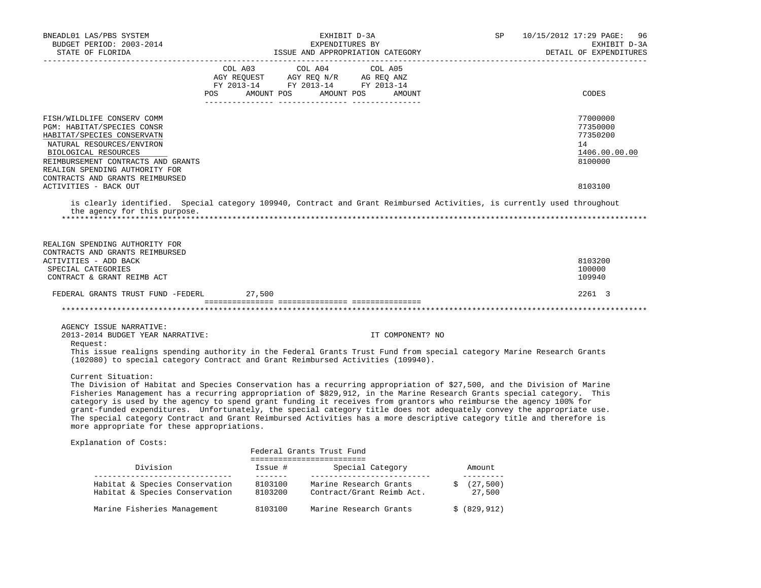| BNEADL01 LAS/PBS SYSTEM<br>BUDGET PERIOD: 2003-2014<br>STATE OF FLORIDA | EXHIBIT D-3A<br>EXPENDITURES BY<br>ISSUE AND APPROPRIATION CATEGORY                                                                                                                                                                                                                                                                                                                                                                                                                                                                                                                                                  | 10/15/2012 17:29 PAGE: 96<br>SP<br>EXHIBIT D-3A<br>DETAIL OF EXPENDITURES |
|-------------------------------------------------------------------------|----------------------------------------------------------------------------------------------------------------------------------------------------------------------------------------------------------------------------------------------------------------------------------------------------------------------------------------------------------------------------------------------------------------------------------------------------------------------------------------------------------------------------------------------------------------------------------------------------------------------|---------------------------------------------------------------------------|
|                                                                         | COL A03 COL A04 COL A05                                                                                                                                                                                                                                                                                                                                                                                                                                                                                                                                                                                              |                                                                           |
|                                                                         | AGY REQUEST AGY REQ N/R AG REQ ANZ<br>FY 2013-14 FY 2013-14 FY 2013-14                                                                                                                                                                                                                                                                                                                                                                                                                                                                                                                                               |                                                                           |
|                                                                         |                                                                                                                                                                                                                                                                                                                                                                                                                                                                                                                                                                                                                      |                                                                           |
|                                                                         | POS AMOUNT POS AMOUNT POS<br>AMOUNT                                                                                                                                                                                                                                                                                                                                                                                                                                                                                                                                                                                  | CODES                                                                     |
| FISH/WILDLIFE CONSERV COMM                                              |                                                                                                                                                                                                                                                                                                                                                                                                                                                                                                                                                                                                                      | 77000000                                                                  |
| PGM: HABITAT/SPECIES CONSR                                              |                                                                                                                                                                                                                                                                                                                                                                                                                                                                                                                                                                                                                      | 77350000                                                                  |
| HABITAT/SPECIES CONSERVATN                                              |                                                                                                                                                                                                                                                                                                                                                                                                                                                                                                                                                                                                                      | 77350200                                                                  |
| NATURAL RESOURCES/ENVIRON                                               |                                                                                                                                                                                                                                                                                                                                                                                                                                                                                                                                                                                                                      | 14                                                                        |
| BIOLOGICAL RESOURCES                                                    |                                                                                                                                                                                                                                                                                                                                                                                                                                                                                                                                                                                                                      | 1406.00.00.00                                                             |
| REIMBURSEMENT CONTRACTS AND GRANTS                                      |                                                                                                                                                                                                                                                                                                                                                                                                                                                                                                                                                                                                                      | 8100000                                                                   |
| REALIGN SPENDING AUTHORITY FOR<br>CONTRACTS AND GRANTS REIMBURSED       |                                                                                                                                                                                                                                                                                                                                                                                                                                                                                                                                                                                                                      |                                                                           |
| ACTIVITIES - BACK OUT                                                   |                                                                                                                                                                                                                                                                                                                                                                                                                                                                                                                                                                                                                      | 8103100                                                                   |
| the agency for this purpose.                                            | is clearly identified. Special category 109940, Contract and Grant Reimbursed Activities, is currently used throughout                                                                                                                                                                                                                                                                                                                                                                                                                                                                                               |                                                                           |
| REALIGN SPENDING AUTHORITY FOR<br>CONTRACTS AND GRANTS REIMBURSED       |                                                                                                                                                                                                                                                                                                                                                                                                                                                                                                                                                                                                                      |                                                                           |
| ACTIVITIES - ADD BACK                                                   |                                                                                                                                                                                                                                                                                                                                                                                                                                                                                                                                                                                                                      | 8103200                                                                   |
| SPECIAL CATEGORIES                                                      |                                                                                                                                                                                                                                                                                                                                                                                                                                                                                                                                                                                                                      | 100000                                                                    |
| CONTRACT & GRANT REIMB ACT                                              |                                                                                                                                                                                                                                                                                                                                                                                                                                                                                                                                                                                                                      | 109940                                                                    |
| FEDERAL GRANTS TRUST FUND -FEDERL 27,500                                |                                                                                                                                                                                                                                                                                                                                                                                                                                                                                                                                                                                                                      | 2261 3                                                                    |
|                                                                         |                                                                                                                                                                                                                                                                                                                                                                                                                                                                                                                                                                                                                      |                                                                           |
| AGENCY ISSUE NARRATIVE:                                                 |                                                                                                                                                                                                                                                                                                                                                                                                                                                                                                                                                                                                                      |                                                                           |
| 2013-2014 BUDGET YEAR NARRATIVE:                                        | IT COMPONENT? NO                                                                                                                                                                                                                                                                                                                                                                                                                                                                                                                                                                                                     |                                                                           |
| Request:                                                                | This issue realigns spending authority in the Federal Grants Trust Fund from special category Marine Research Grants<br>(102080) to special category Contract and Grant Reimbursed Activities (109940).                                                                                                                                                                                                                                                                                                                                                                                                              |                                                                           |
| Current Situation:<br>more appropriate for these appropriations.        | The Division of Habitat and Species Conservation has a recurring appropriation of \$27,500, and the Division of Marine<br>Fisheries Management has a recurring appropriation of \$829,912, in the Marine Research Grants special category. This<br>category is used by the agency to spend grant funding it receives from grantors who reimburse the agency 100% for<br>grant-funded expenditures. Unfortunately, the special category title does not adequately convey the appropriate use.<br>The special category Contract and Grant Reimbursed Activities has a more descriptive category title and therefore is |                                                                           |
| Explanation of Costs:                                                   |                                                                                                                                                                                                                                                                                                                                                                                                                                                                                                                                                                                                                      |                                                                           |
|                                                                         | Federal Grants Trust Fund                                                                                                                                                                                                                                                                                                                                                                                                                                                                                                                                                                                            |                                                                           |
|                                                                         | ==========================                                                                                                                                                                                                                                                                                                                                                                                                                                                                                                                                                                                           |                                                                           |
|                                                                         | Habitat & Species Conservation 8103100 Marine Research Grants                                                                                                                                                                                                                                                                                                                                                                                                                                                                                                                                                        | __________<br>\$ (27, 500)                                                |

Habitat & Species Conservation 8103200 Contract/Grant Reimb Act. 27,500

Marine Fisheries Management 8103100 Marine Research Grants \$ (829,912)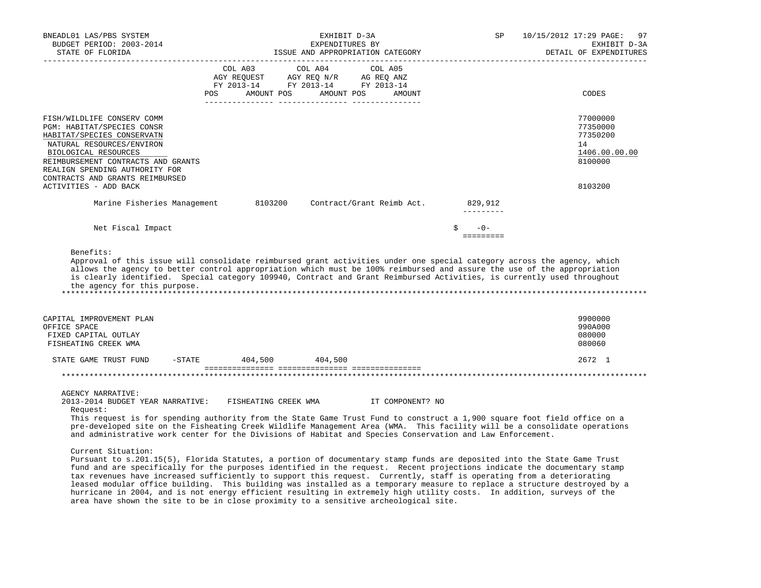|                                                                                                                                                                                                                                                        |                               | EXPENDITURES BY<br>ISSUE AND APPROPRIATION CATEGORY                                                               | SP                           | 10/15/2012 17:29 PAGE:<br>97<br>EXHIBIT D-3A<br>DETAIL OF EXPENDITURES |
|--------------------------------------------------------------------------------------------------------------------------------------------------------------------------------------------------------------------------------------------------------|-------------------------------|-------------------------------------------------------------------------------------------------------------------|------------------------------|------------------------------------------------------------------------|
|                                                                                                                                                                                                                                                        | COL A03 COL A04<br><b>POS</b> | COL A05<br>AGY REQUEST AGY REQ N/R AG REQ ANZ<br>FY 2013-14 FY 2013-14 FY 2013-14<br>AMOUNT POS AMOUNT POS AMOUNT |                              | CODES                                                                  |
| FISH/WILDLIFE CONSERV COMM<br>PGM: HABITAT/SPECIES CONSR<br>HABITAT/SPECIES CONSERVATN<br>NATURAL RESOURCES/ENVIRON<br>BIOLOGICAL RESOURCES<br>REIMBURSEMENT CONTRACTS AND GRANTS<br>REALIGN SPENDING AUTHORITY FOR<br>CONTRACTS AND GRANTS REIMBURSED |                               |                                                                                                                   |                              | 77000000<br>77350000<br>77350200<br>14<br>1406.00.00.00<br>8100000     |
| ACTIVITIES - ADD BACK                                                                                                                                                                                                                                  |                               |                                                                                                                   |                              | 8103200                                                                |
| Marine Fisheries Management                                                                                                                                                                                                                            | 8103200                       | Contract/Grant Reimb Act.                                                                                         | 829,912<br>$- - - - - - - -$ |                                                                        |
| Net Fiscal Impact                                                                                                                                                                                                                                      |                               |                                                                                                                   | $-0-$<br>Ŝ.                  |                                                                        |
| is clearly identified. Special category 109940, Contract and Grant Reimbursed Activities, is currently used throughout<br>the agency for this purpose.                                                                                                 |                               |                                                                                                                   |                              |                                                                        |
| CAPITAL IMPROVEMENT PLAN<br>OFFICE SPACE                                                                                                                                                                                                               |                               |                                                                                                                   |                              | 9900000<br>990A000                                                     |
| FIXED CAPITAL OUTLAY<br>FISHEATING CREEK WMA                                                                                                                                                                                                           |                               |                                                                                                                   |                              | 080000<br>080060                                                       |
| STATE GAME TRUST FUND                                                                                                                                                                                                                                  | $-$ STATE 404,500             | 404,500                                                                                                           |                              | 2672 1                                                                 |
|                                                                                                                                                                                                                                                        |                               |                                                                                                                   |                              |                                                                        |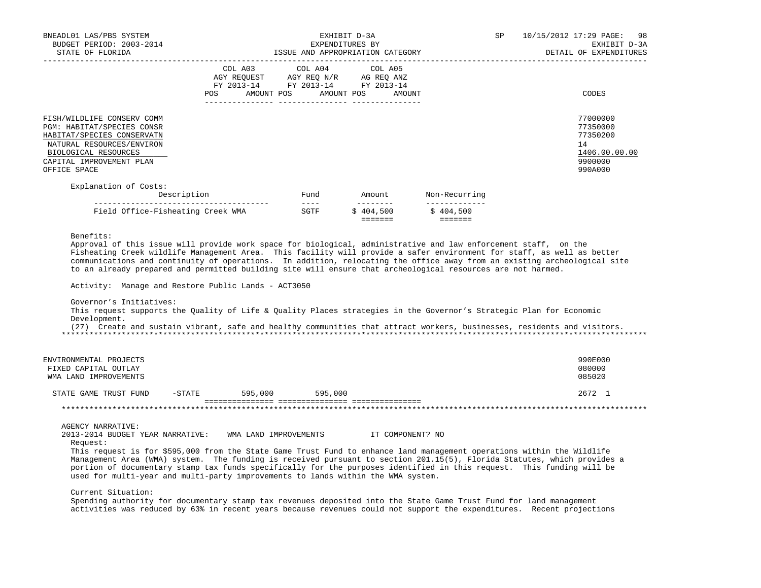| BNEADL01 LAS/PBS SYSTEM<br>BUDGET PERIOD: 2003-2014<br>STATE OF FLORIDA                                                                                                                                                                                                                                                                                                                                                                                                                                                                                                                                                                                                                                      |                                                                   |                                                                                                                                                                                                                                                                                                                                                                                                      | EXHIBIT D-3A<br>EXPENDITURES BY<br>ISSUE AND APPROPRIATION CATEGORY | SP.                                     | 10/15/2012 17:29 PAGE:<br>-98<br>EXHIBIT D-3A<br>DETAIL OF EXPENDITURES                                                  |
|--------------------------------------------------------------------------------------------------------------------------------------------------------------------------------------------------------------------------------------------------------------------------------------------------------------------------------------------------------------------------------------------------------------------------------------------------------------------------------------------------------------------------------------------------------------------------------------------------------------------------------------------------------------------------------------------------------------|-------------------------------------------------------------------|------------------------------------------------------------------------------------------------------------------------------------------------------------------------------------------------------------------------------------------------------------------------------------------------------------------------------------------------------------------------------------------------------|---------------------------------------------------------------------|-----------------------------------------|--------------------------------------------------------------------------------------------------------------------------|
|                                                                                                                                                                                                                                                                                                                                                                                                                                                                                                                                                                                                                                                                                                              | COL A03 COL A04<br>FY 2013-14 FY 2013-14 FY 2013-14<br><b>POS</b> |                                                                                                                                                                                                                                                                                                                                                                                                      | COL A05<br>AMOUNT POS AMOUNT POS AMOUNT                             |                                         | CODES                                                                                                                    |
| FISH/WILDLIFE CONSERV COMM<br>PGM: HABITAT/SPECIES CONSR<br>HABITAT/SPECIES CONSERVATN<br>NATURAL RESOURCES/ENVIRON<br>BIOLOGICAL RESOURCES<br>CAPITAL IMPROVEMENT PLAN<br>OFFICE SPACE                                                                                                                                                                                                                                                                                                                                                                                                                                                                                                                      |                                                                   |                                                                                                                                                                                                                                                                                                                                                                                                      |                                                                     |                                         | 77000000<br>77350000<br>77350200<br>14<br>1406.00.00.00<br>9900000<br>990A000                                            |
| Explanation of Costs:                                                                                                                                                                                                                                                                                                                                                                                                                                                                                                                                                                                                                                                                                        | Description                                                       | Fund                                                                                                                                                                                                                                                                                                                                                                                                 | Amount                                                              | Non-Recurring                           |                                                                                                                          |
| Field Office-Fisheating Creek WMA                                                                                                                                                                                                                                                                                                                                                                                                                                                                                                                                                                                                                                                                            |                                                                   | $\frac{1}{2} \frac{1}{2} \frac{1}{2} \frac{1}{2} \frac{1}{2} \frac{1}{2} \frac{1}{2} \frac{1}{2} \frac{1}{2} \frac{1}{2} \frac{1}{2} \frac{1}{2} \frac{1}{2} \frac{1}{2} \frac{1}{2} \frac{1}{2} \frac{1}{2} \frac{1}{2} \frac{1}{2} \frac{1}{2} \frac{1}{2} \frac{1}{2} \frac{1}{2} \frac{1}{2} \frac{1}{2} \frac{1}{2} \frac{1}{2} \frac{1}{2} \frac{1}{2} \frac{1}{2} \frac{1}{2} \frac{$<br>SGTF | ---------<br>\$404.500<br>=======                                   | _____________<br>\$404,500<br>--------- |                                                                                                                          |
| Approval of this issue will provide work space for biological, administrative and law enforcement staff, on the<br>Fisheating Creek wildlife Management Area. This facility will provide a safer environment for staff, as well as better<br>to an already prepared and permitted building site will ensure that archeological resources are not harmed.<br>Activity: Manage and Restore Public Lands - ACT3050<br>Governor's Initiatives:<br>This request supports the Quality of Life & Quality Places strategies in the Governor's Strategic Plan for Economic<br>Development.<br>(27) Create and sustain vibrant, safe and healthy communities that attract workers, businesses, residents and visitors. |                                                                   |                                                                                                                                                                                                                                                                                                                                                                                                      |                                                                     |                                         | communications and continuity of operations. In addition, relocating the office away from an existing archeological site |
| ENVIRONMENTAL PROJECTS<br>FIXED CAPITAL OUTLAY<br>WMA LAND IMPROVEMENTS                                                                                                                                                                                                                                                                                                                                                                                                                                                                                                                                                                                                                                      |                                                                   |                                                                                                                                                                                                                                                                                                                                                                                                      |                                                                     |                                         | 990E000<br>080000<br>085020                                                                                              |
| STATE GAME TRUST FUND                                                                                                                                                                                                                                                                                                                                                                                                                                                                                                                                                                                                                                                                                        | $-$ STATE<br>595,000                                              | 595,000                                                                                                                                                                                                                                                                                                                                                                                              |                                                                     |                                         | 2672 1                                                                                                                   |
| <b>AGENCY NARRATIVE:</b><br>2013-2014 BUDGET YEAR NARRATIVE: WMA LAND IMPROVEMENTS<br>Request:<br>This request is for \$595,000 from the State Game Trust Fund to enhance land management operations within the Wildlife<br>Management Area (WMA) system. The funding is received pursuant to section 201.15(5), Florida Statutes, which provides a                                                                                                                                                                                                                                                                                                                                                          |                                                                   |                                                                                                                                                                                                                                                                                                                                                                                                      | IT COMPONENT? NO                                                    |                                         |                                                                                                                          |

Current Situation:

 Spending authority for documentary stamp tax revenues deposited into the State Game Trust Fund for land management activities was reduced by 63% in recent years because revenues could not support the expenditures. Recent projections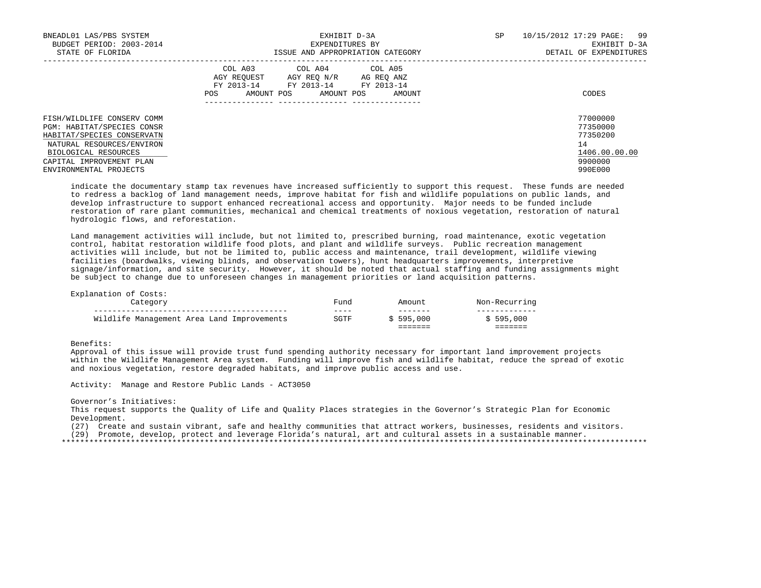| BNEADL01 LAS/PBS SYSTEM<br>BUDGET PERIOD: 2003-2014<br>STATE OF FLORIDA                                                                                                 | EXHIBIT D-3A<br>EXPENDITURES BY<br>ISSUE AND APPROPRIATION CATEGORY                                                                               | 10/15/2012 17:29 PAGE: 99<br>SP<br>EXHIBIT D-3A<br>DETAIL OF EXPENDITURES |
|-------------------------------------------------------------------------------------------------------------------------------------------------------------------------|---------------------------------------------------------------------------------------------------------------------------------------------------|---------------------------------------------------------------------------|
|                                                                                                                                                                         | COL A03 COL A04 COL A05<br>AGY REOUEST<br>AGY REQ N/R AG REQ ANZ<br>FY 2013-14 FY 2013-14 FY 2013-14<br>AMOUNT POS<br>POS<br>AMOUNT POS<br>AMOUNT | CODES                                                                     |
| FISH/WILDLIFE CONSERV COMM<br>PGM: HABITAT/SPECIES CONSR<br>HABITAT/SPECIES CONSERVATN<br>NATURAL RESOURCES/ENVIRON<br>BIOLOGICAL RESOURCES<br>CAPITAL IMPROVEMENT PLAN |                                                                                                                                                   | 77000000<br>77350000<br>77350200<br>14<br>1406.00.00.00<br>9900000        |
| ENVIRONMENTAL PROJECTS                                                                                                                                                  |                                                                                                                                                   | 990E000                                                                   |

 indicate the documentary stamp tax revenues have increased sufficiently to support this request. These funds are needed to redress a backlog of land management needs, improve habitat for fish and wildlife populations on public lands, and develop infrastructure to support enhanced recreational access and opportunity. Major needs to be funded include restoration of rare plant communities, mechanical and chemical treatments of noxious vegetation, restoration of natural hydrologic flows, and reforestation.

 Land management activities will include, but not limited to, prescribed burning, road maintenance, exotic vegetation control, habitat restoration wildlife food plots, and plant and wildlife surveys. Public recreation management activities will include, but not be limited to, public access and maintenance, trail development, wildlife viewing facilities (boardwalks, viewing blinds, and observation towers), hunt headquarters improvements, interpretive signage/information, and site security. However, it should be noted that actual staffing and funding assignments might be subject to change due to unforeseen changes in management priorities or land acquisition patterns.

Explanation of Costs:

| Category |                                            | Fund         | Amount                                     | Non-Recurring                         |
|----------|--------------------------------------------|--------------|--------------------------------------------|---------------------------------------|
|          | Wildlife Management Area Land Improvements | ----<br>SGTF | -------<br>\$595.000<br>_______<br>------- | \$595,000<br>-------<br>_ _ _ _ _ _ _ |

Benefits:

 Approval of this issue will provide trust fund spending authority necessary for important land improvement projects within the Wildlife Management Area system. Funding will improve fish and wildlife habitat, reduce the spread of exotic and noxious vegetation, restore degraded habitats, and improve public access and use.

Activity: Manage and Restore Public Lands - ACT3050

Governor's Initiatives:

 This request supports the Quality of Life and Quality Places strategies in the Governor's Strategic Plan for Economic Development.

(27) Create and sustain vibrant, safe and healthy communities that attract workers, businesses, residents and visitors.

(29) Promote, develop, protect and leverage Florida's natural, art and cultural assets in a sustainable manner.

\*\*\*\*\*\*\*\*\*\*\*\*\*\*\*\*\*\*\*\*\*\*\*\*\*\*\*\*\*\*\*\*\*\*\*\*\*\*\*\*\*\*\*\*\*\*\*\*\*\*\*\*\*\*\*\*\*\*\*\*\*\*\*\*\*\*\*\*\*\*\*\*\*\*\*\*\*\*\*\*\*\*\*\*\*\*\*\*\*\*\*\*\*\*\*\*\*\*\*\*\*\*\*\*\*\*\*\*\*\*\*\*\*\*\*\*\*\*\*\*\*\*\*\*\*\*\*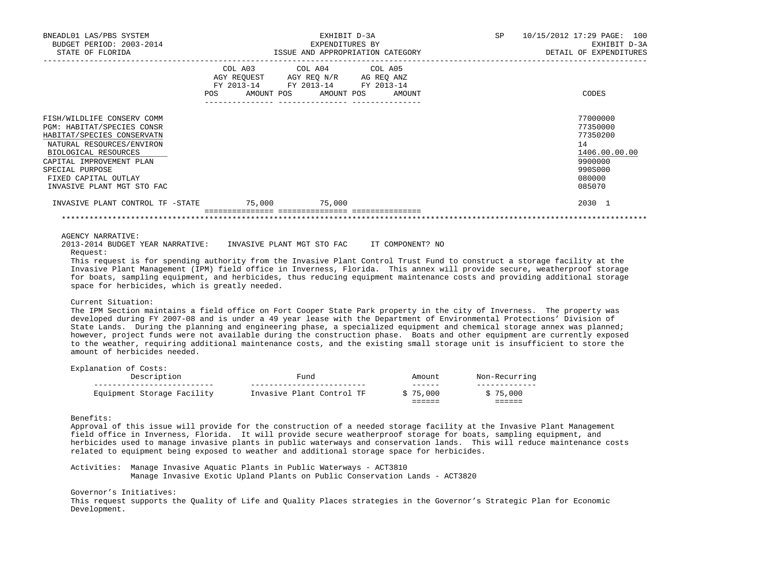| BNEADL01 LAS/PBS SYSTEM<br>BUDGET PERIOD: 2003-2014<br>STATE OF FLORIDA                                                                                                                                                                          |                                                                        | EXHIBIT D-3A<br>EXPENDITURES BY<br>ISSUE AND APPROPRIATION CATEGORY | 10/15/2012 17:29 PAGE: 100<br>SP<br>EXHIBIT D-3A<br>DETAIL OF EXPENDITURES |                                                                                                   |  |  |
|--------------------------------------------------------------------------------------------------------------------------------------------------------------------------------------------------------------------------------------------------|------------------------------------------------------------------------|---------------------------------------------------------------------|----------------------------------------------------------------------------|---------------------------------------------------------------------------------------------------|--|--|
|                                                                                                                                                                                                                                                  | AGY REQUEST AGY REQ N/R AG REQ ANZ<br>FY 2013-14 FY 2013-14 FY 2013-14 | COL A03 COL A04 COL A05<br>POS AMOUNT POS AMOUNT POS AMOUNT         |                                                                            | CODES                                                                                             |  |  |
| FISH/WILDLIFE CONSERV COMM<br>PGM: HABITAT/SPECIES CONSR<br>HABITAT/SPECIES CONSERVATN<br>NATURAL RESOURCES/ENVIRON<br>BIOLOGICAL RESOURCES<br>CAPITAL IMPROVEMENT PLAN<br>SPECIAL PURPOSE<br>FIXED CAPITAL OUTLAY<br>INVASIVE PLANT MGT STO FAC |                                                                        |                                                                     |                                                                            | 77000000<br>77350000<br>77350200<br>14<br>1406.00.00.00<br>9900000<br>990S000<br>080000<br>085070 |  |  |
| INVASIVE PLANT CONTROL TF -STATE                                                                                                                                                                                                                 | 75,000 75,000                                                          |                                                                     |                                                                            | 2030 1                                                                                            |  |  |

AGENCY NARRATIVE:

 2013-2014 BUDGET YEAR NARRATIVE: INVASIVE PLANT MGT STO FAC IT COMPONENT? NO Request:

 This request is for spending authority from the Invasive Plant Control Trust Fund to construct a storage facility at the Invasive Plant Management (IPM) field office in Inverness, Florida. This annex will provide secure, weatherproof storage for boats, sampling equipment, and herbicides, thus reducing equipment maintenance costs and providing additional storage space for herbicides, which is greatly needed.

\*\*\*\*\*\*\*\*\*\*\*\*\*\*\*\*\*\*\*\*\*\*\*\*\*\*\*\*\*\*\*\*\*\*\*\*\*\*\*\*\*\*\*\*\*\*\*\*\*\*\*\*\*\*\*\*\*\*\*\*\*\*\*\*\*\*\*\*\*\*\*\*\*\*\*\*\*\*\*\*\*\*\*\*\*\*\*\*\*\*\*\*\*\*\*\*\*\*\*\*\*\*\*\*\*\*\*\*\*\*\*\*\*\*\*\*\*\*\*\*\*\*\*\*\*\*\*

# Current Situation:

Explanation of Costs:

 The IPM Section maintains a field office on Fort Cooper State Park property in the city of Inverness. The property was developed during FY 2007-08 and is under a 49 year lease with the Department of Environmental Protections' Division of State Lands. During the planning and engineering phase, a specialized equipment and chemical storage annex was planned; however, project funds were not available during the construction phase. Boats and other equipment are currently exposed to the weather, requiring additional maintenance costs, and the existing small storage unit is insufficient to store the amount of herbicides needed.

| Equipment Storage Facility           | Invasive Plant Control TF | \$75,000<br>______<br>------ | \$75,000<br>- - - - - - |
|--------------------------------------|---------------------------|------------------------------|-------------------------|
| EAPIANACION OI COSCS.<br>Description | Fund                      | Amount<br>------             | Non-Recurring           |

Benefits:

 Approval of this issue will provide for the construction of a needed storage facility at the Invasive Plant Management field office in Inverness, Florida. It will provide secure weatherproof storage for boats, sampling equipment, and herbicides used to manage invasive plants in public waterways and conservation lands. This will reduce maintenance costs related to equipment being exposed to weather and additional storage space for herbicides.

 Activities: Manage Invasive Aquatic Plants in Public Waterways - ACT3810 Manage Invasive Exotic Upland Plants on Public Conservation Lands - ACT3820

Governor's Initiatives:

 This request supports the Quality of Life and Quality Places strategies in the Governor's Strategic Plan for Economic Development.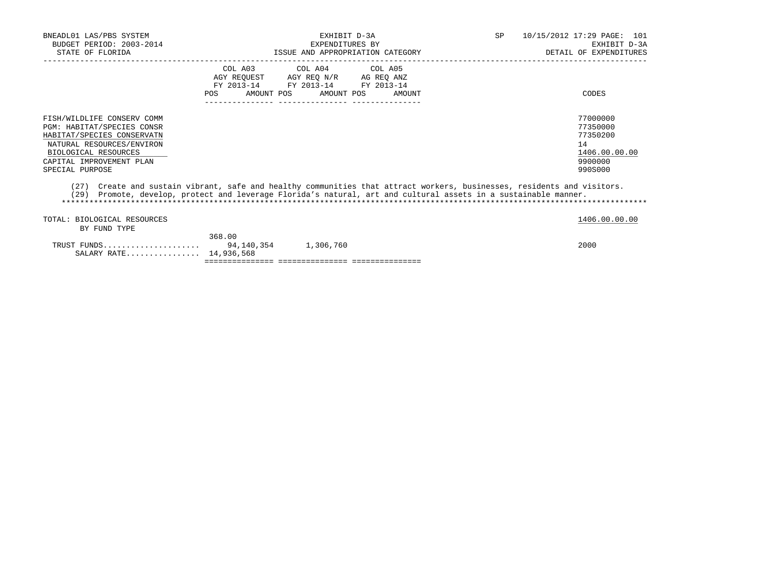| BNEADL01 LAS/PBS SYSTEM<br>BUDGET PERIOD: 2003-2014<br>STATE OF FLORIDA                                                                                                                           | EXHIBIT D-3A<br>EXPENDITURES BY<br>ISSUE AND APPROPRIATION CATEGORY                                                                                                                                                                       | 10/15/2012 17:29 PAGE: 101<br>SP<br>EXHIBIT D-3A<br>DETAIL OF EXPENDITURES    |
|---------------------------------------------------------------------------------------------------------------------------------------------------------------------------------------------------|-------------------------------------------------------------------------------------------------------------------------------------------------------------------------------------------------------------------------------------------|-------------------------------------------------------------------------------|
|                                                                                                                                                                                                   | COL A03 COL A04 COL A05<br>AGY REQUEST AGY REO N/R AG REO ANZ<br>FY 2013-14 FY 2013-14 FY 2013-14<br>AMOUNT POS AMOUNT POS<br>POS<br>AMOUNT                                                                                               | CODES                                                                         |
| FISH/WILDLIFE CONSERV COMM<br><b>PGM: HABITAT/SPECIES CONSR</b><br>HABITAT/SPECIES CONSERVATN<br>NATURAL RESOURCES/ENVIRON<br>BIOLOGICAL RESOURCES<br>CAPITAL IMPROVEMENT PLAN<br>SPECIAL PURPOSE |                                                                                                                                                                                                                                           | 77000000<br>77350000<br>77350200<br>14<br>1406.00.00.00<br>9900000<br>990S000 |
|                                                                                                                                                                                                   | (27) Create and sustain vibrant, safe and healthy communities that attract workers, businesses, residents and visitors.<br>700) – Rosamer Standing and not call increased Highligh and and and and animal charges for a modellate and con |                                                                               |

 (29) Promote, develop, protect and leverage Florida's natural, art and cultural assets in a sustainable manner. \*\*\*\*\*\*\*\*\*\*\*\*\*\*\*\*\*\*\*\*\*\*\*\*\*\*\*\*\*\*\*\*\*\*\*\*\*\*\*\*\*\*\*\*\*\*\*\*\*\*\*\*\*\*\*\*\*\*\*\*\*\*\*\*\*\*\*\*\*\*\*\*\*\*\*\*\*\*\*\*\*\*\*\*\*\*\*\*\*\*\*\*\*\*\*\*\*\*\*\*\*\*\*\*\*\*\*\*\*\*\*\*\*\*\*\*\*\*\*\*\*\*\*\*\*\*\*

| TOTAL: BIOLOGICAL RESOURCES |        |           | 1406.00.00.00 |
|-----------------------------|--------|-----------|---------------|
| BY FUND TYPE                |        |           |               |
|                             | 368.00 |           |               |
| TRUST FUNDS 94.140.354      |        | 1,306,760 | 2000          |
| SALARY RATE 14,936,568      |        |           |               |
|                             |        |           |               |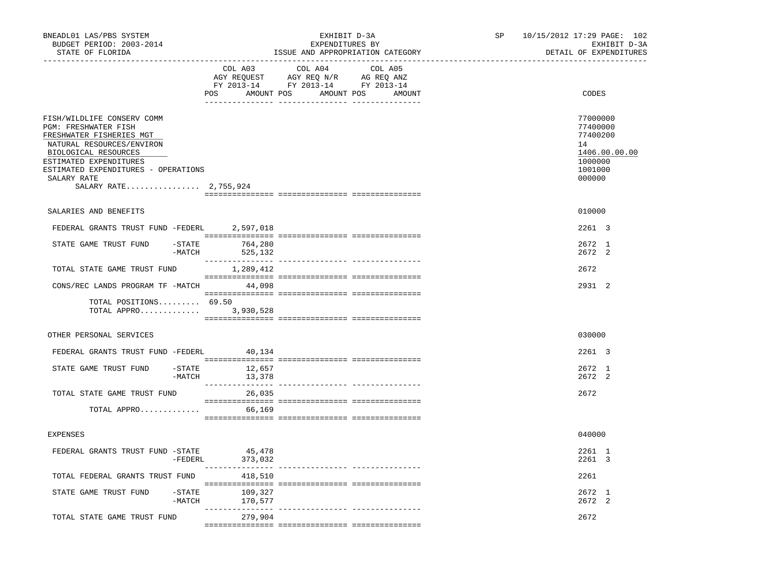| BNEADL01 LAS/PBS SYSTEM<br>BUDGET PERIOD: 2003-2014<br>STATE OF FLORIDA                                                                                                                                                                             |                                    | EXHIBIT D-3A<br>EXPENDITURES BY<br>ISSUE AND APPROPRIATION CATEGORY                                                                 | SP | 10/15/2012 17:29 PAGE: 102<br>EXHIBIT D-3A<br>DETAIL OF EXPENDITURES                    |
|-----------------------------------------------------------------------------------------------------------------------------------------------------------------------------------------------------------------------------------------------------|------------------------------------|-------------------------------------------------------------------------------------------------------------------------------------|----|-----------------------------------------------------------------------------------------|
|                                                                                                                                                                                                                                                     | COL A03                            | COL A04<br>COL A05<br>AGY REQUEST AGY REQ N/R AG REQ ANZ<br>FY 2013-14 FY 2013-14 FY 2013-14<br>POS AMOUNT POS AMOUNT POS<br>AMOUNT |    | CODES                                                                                   |
| FISH/WILDLIFE CONSERV COMM<br><b>PGM: FRESHWATER FISH</b><br>FRESHWATER FISHERIES MGT<br>NATURAL RESOURCES/ENVIRON<br>BIOLOGICAL RESOURCES<br>ESTIMATED EXPENDITURES<br>ESTIMATED EXPENDITURES - OPERATIONS<br>SALARY RATE<br>SALARY RATE 2,755,924 |                                    |                                                                                                                                     |    | 77000000<br>77400000<br>77400200<br>14<br>1406.00.00.00<br>1000000<br>1001000<br>000000 |
| SALARIES AND BENEFITS                                                                                                                                                                                                                               |                                    |                                                                                                                                     |    | 010000                                                                                  |
| FEDERAL GRANTS TRUST FUND -FEDERL 2,597,018                                                                                                                                                                                                         |                                    |                                                                                                                                     |    | 2261 3                                                                                  |
| STATE GAME TRUST FUND<br>$-MATCH$                                                                                                                                                                                                                   | -STATE 764,280<br>525,132          |                                                                                                                                     |    | 2672 1<br>2672 2                                                                        |
| TOTAL STATE GAME TRUST FUND                                                                                                                                                                                                                         | 1,289,412                          |                                                                                                                                     |    | 2672                                                                                    |
| CONS/REC LANDS PROGRAM TF -MATCH 44,098                                                                                                                                                                                                             |                                    |                                                                                                                                     |    | 2931 2                                                                                  |
| TOTAL POSITIONS 69.50<br>TOTAL APPRO 3,930,528                                                                                                                                                                                                      |                                    |                                                                                                                                     |    |                                                                                         |
| OTHER PERSONAL SERVICES                                                                                                                                                                                                                             |                                    |                                                                                                                                     |    | 030000                                                                                  |
| FEDERAL GRANTS TRUST FUND -FEDERL 40,134                                                                                                                                                                                                            |                                    |                                                                                                                                     |    | 2261 3                                                                                  |
| STATE GAME TRUST FUND                                                                                                                                                                                                                               | $-STATE$ 12,657<br>$-MATCH$ 13,378 |                                                                                                                                     |    | 2672 1<br>2672 2                                                                        |
| TOTAL STATE GAME TRUST FUND<br>TOTAL APPRO                                                                                                                                                                                                          | 26,035<br>66,169                   |                                                                                                                                     |    | 2672                                                                                    |
|                                                                                                                                                                                                                                                     |                                    |                                                                                                                                     |    |                                                                                         |
| EXPENSES                                                                                                                                                                                                                                            |                                    |                                                                                                                                     |    | 040000                                                                                  |
| FEDERAL GRANTS TRUST FUND -STATE                                                                                                                                                                                                                    | 45,478<br>-FEDERL 373,032          | ------------- ----------------                                                                                                      |    | 2261 1<br>2261 3                                                                        |
| TOTAL FEDERAL GRANTS TRUST FUND                                                                                                                                                                                                                     | 418,510                            |                                                                                                                                     |    | 2261                                                                                    |
| STATE GAME TRUST FUND<br>$-$ STATE<br>$-MATCH$                                                                                                                                                                                                      | 109,327<br>170,577                 |                                                                                                                                     |    | 2672 1<br>2672 2                                                                        |
| TOTAL STATE GAME TRUST FUND                                                                                                                                                                                                                         | 279,904                            | --------------- ---------------                                                                                                     |    | 2672                                                                                    |
|                                                                                                                                                                                                                                                     |                                    |                                                                                                                                     |    |                                                                                         |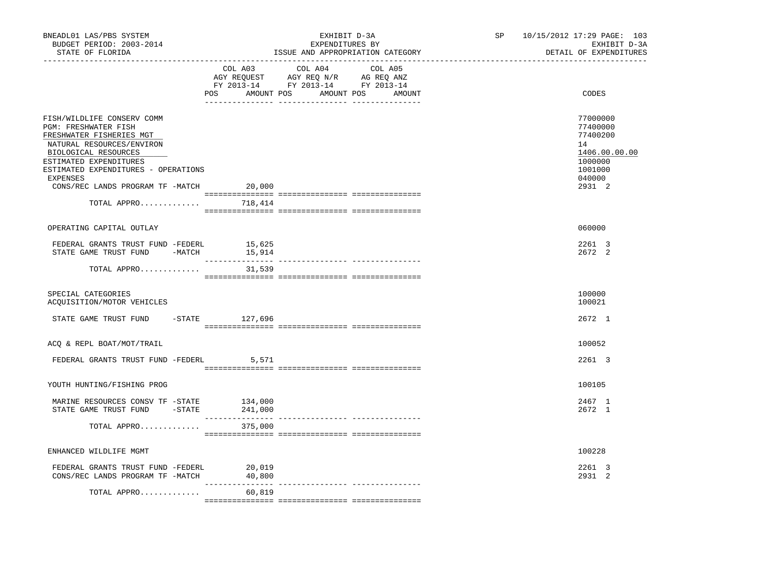| BNEADL01 LAS/PBS SYSTEM<br>BUDGET PERIOD: 2003-2014<br>STATE OF FLORIDA<br>------------------                                                                                                                                                                                      |                                                                                                                                                                                                                                                                                                                                                                                                                                                                                                   | EXHIBIT D-3A<br>EXPENDITURES BY<br>ISSUE AND APPROPRIATION CATEGORY                                                                                                                                                                                                                                                                                                                                                                 | SP 10/15/2012 17:29 PAGE: 103<br>EXHIBIT D-3A<br>DETAIL OF EXPENDITURES                           |
|------------------------------------------------------------------------------------------------------------------------------------------------------------------------------------------------------------------------------------------------------------------------------------|---------------------------------------------------------------------------------------------------------------------------------------------------------------------------------------------------------------------------------------------------------------------------------------------------------------------------------------------------------------------------------------------------------------------------------------------------------------------------------------------------|-------------------------------------------------------------------------------------------------------------------------------------------------------------------------------------------------------------------------------------------------------------------------------------------------------------------------------------------------------------------------------------------------------------------------------------|---------------------------------------------------------------------------------------------------|
|                                                                                                                                                                                                                                                                                    | COL A03                                                                                                                                                                                                                                                                                                                                                                                                                                                                                           | COL A04<br>COL A05<br>AGY REQUEST AGY REQ N/R AG REQ ANZ<br>FY 2013-14 FY 2013-14 FY 2013-14<br>POS AMOUNT POS AMOUNT POS AMOUNT                                                                                                                                                                                                                                                                                                    | CODES                                                                                             |
| FISH/WILDLIFE CONSERV COMM<br>PGM: FRESHWATER FISH<br>FRESHWATER FISHERIES MGT<br>NATURAL RESOURCES/ENVIRON<br>BIOLOGICAL RESOURCES<br>ESTIMATED EXPENDITURES<br>ESTIMATED EXPENDITURES - OPERATIONS<br>EXPENSES<br>CONS/REC LANDS PROGRAM TF -MATCH 20,000<br>TOTAL APPRO 718,414 |                                                                                                                                                                                                                                                                                                                                                                                                                                                                                                   |                                                                                                                                                                                                                                                                                                                                                                                                                                     | 77000000<br>77400000<br>77400200<br>14<br>1406.00.00.00<br>1000000<br>1001000<br>040000<br>2931 2 |
| OPERATING CAPITAL OUTLAY                                                                                                                                                                                                                                                           |                                                                                                                                                                                                                                                                                                                                                                                                                                                                                                   |                                                                                                                                                                                                                                                                                                                                                                                                                                     | 060000                                                                                            |
| FEDERAL GRANTS TRUST FUND -FEDERL<br>STATE GAME TRUST FUND -MATCH 15,914                                                                                                                                                                                                           | 15,625                                                                                                                                                                                                                                                                                                                                                                                                                                                                                            |                                                                                                                                                                                                                                                                                                                                                                                                                                     | 2261 3<br>2672 2                                                                                  |
| TOTAL APPRO                                                                                                                                                                                                                                                                        | 31,539                                                                                                                                                                                                                                                                                                                                                                                                                                                                                            | $\begin{minipage}{0.03\textwidth} \begin{tabular}{l} \textbf{1} & \textbf{2} & \textbf{3} & \textbf{5} & \textbf{5} & \textbf{6} & \textbf{6} & \textbf{7} & \textbf{8} & \textbf{8} & \textbf{9} & \textbf{9} & \textbf{9} & \textbf{9} & \textbf{9} & \textbf{9} & \textbf{9} & \textbf{9} & \textbf{9} & \textbf{9} & \textbf{9} & \textbf{9} & \textbf{9} & \textbf{9} & \textbf{9} & \textbf{9} & \textbf{9} & \textbf{9} & \$ |                                                                                                   |
| SPECIAL CATEGORIES<br>ACQUISITION/MOTOR VEHICLES                                                                                                                                                                                                                                   |                                                                                                                                                                                                                                                                                                                                                                                                                                                                                                   |                                                                                                                                                                                                                                                                                                                                                                                                                                     | 100000<br>100021                                                                                  |
| STATE GAME TRUST FUND                                                                                                                                                                                                                                                              | -STATE 127,696                                                                                                                                                                                                                                                                                                                                                                                                                                                                                    |                                                                                                                                                                                                                                                                                                                                                                                                                                     | 2672 1                                                                                            |
| ACQ & REPL BOAT/MOT/TRAIL                                                                                                                                                                                                                                                          |                                                                                                                                                                                                                                                                                                                                                                                                                                                                                                   |                                                                                                                                                                                                                                                                                                                                                                                                                                     | 100052                                                                                            |
| FEDERAL GRANTS TRUST FUND -FEDERL                                                                                                                                                                                                                                                  | 5,571                                                                                                                                                                                                                                                                                                                                                                                                                                                                                             |                                                                                                                                                                                                                                                                                                                                                                                                                                     | 2261 3                                                                                            |
| YOUTH HUNTING/FISHING PROG                                                                                                                                                                                                                                                         |                                                                                                                                                                                                                                                                                                                                                                                                                                                                                                   |                                                                                                                                                                                                                                                                                                                                                                                                                                     | 100105                                                                                            |
| MARINE RESOURCES CONSV TF -STATE<br>STATE GAME TRUST FUND -STATE 241,000                                                                                                                                                                                                           | 134,000<br>$\begin{array}{cccccccccc} \multicolumn{2}{c}{} & \multicolumn{2}{c}{} & \multicolumn{2}{c}{} & \multicolumn{2}{c}{} & \multicolumn{2}{c}{} & \multicolumn{2}{c}{} & \multicolumn{2}{c}{} & \multicolumn{2}{c}{} & \multicolumn{2}{c}{} & \multicolumn{2}{c}{} & \multicolumn{2}{c}{} & \multicolumn{2}{c}{} & \multicolumn{2}{c}{} & \multicolumn{2}{c}{} & \multicolumn{2}{c}{} & \multicolumn{2}{c}{} & \multicolumn{2}{c}{} & \multicolumn{2}{c}{} & \multicolumn{2}{c}{} & \mult$ | ---------------- ----------------                                                                                                                                                                                                                                                                                                                                                                                                   | 2467 1<br>2672 1                                                                                  |
| TOTAL APPRO                                                                                                                                                                                                                                                                        | 375,000                                                                                                                                                                                                                                                                                                                                                                                                                                                                                           |                                                                                                                                                                                                                                                                                                                                                                                                                                     |                                                                                                   |
| ENHANCED WILDLIFE MGMT                                                                                                                                                                                                                                                             |                                                                                                                                                                                                                                                                                                                                                                                                                                                                                                   |                                                                                                                                                                                                                                                                                                                                                                                                                                     | 100228                                                                                            |
| FEDERAL GRANTS TRUST FUND -FEDERL<br>CONS/REC LANDS PROGRAM TF -MATCH                                                                                                                                                                                                              | 20,019<br>40,800                                                                                                                                                                                                                                                                                                                                                                                                                                                                                  |                                                                                                                                                                                                                                                                                                                                                                                                                                     | 2261 3<br>2931 2                                                                                  |
| TOTAL APPRO                                                                                                                                                                                                                                                                        | 60,819                                                                                                                                                                                                                                                                                                                                                                                                                                                                                            |                                                                                                                                                                                                                                                                                                                                                                                                                                     |                                                                                                   |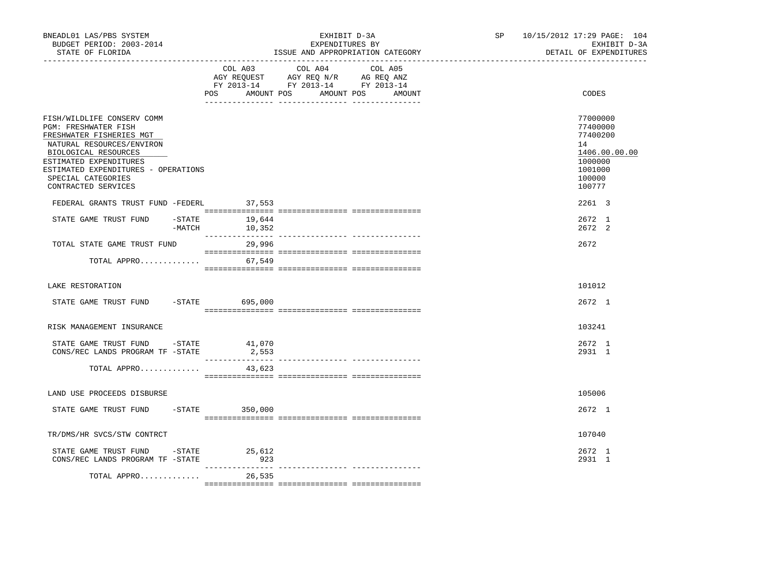| BNEADL01 LAS/PBS SYSTEM<br>BUDGET PERIOD: 2003-2014<br>STATE OF FLORIDA                                                                                                                                                                           |                                   | EXHIBIT D-3A<br>EXPENDITURES BY<br>ISSUE AND APPROPRIATION CATEGORY                                                       | SP 10/15/2012 17:29 PAGE: 104<br>EXHIBIT D-3A<br>DETAIL OF EXPENDITURES                           |
|---------------------------------------------------------------------------------------------------------------------------------------------------------------------------------------------------------------------------------------------------|-----------------------------------|---------------------------------------------------------------------------------------------------------------------------|---------------------------------------------------------------------------------------------------|
|                                                                                                                                                                                                                                                   | AMOUNT POS<br>POS                 | COL A03 COL A04 COL A05<br>AGY REQUEST AGY REQ N/R AG REQ ANZ<br>FY 2013-14 FY 2013-14 FY 2013-14<br>AMOUNT POS<br>AMOUNT | CODES                                                                                             |
| FISH/WILDLIFE CONSERV COMM<br>PGM: FRESHWATER FISH<br>FRESHWATER FISHERIES MGT<br>NATURAL RESOURCES/ENVIRON<br>BIOLOGICAL RESOURCES<br>ESTIMATED EXPENDITURES<br>ESTIMATED EXPENDITURES - OPERATIONS<br>SPECIAL CATEGORIES<br>CONTRACTED SERVICES |                                   |                                                                                                                           | 77000000<br>77400000<br>77400200<br>14<br>1406.00.00.00<br>1000000<br>1001000<br>100000<br>100777 |
| FEDERAL GRANTS TRUST FUND -FEDERL                                                                                                                                                                                                                 | 37,553                            |                                                                                                                           | 2261 3                                                                                            |
| STATE GAME TRUST FUND                                                                                                                                                                                                                             | $-$ STATE 19,644<br>-MATCH 10,352 |                                                                                                                           | 2672 1<br>2672 2                                                                                  |
| TOTAL STATE GAME TRUST FUND                                                                                                                                                                                                                       | 29,996                            |                                                                                                                           | 2672                                                                                              |
| TOTAL APPRO                                                                                                                                                                                                                                       | 67,549                            |                                                                                                                           |                                                                                                   |
| LAKE RESTORATION                                                                                                                                                                                                                                  |                                   |                                                                                                                           | 101012                                                                                            |
| STATE GAME TRUST FUND -STATE 695,000                                                                                                                                                                                                              |                                   |                                                                                                                           | 2672 1                                                                                            |
| RISK MANAGEMENT INSURANCE                                                                                                                                                                                                                         |                                   |                                                                                                                           | 103241                                                                                            |
| STATE GAME TRUST FUND - STATE<br>CONS/REC LANDS PROGRAM TF -STATE                                                                                                                                                                                 | 41,070<br>2,553                   |                                                                                                                           | 2672 1<br>2931 1                                                                                  |
| TOTAL APPRO                                                                                                                                                                                                                                       | 43,623                            |                                                                                                                           |                                                                                                   |
| LAND USE PROCEEDS DISBURSE                                                                                                                                                                                                                        |                                   |                                                                                                                           | 105006                                                                                            |
| STATE GAME TRUST FUND                                                                                                                                                                                                                             | $-STATE$ 350,000                  |                                                                                                                           | 2672 1                                                                                            |
| TR/DMS/HR SVCS/STW CONTRCT                                                                                                                                                                                                                        |                                   |                                                                                                                           | 107040                                                                                            |
| STATE GAME TRUST FUND - STATE<br>CONS/REC LANDS PROGRAM TF -STATE                                                                                                                                                                                 | 25,612<br>923                     |                                                                                                                           | 2672 1<br>2931 1                                                                                  |
| TOTAL APPRO                                                                                                                                                                                                                                       | 26,535                            |                                                                                                                           |                                                                                                   |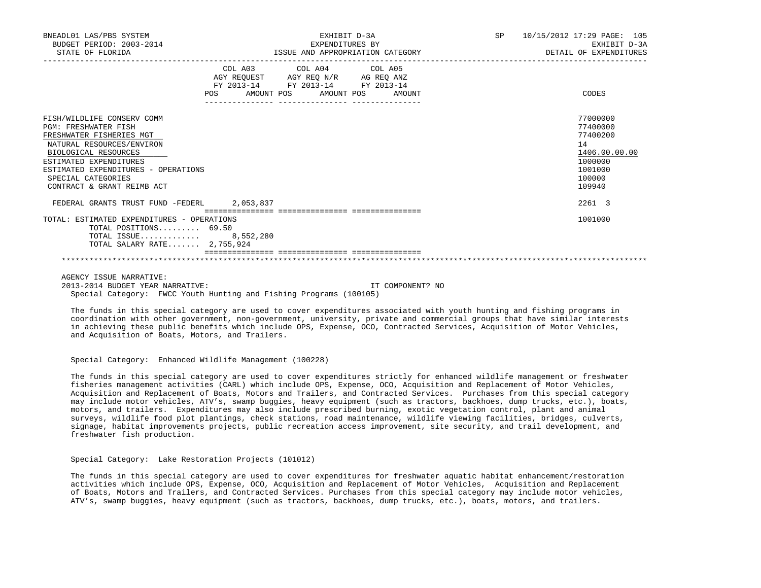| BNEADL01 LAS/PBS SYSTEM<br>BUDGET PERIOD: 2003-2014<br>STATE OF FLORIDA                                                                                                                                                                                         | EXHIBIT D-3A<br>EXPENDITURES BY<br>ISSUE AND APPROPRIATION CATEGORY                                                                                                          | SP<br>10/15/2012 17:29 PAGE: 105<br>EXHIBIT D-3A<br>DETAIL OF EXPENDITURES                        |
|-----------------------------------------------------------------------------------------------------------------------------------------------------------------------------------------------------------------------------------------------------------------|------------------------------------------------------------------------------------------------------------------------------------------------------------------------------|---------------------------------------------------------------------------------------------------|
|                                                                                                                                                                                                                                                                 | COL A03 COL A04 COL A05<br>AGY REQUEST AGY REQ N/R AG REQ ANZ<br>FY 2013-14 FY 2013-14 FY 2013-14<br>POS<br>AMOUNT POS AMOUNT POS<br>AMOUNT<br>_____________ _______________ | CODES                                                                                             |
| FISH/WILDLIFE CONSERV COMM<br><b>PGM: FRESHWATER FISH</b><br>FRESHWATER FISHERIES MGT<br>NATURAL RESOURCES/ENVIRON<br>BIOLOGICAL RESOURCES<br>ESTIMATED EXPENDITURES<br>ESTIMATED EXPENDITURES - OPERATIONS<br>SPECIAL CATEGORIES<br>CONTRACT & GRANT REIMB ACT |                                                                                                                                                                              | 77000000<br>77400000<br>77400200<br>14<br>1406.00.00.00<br>1000000<br>1001000<br>100000<br>109940 |
| FEDERAL GRANTS TRUST FUND -FEDERL 2,053,837                                                                                                                                                                                                                     |                                                                                                                                                                              | 2261 3                                                                                            |
| TOTAL: ESTIMATED EXPENDITURES - OPERATIONS<br>TOTAL POSITIONS $69.50$<br>TOTAL ISSUE 8,552,280<br>TOTAL SALARY RATE 2,755,924                                                                                                                                   |                                                                                                                                                                              | 1001000                                                                                           |

 AGENCY ISSUE NARRATIVE: 2013-2014 BUDGET YEAR NARRATIVE: IT COMPONENT? NO Special Category: FWCC Youth Hunting and Fishing Programs (100105)

 The funds in this special category are used to cover expenditures associated with youth hunting and fishing programs in coordination with other government, non-government, university, private and commercial groups that have similar interests in achieving these public benefits which include OPS, Expense, OCO, Contracted Services, Acquisition of Motor Vehicles, and Acquisition of Boats, Motors, and Trailers.

Special Category: Enhanced Wildlife Management (100228)

 The funds in this special category are used to cover expenditures strictly for enhanced wildlife management or freshwater fisheries management activities (CARL) which include OPS, Expense, OCO, Acquisition and Replacement of Motor Vehicles, Acquisition and Replacement of Boats, Motors and Trailers, and Contracted Services. Purchases from this special category may include motor vehicles, ATV's, swamp buggies, heavy equipment (such as tractors, backhoes, dump trucks, etc.), boats, motors, and trailers. Expenditures may also include prescribed burning, exotic vegetation control, plant and animal surveys, wildlife food plot plantings, check stations, road maintenance, wildlife viewing facilities, bridges, culverts, signage, habitat improvements projects, public recreation access improvement, site security, and trail development, and freshwater fish production.

Special Category: Lake Restoration Projects (101012)

 The funds in this special category are used to cover expenditures for freshwater aquatic habitat enhancement/restoration activities which include OPS, Expense, OCO, Acquisition and Replacement of Motor Vehicles, Acquisition and Replacement of Boats, Motors and Trailers, and Contracted Services. Purchases from this special category may include motor vehicles, ATV's, swamp buggies, heavy equipment (such as tractors, backhoes, dump trucks, etc.), boats, motors, and trailers.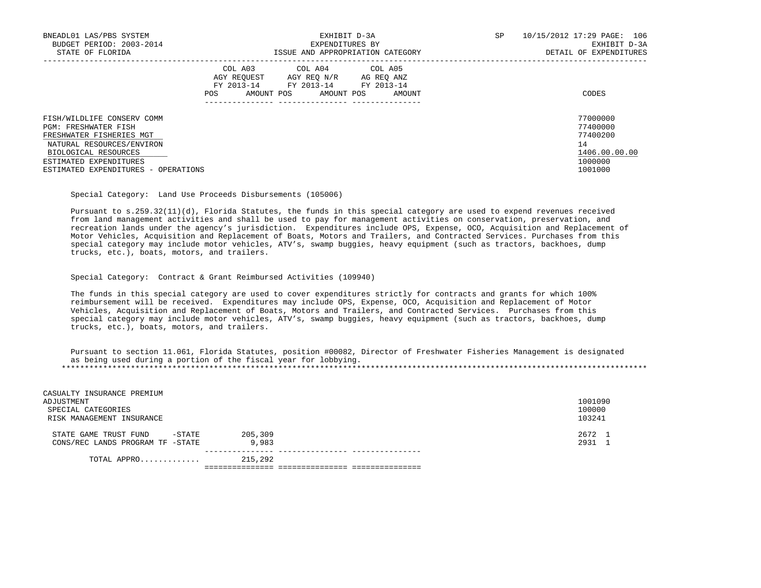| BNEADL01 LAS/PBS SYSTEM<br>BUDGET PERIOD: 2003-2014<br>STATE OF FLORIDA        | EXHIBIT D-3A<br>EXPENDITURES BY<br>ISSUE AND APPROPRIATION CATEGORY                                                                           | 10/15/2012 17:29 PAGE: 106<br>SP<br>EXHIBIT D-3A<br>DETAIL OF EXPENDITURES |
|--------------------------------------------------------------------------------|-----------------------------------------------------------------------------------------------------------------------------------------------|----------------------------------------------------------------------------|
|                                                                                | COL A03 COL A04 COL A05<br>AGY REO N/R<br>AGY REOUEST<br>AG REO ANZ<br>FY 2013-14<br>FY 2013-14 FY 2013-14<br>AMOUNT POS<br>AMOUNT POS<br>POS | CODES<br>AMOUNT                                                            |
| FISH/WILDLIFE CONSERV COMM<br>PGM: FRESHWATER FISH<br>FRESHWATER FISHERIES MGT |                                                                                                                                               | 77000000<br>77400000<br>77400200                                           |
| NATURAL RESOURCES/ENVIRON<br>BIOLOGICAL RESOURCES                              |                                                                                                                                               | 14<br>1406.00.00.00                                                        |
| ESTIMATED EXPENDITURES<br>ESTIMATED EXPENDITURES - OPERATIONS                  |                                                                                                                                               | 1000000<br>1001000                                                         |

Special Category: Land Use Proceeds Disbursements (105006)

 Pursuant to s.259.32(11)(d), Florida Statutes, the funds in this special category are used to expend revenues received from land management activities and shall be used to pay for management activities on conservation, preservation, and recreation lands under the agency's jurisdiction. Expenditures include OPS, Expense, OCO, Acquisition and Replacement of Motor Vehicles, Acquisition and Replacement of Boats, Motors and Trailers, and Contracted Services. Purchases from this special category may include motor vehicles, ATV's, swamp buggies, heavy equipment (such as tractors, backhoes, dump trucks, etc.), boats, motors, and trailers.

### Special Category: Contract & Grant Reimbursed Activities (109940)

 The funds in this special category are used to cover expenditures strictly for contracts and grants for which 100% reimbursement will be received. Expenditures may include OPS, Expense, OCO, Acquisition and Replacement of Motor Vehicles, Acquisition and Replacement of Boats, Motors and Trailers, and Contracted Services. Purchases from this special category may include motor vehicles, ATV's, swamp buggies, heavy equipment (such as tractors, backhoes, dump trucks, etc.), boats, motors, and trailers.

 Pursuant to section 11.061, Florida Statutes, position #00082, Director of Freshwater Fisheries Management is designated as being used during a portion of the fiscal year for lobbying. \*\*\*\*\*\*\*\*\*\*\*\*\*\*\*\*\*\*\*\*\*\*\*\*\*\*\*\*\*\*\*\*\*\*\*\*\*\*\*\*\*\*\*\*\*\*\*\*\*\*\*\*\*\*\*\*\*\*\*\*\*\*\*\*\*\*\*\*\*\*\*\*\*\*\*\*\*\*\*\*\*\*\*\*\*\*\*\*\*\*\*\*\*\*\*\*\*\*\*\*\*\*\*\*\*\*\*\*\*\*\*\*\*\*\*\*\*\*\*\*\*\*\*\*\*\*\*

| CASUALTY INSURANCE PREMIUM<br>ADJUSTMENT<br>SPECIAL CATEGORIES<br>RISK MANAGEMENT INSURANCE |                  | 1001090<br>100000<br>103241 |
|---------------------------------------------------------------------------------------------|------------------|-----------------------------|
| -STATE<br>STATE GAME TRUST FUND<br>CONS/REC LANDS PROGRAM TF -STATE                         | 205,309<br>9,983 | 2672 1<br>2931 1            |
| TOTAL APPRO                                                                                 | 215,292          |                             |

=============== =============== ===============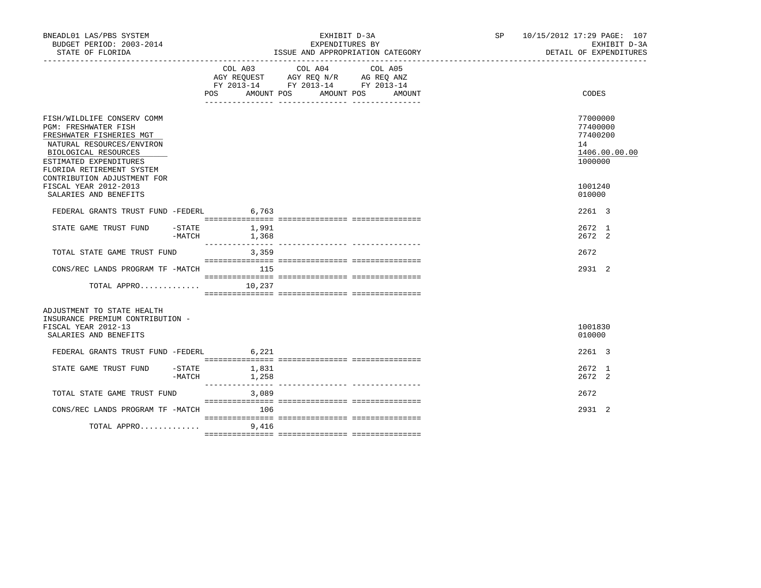| BNEADL01 LAS/PBS SYSTEM<br>BUDGET PERIOD: 2003-2014<br>STATE OF FLORIDA                                                                                                                                                          |                     | EXHIBIT D-3A<br>EXPENDITURES BY<br>ISSUE AND APPROPRIATION CATEGORY |                |  |                                                                                                 |  |                   |  | SP 10/15/2012 17:29 PAGE: 107<br>EXHIBIT D-3A<br>DETAIL OF EXPENDITURES |               |
|----------------------------------------------------------------------------------------------------------------------------------------------------------------------------------------------------------------------------------|---------------------|---------------------------------------------------------------------|----------------|--|-------------------------------------------------------------------------------------------------|--|-------------------|--|-------------------------------------------------------------------------|---------------|
|                                                                                                                                                                                                                                  |                     | COL A03<br>POS AMOUNT POS                                           |                |  | COL A04<br>AGY REQUEST AGY REQ N/R AG REQ ANZ<br>FY 2013-14 FY 2013-14 FY 2013-14<br>AMOUNT POS |  | COL A05<br>AMOUNT |  | CODES                                                                   |               |
| FISH/WILDLIFE CONSERV COMM<br><b>PGM: FRESHWATER FISH</b><br>FRESHWATER FISHERIES MGT<br>NATURAL RESOURCES/ENVIRON<br>BIOLOGICAL RESOURCES<br>ESTIMATED EXPENDITURES<br>FLORIDA RETIREMENT SYSTEM<br>CONTRIBUTION ADJUSTMENT FOR |                     |                                                                     |                |  |                                                                                                 |  |                   |  | 77000000<br>77400000<br>77400200<br>14<br>1000000                       | 1406.00.00.00 |
| FISCAL YEAR 2012-2013<br>SALARIES AND BENEFITS                                                                                                                                                                                   |                     |                                                                     |                |  |                                                                                                 |  |                   |  | 1001240<br>010000                                                       |               |
| FEDERAL GRANTS TRUST FUND -FEDERL 6,763                                                                                                                                                                                          |                     |                                                                     |                |  |                                                                                                 |  |                   |  | 2261 3                                                                  |               |
| STATE GAME TRUST FUND                                                                                                                                                                                                            | $-$ STATE<br>-MATCH | 1,368                                                               | 1,991          |  |                                                                                                 |  |                   |  | 2672 1<br>2672 2                                                        |               |
| TOTAL STATE GAME TRUST FUND                                                                                                                                                                                                      |                     |                                                                     | 3,359          |  |                                                                                                 |  |                   |  | 2672                                                                    |               |
| CONS/REC LANDS PROGRAM TF -MATCH                                                                                                                                                                                                 |                     | 115                                                                 |                |  |                                                                                                 |  |                   |  | 2931 2                                                                  |               |
| TOTAL APPRO $10,237$                                                                                                                                                                                                             |                     |                                                                     |                |  |                                                                                                 |  |                   |  |                                                                         |               |
| ADJUSTMENT TO STATE HEALTH<br>INSURANCE PREMIUM CONTRIBUTION -<br>FISCAL YEAR 2012-13<br>SALARIES AND BENEFITS                                                                                                                   |                     |                                                                     |                |  |                                                                                                 |  |                   |  | 1001830<br>010000                                                       |               |
| FEDERAL GRANTS TRUST FUND -FEDERL 6,221                                                                                                                                                                                          |                     |                                                                     |                |  |                                                                                                 |  |                   |  | 2261 3                                                                  |               |
| STATE GAME TRUST FUND                                                                                                                                                                                                            | $-$ STATE<br>-MATCH |                                                                     | 1,831<br>1,258 |  |                                                                                                 |  |                   |  | 2672 1<br>2672 2                                                        |               |
| TOTAL STATE GAME TRUST FUND                                                                                                                                                                                                      |                     |                                                                     | 3,089          |  |                                                                                                 |  |                   |  | 2672                                                                    |               |
| CONS/REC LANDS PROGRAM TF -MATCH                                                                                                                                                                                                 |                     |                                                                     | 106            |  |                                                                                                 |  |                   |  | 2931 2                                                                  |               |
| TOTAL APPRO                                                                                                                                                                                                                      |                     |                                                                     | 9,416          |  |                                                                                                 |  |                   |  |                                                                         |               |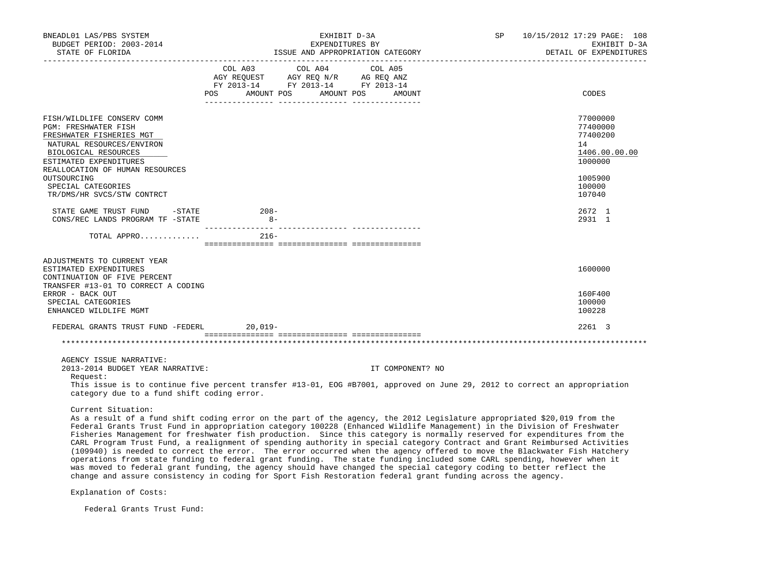| BNEADL01 LAS/PBS SYSTEM<br>BUDGET PERIOD: 2003-2014                                                                                                                                                                                                                                                                                                                                                                                                                                                                              | EXHIBIT D-3A<br>EXPENDITURES BY |        |  |                                                                                                                                       |  |                  | SP | 10/15/2012 17:29 PAGE: 108<br>EXHIBIT D-3A<br>DETAIL OF EXPENDITURES |
|----------------------------------------------------------------------------------------------------------------------------------------------------------------------------------------------------------------------------------------------------------------------------------------------------------------------------------------------------------------------------------------------------------------------------------------------------------------------------------------------------------------------------------|---------------------------------|--------|--|---------------------------------------------------------------------------------------------------------------------------------------|--|------------------|----|----------------------------------------------------------------------|
|                                                                                                                                                                                                                                                                                                                                                                                                                                                                                                                                  |                                 |        |  | COL A03 COL A04 COL A05<br>AGY REQUEST AGY REQ N/R AG REQ ANZ<br>FY 2013-14 FY 2013-14 FY 2013-14<br>POS AMOUNT POS AMOUNT POS AMOUNT |  |                  |    | CODES                                                                |
| FISH/WILDLIFE CONSERV COMM<br>PGM: FRESHWATER FISH<br>FRESHWATER FISHERIES MGT<br>NATURAL RESOURCES/ENVIRON<br>BIOLOGICAL RESOURCES<br>ESTIMATED EXPENDITURES                                                                                                                                                                                                                                                                                                                                                                    |                                 |        |  |                                                                                                                                       |  |                  |    | 77000000<br>77400000<br>77400200<br>14<br>1406.00.00.00<br>1000000   |
| REALLOCATION OF HUMAN RESOURCES<br>OUTSOURCING<br>SPECIAL CATEGORIES<br>TR/DMS/HR SVCS/STW CONTRCT                                                                                                                                                                                                                                                                                                                                                                                                                               |                                 |        |  |                                                                                                                                       |  |                  |    | 1005900<br>100000<br>107040                                          |
| STATE GAME TRUST FUND -STATE 208-<br>CONS/REC LANDS PROGRAM TF -STATE                                                                                                                                                                                                                                                                                                                                                                                                                                                            |                                 | $8 -$  |  |                                                                                                                                       |  |                  |    | 2672 1<br>2931 1                                                     |
| TOTAL APPRO                                                                                                                                                                                                                                                                                                                                                                                                                                                                                                                      |                                 | $216-$ |  |                                                                                                                                       |  |                  |    |                                                                      |
| ADJUSTMENTS TO CURRENT YEAR<br>ESTIMATED EXPENDITURES<br>CONTINUATION OF FIVE PERCENT<br>TRANSFER #13-01 TO CORRECT A CODING<br>ERROR - BACK OUT<br>SPECIAL CATEGORIES<br>ENHANCED WILDLIFE MGMT                                                                                                                                                                                                                                                                                                                                 |                                 |        |  |                                                                                                                                       |  |                  |    | 1600000<br>160F400<br>100000<br>100228                               |
| FEDERAL GRANTS TRUST FUND -FEDERL 20,019-                                                                                                                                                                                                                                                                                                                                                                                                                                                                                        |                                 |        |  |                                                                                                                                       |  |                  |    | $2261 \quad 3$                                                       |
|                                                                                                                                                                                                                                                                                                                                                                                                                                                                                                                                  |                                 |        |  |                                                                                                                                       |  |                  |    |                                                                      |
| AGENCY ISSUE NARRATIVE:<br>2013-2014 BUDGET YEAR NARRATIVE:<br>Request:<br>This issue is to continue five percent transfer #13-01, EOG #B7001, approved on June 29, 2012 to correct an appropriation<br>category due to a fund shift coding error.                                                                                                                                                                                                                                                                               |                                 |        |  |                                                                                                                                       |  | IT COMPONENT? NO |    |                                                                      |
| Current Situation:<br>As a result of a fund shift coding error on the part of the agency, the 2012 Legislature appropriated \$20,019 from the<br>Federal Grants Trust Fund in appropriation category 100228 (Enhanced Wildlife Management) in the Division of Freshwater<br>Fisheries Management for freshwater fish production. Since this category is normally reserved for expenditures from the<br>CARL Program Trust Fund, a realignment of spending authority in special category Contract and Grant Reimbursed Activities |                                 |        |  |                                                                                                                                       |  |                  |    |                                                                      |

 (109940) is needed to correct the error. The error occurred when the agency offered to move the Blackwater Fish Hatchery operations from state funding to federal grant funding. The state funding included some CARL spending, however when it was moved to federal grant funding, the agency should have changed the special category coding to better reflect the change and assure consistency in coding for Sport Fish Restoration federal grant funding across the agency.

Explanation of Costs:

Federal Grants Trust Fund: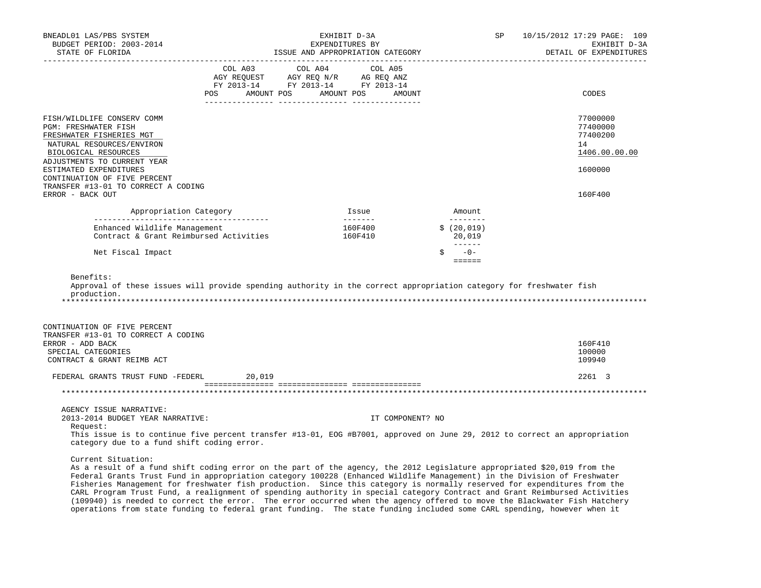| BNEADL01 LAS/PBS SYSTEM<br>BUDGET PERIOD: 2003-2014<br>STATE OF FLORIDA                                                                                                                                                                                                                                                                                                                                                                                                                                                         |                                  | EXHIBIT D-3A<br>EXPENDITURES BY<br>ISSUE AND APPROPRIATION CATEGORY                                                                                        |         |                  |                                    | SP | 10/15/2012 17:29 PAGE: 109<br>EXHIBIT D-3A<br>DETAIL OF EXPENDITURES |
|---------------------------------------------------------------------------------------------------------------------------------------------------------------------------------------------------------------------------------------------------------------------------------------------------------------------------------------------------------------------------------------------------------------------------------------------------------------------------------------------------------------------------------|----------------------------------|------------------------------------------------------------------------------------------------------------------------------------------------------------|---------|------------------|------------------------------------|----|----------------------------------------------------------------------|
|                                                                                                                                                                                                                                                                                                                                                                                                                                                                                                                                 | POS AMOUNT POS AMOUNT POS AMOUNT | $\begin{tabular}{lcccc} COL A03 & COL A04 & COL A05 \\ AGY REQUEST & AGY REQ N/R & AG REQ ANZ \\ FY & 2013-14 & FY & 2013-14 & FY & 2013-14 \end{tabular}$ |         |                  |                                    |    | CODES                                                                |
| FISH/WILDLIFE CONSERV COMM<br>PGM: FRESHWATER FISH<br>FRESHWATER FISHERIES MGT<br>NATURAL RESOURCES/ENVIRON<br>BIOLOGICAL RESOURCES                                                                                                                                                                                                                                                                                                                                                                                             |                                  |                                                                                                                                                            |         |                  |                                    |    | 77000000<br>77400000<br>77400200<br>14<br>1406.00.00.00              |
| ADJUSTMENTS TO CURRENT YEAR<br>ESTIMATED EXPENDITURES<br>CONTINUATION OF FIVE PERCENT<br>TRANSFER #13-01 TO CORRECT A CODING                                                                                                                                                                                                                                                                                                                                                                                                    |                                  |                                                                                                                                                            |         |                  |                                    |    | 1600000                                                              |
| ERROR - BACK OUT                                                                                                                                                                                                                                                                                                                                                                                                                                                                                                                |                                  |                                                                                                                                                            |         |                  |                                    |    | 160F400                                                              |
| Appropriation Category                                                                                                                                                                                                                                                                                                                                                                                                                                                                                                          |                                  |                                                                                                                                                            | Issue   |                  | Amount                             |    |                                                                      |
| Enhanced Wildlife Management<br>Contract & Grant Reimbursed Activities                                                                                                                                                                                                                                                                                                                                                                                                                                                          |                                  | 160F410                                                                                                                                                    | 160F400 |                  | _________<br>\$(20, 019)<br>20,019 |    |                                                                      |
| Net Fiscal Impact                                                                                                                                                                                                                                                                                                                                                                                                                                                                                                               |                                  |                                                                                                                                                            |         |                  | $S = -0 -$<br>$= = = = = = =$      |    |                                                                      |
| Benefits:<br>Approval of these issues will provide spending authority in the correct appropriation category for freshwater fish<br>production.                                                                                                                                                                                                                                                                                                                                                                                  |                                  |                                                                                                                                                            |         |                  |                                    |    |                                                                      |
| CONTINUATION OF FIVE PERCENT<br>TRANSFER #13-01 TO CORRECT A CODING                                                                                                                                                                                                                                                                                                                                                                                                                                                             |                                  |                                                                                                                                                            |         |                  |                                    |    |                                                                      |
| ERROR - ADD BACK<br>SPECIAL CATEGORIES<br>CONTRACT & GRANT REIMB ACT                                                                                                                                                                                                                                                                                                                                                                                                                                                            |                                  |                                                                                                                                                            |         |                  |                                    |    | 160F410<br>100000<br>109940                                          |
| FEDERAL GRANTS TRUST FUND -FEDERL 20,019                                                                                                                                                                                                                                                                                                                                                                                                                                                                                        |                                  |                                                                                                                                                            |         |                  |                                    |    | 2261 3                                                               |
|                                                                                                                                                                                                                                                                                                                                                                                                                                                                                                                                 |                                  |                                                                                                                                                            |         |                  |                                    |    |                                                                      |
| AGENCY ISSUE NARRATIVE:<br>2013-2014 BUDGET YEAR NARRATIVE:<br>Request:<br>This issue is to continue five percent transfer #13-01, EOG #B7001, approved on June 29, 2012 to correct an appropriation<br>category due to a fund shift coding error.                                                                                                                                                                                                                                                                              |                                  |                                                                                                                                                            |         | IT COMPONENT? NO |                                    |    |                                                                      |
| Current Situation:<br>As a result of a fund shift coding error on the part of the agency, the 2012 Legislature appropriated \$20,019 from the<br>Federal Grants Trust Fund in appropriation category 100228 (Enhanced Wildlife Management) in the Division of Freshwater<br>Fisheries Management for freshwater fish production. Since this category is normally reserved for expenditures from the<br>Out program Trust Fund a realignment of grounding outbority in groatel actogeny Contract and Creat Beimburged Activities |                                  |                                                                                                                                                            |         |                  |                                    |    |                                                                      |

 CARL Program Trust Fund, a realignment of spending authority in special category Contract and Grant Reimbursed Activities (109940) is needed to correct the error. The error occurred when the agency offered to move the Blackwater Fish Hatchery operations from state funding to federal grant funding. The state funding included some CARL spending, however when it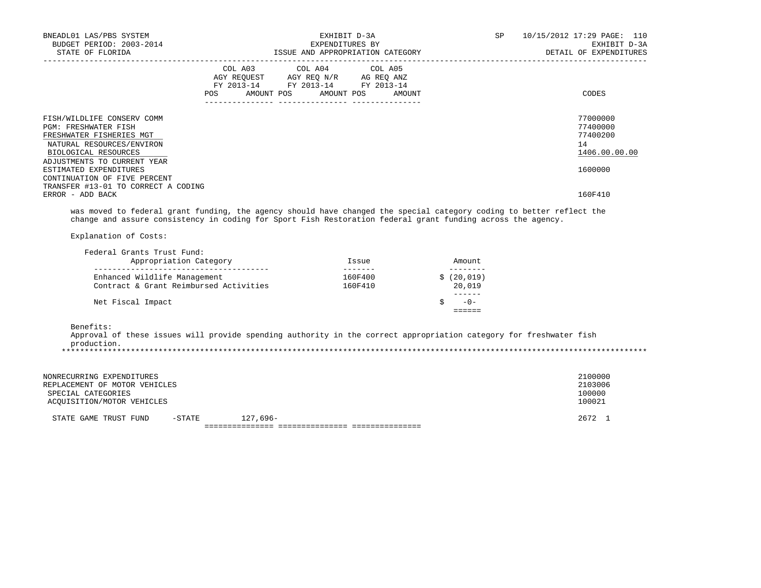| BNEADL01 LAS/PBS SYSTEM<br>BUDGET PERIOD: 2003-2014<br>STATE OF FLORIDA                                                                          | EXHIBIT D-3A<br>EXPENDITURES BY                                                                                                       | ISSUE AND APPROPRIATION CATEGORY | SP | 10/15/2012 17:29 PAGE: 110<br>EXHIBIT D-3A<br>DETAIL OF EXPENDITURES |
|--------------------------------------------------------------------------------------------------------------------------------------------------|---------------------------------------------------------------------------------------------------------------------------------------|----------------------------------|----|----------------------------------------------------------------------|
|                                                                                                                                                  | COL A03 COL A04 COL A05<br>AGY REQUEST AGY REQ N/R AG REQ ANZ<br>FY 2013-14 FY 2013-14 FY 2013-14<br>POS AMOUNT POS AMOUNT POS AMOUNT |                                  |    | CODES                                                                |
| FISH/WILDLIFE CONSERV COMM<br><b>PGM: FRESHWATER FISH</b><br>FRESHWATER FISHERIES MGT<br>NATURAL RESOURCES/ENVIRON<br>BIOLOGICAL RESOURCES       |                                                                                                                                       |                                  |    | 77000000<br>77400000<br>77400200<br>14<br>1406.00.00.00              |
| ADJUSTMENTS TO CURRENT YEAR<br>ESTIMATED EXPENDITURES<br>CONTINUATION OF FIVE PERCENT<br>TRANSFER #13-01 TO CORRECT A CODING<br>ERROR - ADD BACK |                                                                                                                                       |                                  |    | 1600000<br>160F410                                                   |

 was moved to federal grant funding, the agency should have changed the special category coding to better reflect the change and assure consistency in coding for Sport Fish Restoration federal grant funding across the agency.

Explanation of Costs:

| Federal Grants Trust Fund:<br>Appropriation Category                   | Issue              | Amount              |
|------------------------------------------------------------------------|--------------------|---------------------|
| Enhanced Wildlife Management<br>Contract & Grant Reimbursed Activities | 160F400<br>160F410 | (20, 019)<br>20,019 |
| Net Fiscal Impact                                                      |                    | $-0-$               |

Benefits:

 Approval of these issues will provide spending authority in the correct appropriation category for freshwater fish production. \*\*\*\*\*\*\*\*\*\*\*\*\*\*\*\*\*\*\*\*\*\*\*\*\*\*\*\*\*\*\*\*\*\*\*\*\*\*\*\*\*\*\*\*\*\*\*\*\*\*\*\*\*\*\*\*\*\*\*\*\*\*\*\*\*\*\*\*\*\*\*\*\*\*\*\*\*\*\*\*\*\*\*\*\*\*\*\*\*\*\*\*\*\*\*\*\*\*\*\*\*\*\*\*\*\*\*\*\*\*\*\*\*\*\*\*\*\*\*\*\*\*\*\*\*\*\*

| NONRECURRING EXPENDITURES<br>REPLACEMENT OF MOTOR VEHICLES<br>SPECIAL CATEGORIES<br>ACOUISITION/MOTOR VEHICLES |        |            | 2100000<br>2103006<br>100000<br>100021 |
|----------------------------------------------------------------------------------------------------------------|--------|------------|----------------------------------------|
| STATE GAME TRUST FUND                                                                                          | -STATE | $127.696-$ | 2672 1                                 |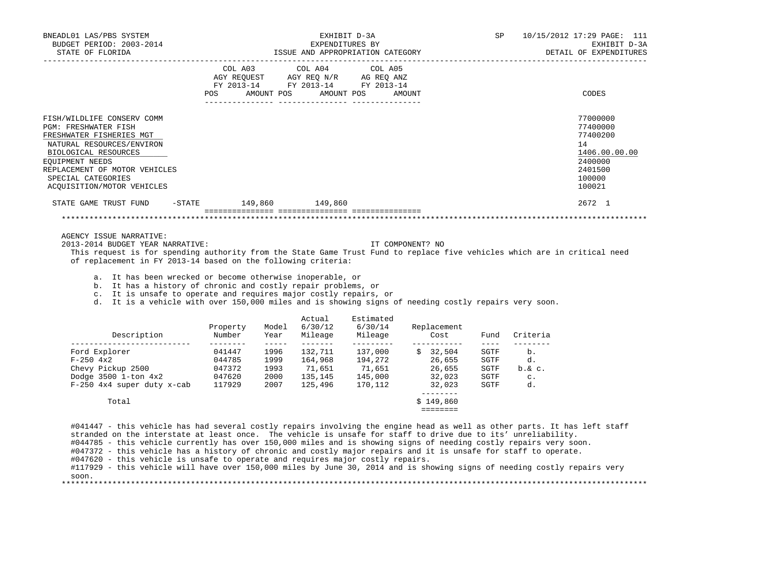| BNEADL01 LAS/PBS SYSTEM<br>BUDGET PERIOD: 2003-2014<br>STATE OF FLORIDA                                                                                                                                                                                                                                                                                                                                                                                                                                                                                              |                                                                                                                           |                                                                                                                                                                                                                                                                                                                                                                                              |                                  | EXHIBIT D-3A<br>EXPENDITURES BY<br>ISSUE AND APPROPRIATION CATEGORY               |                                | SP                                                  | ------------------------                                 | 10/15/2012 17:29 PAGE: 111<br>EXHIBIT D-3A<br>DETAIL OF EXPENDITURES                              |
|----------------------------------------------------------------------------------------------------------------------------------------------------------------------------------------------------------------------------------------------------------------------------------------------------------------------------------------------------------------------------------------------------------------------------------------------------------------------------------------------------------------------------------------------------------------------|---------------------------------------------------------------------------------------------------------------------------|----------------------------------------------------------------------------------------------------------------------------------------------------------------------------------------------------------------------------------------------------------------------------------------------------------------------------------------------------------------------------------------------|----------------------------------|-----------------------------------------------------------------------------------|--------------------------------|-----------------------------------------------------|----------------------------------------------------------|---------------------------------------------------------------------------------------------------|
|                                                                                                                                                                                                                                                                                                                                                                                                                                                                                                                                                                      | COL A03<br>POS FOR THE POST OF THE STATE STATE STATE STATE STATE STATE STATE STATE STATE STATE STATE STATE STATE STATE ST |                                                                                                                                                                                                                                                                                                                                                                                              | COL A04<br>AMOUNT POS AMOUNT POS | COL A05<br>AGY REQUEST AGY REQ N/R AG REQ ANZ<br>FY 2013-14 FY 2013-14 FY 2013-14 | AMOUNT                         |                                                     |                                                          | CODES                                                                                             |
| FISH/WILDLIFE CONSERV COMM<br>PGM: FRESHWATER FISH<br>FRESHWATER FISHERIES MGT<br>NATURAL RESOURCES/ENVIRON<br>BIOLOGICAL RESOURCES<br>EOUIPMENT NEEDS<br>REPLACEMENT OF MOTOR VEHICLES<br>SPECIAL CATEGORIES<br>ACQUISITION/MOTOR VEHICLES                                                                                                                                                                                                                                                                                                                          |                                                                                                                           |                                                                                                                                                                                                                                                                                                                                                                                              |                                  |                                                                                   |                                |                                                     |                                                          | 77000000<br>77400000<br>77400200<br>14<br>1406.00.00.00<br>2400000<br>2401500<br>100000<br>100021 |
| STATE GAME TRUST FUND                                                                                                                                                                                                                                                                                                                                                                                                                                                                                                                                                | $-$ STATE $149,860$                                                                                                       |                                                                                                                                                                                                                                                                                                                                                                                              | 149,860                          |                                                                                   |                                |                                                     |                                                          | 2672 1                                                                                            |
|                                                                                                                                                                                                                                                                                                                                                                                                                                                                                                                                                                      |                                                                                                                           |                                                                                                                                                                                                                                                                                                                                                                                              |                                  |                                                                                   |                                |                                                     |                                                          |                                                                                                   |
| 2013-2014 BUDGET YEAR NARRATIVE:<br>This request is for spending authority from the State Game Trust Fund to replace five vehicles which are in critical need<br>of replacement in FY 2013-14 based on the following criteria:<br>a. It has been wrecked or become otherwise inoperable, or<br>b. It has a history of chronic and costly repair problems, or<br>c. It is unsafe to operate and requires major costly repairs, or<br>d. It is a vehicle with over 150,000 miles and is showing signs of needing costly repairs very soon.                             |                                                                                                                           |                                                                                                                                                                                                                                                                                                                                                                                              |                                  |                                                                                   | IT COMPONENT? NO               |                                                     |                                                          |                                                                                                   |
| Description                                                                                                                                                                                                                                                                                                                                                                                                                                                                                                                                                          | Property<br>Number                                                                                                        | Model<br>Year                                                                                                                                                                                                                                                                                                                                                                                | Actual<br>6/30/12                | Estimated<br>6/30/14<br>Mileage Mileage                                           | Replacement<br>Cost            | Fund                                                | Criteria                                                 |                                                                                                   |
| _____________________________<br>$\begin{tabular}{lcccccc} \textbf{Ford} \textbf{Explorer} & 041447 & 1996 & 132,711 & 137,000 & $\$ & 32,504 \\ \textbf{F-250 4x2} & 044785 & 1999 & 164,968 & 194,272 & 26,655 \\ \textbf{Cheyy Pickup 2500} & 047372 & 1993 & 71,651 & 71,651 & 26,655 \\ \textbf{Dodge 3500 1-ton 4x2} & 047620 & 2000 & 135,145 &$                                                                                                                                                                                                              | $- - - - - - - - -$                                                                                                       | $\frac{1}{2} \frac{1}{2} \frac{1}{2} \frac{1}{2} \frac{1}{2} \frac{1}{2} \frac{1}{2} \frac{1}{2} \frac{1}{2} \frac{1}{2} \frac{1}{2} \frac{1}{2} \frac{1}{2} \frac{1}{2} \frac{1}{2} \frac{1}{2} \frac{1}{2} \frac{1}{2} \frac{1}{2} \frac{1}{2} \frac{1}{2} \frac{1}{2} \frac{1}{2} \frac{1}{2} \frac{1}{2} \frac{1}{2} \frac{1}{2} \frac{1}{2} \frac{1}{2} \frac{1}{2} \frac{1}{2} \frac{$ |                                  |                                                                                   | ___________<br>_________       | $- - - - -$<br>SGTF<br>SGTF<br>SGTF<br>SGTF<br>SGTF | ________<br>b.<br>d.<br>$b.\&c.$<br>$\mathbb{C}$ .<br>d. |                                                                                                   |
| Total                                                                                                                                                                                                                                                                                                                                                                                                                                                                                                                                                                |                                                                                                                           |                                                                                                                                                                                                                                                                                                                                                                                              |                                  |                                                                                   | \$149,860<br>$=$ = = = = = = = |                                                     |                                                          |                                                                                                   |
| #041447 - this vehicle has had several costly repairs involving the engine head as well as other parts. It has left staff<br>stranded on the interstate at least once. The vehicle is unsafe for staff to drive due to its' unreliability.<br>#044785 - this vehicle currently has over 150,000 miles and is showing signs of needing costly repairs very soon.<br>#047372 - this vehicle has a history of chronic and costly major repairs and it is unsafe for staff to operate.<br>#047620 - this vehicle is unsafe to operate and requires major costly repairs. |                                                                                                                           |                                                                                                                                                                                                                                                                                                                                                                                              |                                  |                                                                                   |                                |                                                     |                                                          |                                                                                                   |

 #117929 - this vehicle will have over 150,000 miles by June 30, 2014 and is showing signs of needing costly repairs very soon.

\*\*\*\*\*\*\*\*\*\*\*\*\*\*\*\*\*\*\*\*\*\*\*\*\*\*\*\*\*\*\*\*\*\*\*\*\*\*\*\*\*\*\*\*\*\*\*\*\*\*\*\*\*\*\*\*\*\*\*\*\*\*\*\*\*\*\*\*\*\*\*\*\*\*\*\*\*\*\*\*\*\*\*\*\*\*\*\*\*\*\*\*\*\*\*\*\*\*\*\*\*\*\*\*\*\*\*\*\*\*\*\*\*\*\*\*\*\*\*\*\*\*\*\*\*\*\*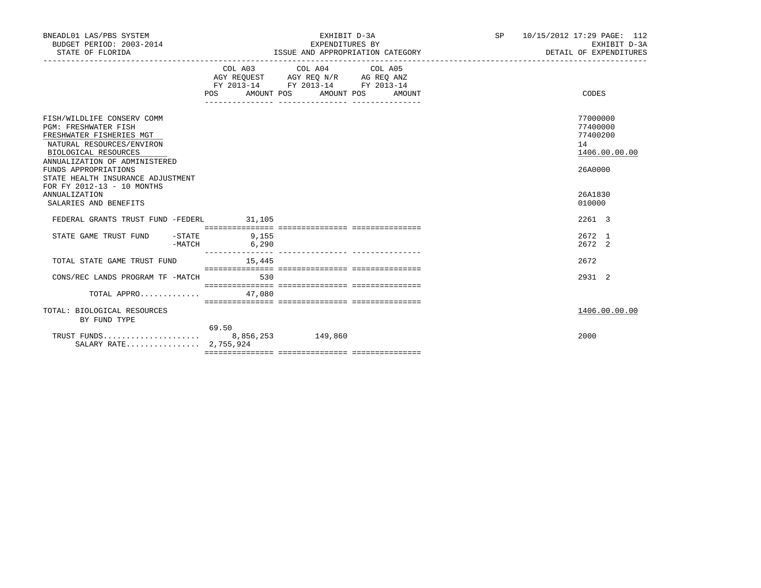| BNEADL01 LAS/PBS SYSTEM<br>BUDGET PERIOD: 2003-2014<br>STATE OF FLORIDA                                                                                                                                                                                                |                   | EXHIBIT D-3A<br>EXPENDITURES BY<br>ISSUE AND APPROPRIATION CATEGORY                                                       | SP | 10/15/2012 17:29 PAGE: 112<br>EXHIBIT D-3A<br>DETAIL OF EXPENDITURES |
|------------------------------------------------------------------------------------------------------------------------------------------------------------------------------------------------------------------------------------------------------------------------|-------------------|---------------------------------------------------------------------------------------------------------------------------|----|----------------------------------------------------------------------|
|                                                                                                                                                                                                                                                                        | AMOUNT POS<br>POS | COL A03 COL A04 COL A05<br>AGY REOUEST AGY REO N/R AG REO ANZ<br>FY 2013-14 FY 2013-14 FY 2013-14<br>AMOUNT POS<br>AMOUNT |    | CODES                                                                |
| FISH/WILDLIFE CONSERV COMM<br><b>PGM: FRESHWATER FISH</b><br>FRESHWATER FISHERIES MGT<br>NATURAL RESOURCES/ENVIRON<br>BIOLOGICAL RESOURCES<br>ANNUALIZATION OF ADMINISTERED<br>FUNDS APPROPRIATIONS<br>STATE HEALTH INSURANCE ADJUSTMENT<br>FOR FY 2012-13 - 10 MONTHS |                   |                                                                                                                           |    | 77000000<br>77400000<br>77400200<br>14<br>1406.00.00.00<br>26A0000   |
| <b>ANNUALIZATION</b><br>SALARIES AND BENEFITS                                                                                                                                                                                                                          |                   |                                                                                                                           |    | 26A1830<br>010000                                                    |
| FEDERAL GRANTS TRUST FUND -FEDERL 31,105                                                                                                                                                                                                                               |                   |                                                                                                                           |    | 2261 3                                                               |
| STATE GAME TRUST FUND<br>$-$ STATE<br>-MATCH                                                                                                                                                                                                                           | 9,155<br>6,290    | ___________________________________                                                                                       |    | 2672 1<br>2672 2                                                     |
| TOTAL STATE GAME TRUST FUND                                                                                                                                                                                                                                            | 15,445            |                                                                                                                           |    | 2672                                                                 |
| CONS/REC LANDS PROGRAM TF -MATCH                                                                                                                                                                                                                                       | 530               |                                                                                                                           |    | 2931 2                                                               |
| TOTAL APPRO                                                                                                                                                                                                                                                            | 47,080            |                                                                                                                           |    |                                                                      |
| TOTAL: BIOLOGICAL RESOURCES<br>BY FUND TYPE                                                                                                                                                                                                                            |                   |                                                                                                                           |    | 1406.00.00.00                                                        |
| SALARY RATE 2,755,924                                                                                                                                                                                                                                                  | 69.50             |                                                                                                                           |    | 2000                                                                 |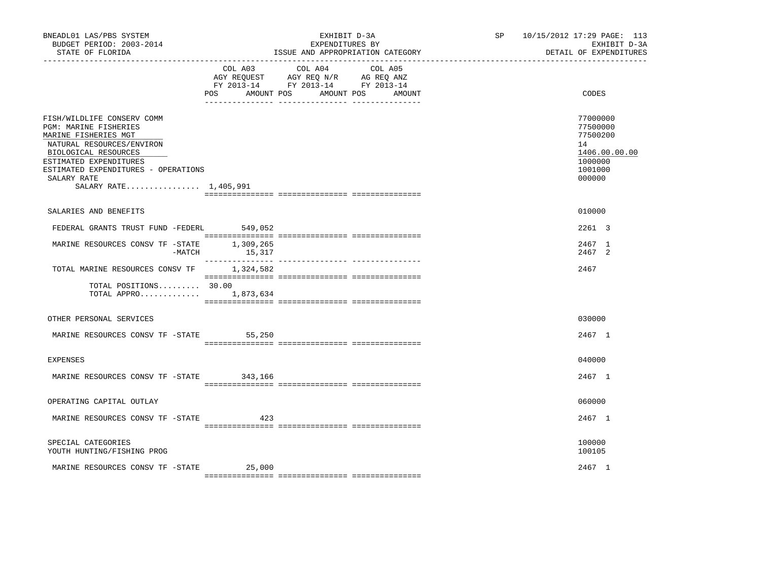| BNEADL01 LAS/PBS SYSTEM<br>BUDGET PERIOD: 2003-2014<br>STATE OF FLORIDA                                                                                                                                                                   |                          | EXHIBIT D-3A<br>EXPENDITURES BY<br>ISSUE AND APPROPRIATION CATEGORY                                                       | SP 10/15/2012 17:29 PAGE: 113<br>EXHIBIT D-3A<br>DETAIL OF EXPENDITURES                 |
|-------------------------------------------------------------------------------------------------------------------------------------------------------------------------------------------------------------------------------------------|--------------------------|---------------------------------------------------------------------------------------------------------------------------|-----------------------------------------------------------------------------------------|
|                                                                                                                                                                                                                                           | <b>POS</b><br>AMOUNT POS | COL A03 COL A04 COL A05<br>AGY REQUEST AGY REQ N/R AG REQ ANZ<br>FY 2013-14 FY 2013-14 FY 2013-14<br>AMOUNT POS<br>AMOUNT | CODES                                                                                   |
| FISH/WILDLIFE CONSERV COMM<br>PGM: MARINE FISHERIES<br>MARINE FISHERIES MGT<br>NATURAL RESOURCES/ENVIRON<br>BIOLOGICAL RESOURCES<br>ESTIMATED EXPENDITURES<br>ESTIMATED EXPENDITURES - OPERATIONS<br>SALARY RATE<br>SALARY RATE 1,405,991 |                          |                                                                                                                           | 77000000<br>77500000<br>77500200<br>14<br>1406.00.00.00<br>1000000<br>1001000<br>000000 |
| SALARIES AND BENEFITS                                                                                                                                                                                                                     |                          |                                                                                                                           | 010000                                                                                  |
| FEDERAL GRANTS TRUST FUND -FEDERL 549,052                                                                                                                                                                                                 |                          |                                                                                                                           | 2261 3                                                                                  |
| MARINE RESOURCES CONSV TF - STATE 1,309,265<br>$-MATCH$                                                                                                                                                                                   | 15,317                   |                                                                                                                           | 2467 1<br>2467 2                                                                        |
| TOTAL MARINE RESOURCES CONSV TF                                                                                                                                                                                                           | 1,324,582                |                                                                                                                           | 2467                                                                                    |
| TOTAL POSITIONS 30.00<br>TOTAL APPRO $1,873,634$                                                                                                                                                                                          |                          |                                                                                                                           |                                                                                         |
| OTHER PERSONAL SERVICES                                                                                                                                                                                                                   |                          |                                                                                                                           | 030000                                                                                  |
| MARINE RESOURCES CONSV TF -STATE 55,250                                                                                                                                                                                                   |                          |                                                                                                                           | 2467 1                                                                                  |
| EXPENSES                                                                                                                                                                                                                                  |                          |                                                                                                                           | 040000                                                                                  |
| MARINE RESOURCES CONSV TF - STATE 343,166                                                                                                                                                                                                 |                          |                                                                                                                           | 2467 1                                                                                  |
| OPERATING CAPITAL OUTLAY                                                                                                                                                                                                                  |                          |                                                                                                                           | 060000                                                                                  |
| MARINE RESOURCES CONSV TF -STATE 423                                                                                                                                                                                                      |                          |                                                                                                                           | 2467 1                                                                                  |
| SPECIAL CATEGORIES<br>YOUTH HUNTING/FISHING PROG                                                                                                                                                                                          |                          |                                                                                                                           | 100000<br>100105                                                                        |
| MARINE RESOURCES CONSV TF - STATE 25,000                                                                                                                                                                                                  |                          |                                                                                                                           | 2467 1                                                                                  |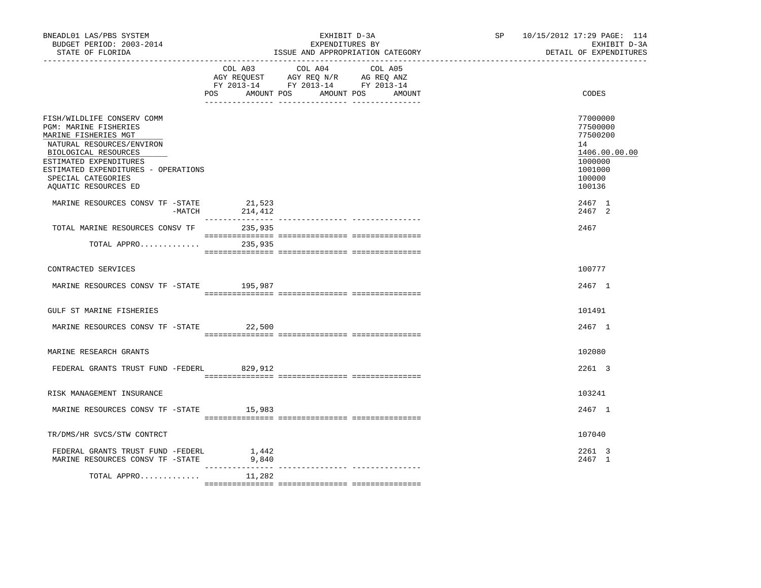| BNEADL01 LAS/PBS SYSTEM<br>BUDGET PERIOD: 2003-2014<br>STATE OF FLORIDA                                                                                                                           | EXHIBIT D-3A<br>EXPENDITURES BY<br>ISSUE AND APPROPRIATION CATEGORY                                                                            | SP 10/15/2012 17:29 PAGE: 114<br>EXHIBIT D-3A<br>DETAIL OF EXPENDITURES       |
|---------------------------------------------------------------------------------------------------------------------------------------------------------------------------------------------------|------------------------------------------------------------------------------------------------------------------------------------------------|-------------------------------------------------------------------------------|
|                                                                                                                                                                                                   | COL A03 COL A04 COL A05<br>AGY REQUEST AGY REQ N/R AG REQ ANZ<br>FY 2013-14 FY 2013-14 FY 2013-14<br>POS<br>AMOUNT POS<br>AMOUNT POS<br>AMOUNT | CODES                                                                         |
| FISH/WILDLIFE CONSERV COMM<br>PGM: MARINE FISHERIES<br>MARINE FISHERIES MGT<br>NATURAL RESOURCES/ENVIRON<br>BIOLOGICAL RESOURCES<br>ESTIMATED EXPENDITURES<br>ESTIMATED EXPENDITURES - OPERATIONS |                                                                                                                                                | 77000000<br>77500000<br>77500200<br>14<br>1406.00.00.00<br>1000000<br>1001000 |
| SPECIAL CATEGORIES<br>AOUATIC RESOURCES ED                                                                                                                                                        |                                                                                                                                                | 100000<br>100136                                                              |
| MARINE RESOURCES CONSV TF -STATE<br>-MATCH                                                                                                                                                        | 21,523<br>214,412                                                                                                                              | 2467 1<br>2467 2                                                              |
| TOTAL MARINE RESOURCES CONSV TF                                                                                                                                                                   | 235,935                                                                                                                                        | 2467                                                                          |
| TOTAL APPRO                                                                                                                                                                                       | 235,935                                                                                                                                        |                                                                               |
| CONTRACTED SERVICES                                                                                                                                                                               |                                                                                                                                                | 100777                                                                        |
| MARINE RESOURCES CONSV TF - STATE 195,987                                                                                                                                                         |                                                                                                                                                | 2467 1                                                                        |
| GULF ST MARINE FISHERIES                                                                                                                                                                          |                                                                                                                                                | 101491                                                                        |
| MARINE RESOURCES CONSV TF -STATE 22,500                                                                                                                                                           |                                                                                                                                                | 2467 1                                                                        |
| MARINE RESEARCH GRANTS                                                                                                                                                                            |                                                                                                                                                | 102080                                                                        |
| FEDERAL GRANTS TRUST FUND -FEDERL                                                                                                                                                                 | 829,912                                                                                                                                        | 2261 3                                                                        |
| RISK MANAGEMENT INSURANCE                                                                                                                                                                         |                                                                                                                                                | 103241                                                                        |
| MARINE RESOURCES CONSV TF -STATE 15,983                                                                                                                                                           |                                                                                                                                                | 2467 1                                                                        |
| TR/DMS/HR SVCS/STW CONTRCT                                                                                                                                                                        |                                                                                                                                                | 107040                                                                        |
| FEDERAL GRANTS TRUST FUND -FEDERL<br>MARINE RESOURCES CONSV TF -STATE                                                                                                                             | 1,442<br>9,840                                                                                                                                 | 2261 3<br>2467 1                                                              |
| TOTAL APPRO                                                                                                                                                                                       | 11,282                                                                                                                                         |                                                                               |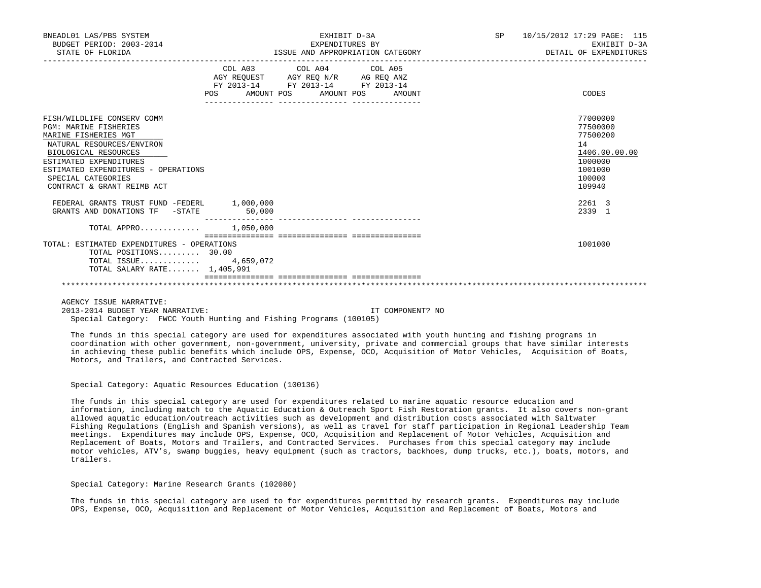| BNEADL01 LAS/PBS SYSTEM<br>BUDGET PERIOD: 2003-2014<br>STATE OF FLORIDA                                                                                                                                                                                      |                           | EXHIBIT D-3A<br>EXPENDITURES BY<br>ISSUE AND APPROPRIATION CATEGORY                               |        | SP <sub>3</sub> | 10/15/2012 17:29 PAGE: 115<br>EXHIBIT D-3A<br>DETAIL OF EXPENDITURES                              |
|--------------------------------------------------------------------------------------------------------------------------------------------------------------------------------------------------------------------------------------------------------------|---------------------------|---------------------------------------------------------------------------------------------------|--------|-----------------|---------------------------------------------------------------------------------------------------|
|                                                                                                                                                                                                                                                              | POS AMOUNT POS AMOUNT POS | COL A03 COL A04 COL A05<br>AGY REQUEST AGY REQ N/R AG REQ ANZ<br>FY 2013-14 FY 2013-14 FY 2013-14 | AMOUNT |                 | CODES                                                                                             |
| FISH/WILDLIFE CONSERV COMM<br><b>PGM: MARINE FISHERIES</b><br>MARINE FISHERIES MGT<br>NATURAL RESOURCES/ENVIRON<br>BIOLOGICAL RESOURCES<br>ESTIMATED EXPENDITURES<br>ESTIMATED EXPENDITURES - OPERATIONS<br>SPECIAL CATEGORIES<br>CONTRACT & GRANT REIMB ACT |                           |                                                                                                   |        |                 | 77000000<br>77500000<br>77500200<br>14<br>1406.00.00.00<br>1000000<br>1001000<br>100000<br>109940 |
| FEDERAL GRANTS TRUST FUND -FEDERL 1,000,000<br>GRANTS AND DONATIONS TF - STATE                                                                                                                                                                               | 50,000                    |                                                                                                   |        |                 | 2261 3<br>2339 1                                                                                  |
| TOTAL APPRO $1,050,000$                                                                                                                                                                                                                                      |                           |                                                                                                   |        |                 |                                                                                                   |
| TOTAL: ESTIMATED EXPENDITURES - OPERATIONS<br>TOTAL POSITIONS 30.00<br>TOTAL ISSUE $4,659,072$<br>TOTAL SALARY RATE 1,405,991                                                                                                                                |                           |                                                                                                   |        |                 | 1001000                                                                                           |
|                                                                                                                                                                                                                                                              |                           |                                                                                                   |        |                 |                                                                                                   |

AGENCY ISSUE NARRATIVE:

 2013-2014 BUDGET YEAR NARRATIVE: IT COMPONENT? NO Special Category: FWCC Youth Hunting and Fishing Programs (100105)

 The funds in this special category are used for expenditures associated with youth hunting and fishing programs in coordination with other government, non-government, university, private and commercial groups that have similar interests in achieving these public benefits which include OPS, Expense, OCO, Acquisition of Motor Vehicles, Acquisition of Boats, Motors, and Trailers, and Contracted Services.

Special Category: Aquatic Resources Education (100136)

 The funds in this special category are used for expenditures related to marine aquatic resource education and information, including match to the Aquatic Education & Outreach Sport Fish Restoration grants. It also covers non-grant allowed aquatic education/outreach activities such as development and distribution costs associated with Saltwater Fishing Regulations (English and Spanish versions), as well as travel for staff participation in Regional Leadership Team meetings. Expenditures may include OPS, Expense, OCO, Acquisition and Replacement of Motor Vehicles, Acquisition and Replacement of Boats, Motors and Trailers, and Contracted Services. Purchases from this special category may include motor vehicles, ATV's, swamp buggies, heavy equipment (such as tractors, backhoes, dump trucks, etc.), boats, motors, and trailers.

Special Category: Marine Research Grants (102080)

 The funds in this special category are used to for expenditures permitted by research grants. Expenditures may include OPS, Expense, OCO, Acquisition and Replacement of Motor Vehicles, Acquisition and Replacement of Boats, Motors and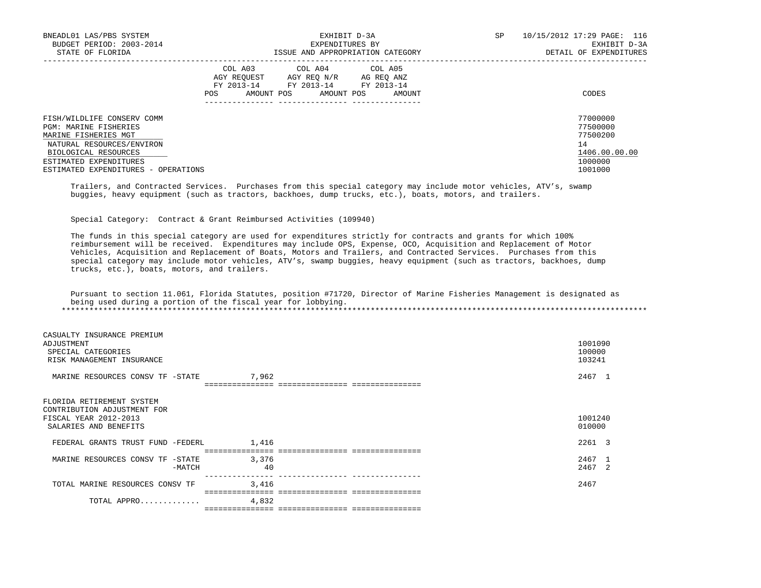| BNEADL01 LAS/PBS SYSTEM<br>BUDGET PERIOD: 2003-2014<br>STATE OF FLORIDA                                                          | EXHIBIT D-3A<br>EXPENDITURES BY<br>ISSUE AND APPROPRIATION CATEGORY                                                                                     | SP<br>10/15/2012 17:29 PAGE: 116<br>EXHIBIT D-3A<br>DETAIL OF EXPENDITURES |
|----------------------------------------------------------------------------------------------------------------------------------|---------------------------------------------------------------------------------------------------------------------------------------------------------|----------------------------------------------------------------------------|
|                                                                                                                                  | COL A03 COL A04 COL A05<br>AGY REOUEST<br>AGY REO N/R<br>AG REO ANZ<br>FY 2013-14<br>FY 2013-14 FY 2013-14<br>AMOUNT POS<br>AMOUNT POS<br>POS<br>AMOUNT | CODES                                                                      |
| FISH/WILDLIFE CONSERV COMM<br>PGM: MARINE FISHERIES<br>MARINE FISHERIES MGT<br>NATURAL RESOURCES/ENVIRON<br>BIOLOGICAL RESOURCES |                                                                                                                                                         | 77000000<br>77500000<br>77500200<br>14<br>1406.00.00.00                    |
| ESTIMATED EXPENDITURES<br>ESTIMATED EXPENDITURES - OPERATIONS                                                                    |                                                                                                                                                         | 1000000<br>1001000                                                         |

 Trailers, and Contracted Services. Purchases from this special category may include motor vehicles, ATV's, swamp buggies, heavy equipment (such as tractors, backhoes, dump trucks, etc.), boats, motors, and trailers.

Special Category: Contract & Grant Reimbursed Activities (109940)

 The funds in this special category are used for expenditures strictly for contracts and grants for which 100% reimbursement will be received. Expenditures may include OPS, Expense, OCO, Acquisition and Replacement of Motor Vehicles, Acquisition and Replacement of Boats, Motors and Trailers, and Contracted Services. Purchases from this special category may include motor vehicles, ATV's, swamp buggies, heavy equipment (such as tractors, backhoes, dump trucks, etc.), boats, motors, and trailers.

 Pursuant to section 11.061, Florida Statutes, position #71720, Director of Marine Fisheries Management is designated as being used during a portion of the fiscal year for lobbying. \*\*\*\*\*\*\*\*\*\*\*\*\*\*\*\*\*\*\*\*\*\*\*\*\*\*\*\*\*\*\*\*\*\*\*\*\*\*\*\*\*\*\*\*\*\*\*\*\*\*\*\*\*\*\*\*\*\*\*\*\*\*\*\*\*\*\*\*\*\*\*\*\*\*\*\*\*\*\*\*\*\*\*\*\*\*\*\*\*\*\*\*\*\*\*\*\*\*\*\*\*\*\*\*\*\*\*\*\*\*\*\*\*\*\*\*\*\*\*\*\*\*\*\*\*\*\*

| CASUALTY INSURANCE PREMIUM<br>ADJUSTMENT<br>SPECIAL CATEGORIES<br>RISK MANAGEMENT INSURANCE                |          |       | 1001090<br>100000<br>103241 |  |
|------------------------------------------------------------------------------------------------------------|----------|-------|-----------------------------|--|
| MARINE RESOURCES CONSV TF -STATE                                                                           |          | 7,962 | 2467 1                      |  |
| FLORIDA RETIREMENT SYSTEM<br>CONTRIBUTION ADJUSTMENT FOR<br>FISCAL YEAR 2012-2013<br>SALARIES AND BENEFITS |          |       | 1001240<br>010000           |  |
| FEDERAL GRANTS TRUST FUND -FEDERL                                                                          |          | 1,416 | 2261 3                      |  |
|                                                                                                            |          |       | =========================== |  |
| MARINE RESOURCES CONSV TF -STATE                                                                           |          | 3,376 | 2467 1                      |  |
|                                                                                                            | $-MATCH$ | 40    | 2467 2                      |  |
| TOTAL MARINE RESOURCES CONSV TF                                                                            |          | 3,416 | 2467                        |  |
| TOTAL APPRO                                                                                                |          | 4,832 |                             |  |
|                                                                                                            |          |       |                             |  |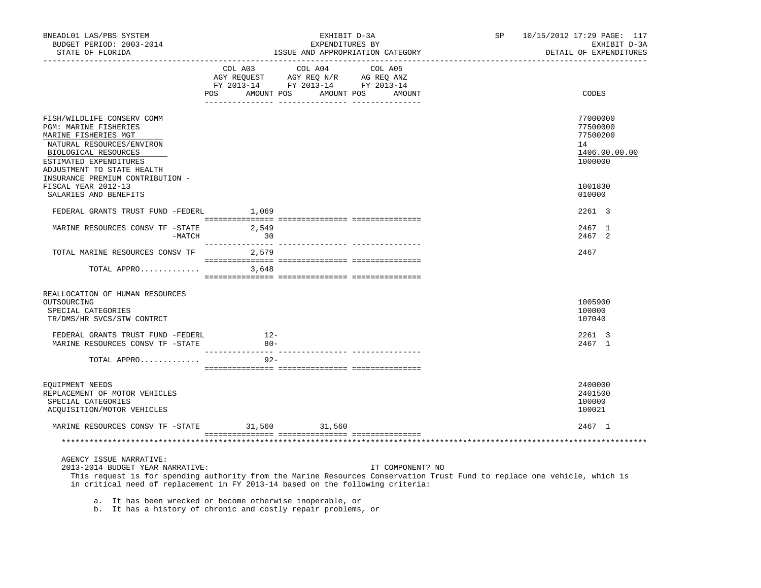| BNEADL01 LAS/PBS SYSTEM<br>BUDGET PERIOD: 2003-2014<br>STATE OF FLORIDA<br>_________________                                                                                             |                 | EXHIBIT D-3A<br>EXPENDITURES BY<br>ISSUE AND APPROPRIATION CATEGORY                                                                                                                                                             | SP | 10/15/2012 17:29 PAGE: 117<br>EXHIBIT D-3A<br>DETAIL OF EXPENDITURES |
|------------------------------------------------------------------------------------------------------------------------------------------------------------------------------------------|-----------------|---------------------------------------------------------------------------------------------------------------------------------------------------------------------------------------------------------------------------------|----|----------------------------------------------------------------------|
|                                                                                                                                                                                          |                 | $\begin{tabular}{lcccc} CDL A03 & CDL A04 & CDL A05 \\ AGY REQUEST & AGY REQ N/R & AG REQ ANZ \\ FY & 2013-14 & FY & 2013-14 & FY & 2013-14 \end{tabular}$                                                                      |    |                                                                      |
|                                                                                                                                                                                          |                 | POS AMOUNT POS AMOUNT POS AMOUNT                                                                                                                                                                                                |    | CODES                                                                |
| FISH/WILDLIFE CONSERV COMM<br>PGM: MARINE FISHERIES<br>MARINE FISHERIES MGT<br>NATURAL RESOURCES/ENVIRON<br>BIOLOGICAL RESOURCES<br>ESTIMATED EXPENDITURES<br>ADJUSTMENT TO STATE HEALTH |                 |                                                                                                                                                                                                                                 |    | 77000000<br>77500000<br>77500200<br>14<br>1406.00.00.00<br>1000000   |
| INSURANCE PREMIUM CONTRIBUTION -<br>FISCAL YEAR 2012-13<br>SALARIES AND BENEFITS                                                                                                         |                 |                                                                                                                                                                                                                                 |    | 1001830<br>010000                                                    |
| FEDERAL GRANTS TRUST FUND -FEDERL 1,069                                                                                                                                                  |                 |                                                                                                                                                                                                                                 |    | 2261 3                                                               |
| $\begin{tabular}{lllllll} \bf{MARK} & \bf{RES} \bf{OURCES} & \bf{CONSV} & \bf{TF} & -STATE & \bf{3,549} \\ & -\bf{MATCH} & \bf{30} \\ \end{tabular}$                                     |                 |                                                                                                                                                                                                                                 |    | 2467 1<br>2467 2                                                     |
| TOTAL MARINE RESOURCES CONSV TF 2,579                                                                                                                                                    |                 |                                                                                                                                                                                                                                 |    | 2467                                                                 |
| TOTAL APPRO                                                                                                                                                                              | 3,648           |                                                                                                                                                                                                                                 |    |                                                                      |
| REALLOCATION OF HUMAN RESOURCES<br>OUTSOURCING<br>SPECIAL CATEGORIES<br>TR/DMS/HR SVCS/STW CONTRCT                                                                                       |                 |                                                                                                                                                                                                                                 |    | 1005900<br>100000<br>107040                                          |
| FEDERAL GRANTS TRUST FUND -FEDERL<br>MARINE RESOURCES CONSV TF -STATE                                                                                                                    | $12-$<br>$80 -$ |                                                                                                                                                                                                                                 |    | 2261 3<br>2467 1                                                     |
| TOTAL APPRO                                                                                                                                                                              | $92 -$          |                                                                                                                                                                                                                                 |    |                                                                      |
| EQUIPMENT NEEDS<br>REPLACEMENT OF MOTOR VEHICLES<br>SPECIAL CATEGORIES<br>ACQUISITION/MOTOR VEHICLES                                                                                     |                 |                                                                                                                                                                                                                                 |    | 2400000<br>2401500<br>100000<br>100021                               |
| MARINE RESOURCES CONSV TF -STATE 31,560 31,560                                                                                                                                           |                 |                                                                                                                                                                                                                                 |    | 2467 1                                                               |
|                                                                                                                                                                                          |                 |                                                                                                                                                                                                                                 |    |                                                                      |
| AGENCY ISSUE NARRATIVE:<br>2013-2014 BUDGET YEAR NARRATIVE:                                                                                                                              |                 | IT COMPONENT? NO<br>This request is for spending authority from the Marine Resources Conservation Trust Fund to replace one vehicle, which is<br>in critical need of replacement in FY 2013-14 based on the following criteria: |    |                                                                      |

a. It has been wrecked or become otherwise inoperable, or

b. It has a history of chronic and costly repair problems, or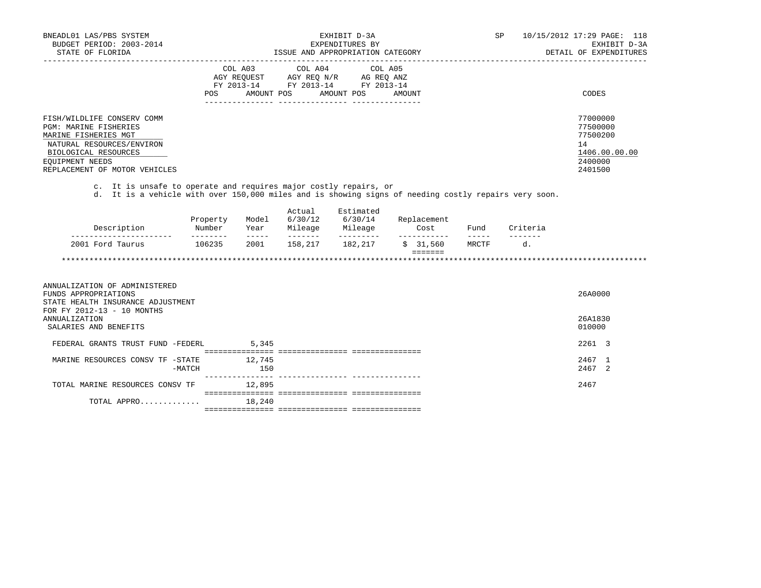| BNEADL01 LAS/PBS SYSTEM<br>BUDGET PERIOD: 2003-2014<br>STATE OF FLORIDA                                                                                                                                                                                         |          |                                                                                                                                                                                                                                                                                                                                                                                                                                                                                                 |                                                              | EXHIBIT D-3A<br>EXPENDITURES BY<br>ISSUE AND APPROPRIATION CATEGORY                                                                                                                                                   |        |                                    |                | SP                          | 10/15/2012 17:29 PAGE: 118<br>EXHIBIT D-3A<br>DETAIL OF EXPENDITURES          |
|-----------------------------------------------------------------------------------------------------------------------------------------------------------------------------------------------------------------------------------------------------------------|----------|-------------------------------------------------------------------------------------------------------------------------------------------------------------------------------------------------------------------------------------------------------------------------------------------------------------------------------------------------------------------------------------------------------------------------------------------------------------------------------------------------|--------------------------------------------------------------|-----------------------------------------------------------------------------------------------------------------------------------------------------------------------------------------------------------------------|--------|------------------------------------|----------------|-----------------------------|-------------------------------------------------------------------------------|
|                                                                                                                                                                                                                                                                 | POS      | COL A03<br>AMOUNT POS                                                                                                                                                                                                                                                                                                                                                                                                                                                                           | COL A04                                                      | COL A05<br>$\begin{tabular}{lllllll} AGY & \texttt{REQUEST} & \texttt{AGY} & \texttt{REG} & \texttt{N/R} & \texttt{AG} & \texttt{REQ} & \texttt{ANZ} \end{tabular}$<br>FY 2013-14 FY 2013-14 FY 2013-14<br>AMOUNT POS | AMOUNT |                                    |                |                             | CODES                                                                         |
| FISH/WILDLIFE CONSERV COMM<br><b>PGM: MARINE FISHERIES</b><br>MARINE FISHERIES MGT<br>NATURAL RESOURCES/ENVIRON<br>BIOLOGICAL RESOURCES<br>EQUIPMENT NEEDS<br>REPLACEMENT OF MOTOR VEHICLES<br>c. It is unsafe to operate and requires major costly repairs, or |          |                                                                                                                                                                                                                                                                                                                                                                                                                                                                                                 |                                                              |                                                                                                                                                                                                                       |        |                                    |                |                             | 77000000<br>77500000<br>77500200<br>14<br>1406.00.00.00<br>2400000<br>2401500 |
| d. It is a vehicle with over 150,000 miles and is showing signs of needing costly repairs very soon.                                                                                                                                                            |          |                                                                                                                                                                                                                                                                                                                                                                                                                                                                                                 |                                                              |                                                                                                                                                                                                                       |        |                                    |                |                             |                                                                               |
| Description                                                                                                                                                                                                                                                     | Property | Model<br>$\begin{array}{cccccccccc} \multicolumn{2}{c}{} & \multicolumn{2}{c}{} & \multicolumn{2}{c}{} & \multicolumn{2}{c}{} & \multicolumn{2}{c}{} & \multicolumn{2}{c}{} & \multicolumn{2}{c}{} & \multicolumn{2}{c}{} & \multicolumn{2}{c}{} & \multicolumn{2}{c}{} & \multicolumn{2}{c}{} & \multicolumn{2}{c}{} & \multicolumn{2}{c}{} & \multicolumn{2}{c}{} & \multicolumn{2}{c}{} & \multicolumn{2}{c}{} & \multicolumn{2}{c}{} & \multicolumn{2}{c}{} & \multicolumn{2}{c}{} & \mult$ | Actual<br>6/30/12<br><u> 1980 - Albert Albert III (d. 19</u> | Estimated<br>6/30/14<br>Number Year Mileage Mileage<br>----------                                                                                                                                                     |        | Replacement<br>Cost<br>___________ | Fund<br>------ | Criteria<br>$- - - - - - -$ |                                                                               |
| 2001 Ford Taurus                                                                                                                                                                                                                                                | 106235   | 2001                                                                                                                                                                                                                                                                                                                                                                                                                                                                                            | 158,217 182,217                                              |                                                                                                                                                                                                                       |        | \$31,560<br>$=$ = = = = = =        | MRCTF          | d.                          |                                                                               |
|                                                                                                                                                                                                                                                                 |          |                                                                                                                                                                                                                                                                                                                                                                                                                                                                                                 |                                                              |                                                                                                                                                                                                                       |        |                                    |                |                             |                                                                               |
| ANNUALIZATION OF ADMINISTERED<br>FUNDS APPROPRIATIONS<br>STATE HEALTH INSURANCE ADJUSTMENT<br>FOR FY 2012-13 - 10 MONTHS                                                                                                                                        |          |                                                                                                                                                                                                                                                                                                                                                                                                                                                                                                 |                                                              |                                                                                                                                                                                                                       |        |                                    |                |                             | 26A0000                                                                       |
| <b>ANNUALIZATION</b><br>SALARIES AND BENEFITS                                                                                                                                                                                                                   |          |                                                                                                                                                                                                                                                                                                                                                                                                                                                                                                 |                                                              |                                                                                                                                                                                                                       |        |                                    |                |                             | 26A1830<br>010000                                                             |
| FEDERAL GRANTS TRUST FUND -FEDERL                                                                                                                                                                                                                               |          | 5,345                                                                                                                                                                                                                                                                                                                                                                                                                                                                                           |                                                              |                                                                                                                                                                                                                       |        |                                    |                |                             | 2261 3                                                                        |
| MARINE RESOURCES CONSV TF -STATE                                                                                                                                                                                                                                | $-MATCH$ | 12,745<br>150                                                                                                                                                                                                                                                                                                                                                                                                                                                                                   |                                                              |                                                                                                                                                                                                                       |        |                                    |                |                             | 2467 1<br>2467 2                                                              |
| TOTAL MARINE RESOURCES CONSV TF                                                                                                                                                                                                                                 |          | 12,895                                                                                                                                                                                                                                                                                                                                                                                                                                                                                          |                                                              |                                                                                                                                                                                                                       |        |                                    |                |                             | 2467                                                                          |
| TOTAL APPRO                                                                                                                                                                                                                                                     |          | 18,240                                                                                                                                                                                                                                                                                                                                                                                                                                                                                          |                                                              |                                                                                                                                                                                                                       |        |                                    |                |                             |                                                                               |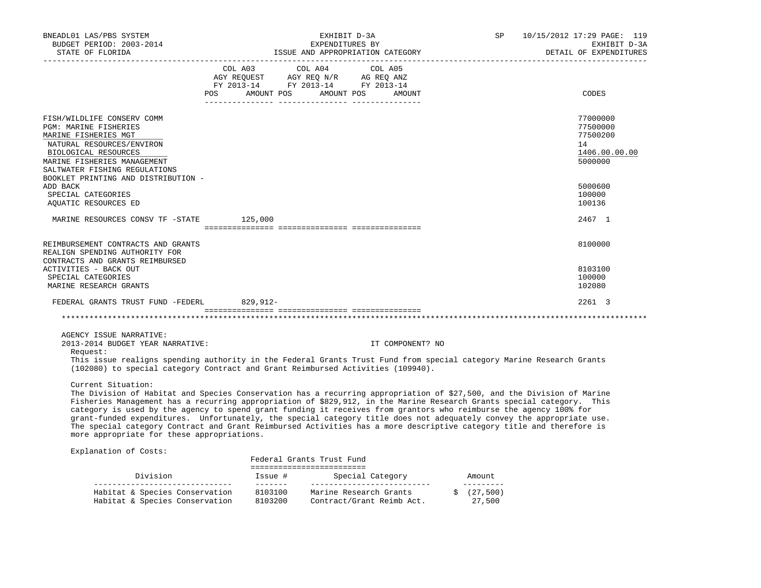| BNEADL01 LAS/PBS SYSTEM<br>BUDGET PERIOD: 2003-2014<br>STATE OF FLORIDA                                                                                                                                                                                                            | EXPENDITURES BY                                                                                                                       | EXHIBIT D-3A<br>ISSUE AND APPROPRIATION CATEGORY | SP 10/15/2012 17:29 PAGE: 119<br>EXHIBIT D-3A<br>DETAIL OF EXPENDITURES |
|------------------------------------------------------------------------------------------------------------------------------------------------------------------------------------------------------------------------------------------------------------------------------------|---------------------------------------------------------------------------------------------------------------------------------------|--------------------------------------------------|-------------------------------------------------------------------------|
|                                                                                                                                                                                                                                                                                    | COL A03 COL A04 COL A05<br>AGY REQUEST AGY REQ N/R AG REQ ANZ<br>FY 2013-14 FY 2013-14 FY 2013-14<br>POS AMOUNT POS AMOUNT POS AMOUNT |                                                  | CODES                                                                   |
| FISH/WILDLIFE CONSERV COMM<br><b>PGM: MARINE FISHERIES</b><br>MARINE FISHERIES MGT<br>NATURAL RESOURCES/ENVIRON<br>BIOLOGICAL RESOURCES<br>MARINE FISHERIES MANAGEMENT<br>SALTWATER FISHING REGULATIONS<br>BOOKLET PRINTING AND DISTRIBUTION -                                     |                                                                                                                                       |                                                  | 77000000<br>77500000<br>77500200<br>14<br>1406.00.00.00<br>5000000      |
| ADD BACK<br>SPECIAL CATEGORIES<br>AQUATIC RESOURCES ED                                                                                                                                                                                                                             |                                                                                                                                       |                                                  | 5000600<br>100000<br>100136                                             |
| MARINE RESOURCES CONSV TF - STATE 125,000                                                                                                                                                                                                                                          |                                                                                                                                       |                                                  | 2467 1                                                                  |
| REIMBURSEMENT CONTRACTS AND GRANTS<br>REALIGN SPENDING AUTHORITY FOR<br>CONTRACTS AND GRANTS REIMBURSED                                                                                                                                                                            |                                                                                                                                       |                                                  | 8100000                                                                 |
| ACTIVITIES - BACK OUT<br>SPECIAL CATEGORIES<br>MARINE RESEARCH GRANTS                                                                                                                                                                                                              |                                                                                                                                       |                                                  | 8103100<br>100000<br>102080                                             |
| FEDERAL GRANTS TRUST FUND -FEDERL 829,912-                                                                                                                                                                                                                                         |                                                                                                                                       |                                                  | 2261 3                                                                  |
| AGENCY ISSUE NARRATIVE:<br>2013-2014 BUDGET YEAR NARRATIVE:<br>Request:<br>This issue realigns spending authority in the Federal Grants Trust Fund from special category Marine Research Grants<br>(102080) to special category Contract and Grant Reimbursed Activities (109940). |                                                                                                                                       | IT COMPONENT? NO                                 |                                                                         |

Current Situation:

 The Division of Habitat and Species Conservation has a recurring appropriation of \$27,500, and the Division of Marine Fisheries Management has a recurring appropriation of \$829,912, in the Marine Research Grants special category. This category is used by the agency to spend grant funding it receives from grantors who reimburse the agency 100% for grant-funded expenditures. Unfortunately, the special category title does not adequately convey the appropriate use. The special category Contract and Grant Reimbursed Activities has a more descriptive category title and therefore is more appropriate for these appropriations.

Explanation of Costs:

|                                                                  |                    | Federal Grants Trust Fund                           |                     |
|------------------------------------------------------------------|--------------------|-----------------------------------------------------|---------------------|
| Division                                                         | Issue #            | Special Category                                    | Amount              |
| Habitat & Species Conservation<br>Habitat & Species Conservation | 8103100<br>8103200 | Marine Research Grants<br>Contract/Grant Reimb Act. | (27, 500)<br>27,500 |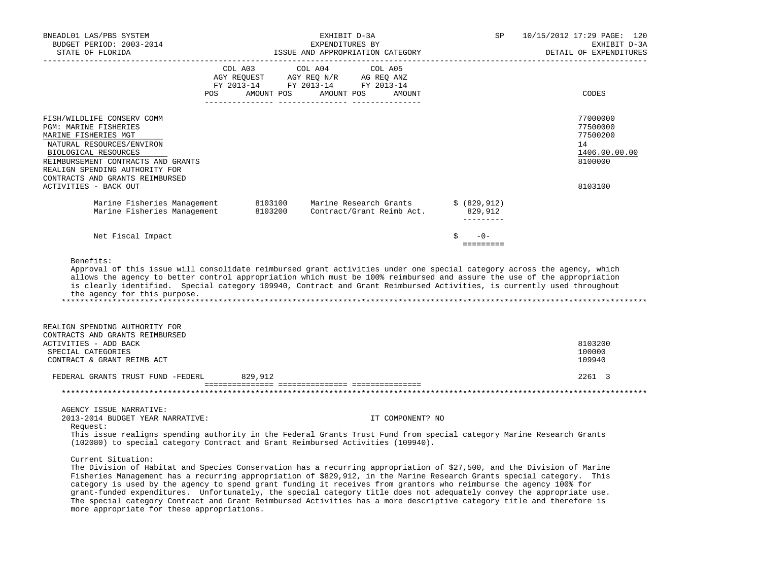| BNEADL01 LAS/PBS SYSTEM<br>BUDGET PERIOD: 2003-2014<br>STATE OF FLORIDA                                                                                                                                                                                                                                                                                                                                                                                                                                                                                                                                                                    |                |                       | EXHIBIT D-3A<br>EXPENDITURES BY<br>ISSUE AND APPROPRIATION CATEGORY |         |                  |                                        | SP | 10/15/2012 17:29 PAGE: 120<br>EXHIBIT D-3A<br>DETAIL OF EXPENDITURES |
|--------------------------------------------------------------------------------------------------------------------------------------------------------------------------------------------------------------------------------------------------------------------------------------------------------------------------------------------------------------------------------------------------------------------------------------------------------------------------------------------------------------------------------------------------------------------------------------------------------------------------------------------|----------------|-----------------------|---------------------------------------------------------------------|---------|------------------|----------------------------------------|----|----------------------------------------------------------------------|
|                                                                                                                                                                                                                                                                                                                                                                                                                                                                                                                                                                                                                                            | COL A03<br>POS | AMOUNT POS AMOUNT POS | COL A04                                                             | COL A05 | AMOUNT           |                                        |    | CODES                                                                |
| FISH/WILDLIFE CONSERV COMM<br>PGM: MARINE FISHERIES<br>MARINE FISHERIES MGT<br>NATURAL RESOURCES/ENVIRON<br>BIOLOGICAL RESOURCES<br>REIMBURSEMENT CONTRACTS AND GRANTS<br>REALIGN SPENDING AUTHORITY FOR<br>CONTRACTS AND GRANTS REIMBURSED                                                                                                                                                                                                                                                                                                                                                                                                |                |                       |                                                                     |         |                  |                                        |    | 77000000<br>77500000<br>77500200<br>14<br>1406.00.00.00<br>8100000   |
| ACTIVITIES - BACK OUT                                                                                                                                                                                                                                                                                                                                                                                                                                                                                                                                                                                                                      |                |                       |                                                                     |         |                  |                                        |    | 8103100                                                              |
| Marine Fisheries Management<br>Marine Fisheries Management                                                                                                                                                                                                                                                                                                                                                                                                                                                                                                                                                                                 |                | 8103100<br>8103200    | Marine Research Grants<br>Contract/Grant Reimb Act.                 |         |                  | \$ (829, 912)<br>829,912<br>---------- |    |                                                                      |
| Net Fiscal Impact                                                                                                                                                                                                                                                                                                                                                                                                                                                                                                                                                                                                                          |                |                       |                                                                     |         |                  | Ŝ.<br>$-0-$                            |    |                                                                      |
| Benefits:<br>Approval of this issue will consolidate reimbursed grant activities under one special category across the agency, which<br>allows the agency to better control appropriation which must be 100% reimbursed and assure the use of the appropriation<br>is clearly identified. Special category 109940, Contract and Grant Reimbursed Activities, is currently used throughout<br>the agency for this purpose.                                                                                                                                                                                                                  |                |                       |                                                                     |         |                  |                                        |    |                                                                      |
| REALIGN SPENDING AUTHORITY FOR                                                                                                                                                                                                                                                                                                                                                                                                                                                                                                                                                                                                             |                |                       |                                                                     |         |                  |                                        |    |                                                                      |
| CONTRACTS AND GRANTS REIMBURSED<br>ACTIVITIES - ADD BACK                                                                                                                                                                                                                                                                                                                                                                                                                                                                                                                                                                                   |                |                       |                                                                     |         |                  |                                        |    | 8103200                                                              |
| SPECIAL CATEGORIES<br>CONTRACT & GRANT REIMB ACT                                                                                                                                                                                                                                                                                                                                                                                                                                                                                                                                                                                           |                |                       |                                                                     |         |                  |                                        |    | 100000<br>109940                                                     |
| FEDERAL GRANTS TRUST FUND -FEDERL                                                                                                                                                                                                                                                                                                                                                                                                                                                                                                                                                                                                          |                | 829,912               |                                                                     |         |                  |                                        |    | 2261 3                                                               |
| ************************                                                                                                                                                                                                                                                                                                                                                                                                                                                                                                                                                                                                                   |                |                       |                                                                     |         |                  |                                        |    |                                                                      |
| AGENCY ISSUE NARRATIVE:<br>2013-2014 BUDGET YEAR NARRATIVE:<br>Request:<br>This issue realigns spending authority in the Federal Grants Trust Fund from special category Marine Research Grants<br>(102080) to special category Contract and Grant Reimbursed Activities (109940).                                                                                                                                                                                                                                                                                                                                                         |                |                       |                                                                     |         | IT COMPONENT? NO |                                        |    |                                                                      |
| Current Situation:<br>The Division of Habitat and Species Conservation has a recurring appropriation of \$27,500, and the Division of Marine<br>Fisheries Management has a recurring appropriation of \$829,912, in the Marine Research Grants special category. This<br>category is used by the agency to spend grant funding it receives from grantors who reimburse the agency 100% for<br>grant-funded expenditures. Unfortunately, the special category title does not adequately convey the appropriate use.<br>The special category Contract and Grant Reimbursed Activities has a more descriptive category title and therefore is |                |                       |                                                                     |         |                  |                                        |    |                                                                      |

more appropriate for these appropriations.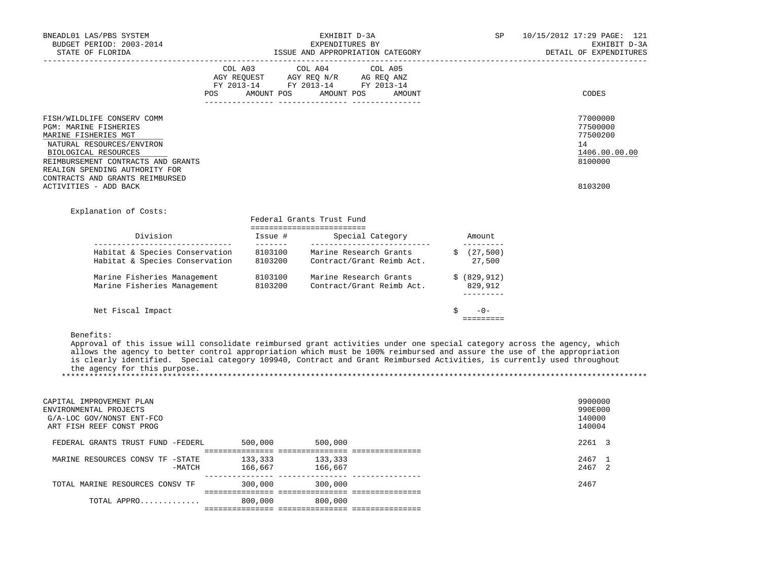| BNEADL01 LAS/PBS SYSTEM<br>BUDGET PERIOD: 2003-2014<br>STATE OF FLORIDA                                                                                                                                                                                              | EXHIBIT D-3A<br>EXPENDITURES BY<br>ISSUE AND APPROPRIATION CATEGORY                                                                                                                                                                                                                                                                                                          | SP                       | 10/15/2012 17:29 PAGE: 121<br>EXHIBIT D-3A<br>DETAIL OF EXPENDITURES          |
|----------------------------------------------------------------------------------------------------------------------------------------------------------------------------------------------------------------------------------------------------------------------|------------------------------------------------------------------------------------------------------------------------------------------------------------------------------------------------------------------------------------------------------------------------------------------------------------------------------------------------------------------------------|--------------------------|-------------------------------------------------------------------------------|
|                                                                                                                                                                                                                                                                      | COL A03 COL A04 COL A05<br>AGY REQUEST AGY REQ N/R AG REQ ANZ<br>FY 2013-14 FY 2013-14 FY 2013-14<br>POS AMOUNT POS AMOUNT POS AMOUNT                                                                                                                                                                                                                                        |                          | CODES                                                                         |
| FISH/WILDLIFE CONSERV COMM<br>PGM: MARINE FISHERIES<br>MARINE FISHERIES MGT<br>NATURAL RESOURCES/ENVIRON<br>BIOLOGICAL RESOURCES<br>REIMBURSEMENT CONTRACTS AND GRANTS<br>REALIGN SPENDING AUTHORITY FOR<br>CONTRACTS AND GRANTS REIMBURSED<br>ACTIVITIES - ADD BACK |                                                                                                                                                                                                                                                                                                                                                                              |                          | 77000000<br>77500000<br>77500200<br>14<br>1406.00.00.00<br>8100000<br>8103200 |
| Explanation of Costs:                                                                                                                                                                                                                                                | Federal Grants Trust Fund<br>==========================                                                                                                                                                                                                                                                                                                                      |                          |                                                                               |
|                                                                                                                                                                                                                                                                      |                                                                                                                                                                                                                                                                                                                                                                              |                          |                                                                               |
| Habitat & Species Conservation                                                                                                                                                                                                                                       | Habitat & Species Conservation 8103100 Marine Research Grants \$ (27,500)<br>8103200 Contract/Grant Reimb Act.                                                                                                                                                                                                                                                               | ----------<br>27,500     |                                                                               |
|                                                                                                                                                                                                                                                                      | Marine Fisheries Management 8103100 Marine Research Grants \$ (829,912)<br>Marine Fisheries Management 8103200 Contract/Grant Reimb Act. 829,912                                                                                                                                                                                                                             | __________               |                                                                               |
| Net Fiscal Impact                                                                                                                                                                                                                                                    |                                                                                                                                                                                                                                                                                                                                                                              | $-0-$<br><b>EEEEEEEE</b> |                                                                               |
| Benefits:<br>the agency for this purpose.                                                                                                                                                                                                                            | Approval of this issue will consolidate reimbursed grant activities under one special category across the agency, which<br>allows the agency to better control appropriation which must be 100% reimbursed and assure the use of the appropriation<br>is clearly identified. Special category 109940, Contract and Grant Reimbursed Activities, is currently used throughout |                          |                                                                               |
| CAPITAL IMPROVEMENT PLAN<br>ENVIRONMENTAL PROJECTS<br>G/A-LOC GOV/NONST ENT-FCO<br>ART FISH REEF CONST PROG                                                                                                                                                          |                                                                                                                                                                                                                                                                                                                                                                              |                          | 9900000<br>990E000<br>140000<br>140004                                        |
| FEDERAL GRANTS TRUST FUND -FEDERL 500,000 500,000                                                                                                                                                                                                                    |                                                                                                                                                                                                                                                                                                                                                                              |                          | 2261 3                                                                        |
| MARINE RESOURCES CONSV TF -STATE 133,333 133,333<br>-MATCH 166,667 166,667 166,667                                                                                                                                                                                   |                                                                                                                                                                                                                                                                                                                                                                              |                          | 2467 1<br>2467 2                                                              |
| TOTAL MARINE RESOURCES CONSV TF 300,000 300,000                                                                                                                                                                                                                      |                                                                                                                                                                                                                                                                                                                                                                              |                          | 2467                                                                          |
| TOTAL APPRO 800,000 800,000                                                                                                                                                                                                                                          |                                                                                                                                                                                                                                                                                                                                                                              |                          |                                                                               |
|                                                                                                                                                                                                                                                                      |                                                                                                                                                                                                                                                                                                                                                                              |                          |                                                                               |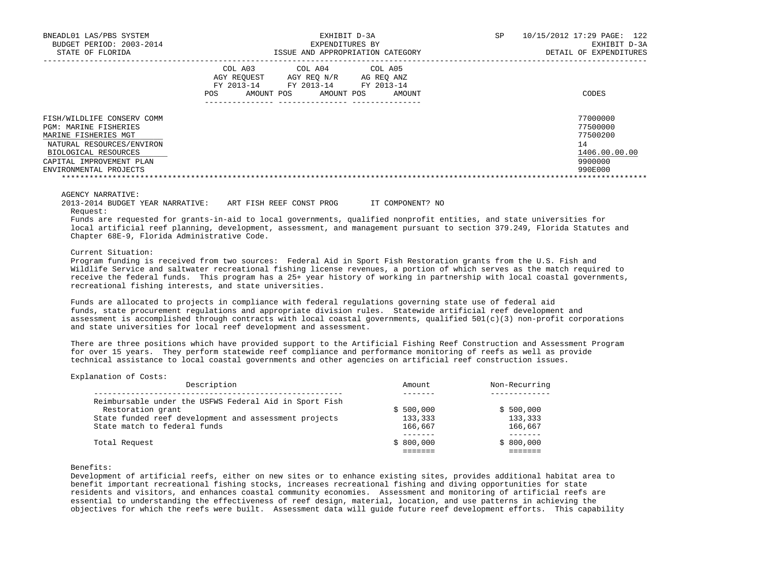| BNEADL01 LAS/PBS SYSTEM                                    | EXHIBIT D-3A                                                                                                                                                     | 10/15/2012 17:29 PAGE: 122<br>SP |
|------------------------------------------------------------|------------------------------------------------------------------------------------------------------------------------------------------------------------------|----------------------------------|
| BUDGET PERIOD: 2003-2014                                   | EXPENDITURES BY                                                                                                                                                  | EXHIBIT D-3A                     |
| STATE OF FLORIDA                                           | ISSUE AND APPROPRIATION CATEGORY                                                                                                                                 | DETAIL OF EXPENDITURES           |
|                                                            | COL A03<br>COL A04<br>COL A05<br>AGY REOUEST<br>AGY REO N/R<br>AG REO ANZ<br>FY 2013-14<br>FY 2013-14<br>FY 2013-14<br>AMOUNT POS<br>AMOUNT POS<br>AMOUNT<br>POS | CODES                            |
| FISH/WILDLIFE CONSERV COMM<br><b>PGM: MARINE FISHERIES</b> |                                                                                                                                                                  | 77000000<br>77500000             |
| MARINE FISHERIES MGT                                       |                                                                                                                                                                  | 77500200                         |
| NATURAL RESOURCES/ENVIRON                                  |                                                                                                                                                                  | 14                               |
| BIOLOGICAL RESOURCES                                       |                                                                                                                                                                  | 1406.00.00.00                    |
| CAPITAL IMPROVEMENT PLAN                                   |                                                                                                                                                                  | 9900000                          |
| ENVIRONMENTAL PROJECTS                                     |                                                                                                                                                                  | 990E000                          |
|                                                            |                                                                                                                                                                  |                                  |

## AGENCY NARRATIVE:

2013-2014 BUDGET YEAR NARRATIVE: ART FISH REEF CONST PROG IT COMPONENT? NO

Request:

 Funds are requested for grants-in-aid to local governments, qualified nonprofit entities, and state universities for local artificial reef planning, development, assessment, and management pursuant to section 379.249, Florida Statutes and Chapter 68E-9, Florida Administrative Code.

### Current Situation:

 Program funding is received from two sources: Federal Aid in Sport Fish Restoration grants from the U.S. Fish and Wildlife Service and saltwater recreational fishing license revenues, a portion of which serves as the match required to receive the federal funds. This program has a 25+ year history of working in partnership with local coastal governments, recreational fishing interests, and state universities.

 Funds are allocated to projects in compliance with federal regulations governing state use of federal aid funds, state procurement regulations and appropriate division rules. Statewide artificial reef development and assessment is accomplished through contracts with local coastal governments, qualified  $501(c)(3)$  non-profit corporations and state universities for local reef development and assessment.

 There are three positions which have provided support to the Artificial Fishing Reef Construction and Assessment Program for over 15 years. They perform statewide reef compliance and performance monitoring of reefs as well as provide technical assistance to local coastal governments and other agencies on artificial reef construction issues.

## Explanation of Costs:

| Description                                            | Amount    | Non-Recurring |
|--------------------------------------------------------|-----------|---------------|
| Reimbursable under the USFWS Federal Aid in Sport Fish |           |               |
| Restoration grant                                      | \$500,000 | \$500,000     |
| State funded reef development and assessment projects  | 133,333   | 133,333       |
| State match to federal funds                           | 166,667   | 166,667       |
|                                                        |           | $- - - - -$   |
| Total Request                                          | \$800,000 | \$800,000     |
|                                                        |           |               |

#### Benefits:

 Development of artificial reefs, either on new sites or to enhance existing sites, provides additional habitat area to benefit important recreational fishing stocks, increases recreational fishing and diving opportunities for state residents and visitors, and enhances coastal community economies. Assessment and monitoring of artificial reefs are essential to understanding the effectiveness of reef design, material, location, and use patterns in achieving the objectives for which the reefs were built. Assessment data will guide future reef development efforts. This capability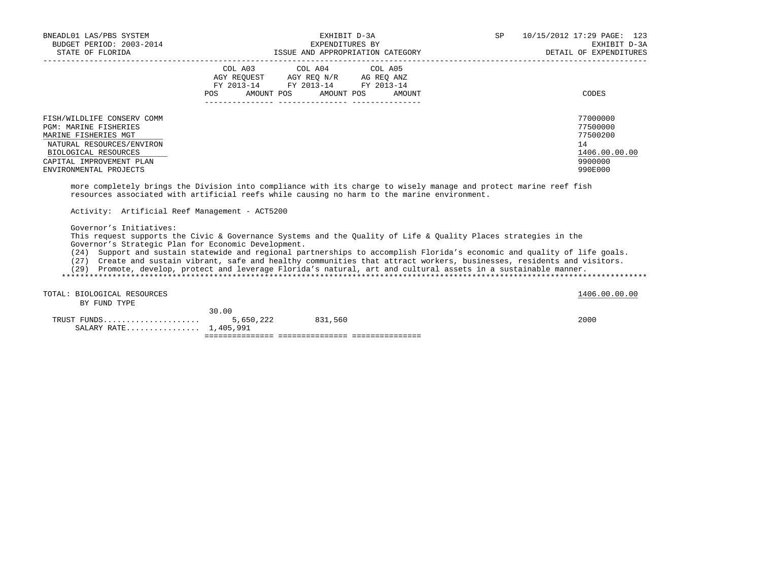| BNEADL01 LAS/PBS SYSTEM<br>BUDGET PERIOD: 2003-2014                                                                                                                                                                                                                                                                                                                                                                                                                                                                                                                         |                                                                                                            | EXHIBIT D-3A<br>EXPENDITURES BY | SP | 10/15/2012 17:29 PAGE: 123<br>EXHIBIT D-3A<br>DETAIL OF EXPENDITURES          |
|-----------------------------------------------------------------------------------------------------------------------------------------------------------------------------------------------------------------------------------------------------------------------------------------------------------------------------------------------------------------------------------------------------------------------------------------------------------------------------------------------------------------------------------------------------------------------------|------------------------------------------------------------------------------------------------------------|---------------------------------|----|-------------------------------------------------------------------------------|
|                                                                                                                                                                                                                                                                                                                                                                                                                                                                                                                                                                             | AGY REQUEST AGY REQ N/R AG REQ ANZ<br>FY 2013-14 FY 2013-14 FY 2013-14<br>POS AMOUNT POS AMOUNT POS AMOUNT | COL A03 COL A04 COL A05         |    | CODES                                                                         |
| FISH/WILDLIFE CONSERV COMM<br><b>PGM: MARINE FISHERIES</b><br>MARINE FISHERIES MGT<br>NATURAL RESOURCES/ENVIRON<br>BIOLOGICAL RESOURCES<br>CAPITAL IMPROVEMENT PLAN<br>ENVIRONMENTAL PROJECTS<br>more completely brings the Division into compliance with its charge to wisely manage and protect marine reef fish<br>resources associated with artificial reefs while causing no harm to the marine environment.<br>Activity: Artificial Reef Management - ACT5200                                                                                                         |                                                                                                            |                                 |    | 77000000<br>77500000<br>77500200<br>14<br>1406.00.00.00<br>9900000<br>990E000 |
| Governor's Initiatives:<br>This request supports the Civic & Governance Systems and the Quality of Life & Quality Places strategies in the<br>Governor's Strategic Plan for Economic Development.<br>(24) Support and sustain statewide and regional partnerships to accomplish Florida's economic and quality of life goals.<br>(27) Create and sustain vibrant, safe and healthy communities that attract workers, businesses, residents and visitors.<br>(29) Promote, develop, protect and leverage Florida's natural, art and cultural assets in a sustainable manner. |                                                                                                            |                                 |    |                                                                               |
| TOTAL: BIOLOGICAL RESOURCES<br>BY FUND TYPE                                                                                                                                                                                                                                                                                                                                                                                                                                                                                                                                 |                                                                                                            |                                 |    | 1406.00.00.00                                                                 |
| SALARY RATE 1,405,991                                                                                                                                                                                                                                                                                                                                                                                                                                                                                                                                                       | 30.00                                                                                                      | 5,650,222 831,560               |    | 2000                                                                          |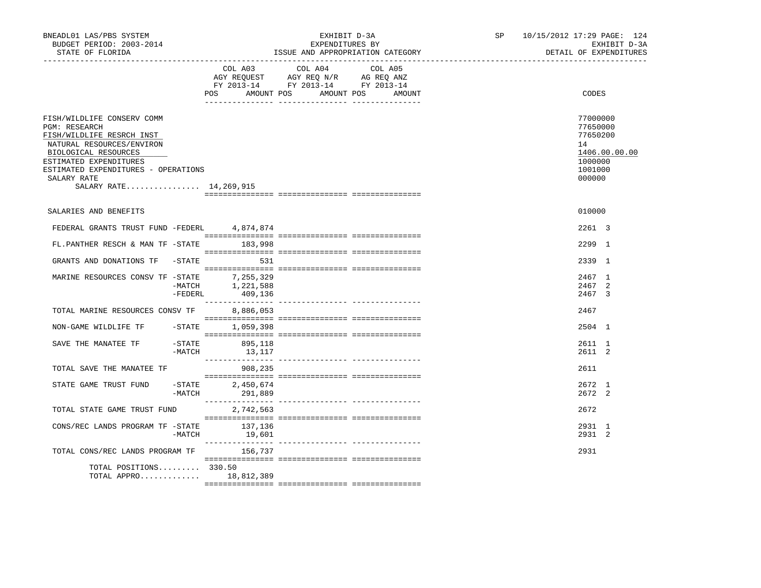| BNEADL01 LAS/PBS SYSTEM<br>BUDGET PERIOD: 2003-2014<br>STATE OF FLORIDA                                                                                                                                                                          |                            | EXHIBIT D-3A<br>EXPENDITURES BY<br>ISSUE AND APPROPRIATION CATEGORY                                                                                                                                                                                  | SP <sub>2</sub> | 10/15/2012 17:29 PAGE: 124<br>EXHIBIT D-3A<br>DETAIL OF EXPENDITURES                    |  |
|--------------------------------------------------------------------------------------------------------------------------------------------------------------------------------------------------------------------------------------------------|----------------------------|------------------------------------------------------------------------------------------------------------------------------------------------------------------------------------------------------------------------------------------------------|-----------------|-----------------------------------------------------------------------------------------|--|
|                                                                                                                                                                                                                                                  | POS<br>AMOUNT POS          | COL A03 COL A04 COL A05<br>$\begin{tabular}{lllllll} \bf AGY \;\; RegUEST & \tt AGY \;\; REG \;\; N/R & \tt AG \;\; REG \;\; ANZ \\ \hline \tt FY \;\; 2013-14 & \tt FY \;\; 2013-14 & \tt FY \;\; 2013-14 \\ \end{tabular}$<br>AMOUNT POS<br>AMOUNT |                 | CODES                                                                                   |  |
| FISH/WILDLIFE CONSERV COMM<br><b>PGM: RESEARCH</b><br>FISH/WILDLIFE RESRCH INST<br>NATURAL RESOURCES/ENVIRON<br>BIOLOGICAL RESOURCES<br>ESTIMATED EXPENDITURES<br>ESTIMATED EXPENDITURES - OPERATIONS<br>SALARY RATE<br>SALARY RATE 14, 269, 915 |                            |                                                                                                                                                                                                                                                      |                 | 77000000<br>77650000<br>77650200<br>14<br>1406.00.00.00<br>1000000<br>1001000<br>000000 |  |
| SALARIES AND BENEFITS                                                                                                                                                                                                                            |                            |                                                                                                                                                                                                                                                      |                 | 010000                                                                                  |  |
|                                                                                                                                                                                                                                                  |                            |                                                                                                                                                                                                                                                      |                 |                                                                                         |  |
| FEDERAL GRANTS TRUST FUND -FEDERL 4,874,874                                                                                                                                                                                                      |                            |                                                                                                                                                                                                                                                      |                 | 2261 3                                                                                  |  |
| FL.PANTHER RESCH & MAN TF -STATE 183,998                                                                                                                                                                                                         |                            |                                                                                                                                                                                                                                                      |                 | 2299 1                                                                                  |  |
| GRANTS AND DONATIONS TF -STATE                                                                                                                                                                                                                   | 531                        |                                                                                                                                                                                                                                                      |                 | 2339 1                                                                                  |  |
| MARINE RESOURCES CONSV TF -STATE 7,255,329<br>$-MATCH$<br>$-FEDERL$                                                                                                                                                                              | 1,221,588<br>409,136       |                                                                                                                                                                                                                                                      |                 | 2467 1<br>2467 2<br>2467 3                                                              |  |
| TOTAL MARINE RESOURCES CONSV TF                                                                                                                                                                                                                  | 8,886,053                  |                                                                                                                                                                                                                                                      |                 | 2467                                                                                    |  |
| NON-GAME WILDLIFE TF -STATE 1,059,398                                                                                                                                                                                                            |                            |                                                                                                                                                                                                                                                      |                 | 2504 1                                                                                  |  |
| $-STATE$<br>SAVE THE MANATEE TF<br>$-MATCH$                                                                                                                                                                                                      | 895,118<br>13,117          |                                                                                                                                                                                                                                                      |                 | 2611 1<br>2611 2                                                                        |  |
| TOTAL SAVE THE MANATEE TF                                                                                                                                                                                                                        | 908,235                    |                                                                                                                                                                                                                                                      |                 | 2611                                                                                    |  |
| $-STATE$<br>STATE GAME TRUST FUND<br>-MATCH                                                                                                                                                                                                      | 2,450,674<br>291,889       |                                                                                                                                                                                                                                                      |                 | 2672 1<br>2672 2                                                                        |  |
| TOTAL STATE GAME TRUST FUND                                                                                                                                                                                                                      | 2,742,563                  |                                                                                                                                                                                                                                                      |                 | 2672                                                                                    |  |
| CONS/REC LANDS PROGRAM TF -STATE                                                                                                                                                                                                                 | 137,136<br>$-MATCH$ 19,601 |                                                                                                                                                                                                                                                      |                 | 2931 1<br>2931 2                                                                        |  |
| TOTAL CONS/REC LANDS PROGRAM TF                                                                                                                                                                                                                  | 156,737                    |                                                                                                                                                                                                                                                      |                 | 2931                                                                                    |  |
| TOTAL POSITIONS 330.50<br>TOTAL APPRO 18,812,389                                                                                                                                                                                                 |                            |                                                                                                                                                                                                                                                      |                 |                                                                                         |  |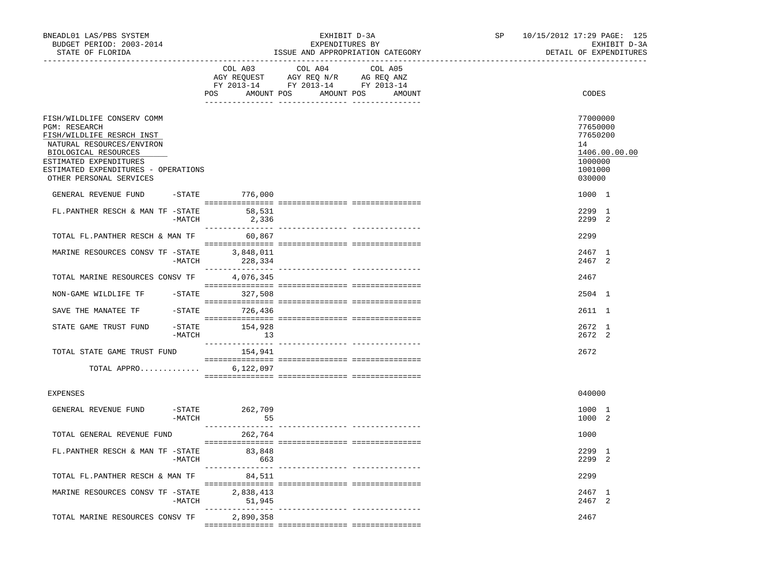| BNEADL01 LAS/PBS SYSTEM<br>BUDGET PERIOD: 2003-2014<br>STATE OF FLORIDA                                                                                                                                                          |          |                           | EXHIBIT D-3A<br>EXPENDITURES BY                                                                                                                                                                                                       | ISSUE AND APPROPRIATION CATEGORY                                                                                                                                                                                                                                                                                                                                                                                                    | SP and the set of the set of the set of the set of the set of the set of the set of the set of the set of the set of the set of the set of the set of the set of the set of the set of the set of the set of the set of the se | 10/15/2012 17:29 PAGE: 125<br>EXHIBIT D-3A<br>DETAIL OF EXPENDITURES                    |
|----------------------------------------------------------------------------------------------------------------------------------------------------------------------------------------------------------------------------------|----------|---------------------------|---------------------------------------------------------------------------------------------------------------------------------------------------------------------------------------------------------------------------------------|-------------------------------------------------------------------------------------------------------------------------------------------------------------------------------------------------------------------------------------------------------------------------------------------------------------------------------------------------------------------------------------------------------------------------------------|--------------------------------------------------------------------------------------------------------------------------------------------------------------------------------------------------------------------------------|-----------------------------------------------------------------------------------------|
|                                                                                                                                                                                                                                  |          | COL A03<br>POS            | COL A04<br>$\begin{tabular}{lllllll} \bf AGY \,\,\, REQUEST \,\,\, & \bf AGY \,\, REQ \,\, N/R & \,\, AC \,\, REQ \,\, ANZ \\ \bf FY \,\, 2013-14 & \bf FY \,\, 2013-14 & \bf FY \,\, 2013-14 \end{tabular}$<br>AMOUNT POS AMOUNT POS | COL A05<br>AMOUNT                                                                                                                                                                                                                                                                                                                                                                                                                   |                                                                                                                                                                                                                                | CODES                                                                                   |
| FISH/WILDLIFE CONSERV COMM<br><b>PGM: RESEARCH</b><br>FISH/WILDLIFE RESRCH INST<br>NATURAL RESOURCES/ENVIRON<br>BIOLOGICAL RESOURCES<br>ESTIMATED EXPENDITURES<br>ESTIMATED EXPENDITURES - OPERATIONS<br>OTHER PERSONAL SERVICES |          |                           |                                                                                                                                                                                                                                       |                                                                                                                                                                                                                                                                                                                                                                                                                                     |                                                                                                                                                                                                                                | 77000000<br>77650000<br>77650200<br>14<br>1406.00.00.00<br>1000000<br>1001000<br>030000 |
| GENERAL REVENUE FUND -STATE 776,000                                                                                                                                                                                              |          |                           |                                                                                                                                                                                                                                       | $\begin{minipage}{0.03\textwidth} \begin{tabular}{l} \textbf{1} & \textbf{2} & \textbf{3} & \textbf{5} & \textbf{6} & \textbf{7} & \textbf{8} & \textbf{9} & \textbf{1} & \textbf{1} & \textbf{1} & \textbf{1} & \textbf{1} & \textbf{1} & \textbf{1} & \textbf{1} & \textbf{1} & \textbf{1} & \textbf{1} & \textbf{1} & \textbf{1} & \textbf{1} & \textbf{1} & \textbf{1} & \textbf{1} & \textbf{1} & \textbf{1} & \textbf{1} & \$ |                                                                                                                                                                                                                                | 1000 1                                                                                  |
| FL.PANTHER RESCH & MAN TF -STATE                                                                                                                                                                                                 | -MATCH   | 58,531<br>2,336           |                                                                                                                                                                                                                                       |                                                                                                                                                                                                                                                                                                                                                                                                                                     |                                                                                                                                                                                                                                | 2299 1<br>2299 2                                                                        |
| TOTAL FL.PANTHER RESCH & MAN TF                                                                                                                                                                                                  |          | 60,867                    |                                                                                                                                                                                                                                       |                                                                                                                                                                                                                                                                                                                                                                                                                                     |                                                                                                                                                                                                                                | 2299                                                                                    |
| MARINE RESOURCES CONSV TF -STATE 3,848,011                                                                                                                                                                                       | -MATCH   | 228,334                   |                                                                                                                                                                                                                                       |                                                                                                                                                                                                                                                                                                                                                                                                                                     |                                                                                                                                                                                                                                | 2467 1<br>2467 2                                                                        |
| TOTAL MARINE RESOURCES CONSV TF                                                                                                                                                                                                  |          | 4,076,345                 |                                                                                                                                                                                                                                       |                                                                                                                                                                                                                                                                                                                                                                                                                                     |                                                                                                                                                                                                                                | 2467                                                                                    |
| NON-GAME WILDLIFE TF                                                                                                                                                                                                             |          | -STATE 327,508            |                                                                                                                                                                                                                                       |                                                                                                                                                                                                                                                                                                                                                                                                                                     |                                                                                                                                                                                                                                | 2504 1                                                                                  |
| SAVE THE MANATEE TF -STATE 726,436                                                                                                                                                                                               |          |                           |                                                                                                                                                                                                                                       |                                                                                                                                                                                                                                                                                                                                                                                                                                     |                                                                                                                                                                                                                                | 2611 1                                                                                  |
| STATE GAME TRUST FUND                                                                                                                                                                                                            | $-MATCH$ | -STATE 154,928<br>13      |                                                                                                                                                                                                                                       |                                                                                                                                                                                                                                                                                                                                                                                                                                     |                                                                                                                                                                                                                                | 2672 1<br>2672 2                                                                        |
| TOTAL STATE GAME TRUST FUND                                                                                                                                                                                                      |          | 154,941                   |                                                                                                                                                                                                                                       |                                                                                                                                                                                                                                                                                                                                                                                                                                     |                                                                                                                                                                                                                                | 2672                                                                                    |
| TOTAL APPRO                                                                                                                                                                                                                      |          | 6,122,097                 |                                                                                                                                                                                                                                       |                                                                                                                                                                                                                                                                                                                                                                                                                                     |                                                                                                                                                                                                                                |                                                                                         |
| EXPENSES                                                                                                                                                                                                                         |          |                           |                                                                                                                                                                                                                                       |                                                                                                                                                                                                                                                                                                                                                                                                                                     |                                                                                                                                                                                                                                | 040000                                                                                  |
| GENERAL REVENUE FUND                                                                                                                                                                                                             | -MATCH   | -STATE 262,709<br>55      |                                                                                                                                                                                                                                       |                                                                                                                                                                                                                                                                                                                                                                                                                                     |                                                                                                                                                                                                                                | 1000 1<br>1000 2                                                                        |
| TOTAL GENERAL REVENUE FUND                                                                                                                                                                                                       |          | 262,764                   |                                                                                                                                                                                                                                       |                                                                                                                                                                                                                                                                                                                                                                                                                                     |                                                                                                                                                                                                                                | 1000                                                                                    |
| FL.PANTHER RESCH & MAN TF -STATE                                                                                                                                                                                                 |          | 83,848<br>663<br>$-MATCH$ |                                                                                                                                                                                                                                       |                                                                                                                                                                                                                                                                                                                                                                                                                                     |                                                                                                                                                                                                                                | 2299 1<br>2299 2                                                                        |
| TOTAL FL.PANTHER RESCH & MAN TF                                                                                                                                                                                                  |          | 84,511                    |                                                                                                                                                                                                                                       |                                                                                                                                                                                                                                                                                                                                                                                                                                     |                                                                                                                                                                                                                                | 2299                                                                                    |
| MARINE RESOURCES CONSV TF -STATE                                                                                                                                                                                                 | $-MATCH$ | 2,838,413<br>51,945       |                                                                                                                                                                                                                                       |                                                                                                                                                                                                                                                                                                                                                                                                                                     |                                                                                                                                                                                                                                | 2467 1<br>2467 2                                                                        |
| TOTAL MARINE RESOURCES CONSV TF                                                                                                                                                                                                  |          | 2,890,358                 |                                                                                                                                                                                                                                       | --------------- ---------------                                                                                                                                                                                                                                                                                                                                                                                                     |                                                                                                                                                                                                                                | 2467                                                                                    |
|                                                                                                                                                                                                                                  |          |                           |                                                                                                                                                                                                                                       |                                                                                                                                                                                                                                                                                                                                                                                                                                     |                                                                                                                                                                                                                                |                                                                                         |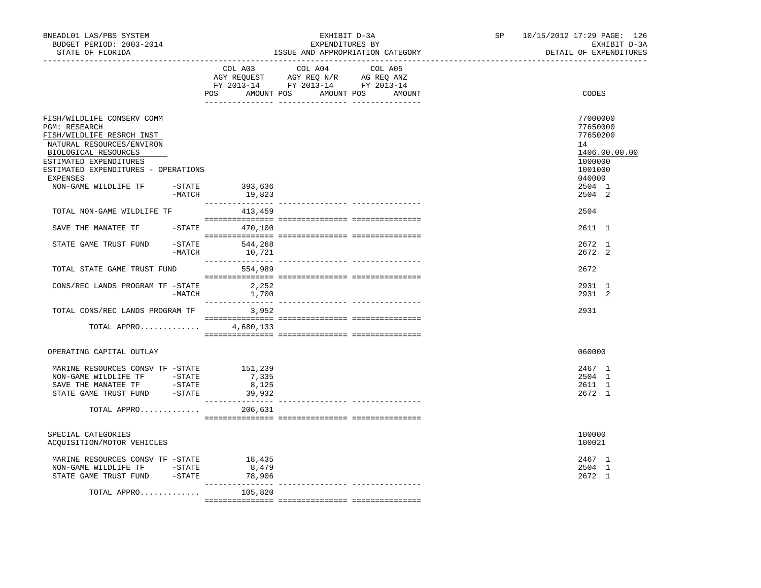| BNEADL01 LAS/PBS SYSTEM<br>BUDGET PERIOD: 2003-2014<br>STATE OF FLORIDA                                                                                                                                                                   |           |                                             | EXHIBIT D-3A<br>EXPENDITURES BY                                                      | ISSUE AND APPROPRIATION CATEGORY | SP and the set of the set of the set of the set of the set of the set of the set of the set of the set of the set of the set of the set of the set of the set of the set of the set of the set of the set of the set of the se | 10/15/2012 17:29 PAGE: 126<br>EXHIBIT D-3A<br>DETAIL OF EXPENDITURES                              |
|-------------------------------------------------------------------------------------------------------------------------------------------------------------------------------------------------------------------------------------------|-----------|---------------------------------------------|--------------------------------------------------------------------------------------|----------------------------------|--------------------------------------------------------------------------------------------------------------------------------------------------------------------------------------------------------------------------------|---------------------------------------------------------------------------------------------------|
|                                                                                                                                                                                                                                           |           | COL A03<br>POS AMOUNT POS AMOUNT POS AMOUNT | COL A04<br>CO AGY REQUEST AGY REQ N/R AG REQ ANZ<br>FY 2013-14 FY 2013-14 FY 2013-14 | COL A05                          |                                                                                                                                                                                                                                | CODES                                                                                             |
| FISH/WILDLIFE CONSERV COMM<br><b>PGM: RESEARCH</b><br>FISH/WILDLIFE RESRCH INST<br>NATURAL RESOURCES/ENVIRON<br>BIOLOGICAL RESOURCES<br>ESTIMATED EXPENDITURES<br>ESTIMATED EXPENDITURES - OPERATIONS<br>EXPENSES<br>NON-GAME WILDLIFE TF | $-$ STATE | 393,636                                     |                                                                                      |                                  |                                                                                                                                                                                                                                | 77000000<br>77650000<br>77650200<br>14<br>1406.00.00.00<br>1000000<br>1001000<br>040000<br>2504 1 |
|                                                                                                                                                                                                                                           | -MATCH    | 19,823                                      |                                                                                      |                                  |                                                                                                                                                                                                                                | 2504 2                                                                                            |
| TOTAL NON-GAME WILDLIFE TF                                                                                                                                                                                                                |           | 413,459                                     |                                                                                      |                                  |                                                                                                                                                                                                                                | 2504                                                                                              |
| SAVE THE MANATEE TF  -STATE  470,100                                                                                                                                                                                                      |           |                                             |                                                                                      |                                  |                                                                                                                                                                                                                                | 2611 1                                                                                            |
| STATE GAME TRUST FUND                                                                                                                                                                                                                     |           | $-$ STATE 544,268<br>$-MATCH$ 10,721        |                                                                                      |                                  |                                                                                                                                                                                                                                | 2672 1<br>2672 2                                                                                  |
| TOTAL STATE GAME TRUST FUND                                                                                                                                                                                                               |           | 554,989                                     |                                                                                      |                                  |                                                                                                                                                                                                                                | 2672                                                                                              |
| CONS/REC LANDS PROGRAM TF -STATE                                                                                                                                                                                                          | $-MATCH$  | 2,252<br>1,700                              |                                                                                      |                                  |                                                                                                                                                                                                                                | 2931 1<br>2931 2                                                                                  |
| TOTAL CONS/REC LANDS PROGRAM TF 3,952                                                                                                                                                                                                     |           |                                             |                                                                                      |                                  |                                                                                                                                                                                                                                | 2931                                                                                              |
| TOTAL APPRO                                                                                                                                                                                                                               |           | 4,680,133                                   |                                                                                      |                                  |                                                                                                                                                                                                                                |                                                                                                   |
| OPERATING CAPITAL OUTLAY                                                                                                                                                                                                                  |           |                                             |                                                                                      |                                  |                                                                                                                                                                                                                                | 060000                                                                                            |
| MARINE RESOURCES CONSV TF - STATE 151,239<br>NON-GAME WILDLIFE TF - STATE<br>SAVE THE MANATEE TF    -STATE<br>STATE GAME TRUST FUND - STATE<br>TOTAL APPRO                                                                                |           | 7,335<br>8,125<br>39,932<br>206,631         |                                                                                      |                                  |                                                                                                                                                                                                                                | 2467 1<br>2504 1<br>2611 1<br>2672 1                                                              |
| SPECIAL CATEGORIES<br>ACQUISITION/MOTOR VEHICLES                                                                                                                                                                                          |           |                                             |                                                                                      |                                  |                                                                                                                                                                                                                                | 100000<br>100021                                                                                  |
| MARINE RESOURCES CONSV TF -STATE 18,435<br>NON-GAME WILDLIFE TF -STATE<br>STATE GAME TRUST FUND - STATE                                                                                                                                   |           | 8,479<br>78,906                             |                                                                                      |                                  |                                                                                                                                                                                                                                | 2467 1<br>2504 1<br>2672 1                                                                        |
| TOTAL APPRO                                                                                                                                                                                                                               |           | 105,820                                     |                                                                                      |                                  |                                                                                                                                                                                                                                |                                                                                                   |
|                                                                                                                                                                                                                                           |           |                                             |                                                                                      |                                  |                                                                                                                                                                                                                                |                                                                                                   |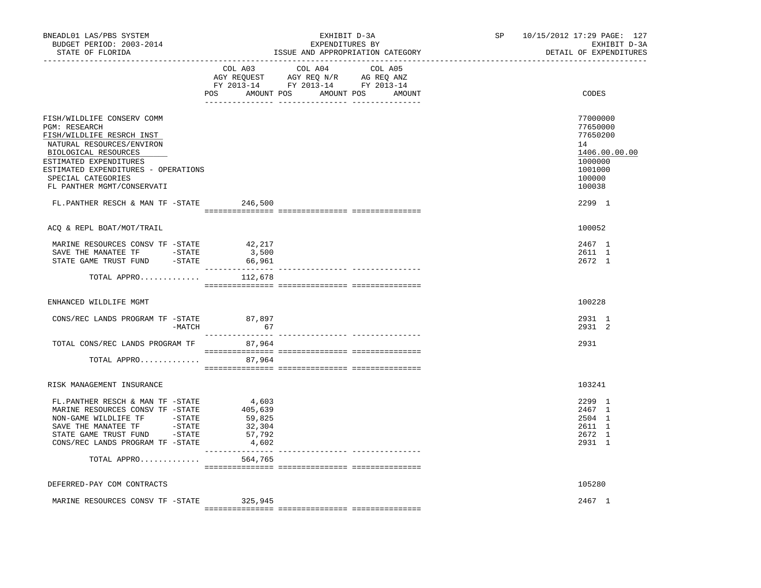| BNEADL01 LAS/PBS SYSTEM<br>BUDGET PERIOD: 2003-2014<br>STATE OF FLORIDA                                                                                                                                                                                                                        |                                                                    | EXHIBIT D-3A<br>EXPENDITURES BY<br>ISSUE AND APPROPRIATION CATEGORY                                                              | SP <sub>2</sub> | 10/15/2012 17:29 PAGE: 127<br>EXHIBIT D-3A<br>DETAIL OF EXPENDITURES                                        |
|------------------------------------------------------------------------------------------------------------------------------------------------------------------------------------------------------------------------------------------------------------------------------------------------|--------------------------------------------------------------------|----------------------------------------------------------------------------------------------------------------------------------|-----------------|-------------------------------------------------------------------------------------------------------------|
|                                                                                                                                                                                                                                                                                                | COL A03                                                            | COL A04<br>COL A05<br>AGY REQUEST AGY REQ N/R AG REQ ANZ<br>FY 2013-14 FY 2013-14 FY 2013-14<br>POS AMOUNT POS AMOUNT POS AMOUNT |                 | CODES                                                                                                       |
| FISH/WILDLIFE CONSERV COMM<br>PGM: RESEARCH<br>FISH/WILDLIFE RESRCH INST<br>NATURAL RESOURCES/ENVIRON<br>BIOLOGICAL RESOURCES<br>ESTIMATED EXPENDITURES<br>ESTIMATED EXPENDITURES - OPERATIONS<br>SPECIAL CATEGORIES<br>FL PANTHER MGMT/CONSERVATI<br>FL.PANTHER RESCH & MAN TF -STATE 246,500 |                                                                    |                                                                                                                                  |                 | 77000000<br>77650000<br>77650200<br>14<br>1406.00.00.00<br>1000000<br>1001000<br>100000<br>100038<br>2299 1 |
| ACQ & REPL BOAT/MOT/TRAIL                                                                                                                                                                                                                                                                      |                                                                    |                                                                                                                                  |                 | 100052                                                                                                      |
| MARINE RESOURCES CONSV TF -STATE<br>SAVE THE MANATEE TF    -STATE<br>STATE GAME TRUST FUND - STATE                                                                                                                                                                                             | 42,217<br>3,500<br>66,961                                          |                                                                                                                                  |                 | 2467 1<br>2611 1<br>2672 1                                                                                  |
| TOTAL APPRO                                                                                                                                                                                                                                                                                    | 112,678                                                            |                                                                                                                                  |                 |                                                                                                             |
| ENHANCED WILDLIFE MGMT                                                                                                                                                                                                                                                                         |                                                                    |                                                                                                                                  |                 | 100228                                                                                                      |
| $\texttt{CONS/REC} \texttt{LANDS} \texttt{ PROGRAM TF} \texttt{-STATE} \texttt{87,897}$<br>-MATCH                                                                                                                                                                                              | 67                                                                 |                                                                                                                                  |                 | 2931 1<br>2931 2                                                                                            |
| TOTAL CONS/REC LANDS PROGRAM TF<br>TOTAL APPRO                                                                                                                                                                                                                                                 | 87,964<br>87,964                                                   |                                                                                                                                  |                 | 2931                                                                                                        |
| RISK MANAGEMENT INSURANCE                                                                                                                                                                                                                                                                      |                                                                    |                                                                                                                                  |                 | 103241                                                                                                      |
| FL.PANTHER RESCH & MAN TF -STATE<br>MARINE RESOURCES CONSV TF -STATE<br>NON-GAME WILDLIFE TF -STATE<br>SAVE THE MANATEE TF<br>$-$ STATE<br>STATE GAME TRUST FUND -STATE<br>CONS/REC LANDS PROGRAM TF -STATE<br>TOTAL APPRO                                                                     | 4,603<br>405,639<br>59,825<br>32,304<br>57,792<br>4,602<br>564,765 |                                                                                                                                  |                 | 2299 1<br>2467 1<br>2504 1<br>2611 1<br>2672 1<br>2931 1                                                    |
|                                                                                                                                                                                                                                                                                                |                                                                    |                                                                                                                                  |                 |                                                                                                             |
| DEFERRED-PAY COM CONTRACTS                                                                                                                                                                                                                                                                     |                                                                    |                                                                                                                                  |                 | 105280                                                                                                      |
| MARINE RESOURCES CONSV TF -STATE                                                                                                                                                                                                                                                               | 325,945                                                            |                                                                                                                                  |                 | 2467 1                                                                                                      |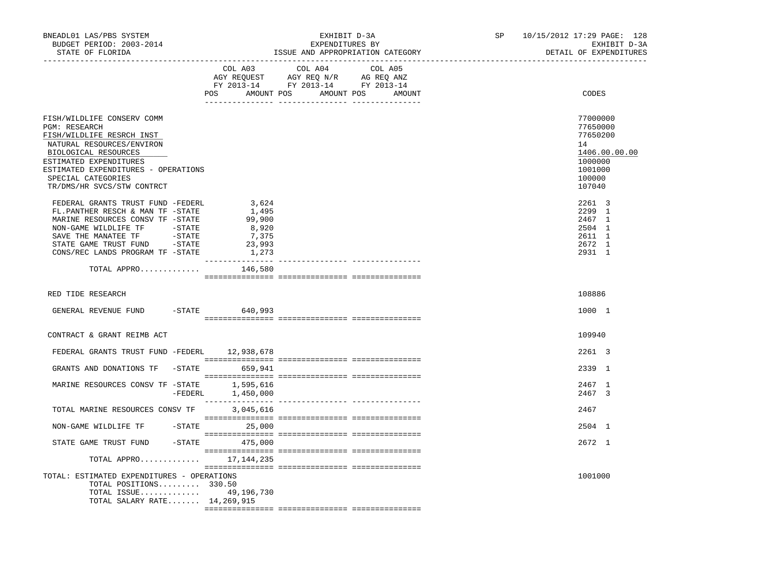| BNEADL01 LAS/PBS SYSTEM<br>BUDGET PERIOD: 2003-2014<br>STATE OF FLORIDA<br>--------------------                                                                                                                                                           |                                                               | EXHIBIT D-3A<br>EXPENDITURES BY<br>ISSUE AND APPROPRIATION CATEGORY                                                                   | 10/15/2012 17:29 PAGE: 128<br>SP and the set of the set of the set of the set of the set of the set of the set of the set of the set of the set of the set of the set of the set of the set of the set of the set of the set of the set of the set of the se<br>EXHIBIT D-3A<br>DETAIL OF EXPENDITURES |  |
|-----------------------------------------------------------------------------------------------------------------------------------------------------------------------------------------------------------------------------------------------------------|---------------------------------------------------------------|---------------------------------------------------------------------------------------------------------------------------------------|--------------------------------------------------------------------------------------------------------------------------------------------------------------------------------------------------------------------------------------------------------------------------------------------------------|--|
|                                                                                                                                                                                                                                                           |                                                               | COL A03 COL A04 COL A05<br>AGY REQUEST AGY REQ N/R AG REQ ANZ<br>FY 2013-14 FY 2013-14 FY 2013-14<br>POS AMOUNT POS AMOUNT POS AMOUNT | CODES                                                                                                                                                                                                                                                                                                  |  |
| FISH/WILDLIFE CONSERV COMM<br><b>PGM: RESEARCH</b><br>FISH/WILDLIFE RESRCH INST<br>NATURAL RESOURCES/ENVIRON<br>BIOLOGICAL RESOURCES<br>ESTIMATED EXPENDITURES<br>ESTIMATED EXPENDITURES - OPERATIONS<br>SPECIAL CATEGORIES<br>TR/DMS/HR SVCS/STW CONTRCT |                                                               |                                                                                                                                       | 77000000<br>77650000<br>77650200<br>14<br>1406.00.00.00<br>1000000<br>1001000<br>100000<br>107040                                                                                                                                                                                                      |  |
| FEDERAL GRANTS TRUST FUND -FEDERL<br>FL.PANTHER RESCH & MAN TF -STATE<br>MARINE RESOURCES CONSV TF -STATE<br>NON-GAME WILDLIFE TF -STATE<br>$-STATE$<br>SAVE THE MANATEE TF<br>STATE GAME TRUST FUND - STATE<br>CONS/REC LANDS PROGRAM TF -STATE          | 3,624<br>1,495<br>99,900<br>8,920<br>7,375<br>23,993<br>1,273 |                                                                                                                                       | 2261 3<br>2299 1<br>2467 1<br>2504 1<br>2611 1<br>2672 1<br>2931 1                                                                                                                                                                                                                                     |  |
| TOTAL APPRO                                                                                                                                                                                                                                               | 146,580                                                       |                                                                                                                                       |                                                                                                                                                                                                                                                                                                        |  |
| RED TIDE RESEARCH                                                                                                                                                                                                                                         |                                                               |                                                                                                                                       | 108886                                                                                                                                                                                                                                                                                                 |  |
| GENERAL REVENUE FUND                                                                                                                                                                                                                                      | -STATE 640,993                                                |                                                                                                                                       | 1000 1                                                                                                                                                                                                                                                                                                 |  |
| CONTRACT & GRANT REIMB ACT                                                                                                                                                                                                                                |                                                               |                                                                                                                                       | 109940                                                                                                                                                                                                                                                                                                 |  |
| FEDERAL GRANTS TRUST FUND -FEDERL 12,938,678                                                                                                                                                                                                              |                                                               |                                                                                                                                       | 2261 3                                                                                                                                                                                                                                                                                                 |  |
| GRANTS AND DONATIONS TF -STATE 659,941                                                                                                                                                                                                                    |                                                               |                                                                                                                                       | 2339 1                                                                                                                                                                                                                                                                                                 |  |
| MARINE RESOURCES CONSV TF -STATE                                                                                                                                                                                                                          | 1,595,616<br>$-FEDERL$<br>1,450,000                           |                                                                                                                                       | 2467 1<br>2467 3                                                                                                                                                                                                                                                                                       |  |
| TOTAL MARINE RESOURCES CONSV TF                                                                                                                                                                                                                           | 3,045,616                                                     |                                                                                                                                       | 2467                                                                                                                                                                                                                                                                                                   |  |
| NON-GAME WILDLIFE TF $-$ STATE 25,000                                                                                                                                                                                                                     |                                                               |                                                                                                                                       | 2504 1                                                                                                                                                                                                                                                                                                 |  |
| STATE GAME TRUST FUND -STATE 475,000                                                                                                                                                                                                                      |                                                               |                                                                                                                                       | 2672 1                                                                                                                                                                                                                                                                                                 |  |
| TOTAL APPRO 17, 144, 235                                                                                                                                                                                                                                  |                                                               |                                                                                                                                       |                                                                                                                                                                                                                                                                                                        |  |
| TOTAL: ESTIMATED EXPENDITURES - OPERATIONS<br>TOTAL POSITIONS 330.50<br>TOTAL ISSUE 49,196,730<br>TOTAL SALARY RATE 14,269,915                                                                                                                            |                                                               |                                                                                                                                       | 1001000                                                                                                                                                                                                                                                                                                |  |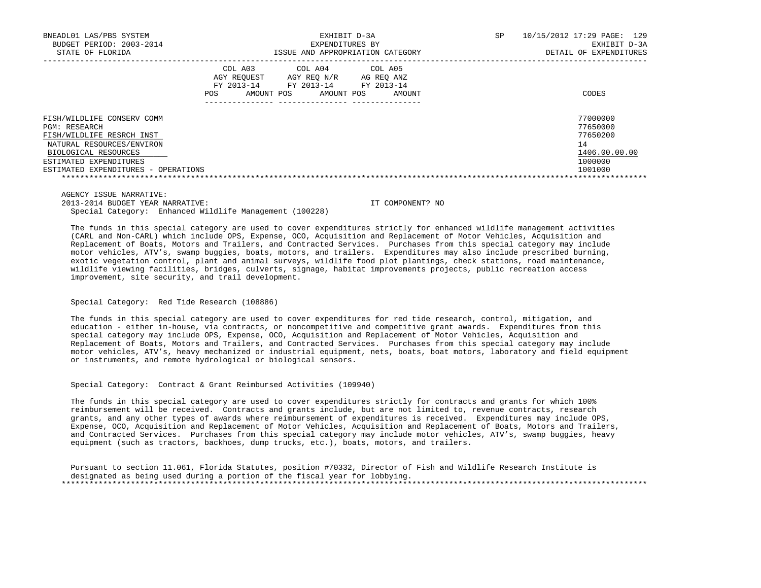| BNEADL01 LAS/PBS SYSTEM             |                                                                  |                                                    | EXHIBIT D-3A                                  | SP. | 10/15/2012 17:29 PAGE: 129 |
|-------------------------------------|------------------------------------------------------------------|----------------------------------------------------|-----------------------------------------------|-----|----------------------------|
| BUDGET PERIOD: 2003-2014            |                                                                  | EXPENDITURES BY                                    |                                               |     | EXHIBIT D-3A               |
| STATE OF FLORIDA                    |                                                                  |                                                    | ISSUE AND APPROPRIATION CATEGORY              |     | DETAIL OF EXPENDITURES     |
|                                     | COL A03<br>AGY REOUEST<br>FY 2013-14<br>AMOUNT POS<br><b>POS</b> | COL A04<br>AGY REO N/R<br>FY 2013-14<br>AMOUNT POS | COL A05<br>AG REO ANZ<br>FY 2013-14<br>AMOUNT |     | CODES                      |
| FISH/WILDLIFE CONSERV COMM          |                                                                  |                                                    |                                               |     | 77000000                   |
| PGM: RESEARCH                       |                                                                  |                                                    |                                               |     | 77650000                   |
| FISH/WILDLIFE RESRCH INST           |                                                                  |                                                    |                                               |     | 77650200                   |
| NATURAL RESOURCES/ENVIRON           |                                                                  |                                                    |                                               |     | 14                         |
| BIOLOGICAL RESOURCES                |                                                                  |                                                    |                                               |     | 1406.00.00.00              |
| ESTIMATED EXPENDITURES              |                                                                  |                                                    |                                               |     | 1000000                    |
| ESTIMATED EXPENDITURES - OPERATIONS |                                                                  |                                                    |                                               |     | 1001000                    |
|                                     |                                                                  |                                                    |                                               |     |                            |

 AGENCY ISSUE NARRATIVE: 2013-2014 BUDGET YEAR NARRATIVE: IT COMPONENT? NO Special Category: Enhanced Wildlife Management (100228)

 The funds in this special category are used to cover expenditures strictly for enhanced wildlife management activities (CARL and Non-CARL) which include OPS, Expense, OCO, Acquisition and Replacement of Motor Vehicles, Acquisition and Replacement of Boats, Motors and Trailers, and Contracted Services. Purchases from this special category may include motor vehicles, ATV's, swamp buggies, boats, motors, and trailers. Expenditures may also include prescribed burning, exotic vegetation control, plant and animal surveys, wildlife food plot plantings, check stations, road maintenance, wildlife viewing facilities, bridges, culverts, signage, habitat improvements projects, public recreation access improvement, site security, and trail development.

# Special Category: Red Tide Research (108886)

 The funds in this special category are used to cover expenditures for red tide research, control, mitigation, and education - either in-house, via contracts, or noncompetitive and competitive grant awards. Expenditures from this special category may include OPS, Expense, OCO, Acquisition and Replacement of Motor Vehicles, Acquisition and Replacement of Boats, Motors and Trailers, and Contracted Services. Purchases from this special category may include motor vehicles, ATV's, heavy mechanized or industrial equipment, nets, boats, boat motors, laboratory and field equipment or instruments, and remote hydrological or biological sensors.

Special Category: Contract & Grant Reimbursed Activities (109940)

 The funds in this special category are used to cover expenditures strictly for contracts and grants for which 100% reimbursement will be received. Contracts and grants include, but are not limited to, revenue contracts, research grants, and any other types of awards where reimbursement of expenditures is received. Expenditures may include OPS, Expense, OCO, Acquisition and Replacement of Motor Vehicles, Acquisition and Replacement of Boats, Motors and Trailers, and Contracted Services. Purchases from this special category may include motor vehicles, ATV's, swamp buggies, heavy equipment (such as tractors, backhoes, dump trucks, etc.), boats, motors, and trailers.

 Pursuant to section 11.061, Florida Statutes, position #70332, Director of Fish and Wildlife Research Institute is designated as being used during a portion of the fiscal year for lobbying. \*\*\*\*\*\*\*\*\*\*\*\*\*\*\*\*\*\*\*\*\*\*\*\*\*\*\*\*\*\*\*\*\*\*\*\*\*\*\*\*\*\*\*\*\*\*\*\*\*\*\*\*\*\*\*\*\*\*\*\*\*\*\*\*\*\*\*\*\*\*\*\*\*\*\*\*\*\*\*\*\*\*\*\*\*\*\*\*\*\*\*\*\*\*\*\*\*\*\*\*\*\*\*\*\*\*\*\*\*\*\*\*\*\*\*\*\*\*\*\*\*\*\*\*\*\*\*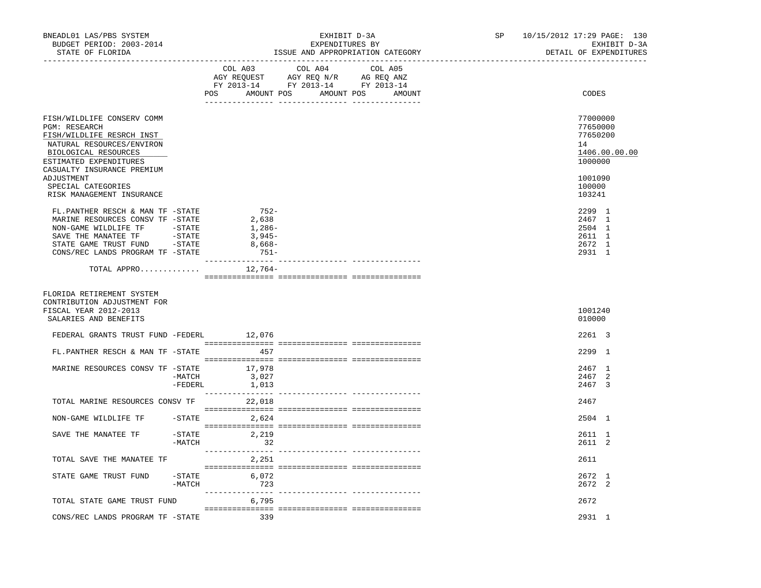| BNEADL01 LAS/PBS SYSTEM<br>BUDGET PERIOD: 2003-2014<br>STATE OF FLORIDA                                                                 |                     |                                                            | EXHIBIT D-3A<br>EXPENDITURES BY<br>ISSUE AND APPROPRIATION CATEGORY                                                                   | 10/15/2012 17:29 PAGE: 130<br>SP <sub>2</sub><br>EXHIBIT D-3A<br>DETAIL OF EXPENDITURES |  |                                                          |               |
|-----------------------------------------------------------------------------------------------------------------------------------------|---------------------|------------------------------------------------------------|---------------------------------------------------------------------------------------------------------------------------------------|-----------------------------------------------------------------------------------------|--|----------------------------------------------------------|---------------|
|                                                                                                                                         |                     |                                                            | COL A03 COL A04 COL A05<br>AGY REQUEST AGY REQ N/R AG REQ ANZ<br>FY 2013-14 FY 2013-14 FY 2013-14<br>POS AMOUNT POS AMOUNT POS AMOUNT |                                                                                         |  | CODES                                                    |               |
|                                                                                                                                         |                     |                                                            |                                                                                                                                       |                                                                                         |  |                                                          |               |
| FISH/WILDLIFE CONSERV COMM<br>PGM: RESEARCH<br>FISH/WILDLIFE RESRCH INST<br>NATURAL RESOURCES/ENVIRON<br>BIOLOGICAL RESOURCES           |                     |                                                            |                                                                                                                                       |                                                                                         |  | 77000000<br>77650000<br>77650200<br>14                   | 1406.00.00.00 |
| ESTIMATED EXPENDITURES<br>CASUALTY INSURANCE PREMIUM<br>ADJUSTMENT                                                                      |                     |                                                            |                                                                                                                                       |                                                                                         |  | 1000000<br>1001090                                       |               |
| SPECIAL CATEGORIES<br>RISK MANAGEMENT INSURANCE                                                                                         |                     |                                                            |                                                                                                                                       |                                                                                         |  | 100000<br>103241                                         |               |
| FL.PANTHER RESCH & MAN TF -STATE<br>MARINE RESOURCES CONSV TF -STATE<br>NON-GAME WILDLIFE TF -STATE<br>CONS/REC LANDS PROGRAM TF -STATE |                     | $752-$<br>2,638<br>1,286-<br>3,945-<br>$8,668-$<br>$751 -$ |                                                                                                                                       |                                                                                         |  | 2299 1<br>2467 1<br>2504 1<br>2611 1<br>2672 1<br>2931 1 |               |
| TOTAL APPRO $12,764-$                                                                                                                   |                     |                                                            |                                                                                                                                       |                                                                                         |  |                                                          |               |
| FLORIDA RETIREMENT SYSTEM<br>CONTRIBUTION ADJUSTMENT FOR<br>FISCAL YEAR 2012-2013<br>SALARIES AND BENEFITS                              |                     |                                                            |                                                                                                                                       |                                                                                         |  | 1001240<br>010000                                        |               |
| FEDERAL GRANTS TRUST FUND -FEDERL 12,076                                                                                                |                     |                                                            |                                                                                                                                       |                                                                                         |  | 2261 3                                                   |               |
| FL.PANTHER RESCH & MAN TF -STATE 457                                                                                                    |                     |                                                            |                                                                                                                                       |                                                                                         |  | 2299 1                                                   |               |
| MARINE RESOURCES CONSV TF -STATE 17,978                                                                                                 | -MATCH<br>-FEDERL   | 3,027<br>1,013                                             |                                                                                                                                       |                                                                                         |  | 2467 1<br>2467 2<br>2467 3                               |               |
| TOTAL MARINE RESOURCES CONSV TF 22,018                                                                                                  |                     |                                                            |                                                                                                                                       |                                                                                         |  | 2467                                                     |               |
| NON-GAME WILDLIFE TF -STATE 2,624                                                                                                       |                     |                                                            |                                                                                                                                       |                                                                                         |  | 2504 1                                                   |               |
| SAVE THE MANATEE TF                                                                                                                     | $-$ STATE<br>-MATCH | 2,219<br>32                                                |                                                                                                                                       |                                                                                         |  | 2611 1<br>2611 2                                         |               |
| TOTAL SAVE THE MANATEE TF                                                                                                               |                     | 2,251                                                      |                                                                                                                                       |                                                                                         |  | 2611                                                     |               |
| STATE GAME TRUST FUND                                                                                                                   |                     | $-STATE$ 6,072<br>$-MATCH$ 723                             |                                                                                                                                       |                                                                                         |  | 2672 1<br>2672 2                                         |               |
| TOTAL STATE GAME TRUST FUND                                                                                                             |                     | 6,795                                                      |                                                                                                                                       |                                                                                         |  | 2672                                                     |               |
| CONS/REC LANDS PROGRAM TF - STATE 339                                                                                                   |                     |                                                            |                                                                                                                                       |                                                                                         |  | 2931 1                                                   |               |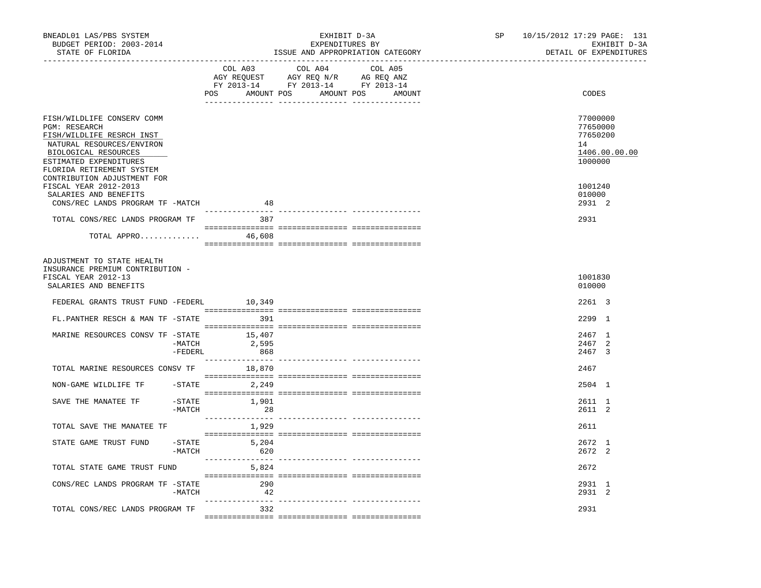| BNEADL01 LAS/PBS SYSTEM<br>BUDGET PERIOD: 2003-2014<br>STATE OF FLORIDA<br>------------------                                                                                                                       | EXHIBIT D-3A<br>EXPENDITURES BY<br>ISSUE AND APPROPRIATION CATEGORY | 10/15/2012 17:29 PAGE: 131<br>SP<br>EXHIBIT D-3A<br>DETAIL OF EXPENDITURES |
|---------------------------------------------------------------------------------------------------------------------------------------------------------------------------------------------------------------------|---------------------------------------------------------------------|----------------------------------------------------------------------------|
|                                                                                                                                                                                                                     | COL A03<br>COL A04<br>COL A05<br>POS AMOUNT POS AMOUNT POS AMOUNT   | CODES                                                                      |
| FISH/WILDLIFE CONSERV COMM<br>PGM: RESEARCH<br>FISH/WILDLIFE RESRCH INST<br>NATURAL RESOURCES/ENVIRON<br>BIOLOGICAL RESOURCES<br>ESTIMATED EXPENDITURES<br>FLORIDA RETIREMENT SYSTEM<br>CONTRIBUTION ADJUSTMENT FOR |                                                                     | 77000000<br>77650000<br>77650200<br>14<br>1406.00.00.00<br>1000000         |
| FISCAL YEAR 2012-2013<br>SALARIES AND BENEFITS<br>CONS/REC LANDS PROGRAM TF -MATCH                                                                                                                                  | 48                                                                  | 1001240<br>010000<br>2931 2                                                |
| TOTAL CONS/REC LANDS PROGRAM TF<br>TOTAL APPRO 46,608                                                                                                                                                               | ----------------<br>387                                             | 2931                                                                       |
| ADJUSTMENT TO STATE HEALTH<br>INSURANCE PREMIUM CONTRIBUTION -<br>FISCAL YEAR 2012-13<br>SALARIES AND BENEFITS                                                                                                      |                                                                     | 1001830<br>010000                                                          |
| FEDERAL GRANTS TRUST FUND -FEDERL 10,349<br>FL.PANTHER RESCH & MAN TF -STATE                                                                                                                                        | 391                                                                 | 2261 3<br>2299 1                                                           |
| MARINE RESOURCES CONSV TF -STATE<br>-MATCH<br>$-FEDERL$                                                                                                                                                             | 15,407<br>2,595<br>868                                              | 2467 1<br>2467 2<br>2467 3                                                 |
| TOTAL MARINE RESOURCES CONSV TF 18,870                                                                                                                                                                              |                                                                     | 2467                                                                       |
| NON-GAME WILDLIFE TF                                                                                                                                                                                                | $-$ STATE 2, 249                                                    | 2504 1                                                                     |
| SAVE THE MANATEE TF<br>-STATE<br>-MATCH                                                                                                                                                                             | 1,901<br>28                                                         | 2611 1<br>2611 2                                                           |
| TOTAL SAVE THE MANATEE TF                                                                                                                                                                                           | 1,929                                                               | 2611                                                                       |
| STATE GAME TRUST FUND<br>-MATCH                                                                                                                                                                                     | $-STATE$ 5,204<br>620                                               | 2672 1<br>2672 2                                                           |
| TOTAL STATE GAME TRUST FUND                                                                                                                                                                                         | 5,824                                                               | 2672                                                                       |
| CONS/REC LANDS PROGRAM TF -STATE<br>-MATCH                                                                                                                                                                          | 290<br>42                                                           | 2931 1<br>2931 2                                                           |
| TOTAL CONS/REC LANDS PROGRAM TF                                                                                                                                                                                     | - 332                                                               | 2931                                                                       |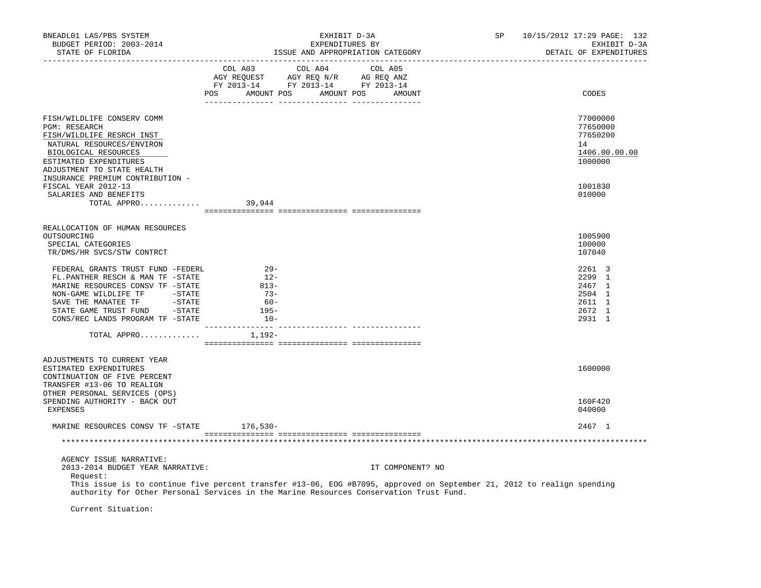| BNEADL01 LAS/PBS SYSTEM<br>BUDGET PERIOD: 2003-2014<br>STATE OF FLORIDA<br>-------------------                                                                                                                                                                                              |                | EXHIBIT D-3A<br>EXPENDITURES BY<br>ISSUE AND APPROPRIATION CATEGORY                                                                      |                  | SP | 10/15/2012 17:29 PAGE: 132<br>EXHIBIT D-3A<br>DETAIL OF EXPENDITURES |
|---------------------------------------------------------------------------------------------------------------------------------------------------------------------------------------------------------------------------------------------------------------------------------------------|----------------|------------------------------------------------------------------------------------------------------------------------------------------|------------------|----|----------------------------------------------------------------------|
|                                                                                                                                                                                                                                                                                             |                | COL A03 COL A04 COL A05<br>CO AGY REQUEST AGY REQ N/R AG REQ ANZ<br>FY 2013-14 FY 2013-14 FY 2013-14<br>POS AMOUNT POS AMOUNT POS AMOUNT |                  |    | CODES                                                                |
|                                                                                                                                                                                                                                                                                             |                |                                                                                                                                          |                  |    |                                                                      |
| FISH/WILDLIFE CONSERV COMM<br><b>PGM: RESEARCH</b><br>FISH/WILDLIFE RESRCH INST<br>NATURAL RESOURCES/ENVIRON                                                                                                                                                                                |                |                                                                                                                                          |                  |    | 77000000<br>77650000<br>77650200<br>14                               |
| BIOLOGICAL RESOURCES<br>ESTIMATED EXPENDITURES<br>ADJUSTMENT TO STATE HEALTH<br>INSURANCE PREMIUM CONTRIBUTION -                                                                                                                                                                            |                |                                                                                                                                          |                  |    | 1406.00.00.00<br>1000000                                             |
| FISCAL YEAR 2012-13                                                                                                                                                                                                                                                                         |                |                                                                                                                                          |                  |    | 1001830                                                              |
| SALARIES AND BENEFITS<br>TOTAL APPRO                                                                                                                                                                                                                                                        | 39,944         |                                                                                                                                          |                  |    | 010000                                                               |
|                                                                                                                                                                                                                                                                                             |                |                                                                                                                                          |                  |    |                                                                      |
|                                                                                                                                                                                                                                                                                             |                |                                                                                                                                          |                  |    |                                                                      |
| REALLOCATION OF HUMAN RESOURCES<br>OUTSOURCING                                                                                                                                                                                                                                              |                |                                                                                                                                          |                  |    | 1005900                                                              |
| SPECIAL CATEGORIES                                                                                                                                                                                                                                                                          |                |                                                                                                                                          |                  |    | 100000                                                               |
| TR/DMS/HR SVCS/STW CONTRCT                                                                                                                                                                                                                                                                  |                |                                                                                                                                          |                  |    | 107040                                                               |
|                                                                                                                                                                                                                                                                                             |                |                                                                                                                                          |                  |    |                                                                      |
| FEDERAL GRANTS TRUST FUND -FEDERL<br>FL.PANTHER RESCH & MAN TF -STATE                                                                                                                                                                                                                       | $29-$<br>$12-$ |                                                                                                                                          |                  |    | 2261 3<br>2299 1                                                     |
| MARINE RESOURCES CONSV TF -STATE                                                                                                                                                                                                                                                            | $813 -$        |                                                                                                                                          |                  |    | 2467 1                                                               |
| NON-GAME WILDLIFE TF - STATE                                                                                                                                                                                                                                                                | $73-$          |                                                                                                                                          |                  |    | 2504 1                                                               |
|                                                                                                                                                                                                                                                                                             | $60 -$         |                                                                                                                                          |                  |    | 2611 1                                                               |
|                                                                                                                                                                                                                                                                                             | $195-$         |                                                                                                                                          |                  |    | 2672 1                                                               |
| CONS/REC LANDS PROGRAM TF -STATE                                                                                                                                                                                                                                                            | $10-$          |                                                                                                                                          |                  |    | 2931 1                                                               |
|                                                                                                                                                                                                                                                                                             |                |                                                                                                                                          |                  |    |                                                                      |
| TOTAL APPRO $1,192-$                                                                                                                                                                                                                                                                        |                |                                                                                                                                          |                  |    |                                                                      |
|                                                                                                                                                                                                                                                                                             |                |                                                                                                                                          |                  |    |                                                                      |
| ADJUSTMENTS TO CURRENT YEAR<br>ESTIMATED EXPENDITURES<br>CONTINUATION OF FIVE PERCENT<br>TRANSFER #13-06 TO REALIGN                                                                                                                                                                         |                |                                                                                                                                          |                  |    | 1600000                                                              |
| OTHER PERSONAL SERVICES (OPS)<br>SPENDING AUTHORITY - BACK OUT<br>EXPENSES                                                                                                                                                                                                                  |                |                                                                                                                                          |                  |    | 160F420<br>040000                                                    |
| MARINE RESOURCES CONSV TF -STATE 176,530-                                                                                                                                                                                                                                                   |                |                                                                                                                                          |                  |    | 2467 1                                                               |
|                                                                                                                                                                                                                                                                                             |                |                                                                                                                                          |                  |    |                                                                      |
|                                                                                                                                                                                                                                                                                             |                |                                                                                                                                          |                  |    |                                                                      |
| AGENCY ISSUE NARRATIVE:<br>2013-2014 BUDGET YEAR NARRATIVE:<br>Request:<br>This issue is to continue five percent transfer #13-06, EOG #B7095, approved on September 21, 2012 to realign spending<br>authority for Other Personal Services in the Marine Resources Conservation Trust Fund. |                |                                                                                                                                          | IT COMPONENT? NO |    |                                                                      |

Current Situation: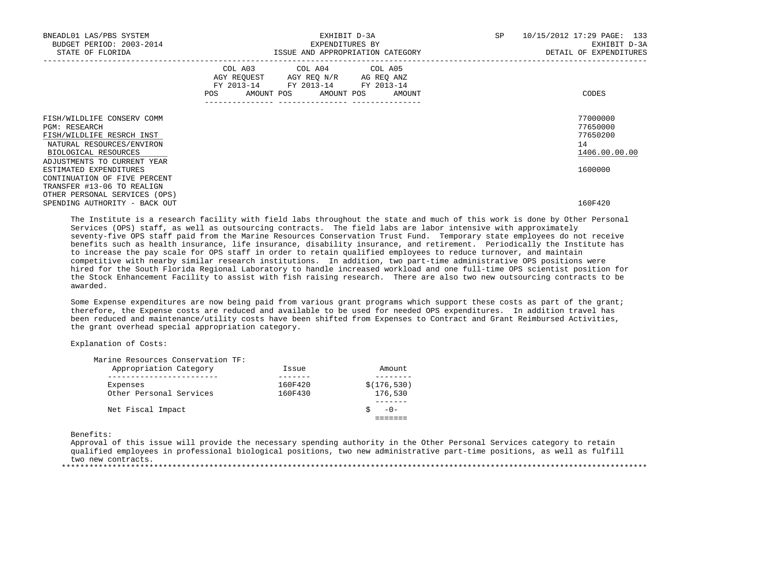| BNEADL01 LAS/PBS SYSTEM<br>BUDGET PERIOD: 2003-2014<br>STATE OF FLORIDA                                                                                      | EXHIBIT D-3A<br>EXPENDITURES BY<br>ISSUE AND APPROPRIATION CATEGORY                                                                   | SP<br>10/15/2012 17:29 PAGE: 133<br>EXHIBIT D-3A<br>DETAIL OF EXPENDITURES |
|--------------------------------------------------------------------------------------------------------------------------------------------------------------|---------------------------------------------------------------------------------------------------------------------------------------|----------------------------------------------------------------------------|
|                                                                                                                                                              | COL A03 COL A04 COL A05<br>AGY REQUEST AGY REQ N/R AG REQ ANZ<br>FY 2013-14 FY 2013-14 FY 2013-14<br>POS AMOUNT POS AMOUNT POS AMOUNT | CODES                                                                      |
| FISH/WILDLIFE CONSERV COMM<br>PGM: RESEARCH<br>FISH/WILDLIFE RESRCH INST<br>NATURAL RESOURCES/ENVIRON<br>BIOLOGICAL RESOURCES<br>ADJUSTMENTS TO CURRENT YEAR |                                                                                                                                       | 77000000<br>77650000<br>77650200<br>14<br>1406.00.00.00                    |
| ESTIMATED EXPENDITURES<br>CONTINUATION OF FIVE PERCENT<br>TRANSFER #13-06 TO REALIGN<br>OTHER PERSONAL SERVICES (OPS)                                        |                                                                                                                                       | 1600000                                                                    |
| SPENDING AUTHORITY - BACK OUT                                                                                                                                |                                                                                                                                       | 160F420                                                                    |

 The Institute is a research facility with field labs throughout the state and much of this work is done by Other Personal Services (OPS) staff, as well as outsourcing contracts. The field labs are labor intensive with approximately seventy-five OPS staff paid from the Marine Resources Conservation Trust Fund. Temporary state employees do not receive benefits such as health insurance, life insurance, disability insurance, and retirement. Periodically the Institute has to increase the pay scale for OPS staff in order to retain qualified employees to reduce turnover, and maintain competitive with nearby similar research institutions. In addition, two part-time administrative OPS positions were hired for the South Florida Regional Laboratory to handle increased workload and one full-time OPS scientist position for the Stock Enhancement Facility to assist with fish raising research. There are also two new outsourcing contracts to be awarded.

 Some Expense expenditures are now being paid from various grant programs which support these costs as part of the grant; therefore, the Expense costs are reduced and available to be used for needed OPS expenditures. In addition travel has been reduced and maintenance/utility costs have been shifted from Expenses to Contract and Grant Reimbursed Activities, the grant overhead special appropriation category.

# Explanation of Costs:

| Marine Resources Conservation TF: |         |              |
|-----------------------------------|---------|--------------|
| Appropriation Category            | Issue   | Amount       |
|                                   |         |              |
| Expenses                          | 160F420 | \$(176, 530) |
| Other Personal Services           | 160F430 | 176,530      |
|                                   |         |              |
| Net Fiscal Impact                 |         | $-0-$        |
|                                   |         |              |
|                                   |         |              |

Benefits:

 Approval of this issue will provide the necessary spending authority in the Other Personal Services category to retain qualified employees in professional biological positions, two new administrative part-time positions, as well as fulfill two new contracts. \*\*\*\*\*\*\*\*\*\*\*\*\*\*\*\*\*\*\*\*\*\*\*\*\*\*\*\*\*\*\*\*\*\*\*\*\*\*\*\*\*\*\*\*\*\*\*\*\*\*\*\*\*\*\*\*\*\*\*\*\*\*\*\*\*\*\*\*\*\*\*\*\*\*\*\*\*\*\*\*\*\*\*\*\*\*\*\*\*\*\*\*\*\*\*\*\*\*\*\*\*\*\*\*\*\*\*\*\*\*\*\*\*\*\*\*\*\*\*\*\*\*\*\*\*\*\*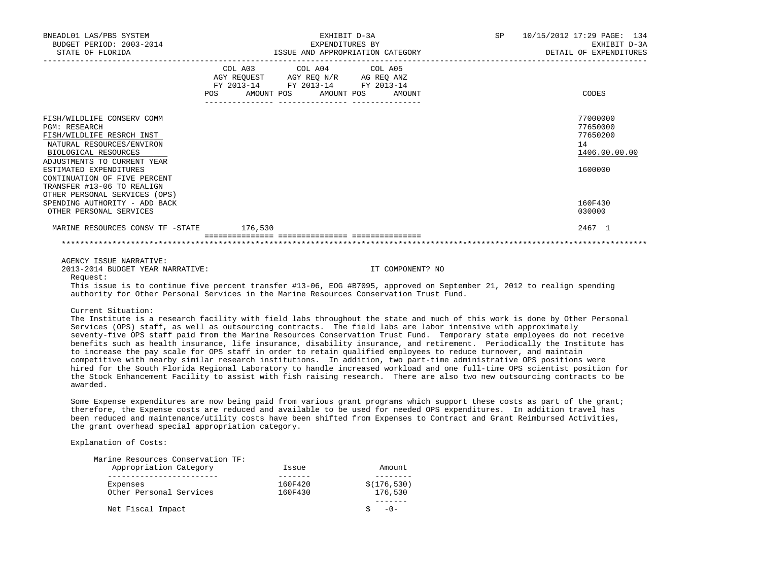| BNEADL01 LAS/PBS SYSTEM<br>BUDGET PERIOD: 2003-2014<br>STATE OF FLORIDA                                                                                                                                                                                                                                                                                                                                                                                                                                                                                                                                                                   |     | EXHIBIT D-3A<br>EXPENDITURES BY                                                                                            | ISSUE AND APPROPRIATION CATEGORY |  | SP 10/15/2012 17:29 PAGE: 134<br>EXHIBIT D-3A<br>DETAIL OF EXPENDITURES |
|-------------------------------------------------------------------------------------------------------------------------------------------------------------------------------------------------------------------------------------------------------------------------------------------------------------------------------------------------------------------------------------------------------------------------------------------------------------------------------------------------------------------------------------------------------------------------------------------------------------------------------------------|-----|----------------------------------------------------------------------------------------------------------------------------|----------------------------------|--|-------------------------------------------------------------------------|
|                                                                                                                                                                                                                                                                                                                                                                                                                                                                                                                                                                                                                                           | POS | COL A03 COL A04 COL A05<br>AGY REQUEST AGY REQ N/R AG REQ ANZ<br>FY 2013-14 FY 2013-14 FY 2013-14<br>AMOUNT POS AMOUNT POS | AMOUNT                           |  | CODES                                                                   |
| FISH/WILDLIFE CONSERV COMM<br><b>PGM: RESEARCH</b><br>FISH/WILDLIFE RESRCH INST<br>NATURAL RESOURCES/ENVIRON<br>BIOLOGICAL RESOURCES<br>ADJUSTMENTS TO CURRENT YEAR<br>ESTIMATED EXPENDITURES<br>CONTINUATION OF FIVE PERCENT<br>TRANSFER #13-06 TO REALIGN<br>OTHER PERSONAL SERVICES (OPS)                                                                                                                                                                                                                                                                                                                                              |     |                                                                                                                            |                                  |  | 77000000<br>77650000<br>77650200<br>14<br>1406.00.00.00<br>1600000      |
| SPENDING AUTHORITY - ADD BACK<br>OTHER PERSONAL SERVICES                                                                                                                                                                                                                                                                                                                                                                                                                                                                                                                                                                                  |     |                                                                                                                            |                                  |  | 160F430<br>030000                                                       |
| MARINE RESOURCES CONSV TF - STATE 176,530                                                                                                                                                                                                                                                                                                                                                                                                                                                                                                                                                                                                 |     |                                                                                                                            |                                  |  | 2467 1                                                                  |
|                                                                                                                                                                                                                                                                                                                                                                                                                                                                                                                                                                                                                                           |     |                                                                                                                            |                                  |  |                                                                         |
| AGENCY ISSUE NARRATIVE:<br>2013-2014 BUDGET YEAR NARRATIVE:<br>Request:<br>This issue is to continue five percent transfer #13-06, EOG #B7095, approved on September 21, 2012 to realign spending<br>authority for Other Personal Services in the Marine Resources Conservation Trust Fund.                                                                                                                                                                                                                                                                                                                                               |     |                                                                                                                            | IT COMPONENT? NO                 |  |                                                                         |
| Current Situation:<br>The Institute is a research facility with field labs throughout the state and much of this work is done by Other Personal<br>Services (OPS) staff, as well as outsourcing contracts. The field labs are labor intensive with approximately<br>seventy-five OPS staff paid from the Marine Resources Conservation Trust Fund. Temporary state employees do not receive<br>benefits such as health insurance, life insurance, disability insurance, and retirement. Periodically the Institute has<br>to increase the pay scale for OPS staff in order to retain qualified employees to reduce turnover, and maintain |     |                                                                                                                            |                                  |  |                                                                         |

 to increase the pay scale for OPS staff in order to retain qualified employees to reduce turnover, and maintain competitive with nearby similar research institutions. In addition, two part-time administrative OPS positions were hired for the South Florida Regional Laboratory to handle increased workload and one full-time OPS scientist position for the Stock Enhancement Facility to assist with fish raising research. There are also two new outsourcing contracts to be awarded.

 Some Expense expenditures are now being paid from various grant programs which support these costs as part of the grant; therefore, the Expense costs are reduced and available to be used for needed OPS expenditures. In addition travel has been reduced and maintenance/utility costs have been shifted from Expenses to Contract and Grant Reimbursed Activities, the grant overhead special appropriation category.

# Explanation of Costs:

| Marine Resources Conservation TF: |         |              |
|-----------------------------------|---------|--------------|
| Appropriation Category            | Issue   | Amount       |
|                                   |         |              |
| Expenses                          | 160F420 | \$(176, 530) |
| Other Personal Services           | 160F430 | 176,530      |
|                                   |         |              |
| Net Fiscal Impact                 |         | $-0-$        |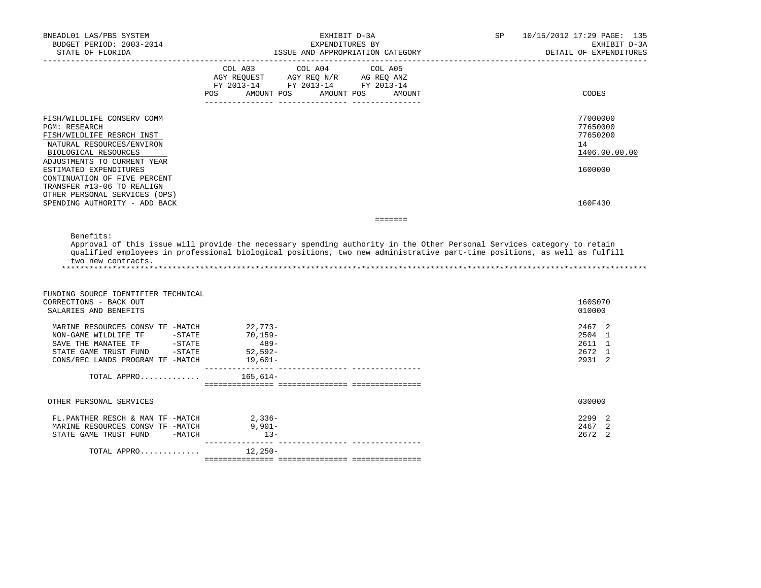| BNEADL01 LAS/PBS SYSTEM<br>BUDGET PERIOD: 2003-2014<br>STATE OF FLORIDA                                                              | EXHIBIT D-3A<br>EXPENDITURES BY<br>ISSUE AND APPROPRIATION CATEGORY                                                                                                                                                                                | 10/15/2012 17:29 PAGE: 135<br>SP<br>EXHIBIT D-3A<br>DETAIL OF EXPENDITURES |
|--------------------------------------------------------------------------------------------------------------------------------------|----------------------------------------------------------------------------------------------------------------------------------------------------------------------------------------------------------------------------------------------------|----------------------------------------------------------------------------|
|                                                                                                                                      | COL A03 COL A04 COL A05<br>AGY REQUEST AGY REQ N/R AG REQ ANZ<br>FY 2013-14 FY 2013-14 FY 2013-14<br>POS<br>AMOUNT POS<br>AMOUNT POS<br>AMOUNT                                                                                                     | CODES                                                                      |
| FISH/WILDLIFE CONSERV COMM<br><b>PGM: RESEARCH</b><br>FISH/WILDLIFE RESRCH INST<br>NATURAL RESOURCES/ENVIRON<br>BIOLOGICAL RESOURCES |                                                                                                                                                                                                                                                    | 77000000<br>77650000<br>77650200<br>14<br>1406.00.00.00                    |
| ADJUSTMENTS TO CURRENT YEAR<br>ESTIMATED EXPENDITURES<br>CONTINUATION OF FIVE PERCENT<br>TRANSFER #13-06 TO REALIGN                  |                                                                                                                                                                                                                                                    | 1600000                                                                    |
| OTHER PERSONAL SERVICES (OPS)<br>SPENDING AUTHORITY - ADD BACK                                                                       |                                                                                                                                                                                                                                                    | 160F430                                                                    |
|                                                                                                                                      | $\qquad \qquad \equiv \equiv \equiv \equiv \equiv \equiv \equiv$                                                                                                                                                                                   |                                                                            |
| two new contracts.                                                                                                                   | Approval of this issue will provide the necessary spending authority in the Other Personal Services category to retain<br>qualified employees in professional biological positions, two new administrative part-time positions, as well as fulfill |                                                                            |
| FUNDING SOURCE IDENTIFIER TECHNICAL<br>CORRECTIONS - BACK OUT<br>SALARIES AND BENEFITS                                               |                                                                                                                                                                                                                                                    | 160S070<br>010000                                                          |
| MARINE RESOURCES CONSV TF -MATCH<br>NON-GAME WILDLIFE TF -STATE<br>CONS/REC LANDS PROGRAM TF -MATCH                                  | $22,773-$<br>70,159-<br>$489-$<br>$52,592-$<br>19,601–                                                                                                                                                                                             | 2467 2<br>2504 1<br>2611 1<br>2672 1<br>2931 2                             |
| TOTAL APPRO 165,614-                                                                                                                 |                                                                                                                                                                                                                                                    |                                                                            |
| OTHER PERSONAL SERVICES                                                                                                              |                                                                                                                                                                                                                                                    | 030000                                                                     |
| FL.PANTHER RESCH & MAN TF -MATCH<br>MARINE RESOURCES CONSV TF -MATCH<br>STATE GAME TRUST FUND -MATCH                                 | $2,336-$<br>$9,901-$<br>$13-$                                                                                                                                                                                                                      | 2299 2<br>2467 2<br>2672 2                                                 |
| TOTAL APPRO                                                                                                                          | 12,250-                                                                                                                                                                                                                                            |                                                                            |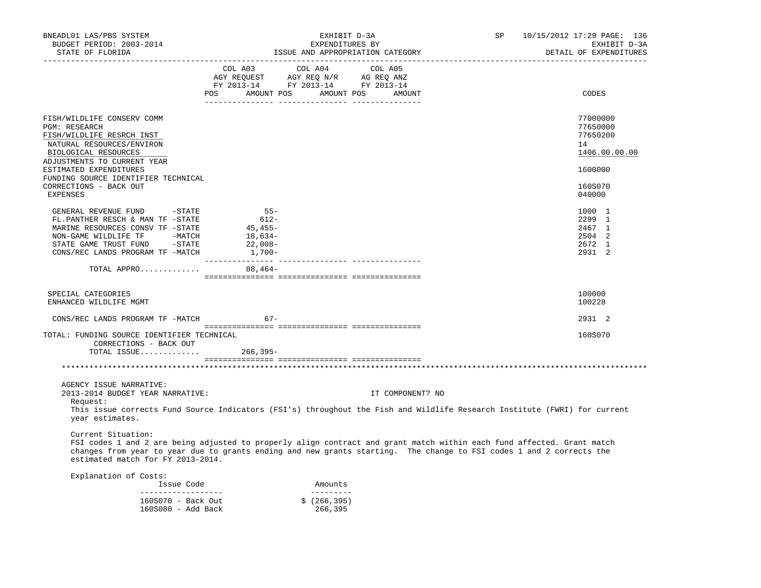| BNEADL01 LAS/PBS SYSTEM<br>BUDGET PERIOD: 2003-2014<br>STATE OF FLORIDA                                                                                                                                                                                                                                   |                                                                                                                | EXHIBIT D-3A<br>EXPENDITURES BY<br>ISSUE AND APPROPRIATION CATEGORY | SP                | 10/15/2012 17:29 PAGE: 136<br>EXHIBIT D-3A<br>DETAIL OF EXPENDITURES |                                                                                         |
|-----------------------------------------------------------------------------------------------------------------------------------------------------------------------------------------------------------------------------------------------------------------------------------------------------------|----------------------------------------------------------------------------------------------------------------|---------------------------------------------------------------------|-------------------|----------------------------------------------------------------------|-----------------------------------------------------------------------------------------|
|                                                                                                                                                                                                                                                                                                           | COL A03<br>AGY REQUEST AGY REQ N/R AG REQ ANZ<br>FY 2013-14 FY 2013-14 FY 2013-14<br>POS AMOUNT POS AMOUNT POS | COL A04                                                             | COL A05<br>AMOUNT |                                                                      | CODES                                                                                   |
| FISH/WILDLIFE CONSERV COMM<br><b>PGM: RESEARCH</b><br>FISH/WILDLIFE RESRCH INST<br>NATURAL RESOURCES/ENVIRON<br>BIOLOGICAL RESOURCES<br>ADJUSTMENTS TO CURRENT YEAR<br>ESTIMATED EXPENDITURES<br>FUNDING SOURCE IDENTIFIER TECHNICAL<br>CORRECTIONS - BACK OUT<br>EXPENSES                                |                                                                                                                |                                                                     |                   |                                                                      | 77000000<br>77650000<br>77650200<br>14<br>1406.00.00.00<br>1600000<br>160S070<br>040000 |
| GENERAL REVENUE FUND -STATE<br>FL.PANTHER RESCH & MAN TF -STATE<br>MARINE RESOURCES CONSV TF -STATE<br>NON-GAME WILDLIFE TF -MATCH<br>STATE GAME TRUST FUND - STATE<br>CONS/REC LANDS PROGRAM TF -MATCH<br>TOTAL APPRO                                                                                    | $55-$<br>612-<br>45,455-<br>18,634-<br>22,008-<br>$1,700-$<br>$88,464-$                                        |                                                                     |                   |                                                                      | 1000 1<br>2299 1<br>2467 1<br>2504 2<br>2672 1<br>2931 2                                |
|                                                                                                                                                                                                                                                                                                           |                                                                                                                |                                                                     |                   |                                                                      |                                                                                         |
| SPECIAL CATEGORIES<br>ENHANCED WILDLIFE MGMT                                                                                                                                                                                                                                                              |                                                                                                                |                                                                     |                   |                                                                      | 100000<br>100228                                                                        |
| CONS/REC LANDS PROGRAM TF -MATCH                                                                                                                                                                                                                                                                          | $67 -$                                                                                                         |                                                                     |                   |                                                                      | 2931 2                                                                                  |
| TOTAL: FUNDING SOURCE IDENTIFIER TECHNICAL<br>CORRECTIONS - BACK OUT<br>TOTAL ISSUE                                                                                                                                                                                                                       | $266, 395 -$                                                                                                   |                                                                     |                   |                                                                      | 160S070                                                                                 |
|                                                                                                                                                                                                                                                                                                           |                                                                                                                |                                                                     |                   |                                                                      |                                                                                         |
| AGENCY ISSUE NARRATIVE:<br>2013-2014 BUDGET YEAR NARRATIVE:<br>Request:<br>This issue corrects Fund Source Indicators (FSI's) throughout the Fish and Wildlife Research Institute (FWRI) for current<br>year estimates.                                                                                   |                                                                                                                |                                                                     | IT COMPONENT? NO  |                                                                      |                                                                                         |
| Current Situation:<br>FSI codes 1 and 2 are being adjusted to properly align contract and grant match within each fund affected. Grant match<br>changes from year to year due to grants ending and new grants starting. The change to FSI codes 1 and 2 corrects the<br>estimated match for FY 2013-2014. |                                                                                                                |                                                                     |                   |                                                                      |                                                                                         |
| Explanation of Costs:                                                                                                                                                                                                                                                                                     |                                                                                                                |                                                                     |                   |                                                                      |                                                                                         |
| Issue Code<br>____________________                                                                                                                                                                                                                                                                        |                                                                                                                | Amounts<br>----------                                               |                   |                                                                      |                                                                                         |
| 160S070 - Back Out<br>160S080 - Add Back                                                                                                                                                                                                                                                                  |                                                                                                                | \$(266, 395)<br>266,395                                             |                   |                                                                      |                                                                                         |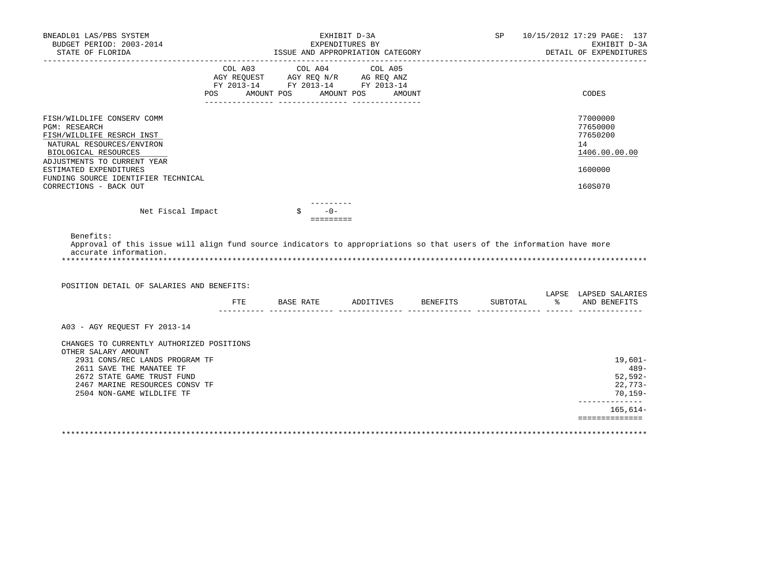| BNEADL01 LAS/PBS SYSTEM                                                                                                                                                                                                                                     |                                                                                                                       |         | EXHIBIT D-3A       |                 |                                  |          |                          | SP 10/15/2012 17:29 PAGE: 137                                             |
|-------------------------------------------------------------------------------------------------------------------------------------------------------------------------------------------------------------------------------------------------------------|-----------------------------------------------------------------------------------------------------------------------|---------|--------------------|-----------------|----------------------------------|----------|--------------------------|---------------------------------------------------------------------------|
| BUDGET PERIOD: 2003-2014<br>STATE OF FLORIDA                                                                                                                                                                                                                |                                                                                                                       |         |                    | EXPENDITURES BY | ISSUE AND APPROPRIATION CATEGORY |          |                          | EXHIBIT D-3A<br>DETAIL OF EXPENDITURES                                    |
|                                                                                                                                                                                                                                                             | COL A03<br>AGY REQUEST AGY REQ N/R AG REQ ANZ<br>FY 2013-14 FY 2013-14 FY 2013-14<br>POS AMOUNT POS AMOUNT POS AMOUNT | COL A04 |                    | COL A05         |                                  |          | ------------------------ | CODES                                                                     |
|                                                                                                                                                                                                                                                             |                                                                                                                       |         |                    |                 |                                  |          |                          |                                                                           |
| FISH/WILDLIFE CONSERV COMM<br><b>PGM: RESEARCH</b><br>FISH/WILDLIFE RESRCH INST<br>NATURAL RESOURCES/ENVIRON<br>BIOLOGICAL RESOURCES<br>ADJUSTMENTS TO CURRENT YEAR<br>ESTIMATED EXPENDITURES                                                               |                                                                                                                       |         |                    |                 |                                  |          |                          | 77000000<br>77650000<br>77650200<br>14<br>1406.00.00.00<br>1600000        |
| FUNDING SOURCE IDENTIFIER TECHNICAL<br>CORRECTIONS - BACK OUT                                                                                                                                                                                               |                                                                                                                       |         |                    |                 |                                  |          |                          | 160S070                                                                   |
| Net Fiscal Impact<br>Benefits:<br>Approval of this issue will align fund source indicators to appropriations so that users of the information have more<br>accurate information.                                                                            |                                                                                                                       |         | $-0-$<br>========= |                 |                                  |          |                          |                                                                           |
| POSITION DETAIL OF SALARIES AND BENEFITS:                                                                                                                                                                                                                   |                                                                                                                       |         |                    |                 | FTE BASE RATE ADDITIVES BENEFITS | SUBTOTAL |                          | LAPSE LAPSED SALARIES<br>% AND BENEFITS                                   |
| A03 - AGY REQUEST FY 2013-14<br>CHANGES TO CURRENTLY AUTHORIZED POSITIONS<br>OTHER SALARY AMOUNT<br>2931 CONS/REC LANDS PROGRAM TF<br>2611 SAVE THE MANATEE TF<br>2672 STATE GAME TRUST FUND<br>2467 MARINE RESOURCES CONSV TF<br>2504 NON-GAME WILDLIFE TF |                                                                                                                       |         |                    |                 |                                  |          |                          | $19,601-$<br>$489 -$<br>$52,592-$<br>22,773-<br>70,159-<br>______________ |
|                                                                                                                                                                                                                                                             |                                                                                                                       |         |                    |                 |                                  |          |                          | $165,614-$<br>==============                                              |
|                                                                                                                                                                                                                                                             |                                                                                                                       |         |                    |                 |                                  |          |                          |                                                                           |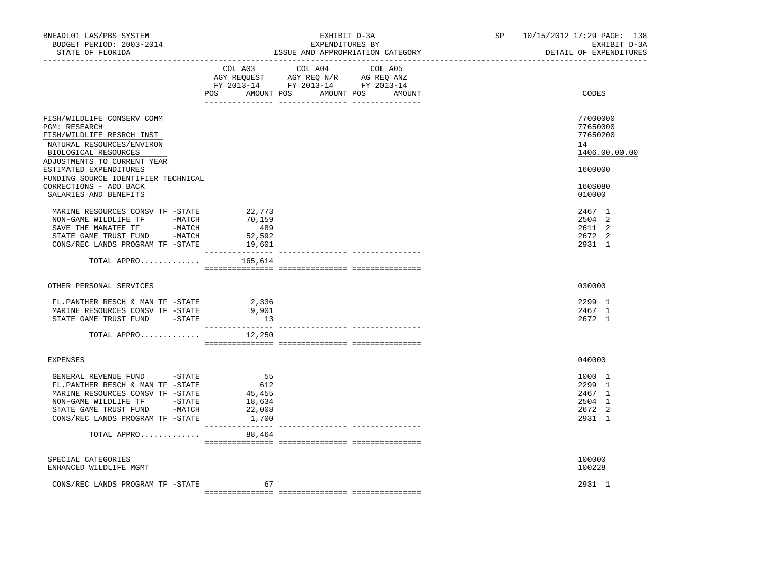| BNEADL01 LAS/PBS SYSTEM<br>BUDGET PERIOD: 2003-2014<br>STATE OF FLORIDA<br>---------------                                                                                                                            |                                                                                 | EXHIBIT D-3A<br>EXPENDITURES BY<br>ISSUE AND APPROPRIATION CATEGORY                                                                   | SP<br>10/15/2012 17:29 PAGE: 138<br>EXHIBIT D-3A<br>DETAIL OF EXPENDITURES |
|-----------------------------------------------------------------------------------------------------------------------------------------------------------------------------------------------------------------------|---------------------------------------------------------------------------------|---------------------------------------------------------------------------------------------------------------------------------------|----------------------------------------------------------------------------|
|                                                                                                                                                                                                                       |                                                                                 | COL A03 COL A04 COL A05<br>NGY REQUEST AGY REQ N/R AG REQ ANZ<br>FY 2013-14 FY 2013-14 FY 2013-14<br>POS AMOUNT POS AMOUNT POS AMOUNT | CODES                                                                      |
| FISH/WILDLIFE CONSERV COMM<br>PGM: RESEARCH<br>FISH/WILDLIFE RESRCH INST<br>NATURAL RESOURCES/ENVIRON<br>BIOLOGICAL RESOURCES<br>ADJUSTMENTS TO CURRENT YEAR                                                          |                                                                                 |                                                                                                                                       | 77000000<br>77650000<br>77650200<br>14<br>1406.00.00.00                    |
| ESTIMATED EXPENDITURES<br>FUNDING SOURCE IDENTIFIER TECHNICAL<br>CORRECTIONS - ADD BACK<br>SALARIES AND BENEFITS                                                                                                      |                                                                                 |                                                                                                                                       | 1600000<br>160S080<br>010000                                               |
| MARINE RESOURCES CONSV TF -STATE<br>NON-GAME WILDLIFE TF -MATCH<br>SAVE THE MANATEE TF -MATCH<br>STATE GAME TRUST FUND -MATCH<br>CONS/REC LANDS PROGRAM TF -STATE                                                     | 22,773<br>70,159<br>489<br>52,592<br>19,601                                     |                                                                                                                                       | 2467 1<br>2504 2<br>2611 2<br>2672 2<br>2931 1                             |
| TOTAL APPRO $165,614$                                                                                                                                                                                                 |                                                                                 |                                                                                                                                       |                                                                            |
| OTHER PERSONAL SERVICES                                                                                                                                                                                               |                                                                                 |                                                                                                                                       | 030000                                                                     |
| FL.PANTHER RESCH & MAN TF -STATE 2,336<br>MARINE RESOURCES CONSV TF -STATE<br>STATE GAME TRUST FUND -STATE                                                                                                            | 9,901<br>13                                                                     |                                                                                                                                       | 2299 1<br>2467 1<br>2672 1                                                 |
| TOTAL APPRO $12,250$                                                                                                                                                                                                  |                                                                                 |                                                                                                                                       |                                                                            |
| <b>EXPENSES</b>                                                                                                                                                                                                       |                                                                                 |                                                                                                                                       | 040000                                                                     |
| GENERAL REVENUE FUND -STATE<br>FL.PANTHER RESCH & MAN TF -STATE<br>MARINE RESOURCES CONSV TF -STATE<br>NON-GAME WILDLIFE TF         -STATE<br>STATE GAME TRUST FUND        -MATCH<br>CONS/REC LANDS PROGRAM TF -STATE | $\begin{array}{c} 55 \\ 612 \end{array}$<br>45,455<br>18,634<br>22,008<br>1,700 |                                                                                                                                       | 1000 1<br>2299 1<br>2467 1<br>2504 1<br>2672 2<br>2931 1                   |
| TOTAL APPRO 88,464                                                                                                                                                                                                    |                                                                                 |                                                                                                                                       |                                                                            |
| SPECIAL CATEGORIES<br>ENHANCED WILDLIFE MGMT                                                                                                                                                                          |                                                                                 |                                                                                                                                       | 100000<br>100228                                                           |
| CONS/REC LANDS PROGRAM TF -STATE                                                                                                                                                                                      | 67                                                                              |                                                                                                                                       | 2931 1                                                                     |
|                                                                                                                                                                                                                       |                                                                                 |                                                                                                                                       |                                                                            |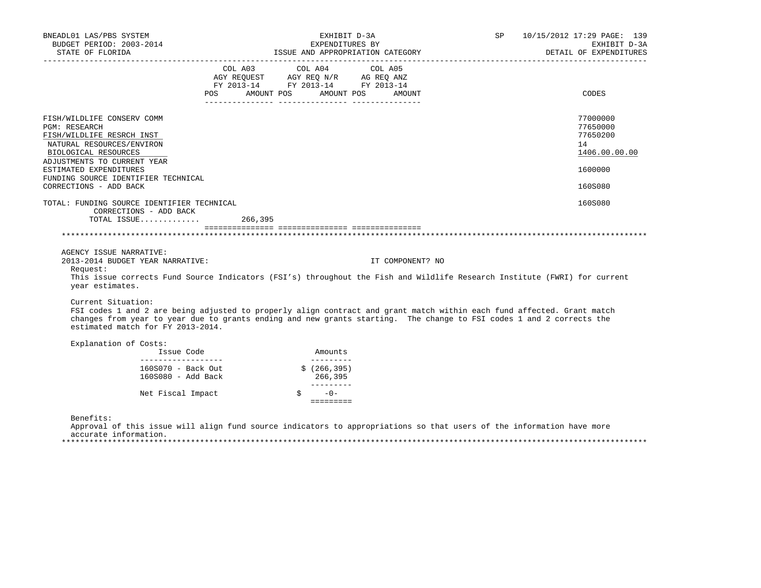| POS FOR | AMOUNT POS                                                                                                                                                                                                                                              |                                                           | COL A03 COL A04 COL A05<br>FY 2013-14 FY 2013-14 FY 2013-14<br>AMOUNT POS AMOUNT |                                                   |                                                                                                                                                                                                                                                                                                                                                                                                                                                                                                      |
|---------|---------------------------------------------------------------------------------------------------------------------------------------------------------------------------------------------------------------------------------------------------------|-----------------------------------------------------------|----------------------------------------------------------------------------------|---------------------------------------------------|------------------------------------------------------------------------------------------------------------------------------------------------------------------------------------------------------------------------------------------------------------------------------------------------------------------------------------------------------------------------------------------------------------------------------------------------------------------------------------------------------|
|         |                                                                                                                                                                                                                                                         |                                                           |                                                                                  |                                                   | CODES                                                                                                                                                                                                                                                                                                                                                                                                                                                                                                |
|         |                                                                                                                                                                                                                                                         |                                                           |                                                                                  |                                                   | 77000000<br>77650000<br>77650200<br>14<br>1406.00.00.00<br>1600000<br>160S080                                                                                                                                                                                                                                                                                                                                                                                                                        |
|         |                                                                                                                                                                                                                                                         |                                                           |                                                                                  |                                                   | 160S080                                                                                                                                                                                                                                                                                                                                                                                                                                                                                              |
|         |                                                                                                                                                                                                                                                         |                                                           |                                                                                  |                                                   |                                                                                                                                                                                                                                                                                                                                                                                                                                                                                                      |
|         |                                                                                                                                                                                                                                                         |                                                           | IT COMPONENT? NO                                                                 |                                                   |                                                                                                                                                                                                                                                                                                                                                                                                                                                                                                      |
|         |                                                                                                                                                                                                                                                         |                                                           |                                                                                  |                                                   |                                                                                                                                                                                                                                                                                                                                                                                                                                                                                                      |
|         |                                                                                                                                                                                                                                                         |                                                           |                                                                                  |                                                   |                                                                                                                                                                                                                                                                                                                                                                                                                                                                                                      |
|         |                                                                                                                                                                                                                                                         | 266,395                                                   |                                                                                  |                                                   |                                                                                                                                                                                                                                                                                                                                                                                                                                                                                                      |
|         |                                                                                                                                                                                                                                                         | $-0-$                                                     |                                                                                  |                                                   |                                                                                                                                                                                                                                                                                                                                                                                                                                                                                                      |
|         | FUNDING SOURCE IDENTIFIER TECHNICAL<br>TOTAL: FUNDING SOURCE IDENTIFIER TECHNICAL<br>CORRECTIONS - ADD BACK<br>2013-2014 BUDGET YEAR NARRATIVE:<br>estimated match for FY 2013-2014.<br>____________________<br>160S080 - Add Back<br>Net Fiscal Impact | TOTAL ISSUE $266,395$<br>Issue Code<br>160S070 - Back Out | Amounts                                                                          | __________<br>\$(266, 395)<br>$- - - - - - - - -$ | This issue corrects Fund Source Indicators (FSI's) throughout the Fish and Wildlife Research Institute (FWRI) for current<br>FSI codes 1 and 2 are being adjusted to properly align contract and grant match within each fund affected. Grant match<br>changes from year to year due to grants ending and new grants starting. The change to FSI codes 1 and 2 corrects the<br>Approval of this issue will align fund source indicators to appropriations so that users of the information have more |

accurate information.

\*\*\*\*\*\*\*\*\*\*\*\*\*\*\*\*\*\*\*\*\*\*\*\*\*\*\*\*\*\*\*\*\*\*\*\*\*\*\*\*\*\*\*\*\*\*\*\*\*\*\*\*\*\*\*\*\*\*\*\*\*\*\*\*\*\*\*\*\*\*\*\*\*\*\*\*\*\*\*\*\*\*\*\*\*\*\*\*\*\*\*\*\*\*\*\*\*\*\*\*\*\*\*\*\*\*\*\*\*\*\*\*\*\*\*\*\*\*\*\*\*\*\*\*\*\*\*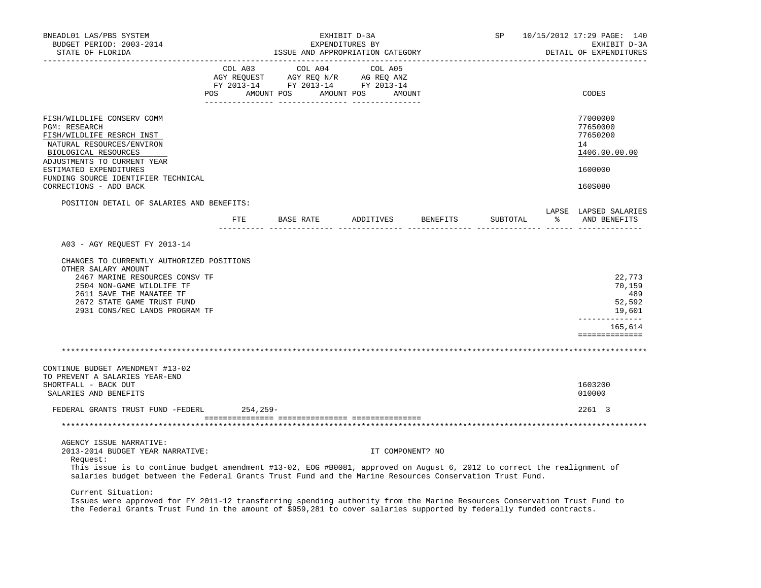| BNEADL01 LAS/PBS SYSTEM<br>BUDGET PERIOD: 2003-2014<br>STATE OF FLORIDA                                                                                                                                                                                                                                       | <b>SP</b> SP<br>EXHIBIT D-3A<br>EXPENDITURES BY<br>ISSUE AND APPROPRIATION CATEGORY |                                                                                                                       |         |         |                  | 10/15/2012 17:29 PAGE: 140<br>EXHIBIT D-3A<br>DETAIL OF EXPENDITURES |  |                                                         |
|---------------------------------------------------------------------------------------------------------------------------------------------------------------------------------------------------------------------------------------------------------------------------------------------------------------|-------------------------------------------------------------------------------------|-----------------------------------------------------------------------------------------------------------------------|---------|---------|------------------|----------------------------------------------------------------------|--|---------------------------------------------------------|
|                                                                                                                                                                                                                                                                                                               | COL A03                                                                             | COL AUS<br>AGY REQUEST AGY REQ N/R AG REQ ANZ<br>FY 2013-14 FY 2013-14 FY 2013-14<br>POS AMOUNT POS AMOUNT POS AMOUNT | COL A04 | COL A05 |                  |                                                                      |  | CODES                                                   |
| FISH/WILDLIFE CONSERV COMM<br>PGM: RESEARCH<br>FISH/WILDLIFE RESRCH INST<br>NATURAL RESOURCES/ENVIRON<br>BIOLOGICAL RESOURCES<br>ADJUSTMENTS TO CURRENT YEAR                                                                                                                                                  |                                                                                     |                                                                                                                       |         |         |                  |                                                                      |  | 77000000<br>77650000<br>77650200<br>14<br>1406.00.00.00 |
| ESTIMATED EXPENDITURES<br>FUNDING SOURCE IDENTIFIER TECHNICAL                                                                                                                                                                                                                                                 |                                                                                     |                                                                                                                       |         |         |                  |                                                                      |  | 1600000                                                 |
| CORRECTIONS - ADD BACK                                                                                                                                                                                                                                                                                        |                                                                                     |                                                                                                                       |         |         |                  |                                                                      |  | 160S080                                                 |
| POSITION DETAIL OF SALARIES AND BENEFITS:                                                                                                                                                                                                                                                                     |                                                                                     | FTE BASE RATE ADDITIVES BENEFITS                                                                                      |         |         |                  | SUBTOTAL                                                             |  | LAPSE LAPSED SALARIES<br>8 AND BENEFITS                 |
| A03 - AGY REQUEST FY 2013-14<br>CHANGES TO CURRENTLY AUTHORIZED POSITIONS<br>OTHER SALARY AMOUNT<br>2467 MARINE RESOURCES CONSV TF<br>2504 NON-GAME WILDLIFE TF<br>2611 SAVE THE MANATEE TF<br>2672 STATE GAME TRUST FUND                                                                                     |                                                                                     |                                                                                                                       |         |         |                  |                                                                      |  | 22,773<br>70,159<br>489<br>52,592                       |
| 2931 CONS/REC LANDS PROGRAM TF                                                                                                                                                                                                                                                                                |                                                                                     |                                                                                                                       |         |         |                  |                                                                      |  | 19,601<br>--------------                                |
|                                                                                                                                                                                                                                                                                                               |                                                                                     |                                                                                                                       |         |         |                  |                                                                      |  | 165,614<br>==============                               |
|                                                                                                                                                                                                                                                                                                               |                                                                                     |                                                                                                                       |         |         |                  |                                                                      |  |                                                         |
| CONTINUE BUDGET AMENDMENT #13-02<br>TO PREVENT A SALARIES YEAR-END<br>SHORTFALL - BACK OUT<br>SALARIES AND BENEFITS                                                                                                                                                                                           |                                                                                     |                                                                                                                       |         |         |                  |                                                                      |  | 1603200<br>010000                                       |
| FEDERAL GRANTS TRUST FUND -FEDERL 254,259-                                                                                                                                                                                                                                                                    |                                                                                     |                                                                                                                       |         |         |                  |                                                                      |  | 2261 3                                                  |
|                                                                                                                                                                                                                                                                                                               |                                                                                     |                                                                                                                       |         |         |                  |                                                                      |  |                                                         |
| AGENCY ISSUE NARRATIVE:<br>2013-2014 BUDGET YEAR NARRATIVE:<br>Request:<br>This issue is to continue budget amendment #13-02, EOG #B0081, approved on August 6, 2012 to correct the realignment of<br>salaries budget between the Federal Grants Trust Fund and the Marine Resources Conservation Trust Fund. |                                                                                     |                                                                                                                       |         |         | IT COMPONENT? NO |                                                                      |  |                                                         |
| Current Situation:<br>Issues were approved for FY 2011-12 transferring spending authority from the Marine Resources Conservation Trust Fund to<br>the Federal Grants Trust Fund in the amount of \$959,281 to cover salaries supported by federally funded contracts.                                         |                                                                                     |                                                                                                                       |         |         |                  |                                                                      |  |                                                         |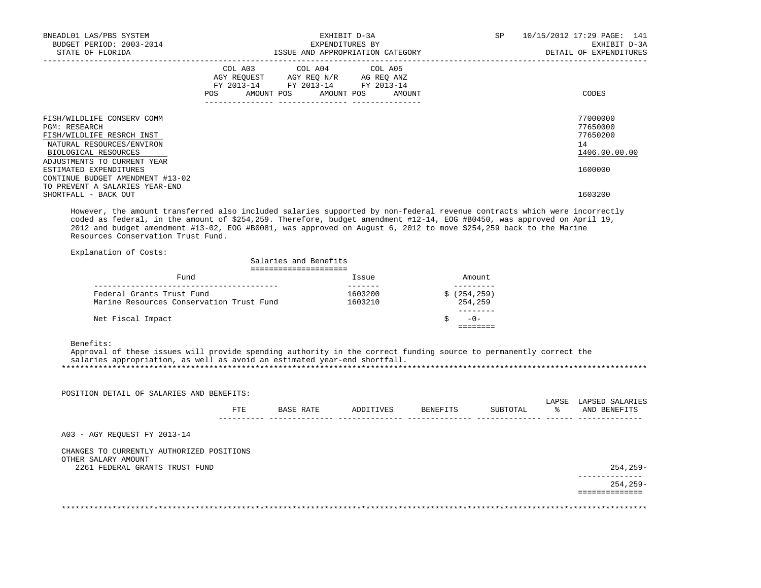| BNEADL01 LAS/PBS SYSTEM<br>BUDGET PERIOD: 2003-2014<br>STATE OF FLORIDA                                                                             | EXHIBIT D-3A<br>EXPENDITURES BY<br>ISSUE AND APPROPRIATION CATEGORY                                                                   | SP<br>10/15/2012 17:29 PAGE: 141<br>EXHIBIT D-3A<br>DETAIL OF EXPENDITURES |
|-----------------------------------------------------------------------------------------------------------------------------------------------------|---------------------------------------------------------------------------------------------------------------------------------------|----------------------------------------------------------------------------|
|                                                                                                                                                     | COL A03 COL A04 COL A05<br>AGY REQUEST AGY REQ N/R AG REQ ANZ<br>FY 2013-14 FY 2013-14 FY 2013-14<br>POS AMOUNT POS AMOUNT POS AMOUNT | CODES                                                                      |
| FISH/WILDLIFE CONSERV COMM<br><b>PGM: RESEARCH</b><br>FISH/WILDLIFE RESRCH INST<br>NATURAL RESOURCES/ENVIRON<br>BIOLOGICAL RESOURCES                |                                                                                                                                       | 77000000<br>77650000<br>77650200<br>14<br>1406.00.00.00                    |
| ADJUSTMENTS TO CURRENT YEAR<br>ESTIMATED EXPENDITURES<br>CONTINUE BUDGET AMENDMENT #13-02<br>TO PREVENT A SALARIES YEAR-END<br>SHORTFALL - BACK OUT |                                                                                                                                       | 1600000<br>1603200                                                         |

 However, the amount transferred also included salaries supported by non-federal revenue contracts which were incorrectly coded as federal, in the amount of \$254,259. Therefore, budget amendment #12-14, EOG #B0450, was approved on April 19, 2012 and budget amendment #13-02, EOG #B0081, was approved on August 6, 2012 to move \$254,259 back to the Marine Resources Conservation Trust Fund.

Explanation of Costs:

| Salaries and Benefits                    |         |              |  |  |  |  |  |
|------------------------------------------|---------|--------------|--|--|--|--|--|
|                                          |         |              |  |  |  |  |  |
| Fund                                     | Issue   | Amount       |  |  |  |  |  |
|                                          |         |              |  |  |  |  |  |
| Federal Grants Trust Fund                | 1603200 | \$(254, 259) |  |  |  |  |  |
| Marine Resources Conservation Trust Fund | 1603210 | 254,259      |  |  |  |  |  |
|                                          |         |              |  |  |  |  |  |
| Net Fiscal Impact                        |         | $-0-$        |  |  |  |  |  |
|                                          |         |              |  |  |  |  |  |

Benefits:

 Approval of these issues will provide spending authority in the correct funding source to permanently correct the salaries appropriation, as well as avoid an estimated year-end shortfall. \*\*\*\*\*\*\*\*\*\*\*\*\*\*\*\*\*\*\*\*\*\*\*\*\*\*\*\*\*\*\*\*\*\*\*\*\*\*\*\*\*\*\*\*\*\*\*\*\*\*\*\*\*\*\*\*\*\*\*\*\*\*\*\*\*\*\*\*\*\*\*\*\*\*\*\*\*\*\*\*\*\*\*\*\*\*\*\*\*\*\*\*\*\*\*\*\*\*\*\*\*\*\*\*\*\*\*\*\*\*\*\*\*\*\*\*\*\*\*\*\*\*\*\*\*\*\*

| POSITION DETAIL OF SALARIES AND BENEFITS:             |      |           |           |          |          |             |                                 |
|-------------------------------------------------------|------|-----------|-----------|----------|----------|-------------|---------------------------------|
|                                                       | FTE. | BASE RATE | ADDITIVES | BENEFITS | SUBTOTAL | LAPSE<br>°≈ | LAPSED SALARIES<br>AND BENEFITS |
| A03 - AGY REOUEST FY 2013-14                          |      |           |           |          |          |             |                                 |
| CHANGES TO CURRENTLY AUTHORIZED POSITIONS             |      |           |           |          |          |             |                                 |
| OTHER SALARY AMOUNT<br>2261 FEDERAL GRANTS TRUST FUND |      |           |           |          |          |             | $254, 259-$<br>-----------      |
|                                                       |      |           |           |          |          |             | $254, 259 -$                    |
|                                                       |      |           |           |          |          |             |                                 |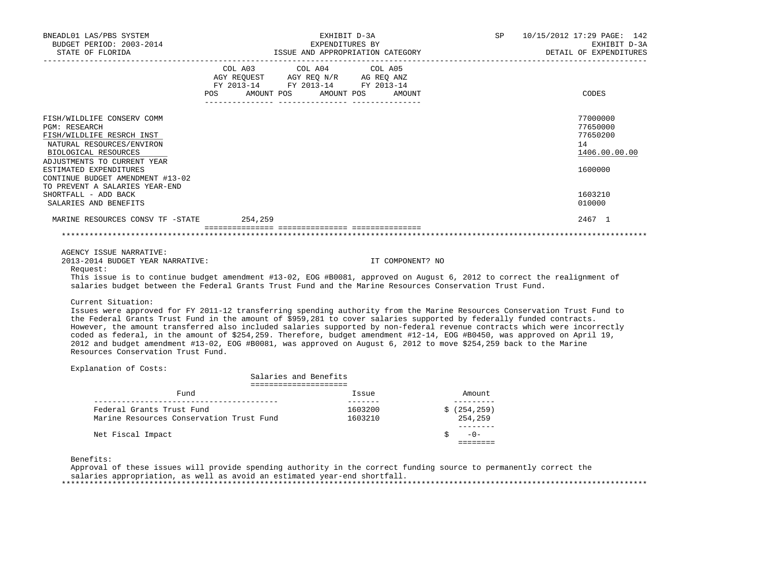| BNEADL01 LAS/PBS SYSTEM<br>BUDGET PERIOD: 2003-2014<br>STATE OF FLORIDA                                                                                                                | EXHIBIT D-3A<br>EXPENDITURES BY<br>ISSUE AND APPROPRIATION CATEGORY                                                                                | SP<br>10/15/2012 17:29 PAGE: 142<br>EXHIBIT D-3A<br>DETAIL OF EXPENDITURES |
|----------------------------------------------------------------------------------------------------------------------------------------------------------------------------------------|----------------------------------------------------------------------------------------------------------------------------------------------------|----------------------------------------------------------------------------|
|                                                                                                                                                                                        | COL A03 COL A04 COL A05<br>AGY REQUEST AGY REQ N/R AG REQ ANZ<br>FY 2013-14 FY 2013-14 FY 2013-14<br>AMOUNT POS AMOUNT POS<br><b>POS</b><br>AMOUNT | CODES                                                                      |
| FISH/WILDLIFE CONSERV COMM<br>PGM: RESEARCH<br>FISH/WILDLIFE RESRCH INST<br>NATURAL RESOURCES/ENVIRON<br>BIOLOGICAL RESOURCES<br>ADJUSTMENTS TO CURRENT YEAR<br>ESTIMATED EXPENDITURES |                                                                                                                                                    | 77000000<br>77650000<br>77650200<br>14<br>1406.00.00.00<br>1600000         |
| CONTINUE BUDGET AMENDMENT #13-02<br>TO PREVENT A SALARIES YEAR-END<br>SHORTFALL - ADD BACK<br>SALARIES AND BENEFITS                                                                    |                                                                                                                                                    | 1603210<br>010000                                                          |
| MARINE RESOURCES CONSV TF -STATE 254,259                                                                                                                                               |                                                                                                                                                    | 2467 1                                                                     |
|                                                                                                                                                                                        |                                                                                                                                                    |                                                                            |
| AGENCY ISSUE NARRATIVE:                                                                                                                                                                |                                                                                                                                                    |                                                                            |

2013-2014 BUDGET YEAR NARRATIVE: IT COMPONENT? NO

Request:

 This issue is to continue budget amendment #13-02, EOG #B0081, approved on August 6, 2012 to correct the realignment of salaries budget between the Federal Grants Trust Fund and the Marine Resources Conservation Trust Fund.

Current Situation:

 Issues were approved for FY 2011-12 transferring spending authority from the Marine Resources Conservation Trust Fund to the Federal Grants Trust Fund in the amount of \$959,281 to cover salaries supported by federally funded contracts. However, the amount transferred also included salaries supported by non-federal revenue contracts which were incorrectly coded as federal, in the amount of \$254,259. Therefore, budget amendment #12-14, EOG #B0450, was approved on April 19, 2012 and budget amendment #13-02, EOG #B0081, was approved on August 6, 2012 to move \$254,259 back to the Marine Resources Conservation Trust Fund.

Explanation of Costs:

| Salaries and Benefits                                                 |                    |                         |  |  |  |  |
|-----------------------------------------------------------------------|--------------------|-------------------------|--|--|--|--|
|                                                                       |                    |                         |  |  |  |  |
| Fund                                                                  | Issue              | Amount.                 |  |  |  |  |
| Federal Grants Trust Fund<br>Marine Resources Conservation Trust Fund | 1603200<br>1603210 | \$(254, 259)<br>254,259 |  |  |  |  |
|                                                                       |                    |                         |  |  |  |  |
| Net Fiscal Impact                                                     |                    | $-0-$                   |  |  |  |  |

Benefits:

 Approval of these issues will provide spending authority in the correct funding source to permanently correct the salaries appropriation, as well as avoid an estimated year-end shortfall. \*\*\*\*\*\*\*\*\*\*\*\*\*\*\*\*\*\*\*\*\*\*\*\*\*\*\*\*\*\*\*\*\*\*\*\*\*\*\*\*\*\*\*\*\*\*\*\*\*\*\*\*\*\*\*\*\*\*\*\*\*\*\*\*\*\*\*\*\*\*\*\*\*\*\*\*\*\*\*\*\*\*\*\*\*\*\*\*\*\*\*\*\*\*\*\*\*\*\*\*\*\*\*\*\*\*\*\*\*\*\*\*\*\*\*\*\*\*\*\*\*\*\*\*\*\*\*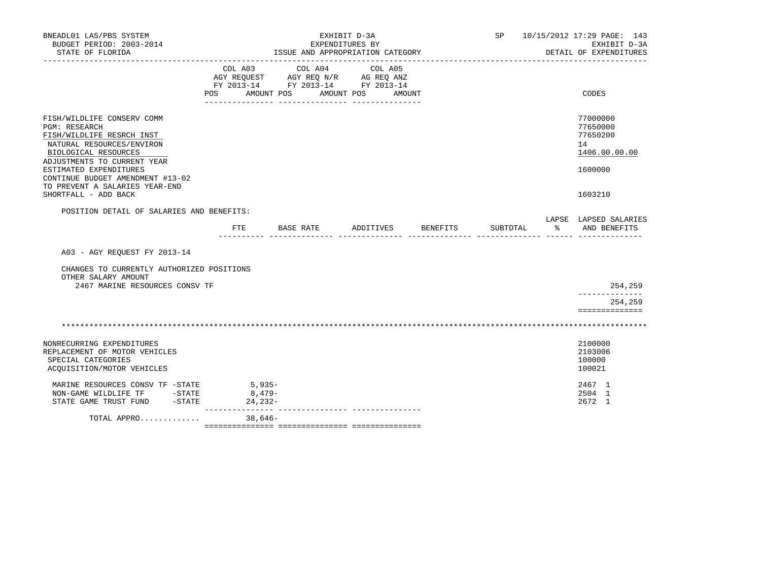| BNEADL01 LAS/PBS SYSTEM<br>BUDGET PERIOD: 2003-2014                                                                                                                 | EXHIBIT D-3A<br>EXPENDITURES BY   |                                                                                                 |                              |                    |                        | SP 10/15/2012 17:29 PAGE: 143<br>EXHIBIT D-3A |                                                         |
|---------------------------------------------------------------------------------------------------------------------------------------------------------------------|-----------------------------------|-------------------------------------------------------------------------------------------------|------------------------------|--------------------|------------------------|-----------------------------------------------|---------------------------------------------------------|
| STATE OF FLORIDA                                                                                                                                                    |                                   | ISSUE AND APPROPRIATION CATEGORY                                                                |                              |                    | DETAIL OF EXPENDITURES |                                               |                                                         |
|                                                                                                                                                                     | COL A03<br>POS                    | COL A04<br>AGY REQUEST AGY REQ N/R AG REQ ANZ<br>FY 2013-14 FY 2013-14 FY 2013-14<br>AMOUNT POS | COL A05<br>AMOUNT POS AMOUNT |                    |                        |                                               | CODES                                                   |
|                                                                                                                                                                     |                                   |                                                                                                 |                              |                    |                        |                                               |                                                         |
| FISH/WILDLIFE CONSERV COMM<br><b>PGM: RESEARCH</b><br>FISH/WILDLIFE RESRCH INST<br>NATURAL RESOURCES/ENVIRON<br>BIOLOGICAL RESOURCES<br>ADJUSTMENTS TO CURRENT YEAR |                                   |                                                                                                 |                              |                    |                        |                                               | 77000000<br>77650000<br>77650200<br>14<br>1406.00.00.00 |
| ESTIMATED EXPENDITURES<br>CONTINUE BUDGET AMENDMENT #13-02<br>TO PREVENT A SALARIES YEAR-END<br>SHORTFALL - ADD BACK                                                |                                   |                                                                                                 |                              |                    |                        |                                               | 1600000<br>1603210                                      |
| POSITION DETAIL OF SALARIES AND BENEFITS:                                                                                                                           |                                   |                                                                                                 |                              |                    |                        |                                               |                                                         |
|                                                                                                                                                                     | FTE                               | BASE RATE                                                                                       |                              | ADDITIVES BENEFITS | SUBTOTAL               | ႜၟ                                            | LAPSE LAPSED SALARIES<br>AND BENEFITS                   |
| A03 - AGY REQUEST FY 2013-14                                                                                                                                        |                                   |                                                                                                 |                              |                    |                        |                                               |                                                         |
| CHANGES TO CURRENTLY AUTHORIZED POSITIONS<br>OTHER SALARY AMOUNT<br>2467 MARINE RESOURCES CONSV TF                                                                  |                                   |                                                                                                 |                              |                    |                        |                                               | 254,259                                                 |
|                                                                                                                                                                     |                                   |                                                                                                 |                              |                    |                        |                                               | 254,259<br>==============                               |
|                                                                                                                                                                     |                                   |                                                                                                 |                              |                    |                        |                                               |                                                         |
| NONRECURRING EXPENDITURES<br>REPLACEMENT OF MOTOR VEHICLES<br>SPECIAL CATEGORIES<br>ACQUISITION/MOTOR VEHICLES                                                      |                                   |                                                                                                 |                              |                    |                        |                                               | 2100000<br>2103006<br>100000<br>100021                  |
| MARINE RESOURCES CONSV TF -STATE<br>NON-GAME WILDLIFE TF -STATE<br>$-STATE$<br>STATE GAME TRUST FUND                                                                | $5,935-$<br>8,479-<br>$24, 232 -$ |                                                                                                 |                              |                    |                        |                                               | 2467 1<br>2504 1<br>2672 1                              |
| TOTAL APPRO                                                                                                                                                         | _________________                 |                                                                                                 |                              |                    |                        |                                               |                                                         |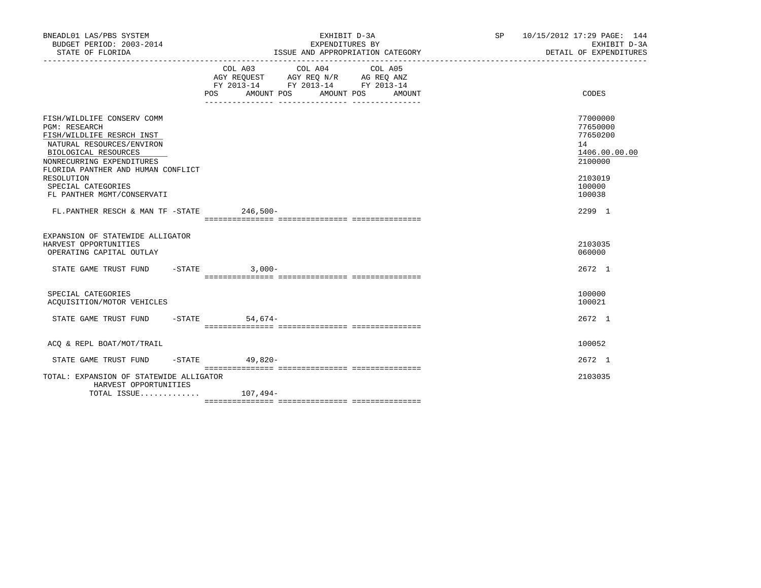| BNEADL01 LAS/PBS SYSTEM<br>BUDGET PERIOD: 2003-2014<br>STATE OF FLORIDA                                                                                                                                                                                                   | EXHIBIT D-3A<br>EXPENDITURES BY<br>ISSUE AND APPROPRIATION CATEGORY                                                                            | SP 10/15/2012 17:29 PAGE: 144<br>EXHIBIT D-3A<br>DETAIL OF EXPENDITURES                           |
|---------------------------------------------------------------------------------------------------------------------------------------------------------------------------------------------------------------------------------------------------------------------------|------------------------------------------------------------------------------------------------------------------------------------------------|---------------------------------------------------------------------------------------------------|
|                                                                                                                                                                                                                                                                           | COL A03 COL A04 COL A05<br>AGY REQUEST AGY REQ N/R AG REQ ANZ<br>FY 2013-14 FY 2013-14 FY 2013-14<br>AMOUNT POS<br>AMOUNT POS<br>POS<br>AMOUNT | CODES                                                                                             |
| FISH/WILDLIFE CONSERV COMM<br><b>PGM: RESEARCH</b><br>FISH/WILDLIFE RESRCH INST<br>NATURAL RESOURCES/ENVIRON<br>BIOLOGICAL RESOURCES<br>NONRECURRING EXPENDITURES<br>FLORIDA PANTHER AND HUMAN CONFLICT<br>RESOLUTION<br>SPECIAL CATEGORIES<br>FL PANTHER MGMT/CONSERVATI |                                                                                                                                                | 77000000<br>77650000<br>77650200<br>14<br>1406.00.00.00<br>2100000<br>2103019<br>100000<br>100038 |
| $FL.PANTHER RESCH & MAN TF - STATE$ 246,500-                                                                                                                                                                                                                              |                                                                                                                                                | $2.299$ 1                                                                                         |
| EXPANSION OF STATEWIDE ALLIGATOR<br>HARVEST OPPORTUNITIES<br>OPERATING CAPITAL OUTLAY<br>STATE GAME TRUST FUND -STATE 3,000-                                                                                                                                              |                                                                                                                                                | 2103035<br>060000<br>2672 1                                                                       |
| SPECIAL CATEGORIES<br>ACQUISITION/MOTOR VEHICLES<br>STATE GAME TRUST FUND                                                                                                                                                                                                 | $-STATE$<br>$54.674-$                                                                                                                          | 100000<br>100021<br>2672 1                                                                        |
| ACO & REPL BOAT/MOT/TRAIL                                                                                                                                                                                                                                                 |                                                                                                                                                | 100052                                                                                            |
| STATE GAME TRUST FUND                                                                                                                                                                                                                                                     | -STATE 49,820-                                                                                                                                 | 2672 1                                                                                            |
| TOTAL: EXPANSION OF STATEWIDE ALLIGATOR<br>HARVEST OPPORTUNITIES<br>TOTAL ISSUE $107,494-$                                                                                                                                                                                |                                                                                                                                                | 2103035                                                                                           |
|                                                                                                                                                                                                                                                                           |                                                                                                                                                |                                                                                                   |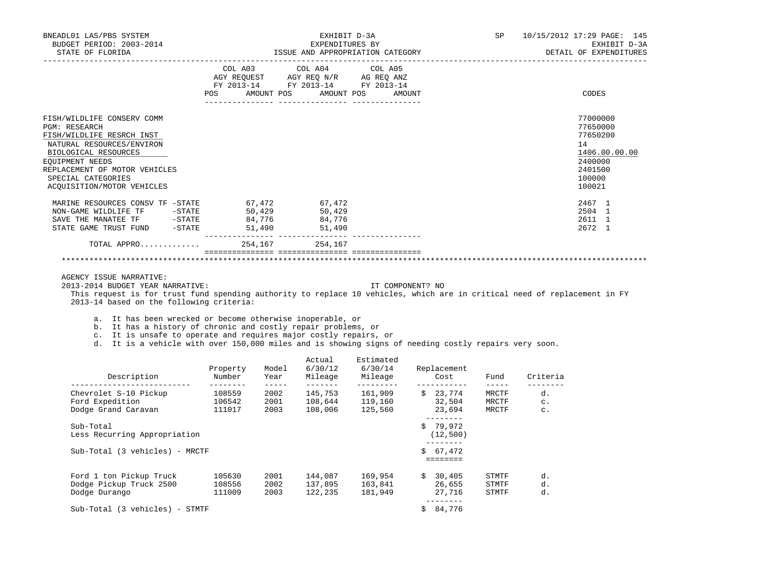| BNEADL01 LAS/PBS SYSTEM<br>BUDGET PERIOD: 2003-2014<br>STATE OF FLORIDA                                                                                                                                                                             |                  | EXHIBIT D-3A<br>EXPENDITURES BY<br>ISSUE AND APPROPRIATION CATEGORY |                                                                                                                            |  |        |  |  | 10/15/2012 17:29 PAGE: 145<br>EXHIBIT D-3A<br>DETAIL OF EXPENDITURES                              |
|-----------------------------------------------------------------------------------------------------------------------------------------------------------------------------------------------------------------------------------------------------|------------------|---------------------------------------------------------------------|----------------------------------------------------------------------------------------------------------------------------|--|--------|--|--|---------------------------------------------------------------------------------------------------|
|                                                                                                                                                                                                                                                     | POS              |                                                                     | COL A03 COL A04 COL A05<br>AGY REQUEST AGY REQ N/R AG REQ ANZ<br>FY 2013-14 FY 2013-14 FY 2013-14<br>AMOUNT POS AMOUNT POS |  | AMOUNT |  |  | CODES                                                                                             |
| FISH/WILDLIFE CONSERV COMM<br><b>PGM: RESEARCH</b><br>FISH/WILDLIFE RESRCH INST<br>NATURAL RESOURCES/ENVIRON<br>BIOLOGICAL RESOURCES<br><b>EOUIPMENT NEEDS</b><br>REPLACEMENT OF MOTOR VEHICLES<br>SPECIAL CATEGORIES<br>ACOUISITION/MOTOR VEHICLES |                  |                                                                     |                                                                                                                            |  |        |  |  | 77000000<br>77650000<br>77650200<br>14<br>1406.00.00.00<br>2400000<br>2401500<br>100000<br>100021 |
| MARINE RESOURCES CONSV TF -STATE 67,472<br>NON-GAME WILDLIFE TF<br>$-STATE$<br>SAVE THE MANATEE TF -STATE<br>STATE GAME TRUST FUND - STATE<br>TOTAL APPRO                                                                                           | 50,429<br>84,776 | 51,490<br>254,167                                                   | 67,472<br>50,429<br>84,776<br>51,490<br>__________________________________<br>254,167                                      |  |        |  |  | 2467 1<br>2504 1<br>2611 1<br>2672 1                                                              |
|                                                                                                                                                                                                                                                     |                  |                                                                     |                                                                                                                            |  |        |  |  |                                                                                                   |

AGENCY ISSUE NARRATIVE:

2013-2014 BUDGET YEAR NARRATIVE: IT COMPONENT? NO

 This request is for trust fund spending authority to replace 10 vehicles, which are in critical need of replacement in FY 2013-14 based on the following criteria:

a. It has been wrecked or become otherwise inoperable, or

b. It has a history of chronic and costly repair problems, or

c. It is unsafe to operate and requires major costly repairs, or

d. It is a vehicle with over 150,000 miles and is showing signs of needing costly repairs very soon.

| Description                       | Property<br>Number | Model<br>Year | Actual<br>6/30/12<br>Mileage | Estimated<br>6/30/14<br>Mileage |    | Replacement<br>Cost | Fund  | Criteria       |
|-----------------------------------|--------------------|---------------|------------------------------|---------------------------------|----|---------------------|-------|----------------|
| Chevrolet S-10 Pickup             | 108559             | 2002          | 145,753                      | 161,909                         | Ŝ. | 23,774              | MRCTF | d.             |
| Ford Expedition                   | 106542             | 2001          | 108,644                      | 119,160                         |    | 32,504              | MRCTF | $\mathtt{C}$ . |
| Dodge Grand Caravan               | 111017             | 2003          | 108,006                      | 125,560                         |    | 23,694              | MRCTF | $\mathtt{C}$ . |
| Sub-Total                         |                    |               |                              |                                 | Ś. | 79,972              |       |                |
| Less Recurring Appropriation      |                    |               |                              |                                 |    | (12, 500)           |       |                |
| Sub-Total (3 vehicles) - MRCTF    |                    |               |                              |                                 |    | \$67,472            |       |                |
|                                   |                    |               |                              |                                 |    |                     |       |                |
| Ford 1 ton Pickup Truck           | 105630             | 2001          | 144,087                      | 169,954                         | Ŝ. | 30,405              | STMTF | d.             |
| Dodge Pickup Truck 2500           | 108556             | 2002          | 137,895                      | 163,841                         |    | 26,655              | STMTF | d.             |
| Dodge Durango                     | 111009             | 2003          | 122,235                      | 181,949                         |    | 27,716              | STMTF | d.             |
| (3 vehicles) - STMTF<br>Sub-Total |                    |               |                              |                                 | \$ | 84,776              |       |                |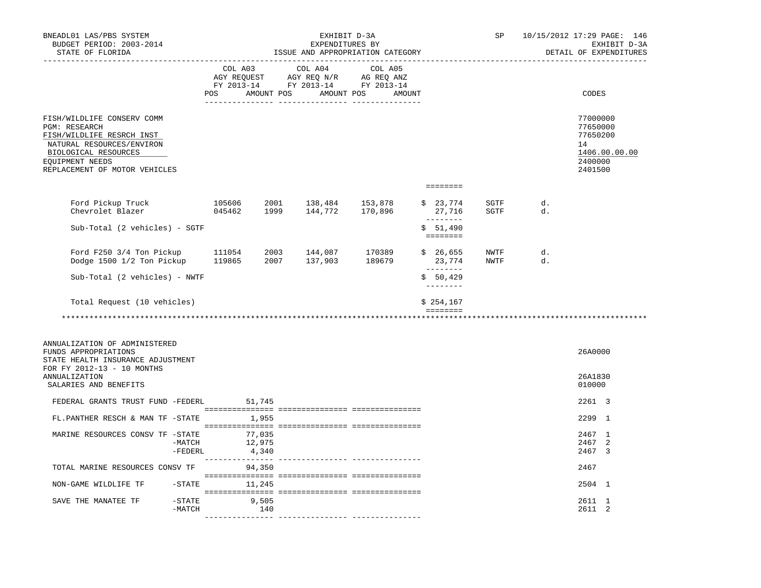| BNEADL01 LAS/PBS SYSTEM<br>BUDGET PERIOD: 2003-2014<br>STATE OF FLORIDA                                                                                                                  | EXHIBIT D-3A<br>EXPENDITURES BY<br>ISSUE AND APPROPRIATION CATEGORY |        |                                                                                                                                                                                                |        |  |                                                                         | SP           |          | 10/15/2012 17:29 PAGE: 146<br>EXHIBIT D-3A<br>DETAIL OF EXPENDITURES          |
|------------------------------------------------------------------------------------------------------------------------------------------------------------------------------------------|---------------------------------------------------------------------|--------|------------------------------------------------------------------------------------------------------------------------------------------------------------------------------------------------|--------|--|-------------------------------------------------------------------------|--------------|----------|-------------------------------------------------------------------------------|
|                                                                                                                                                                                          |                                                                     |        | $\begin{tabular}{lcccc} COL A03 & COL A04 & COL A05 \\ AGY REQUEST & AGY REQ N/R & AG REQ ANZ \\ FY & 2013-14 & FY & 2013-14 & FY & 2013-14 \end{tabular}$<br>POS AMOUNT POS AMOUNT POS AMOUNT |        |  |                                                                         |              |          | CODES                                                                         |
| FISH/WILDLIFE CONSERV COMM<br><b>PGM: RESEARCH</b><br>FISH/WILDLIFE RESRCH INST<br>NATURAL RESOURCES/ENVIRON<br>BIOLOGICAL RESOURCES<br>EQUIPMENT NEEDS<br>REPLACEMENT OF MOTOR VEHICLES |                                                                     |        |                                                                                                                                                                                                |        |  |                                                                         |              |          | 77000000<br>77650000<br>77650200<br>14<br>1406.00.00.00<br>2400000<br>2401500 |
|                                                                                                                                                                                          |                                                                     |        |                                                                                                                                                                                                |        |  | $\qquad \qquad \equiv \equiv \equiv \equiv \equiv \equiv \equiv \equiv$ |              |          |                                                                               |
| Ford Pickup Truck 105606<br>Chevrolet Blazer 045462                                                                                                                                      |                                                                     |        | 2001 138,484 153,878<br>1999 144,772 170,896                                                                                                                                                   |        |  | \$ 23,774 SGTF<br>27,716<br>$- - - - - - - -$                           | SGTF         | d.<br>d. |                                                                               |
| Sub-Total (2 vehicles) - SGTF                                                                                                                                                            |                                                                     |        |                                                                                                                                                                                                |        |  | \$51,490<br><b>ESSESSES</b>                                             |              |          |                                                                               |
| Ford F250 3/4 Ton Pickup 111054<br>Dodge 1500 1/2 Ton Pickup 119865 2007 137,903 189679                                                                                                  |                                                                     |        | 2003 144,087                                                                                                                                                                                   | 170389 |  | \$26,655<br>23,774<br>$- - - - - - - -$                                 | NWTF<br>NWTF | d.<br>d. |                                                                               |
| Sub-Total (2 vehicles) - NWTF                                                                                                                                                            |                                                                     |        |                                                                                                                                                                                                |        |  | \$50,429<br>--------                                                    |              |          |                                                                               |
| Total Request (10 vehicles)                                                                                                                                                              |                                                                     |        |                                                                                                                                                                                                |        |  | \$254,167<br>$=$ = = = = = = =                                          |              |          |                                                                               |
|                                                                                                                                                                                          |                                                                     |        |                                                                                                                                                                                                |        |  |                                                                         |              |          |                                                                               |
| ANNUALIZATION OF ADMINISTERED<br>FUNDS APPROPRIATIONS<br>STATE HEALTH INSURANCE ADJUSTMENT<br>FOR FY 2012-13 - 10 MONTHS                                                                 |                                                                     |        |                                                                                                                                                                                                |        |  |                                                                         |              |          | 26A0000                                                                       |
| <b>ANNUALIZATION</b><br>SALARIES AND BENEFITS                                                                                                                                            |                                                                     |        |                                                                                                                                                                                                |        |  |                                                                         |              |          | 26A1830<br>010000                                                             |
| FEDERAL GRANTS TRUST FUND -FEDERL 51,745                                                                                                                                                 |                                                                     |        |                                                                                                                                                                                                |        |  |                                                                         |              |          | 2261 3                                                                        |
| FL.PANTHER RESCH & MAN TF -STATE 1,955                                                                                                                                                   |                                                                     |        |                                                                                                                                                                                                |        |  |                                                                         |              |          | 2299 1                                                                        |
| MARINE RESOURCES CONSV TF -STATE 77,035<br>-MATCH                                                                                                                                        |                                                                     | 12,975 |                                                                                                                                                                                                |        |  |                                                                         |              |          | 2467 1<br>2467 2                                                              |
| -FEDERL                                                                                                                                                                                  | 4,340                                                               |        |                                                                                                                                                                                                |        |  |                                                                         |              |          | 2467 3                                                                        |
| TOTAL MARINE RESOURCES CONSV TF 94,350                                                                                                                                                   |                                                                     |        |                                                                                                                                                                                                |        |  |                                                                         |              |          | 2467                                                                          |
| NON-GAME WILDLIFE TF                                                                                                                                                                     | $-$ STATE 11, 245                                                   |        |                                                                                                                                                                                                |        |  |                                                                         |              |          | 2504 1                                                                        |
| SAVE THE MANATEE TF<br>$-$ STATE<br>$-MATCH$                                                                                                                                             | 9,505                                                               | 140    |                                                                                                                                                                                                |        |  |                                                                         |              |          | 2611 1<br>2611 2                                                              |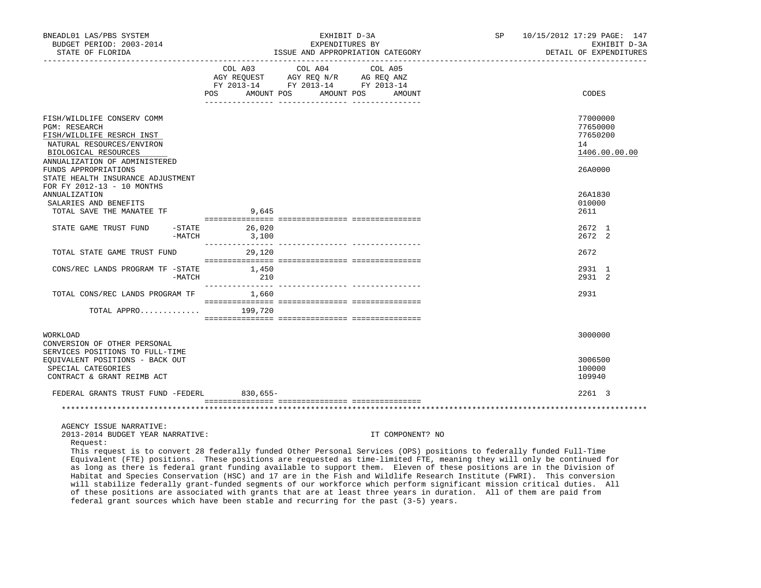| BNEADL01 LAS/PBS SYSTEM<br>BUDGET PERIOD: 2003-2014<br>STATE OF FLORIDA                                                                                               |                                     | EXHIBIT D-3A<br>EXPENDITURES BY                                                   | ISSUE AND APPROPRIATION CATEGORY | 10/15/2012 17:29 PAGE: 147<br>SP<br>EXHIBIT D-3A<br>DETAIL OF EXPENDITURES |                                                         |  |
|-----------------------------------------------------------------------------------------------------------------------------------------------------------------------|-------------------------------------|-----------------------------------------------------------------------------------|----------------------------------|----------------------------------------------------------------------------|---------------------------------------------------------|--|
|                                                                                                                                                                       | COL A03<br>AMOUNT POS<br><b>POS</b> | COL A04<br>AGY REQUEST AGY REQ N/R AG REQ ANZ<br>FY 2013-14 FY 2013-14 FY 2013-14 | COL A05<br>AMOUNT POS<br>AMOUNT  |                                                                            | CODES                                                   |  |
|                                                                                                                                                                       |                                     | <u>-- ------------</u>                                                            | _______________                  |                                                                            |                                                         |  |
| FISH/WILDLIFE CONSERV COMM<br><b>PGM: RESEARCH</b><br>FISH/WILDLIFE RESRCH INST<br>NATURAL RESOURCES/ENVIRON<br>BIOLOGICAL RESOURCES<br>ANNUALIZATION OF ADMINISTERED |                                     |                                                                                   |                                  |                                                                            | 77000000<br>77650000<br>77650200<br>14<br>1406.00.00.00 |  |
| FUNDS APPROPRIATIONS                                                                                                                                                  |                                     |                                                                                   |                                  |                                                                            | 26A0000                                                 |  |
| STATE HEALTH INSURANCE ADJUSTMENT                                                                                                                                     |                                     |                                                                                   |                                  |                                                                            |                                                         |  |
| FOR FY 2012-13 - 10 MONTHS<br><b>ANNUALIZATION</b>                                                                                                                    |                                     |                                                                                   |                                  |                                                                            | 26A1830                                                 |  |
| SALARIES AND BENEFITS                                                                                                                                                 |                                     |                                                                                   |                                  |                                                                            | 010000                                                  |  |
| TOTAL SAVE THE MANATEE TF                                                                                                                                             | 9,645                               |                                                                                   |                                  |                                                                            | 2611                                                    |  |
| STATE GAME TRUST FUND<br>$-MATCH$                                                                                                                                     | $-STATE$<br>26,020<br>3,100         |                                                                                   |                                  |                                                                            | 2672 1<br>2672 2                                        |  |
| TOTAL STATE GAME TRUST FUND                                                                                                                                           | 29,120                              |                                                                                   |                                  |                                                                            | 2672                                                    |  |
|                                                                                                                                                                       |                                     |                                                                                   |                                  |                                                                            |                                                         |  |
| CONS/REC LANDS PROGRAM TF -STATE<br>-MATCH                                                                                                                            | 1,450<br>210                        |                                                                                   |                                  |                                                                            | 2931 1<br>2931 2                                        |  |
| TOTAL CONS/REC LANDS PROGRAM TF 1,660                                                                                                                                 |                                     |                                                                                   |                                  |                                                                            | 2931                                                    |  |
|                                                                                                                                                                       |                                     |                                                                                   |                                  |                                                                            |                                                         |  |
| $TOTAL$ APPRO $\ldots \ldots \ldots \ldots$ 199,720                                                                                                                   |                                     |                                                                                   |                                  |                                                                            |                                                         |  |
|                                                                                                                                                                       |                                     |                                                                                   |                                  |                                                                            |                                                         |  |
| WORKLOAD<br>CONVERSION OF OTHER PERSONAL<br>SERVICES POSITIONS TO FULL-TIME                                                                                           |                                     |                                                                                   |                                  |                                                                            | 3000000                                                 |  |
| EQUIVALENT POSITIONS - BACK OUT                                                                                                                                       |                                     |                                                                                   |                                  |                                                                            | 3006500                                                 |  |
| SPECIAL CATEGORIES<br>CONTRACT & GRANT REIMB ACT                                                                                                                      |                                     |                                                                                   |                                  |                                                                            | 100000<br>109940                                        |  |
| FEDERAL GRANTS TRUST FUND -FEDERL                                                                                                                                     | $830,655 -$                         |                                                                                   |                                  |                                                                            | 2261 3                                                  |  |
|                                                                                                                                                                       |                                     |                                                                                   |                                  |                                                                            |                                                         |  |
| AGENCY ISSUE NARRATIVE:<br>2013-2014 BUDGET YEAR NARRATIVE:<br>Request:                                                                                               |                                     |                                                                                   | IT COMPONENT? NO                 |                                                                            |                                                         |  |

 This request is to convert 28 federally funded Other Personal Services (OPS) positions to federally funded Full-Time Equivalent (FTE) positions. These positions are requested as time-limited FTE, meaning they will only be continued for as long as there is federal grant funding available to support them. Eleven of these positions are in the Division of Habitat and Species Conservation (HSC) and 17 are in the Fish and Wildlife Research Institute (FWRI). This conversion will stabilize federally grant-funded segments of our workforce which perform significant mission critical duties. All of these positions are associated with grants that are at least three years in duration. All of them are paid from federal grant sources which have been stable and recurring for the past (3-5) years.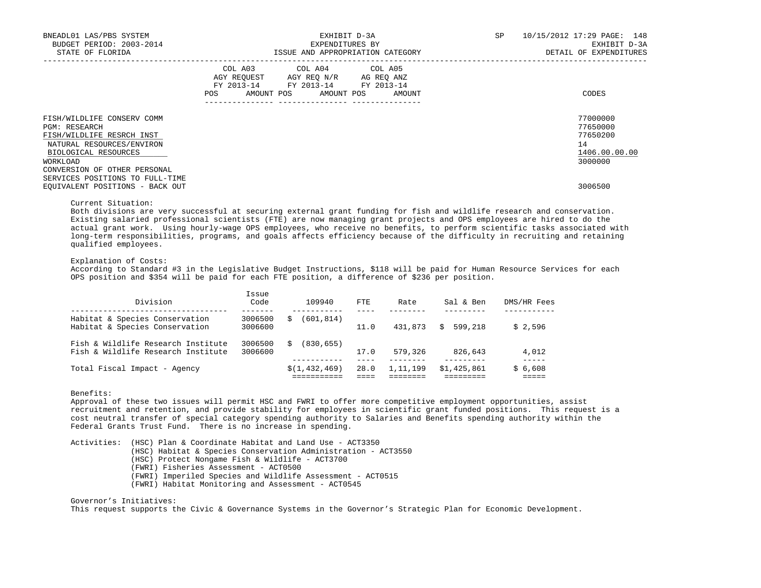| BNEADL01 LAS/PBS SYSTEM<br>BUDGET PERIOD: 2003-2014<br>STATE OF FLORIDA                                                                                                                                               | EXHIBIT D-3A<br>EXPENDITURES BY<br>ISSUE AND APPROPRIATION CATEGORY                                                                                                                                                                                 | SP<br>10/15/2012 17:29 PAGE: 148<br>EXHIBIT D-3A<br>DETAIL OF EXPENDITURES |
|-----------------------------------------------------------------------------------------------------------------------------------------------------------------------------------------------------------------------|-----------------------------------------------------------------------------------------------------------------------------------------------------------------------------------------------------------------------------------------------------|----------------------------------------------------------------------------|
|                                                                                                                                                                                                                       | COL A03 COL A04 COL A05<br>AGY REQUEST AGY REQ N/R AG REQ ANZ<br>FY 2013-14 FY 2013-14 FY 2013-14<br>AMOUNT POS AMOUNT POS AMOUNT<br>POS FOR THE POST OF THE STATE STATE STATE STATE STATE STATE STATE STATE STATE STATE STATE STATE STATE STATE ST | CODES                                                                      |
| FISH/WILDLIFE CONSERV COMM<br><b>PGM: RESEARCH</b><br>FISH/WILDLIFE RESRCH INST<br>NATURAL RESOURCES/ENVIRON<br>BIOLOGICAL RESOURCES<br>WORKLOAD                                                                      |                                                                                                                                                                                                                                                     | 77000000<br>77650000<br>77650200<br>14<br>1406.00.00.00<br>3000000         |
| CONVERSION OF OTHER PERSONAL<br>SERVICES POSITIONS TO FULL-TIME<br>EQUIVALENT POSITIONS - BACK OUT<br>the contract of the contract of the contract of the contract of the contract of the contract of the contract of |                                                                                                                                                                                                                                                     | 3006500                                                                    |

## Current Situation:

 Both divisions are very successful at securing external grant funding for fish and wildlife research and conservation. Existing salaried professional scientists (FTE) are now managing grant projects and OPS employees are hired to do the actual grant work. Using hourly-wage OPS employees, who receive no benefits, to perform scientific tasks associated with long-term responsibilities, programs, and goals affects efficiency because of the difficulty in recruiting and retaining qualified employees.

### Explanation of Costs:

 According to Standard #3 in the Legislative Budget Instructions, \$118 will be paid for Human Resource Services for each OPS position and \$354 will be paid for each FTE position, a difference of \$236 per position.

| Division                                                                 | Issue<br>Code      | 109940           | FTE  | Rate     | Sal & Ben     | DMS/HR Fees |
|--------------------------------------------------------------------------|--------------------|------------------|------|----------|---------------|-------------|
| Habitat & Species Conservation<br>Habitat & Species Conservation         | 3006500<br>3006600 | (601,814)<br>S   | 11.0 | 431,873  | 599,218<br>S. | \$2.596     |
| Fish & Wildlife Research Institute<br>Fish & Wildlife Research Institute | 3006500<br>3006600 | (830, 655)<br>Ŝ. | 17.0 | 579,326  | 826,643       | 4,012       |
| Total Fiscal Impact - Agency                                             |                    | \$(1, 432, 469)  | 28.0 | 1,11,199 | \$1,425,861   | \$6,608     |

# Benefits:

 Approval of these two issues will permit HSC and FWRI to offer more competitive employment opportunities, assist recruitment and retention, and provide stability for employees in scientific grant funded positions. This request is a cost neutral transfer of special category spending authority to Salaries and Benefits spending authority within the Federal Grants Trust Fund. There is no increase in spending.

 Activities: (HSC) Plan & Coordinate Habitat and Land Use - ACT3350 (HSC) Habitat & Species Conservation Administration - ACT3550 (HSC) Protect Nongame Fish & Wildlife - ACT3700 (FWRI) Fisheries Assessment - ACT0500 (FWRI) Imperiled Species and Wildlife Assessment - ACT0515 (FWRI) Habitat Monitoring and Assessment - ACT0545

 Governor's Initiatives: This request supports the Civic & Governance Systems in the Governor's Strategic Plan for Economic Development.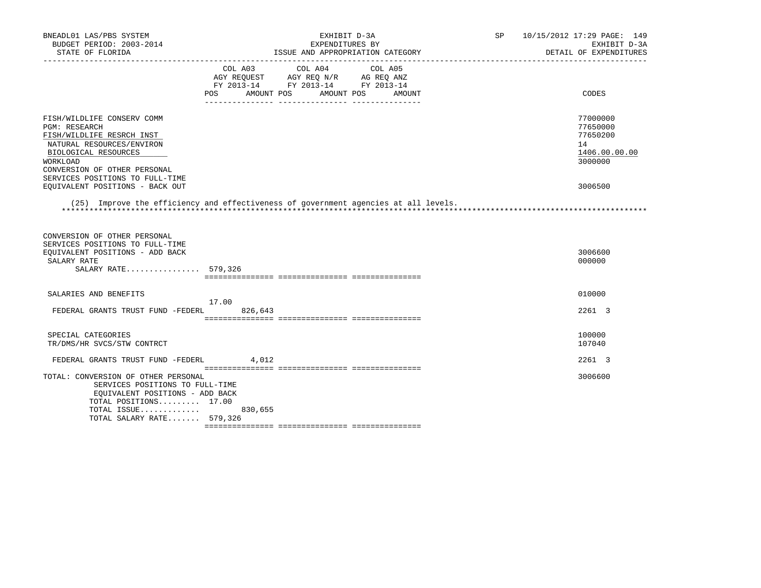| BNEADL01 LAS/PBS SYSTEM<br>BUDGET PERIOD: 2003-2014<br>STATE OF FLORIDA                                                                                                          | EXHIBIT D-3A<br>EXPENDITURES BY<br>ISSUE AND APPROPRIATION CATEGORY                                                                            | 10/15/2012 17:29 PAGE: 149<br>SP <sub>2</sub><br>EXHIBIT D-3A<br>DETAIL OF EXPENDITURES |
|----------------------------------------------------------------------------------------------------------------------------------------------------------------------------------|------------------------------------------------------------------------------------------------------------------------------------------------|-----------------------------------------------------------------------------------------|
|                                                                                                                                                                                  | COL A03<br>COL A04<br>COL A05<br>AGY REQUEST AGY REQ N/R AG REQ ANZ<br>FY 2013-14 FY 2013-14 FY 2013-14<br>POS AMOUNT POS<br>AMOUNT POS AMOUNT | CODES                                                                                   |
| FISH/WILDLIFE CONSERV COMM<br><b>PGM: RESEARCH</b><br>FISH/WILDLIFE RESRCH INST<br>NATURAL RESOURCES/ENVIRON<br>BIOLOGICAL RESOURCES<br>WORKLOAD<br>CONVERSION OF OTHER PERSONAL |                                                                                                                                                | 77000000<br>77650000<br>77650200<br>14<br>1406.00.00.00<br>3000000                      |
| SERVICES POSITIONS TO FULL-TIME<br>EQUIVALENT POSITIONS - BACK OUT                                                                                                               |                                                                                                                                                | 3006500                                                                                 |
|                                                                                                                                                                                  | (25) Improve the efficiency and effectiveness of government agencies at all levels.                                                            |                                                                                         |
| CONVERSION OF OTHER PERSONAL<br>SERVICES POSITIONS TO FULL-TIME<br>EQUIVALENT POSITIONS - ADD BACK<br>SALARY RATE<br>SALARY RATE 579,326                                         |                                                                                                                                                | 3006600<br>000000                                                                       |
| SALARIES AND BENEFITS                                                                                                                                                            | 17.00                                                                                                                                          | 010000                                                                                  |
| FEDERAL GRANTS TRUST FUND -FEDERL                                                                                                                                                | 826,643                                                                                                                                        | 2261 3                                                                                  |
| SPECIAL CATEGORIES<br>TR/DMS/HR SVCS/STW CONTRCT                                                                                                                                 |                                                                                                                                                | 100000<br>107040                                                                        |
| FEDERAL GRANTS TRUST FUND -FEDERL                                                                                                                                                | 4,012                                                                                                                                          | 2261 3                                                                                  |
| TOTAL: CONVERSION OF OTHER PERSONAL<br>SERVICES POSITIONS TO FULL-TIME<br>EQUIVALENT POSITIONS - ADD BACK<br>TOTAL POSITIONS 17.00<br>TOTAL ISSUE<br>TOTAL SALARY RATE 579,326   | 830,655                                                                                                                                        | 3006600                                                                                 |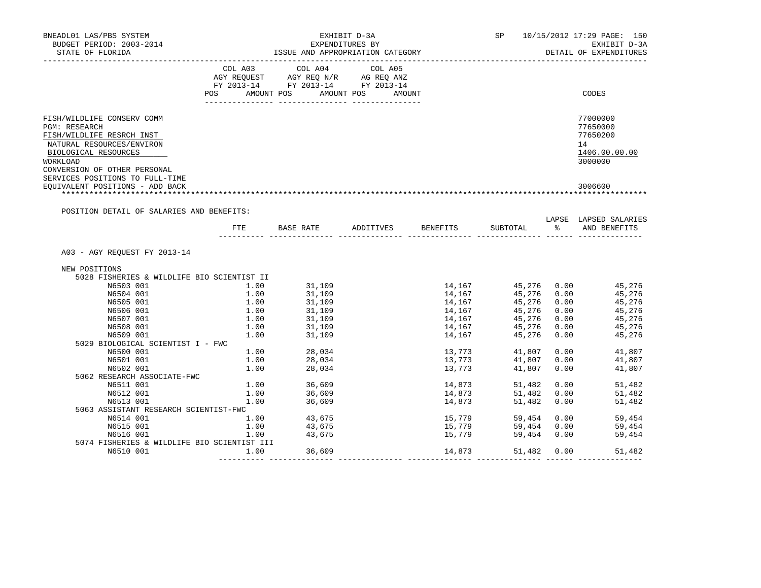| DETAIL OF EXPENDITURES<br>CODES<br>77000000<br>77650000<br>77650200<br>1406.00.00.00<br>3000000<br>3006600 |
|------------------------------------------------------------------------------------------------------------|
|                                                                                                            |
|                                                                                                            |
|                                                                                                            |
|                                                                                                            |
|                                                                                                            |
|                                                                                                            |
|                                                                                                            |
|                                                                                                            |
|                                                                                                            |
|                                                                                                            |
|                                                                                                            |
|                                                                                                            |
|                                                                                                            |
|                                                                                                            |
|                                                                                                            |
|                                                                                                            |
| LAPSE LAPSED SALARIES<br>AND BENEFITS                                                                      |
|                                                                                                            |
|                                                                                                            |
|                                                                                                            |
|                                                                                                            |
| 45,276<br>45,276                                                                                           |
|                                                                                                            |
| 45,276                                                                                                     |
| 45,276                                                                                                     |
| 45,276                                                                                                     |
| 45,276<br>45,276                                                                                           |
|                                                                                                            |
|                                                                                                            |
| $0.00$ 41,807<br>41,807                                                                                    |
| 41,807                                                                                                     |
|                                                                                                            |
|                                                                                                            |
|                                                                                                            |
| $0.00$ 51,482                                                                                              |
| 51,482                                                                                                     |
| 51,482                                                                                                     |
|                                                                                                            |
| $0.00$ 59,454                                                                                              |
| 59,454<br>59,454                                                                                           |
|                                                                                                            |
|                                                                                                            |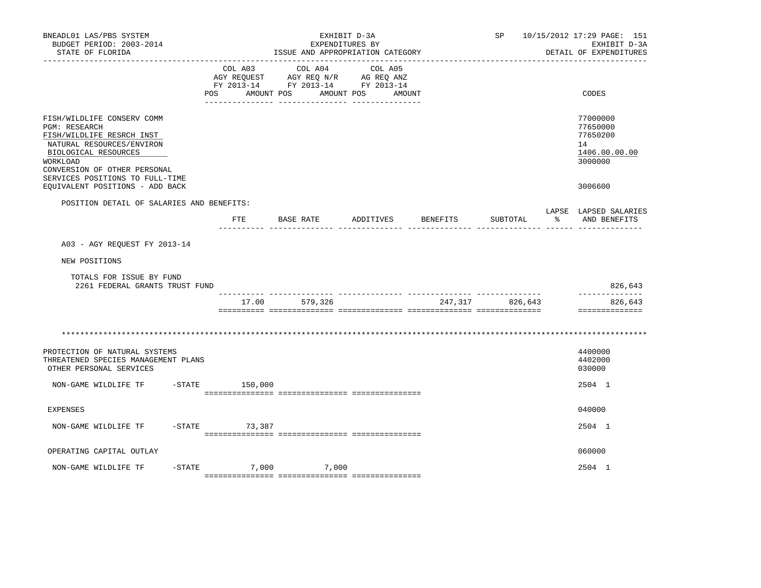| BNEADL01 LAS/PBS SYSTEM<br>BUDGET PERIOD: 2003-2014<br>STATE OF FLORIDA<br>__________________                                                                                                                       |            |                       | ISSUE AND APPROPRIATION CATEGORY                                                                                                                                                                                                                                              | EXHIBIT D-3A<br>EXPENDITURES BY |                 | SP              |   | 10/15/2012 17:29 PAGE: 151<br>EXHIBIT D-3A<br>DETAIL OF EXPENDITURES |
|---------------------------------------------------------------------------------------------------------------------------------------------------------------------------------------------------------------------|------------|-----------------------|-------------------------------------------------------------------------------------------------------------------------------------------------------------------------------------------------------------------------------------------------------------------------------|---------------------------------|-----------------|-----------------|---|----------------------------------------------------------------------|
|                                                                                                                                                                                                                     | <b>POS</b> | COL A03<br>AMOUNT POS | COL A04<br>$\begin{tabular}{lllllll} \bf AGY \,\, &\bf REQUEST \,\, &\bf AGY \,\, &\bf REQ \,\, &\bf N/R \,\, &\bf AG \,\, &\bf REQ \,\, &\bf ANZ \,\, \\ \bf FY \,\, &\bf 2013-14 \,\, &\bf FY \,\, &\bf 2013-14 \,\, &\bf FY \,\, &\bf 2013-14 \end{tabular}$<br>AMOUNT POS | COL A05<br>AMOUNT               |                 |                 |   | CODES                                                                |
| FISH/WILDLIFE CONSERV COMM<br><b>PGM: RESEARCH</b><br>FISH/WILDLIFE RESRCH INST<br>NATURAL RESOURCES/ENVIRON<br>BIOLOGICAL RESOURCES<br>WORKLOAD<br>CONVERSION OF OTHER PERSONAL<br>SERVICES POSITIONS TO FULL-TIME |            |                       |                                                                                                                                                                                                                                                                               |                                 |                 |                 |   | 77000000<br>77650000<br>77650200<br>14<br>1406.00.00.00<br>3000000   |
| EQUIVALENT POSITIONS - ADD BACK                                                                                                                                                                                     |            |                       |                                                                                                                                                                                                                                                                               |                                 |                 |                 |   | 3006600                                                              |
| POSITION DETAIL OF SALARIES AND BENEFITS:                                                                                                                                                                           |            | $_{\rm FTE}$          | BASE RATE                                                                                                                                                                                                                                                                     | ADDITIVES                       | <b>BENEFITS</b> | SUBTOTAL        | ႜ | LAPSE LAPSED SALARIES<br>AND BENEFITS                                |
| A03 - AGY REOUEST FY 2013-14                                                                                                                                                                                        |            |                       |                                                                                                                                                                                                                                                                               |                                 |                 |                 |   |                                                                      |
| NEW POSITIONS                                                                                                                                                                                                       |            |                       |                                                                                                                                                                                                                                                                               |                                 |                 |                 |   |                                                                      |
| TOTALS FOR ISSUE BY FUND<br>2261 FEDERAL GRANTS TRUST FUND                                                                                                                                                          |            |                       |                                                                                                                                                                                                                                                                               |                                 |                 |                 |   | 826,643<br>-------------                                             |
|                                                                                                                                                                                                                     |            | 17.00                 | 579,326                                                                                                                                                                                                                                                                       |                                 |                 | 247,317 826,643 |   | 826,643<br>==============                                            |
|                                                                                                                                                                                                                     |            |                       |                                                                                                                                                                                                                                                                               |                                 |                 |                 |   |                                                                      |
| PROTECTION OF NATURAL SYSTEMS<br>THREATENED SPECIES MANAGEMENT PLANS<br>OTHER PERSONAL SERVICES                                                                                                                     |            |                       |                                                                                                                                                                                                                                                                               |                                 |                 |                 |   | 4400000<br>4402000<br>030000                                         |
| NON-GAME WILDLIFE TF                                                                                                                                                                                                |            | $-$ STATE 150,000     |                                                                                                                                                                                                                                                                               |                                 |                 |                 |   | 2504 1                                                               |
| EXPENSES                                                                                                                                                                                                            |            |                       |                                                                                                                                                                                                                                                                               |                                 |                 |                 |   | 040000                                                               |
| NON-GAME WILDLIFE TF                                                                                                                                                                                                | $-STATE$   | 73,387                |                                                                                                                                                                                                                                                                               |                                 |                 |                 |   | 2504 1                                                               |
| OPERATING CAPITAL OUTLAY                                                                                                                                                                                            |            |                       |                                                                                                                                                                                                                                                                               |                                 |                 |                 |   | 060000                                                               |
| NON-GAME WILDLIFE TF                                                                                                                                                                                                | $-$ STATE  |                       | 7,000 7,000                                                                                                                                                                                                                                                                   |                                 |                 |                 |   | 2504 1                                                               |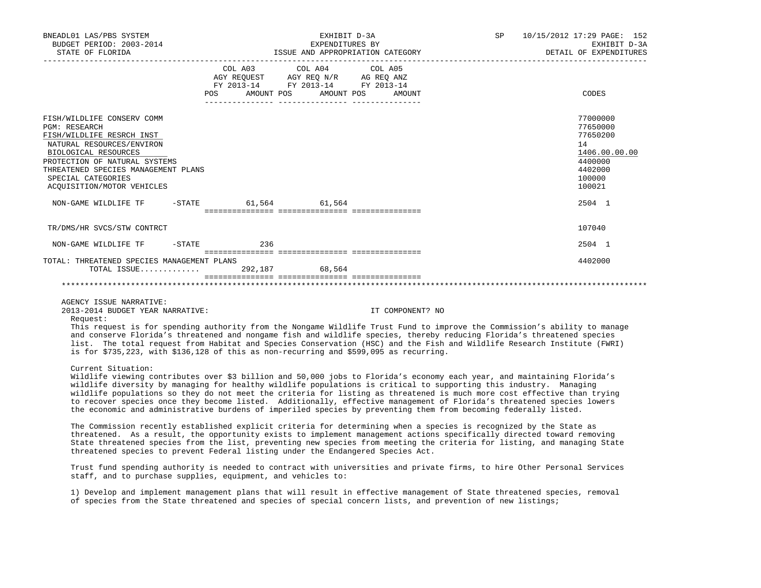| BNEADL01 LAS/PBS SYSTEM<br>BUDGET PERIOD: 2003-2014<br>STATE OF FLORIDA                                                                                                                                                                                          |               | EXHIBIT D-3A<br>EXPENDITURES BY                                                                                                                                                                | ISSUE AND APPROPRIATION CATEGORY                                                                                                              | <b>SP</b> | 10/15/2012 17:29 PAGE: 152<br>EXHIBIT D-3A<br>DETAIL OF EXPENDITURES                              |
|------------------------------------------------------------------------------------------------------------------------------------------------------------------------------------------------------------------------------------------------------------------|---------------|------------------------------------------------------------------------------------------------------------------------------------------------------------------------------------------------|-----------------------------------------------------------------------------------------------------------------------------------------------|-----------|---------------------------------------------------------------------------------------------------|
|                                                                                                                                                                                                                                                                  |               | $\begin{tabular}{lcccc} COL A03 & COL A04 & COL A05 \\ AGY REQUEST & AGY REQ N/R & AG REQ ANZ \\ FY & 2013-14 & FY & 2013-14 & FY & 2013-14 \end{tabular}$<br>POS AMOUNT POS AMOUNT POS AMOUNT |                                                                                                                                               |           | CODES                                                                                             |
|                                                                                                                                                                                                                                                                  |               |                                                                                                                                                                                                |                                                                                                                                               |           |                                                                                                   |
| FISH/WILDLIFE CONSERV COMM<br><b>PGM: RESEARCH</b><br>FISH/WILDLIFE RESRCH INST<br>NATURAL RESOURCES/ENVIRON<br>BIOLOGICAL RESOURCES<br>PROTECTION OF NATURAL SYSTEMS<br>THREATENED SPECIES MANAGEMENT PLANS<br>SPECIAL CATEGORIES<br>ACOUISITION/MOTOR VEHICLES |               |                                                                                                                                                                                                |                                                                                                                                               |           | 77000000<br>77650000<br>77650200<br>14<br>1406.00.00.00<br>4400000<br>4402000<br>100000<br>100021 |
| NON-GAME WILDLIFE TF                                                                                                                                                                                                                                             |               | $-$ STATE 61,564 61,564                                                                                                                                                                        |                                                                                                                                               |           | 2504 1                                                                                            |
| TR/DMS/HR SVCS/STW CONTRCT                                                                                                                                                                                                                                       |               |                                                                                                                                                                                                |                                                                                                                                               |           | 107040                                                                                            |
| NON-GAME WILDLIFE TF                                                                                                                                                                                                                                             | $-$ STATE 236 |                                                                                                                                                                                                |                                                                                                                                               |           | 2504 1                                                                                            |
| TOTAL: THREATENED SPECIES MANAGEMENT PLANS<br>TOTAL ISSUE                                                                                                                                                                                                        |               | 292,187 68,564                                                                                                                                                                                 |                                                                                                                                               |           | 4402000                                                                                           |
|                                                                                                                                                                                                                                                                  |               |                                                                                                                                                                                                |                                                                                                                                               |           |                                                                                                   |
| AGENCY ISSUE NARRATIVE:<br>2013-2014 BUDGET YEAR NARRATIVE:<br>Request:                                                                                                                                                                                          |               |                                                                                                                                                                                                | IT COMPONENT? NO<br>This request is for spending authority from the Nongame Wildlife Trust Fund to improve the Commission's ability to manage |           |                                                                                                   |
|                                                                                                                                                                                                                                                                  |               |                                                                                                                                                                                                | and conserve Florida's threatened and nongame fish and wildlife species, thereby reducing Florida's threatened species                        |           |                                                                                                   |

Current Situation:

 Wildlife viewing contributes over \$3 billion and 50,000 jobs to Florida's economy each year, and maintaining Florida's wildlife diversity by managing for healthy wildlife populations is critical to supporting this industry. Managing wildlife populations so they do not meet the criteria for listing as threatened is much more cost effective than trying to recover species once they become listed. Additionally, effective management of Florida's threatened species lowers the economic and administrative burdens of imperiled species by preventing them from becoming federally listed.

list. The total request from Habitat and Species Conservation (HSC) and the Fish and Wildlife Research Institute (FWRI)

is for \$735,223, with \$136,128 of this as non-recurring and \$599,095 as recurring.

 The Commission recently established explicit criteria for determining when a species is recognized by the State as threatened. As a result, the opportunity exists to implement management actions specifically directed toward removing State threatened species from the list, preventing new species from meeting the criteria for listing, and managing State threatened species to prevent Federal listing under the Endangered Species Act.

 Trust fund spending authority is needed to contract with universities and private firms, to hire Other Personal Services staff, and to purchase supplies, equipment, and vehicles to:

 1) Develop and implement management plans that will result in effective management of State threatened species, removal of species from the State threatened and species of special concern lists, and prevention of new listings;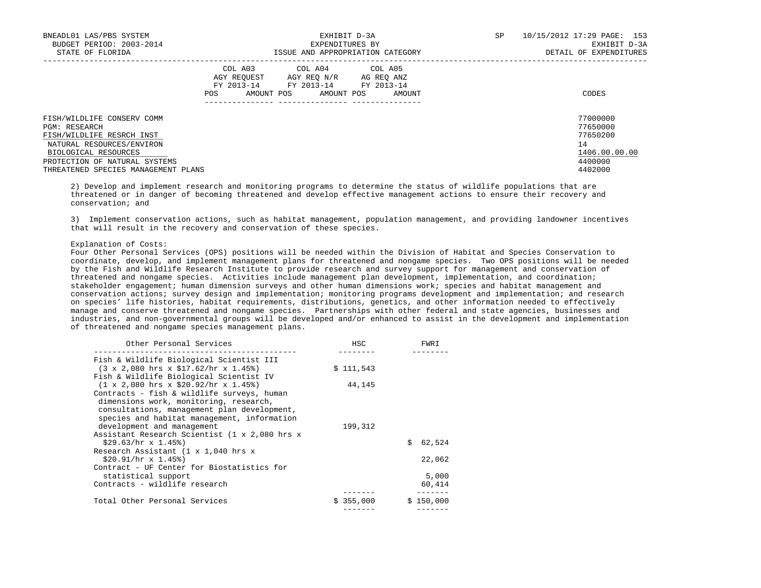| BNEADL01 LAS/PBS SYSTEM<br>BUDGET PERIOD: 2003-2014<br>STATE OF FLORIDA | EXHIBIT D-3A<br>EXPENDITURES BY<br>ISSUE AND APPROPRIATION CATEGORY                                                                                  | SP<br>10/15/2012 17:29 PAGE: 153<br>EXHIBIT D-3A<br>DETAIL OF EXPENDITURES |
|-------------------------------------------------------------------------|------------------------------------------------------------------------------------------------------------------------------------------------------|----------------------------------------------------------------------------|
|                                                                         | COL A03 COL A04 COL A05<br>AGY REOUEST<br>AGY REO N/R<br>AG REO ANZ<br>FY 2013-14 FY 2013-14 FY 2013-14<br>AMOUNT POS<br>POS<br>AMOUNT POS<br>AMOUNT | CODES                                                                      |
| FISH/WILDLIFE CONSERV COMM<br><b>PGM: RESEARCH</b>                      |                                                                                                                                                      | 77000000<br>77650000                                                       |
| FISH/WILDLIFE RESRCH INST                                               |                                                                                                                                                      | 77650200                                                                   |
| NATURAL RESOURCES/ENVIRON                                               |                                                                                                                                                      | 14                                                                         |
| BIOLOGICAL RESOURCES                                                    |                                                                                                                                                      | 1406.00.00.00                                                              |
| PROTECTION OF NATURAL SYSTEMS                                           |                                                                                                                                                      | 4400000                                                                    |
| THREATENED SPECIES MANAGEMENT PLANS                                     |                                                                                                                                                      | 4402000                                                                    |

 2) Develop and implement research and monitoring programs to determine the status of wildlife populations that are threatened or in danger of becoming threatened and develop effective management actions to ensure their recovery and conservation; and

 3) Implement conservation actions, such as habitat management, population management, and providing landowner incentives that will result in the recovery and conservation of these species.

#### Explanation of Costs:

 Four Other Personal Services (OPS) positions will be needed within the Division of Habitat and Species Conservation to coordinate, develop, and implement management plans for threatened and nongame species. Two OPS positions will be needed by the Fish and Wildlife Research Institute to provide research and survey support for management and conservation of threatened and nongame species. Activities include management plan development, implementation, and coordination; stakeholder engagement; human dimension surveys and other human dimensions work; species and habitat management and conservation actions; survey design and implementation; monitoring programs development and implementation; and research on species' life histories, habitat requirements, distributions, genetics, and other information needed to effectively manage and conserve threatened and nongame species. Partnerships with other federal and state agencies, businesses and industries, and non-governmental groups will be developed and/or enhanced to assist in the development and implementation of threatened and nongame species management plans.

| Other Personal Services                                                 | HSC       | FWRI         |
|-------------------------------------------------------------------------|-----------|--------------|
| Fish & Wildlife Biological Scientist III                                |           |              |
| $(3 \times 2,080$ hrs $x \sin 52$ /hr $x \sin 45$ )                     | \$111,543 |              |
| Fish & Wildlife Biological Scientist IV                                 |           |              |
| $(1 \times 2,080$ hrs $x \text{ } $20.92/\text{hr} \times 1.45\text{*}$ | 44,145    |              |
| Contracts - fish & wildlife surveys, human                              |           |              |
| dimensions work, monitoring, research,                                  |           |              |
| consultations, management plan development,                             |           |              |
| species and habitat management, information                             |           |              |
| development and management                                              | 199,312   |              |
| Assistant Research Scientist (1 x 2,080 hrs x                           |           |              |
| $$29.63/hr \times 1.45%$                                                |           | 62,524<br>Ŝ. |
| Research Assistant (1 x 1,040 hrs x                                     |           |              |
| $$20.91/hr \times 1.45%$                                                |           | 22,062       |
| Contract - UF Center for Biostatistics for                              |           |              |
| statistical support                                                     |           | 5,000        |
| Contracts - wildlife research                                           |           | 60,414       |
| Total Other Personal Services                                           | \$355,000 | \$150,000    |
|                                                                         |           |              |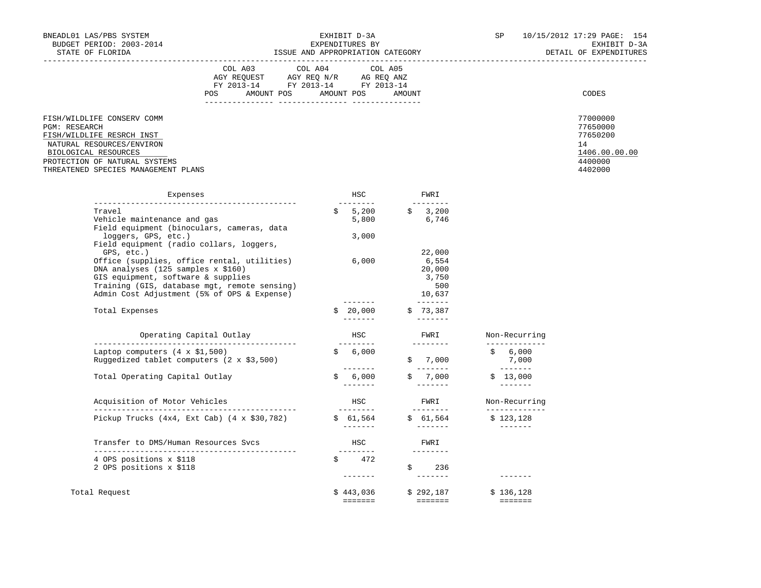|                                                                                                                                                                                                              | COL A03<br>AGY REQUEST<br>FY 2013-14<br>POS<br>AMOUNT POS | COL A04 COL A05<br>AGY REQ N/R<br>FY 2013-14<br>AMOUNT POS | AG REQ ANZ<br>FY 2013-14 | AMOUNT | CODES                                                                         |
|--------------------------------------------------------------------------------------------------------------------------------------------------------------------------------------------------------------|-----------------------------------------------------------|------------------------------------------------------------|--------------------------|--------|-------------------------------------------------------------------------------|
| FISH/WILDLIFE CONSERV COMM<br><b>PGM: RESEARCH</b><br>FISH/WILDLIFE RESRCH INST<br>NATURAL RESOURCES/ENVIRON<br>BIOLOGICAL RESOURCES<br>PROTECTION OF NATURAL SYSTEMS<br>THREATENED SPECIES MANAGEMENT PLANS |                                                           |                                                            |                          |        | 77000000<br>77650000<br>77650200<br>14<br>1406.00.00.00<br>4400000<br>4402000 |
| Expenses                                                                                                                                                                                                     |                                                           |                                                            | <b>HSC</b>               | FWRI   |                                                                               |

| Expenses                                                                                                                                                                                                                                                                         | HSC                  | FWRI<br>--------                                     |                                                                                                                                                                                                                                                                                                                                                                                                                                                                                                     |
|----------------------------------------------------------------------------------------------------------------------------------------------------------------------------------------------------------------------------------------------------------------------------------|----------------------|------------------------------------------------------|-----------------------------------------------------------------------------------------------------------------------------------------------------------------------------------------------------------------------------------------------------------------------------------------------------------------------------------------------------------------------------------------------------------------------------------------------------------------------------------------------------|
| Travel<br>Vehicle maintenance and gas                                                                                                                                                                                                                                            | $\mathsf{S}$         | $5,200$ $\frac{2}{9}$ $\frac{3}{200}$<br>5,800 6,746 |                                                                                                                                                                                                                                                                                                                                                                                                                                                                                                     |
| Field equipment (binoculars, cameras, data<br>loggers, GPS, etc.)                                                                                                                                                                                                                | 3,000                |                                                      |                                                                                                                                                                                                                                                                                                                                                                                                                                                                                                     |
| Field equipment (radio collars, loggers,<br>GPS, etc.)<br>Office (supplies, office rental, utilities)<br>DNA analyses (125 samples x \$160)<br>GIS equipment, software & supplies<br>Training (GIS, database mgt, remote sensing)<br>Admin Cost Adjustment (5% of OPS & Expense) | 6,000                | 22,000<br>6,554<br>20,000<br>3,750<br>500<br>10,637  |                                                                                                                                                                                                                                                                                                                                                                                                                                                                                                     |
| Total Expenses                                                                                                                                                                                                                                                                   | --------<br>\$20,000 | \$73,387                                             |                                                                                                                                                                                                                                                                                                                                                                                                                                                                                                     |
| Operating Capital Outlay                                                                                                                                                                                                                                                         | HSC<br>---------     | FWRI<br>---------                                    | Non-Recurring<br>-----------                                                                                                                                                                                                                                                                                                                                                                                                                                                                        |
| Laptop computers $(4 \times $1,500)$<br>Ruggedized tablet computers $(2 \times $3,500)$                                                                                                                                                                                          | \$6,000<br>--------  | \$7,000                                              | \$6,000<br>7,000<br>_________                                                                                                                                                                                                                                                                                                                                                                                                                                                                       |
| Total Operating Capital Outlay                                                                                                                                                                                                                                                   | \$6,000<br>--------  | \$7,000<br>-------                                   | \$13,000<br>$- - - - - - -$                                                                                                                                                                                                                                                                                                                                                                                                                                                                         |
| Acquisition of Motor Vehicles                                                                                                                                                                                                                                                    | HSC<br>---------     | FWRI<br>_________                                    | Non-Recurring<br>__________                                                                                                                                                                                                                                                                                                                                                                                                                                                                         |
| Pickup Trucks $(4x4, Ext Cab)$ $(4 x $30,782)$                                                                                                                                                                                                                                   |                      | $$61,564$ $$61,564$ $$123,128$                       |                                                                                                                                                                                                                                                                                                                                                                                                                                                                                                     |
| Transfer to DMS/Human Resources Svcs                                                                                                                                                                                                                                             | HSC<br>---------     | FWRI<br>---------                                    |                                                                                                                                                                                                                                                                                                                                                                                                                                                                                                     |
| 4 OPS positions x \$118<br>2 OPS positions x \$118                                                                                                                                                                                                                               | $\sin 472$           | \$236<br>--------                                    |                                                                                                                                                                                                                                                                                                                                                                                                                                                                                                     |
| Total Request                                                                                                                                                                                                                                                                    |                      | $$443,036$ $$292,187$<br>=======     =======         | \$136,128<br>$\begin{array}{cccccccccc} \multicolumn{2}{c}{} & \multicolumn{2}{c}{} & \multicolumn{2}{c}{} & \multicolumn{2}{c}{} & \multicolumn{2}{c}{} & \multicolumn{2}{c}{} & \multicolumn{2}{c}{} & \multicolumn{2}{c}{} & \multicolumn{2}{c}{} & \multicolumn{2}{c}{} & \multicolumn{2}{c}{} & \multicolumn{2}{c}{} & \multicolumn{2}{c}{} & \multicolumn{2}{c}{} & \multicolumn{2}{c}{} & \multicolumn{2}{c}{} & \multicolumn{2}{c}{} & \multicolumn{2}{c}{} & \multicolumn{2}{c}{} & \mult$ |
|                                                                                                                                                                                                                                                                                  |                      |                                                      |                                                                                                                                                                                                                                                                                                                                                                                                                                                                                                     |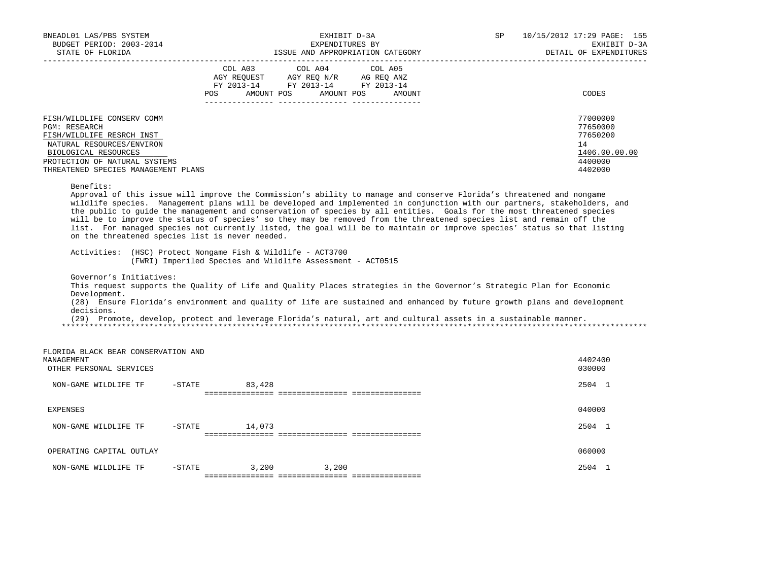| BNEADL01 LAS/PBS SYSTEM<br>BUDGET PERIOD: 2003-2014<br>STATE OF FLORIDA<br>_____________________                                                                                                                                                       |                                              | EXHIBIT D-3A<br>EXPENDITURES BY<br>ISSUE AND APPROPRIATION CATEGORY                                                                                                                                                                                                                                                                                                                                                               | SP     | 10/15/2012 17:29 PAGE: 155<br>EXHIBIT D-3A<br>DETAIL OF EXPENDITURES<br>__________________________                       |
|--------------------------------------------------------------------------------------------------------------------------------------------------------------------------------------------------------------------------------------------------------|----------------------------------------------|-----------------------------------------------------------------------------------------------------------------------------------------------------------------------------------------------------------------------------------------------------------------------------------------------------------------------------------------------------------------------------------------------------------------------------------|--------|--------------------------------------------------------------------------------------------------------------------------|
|                                                                                                                                                                                                                                                        | COL A03<br>AGY REOUEST<br>AMOUNT POS<br>POS. | COL A04<br>COL A05<br>AGY REQ N/R AG REQ ANZ<br>FY 2013-14 FY 2013-14 FY 2013-14<br>AMOUNT POS                                                                                                                                                                                                                                                                                                                                    | AMOUNT | CODES                                                                                                                    |
| FISH/WILDLIFE CONSERV COMM<br><b>PGM: RESEARCH</b><br>FISH/WILDLIFE RESRCH INST<br>NATURAL RESOURCES/ENVIRON<br>BIOLOGICAL RESOURCES<br>PROTECTION OF NATURAL SYSTEMS<br>THREATENED SPECIES MANAGEMENT PLANS                                           |                                              |                                                                                                                                                                                                                                                                                                                                                                                                                                   |        | 77000000<br>77650000<br>77650200<br>14<br>1406.00.00.00<br>4400000<br>4402000                                            |
| Benefits:<br>list. For managed species not currently listed, the goal will be to maintain or improve species' status so that listing<br>on the threatened species list is never needed.<br>Activities: (HSC) Protect Nongame Fish & Wildlife - ACT3700 |                                              | Approval of this issue will improve the Commission's ability to manage and conserve Florida's threatened and nongame<br>the public to guide the management and conservation of species by all entities. Goals for the most threatened species<br>will be to improve the status of species' so they may be removed from the threatened species list and remain off the                                                             |        | wildlife species. Management plans will be developed and implemented in conjunction with our partners, stakeholders, and |
| Governor's Initiatives:<br>Development.<br>decisions.                                                                                                                                                                                                  |                                              | (FWRI) Imperiled Species and Wildlife Assessment - ACT0515<br>This request supports the Quality of Life and Quality Places strategies in the Governor's Strategic Plan for Economic<br>(28) Ensure Florida's environment and quality of life are sustained and enhanced by future growth plans and development<br>(29) Promote, develop, protect and leverage Florida's natural, art and cultural assets in a sustainable manner. |        |                                                                                                                          |
| FLORIDA BLACK BEAR CONSERVATION AND<br>MANAGEMENT<br>OTHER PERSONAL SERVICES                                                                                                                                                                           |                                              |                                                                                                                                                                                                                                                                                                                                                                                                                                   |        | 4402400<br>030000                                                                                                        |
| NON-GAME WILDLIFE TF                                                                                                                                                                                                                                   | $-$ STATE<br>83,428                          |                                                                                                                                                                                                                                                                                                                                                                                                                                   |        | 2504 1                                                                                                                   |
| <b>EXPENSES</b>                                                                                                                                                                                                                                        |                                              |                                                                                                                                                                                                                                                                                                                                                                                                                                   |        | 040000                                                                                                                   |
| NON-GAME WILDLIFE TF                                                                                                                                                                                                                                   | $-$ STATE<br>14,073                          |                                                                                                                                                                                                                                                                                                                                                                                                                                   |        | 2504 1                                                                                                                   |
| OPERATING CAPITAL OUTLAY                                                                                                                                                                                                                               |                                              |                                                                                                                                                                                                                                                                                                                                                                                                                                   |        | 060000                                                                                                                   |
| NON-GAME WILDLIFE TF                                                                                                                                                                                                                                   | $-STATE$<br>3,200                            | 3,200                                                                                                                                                                                                                                                                                                                                                                                                                             |        | 2504 1                                                                                                                   |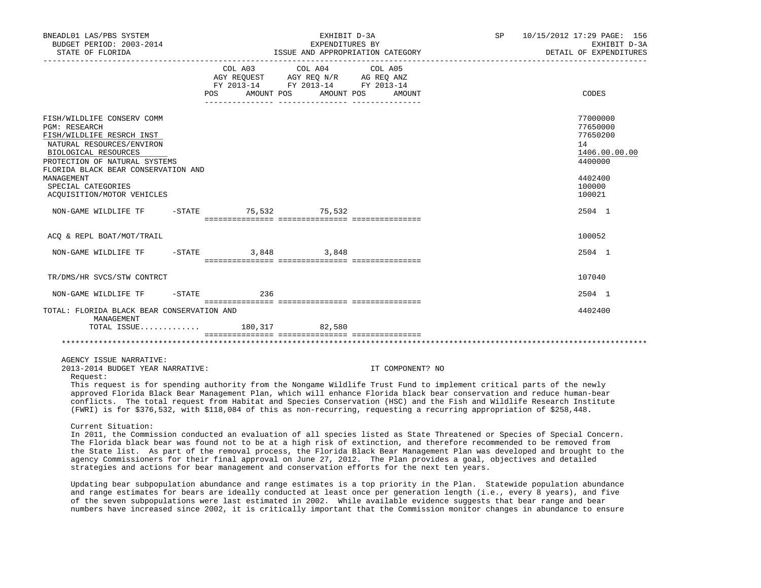| BNEADL01 LAS/PBS SYSTEM<br>BUDGET PERIOD: 2003-2014<br>STATE OF FLORIDA<br>_____________________                                                                                                                                                                                                                                                                                                                                                                                                                                                                          |                              | EXHIBIT D-3A<br>EXPENDITURES BY<br>__________________________________                           | ISSUE AND APPROPRIATION CATEGORY | SP | 10/15/2012 17:29 PAGE: 156<br>EXHIBIT D-3A<br>DETAIL OF EXPENDITURES                    |
|---------------------------------------------------------------------------------------------------------------------------------------------------------------------------------------------------------------------------------------------------------------------------------------------------------------------------------------------------------------------------------------------------------------------------------------------------------------------------------------------------------------------------------------------------------------------------|------------------------------|-------------------------------------------------------------------------------------------------|----------------------------------|----|-----------------------------------------------------------------------------------------|
|                                                                                                                                                                                                                                                                                                                                                                                                                                                                                                                                                                           | COL A03<br>POS<br>AMOUNT POS | COL A04<br>AGY REQUEST AGY REQ N/R AG REQ ANZ<br>FY 2013-14 FY 2013-14 FY 2013-14<br>AMOUNT POS | COL A05<br>AMOUNT                |    | CODES                                                                                   |
| FISH/WILDLIFE CONSERV COMM<br><b>PGM: RESEARCH</b><br>FISH/WILDLIFE RESRCH INST<br>NATURAL RESOURCES/ENVIRON<br>BIOLOGICAL RESOURCES<br>PROTECTION OF NATURAL SYSTEMS<br>FLORIDA BLACK BEAR CONSERVATION AND<br>MANAGEMENT<br>SPECIAL CATEGORIES                                                                                                                                                                                                                                                                                                                          |                              |                                                                                                 |                                  |    | 77000000<br>77650000<br>77650200<br>14<br>1406.00.00.00<br>4400000<br>4402400<br>100000 |
| ACQUISITION/MOTOR VEHICLES                                                                                                                                                                                                                                                                                                                                                                                                                                                                                                                                                |                              |                                                                                                 |                                  |    | 100021                                                                                  |
| NON-GAME WILDLIFE TF                                                                                                                                                                                                                                                                                                                                                                                                                                                                                                                                                      | $-STATE$                     | 75,532 75,532                                                                                   |                                  |    | 2504 1                                                                                  |
| ACQ & REPL BOAT/MOT/TRAIL                                                                                                                                                                                                                                                                                                                                                                                                                                                                                                                                                 |                              |                                                                                                 |                                  |    | 100052                                                                                  |
| $-$ STATE<br>NON-GAME WILDLIFE TF                                                                                                                                                                                                                                                                                                                                                                                                                                                                                                                                         |                              | 3,848 3,848                                                                                     |                                  |    | 2504 1                                                                                  |
| TR/DMS/HR SVCS/STW CONTRCT                                                                                                                                                                                                                                                                                                                                                                                                                                                                                                                                                |                              |                                                                                                 |                                  |    | 107040                                                                                  |
| $-STATE$<br>NON-GAME WILDLIFE TF                                                                                                                                                                                                                                                                                                                                                                                                                                                                                                                                          | 236                          |                                                                                                 |                                  |    | 2504 1                                                                                  |
| TOTAL: FLORIDA BLACK BEAR CONSERVATION AND<br>MANAGEMENT<br>TOTAL ISSUE 180,317 82,580                                                                                                                                                                                                                                                                                                                                                                                                                                                                                    |                              |                                                                                                 |                                  |    | 4402400                                                                                 |
|                                                                                                                                                                                                                                                                                                                                                                                                                                                                                                                                                                           |                              |                                                                                                 |                                  |    |                                                                                         |
| AGENCY ISSUE NARRATIVE:<br>2013-2014 BUDGET YEAR NARRATIVE:<br>Request:<br>This request is for spending authority from the Nongame Wildlife Trust Fund to implement critical parts of the newly<br>approved Florida Black Bear Management Plan, which will enhance Florida black bear conservation and reduce human-bear<br>conflicts. The total request from Habitat and Species Conservation (HSC) and the Fish and Wildlife Research Institute<br>(FWRI) is for \$376,532, with \$118,084 of this as non-recurring, requesting a recurring appropriation of \$258,448. |                              |                                                                                                 | IT COMPONENT? NO                 |    |                                                                                         |
| Current Situation:<br>In 2011, the Commission conducted an evaluation of all species listed as State Threatened or Species of Special Concern.<br>The Florida black bear was found not to be at a high risk of extinction, and therefore recommended to be removed from<br>the State list. As part of the removal process, the Florida Black Bear Management Plan was developed and brought to the                                                                                                                                                                        |                              |                                                                                                 |                                  |    |                                                                                         |

 Updating bear subpopulation abundance and range estimates is a top priority in the Plan. Statewide population abundance and range estimates for bears are ideally conducted at least once per generation length (i.e., every 8 years), and five of the seven subpopulations were last estimated in 2002. While available evidence suggests that bear range and bear numbers have increased since 2002, it is critically important that the Commission monitor changes in abundance to ensure

agency Commissioners for their final approval on June 27, 2012. The Plan provides a goal, objectives and detailed

strategies and actions for bear management and conservation efforts for the next ten years.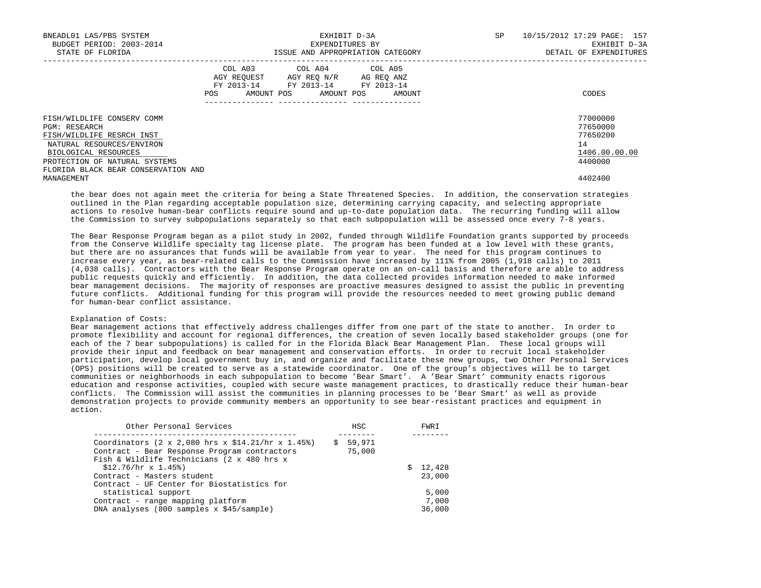| BNEADL01 LAS/PBS SYSTEM<br>BUDGET PERIOD: 2003-2014<br>STATE OF FLORIDA                                                                                                                                      | EXHIBIT D-3A<br>EXPENDITURES BY<br>ISSUE AND APPROPRIATION CATEGORY                                                                            | 10/15/2012 17:29 PAGE: 157<br>SP<br>EXHIBIT D-3A<br>DETAIL OF EXPENDITURES |
|--------------------------------------------------------------------------------------------------------------------------------------------------------------------------------------------------------------|------------------------------------------------------------------------------------------------------------------------------------------------|----------------------------------------------------------------------------|
|                                                                                                                                                                                                              | COL A03 COL A04 COL A05<br>AGY REQUEST AGY REO N/R AG REO ANZ<br>FY 2013-14 FY 2013-14 FY 2013-14<br>AMOUNT POS<br>AMOUNT POS<br>POS<br>AMOUNT | CODES                                                                      |
| FISH/WILDLIFE CONSERV COMM<br><b>PGM: RESEARCH</b><br>FISH/WILDLIFE RESRCH INST<br>NATURAL RESOURCES/ENVIRON<br>BIOLOGICAL RESOURCES<br>PROTECTION OF NATURAL SYSTEMS<br>FLORIDA BLACK BEAR CONSERVATION AND |                                                                                                                                                | 77000000<br>77650000<br>77650200<br>14<br>1406.00.00.00<br>4400000         |
| MANAGEMENT                                                                                                                                                                                                   |                                                                                                                                                | 4402400                                                                    |

 the bear does not again meet the criteria for being a State Threatened Species. In addition, the conservation strategies outlined in the Plan regarding acceptable population size, determining carrying capacity, and selecting appropriate actions to resolve human-bear conflicts require sound and up-to-date population data. The recurring funding will allow the Commission to survey subpopulations separately so that each subpopulation will be assessed once every 7-8 years.

 The Bear Response Program began as a pilot study in 2002, funded through Wildlife Foundation grants supported by proceeds from the Conserve Wildlife specialty tag license plate. The program has been funded at a low level with these grants, but there are no assurances that funds will be available from year to year. The need for this program continues to increase every year, as bear-related calls to the Commission have increased by 111% from 2005 (1,918 calls) to 2011 (4,038 calls). Contractors with the Bear Response Program operate on an on-call basis and therefore are able to address public requests quickly and efficiently. In addition, the data collected provides information needed to make informed bear management decisions. The majority of responses are proactive measures designed to assist the public in preventing future conflicts. Additional funding for this program will provide the resources needed to meet growing public demand for human-bear conflict assistance.

### Explanation of Costs:

 Bear management actions that effectively address challenges differ from one part of the state to another. In order to promote flexibility and account for regional differences, the creation of seven locally based stakeholder groups (one for each of the 7 bear subpopulations) is called for in the Florida Black Bear Management Plan. These local groups will provide their input and feedback on bear management and conservation efforts. In order to recruit local stakeholder participation, develop local government buy in, and organize and facilitate these new groups, two Other Personal Services (OPS) positions will be created to serve as a statewide coordinator. One of the group's objectives will be to target communities or neighborhoods in each subpopulation to become 'Bear Smart'. A 'Bear Smart' community enacts rigorous education and response activities, coupled with secure waste management practices, to drastically reduce their human-bear conflicts. The Commission will assist the communities in planning processes to be 'Bear Smart' as well as provide demonstration projects to provide community members an opportunity to see bear-resistant practices and equipment in action.

| Other Personal Services                                                                                                                                                    | <b>HSC</b>         | FWRI     |
|----------------------------------------------------------------------------------------------------------------------------------------------------------------------------|--------------------|----------|
| Coordinators $(2 \times 2,080$ hrs $x \sin 21/\text{hr} \times 1.45\text{*}$<br>Contract - Bear Response Program contractors<br>Fish & Wildlife Technicians (2 x 480 hrs x | \$59,971<br>75,000 |          |
| $$12.76/hr \times 1.45%$                                                                                                                                                   |                    | \$12,428 |
| Contract - Masters student                                                                                                                                                 |                    | 23,000   |
| Contract - UF Center for Biostatistics for                                                                                                                                 |                    |          |
| statistical support                                                                                                                                                        |                    | 5,000    |
| Contract - range mapping platform                                                                                                                                          |                    | 7,000    |
| DNA analyses (800 samples x \$45/sample)                                                                                                                                   |                    | 36,000   |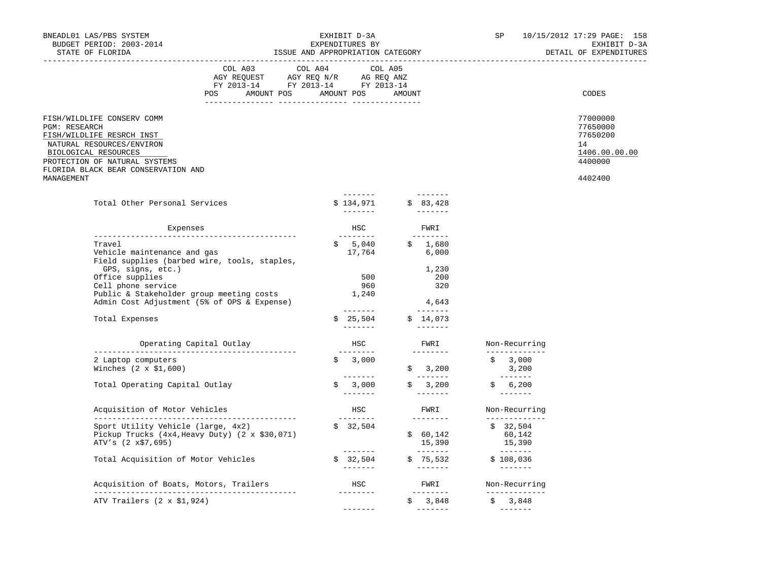| BNEADL01 LAS/PBS SYSTEM<br>BUDGET PERIOD: 2003-2014<br>STATE OF FLORIDA                                                                                                                                             | EXHIBIT D-3A<br>EXPENDITURES BY<br>ISSUE AND APPROPRIATION CATEGORY                                                   |         |                                                                                                                                                                                                                                                                                                                                                                                                                                                                                                              |  |                                                                                                                                                                                                                                                                                                                                                                                                                                                                                                                           | SP                                           |                                                                                                                                                                                                                                                                                                                                                                                                                                                                                                                | 10/15/2012 17:29 PAGE: 158<br>EXHIBIT D-3A<br>DETAIL OF EXPENDITURES          |
|---------------------------------------------------------------------------------------------------------------------------------------------------------------------------------------------------------------------|-----------------------------------------------------------------------------------------------------------------------|---------|--------------------------------------------------------------------------------------------------------------------------------------------------------------------------------------------------------------------------------------------------------------------------------------------------------------------------------------------------------------------------------------------------------------------------------------------------------------------------------------------------------------|--|---------------------------------------------------------------------------------------------------------------------------------------------------------------------------------------------------------------------------------------------------------------------------------------------------------------------------------------------------------------------------------------------------------------------------------------------------------------------------------------------------------------------------|----------------------------------------------|----------------------------------------------------------------------------------------------------------------------------------------------------------------------------------------------------------------------------------------------------------------------------------------------------------------------------------------------------------------------------------------------------------------------------------------------------------------------------------------------------------------|-------------------------------------------------------------------------------|
|                                                                                                                                                                                                                     | COL A03<br>AGY REQUEST AGY REQ N/R AG REQ ANZ<br>FY 2013-14 FY 2013-14 FY 2013-14<br>POS AMOUNT POS AMOUNT POS AMOUNT | COL A04 | COL A05                                                                                                                                                                                                                                                                                                                                                                                                                                                                                                      |  |                                                                                                                                                                                                                                                                                                                                                                                                                                                                                                                           |                                              |                                                                                                                                                                                                                                                                                                                                                                                                                                                                                                                | CODES                                                                         |
| FISH/WILDLIFE CONSERV COMM<br>PGM: RESEARCH<br>FISH/WILDLIFE RESRCH INST<br>NATURAL RESOURCES/ENVIRON<br>BIOLOGICAL RESOURCES<br>PROTECTION OF NATURAL SYSTEMS<br>FLORIDA BLACK BEAR CONSERVATION AND<br>MANAGEMENT |                                                                                                                       |         |                                                                                                                                                                                                                                                                                                                                                                                                                                                                                                              |  |                                                                                                                                                                                                                                                                                                                                                                                                                                                                                                                           |                                              |                                                                                                                                                                                                                                                                                                                                                                                                                                                                                                                | 77000000<br>77650000<br>77650200<br>14<br>1406.00.00.00<br>4400000<br>4402400 |
|                                                                                                                                                                                                                     |                                                                                                                       |         | $- - - - - - - -$                                                                                                                                                                                                                                                                                                                                                                                                                                                                                            |  |                                                                                                                                                                                                                                                                                                                                                                                                                                                                                                                           |                                              |                                                                                                                                                                                                                                                                                                                                                                                                                                                                                                                |                                                                               |
| Total Other Personal Services                                                                                                                                                                                       |                                                                                                                       |         | \$134,971                                                                                                                                                                                                                                                                                                                                                                                                                                                                                                    |  | \$83,428                                                                                                                                                                                                                                                                                                                                                                                                                                                                                                                  |                                              |                                                                                                                                                                                                                                                                                                                                                                                                                                                                                                                |                                                                               |
| Expenses                                                                                                                                                                                                            |                                                                                                                       |         | <b>HSC</b>                                                                                                                                                                                                                                                                                                                                                                                                                                                                                                   |  | FWRI                                                                                                                                                                                                                                                                                                                                                                                                                                                                                                                      |                                              |                                                                                                                                                                                                                                                                                                                                                                                                                                                                                                                |                                                                               |
| Travel<br>Vehicle maintenance and gas<br>Field supplies (barbed wire, tools, staples,                                                                                                                               |                                                                                                                       |         | ---------<br>$$5,040$<br>17,764                                                                                                                                                                                                                                                                                                                                                                                                                                                                              |  | ---------<br>\$1,680<br>6,000                                                                                                                                                                                                                                                                                                                                                                                                                                                                                             |                                              |                                                                                                                                                                                                                                                                                                                                                                                                                                                                                                                |                                                                               |
| GPS, signs, etc.)<br>Office supplies<br>Cell phone service<br>Public & Stakeholder group meeting costs<br>Admin Cost Adjustment (5% of OPS & Expense)                                                               |                                                                                                                       |         | 500<br>960<br>1,240                                                                                                                                                                                                                                                                                                                                                                                                                                                                                          |  | 1,230<br>200<br>320<br>4,643                                                                                                                                                                                                                                                                                                                                                                                                                                                                                              |                                              |                                                                                                                                                                                                                                                                                                                                                                                                                                                                                                                |                                                                               |
| Total Expenses                                                                                                                                                                                                      |                                                                                                                       |         | $\begin{tabular}{cccccc} \multicolumn{2}{c}{} & \multicolumn{2}{c}{} & \multicolumn{2}{c}{} & \multicolumn{2}{c}{} & \multicolumn{2}{c}{} & \multicolumn{2}{c}{} & \multicolumn{2}{c}{} & \multicolumn{2}{c}{} & \multicolumn{2}{c}{} & \multicolumn{2}{c}{} & \multicolumn{2}{c}{} & \multicolumn{2}{c}{} & \multicolumn{2}{c}{} & \multicolumn{2}{c}{} & \multicolumn{2}{c}{} & \multicolumn{2}{c}{} & \multicolumn{2}{c}{} & \multicolumn{2}{c}{} & \multicolumn{2}{c}{} & \mult$<br>\$25,504<br>-------- |  | \$14,073                                                                                                                                                                                                                                                                                                                                                                                                                                                                                                                  |                                              |                                                                                                                                                                                                                                                                                                                                                                                                                                                                                                                |                                                                               |
| Operating Capital Outlay                                                                                                                                                                                            |                                                                                                                       |         | HSC<br>________                                                                                                                                                                                                                                                                                                                                                                                                                                                                                              |  | FWRI<br><u>________</u>                                                                                                                                                                                                                                                                                                                                                                                                                                                                                                   | Non-Recurring                                | ______________                                                                                                                                                                                                                                                                                                                                                                                                                                                                                                 |                                                                               |
| 2 Laptop computers<br>Winches $(2 \times $1,600)$                                                                                                                                                                   |                                                                                                                       |         | \$3,000                                                                                                                                                                                                                                                                                                                                                                                                                                                                                                      |  | \$3,200                                                                                                                                                                                                                                                                                                                                                                                                                                                                                                                   | 3,200                                        | \$3,000                                                                                                                                                                                                                                                                                                                                                                                                                                                                                                        |                                                                               |
| Total Operating Capital Outlay                                                                                                                                                                                      |                                                                                                                       |         | 3,000<br>$- - - - - - -$                                                                                                                                                                                                                                                                                                                                                                                                                                                                                     |  | $\begin{array}{cccccccccccccc} \multicolumn{2}{c}{} & \multicolumn{2}{c}{} & \multicolumn{2}{c}{} & \multicolumn{2}{c}{} & \multicolumn{2}{c}{} & \multicolumn{2}{c}{} & \multicolumn{2}{c}{} & \multicolumn{2}{c}{} & \multicolumn{2}{c}{} & \multicolumn{2}{c}{} & \multicolumn{2}{c}{} & \multicolumn{2}{c}{} & \multicolumn{2}{c}{} & \multicolumn{2}{c}{} & \multicolumn{2}{c}{} & \multicolumn{2}{c}{} & \multicolumn{2}{c}{} & \multicolumn{2}{c}{} & \multicolumn{2}{c}{} & \$<br>\$3,200                         |                                              | ________<br>\$ 6,200<br>$\begin{array}{cccccccccc} \multicolumn{2}{c}{} & \multicolumn{2}{c}{} & \multicolumn{2}{c}{} & \multicolumn{2}{c}{} & \multicolumn{2}{c}{} & \multicolumn{2}{c}{} & \multicolumn{2}{c}{} & \multicolumn{2}{c}{} & \multicolumn{2}{c}{} & \multicolumn{2}{c}{} & \multicolumn{2}{c}{} & \multicolumn{2}{c}{} & \multicolumn{2}{c}{} & \multicolumn{2}{c}{} & \multicolumn{2}{c}{} & \multicolumn{2}{c}{} & \multicolumn{2}{c}{} & \multicolumn{2}{c}{} & \multicolumn{2}{c}{} & \mult$ |                                                                               |
| Acquisition of Motor Vehicles                                                                                                                                                                                       |                                                                                                                       |         | HSC                                                                                                                                                                                                                                                                                                                                                                                                                                                                                                          |  | FWRI                                                                                                                                                                                                                                                                                                                                                                                                                                                                                                                      |                                              | Non-Recurring                                                                                                                                                                                                                                                                                                                                                                                                                                                                                                  |                                                                               |
| Sport Utility Vehicle (large, 4x2)<br>Pickup Trucks $(4x4, \text{Heavy Duty})$ $(2 \times $30,071)$<br>ATV's (2 x\$7,695)                                                                                           |                                                                                                                       |         | ---------<br>\$32,504<br>________                                                                                                                                                                                                                                                                                                                                                                                                                                                                            |  | $\begin{array}{cccccccccc} \multicolumn{2}{c}{} & \multicolumn{2}{c}{} & \multicolumn{2}{c}{} & \multicolumn{2}{c}{} & \multicolumn{2}{c}{} & \multicolumn{2}{c}{} & \multicolumn{2}{c}{} & \multicolumn{2}{c}{} & \multicolumn{2}{c}{} & \multicolumn{2}{c}{} & \multicolumn{2}{c}{} & \multicolumn{2}{c}{} & \multicolumn{2}{c}{} & \multicolumn{2}{c}{} & \multicolumn{2}{c}{} & \multicolumn{2}{c}{} & \multicolumn{2}{c}{} & \multicolumn{2}{c}{} & \multicolumn{2}{c}{} & \mult$<br>\$60,142<br>15,390<br>_________ | 15,390                                       | _____________<br>\$32,504<br>60,142                                                                                                                                                                                                                                                                                                                                                                                                                                                                            |                                                                               |
| Total Acquisition of Motor Vehicles                                                                                                                                                                                 |                                                                                                                       |         | \$32,504                                                                                                                                                                                                                                                                                                                                                                                                                                                                                                     |  | \$75,532                                                                                                                                                                                                                                                                                                                                                                                                                                                                                                                  | \$108,036                                    | ________                                                                                                                                                                                                                                                                                                                                                                                                                                                                                                       |                                                                               |
| Acquisition of Boats, Motors, Trailers                                                                                                                                                                              |                                                                                                                       |         | <b>HSC</b>                                                                                                                                                                                                                                                                                                                                                                                                                                                                                                   |  | FWRI Non-Recurring                                                                                                                                                                                                                                                                                                                                                                                                                                                                                                        |                                              |                                                                                                                                                                                                                                                                                                                                                                                                                                                                                                                |                                                                               |
| ATV Trailers $(2 \times $1,924)$                                                                                                                                                                                    |                                                                                                                       |         | ---------<br>$- - - - - - -$                                                                                                                                                                                                                                                                                                                                                                                                                                                                                 |  | $\frac{2}{5}$ 3,848                                                                                                                                                                                                                                                                                                                                                                                                                                                                                                       | \$3,848<br><u> 1999 – Albert Albert III.</u> | _______________                                                                                                                                                                                                                                                                                                                                                                                                                                                                                                |                                                                               |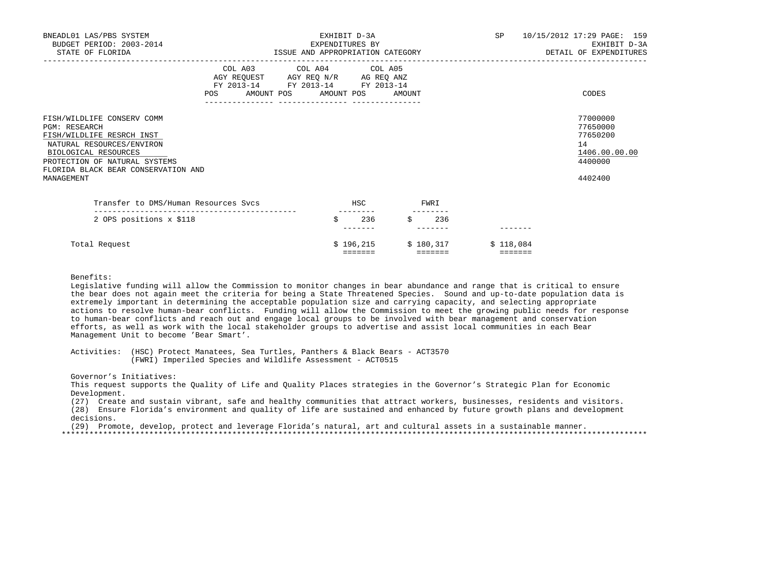| BNEADL01 LAS/PBS SYSTEM<br>BUDGET PERIOD: 2003-2014<br>STATE OF FLORIDA                                                                                                                                                    | EXHIBIT D-3A<br>EXPENDITURES BY<br>ISSUE AND APPROPRIATION CATEGORY |                                                                                                   |    |                         |      |                                   |                     | SP 10/15/2012 17:29 PAGE: 159<br>EXHIBIT D-3A<br>DETAIL OF EXPENDITURES       |
|----------------------------------------------------------------------------------------------------------------------------------------------------------------------------------------------------------------------------|---------------------------------------------------------------------|---------------------------------------------------------------------------------------------------|----|-------------------------|------|-----------------------------------|---------------------|-------------------------------------------------------------------------------|
|                                                                                                                                                                                                                            | POS AMOUNT POS AMOUNT POS AMOUNT                                    | COL A03 COL A04 COL A05<br>AGY REQUEST AGY REQ N/R AG REQ ANZ<br>FY 2013-14 FY 2013-14 FY 2013-14 |    |                         |      |                                   |                     | CODES                                                                         |
| FISH/WILDLIFE CONSERV COMM<br><b>PGM: RESEARCH</b><br>FISH/WILDLIFE RESRCH INST<br>NATURAL RESOURCES/ENVIRON<br>BIOLOGICAL RESOURCES<br>PROTECTION OF NATURAL SYSTEMS<br>FLORIDA BLACK BEAR CONSERVATION AND<br>MANAGEMENT |                                                                     |                                                                                                   |    |                         |      |                                   |                     | 77000000<br>77650000<br>77650200<br>14<br>1406.00.00.00<br>4400000<br>4402400 |
| Transfer to DMS/Human Resources Sycs                                                                                                                                                                                       |                                                                     |                                                                                                   |    | <b>HSC</b><br>--------- | FWRI |                                   |                     |                                                                               |
| 2 OPS positions x \$118                                                                                                                                                                                                    |                                                                     |                                                                                                   | \$ | 236                     |      | 236                               |                     |                                                                               |
| Total Request                                                                                                                                                                                                              |                                                                     |                                                                                                   |    | --------                |      | $$196,215$ $$180,317$<br>-------- | \$118,084<br>eeeeee |                                                                               |

 Legislative funding will allow the Commission to monitor changes in bear abundance and range that is critical to ensure the bear does not again meet the criteria for being a State Threatened Species. Sound and up-to-date population data is extremely important in determining the acceptable population size and carrying capacity, and selecting appropriate actions to resolve human-bear conflicts. Funding will allow the Commission to meet the growing public needs for response to human-bear conflicts and reach out and engage local groups to be involved with bear management and conservation efforts, as well as work with the local stakeholder groups to advertise and assist local communities in each Bear Management Unit to become 'Bear Smart'.

 Activities: (HSC) Protect Manatees, Sea Turtles, Panthers & Black Bears - ACT3570 (FWRI) Imperiled Species and Wildlife Assessment - ACT0515

Governor's Initiatives:

 This request supports the Quality of Life and Quality Places strategies in the Governor's Strategic Plan for Economic Development.

(27) Create and sustain vibrant, safe and healthy communities that attract workers, businesses, residents and visitors.

 (28) Ensure Florida's environment and quality of life are sustained and enhanced by future growth plans and development decisions.

(29) Promote, develop, protect and leverage Florida's natural, art and cultural assets in a sustainable manner.

\*\*\*\*\*\*\*\*\*\*\*\*\*\*\*\*\*\*\*\*\*\*\*\*\*\*\*\*\*\*\*\*\*\*\*\*\*\*\*\*\*\*\*\*\*\*\*\*\*\*\*\*\*\*\*\*\*\*\*\*\*\*\*\*\*\*\*\*\*\*\*\*\*\*\*\*\*\*\*\*\*\*\*\*\*\*\*\*\*\*\*\*\*\*\*\*\*\*\*\*\*\*\*\*\*\*\*\*\*\*\*\*\*\*\*\*\*\*\*\*\*\*\*\*\*\*\*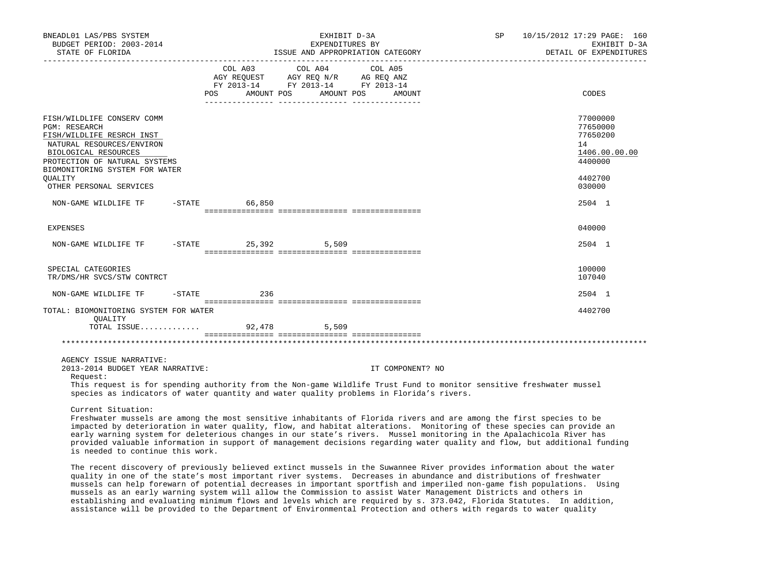| BNEADL01 LAS/PBS SYSTEM<br>BUDGET PERIOD: 2003-2014<br>STATE OF FLORIDA                                                                                                                                                                                            |          |         |                                                                                                                       | EXHIBIT D-3A<br>EXPENDITURES BY | ISSUE AND APPROPRIATION CATEGORY | SP | 10/15/2012 17:29 PAGE: 160<br>EXHIBIT D-3A<br>DETAIL OF EXPENDITURES                    |
|--------------------------------------------------------------------------------------------------------------------------------------------------------------------------------------------------------------------------------------------------------------------|----------|---------|-----------------------------------------------------------------------------------------------------------------------|---------------------------------|----------------------------------|----|-----------------------------------------------------------------------------------------|
|                                                                                                                                                                                                                                                                    |          | COL A03 | COL A04<br>AGY REQUEST AGY REQ N/R AG REQ ANZ<br>FY 2013-14 FY 2013-14 FY 2013-14<br>POS AMOUNT POS AMOUNT POS AMOUNT |                                 | COL A05                          |    | CODES                                                                                   |
| FISH/WILDLIFE CONSERV COMM<br><b>PGM: RESEARCH</b><br>FISH/WILDLIFE RESRCH INST<br>NATURAL RESOURCES/ENVIRON<br>BIOLOGICAL RESOURCES<br>PROTECTION OF NATURAL SYSTEMS<br>BIOMONITORING SYSTEM FOR WATER<br><b>OUALITY</b><br>OTHER PERSONAL SERVICES               |          |         |                                                                                                                       |                                 |                                  |    | 77000000<br>77650000<br>77650200<br>14<br>1406.00.00.00<br>4400000<br>4402700<br>030000 |
| NON-GAME WILDLIFE TF -STATE 66,850                                                                                                                                                                                                                                 |          |         |                                                                                                                       |                                 |                                  |    | 2504 1                                                                                  |
| <b>EXPENSES</b>                                                                                                                                                                                                                                                    |          |         |                                                                                                                       |                                 |                                  |    | 040000                                                                                  |
| NON-GAME WILDLIFE TF                                                                                                                                                                                                                                               |          |         | -STATE 25,392 5,509                                                                                                   |                                 |                                  |    | 2504 1                                                                                  |
| SPECIAL CATEGORIES<br>TR/DMS/HR SVCS/STW CONTRCT                                                                                                                                                                                                                   |          |         |                                                                                                                       |                                 |                                  |    | 100000<br>107040                                                                        |
| NON-GAME WILDLIFE TF                                                                                                                                                                                                                                               | $-STATE$ | 236     |                                                                                                                       |                                 |                                  |    | 2504 1                                                                                  |
| TOTAL: BIOMONITORING SYSTEM FOR WATER<br>OUALITY<br>TOTAL ISSUE                                                                                                                                                                                                    |          |         | 92,478 5,509                                                                                                          |                                 |                                  |    | 4402700                                                                                 |
|                                                                                                                                                                                                                                                                    |          |         |                                                                                                                       |                                 |                                  |    |                                                                                         |
|                                                                                                                                                                                                                                                                    |          |         |                                                                                                                       |                                 |                                  |    |                                                                                         |
| AGENCY ISSUE NARRATIVE:<br>2013-2014 BUDGET YEAR NARRATIVE:<br>Request:                                                                                                                                                                                            |          |         |                                                                                                                       |                                 | IT COMPONENT? NO                 |    |                                                                                         |
| This request is for spending authority from the Non-game Wildlife Trust Fund to monitor sensitive freshwater mussel<br>species as indicators of water quantity and water quality problems in Florida's rivers.                                                     |          |         |                                                                                                                       |                                 |                                  |    |                                                                                         |
| Current Situation:<br>Freshwater mussels are among the most sensitive inhabitants of Florida rivers and are among the first species to be<br>impacted by deterioration in water quality. flow, and babitat alterations. Monitoring of these species can provide an |          |         |                                                                                                                       |                                 |                                  |    |                                                                                         |

 impacted by deterioration in water quality, flow, and habitat alterations. Monitoring of these species can provide an early warning system for deleterious changes in our state's rivers. Mussel monitoring in the Apalachicola River has provided valuable information in support of management decisions regarding water quality and flow, but additional funding is needed to continue this work.

 The recent discovery of previously believed extinct mussels in the Suwannee River provides information about the water quality in one of the state's most important river systems. Decreases in abundance and distributions of freshwater mussels can help forewarn of potential decreases in important sportfish and imperiled non-game fish populations. Using mussels as an early warning system will allow the Commission to assist Water Management Districts and others in establishing and evaluating minimum flows and levels which are required by s. 373.042, Florida Statutes. In addition, assistance will be provided to the Department of Environmental Protection and others with regards to water quality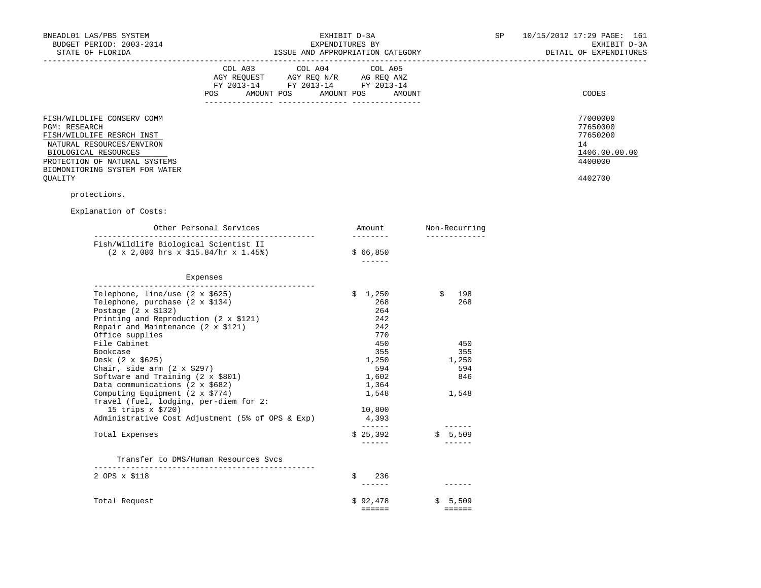| BNEADL01 LAS/PBS SYSTEM<br>BUDGET PERIOD: 2003-2014                                                                                                                                                           | EXHIBIT D-3A<br>EXPENDITURES BY  |                                                                                                                                                                                                                                                                                                      |                                                                                                                                                                                                                                                                                                                                                                                                                                                                                                  |  |                                                                                                                                                                                                                                                                                                                                                                                              |  | 10/15/2012 17:29 PAGE: 161<br>EXHIBIT D-3A                                    |
|---------------------------------------------------------------------------------------------------------------------------------------------------------------------------------------------------------------|----------------------------------|------------------------------------------------------------------------------------------------------------------------------------------------------------------------------------------------------------------------------------------------------------------------------------------------------|--------------------------------------------------------------------------------------------------------------------------------------------------------------------------------------------------------------------------------------------------------------------------------------------------------------------------------------------------------------------------------------------------------------------------------------------------------------------------------------------------|--|----------------------------------------------------------------------------------------------------------------------------------------------------------------------------------------------------------------------------------------------------------------------------------------------------------------------------------------------------------------------------------------------|--|-------------------------------------------------------------------------------|
| STATE OF FLORIDA                                                                                                                                                                                              |                                  | ISSUE AND APPROPRIATION CATEGORY                                                                                                                                                                                                                                                                     |                                                                                                                                                                                                                                                                                                                                                                                                                                                                                                  |  |                                                                                                                                                                                                                                                                                                                                                                                              |  | DETAIL OF EXPENDITURES                                                        |
|                                                                                                                                                                                                               |                                  | COL A03 COL A04<br>$\begin{tabular}{lllllll} \bf AGY \;\; RegUEST \hspace{1cm} AGY \;\; REG \;\; N/R \hspace{1cm} \bf AG \;\; REG \;\; ANZ \\ \hline \texttt{FY} \;\; 2013\text{--}14 \hspace{1cm} & \texttt{FY} \;\; 2013\text{--}14 \hspace{1cm} & \texttt{FY} \;\; 2013\text{--}14 \end{tabular}$ | COL A05                                                                                                                                                                                                                                                                                                                                                                                                                                                                                          |  |                                                                                                                                                                                                                                                                                                                                                                                              |  |                                                                               |
|                                                                                                                                                                                                               | POS AMOUNT POS AMOUNT POS AMOUNT |                                                                                                                                                                                                                                                                                                      |                                                                                                                                                                                                                                                                                                                                                                                                                                                                                                  |  |                                                                                                                                                                                                                                                                                                                                                                                              |  | CODES                                                                         |
| FISH/WILDLIFE CONSERV COMM<br>PGM: RESEARCH<br>FISH/WILDLIFE RESRCH INST<br>NATURAL RESOURCES/ENVIRON<br>BIOLOGICAL RESOURCES<br>PROTECTION OF NATURAL SYSTEMS<br>BIOMONITORING SYSTEM FOR WATER<br>QUALITY   |                                  |                                                                                                                                                                                                                                                                                                      |                                                                                                                                                                                                                                                                                                                                                                                                                                                                                                  |  |                                                                                                                                                                                                                                                                                                                                                                                              |  | 77000000<br>77650000<br>77650200<br>14<br>1406.00.00.00<br>4400000<br>4402700 |
| protections.                                                                                                                                                                                                  |                                  |                                                                                                                                                                                                                                                                                                      |                                                                                                                                                                                                                                                                                                                                                                                                                                                                                                  |  |                                                                                                                                                                                                                                                                                                                                                                                              |  |                                                                               |
| Explanation of Costs:                                                                                                                                                                                         |                                  |                                                                                                                                                                                                                                                                                                      |                                                                                                                                                                                                                                                                                                                                                                                                                                                                                                  |  |                                                                                                                                                                                                                                                                                                                                                                                              |  |                                                                               |
|                                                                                                                                                                                                               | Other Personal Services          |                                                                                                                                                                                                                                                                                                      | Amount Non-Recurring<br>__________                                                                                                                                                                                                                                                                                                                                                                                                                                                               |  | ______________                                                                                                                                                                                                                                                                                                                                                                               |  |                                                                               |
| Fish/Wildlife Biological Scientist II<br>$(2 \times 2,080$ hrs $x \ $15.84$ /hr $x \ 1.45$ °)                                                                                                                 |                                  |                                                                                                                                                                                                                                                                                                      | \$66,850<br>-------                                                                                                                                                                                                                                                                                                                                                                                                                                                                              |  |                                                                                                                                                                                                                                                                                                                                                                                              |  |                                                                               |
| Expenses                                                                                                                                                                                                      |                                  |                                                                                                                                                                                                                                                                                                      |                                                                                                                                                                                                                                                                                                                                                                                                                                                                                                  |  |                                                                                                                                                                                                                                                                                                                                                                                              |  |                                                                               |
| Telephone, line/use $(2 \times $625)$<br>Telephone, purchase (2 x \$134)<br>Postage $(2 \times $132)$<br>Printing and Reproduction (2 x \$121)<br>Repair and Maintenance $(2 \times $121)$<br>Office supplies |                                  |                                                                                                                                                                                                                                                                                                      | \$1,250<br>268<br>264<br>242<br>242<br>770                                                                                                                                                                                                                                                                                                                                                                                                                                                       |  | 198<br>\$<br>268                                                                                                                                                                                                                                                                                                                                                                             |  |                                                                               |
| File Cabinet<br>Bookcase                                                                                                                                                                                      |                                  |                                                                                                                                                                                                                                                                                                      | 450<br>355                                                                                                                                                                                                                                                                                                                                                                                                                                                                                       |  | 450<br>355                                                                                                                                                                                                                                                                                                                                                                                   |  |                                                                               |
| Desk (2 x \$625)                                                                                                                                                                                              |                                  |                                                                                                                                                                                                                                                                                                      | 1,250                                                                                                                                                                                                                                                                                                                                                                                                                                                                                            |  | 1,250                                                                                                                                                                                                                                                                                                                                                                                        |  |                                                                               |
| Chair, side arm $(2 \times $297)$                                                                                                                                                                             |                                  |                                                                                                                                                                                                                                                                                                      | 594                                                                                                                                                                                                                                                                                                                                                                                                                                                                                              |  | 594                                                                                                                                                                                                                                                                                                                                                                                          |  |                                                                               |
| Software and Training $(2 \times $801)$<br>Data communications (2 x \$682)                                                                                                                                    |                                  |                                                                                                                                                                                                                                                                                                      | 1,602<br>1,364                                                                                                                                                                                                                                                                                                                                                                                                                                                                                   |  | 846                                                                                                                                                                                                                                                                                                                                                                                          |  |                                                                               |
| Computing Equipment $(2 \times \frac{2774}{3})$<br>Travel (fuel, lodging, per-diem for 2:                                                                                                                     |                                  |                                                                                                                                                                                                                                                                                                      | 1,548                                                                                                                                                                                                                                                                                                                                                                                                                                                                                            |  | 1,548                                                                                                                                                                                                                                                                                                                                                                                        |  |                                                                               |
| 15 trips x \$720)<br>Administrative Cost Adjustment (5% of OPS & Exp)                                                                                                                                         |                                  |                                                                                                                                                                                                                                                                                                      | 10,800<br>4,393                                                                                                                                                                                                                                                                                                                                                                                                                                                                                  |  |                                                                                                                                                                                                                                                                                                                                                                                              |  |                                                                               |
|                                                                                                                                                                                                               |                                  |                                                                                                                                                                                                                                                                                                      | $\begin{tabular}{cccccc} \multicolumn{2}{c}{} & \multicolumn{2}{c}{} & \multicolumn{2}{c}{} & \multicolumn{2}{c}{} & \multicolumn{2}{c}{} & \multicolumn{2}{c}{} & \multicolumn{2}{c}{} & \multicolumn{2}{c}{} & \multicolumn{2}{c}{} & \multicolumn{2}{c}{} & \multicolumn{2}{c}{} & \multicolumn{2}{c}{} & \multicolumn{2}{c}{} & \multicolumn{2}{c}{} & \multicolumn{2}{c}{} & \multicolumn{2}{c}{} & \multicolumn{2}{c}{} & \multicolumn{2}{c}{} & \multicolumn{2}{c}{} & \mult$             |  | -------                                                                                                                                                                                                                                                                                                                                                                                      |  |                                                                               |
| Total Expenses                                                                                                                                                                                                |                                  |                                                                                                                                                                                                                                                                                                      | \$25,392<br>$\begin{tabular}{cccccc} \multicolumn{2}{c}{} & \multicolumn{2}{c}{} & \multicolumn{2}{c}{} & \multicolumn{2}{c}{} & \multicolumn{2}{c}{} & \multicolumn{2}{c}{} & \multicolumn{2}{c}{} & \multicolumn{2}{c}{} & \multicolumn{2}{c}{} & \multicolumn{2}{c}{} & \multicolumn{2}{c}{} & \multicolumn{2}{c}{} & \multicolumn{2}{c}{} & \multicolumn{2}{c}{} & \multicolumn{2}{c}{} & \multicolumn{2}{c}{} & \multicolumn{2}{c}{} & \multicolumn{2}{c}{} & \multicolumn{2}{c}{} & \mult$ |  | \$ 5,509<br><b>Contract Contract Contract Contract</b>                                                                                                                                                                                                                                                                                                                                       |  |                                                                               |
| Transfer to DMS/Human Resources Svcs                                                                                                                                                                          |                                  |                                                                                                                                                                                                                                                                                                      |                                                                                                                                                                                                                                                                                                                                                                                                                                                                                                  |  |                                                                                                                                                                                                                                                                                                                                                                                              |  |                                                                               |
| 2 OPS x \$118                                                                                                                                                                                                 |                                  |                                                                                                                                                                                                                                                                                                      | 236                                                                                                                                                                                                                                                                                                                                                                                                                                                                                              |  | $\frac{1}{2} \frac{1}{2} \frac{1}{2} \frac{1}{2} \frac{1}{2} \frac{1}{2} \frac{1}{2} \frac{1}{2} \frac{1}{2} \frac{1}{2} \frac{1}{2} \frac{1}{2} \frac{1}{2} \frac{1}{2} \frac{1}{2} \frac{1}{2} \frac{1}{2} \frac{1}{2} \frac{1}{2} \frac{1}{2} \frac{1}{2} \frac{1}{2} \frac{1}{2} \frac{1}{2} \frac{1}{2} \frac{1}{2} \frac{1}{2} \frac{1}{2} \frac{1}{2} \frac{1}{2} \frac{1}{2} \frac{$ |  |                                                                               |
| Total Request                                                                                                                                                                                                 |                                  |                                                                                                                                                                                                                                                                                                      | \$92,478<br>======                                                                                                                                                                                                                                                                                                                                                                                                                                                                               |  | \$5,509<br><b>CEESSE</b>                                                                                                                                                                                                                                                                                                                                                                     |  |                                                                               |
|                                                                                                                                                                                                               |                                  |                                                                                                                                                                                                                                                                                                      |                                                                                                                                                                                                                                                                                                                                                                                                                                                                                                  |  |                                                                                                                                                                                                                                                                                                                                                                                              |  |                                                                               |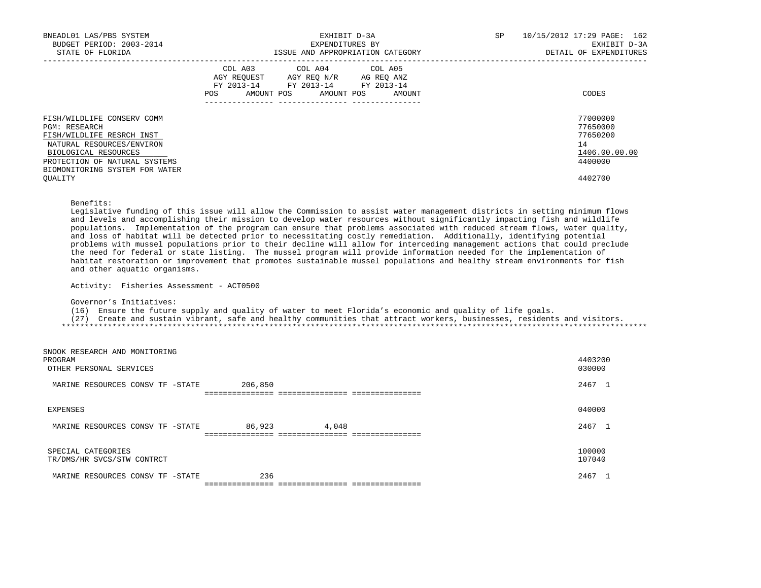| BNEADL01 LAS/PBS SYSTEM<br>BUDGET PERIOD: 2003-2014<br>STATE OF FLORIDA                                                                                                                          | EXHIBIT D-3A<br>EXPENDITURES BY<br>ISSUE AND APPROPRIATION CATEGORY                                                                            | 10/15/2012 17:29 PAGE: 162<br>SP<br>EXHIBIT D-3A<br>DETAIL OF EXPENDITURES |
|--------------------------------------------------------------------------------------------------------------------------------------------------------------------------------------------------|------------------------------------------------------------------------------------------------------------------------------------------------|----------------------------------------------------------------------------|
|                                                                                                                                                                                                  | COL A03 COL A04 COL A05<br>AGY REQUEST AGY REO N/R AG REO ANZ<br>FY 2013-14 FY 2013-14 FY 2013-14<br>AMOUNT POS<br>AMOUNT POS<br>POS<br>AMOUNT | CODES                                                                      |
| FISH/WILDLIFE CONSERV COMM<br>PGM: RESEARCH<br>FISH/WILDLIFE RESRCH INST<br>NATURAL RESOURCES/ENVIRON<br>BIOLOGICAL RESOURCES<br>PROTECTION OF NATURAL SYSTEMS<br>BIOMONITORING SYSTEM FOR WATER |                                                                                                                                                | 77000000<br>77650000<br>77650200<br>14<br>1406.00.00.00<br>4400000         |
| OUALITY                                                                                                                                                                                          |                                                                                                                                                | 4402700                                                                    |

 Legislative funding of this issue will allow the Commission to assist water management districts in setting minimum flows and levels and accomplishing their mission to develop water resources without significantly impacting fish and wildlife populations. Implementation of the program can ensure that problems associated with reduced stream flows, water quality, and loss of habitat will be detected prior to necessitating costly remediation. Additionally, identifying potential problems with mussel populations prior to their decline will allow for interceding management actions that could preclude the need for federal or state listing. The mussel program will provide information needed for the implementation of habitat restoration or improvement that promotes sustainable mussel populations and healthy stream environments for fish and other aquatic organisms.

Activity: Fisheries Assessment - ACT0500

Governor's Initiatives:

(16) Ensure the future supply and quality of water to meet Florida's economic and quality of life goals.

 (27) Create and sustain vibrant, safe and healthy communities that attract workers, businesses, residents and visitors. \*\*\*\*\*\*\*\*\*\*\*\*\*\*\*\*\*\*\*\*\*\*\*\*\*\*\*\*\*\*\*\*\*\*\*\*\*\*\*\*\*\*\*\*\*\*\*\*\*\*\*\*\*\*\*\*\*\*\*\*\*\*\*\*\*\*\*\*\*\*\*\*\*\*\*\*\*\*\*\*\*\*\*\*\*\*\*\*\*\*\*\*\*\*\*\*\*\*\*\*\*\*\*\*\*\*\*\*\*\*\*\*\*\*\*\*\*\*\*\*\*\*\*\*\*\*\*

SNOOK RESEARCH AND MONITORING<br>PROGRAM PROGRAM 4403200 OTHER PERSONAL SERVICES 030000 MARINE RESOURCES CONSV TF -STATE 206,850 2000 2000 2000 2467 1 =============== =============== =============== EXPENSES 040000 MARINE RESOURCES CONSV TF -STATE 86,923 4,048 2467 1 =============== =============== =============== SPECIAL CATEGORIES 100000 TR/DMS/HR SVCS/STW CONTRCT MARINE RESOURCES CONSV TF -STATE 236 236 225 236 2267 1 =============== =============== ===============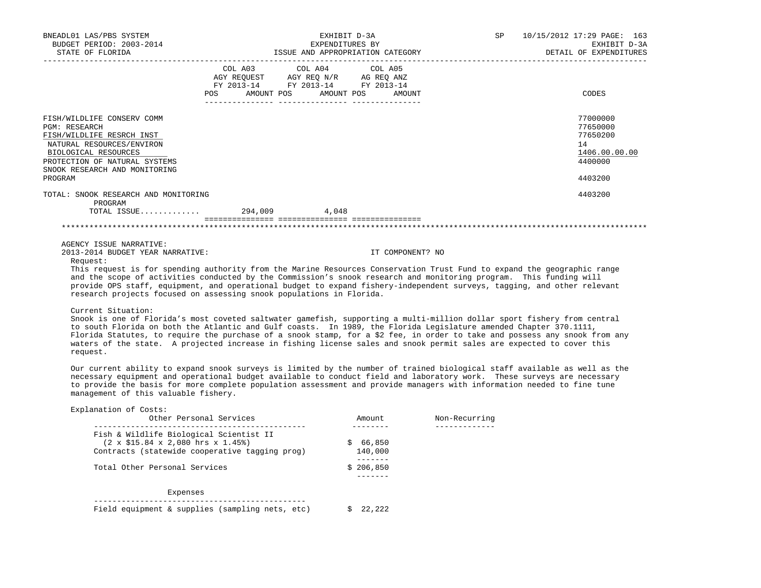| BNEADL01 LAS/PBS SYSTEM<br>BUDGET PERIOD: 2003-2014<br>STATE OF FLORIDA                                                                                                                                    |                   | EXHIBIT D-3A<br>EXPENDITURES BY<br>ISSUE AND APPROPRIATION CATEGORY                                                    |  | SP | 10/15/2012 17:29 PAGE: 163<br>EXHIBIT D-3A<br>DETAIL OF EXPENDITURES          |
|------------------------------------------------------------------------------------------------------------------------------------------------------------------------------------------------------------|-------------------|------------------------------------------------------------------------------------------------------------------------|--|----|-------------------------------------------------------------------------------|
|                                                                                                                                                                                                            | FY 2013-14<br>POS | COL A03 COL A04 COL A05<br>AGY REQUEST AGY REQ N/R AG REQ ANZ<br>FY 2013-14 FY 2013-14<br>AMOUNT POS AMOUNT POS AMOUNT |  |    | CODES                                                                         |
| FISH/WILDLIFE CONSERV COMM<br>PGM: RESEARCH<br>FISH/WILDLIFE RESRCH INST<br>NATURAL RESOURCES/ENVIRON<br>BIOLOGICAL RESOURCES<br>PROTECTION OF NATURAL SYSTEMS<br>SNOOK RESEARCH AND MONITORING<br>PROGRAM |                   |                                                                                                                        |  |    | 77000000<br>77650000<br>77650200<br>14<br>1406.00.00.00<br>4400000<br>4403200 |
| TOTAL: SNOOK RESEARCH AND MONITORING<br>PROGRAM                                                                                                                                                            |                   | 4,048                                                                                                                  |  |    | 4403200                                                                       |
|                                                                                                                                                                                                            |                   |                                                                                                                        |  |    |                                                                               |

AGENCY ISSUE NARRATIVE:

2013-2014 BUDGET YEAR NARRATIVE: IT COMPONENT? NO

Request:

 This request is for spending authority from the Marine Resources Conservation Trust Fund to expand the geographic range and the scope of activities conducted by the Commission's snook research and monitoring program. This funding will provide OPS staff, equipment, and operational budget to expand fishery-independent surveys, tagging, and other relevant research projects focused on assessing snook populations in Florida.

### Current Situation:

 Snook is one of Florida's most coveted saltwater gamefish, supporting a multi-million dollar sport fishery from central to south Florida on both the Atlantic and Gulf coasts. In 1989, the Florida Legislature amended Chapter 370.1111, Florida Statutes, to require the purchase of a snook stamp, for a \$2 fee, in order to take and possess any snook from any waters of the state. A projected increase in fishing license sales and snook permit sales are expected to cover this request.

 Our current ability to expand snook surveys is limited by the number of trained biological staff available as well as the necessary equipment and operational budget available to conduct field and laboratory work. These surveys are necessary to provide the basis for more complete population assessment and provide managers with information needed to fine tune management of this valuable fishery.

| Explanation of Costs:<br>Other Personal Services            | Amount    | Non-Recurring |
|-------------------------------------------------------------|-----------|---------------|
| Fish & Wildlife Biological Scientist II                     |           |               |
| $(2 \times $15.84 \times 2,080$ hrs $x 1.45$ <sup>9</sup> ) | \$66,850  |               |
| Contracts (statewide cooperative tagging prog)              | 140,000   |               |
| Total Other Personal Services                               | \$206,850 |               |
|                                                             |           |               |
| Expenses                                                    |           |               |
| Field equipment & supplies (sampling nets, etc)             | 22,222    |               |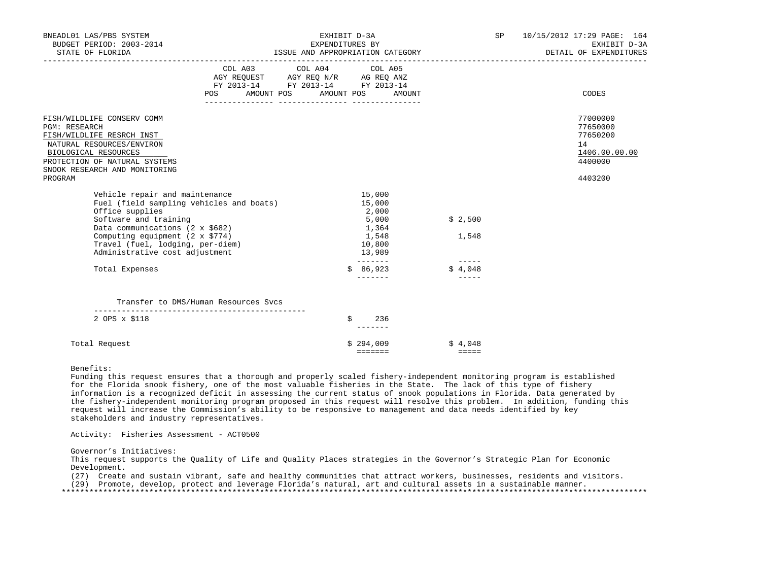| BNEADL01 LAS/PBS SYSTEM<br>BUDGET PERIOD: 2003-2014<br>STATE OF FLORIDA                                                                                                                                                                                                                    | EXHIBIT D-3A<br>EXPENDITURES BY<br>ISSUE AND APPROPRIATION CATEGORY |                                                                                                                            |                                                                                                            |                                              | SP<br>10/15/2012 17:29 PAGE: 164<br>EXHIBIT D-3A<br>DETAIL OF EXPENDITURES    |
|--------------------------------------------------------------------------------------------------------------------------------------------------------------------------------------------------------------------------------------------------------------------------------------------|---------------------------------------------------------------------|----------------------------------------------------------------------------------------------------------------------------|------------------------------------------------------------------------------------------------------------|----------------------------------------------|-------------------------------------------------------------------------------|
|                                                                                                                                                                                                                                                                                            | <b>POS</b>                                                          | COL A03 COL A04 COL A05<br>AGY REQUEST AGY REQ N/R AG REQ ANZ<br>FY 2013-14 FY 2013-14 FY 2013-14<br>AMOUNT POS AMOUNT POS | AMOUNT                                                                                                     |                                              | CODES                                                                         |
| FISH/WILDLIFE CONSERV COMM<br><b>PGM: RESEARCH</b><br>FISH/WILDLIFE RESRCH INST<br>NATURAL RESOURCES/ENVIRON<br>BIOLOGICAL RESOURCES<br>PROTECTION OF NATURAL SYSTEMS<br>SNOOK RESEARCH AND MONITORING<br>PROGRAM                                                                          |                                                                     |                                                                                                                            |                                                                                                            |                                              | 77000000<br>77650000<br>77650200<br>14<br>1406.00.00.00<br>4400000<br>4403200 |
| Vehicle repair and maintenance<br>Fuel (field sampling vehicles and boats)<br>Office supplies<br>Software and training<br>Data communications (2 x \$682)<br>Computing equipment $(2 \times $774)$<br>Travel (fuel, lodging, per-diem)<br>Administrative cost adjustment<br>Total Expenses |                                                                     |                                                                                                                            | 15,000<br>15,000<br>2,000<br>5,000<br>1,364<br>1,548<br>10,800<br>13,989<br>--------<br>86,923<br>-------- | \$2,500<br>1,548<br>$- - - - - -$<br>\$4,048 |                                                                               |
|                                                                                                                                                                                                                                                                                            | Transfer to DMS/Human Resources Sycs                                |                                                                                                                            |                                                                                                            |                                              |                                                                               |
| 2 OPS x \$118                                                                                                                                                                                                                                                                              |                                                                     |                                                                                                                            | 236<br>S                                                                                                   |                                              |                                                                               |
| Total Request                                                                                                                                                                                                                                                                              |                                                                     |                                                                                                                            | \$294,009<br>=======                                                                                       | \$4,048<br>$= = = = =$                       |                                                                               |

 Funding this request ensures that a thorough and properly scaled fishery-independent monitoring program is established for the Florida snook fishery, one of the most valuable fisheries in the State. The lack of this type of fishery information is a recognized deficit in assessing the current status of snook populations in Florida. Data generated by the fishery-independent monitoring program proposed in this request will resolve this problem. In addition, funding this request will increase the Commission's ability to be responsive to management and data needs identified by key stakeholders and industry representatives.

Activity: Fisheries Assessment - ACT0500

Governor's Initiatives:

 This request supports the Quality of Life and Quality Places strategies in the Governor's Strategic Plan for Economic Development.

(27) Create and sustain vibrant, safe and healthy communities that attract workers, businesses, residents and visitors.

(29) Promote, develop, protect and leverage Florida's natural, art and cultural assets in a sustainable manner.

\*\*\*\*\*\*\*\*\*\*\*\*\*\*\*\*\*\*\*\*\*\*\*\*\*\*\*\*\*\*\*\*\*\*\*\*\*\*\*\*\*\*\*\*\*\*\*\*\*\*\*\*\*\*\*\*\*\*\*\*\*\*\*\*\*\*\*\*\*\*\*\*\*\*\*\*\*\*\*\*\*\*\*\*\*\*\*\*\*\*\*\*\*\*\*\*\*\*\*\*\*\*\*\*\*\*\*\*\*\*\*\*\*\*\*\*\*\*\*\*\*\*\*\*\*\*\*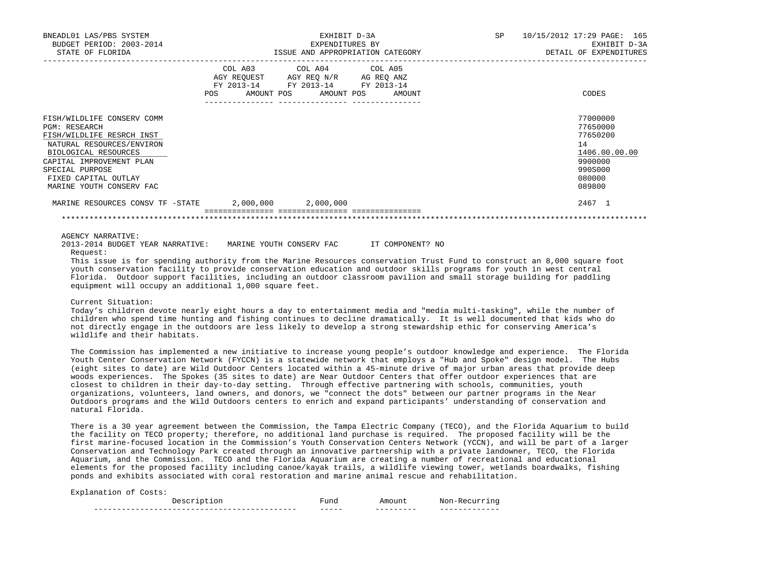| BNEADL01 LAS/PBS SYSTEM<br>BUDGET PERIOD: 2003-2014<br>STATE OF FLORIDA                                                                                                                                                          | EXHIBIT D-3A<br>EXPENDITURES BY<br>ISSUE AND APPROPRIATION CATEGORY |                                                                                                           |  | 10/15/2012 17:29 PAGE: 165<br>EXHIBIT D-3A<br>DETAIL OF EXPENDITURES                              |
|----------------------------------------------------------------------------------------------------------------------------------------------------------------------------------------------------------------------------------|---------------------------------------------------------------------|-----------------------------------------------------------------------------------------------------------|--|---------------------------------------------------------------------------------------------------|
| POS                                                                                                                                                                                                                              | AGY REQUEST AGY REQ N/R                                             | COL A03 COL A04 COL A05<br>AG REO ANZ<br>FY 2013-14 FY 2013-14 FY 2013-14<br>AMOUNT POS AMOUNT POS AMOUNT |  | CODES                                                                                             |
| FISH/WILDLIFE CONSERV COMM<br>PGM: RESEARCH<br>FISH/WILDLIFE RESRCH INST<br>NATURAL RESOURCES/ENVIRON<br>BIOLOGICAL RESOURCES<br>CAPITAL IMPROVEMENT PLAN<br>SPECIAL PURPOSE<br>FIXED CAPITAL OUTLAY<br>MARINE YOUTH CONSERV FAC |                                                                     |                                                                                                           |  | 77000000<br>77650000<br>77650200<br>14<br>1406.00.00.00<br>9900000<br>990S000<br>080000<br>089800 |
| MARINE RESOURCES CONSV TF -STATE                                                                                                                                                                                                 | 2,000,000                                                           | 2,000,000                                                                                                 |  | 2467 1                                                                                            |
|                                                                                                                                                                                                                                  |                                                                     |                                                                                                           |  |                                                                                                   |

AGENCY NARRATIVE:

 2013-2014 BUDGET YEAR NARRATIVE: MARINE YOUTH CONSERV FAC IT COMPONENT? NO Request:

 This issue is for spending authority from the Marine Resources conservation Trust Fund to construct an 8,000 square foot youth conservation facility to provide conservation education and outdoor skills programs for youth in west central Florida. Outdoor support facilities, including an outdoor classroom pavilion and small storage building for paddling equipment will occupy an additional 1,000 square feet.

\*\*\*\*\*\*\*\*\*\*\*\*\*\*\*\*\*\*\*\*\*\*\*\*\*\*\*\*\*\*\*\*\*\*\*\*\*\*\*\*\*\*\*\*\*\*\*\*\*\*\*\*\*\*\*\*\*\*\*\*\*\*\*\*\*\*\*\*\*\*\*\*\*\*\*\*\*\*\*\*\*\*\*\*\*\*\*\*\*\*\*\*\*\*\*\*\*\*\*\*\*\*\*\*\*\*\*\*\*\*\*\*\*\*\*\*\*\*\*\*\*\*\*\*\*\*\*

# Current Situation:

 Today's children devote nearly eight hours a day to entertainment media and "media multi-tasking", while the number of children who spend time hunting and fishing continues to decline dramatically. It is well documented that kids who do not directly engage in the outdoors are less likely to develop a strong stewardship ethic for conserving America's wildlife and their habitats.

 The Commission has implemented a new initiative to increase young people's outdoor knowledge and experience. The Florida Youth Center Conservation Network (FYCCN) is a statewide network that employs a "Hub and Spoke" design model. The Hubs (eight sites to date) are Wild Outdoor Centers located within a 45-minute drive of major urban areas that provide deep woods experiences. The Spokes (35 sites to date) are Near Outdoor Centers that offer outdoor experiences that are closest to children in their day-to-day setting. Through effective partnering with schools, communities, youth organizations, volunteers, land owners, and donors, we "connect the dots" between our partner programs in the Near Outdoors programs and the Wild Outdoors centers to enrich and expand participants' understanding of conservation and natural Florida.

 There is a 30 year agreement between the Commission, the Tampa Electric Company (TECO), and the Florida Aquarium to build the facility on TECO property; therefore, no additional land purchase is required. The proposed facility will be the first marine-focused location in the Commission's Youth Conservation Centers Network (YCCN), and will be part of a larger Conservation and Technology Park created through an innovative partnership with a private landowner, TECO, the Florida Aquarium, and the Commission. TECO and the Florida Aquarium are creating a number of recreational and educational elements for the proposed facility including canoe/kayak trails, a wildlife viewing tower, wetlands boardwalks, fishing ponds and exhibits associated with coral restoration and marine animal rescue and rehabilitation.

#### Explanation of Costs:

| .                   | $\sim$           | Amı                    | $\frac{1}{2}$                   |
|---------------------|------------------|------------------------|---------------------------------|
| ------------------- | ______<br>______ | _________<br>_________ | _____________<br>-------------- |